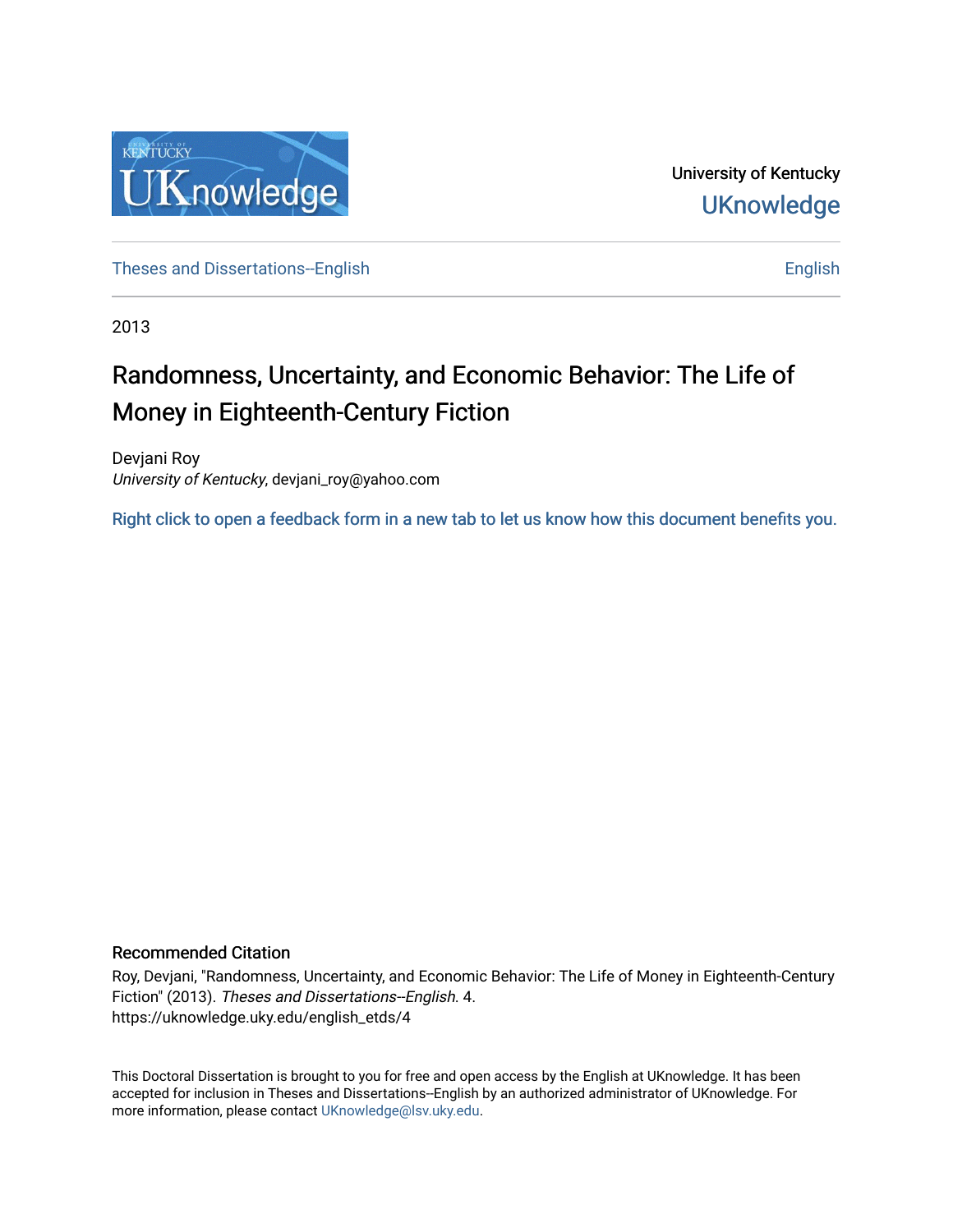

University of Kentucky **UKnowledge** 

[Theses and Dissertations--English](https://uknowledge.uky.edu/english_etds) [English](https://uknowledge.uky.edu/english) English English English

2013

# Randomness, Uncertainty, and Economic Behavior: The Life of Money in Eighteenth-Century Fiction

Devjani Roy University of Kentucky, devjani\_roy@yahoo.com

[Right click to open a feedback form in a new tab to let us know how this document benefits you.](https://uky.az1.qualtrics.com/jfe/form/SV_9mq8fx2GnONRfz7)

### Recommended Citation

Roy, Devjani, "Randomness, Uncertainty, and Economic Behavior: The Life of Money in Eighteenth-Century Fiction" (2013). Theses and Dissertations--English. 4. https://uknowledge.uky.edu/english\_etds/4

This Doctoral Dissertation is brought to you for free and open access by the English at UKnowledge. It has been accepted for inclusion in Theses and Dissertations--English by an authorized administrator of UKnowledge. For more information, please contact [UKnowledge@lsv.uky.edu](mailto:UKnowledge@lsv.uky.edu).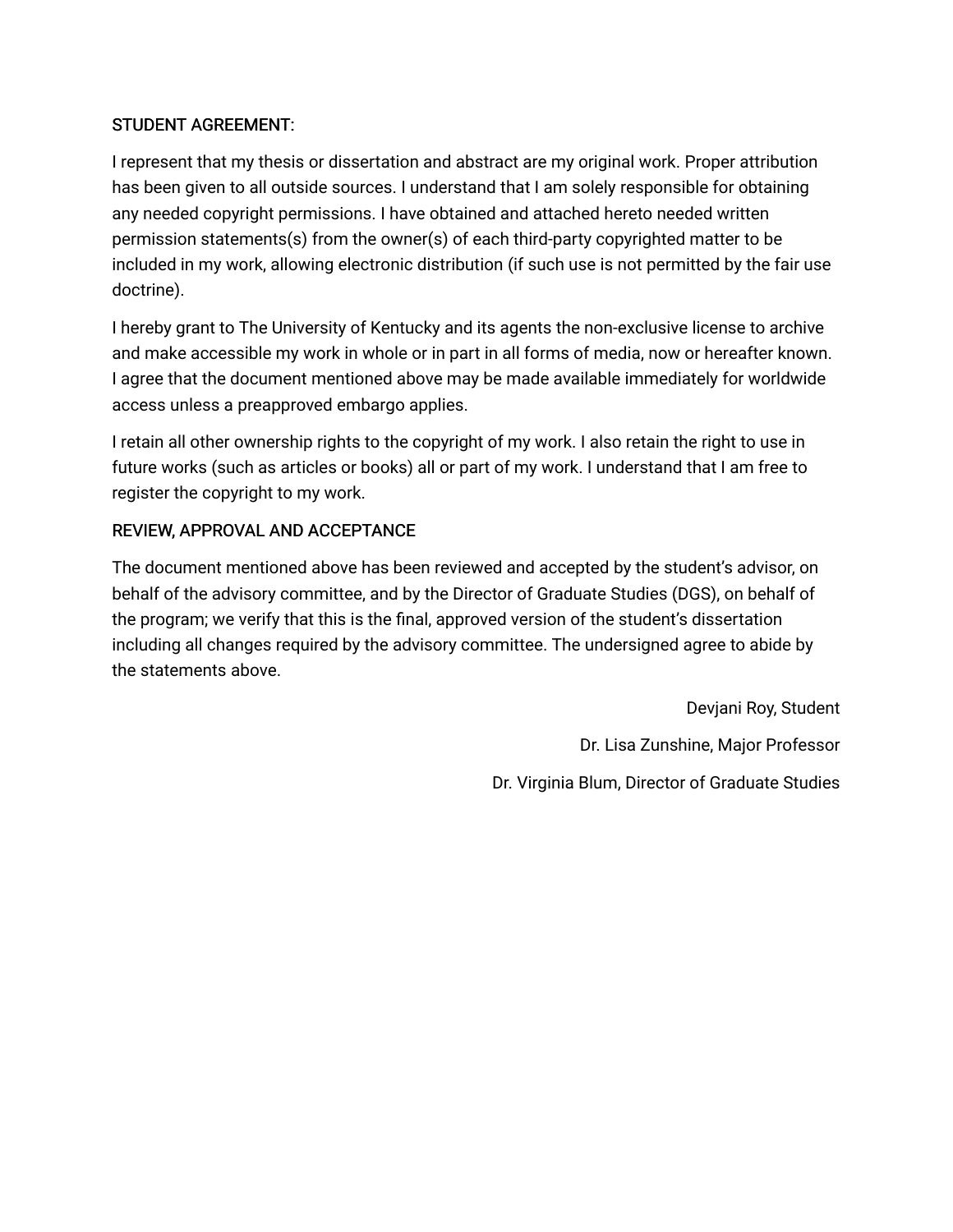## STUDENT AGREEMENT:

I represent that my thesis or dissertation and abstract are my original work. Proper attribution has been given to all outside sources. I understand that I am solely responsible for obtaining any needed copyright permissions. I have obtained and attached hereto needed written permission statements(s) from the owner(s) of each third-party copyrighted matter to be included in my work, allowing electronic distribution (if such use is not permitted by the fair use doctrine).

I hereby grant to The University of Kentucky and its agents the non-exclusive license to archive and make accessible my work in whole or in part in all forms of media, now or hereafter known. I agree that the document mentioned above may be made available immediately for worldwide access unless a preapproved embargo applies.

I retain all other ownership rights to the copyright of my work. I also retain the right to use in future works (such as articles or books) all or part of my work. I understand that I am free to register the copyright to my work.

# REVIEW, APPROVAL AND ACCEPTANCE

The document mentioned above has been reviewed and accepted by the student's advisor, on behalf of the advisory committee, and by the Director of Graduate Studies (DGS), on behalf of the program; we verify that this is the final, approved version of the student's dissertation including all changes required by the advisory committee. The undersigned agree to abide by the statements above.

> Devjani Roy, Student Dr. Lisa Zunshine, Major Professor Dr. Virginia Blum, Director of Graduate Studies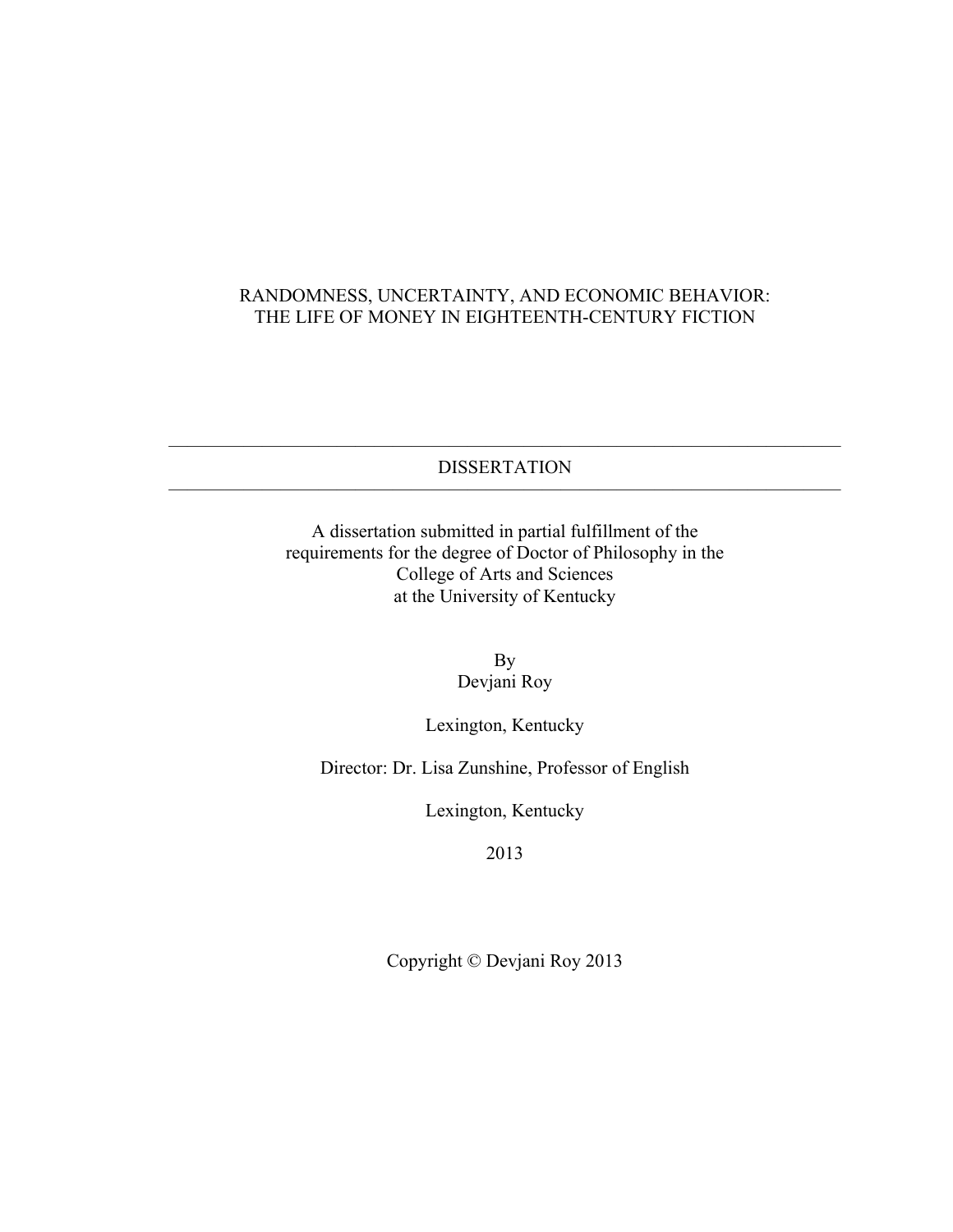# RANDOMNESS, UNCERTAINTY, AND ECONOMIC BEHAVIOR: THE LIFE OF MONEY IN EIGHTEENTH-CENTURY FICTION

———————————————————————————————————— DISSERTATION ————————————————————————————————————

> A dissertation submitted in partial fulfillment of the requirements for the degree of Doctor of Philosophy in the College of Arts and Sciences at the University of Kentucky

> > By Devjani Roy

Lexington, Kentucky

Director: Dr. Lisa Zunshine, Professor of English

Lexington, Kentucky

2013

Copyright © Devjani Roy 2013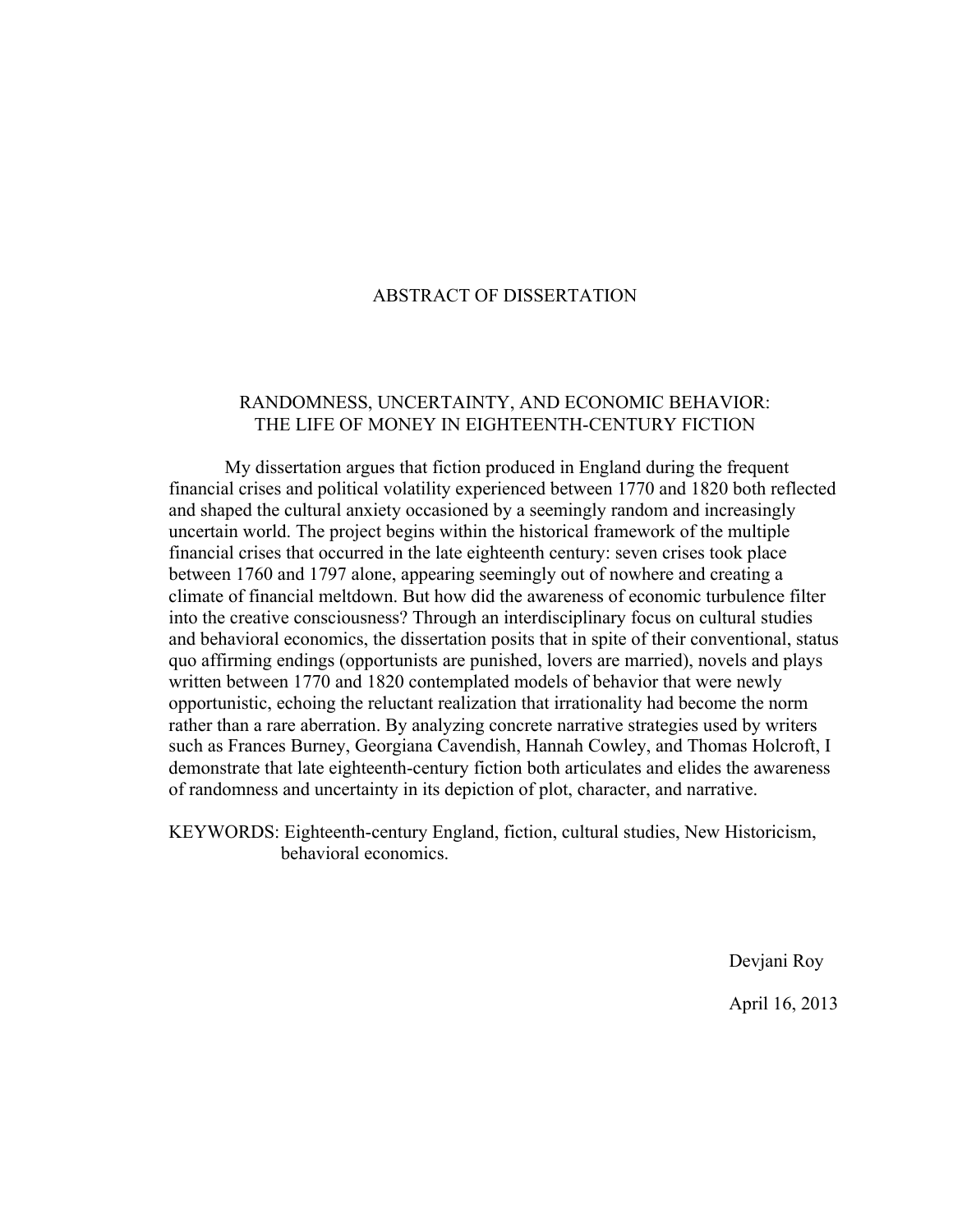## ABSTRACT OF DISSERTATION

## RANDOMNESS, UNCERTAINTY, AND ECONOMIC BEHAVIOR: THE LIFE OF MONEY IN EIGHTEENTH-CENTURY FICTION

My dissertation argues that fiction produced in England during the frequent financial crises and political volatility experienced between 1770 and 1820 both reflected and shaped the cultural anxiety occasioned by a seemingly random and increasingly uncertain world. The project begins within the historical framework of the multiple financial crises that occurred in the late eighteenth century: seven crises took place between 1760 and 1797 alone, appearing seemingly out of nowhere and creating a climate of financial meltdown. But how did the awareness of economic turbulence filter into the creative consciousness? Through an interdisciplinary focus on cultural studies and behavioral economics, the dissertation posits that in spite of their conventional, status quo affirming endings (opportunists are punished, lovers are married), novels and plays written between 1770 and 1820 contemplated models of behavior that were newly opportunistic, echoing the reluctant realization that irrationality had become the norm rather than a rare aberration. By analyzing concrete narrative strategies used by writers such as Frances Burney, Georgiana Cavendish, Hannah Cowley, and Thomas Holcroft, I demonstrate that late eighteenth-century fiction both articulates and elides the awareness of randomness and uncertainty in its depiction of plot, character, and narrative.

KEYWORDS: Eighteenth-century England, fiction, cultural studies, New Historicism, behavioral economics.

Devjani Roy

April 16, 2013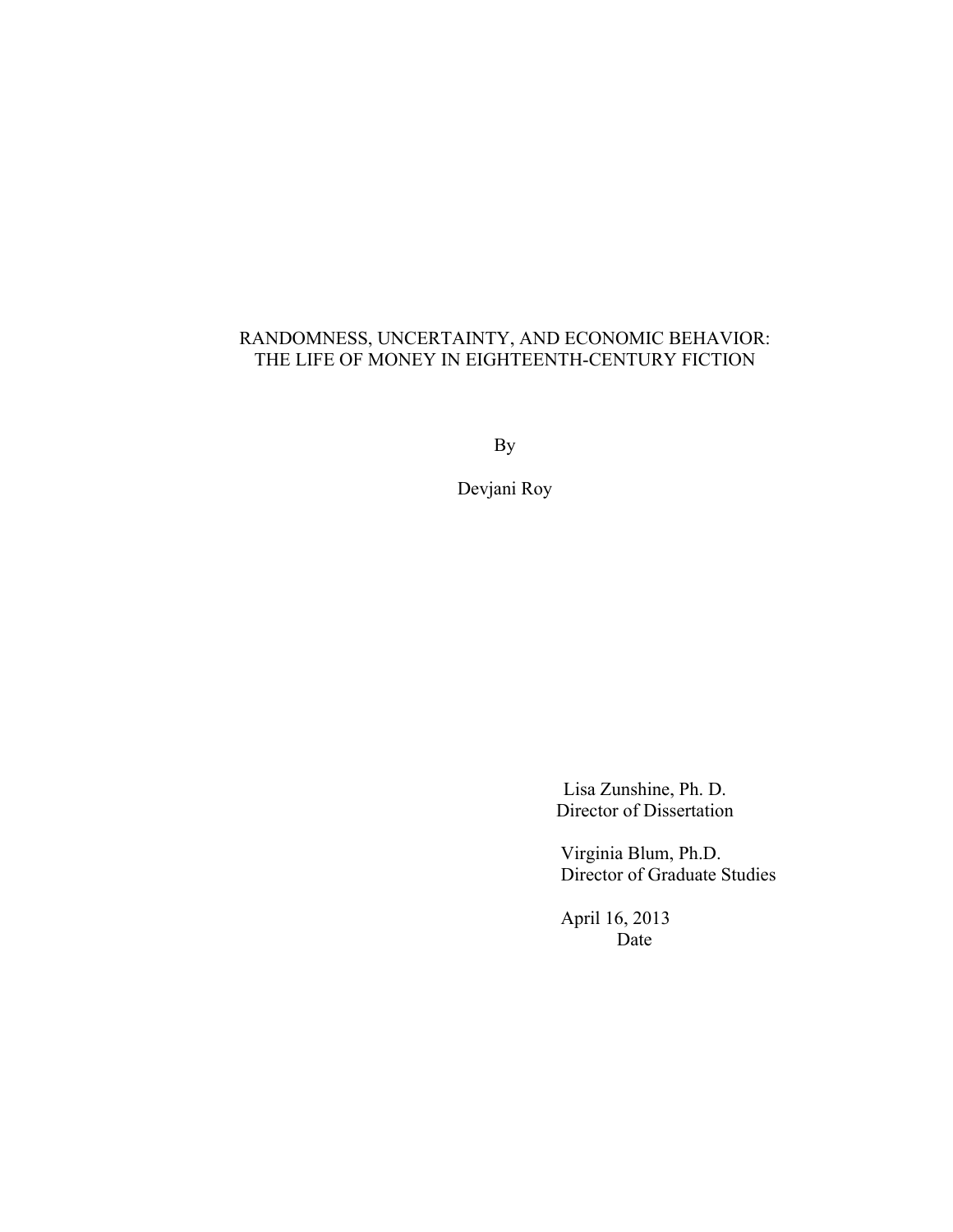# RANDOMNESS, UNCERTAINTY, AND ECONOMIC BEHAVIOR: THE LIFE OF MONEY IN EIGHTEENTH-CENTURY FICTION

By

Devjani Roy

Lisa Zunshine, Ph. D. Director of Dissertation

Virginia Blum, Ph.D. Director of Graduate Studies

April 16, 2013 Date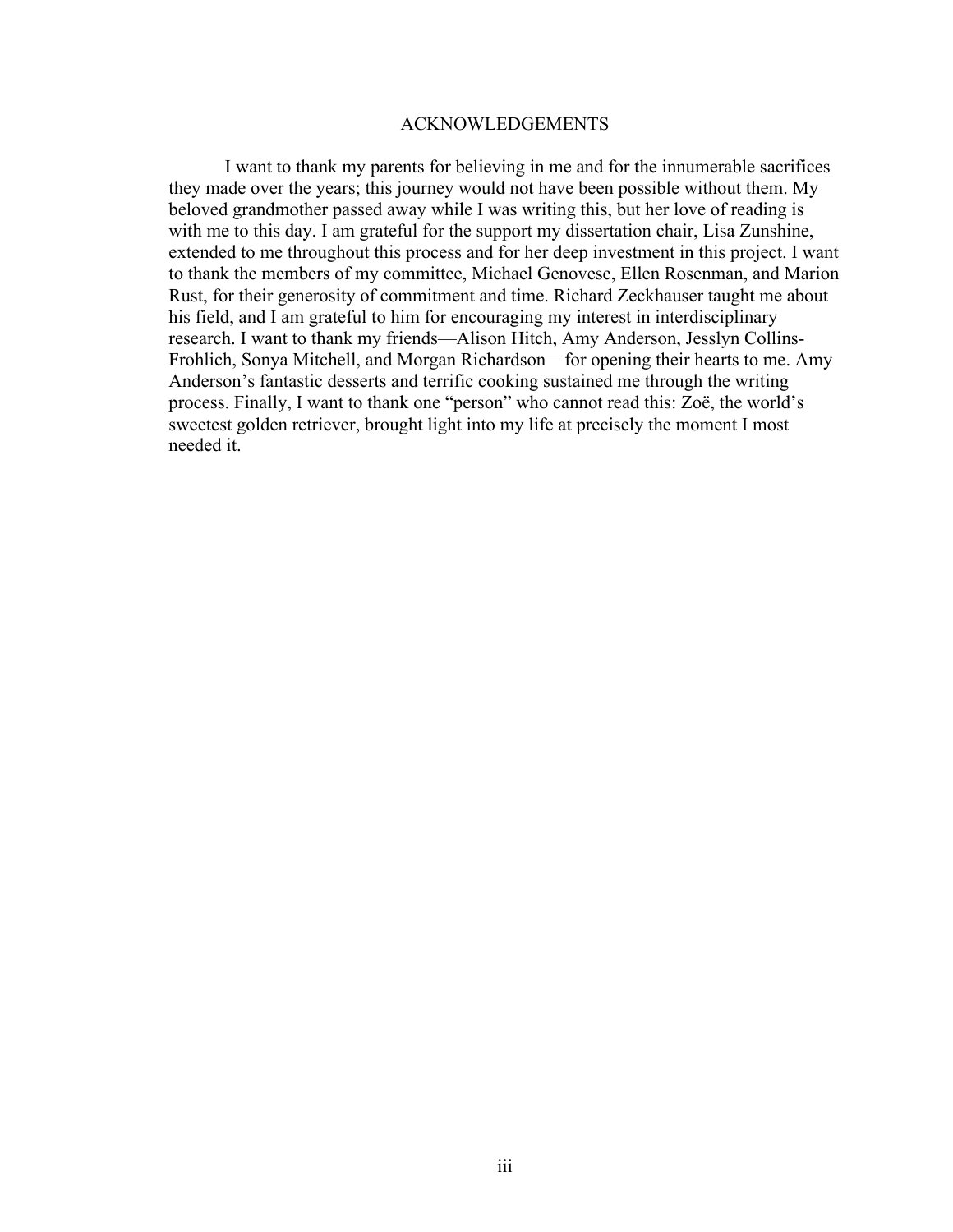#### ACKNOWLEDGEMENTS

I want to thank my parents for believing in me and for the innumerable sacrifices they made over the years; this journey would not have been possible without them. My beloved grandmother passed away while I was writing this, but her love of reading is with me to this day. I am grateful for the support my dissertation chair, Lisa Zunshine, extended to me throughout this process and for her deep investment in this project. I want to thank the members of my committee, Michael Genovese, Ellen Rosenman, and Marion Rust, for their generosity of commitment and time. Richard Zeckhauser taught me about his field, and I am grateful to him for encouraging my interest in interdisciplinary research. I want to thank my friends—Alison Hitch, Amy Anderson, Jesslyn Collins-Frohlich, Sonya Mitchell, and Morgan Richardson—for opening their hearts to me. Amy Anderson's fantastic desserts and terrific cooking sustained me through the writing process. Finally, I want to thank one "person" who cannot read this: Zoë, the world's sweetest golden retriever, brought light into my life at precisely the moment I most needed it.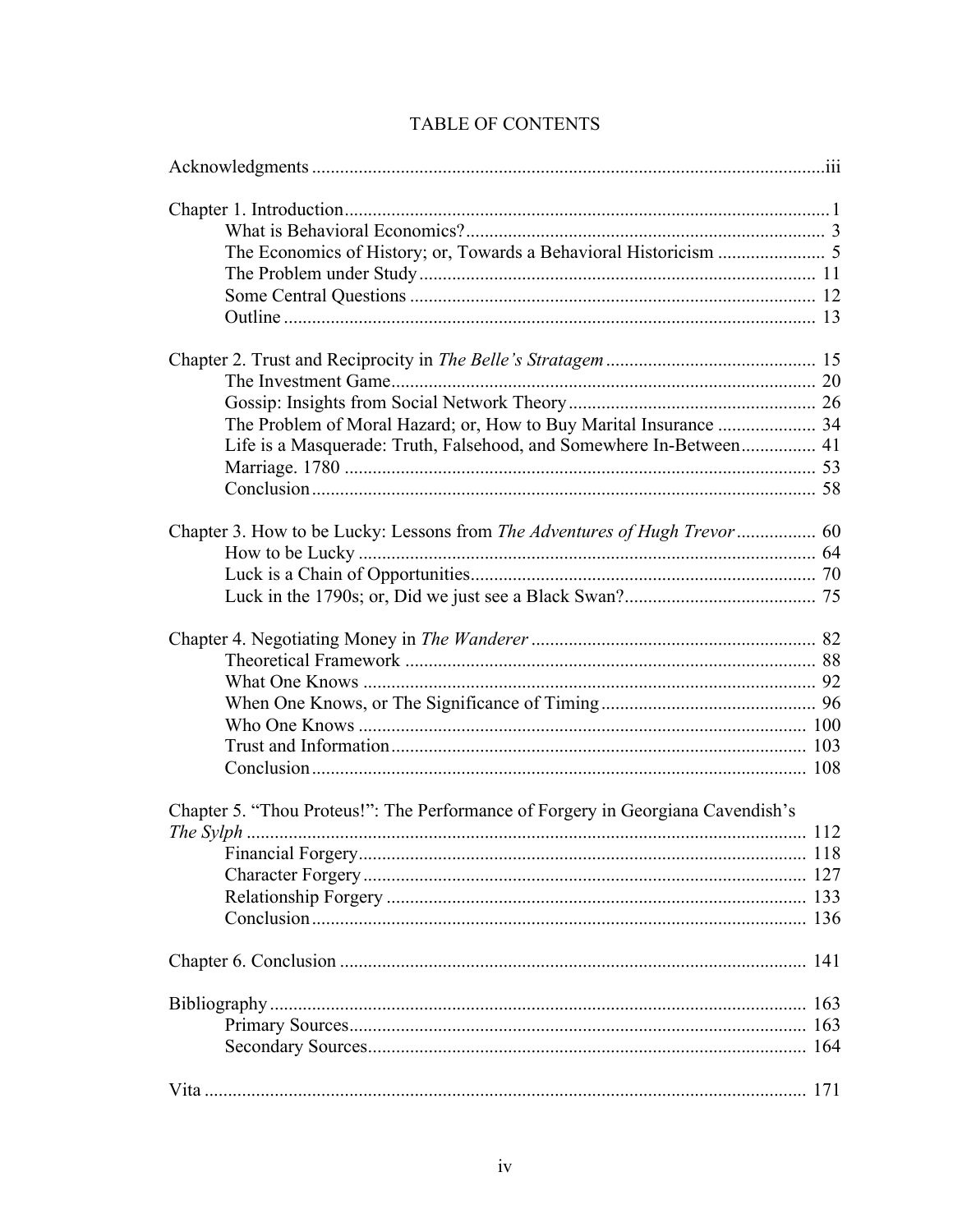| Life is a Masquerade: Truth, Falsehood, and Somewhere In-Between 41             |     |
|---------------------------------------------------------------------------------|-----|
|                                                                                 |     |
|                                                                                 |     |
|                                                                                 |     |
|                                                                                 |     |
|                                                                                 |     |
|                                                                                 |     |
|                                                                                 |     |
|                                                                                 |     |
|                                                                                 |     |
|                                                                                 |     |
|                                                                                 |     |
|                                                                                 |     |
|                                                                                 |     |
|                                                                                 |     |
|                                                                                 |     |
| Chapter 5. "Thou Proteus!": The Performance of Forgery in Georgiana Cavendish's |     |
|                                                                                 |     |
|                                                                                 |     |
|                                                                                 |     |
|                                                                                 |     |
|                                                                                 |     |
|                                                                                 |     |
|                                                                                 |     |
|                                                                                 | 163 |
|                                                                                 | 164 |
|                                                                                 |     |
|                                                                                 |     |

# TABLE OF CONTENTS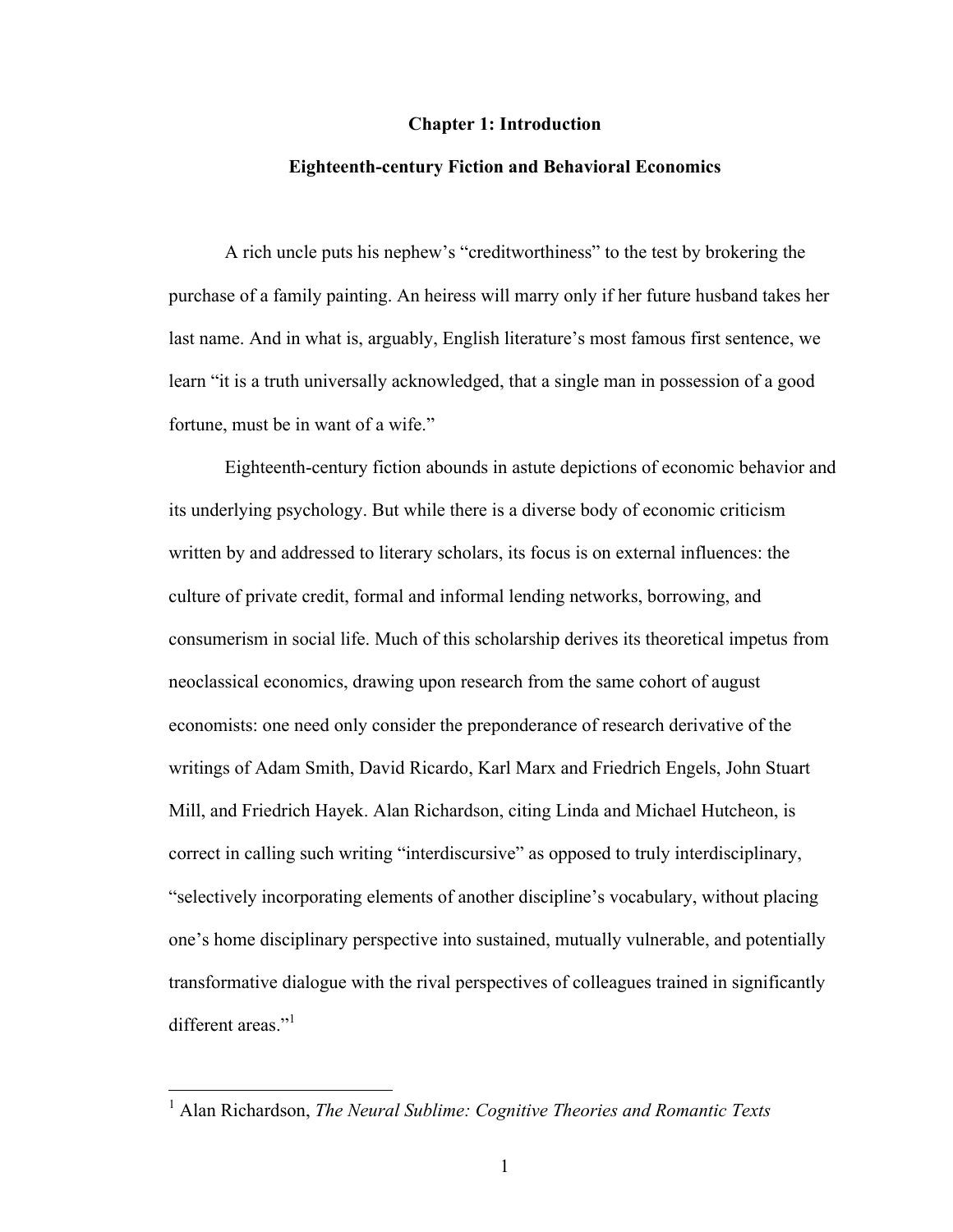#### **Chapter 1: Introduction**

#### **Eighteenth-century Fiction and Behavioral Economics**

A rich uncle puts his nephew's "creditworthiness" to the test by brokering the purchase of a family painting. An heiress will marry only if her future husband takes her last name. And in what is, arguably, English literature's most famous first sentence, we learn "it is a truth universally acknowledged, that a single man in possession of a good fortune, must be in want of a wife."

Eighteenth-century fiction abounds in astute depictions of economic behavior and its underlying psychology. But while there is a diverse body of economic criticism written by and addressed to literary scholars, its focus is on external influences: the culture of private credit, formal and informal lending networks, borrowing, and consumerism in social life. Much of this scholarship derives its theoretical impetus from neoclassical economics, drawing upon research from the same cohort of august economists: one need only consider the preponderance of research derivative of the writings of Adam Smith, David Ricardo, Karl Marx and Friedrich Engels, John Stuart Mill, and Friedrich Hayek. Alan Richardson, citing Linda and Michael Hutcheon, is correct in calling such writing "interdiscursive" as opposed to truly interdisciplinary, "selectively incorporating elements of another discipline's vocabulary, without placing one's home disciplinary perspective into sustained, mutually vulnerable, and potentially transformative dialogue with the rival perspectives of colleagues trained in significantly different areas."<sup>1</sup>

 <sup>1</sup> Alan Richardson, *The Neural Sublime: Cognitive Theories and Romantic Texts*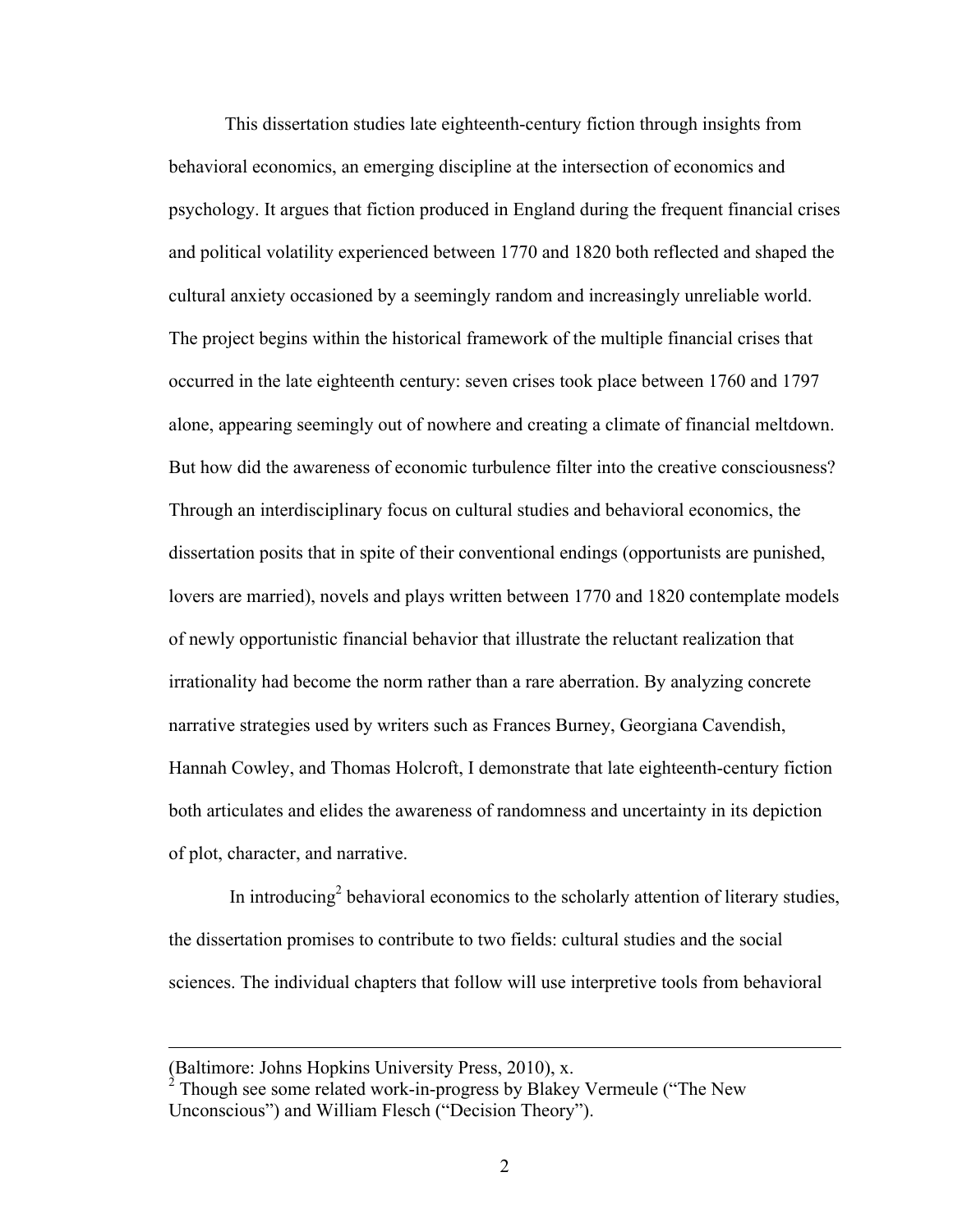This dissertation studies late eighteenth-century fiction through insights from behavioral economics, an emerging discipline at the intersection of economics and psychology. It argues that fiction produced in England during the frequent financial crises and political volatility experienced between 1770 and 1820 both reflected and shaped the cultural anxiety occasioned by a seemingly random and increasingly unreliable world. The project begins within the historical framework of the multiple financial crises that occurred in the late eighteenth century: seven crises took place between 1760 and 1797 alone, appearing seemingly out of nowhere and creating a climate of financial meltdown. But how did the awareness of economic turbulence filter into the creative consciousness? Through an interdisciplinary focus on cultural studies and behavioral economics, the dissertation posits that in spite of their conventional endings (opportunists are punished, lovers are married), novels and plays written between 1770 and 1820 contemplate models of newly opportunistic financial behavior that illustrate the reluctant realization that irrationality had become the norm rather than a rare aberration. By analyzing concrete narrative strategies used by writers such as Frances Burney, Georgiana Cavendish, Hannah Cowley, and Thomas Holcroft, I demonstrate that late eighteenth-century fiction both articulates and elides the awareness of randomness and uncertainty in its depiction of plot, character, and narrative.

In introducing<sup>2</sup> behavioral economics to the scholarly attention of literary studies, the dissertation promises to contribute to two fields: cultural studies and the social sciences. The individual chapters that follow will use interpretive tools from behavioral

 $\overline{a}$ 

<sup>(</sup>Baltimore: Johns Hopkins University Press, 2010), x.

<sup>2</sup> Though see some related work-in-progress by Blakey Vermeule ("The New Unconscious") and William Flesch ("Decision Theory").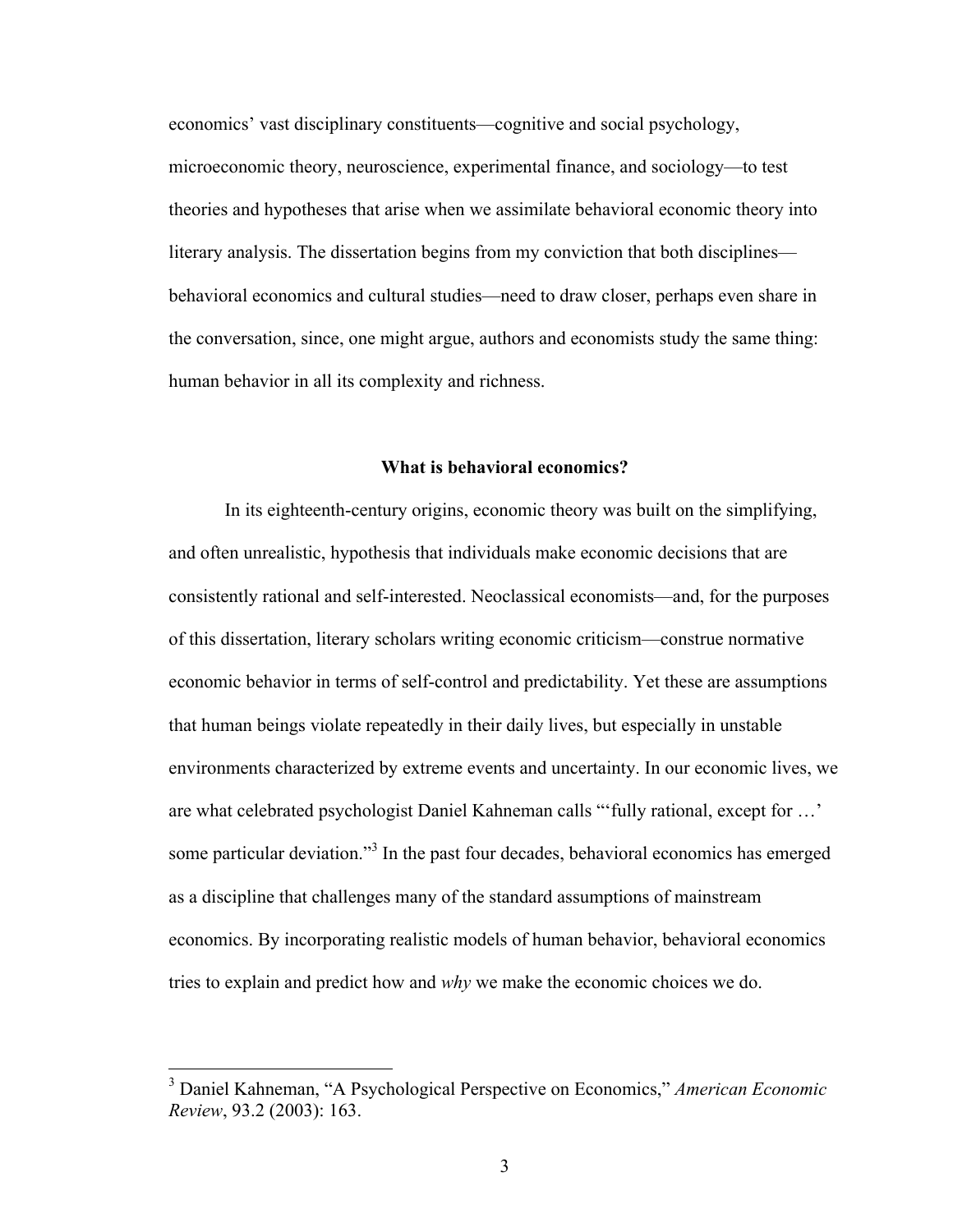economics' vast disciplinary constituents—cognitive and social psychology, microeconomic theory, neuroscience, experimental finance, and sociology—to test theories and hypotheses that arise when we assimilate behavioral economic theory into literary analysis. The dissertation begins from my conviction that both disciplines behavioral economics and cultural studies—need to draw closer, perhaps even share in the conversation, since, one might argue, authors and economists study the same thing: human behavior in all its complexity and richness.

#### **What is behavioral economics?**

In its eighteenth-century origins, economic theory was built on the simplifying, and often unrealistic, hypothesis that individuals make economic decisions that are consistently rational and self-interested. Neoclassical economists—and, for the purposes of this dissertation, literary scholars writing economic criticism—construe normative economic behavior in terms of self-control and predictability. Yet these are assumptions that human beings violate repeatedly in their daily lives, but especially in unstable environments characterized by extreme events and uncertainty. In our economic lives, we are what celebrated psychologist Daniel Kahneman calls "'fully rational, except for …' some particular deviation."<sup>3</sup> In the past four decades, behavioral economics has emerged as a discipline that challenges many of the standard assumptions of mainstream economics. By incorporating realistic models of human behavior, behavioral economics tries to explain and predict how and *why* we make the economic choices we do.

 <sup>3</sup> Daniel Kahneman, "A Psychological Perspective on Economics," *American Economic Review*, 93.2 (2003): 163.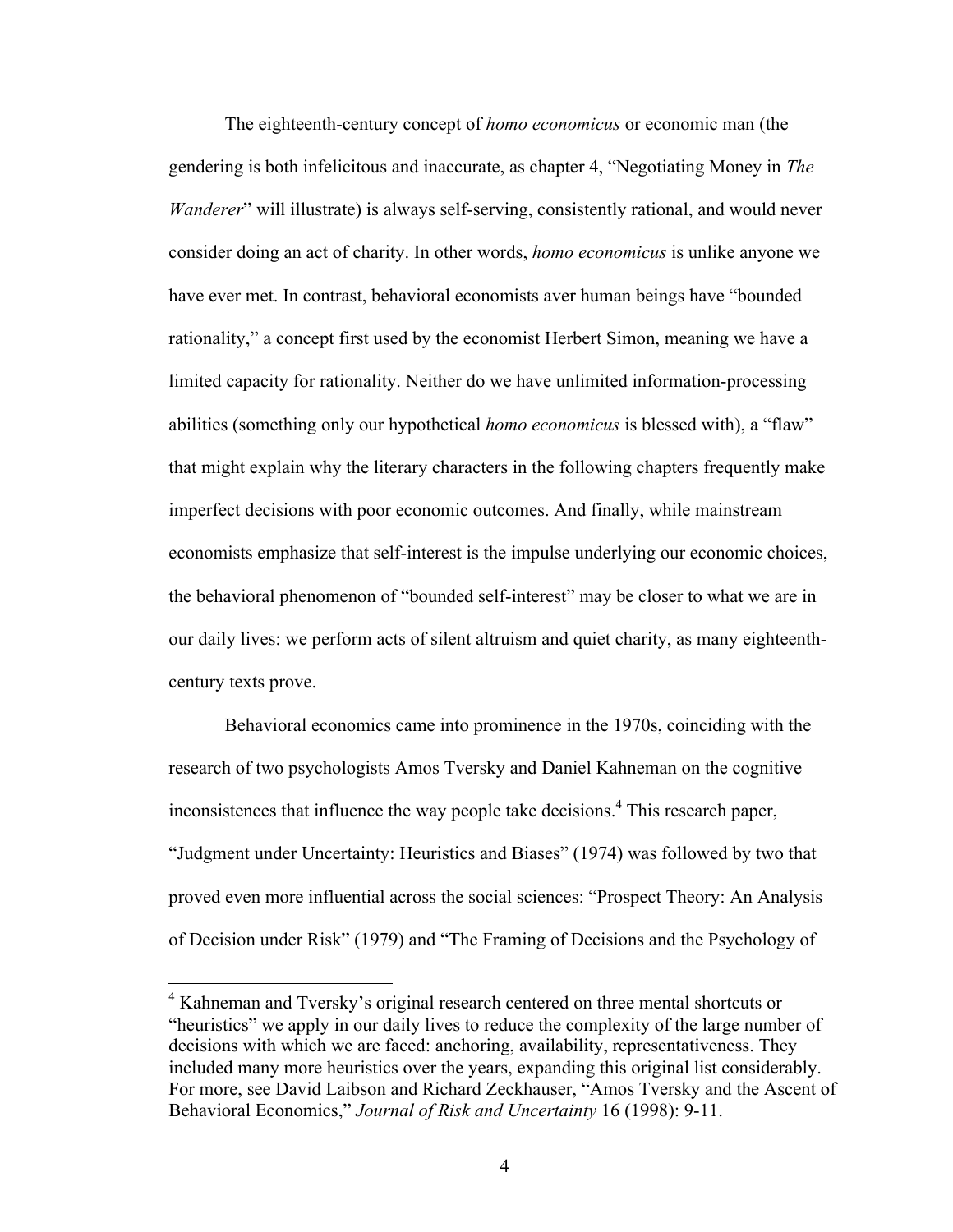The eighteenth-century concept of *homo economicus* or economic man (the gendering is both infelicitous and inaccurate, as chapter 4, "Negotiating Money in *The Wanderer*" will illustrate) is always self-serving, consistently rational, and would never consider doing an act of charity. In other words, *homo economicus* is unlike anyone we have ever met. In contrast, behavioral economists aver human beings have "bounded rationality," a concept first used by the economist Herbert Simon, meaning we have a limited capacity for rationality. Neither do we have unlimited information-processing abilities (something only our hypothetical *homo economicus* is blessed with), a "flaw" that might explain why the literary characters in the following chapters frequently make imperfect decisions with poor economic outcomes. And finally, while mainstream economists emphasize that self-interest is the impulse underlying our economic choices, the behavioral phenomenon of "bounded self-interest" may be closer to what we are in our daily lives: we perform acts of silent altruism and quiet charity, as many eighteenthcentury texts prove.

Behavioral economics came into prominence in the 1970s, coinciding with the research of two psychologists Amos Tversky and Daniel Kahneman on the cognitive inconsistences that influence the way people take decisions.<sup>4</sup> This research paper, "Judgment under Uncertainty: Heuristics and Biases" (1974) was followed by two that proved even more influential across the social sciences: "Prospect Theory: An Analysis of Decision under Risk" (1979) and "The Framing of Decisions and the Psychology of

<sup>&</sup>lt;sup>4</sup> Kahneman and Tversky's original research centered on three mental shortcuts or "heuristics" we apply in our daily lives to reduce the complexity of the large number of decisions with which we are faced: anchoring, availability, representativeness. They included many more heuristics over the years, expanding this original list considerably. For more, see David Laibson and Richard Zeckhauser, "Amos Tversky and the Ascent of Behavioral Economics," *Journal of Risk and Uncertainty* 16 (1998): 9-11.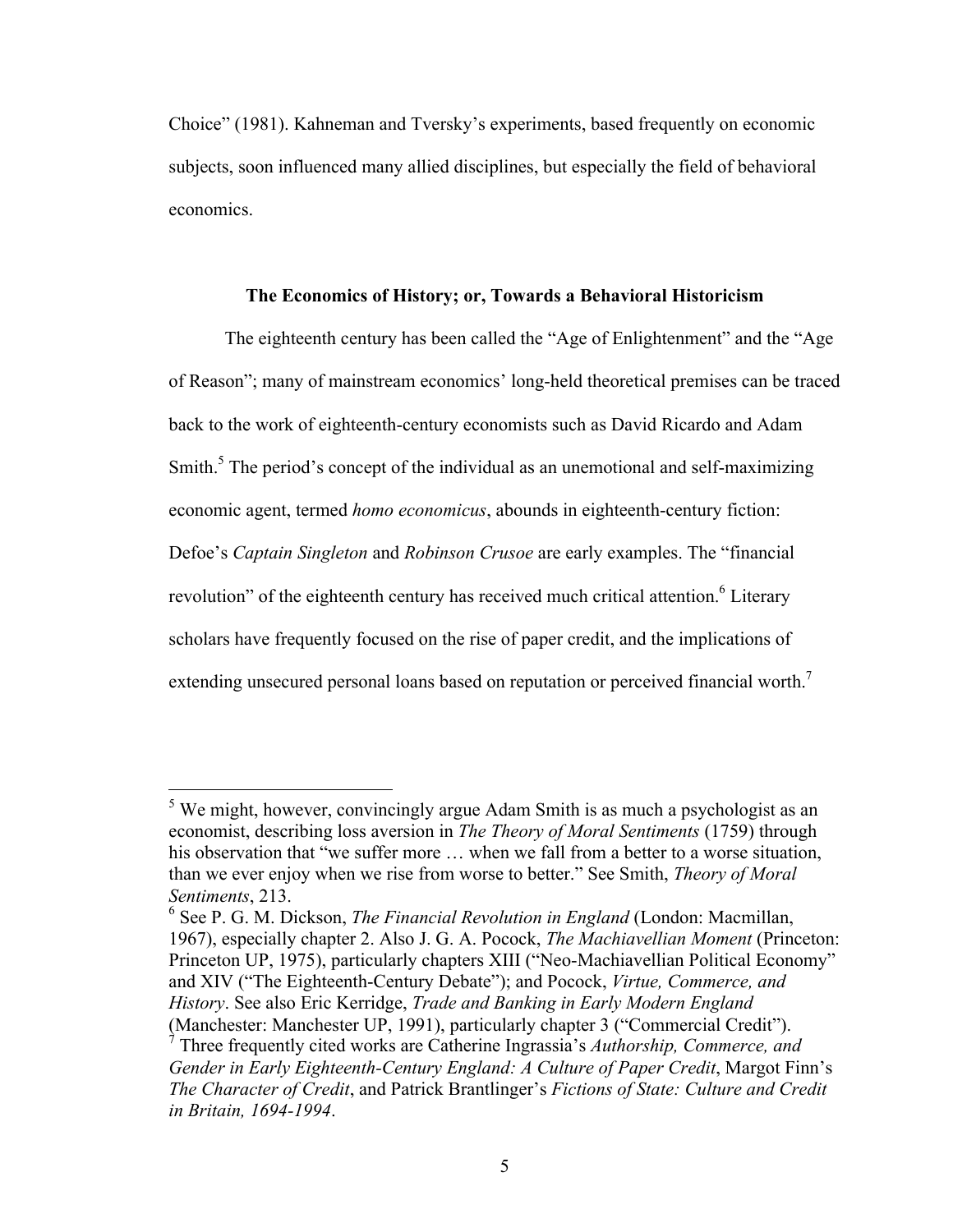Choice" (1981). Kahneman and Tversky's experiments, based frequently on economic subjects, soon influenced many allied disciplines, but especially the field of behavioral economics.

#### **The Economics of History; or, Towards a Behavioral Historicism**

The eighteenth century has been called the "Age of Enlightenment" and the "Age of Reason"; many of mainstream economics' long-held theoretical premises can be traced back to the work of eighteenth-century economists such as David Ricardo and Adam Smith.<sup>5</sup> The period's concept of the individual as an unemotional and self-maximizing economic agent, termed *homo economicus*, abounds in eighteenth-century fiction: Defoe's *Captain Singleton* and *Robinson Crusoe* are early examples. The "financial revolution" of the eighteenth century has received much critical attention.<sup>6</sup> Literary scholars have frequently focused on the rise of paper credit, and the implications of extending unsecured personal loans based on reputation or perceived financial worth.<sup>7</sup>

 $<sup>5</sup>$  We might, however, convincingly argue Adam Smith is as much a psychologist as an</sup> economist, describing loss aversion in *The Theory of Moral Sentiments* (1759) through his observation that "we suffer more ... when we fall from a better to a worse situation, than we ever enjoy when we rise from worse to better." See Smith, *Theory of Moral Sentiments*, 213.

<sup>6</sup> See P. G. M. Dickson, *The Financial Revolution in England* (London: Macmillan, 1967), especially chapter 2. Also J. G. A. Pocock, *The Machiavellian Moment* (Princeton: Princeton UP, 1975), particularly chapters XIII ("Neo-Machiavellian Political Economy" and XIV ("The Eighteenth-Century Debate"); and Pocock, *Virtue, Commerce, and History*. See also Eric Kerridge, *Trade and Banking in Early Modern England*

<sup>(</sup>Manchester: Manchester UP, 1991), particularly chapter 3 ("Commercial Credit"). <sup>7</sup> Three frequently cited works are Catherine Ingrassia's *Authorship, Commerce, and Gender in Early Eighteenth-Century England: A Culture of Paper Credit*, Margot Finn's *The Character of Credit*, and Patrick Brantlinger's *Fictions of State: Culture and Credit in Britain, 1694-1994*.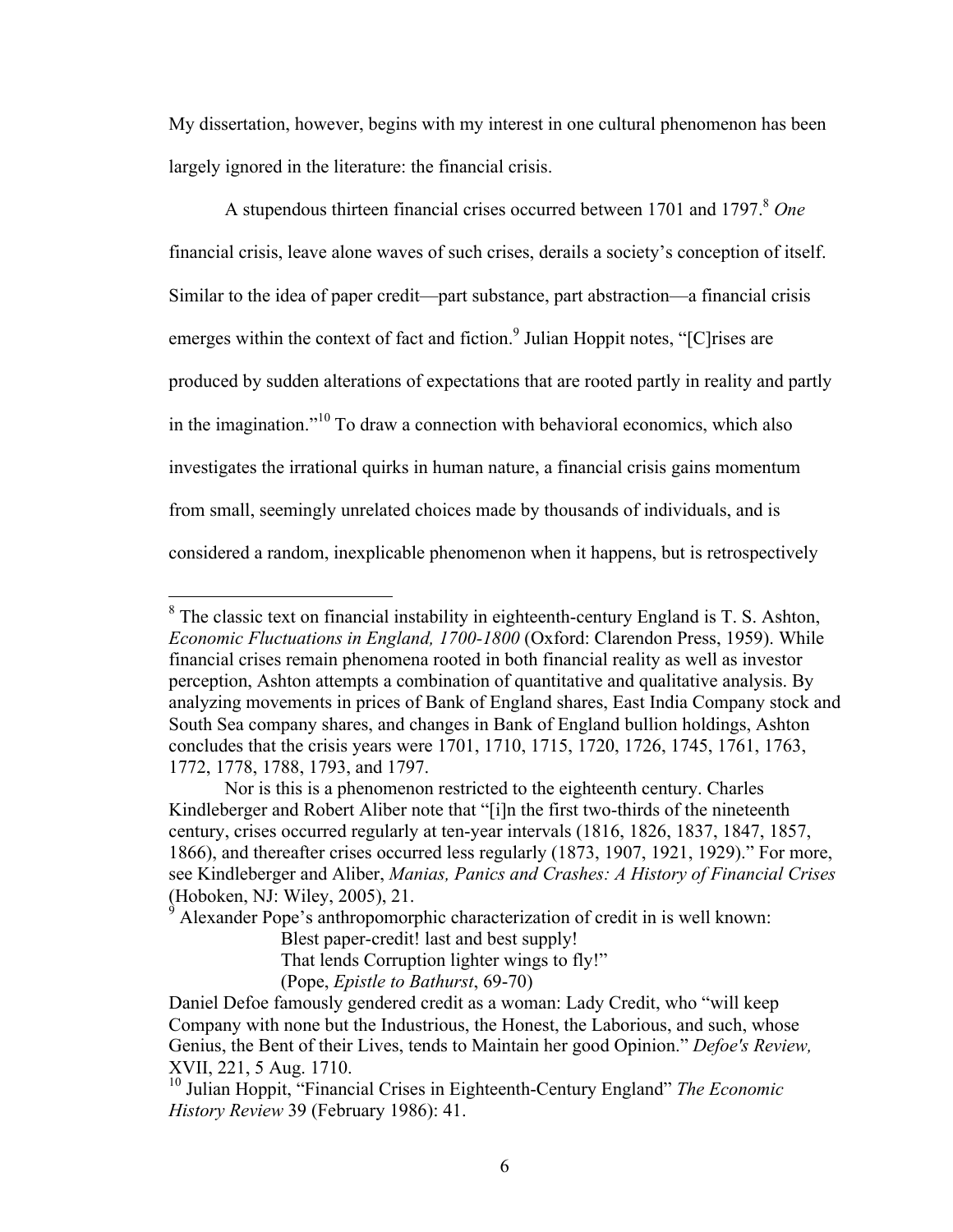My dissertation, however, begins with my interest in one cultural phenomenon has been largely ignored in the literature: the financial crisis.

A stupendous thirteen financial crises occurred between 1701 and 1797. <sup>8</sup> *One* financial crisis, leave alone waves of such crises, derails a society's conception of itself. Similar to the idea of paper credit—part substance, part abstraction—a financial crisis emerges within the context of fact and fiction.<sup>9</sup> Julian Hoppit notes, "[C]rises are produced by sudden alterations of expectations that are rooted partly in reality and partly in the imagination."<sup>10</sup> To draw a connection with behavioral economics, which also investigates the irrational quirks in human nature, a financial crisis gains momentum from small, seemingly unrelated choices made by thousands of individuals, and is considered a random, inexplicable phenomenon when it happens, but is retrospectively

Alexander Pope's anthropomorphic characterization of credit in is well known:

Blest paper-credit! last and best supply!

That lends Corruption lighter wings to fly!"

(Pope, *Epistle to Bathurst*, 69-70)

<sup>&</sup>lt;sup>8</sup> The classic text on financial instability in eighteenth-century England is T. S. Ashton, *Economic Fluctuations in England, 1700-1800* (Oxford: Clarendon Press, 1959). While financial crises remain phenomena rooted in both financial reality as well as investor perception, Ashton attempts a combination of quantitative and qualitative analysis. By analyzing movements in prices of Bank of England shares, East India Company stock and South Sea company shares, and changes in Bank of England bullion holdings, Ashton concludes that the crisis years were 1701, 1710, 1715, 1720, 1726, 1745, 1761, 1763, 1772, 1778, 1788, 1793, and 1797.

Nor is this is a phenomenon restricted to the eighteenth century. Charles Kindleberger and Robert Aliber note that "[i]n the first two-thirds of the nineteenth century, crises occurred regularly at ten-year intervals (1816, 1826, 1837, 1847, 1857, 1866), and thereafter crises occurred less regularly (1873, 1907, 1921, 1929)." For more, see Kindleberger and Aliber, *Manias, Panics and Crashes: A History of Financial Crises* (Hoboken, NJ: Wiley, 2005), 21.

Daniel Defoe famously gendered credit as a woman: Lady Credit, who "will keep Company with none but the Industrious, the Honest, the Laborious, and such, whose Genius, the Bent of their Lives, tends to Maintain her good Opinion." *Defoe's Review,*  XVII, 221, 5 Aug. 1710.<br><sup>10</sup> Julian Hoppit, "Financial Crises in Eighteenth-Century England" *The Economic* 

*History Review* 39 (February 1986): 41.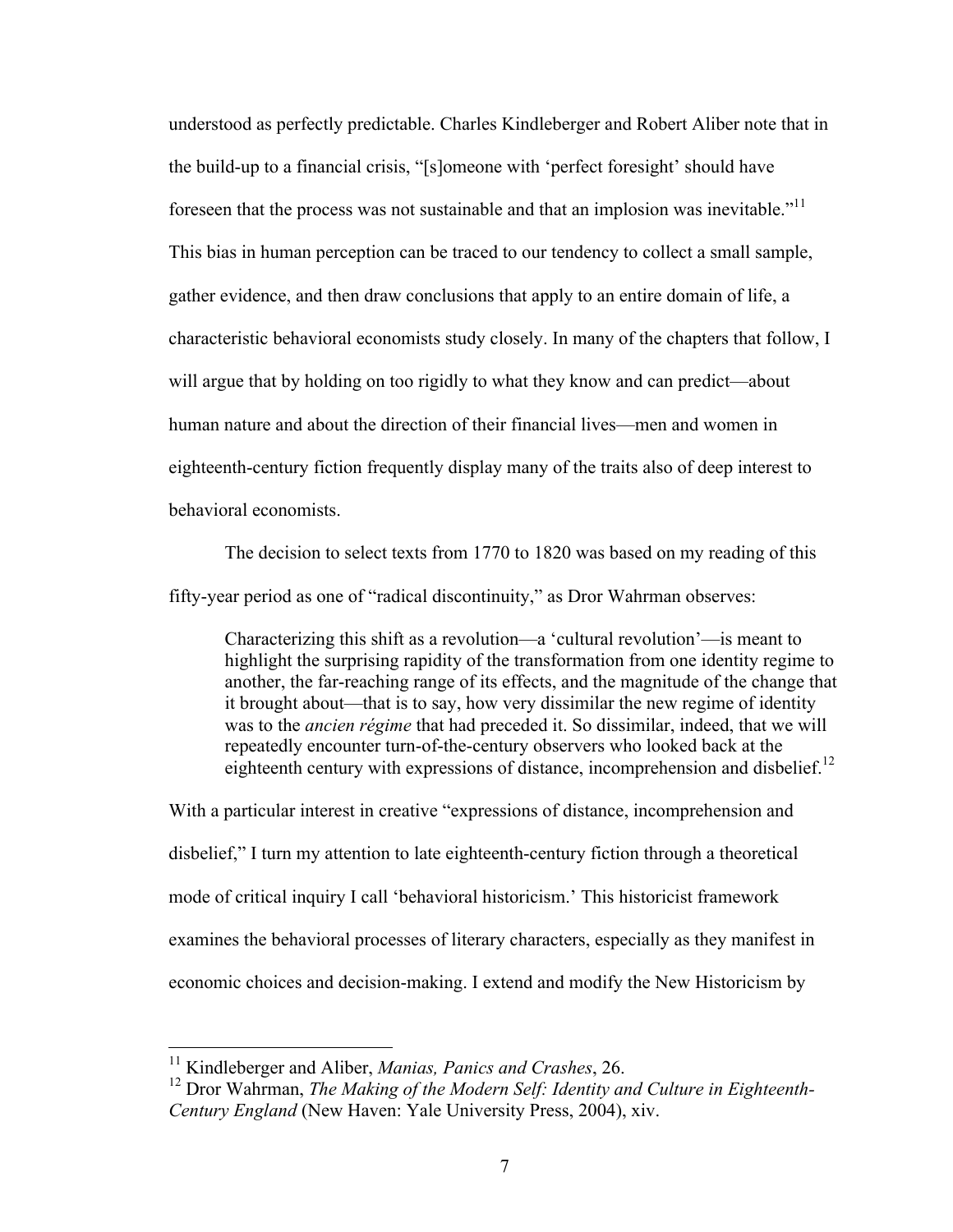understood as perfectly predictable. Charles Kindleberger and Robert Aliber note that in the build-up to a financial crisis, "[s]omeone with 'perfect foresight' should have foreseen that the process was not sustainable and that an implosion was inevitable.<sup>"11</sup> This bias in human perception can be traced to our tendency to collect a small sample, gather evidence, and then draw conclusions that apply to an entire domain of life, a characteristic behavioral economists study closely. In many of the chapters that follow, I will argue that by holding on too rigidly to what they know and can predict—about human nature and about the direction of their financial lives—men and women in eighteenth-century fiction frequently display many of the traits also of deep interest to behavioral economists.

The decision to select texts from 1770 to 1820 was based on my reading of this fifty-year period as one of "radical discontinuity," as Dror Wahrman observes:

Characterizing this shift as a revolution—a 'cultural revolution'—is meant to highlight the surprising rapidity of the transformation from one identity regime to another, the far-reaching range of its effects, and the magnitude of the change that it brought about—that is to say, how very dissimilar the new regime of identity was to the *ancien régime* that had preceded it. So dissimilar, indeed, that we will repeatedly encounter turn-of-the-century observers who looked back at the eighteenth century with expressions of distance, incomprehension and disbelief.<sup>12</sup>

With a particular interest in creative "expressions of distance, incomprehension and disbelief," I turn my attention to late eighteenth-century fiction through a theoretical mode of critical inquiry I call 'behavioral historicism.' This historicist framework examines the behavioral processes of literary characters, especially as they manifest in economic choices and decision-making. I extend and modify the New Historicism by

 <sup>11</sup> Kindleberger and Aliber, *Manias, Panics and Crashes*, 26.

<sup>&</sup>lt;sup>12</sup> Dror Wahrman, *The Making of the Modern Self: Identity and Culture in Eighteenth-Century England* (New Haven: Yale University Press, 2004), xiv.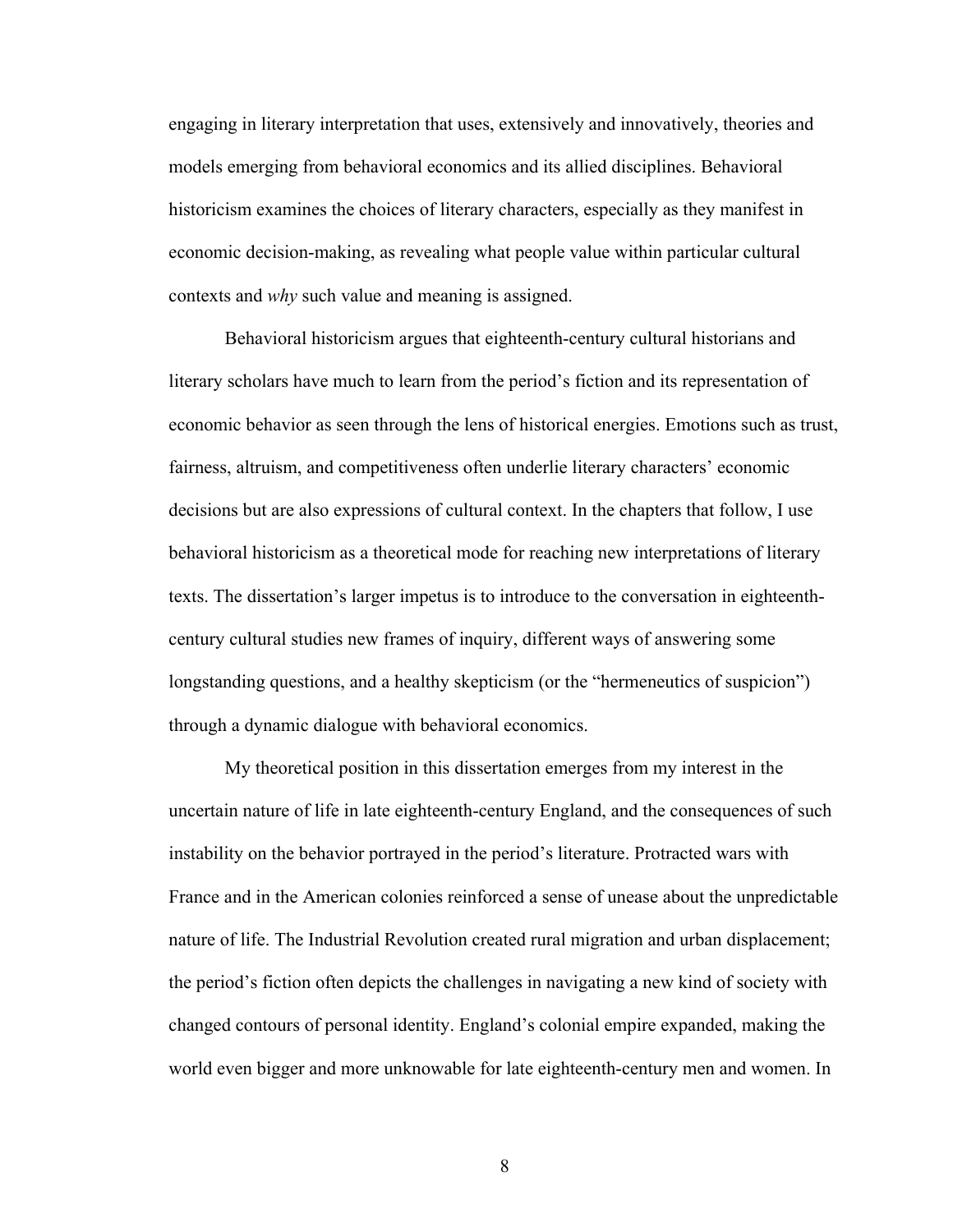engaging in literary interpretation that uses, extensively and innovatively, theories and models emerging from behavioral economics and its allied disciplines. Behavioral historicism examines the choices of literary characters, especially as they manifest in economic decision-making, as revealing what people value within particular cultural contexts and *why* such value and meaning is assigned.

Behavioral historicism argues that eighteenth-century cultural historians and literary scholars have much to learn from the period's fiction and its representation of economic behavior as seen through the lens of historical energies. Emotions such as trust, fairness, altruism, and competitiveness often underlie literary characters' economic decisions but are also expressions of cultural context. In the chapters that follow, I use behavioral historicism as a theoretical mode for reaching new interpretations of literary texts. The dissertation's larger impetus is to introduce to the conversation in eighteenthcentury cultural studies new frames of inquiry, different ways of answering some longstanding questions, and a healthy skepticism (or the "hermeneutics of suspicion") through a dynamic dialogue with behavioral economics.

My theoretical position in this dissertation emerges from my interest in the uncertain nature of life in late eighteenth-century England, and the consequences of such instability on the behavior portrayed in the period's literature. Protracted wars with France and in the American colonies reinforced a sense of unease about the unpredictable nature of life. The Industrial Revolution created rural migration and urban displacement; the period's fiction often depicts the challenges in navigating a new kind of society with changed contours of personal identity. England's colonial empire expanded, making the world even bigger and more unknowable for late eighteenth-century men and women. In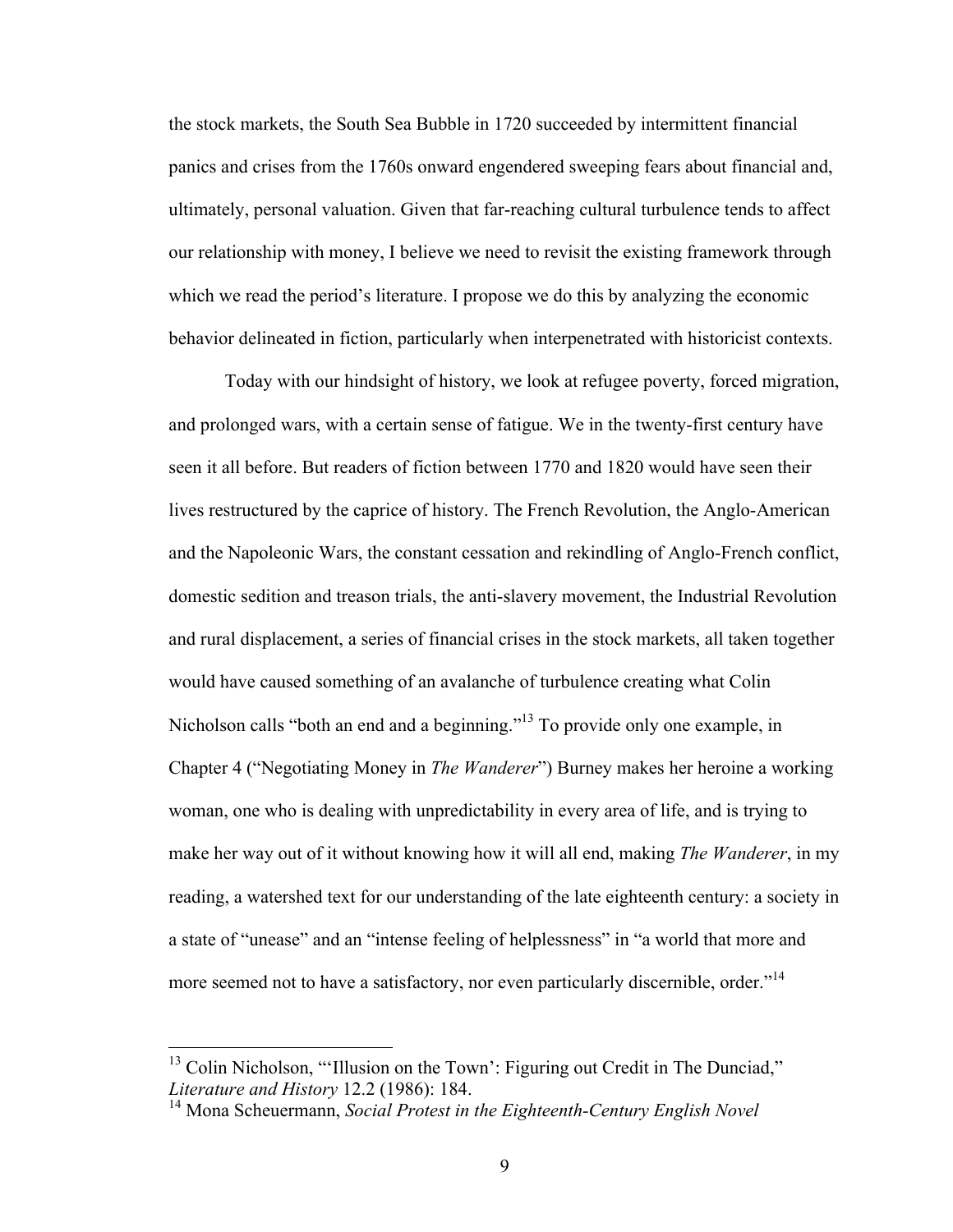the stock markets, the South Sea Bubble in 1720 succeeded by intermittent financial panics and crises from the 1760s onward engendered sweeping fears about financial and, ultimately, personal valuation. Given that far-reaching cultural turbulence tends to affect our relationship with money, I believe we need to revisit the existing framework through which we read the period's literature. I propose we do this by analyzing the economic behavior delineated in fiction, particularly when interpenetrated with historicist contexts.

Today with our hindsight of history, we look at refugee poverty, forced migration, and prolonged wars, with a certain sense of fatigue. We in the twenty-first century have seen it all before. But readers of fiction between 1770 and 1820 would have seen their lives restructured by the caprice of history. The French Revolution, the Anglo-American and the Napoleonic Wars, the constant cessation and rekindling of Anglo-French conflict, domestic sedition and treason trials, the anti-slavery movement, the Industrial Revolution and rural displacement, a series of financial crises in the stock markets, all taken together would have caused something of an avalanche of turbulence creating what Colin Nicholson calls "both an end and a beginning."<sup>13</sup> To provide only one example, in Chapter 4 ("Negotiating Money in *The Wanderer*") Burney makes her heroine a working woman, one who is dealing with unpredictability in every area of life, and is trying to make her way out of it without knowing how it will all end, making *The Wanderer*, in my reading, a watershed text for our understanding of the late eighteenth century: a society in a state of "unease" and an "intense feeling of helplessness" in "a world that more and more seemed not to have a satisfactory, nor even particularly discernible, order."<sup>14</sup>

 $13$  Colin Nicholson, "'Illusion on the Town': Figuring out Credit in The Dunciad," *Literature and History 12.2 (1986): 184.* 1998). 184. 14 Mona Scheuermann, *Social Protest in the Eighteenth-Century English Novel*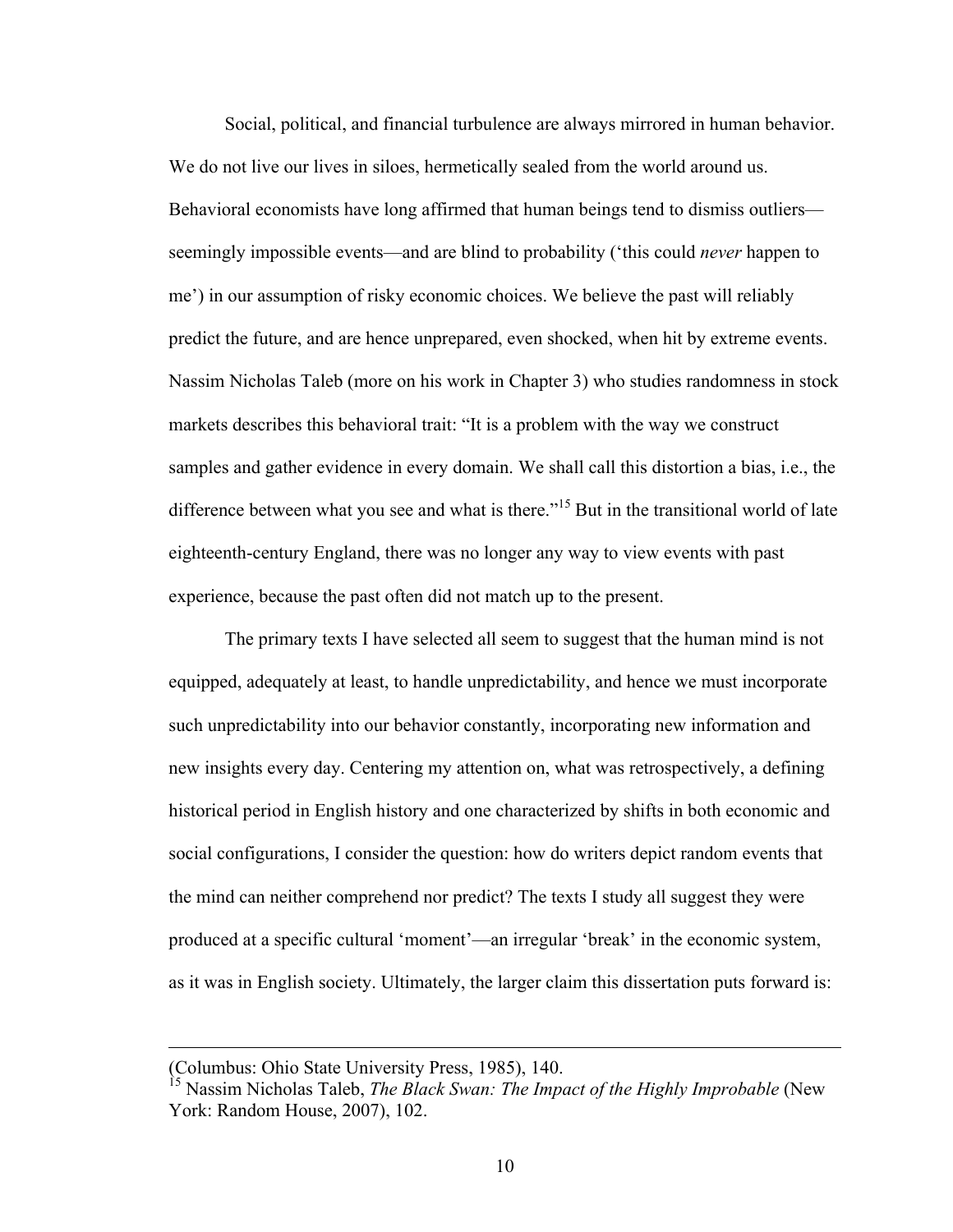Social, political, and financial turbulence are always mirrored in human behavior. We do not live our lives in siloes, hermetically sealed from the world around us. Behavioral economists have long affirmed that human beings tend to dismiss outliers seemingly impossible events—and are blind to probability ('this could *never* happen to me') in our assumption of risky economic choices. We believe the past will reliably predict the future, and are hence unprepared, even shocked, when hit by extreme events. Nassim Nicholas Taleb (more on his work in Chapter 3) who studies randomness in stock markets describes this behavioral trait: "It is a problem with the way we construct samples and gather evidence in every domain. We shall call this distortion a bias, i.e., the difference between what you see and what is there."<sup>15</sup> But in the transitional world of late eighteenth-century England, there was no longer any way to view events with past experience, because the past often did not match up to the present.

The primary texts I have selected all seem to suggest that the human mind is not equipped, adequately at least, to handle unpredictability, and hence we must incorporate such unpredictability into our behavior constantly, incorporating new information and new insights every day. Centering my attention on, what was retrospectively, a defining historical period in English history and one characterized by shifts in both economic and social configurations, I consider the question: how do writers depict random events that the mind can neither comprehend nor predict? The texts I study all suggest they were produced at a specific cultural 'moment'—an irregular 'break' in the economic system, as it was in English society. Ultimately, the larger claim this dissertation puts forward is:

 $\overline{a}$ 

<sup>(</sup>Columbus: Ohio State University Press, 1985), 140.

<sup>15</sup> Nassim Nicholas Taleb, *The Black Swan: The Impact of the Highly Improbable* (New York: Random House, 2007), 102.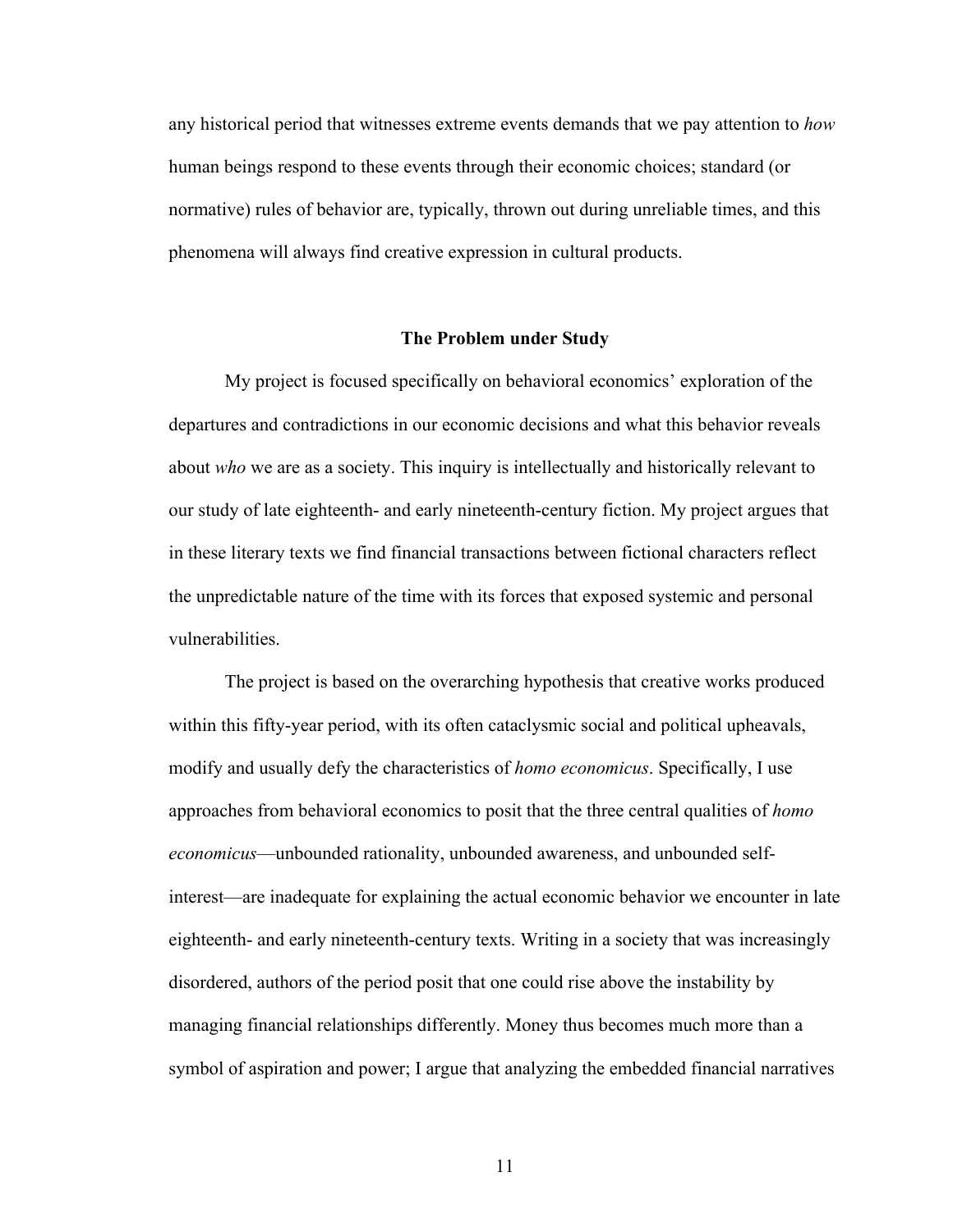any historical period that witnesses extreme events demands that we pay attention to *how* human beings respond to these events through their economic choices; standard (or normative) rules of behavior are, typically, thrown out during unreliable times, and this phenomena will always find creative expression in cultural products.

#### **The Problem under Study**

My project is focused specifically on behavioral economics' exploration of the departures and contradictions in our economic decisions and what this behavior reveals about *who* we are as a society. This inquiry is intellectually and historically relevant to our study of late eighteenth- and early nineteenth-century fiction. My project argues that in these literary texts we find financial transactions between fictional characters reflect the unpredictable nature of the time with its forces that exposed systemic and personal vulnerabilities.

The project is based on the overarching hypothesis that creative works produced within this fifty-year period, with its often cataclysmic social and political upheavals, modify and usually defy the characteristics of *homo economicus*. Specifically, I use approaches from behavioral economics to posit that the three central qualities of *homo economicus*—unbounded rationality, unbounded awareness, and unbounded selfinterest—are inadequate for explaining the actual economic behavior we encounter in late eighteenth- and early nineteenth-century texts. Writing in a society that was increasingly disordered, authors of the period posit that one could rise above the instability by managing financial relationships differently. Money thus becomes much more than a symbol of aspiration and power; I argue that analyzing the embedded financial narratives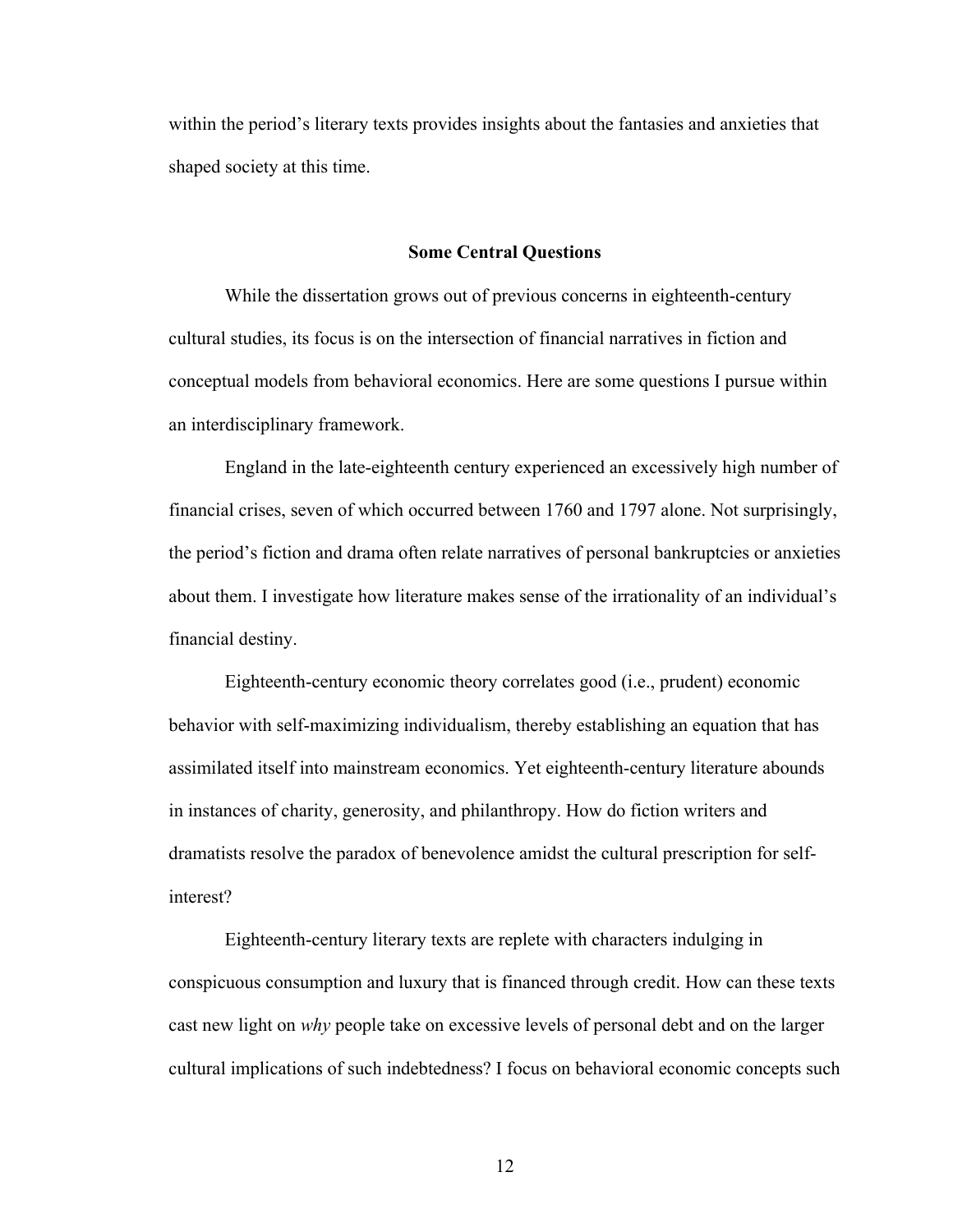within the period's literary texts provides insights about the fantasies and anxieties that shaped society at this time.

#### **Some Central Questions**

While the dissertation grows out of previous concerns in eighteenth-century cultural studies, its focus is on the intersection of financial narratives in fiction and conceptual models from behavioral economics. Here are some questions I pursue within an interdisciplinary framework.

England in the late-eighteenth century experienced an excessively high number of financial crises, seven of which occurred between 1760 and 1797 alone. Not surprisingly, the period's fiction and drama often relate narratives of personal bankruptcies or anxieties about them. I investigate how literature makes sense of the irrationality of an individual's financial destiny.

Eighteenth-century economic theory correlates good (i.e., prudent) economic behavior with self-maximizing individualism, thereby establishing an equation that has assimilated itself into mainstream economics. Yet eighteenth-century literature abounds in instances of charity, generosity, and philanthropy. How do fiction writers and dramatists resolve the paradox of benevolence amidst the cultural prescription for selfinterest?

Eighteenth-century literary texts are replete with characters indulging in conspicuous consumption and luxury that is financed through credit. How can these texts cast new light on *why* people take on excessive levels of personal debt and on the larger cultural implications of such indebtedness? I focus on behavioral economic concepts such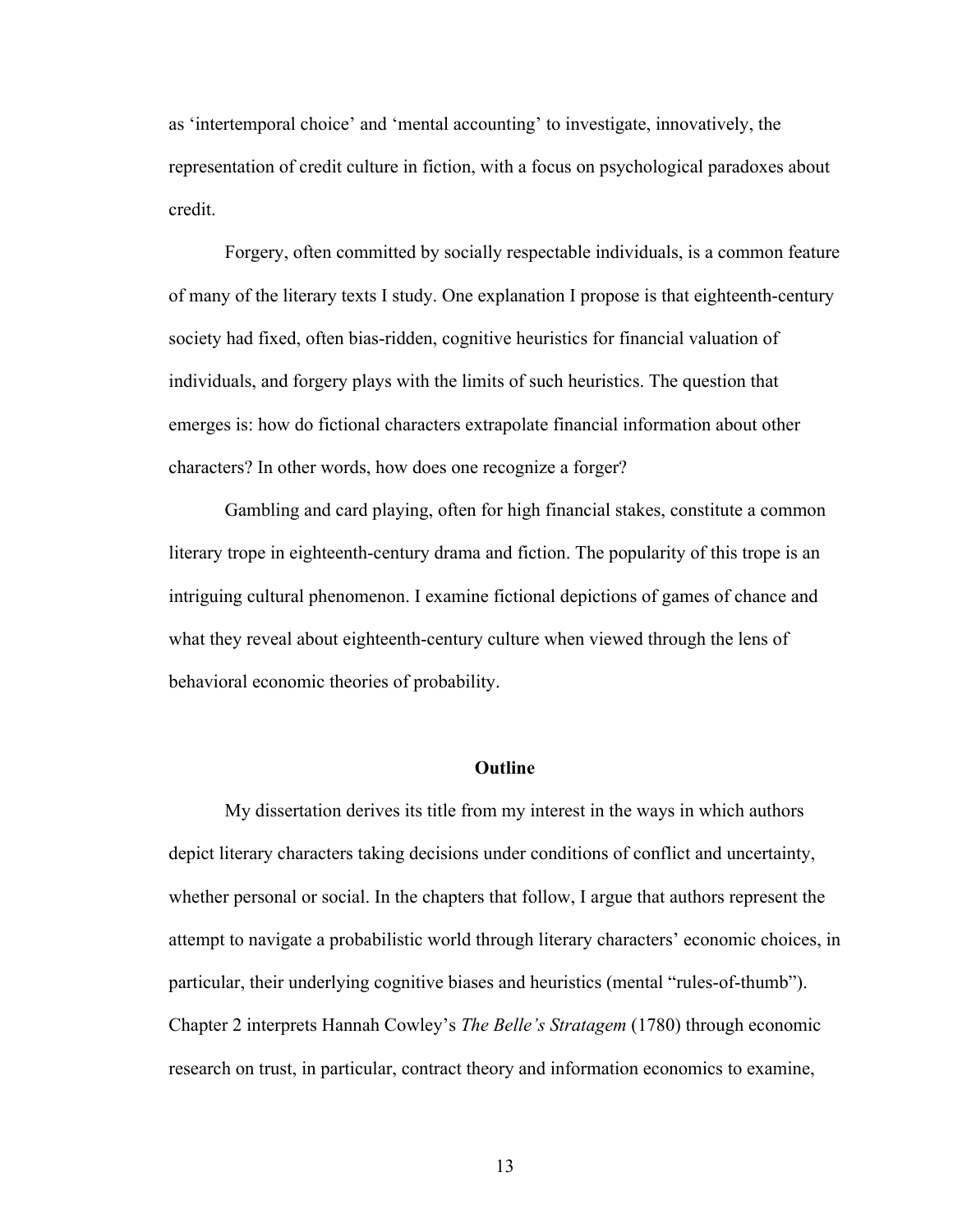as 'intertemporal choice' and 'mental accounting' to investigate, innovatively, the representation of credit culture in fiction, with a focus on psychological paradoxes about credit.

Forgery, often committed by socially respectable individuals, is a common feature of many of the literary texts I study. One explanation I propose is that eighteenth-century society had fixed, often bias-ridden, cognitive heuristics for financial valuation of individuals, and forgery plays with the limits of such heuristics. The question that emerges is: how do fictional characters extrapolate financial information about other characters? In other words, how does one recognize a forger?

Gambling and card playing, often for high financial stakes, constitute a common literary trope in eighteenth-century drama and fiction. The popularity of this trope is an intriguing cultural phenomenon. I examine fictional depictions of games of chance and what they reveal about eighteenth-century culture when viewed through the lens of behavioral economic theories of probability.

## **Outline**

My dissertation derives its title from my interest in the ways in which authors depict literary characters taking decisions under conditions of conflict and uncertainty, whether personal or social. In the chapters that follow, I argue that authors represent the attempt to navigate a probabilistic world through literary characters' economic choices, in particular, their underlying cognitive biases and heuristics (mental "rules-of-thumb"). Chapter 2 interprets Hannah Cowley's *The Belle's Stratagem* (1780) through economic research on trust, in particular, contract theory and information economics to examine,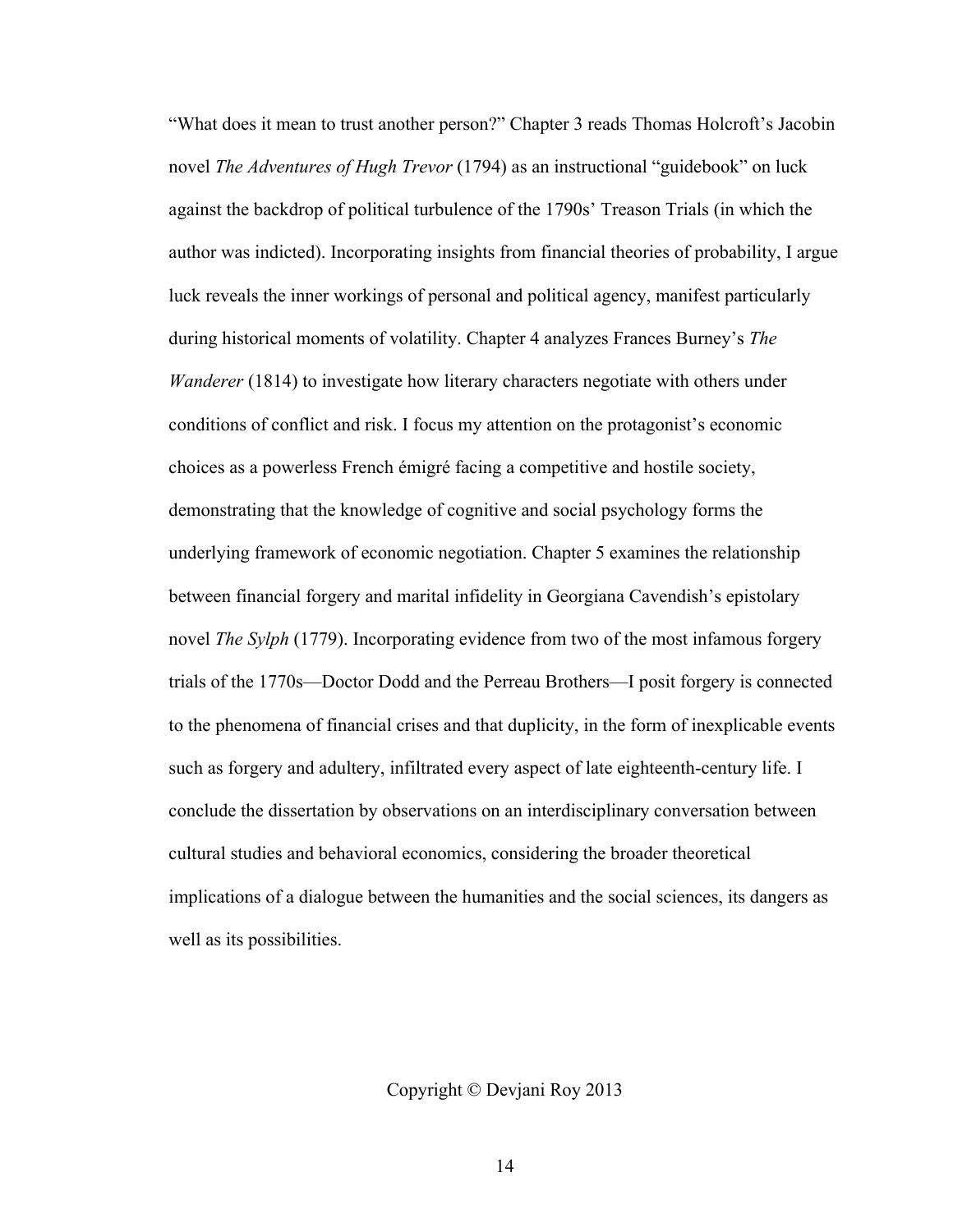"What does it mean to trust another person?" Chapter 3 reads Thomas Holcroft's Jacobin novel *The Adventures of Hugh Trevor* (1794) as an instructional "guidebook" on luck against the backdrop of political turbulence of the 1790s' Treason Trials (in which the author was indicted). Incorporating insights from financial theories of probability, I argue luck reveals the inner workings of personal and political agency, manifest particularly during historical moments of volatility. Chapter 4 analyzes Frances Burney's *The Wanderer* (1814) to investigate how literary characters negotiate with others under conditions of conflict and risk. I focus my attention on the protagonist's economic choices as a powerless French émigré facing a competitive and hostile society, demonstrating that the knowledge of cognitive and social psychology forms the underlying framework of economic negotiation. Chapter 5 examines the relationship between financial forgery and marital infidelity in Georgiana Cavendish's epistolary novel *The Sylph* (1779). Incorporating evidence from two of the most infamous forgery trials of the 1770s—Doctor Dodd and the Perreau Brothers—I posit forgery is connected to the phenomena of financial crises and that duplicity, in the form of inexplicable events such as forgery and adultery, infiltrated every aspect of late eighteenth-century life. I conclude the dissertation by observations on an interdisciplinary conversation between cultural studies and behavioral economics, considering the broader theoretical implications of a dialogue between the humanities and the social sciences, its dangers as well as its possibilities.

Copyright © Devjani Roy 2013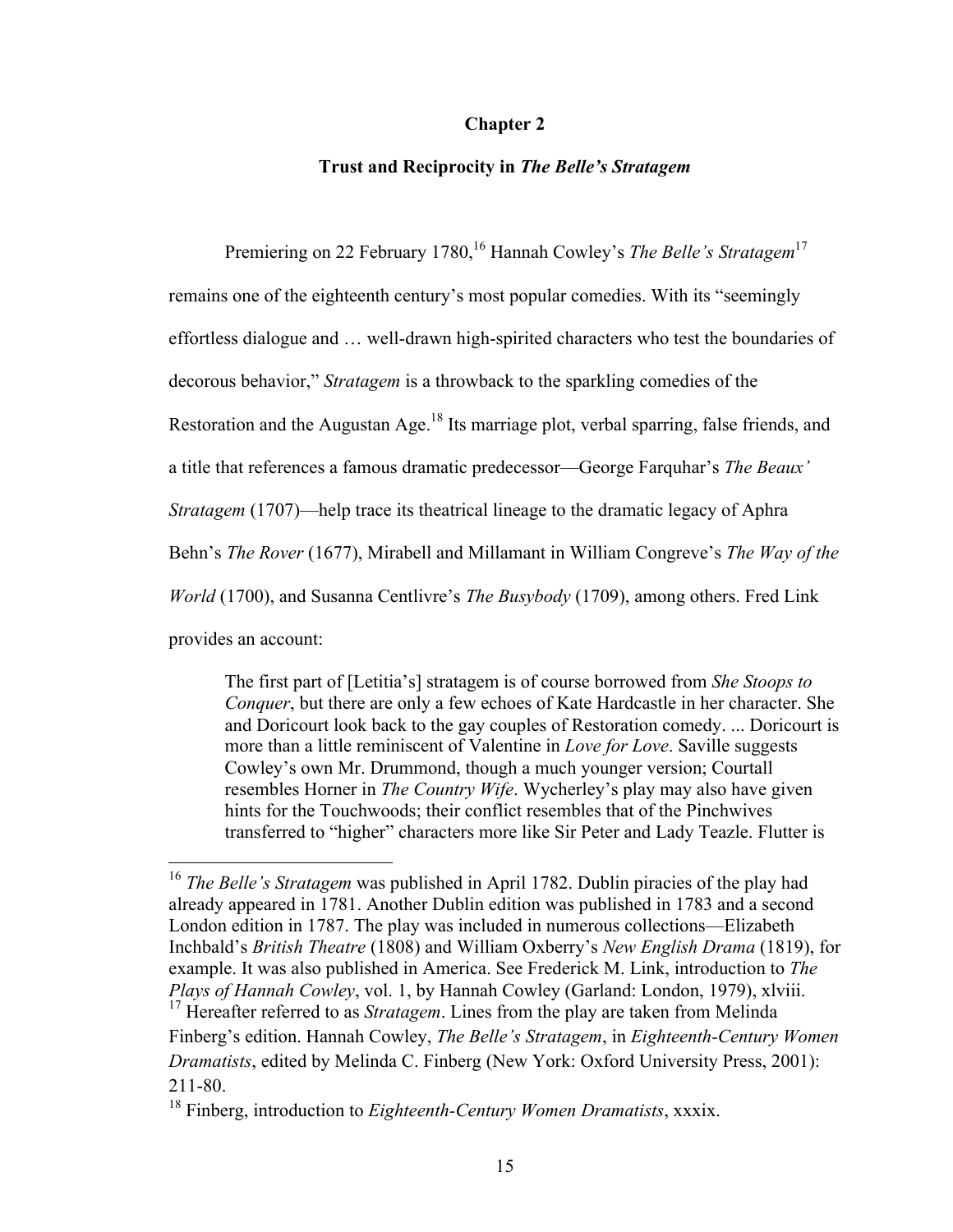#### **Chapter 2**

## **Trust and Reciprocity in** *The Belle's Stratagem*

Premiering on 22 February 1780,<sup>16</sup> Hannah Cowley's *The Belle's Stratagem*<sup>17</sup>

remains one of the eighteenth century's most popular comedies. With its "seemingly

effortless dialogue and … well-drawn high-spirited characters who test the boundaries of

decorous behavior," *Stratagem* is a throwback to the sparkling comedies of the

Restoration and the Augustan Age.<sup>18</sup> Its marriage plot, verbal sparring, false friends, and

a title that references a famous dramatic predecessor—George Farquhar's *The Beaux'* 

*Stratagem* (1707)—help trace its theatrical lineage to the dramatic legacy of Aphra

Behn's *The Rover* (1677), Mirabell and Millamant in William Congreve's *The Way of the* 

*World* (1700), and Susanna Centlivre's *The Busybody* (1709), among others. Fred Link

provides an account:

The first part of [Letitia's] stratagem is of course borrowed from *She Stoops to Conquer*, but there are only a few echoes of Kate Hardcastle in her character. She and Doricourt look back to the gay couples of Restoration comedy. ... Doricourt is more than a little reminiscent of Valentine in *Love for Love*. Saville suggests Cowley's own Mr. Drummond, though a much younger version; Courtall resembles Horner in *The Country Wife*. Wycherley's play may also have given hints for the Touchwoods; their conflict resembles that of the Pinchwives transferred to "higher" characters more like Sir Peter and Lady Teazle. Flutter is

<sup>&</sup>lt;sup>16</sup> *The Belle's Stratagem* was published in April 1782. Dublin piracies of the play had already appeared in 1781. Another Dublin edition was published in 1783 and a second London edition in 1787. The play was included in numerous collections—Elizabeth Inchbald's *British Theatre* (1808) and William Oxberry's *New English Drama* (1819), for example. It was also published in America. See Frederick M. Link, introduction to *The Plays of Hannah Cowley*, vol. 1, by Hannah Cowley (Garland: London, 1979), xlviii. <sup>17</sup> Hereafter referred to as *Stratagem*. Lines from the play are taken from Melinda Finberg's edition. Hannah Cowley, *The Belle's Stratagem*, in *Eighteenth-Century Women Dramatists*, edited by Melinda C. Finberg (New York: Oxford University Press, 2001):

<sup>211-80.</sup>

<sup>18</sup> Finberg, introduction to *Eighteenth-Century Women Dramatists*, xxxix.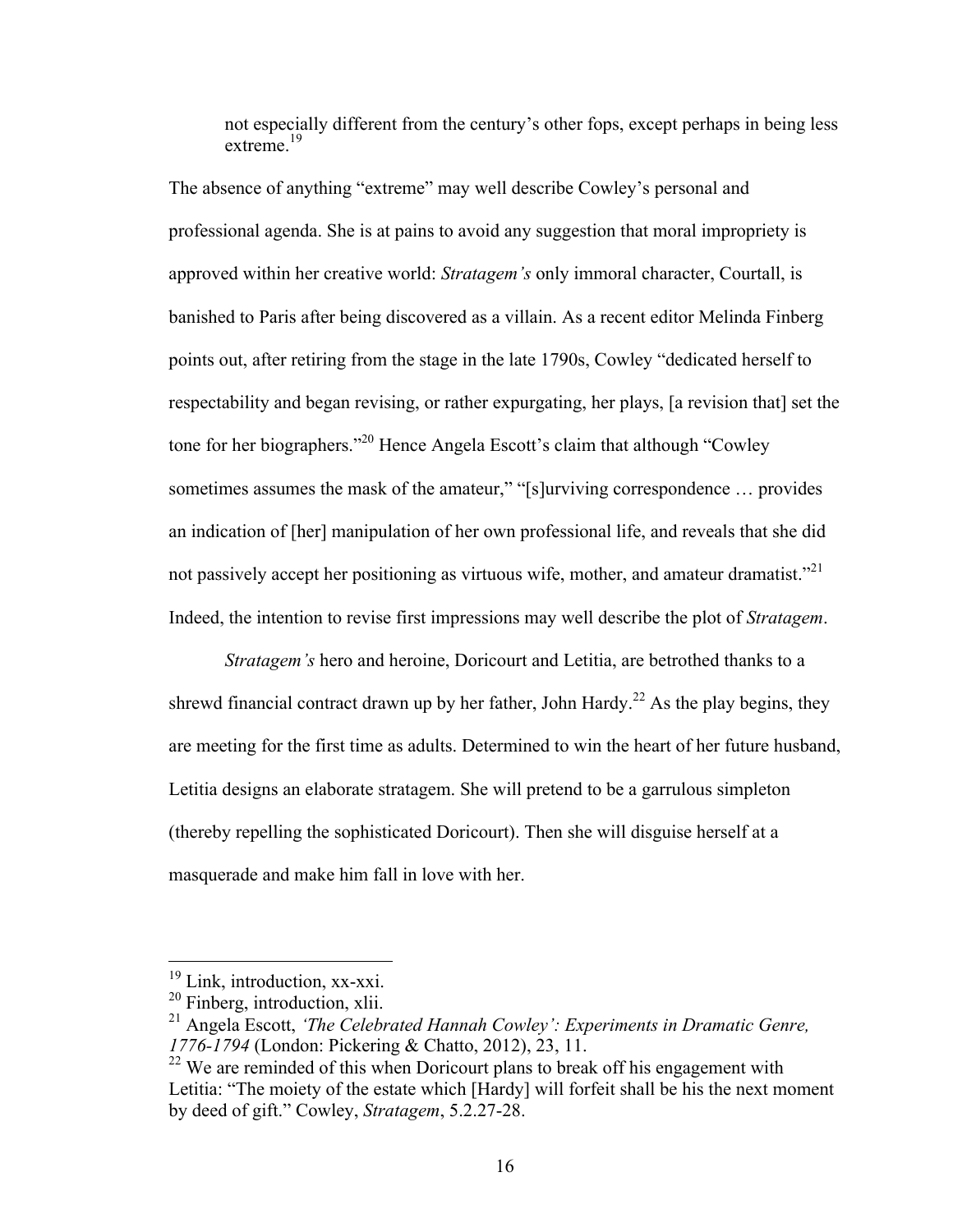not especially different from the century's other fops, except perhaps in being less extreme.<sup>19</sup>

The absence of anything "extreme" may well describe Cowley's personal and professional agenda. She is at pains to avoid any suggestion that moral impropriety is approved within her creative world: *Stratagem's* only immoral character, Courtall, is banished to Paris after being discovered as a villain. As a recent editor Melinda Finberg points out, after retiring from the stage in the late 1790s, Cowley "dedicated herself to respectability and began revising, or rather expurgating, her plays, [a revision that] set the tone for her biographers."20 Hence Angela Escott's claim that although "Cowley sometimes assumes the mask of the amateur," "[s]urviving correspondence ... provides an indication of [her] manipulation of her own professional life, and reveals that she did not passively accept her positioning as virtuous wife, mother, and amateur dramatist.<sup> $21$ </sup> Indeed, the intention to revise first impressions may well describe the plot of *Stratagem*.

*Stratagem's* hero and heroine, Doricourt and Letitia, are betrothed thanks to a shrewd financial contract drawn up by her father, John Hardy.<sup>22</sup> As the play begins, they are meeting for the first time as adults. Determined to win the heart of her future husband, Letitia designs an elaborate stratagem. She will pretend to be a garrulous simpleton (thereby repelling the sophisticated Doricourt). Then she will disguise herself at a masquerade and make him fall in love with her.

<sup>&</sup>lt;sup>19</sup> Link, introduction, xx-xxi.

<sup>20</sup> Finberg, introduction, xlii.

<sup>21</sup> Angela Escott, *'The Celebrated Hannah Cowley': Experiments in Dramatic Genre, 1776-1794* (London: Pickering & Chatto, 2012), 23, 11.

 $22$  We are reminded of this when Doricourt plans to break off his engagement with Letitia: "The moiety of the estate which [Hardy] will forfeit shall be his the next moment by deed of gift." Cowley, *Stratagem*, 5.2.27-28.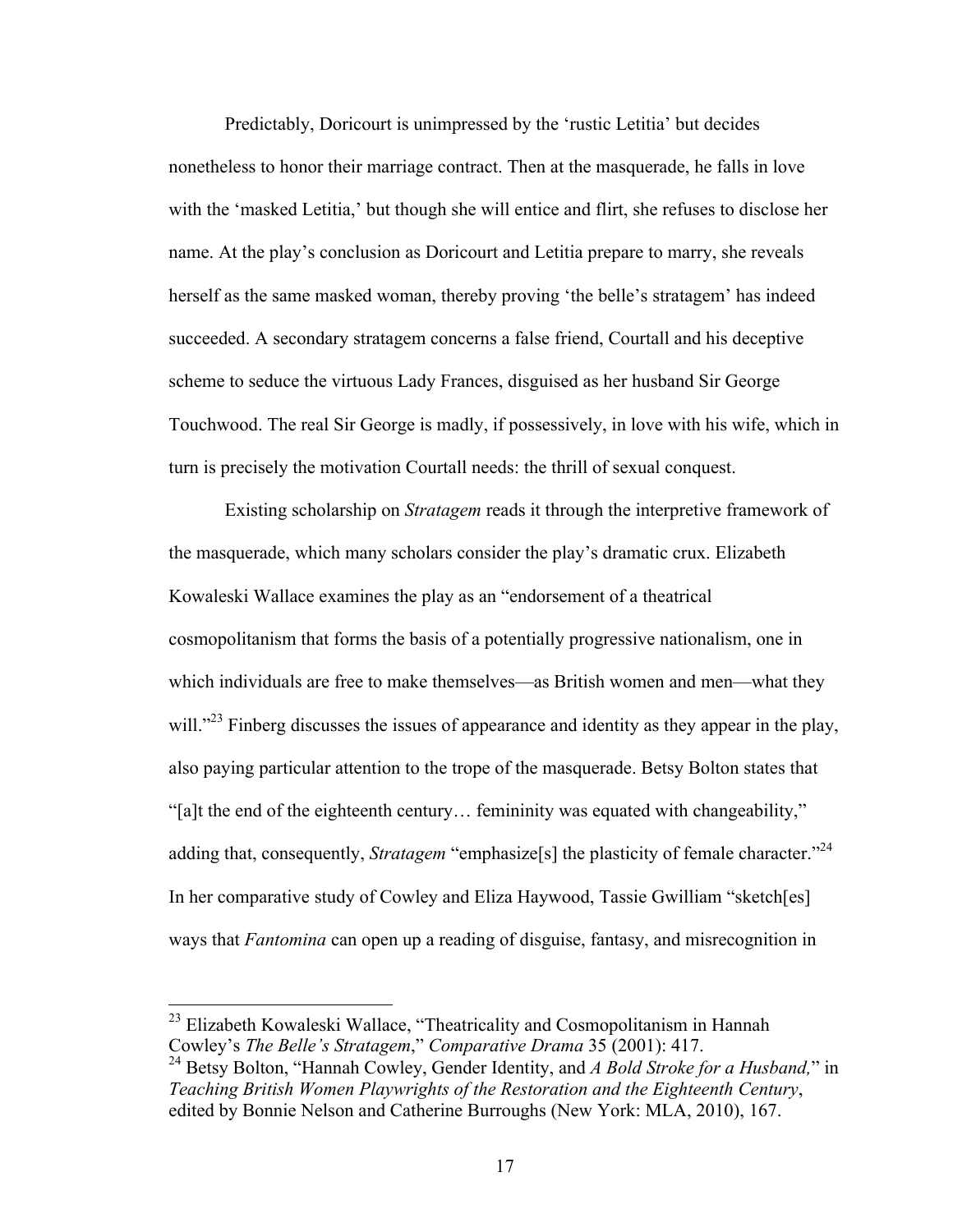Predictably, Doricourt is unimpressed by the 'rustic Letitia' but decides nonetheless to honor their marriage contract. Then at the masquerade, he falls in love with the 'masked Letitia,' but though she will entice and flirt, she refuses to disclose her name. At the play's conclusion as Doricourt and Letitia prepare to marry, she reveals herself as the same masked woman, thereby proving 'the belle's stratagem' has indeed succeeded. A secondary stratagem concerns a false friend, Courtall and his deceptive scheme to seduce the virtuous Lady Frances, disguised as her husband Sir George Touchwood. The real Sir George is madly, if possessively, in love with his wife, which in turn is precisely the motivation Courtall needs: the thrill of sexual conquest.

Existing scholarship on *Stratagem* reads it through the interpretive framework of the masquerade, which many scholars consider the play's dramatic crux. Elizabeth Kowaleski Wallace examines the play as an "endorsement of a theatrical cosmopolitanism that forms the basis of a potentially progressive nationalism, one in which individuals are free to make themselves—as British women and men—what they will."<sup>23</sup> Finberg discusses the issues of appearance and identity as they appear in the play, also paying particular attention to the trope of the masquerade. Betsy Bolton states that "[a]t the end of the eighteenth century… femininity was equated with changeability," adding that, consequently, *Stratagem* "emphasize<sup>[s]</sup> the plasticity of female character."<sup>24</sup> In her comparative study of Cowley and Eliza Haywood, Tassie Gwilliam "sketch[es] ways that *Fantomina* can open up a reading of disguise, fantasy, and misrecognition in

<sup>&</sup>lt;sup>23</sup> Elizabeth Kowaleski Wallace, "Theatricality and Cosmopolitanism in Hannah Cowley's *The Belle's Stratagem*," *Comparative Drama* 35 (2001): 417.

<sup>24</sup> Betsy Bolton, "Hannah Cowley, Gender Identity, and *A Bold Stroke for a Husband,*" in *Teaching British Women Playwrights of the Restoration and the Eighteenth Century*, edited by Bonnie Nelson and Catherine Burroughs (New York: MLA, 2010), 167.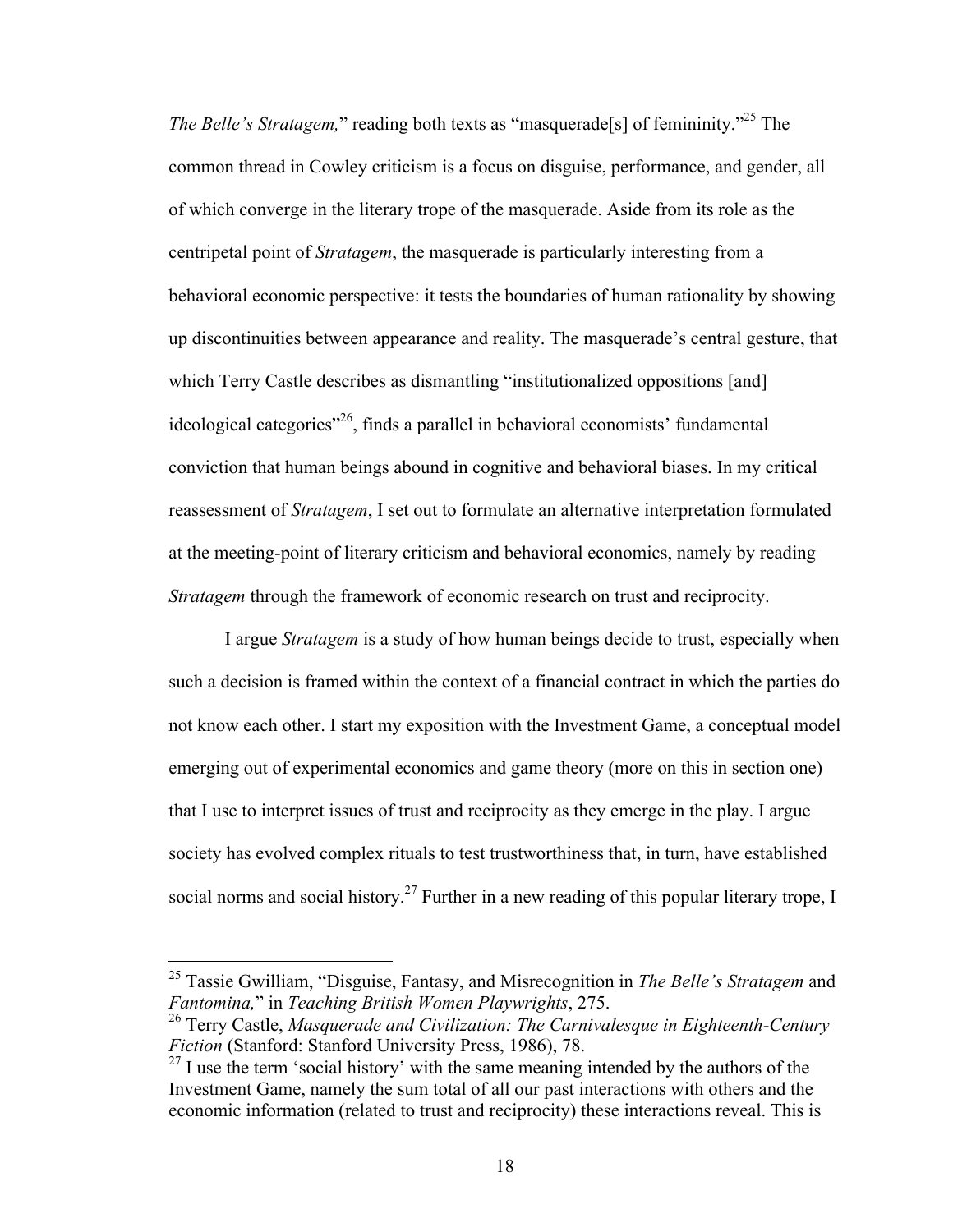*The Belle's Stratagem*," reading both texts as "masquerade<sup>[s]</sup> of femininity."<sup>25</sup> The common thread in Cowley criticism is a focus on disguise, performance, and gender, all of which converge in the literary trope of the masquerade. Aside from its role as the centripetal point of *Stratagem*, the masquerade is particularly interesting from a behavioral economic perspective: it tests the boundaries of human rationality by showing up discontinuities between appearance and reality. The masquerade's central gesture, that which Terry Castle describes as dismantling "institutionalized oppositions [and] ideological categories"26, finds a parallel in behavioral economists' fundamental conviction that human beings abound in cognitive and behavioral biases. In my critical reassessment of *Stratagem*, I set out to formulate an alternative interpretation formulated at the meeting-point of literary criticism and behavioral economics, namely by reading *Stratagem* through the framework of economic research on trust and reciprocity.

I argue *Stratagem* is a study of how human beings decide to trust, especially when such a decision is framed within the context of a financial contract in which the parties do not know each other. I start my exposition with the Investment Game, a conceptual model emerging out of experimental economics and game theory (more on this in section one) that I use to interpret issues of trust and reciprocity as they emerge in the play. I argue society has evolved complex rituals to test trustworthiness that, in turn, have established social norms and social history.<sup>27</sup> Further in a new reading of this popular literary trope, I

 <sup>25</sup> Tassie Gwilliam, "Disguise, Fantasy, and Misrecognition in *The Belle's Stratagem* and *Fantomina,*" in *Teaching British Women Playwrights*, 275.

<sup>26</sup> Terry Castle, *Masquerade and Civilization: The Carnivalesque in Eighteenth-Century Fiction* (Stanford: Stanford University Press, 1986), 78.

 $27$  I use the term 'social history' with the same meaning intended by the authors of the Investment Game, namely the sum total of all our past interactions with others and the economic information (related to trust and reciprocity) these interactions reveal. This is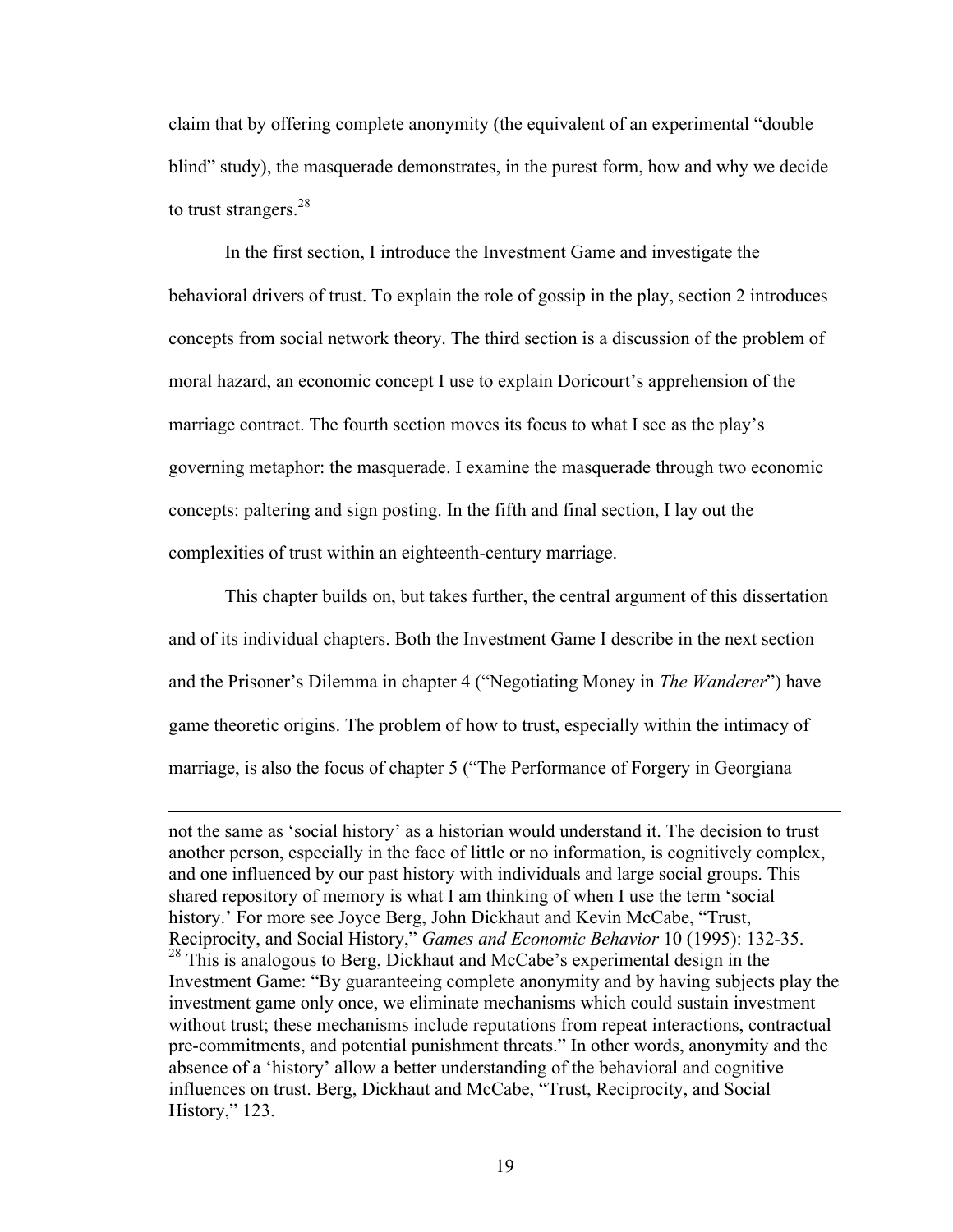claim that by offering complete anonymity (the equivalent of an experimental "double blind" study), the masquerade demonstrates, in the purest form, how and why we decide to trust strangers. $^{28}$ 

In the first section, I introduce the Investment Game and investigate the behavioral drivers of trust. To explain the role of gossip in the play, section 2 introduces concepts from social network theory. The third section is a discussion of the problem of moral hazard, an economic concept I use to explain Doricourt's apprehension of the marriage contract. The fourth section moves its focus to what I see as the play's governing metaphor: the masquerade. I examine the masquerade through two economic concepts: paltering and sign posting. In the fifth and final section, I lay out the complexities of trust within an eighteenth-century marriage.

This chapter builds on, but takes further, the central argument of this dissertation and of its individual chapters. Both the Investment Game I describe in the next section and the Prisoner's Dilemma in chapter 4 ("Negotiating Money in *The Wanderer*") have game theoretic origins. The problem of how to trust, especially within the intimacy of marriage, is also the focus of chapter 5 ("The Performance of Forgery in Georgiana

 $\overline{a}$ 

not the same as 'social history' as a historian would understand it. The decision to trust another person, especially in the face of little or no information, is cognitively complex, and one influenced by our past history with individuals and large social groups. This shared repository of memory is what I am thinking of when I use the term 'social history.' For more see Joyce Berg, John Dickhaut and Kevin McCabe, "Trust, Reciprocity, and Social History," *Games and Economic Behavior* 10 (1995): 132-35. <sup>28</sup> This is analogous to Berg, Dickhaut and McCabe's experimental design in the Investment Game: "By guaranteeing complete anonymity and by having subjects play the investment game only once, we eliminate mechanisms which could sustain investment without trust; these mechanisms include reputations from repeat interactions, contractual pre-commitments, and potential punishment threats." In other words, anonymity and the absence of a 'history' allow a better understanding of the behavioral and cognitive influences on trust. Berg, Dickhaut and McCabe, "Trust, Reciprocity, and Social History," 123.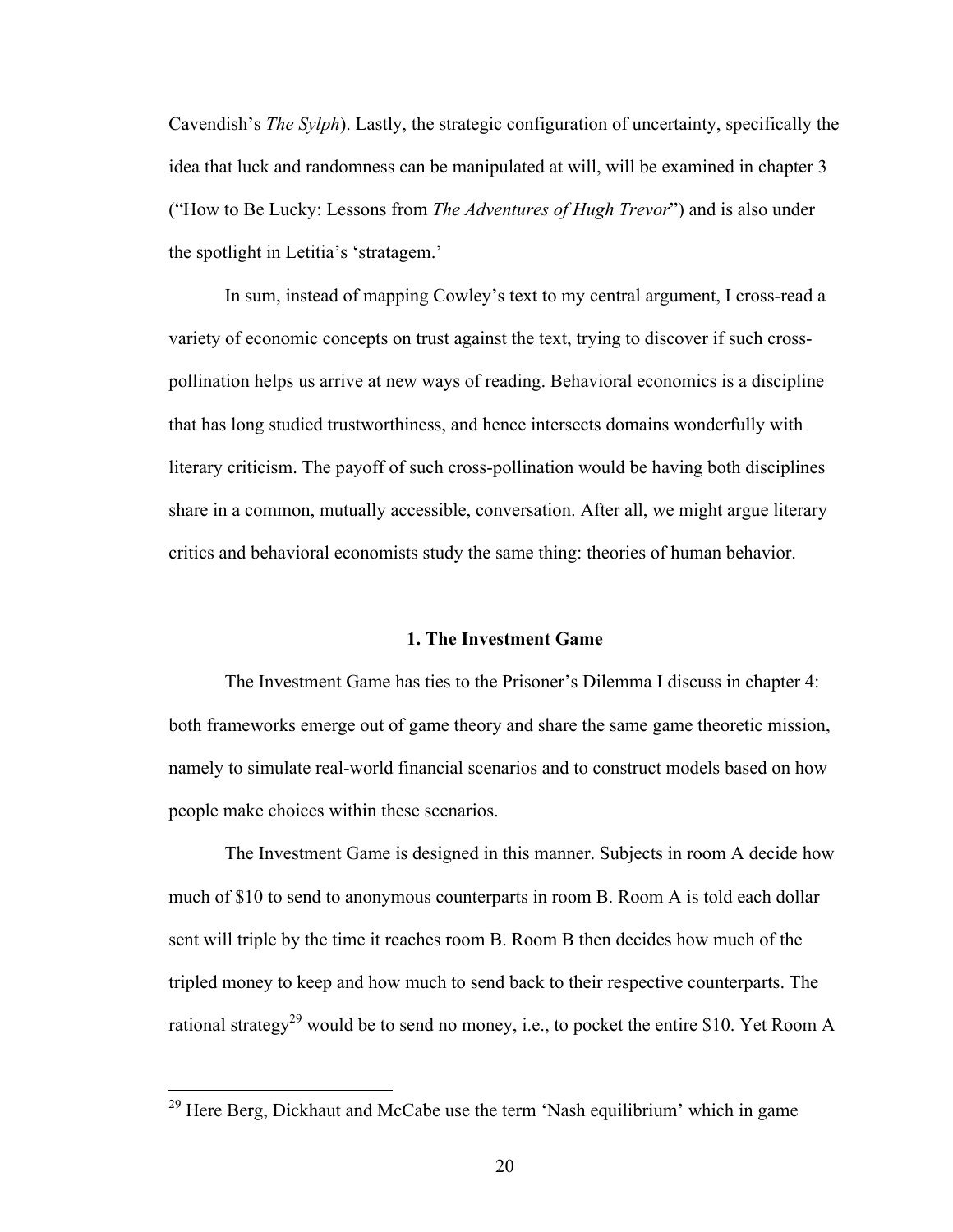Cavendish's *The Sylph*). Lastly, the strategic configuration of uncertainty, specifically the idea that luck and randomness can be manipulated at will, will be examined in chapter 3 ("How to Be Lucky: Lessons from *The Adventures of Hugh Trevor*") and is also under the spotlight in Letitia's 'stratagem.'

In sum, instead of mapping Cowley's text to my central argument, I cross-read a variety of economic concepts on trust against the text, trying to discover if such crosspollination helps us arrive at new ways of reading. Behavioral economics is a discipline that has long studied trustworthiness, and hence intersects domains wonderfully with literary criticism. The payoff of such cross-pollination would be having both disciplines share in a common, mutually accessible, conversation. After all, we might argue literary critics and behavioral economists study the same thing: theories of human behavior.

#### **1. The Investment Game**

The Investment Game has ties to the Prisoner's Dilemma I discuss in chapter 4: both frameworks emerge out of game theory and share the same game theoretic mission, namely to simulate real-world financial scenarios and to construct models based on how people make choices within these scenarios.

The Investment Game is designed in this manner. Subjects in room A decide how much of \$10 to send to anonymous counterparts in room B. Room A is told each dollar sent will triple by the time it reaches room B. Room B then decides how much of the tripled money to keep and how much to send back to their respective counterparts. The rational strategy<sup>29</sup> would be to send no money, i.e., to pocket the entire \$10. Yet Room A

<sup>&</sup>lt;sup>29</sup> Here Berg, Dickhaut and McCabe use the term 'Nash equilibrium' which in game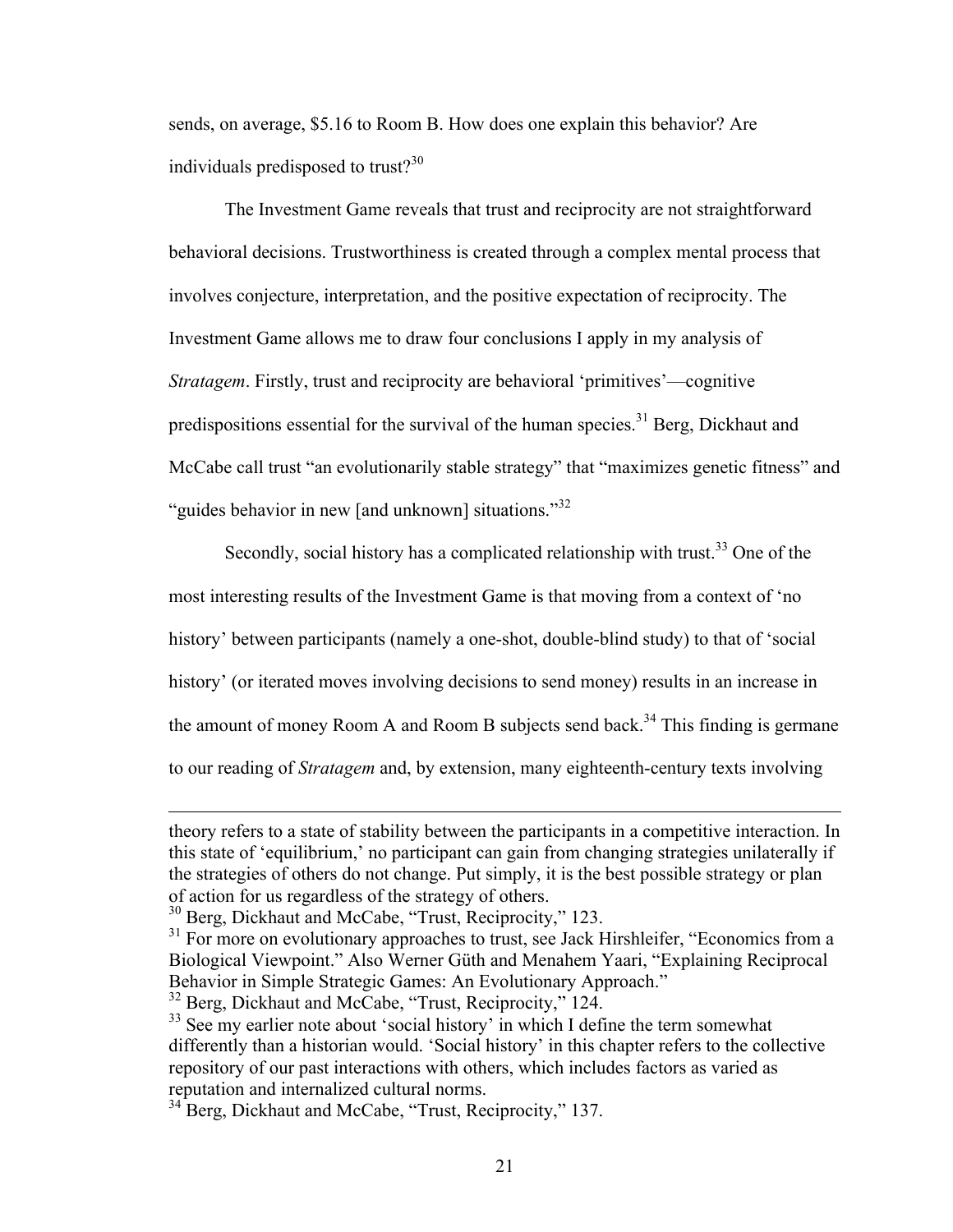sends, on average, \$5.16 to Room B. How does one explain this behavior? Are individuals predisposed to trust? $30$ 

The Investment Game reveals that trust and reciprocity are not straightforward behavioral decisions. Trustworthiness is created through a complex mental process that involves conjecture, interpretation, and the positive expectation of reciprocity. The Investment Game allows me to draw four conclusions I apply in my analysis of *Stratagem*. Firstly, trust and reciprocity are behavioral 'primitives'—cognitive predispositions essential for the survival of the human species.<sup>31</sup> Berg, Dickhaut and McCabe call trust "an evolutionarily stable strategy" that "maximizes genetic fitness" and "guides behavior in new [and unknown] situations."<sup>32</sup>

Secondly, social history has a complicated relationship with trust.<sup>33</sup> One of the most interesting results of the Investment Game is that moving from a context of 'no history' between participants (namely a one-shot, double-blind study) to that of 'social history' (or iterated moves involving decisions to send money) results in an increase in the amount of money Room A and Room B subjects send back.<sup>34</sup> This finding is germane to our reading of *Stratagem* and, by extension, many eighteenth-century texts involving

 $\overline{a}$ 

theory refers to a state of stability between the participants in a competitive interaction. In this state of 'equilibrium,' no participant can gain from changing strategies unilaterally if the strategies of others do not change. Put simply, it is the best possible strategy or plan of action for us regardless of the strategy of others.

<sup>&</sup>lt;sup>30</sup> Berg, Dickhaut and McCabe, "Trust, Reciprocity," 123.

 $31$  For more on evolutionary approaches to trust, see Jack Hirshleifer, "Economics from a Biological Viewpoint." Also Werner Güth and Menahem Yaari, "Explaining Reciprocal Behavior in Simple Strategic Games: An Evolutionary Approach."

<sup>&</sup>lt;sup>32</sup> Berg, Dickhaut and McCabe, "Trust, Reciprocity," 124.

<sup>&</sup>lt;sup>33</sup> See my earlier note about 'social history' in which I define the term somewhat differently than a historian would. 'Social history' in this chapter refers to the collective repository of our past interactions with others, which includes factors as varied as reputation and internalized cultural norms.

<sup>&</sup>lt;sup>34</sup> Berg, Dickhaut and McCabe, "Trust, Reciprocity," 137.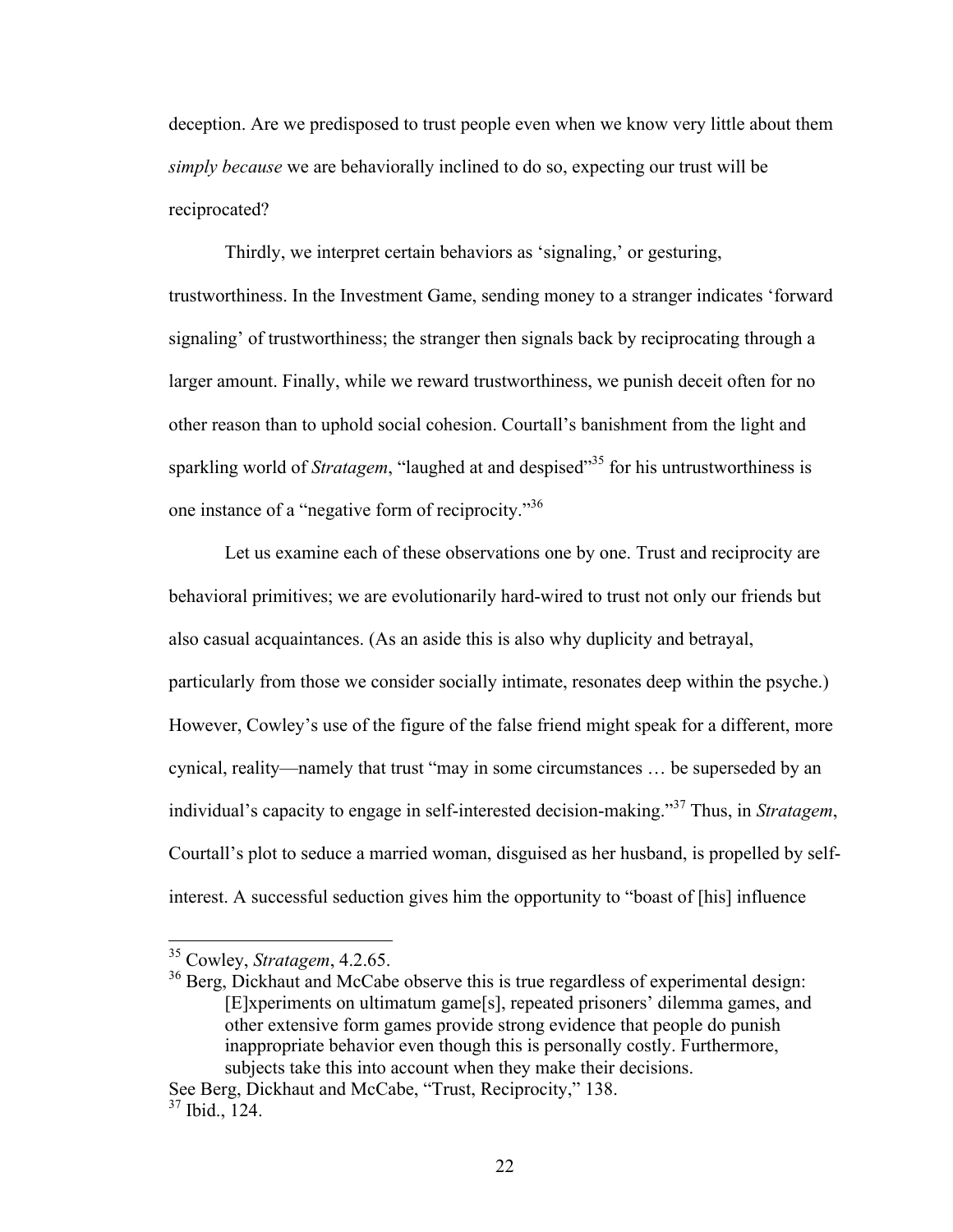deception. Are we predisposed to trust people even when we know very little about them *simply because* we are behaviorally inclined to do so, expecting our trust will be reciprocated?

Thirdly, we interpret certain behaviors as 'signaling,' or gesturing, trustworthiness. In the Investment Game, sending money to a stranger indicates 'forward signaling' of trustworthiness; the stranger then signals back by reciprocating through a larger amount. Finally, while we reward trustworthiness, we punish deceit often for no other reason than to uphold social cohesion. Courtall's banishment from the light and sparkling world of *Stratagem*, "laughed at and despised"<sup>35</sup> for his untrustworthiness is one instance of a "negative form of reciprocity."36

Let us examine each of these observations one by one. Trust and reciprocity are behavioral primitives; we are evolutionarily hard-wired to trust not only our friends but also casual acquaintances. (As an aside this is also why duplicity and betrayal, particularly from those we consider socially intimate, resonates deep within the psyche.) However, Cowley's use of the figure of the false friend might speak for a different, more cynical, reality—namely that trust "may in some circumstances … be superseded by an individual's capacity to engage in self-interested decision-making."<sup>37</sup> Thus, in *Stratagem*, Courtall's plot to seduce a married woman, disguised as her husband, is propelled by selfinterest. A successful seduction gives him the opportunity to "boast of [his] influence

 <sup>35</sup> Cowley, *Stratagem*, 4.2.65.

<sup>&</sup>lt;sup>36</sup> Berg, Dickhaut and McCabe observe this is true regardless of experimental design: [E]xperiments on ultimatum game[s], repeated prisoners' dilemma games, and other extensive form games provide strong evidence that people do punish inappropriate behavior even though this is personally costly. Furthermore, subjects take this into account when they make their decisions.

See Berg, Dickhaut and McCabe, "Trust, Reciprocity," 138. <sup>37</sup> Ibid., 124.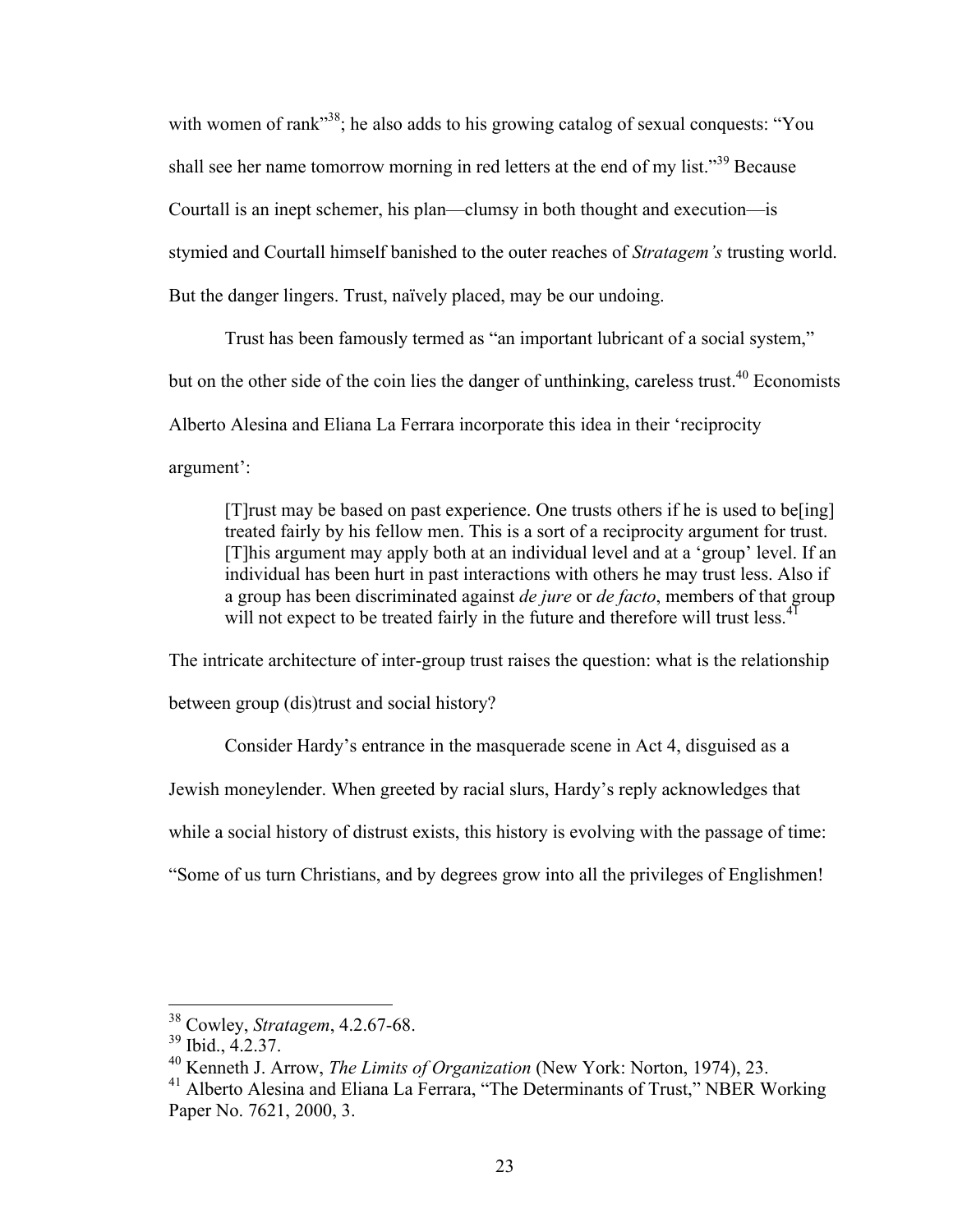with women of rank<sup>38</sup>; he also adds to his growing catalog of sexual conquests: "You shall see her name tomorrow morning in red letters at the end of my list."<sup>39</sup> Because Courtall is an inept schemer, his plan—clumsy in both thought and execution—is stymied and Courtall himself banished to the outer reaches of *Stratagem's* trusting world. But the danger lingers. Trust, naïvely placed, may be our undoing.

Trust has been famously termed as "an important lubricant of a social system," but on the other side of the coin lies the danger of unthinking, careless trust.<sup>40</sup> Economists Alberto Alesina and Eliana La Ferrara incorporate this idea in their 'reciprocity argument':

[T]rust may be based on past experience. One trusts others if he is used to be[ing] treated fairly by his fellow men. This is a sort of a reciprocity argument for trust. [T]his argument may apply both at an individual level and at a 'group' level. If an individual has been hurt in past interactions with others he may trust less. Also if a group has been discriminated against *de jure* or *de facto*, members of that group will not expect to be treated fairly in the future and therefore will trust less.  $4^1$ 

The intricate architecture of inter-group trust raises the question: what is the relationship between group (dis)trust and social history?

Consider Hardy's entrance in the masquerade scene in Act 4, disguised as a

Jewish moneylender. When greeted by racial slurs, Hardy's reply acknowledges that

while a social history of distrust exists, this history is evolving with the passage of time:

"Some of us turn Christians, and by degrees grow into all the privileges of Englishmen!

 <sup>38</sup> Cowley, *Stratagem*, 4.2.67-68.

<sup>39</sup> Ibid., 4.2.37.

<sup>40</sup> Kenneth J. Arrow, *The Limits of Organization* (New York: Norton, 1974), 23.

<sup>&</sup>lt;sup>41</sup> Alberto Alesina and Eliana La Ferrara, "The Determinants of Trust," NBER Working Paper No. 7621, 2000, 3.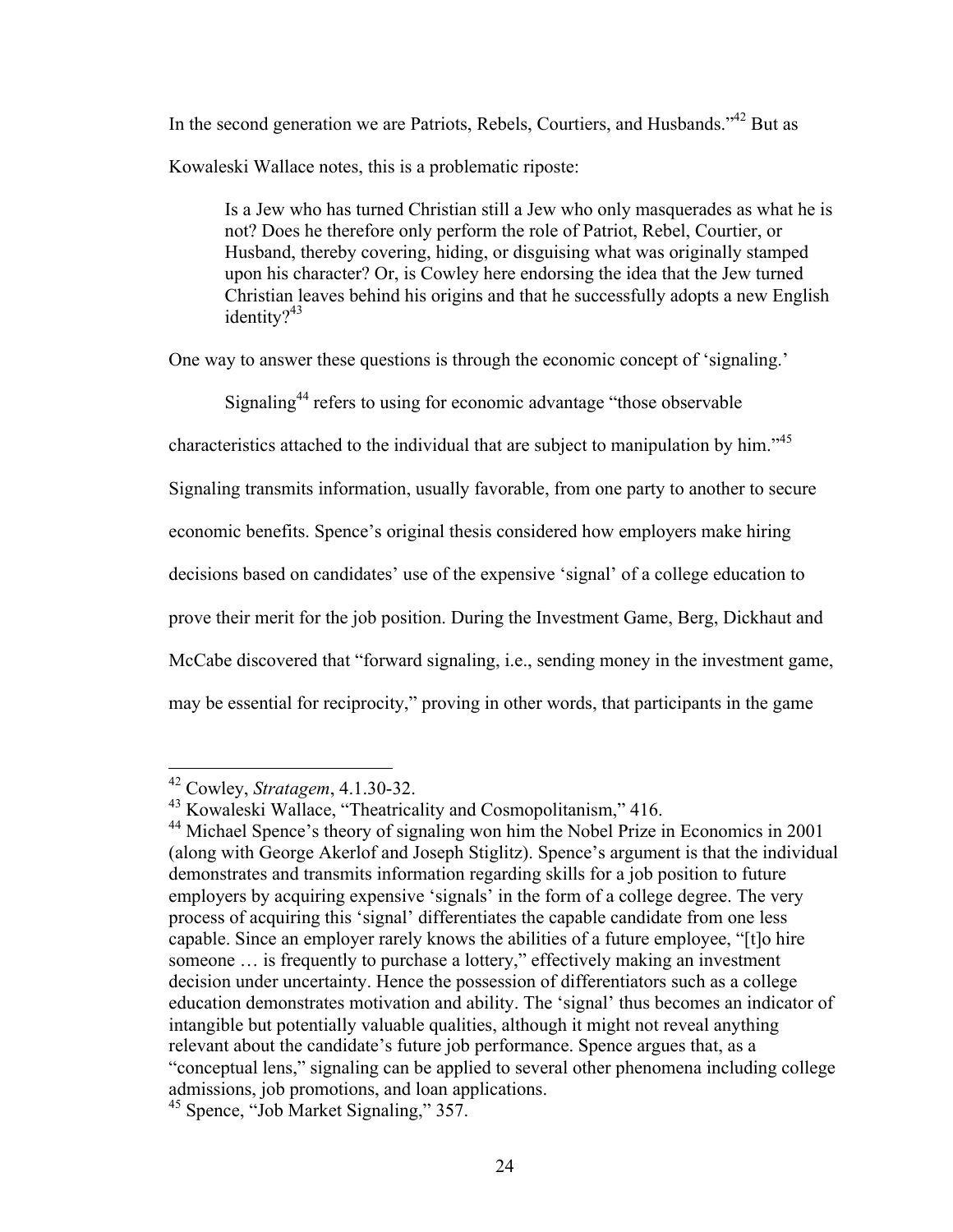In the second generation we are Patriots, Rebels, Courtiers, and Husbands.<sup>342</sup> But as Kowaleski Wallace notes, this is a problematic riposte:

Is a Jew who has turned Christian still a Jew who only masquerades as what he is not? Does he therefore only perform the role of Patriot, Rebel, Courtier, or Husband, thereby covering, hiding, or disguising what was originally stamped upon his character? Or, is Cowley here endorsing the idea that the Jew turned Christian leaves behind his origins and that he successfully adopts a new English identity? $43$ 

One way to answer these questions is through the economic concept of 'signaling.'

Signaling<sup>44</sup> refers to using for economic advantage "those observable"

characteristics attached to the individual that are subject to manipulation by him."<sup>45</sup>

Signaling transmits information, usually favorable, from one party to another to secure

economic benefits. Spence's original thesis considered how employers make hiring

decisions based on candidates' use of the expensive 'signal' of a college education to

prove their merit for the job position. During the Investment Game, Berg, Dickhaut and

McCabe discovered that "forward signaling, i.e., sending money in the investment game,

may be essential for reciprocity," proving in other words, that participants in the game

 <sup>42</sup> Cowley, *Stratagem*, 4.1.30-32.

<sup>43</sup> Kowaleski Wallace, "Theatricality and Cosmopolitanism," 416.

<sup>&</sup>lt;sup>44</sup> Michael Spence's theory of signaling won him the Nobel Prize in Economics in 2001 (along with George Akerlof and Joseph Stiglitz). Spence's argument is that the individual demonstrates and transmits information regarding skills for a job position to future employers by acquiring expensive 'signals' in the form of a college degree. The very process of acquiring this 'signal' differentiates the capable candidate from one less capable. Since an employer rarely knows the abilities of a future employee, "[t]o hire someone … is frequently to purchase a lottery," effectively making an investment decision under uncertainty. Hence the possession of differentiators such as a college education demonstrates motivation and ability. The 'signal' thus becomes an indicator of intangible but potentially valuable qualities, although it might not reveal anything relevant about the candidate's future job performance. Spence argues that, as a "conceptual lens," signaling can be applied to several other phenomena including college admissions, job promotions, and loan applications.

<sup>45</sup> Spence, "Job Market Signaling," 357.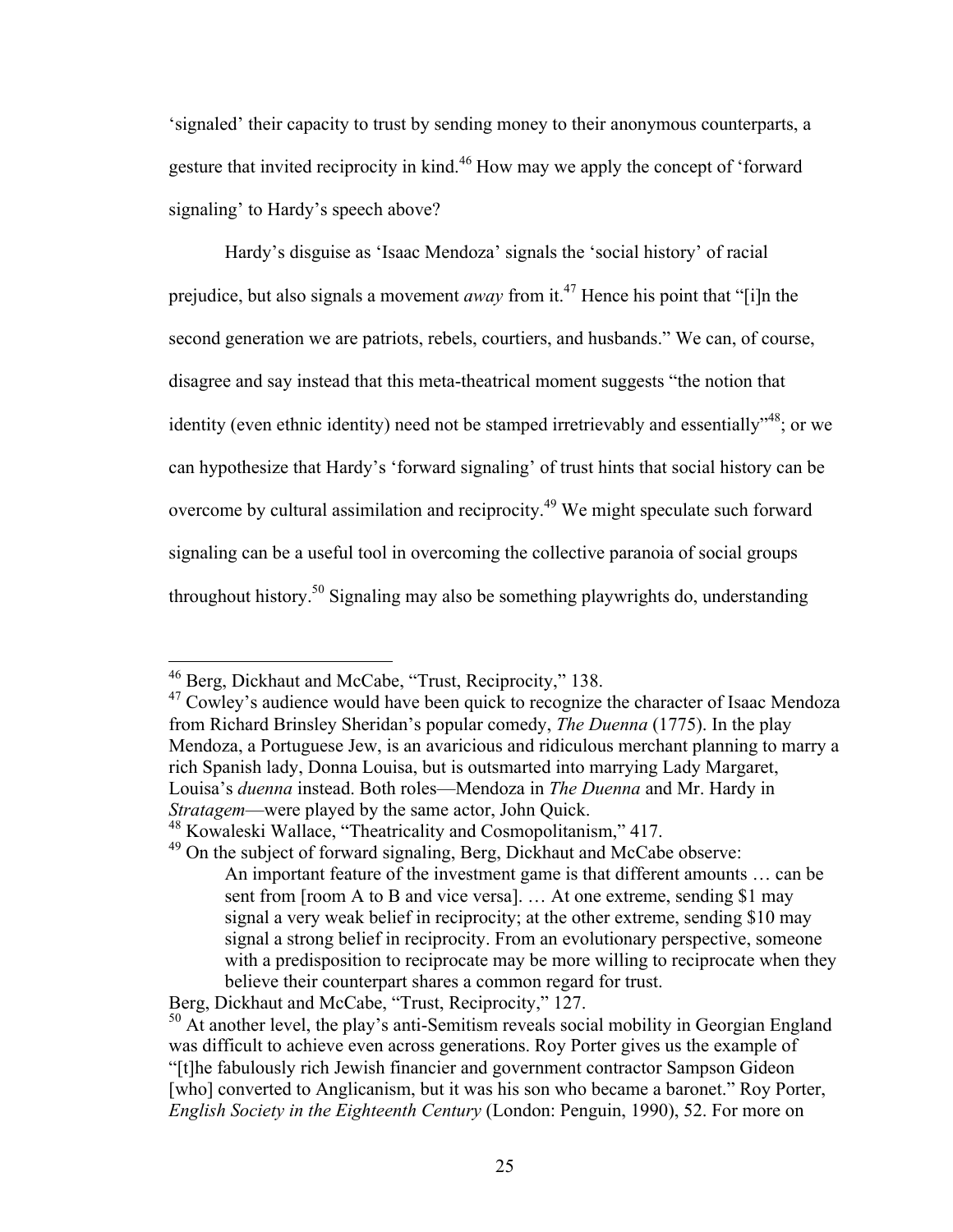'signaled' their capacity to trust by sending money to their anonymous counterparts, a gesture that invited reciprocity in kind.<sup>46</sup> How may we apply the concept of 'forward signaling' to Hardy's speech above?

Hardy's disguise as 'Isaac Mendoza' signals the 'social history' of racial prejudice, but also signals a movement *away* from it.47 Hence his point that "[i]n the second generation we are patriots, rebels, courtiers, and husbands." We can, of course, disagree and say instead that this meta-theatrical moment suggests "the notion that identity (even ethnic identity) need not be stamped irretrievably and essentially<sup>348</sup>; or we can hypothesize that Hardy's 'forward signaling' of trust hints that social history can be overcome by cultural assimilation and reciprocity.49 We might speculate such forward signaling can be a useful tool in overcoming the collective paranoia of social groups throughout history.50 Signaling may also be something playwrights do, understanding

 <sup>46</sup> Berg, Dickhaut and McCabe, "Trust, Reciprocity," 138.

 $47$  Cowley's audience would have been quick to recognize the character of Isaac Mendoza from Richard Brinsley Sheridan's popular comedy, *The Duenna* (1775). In the play Mendoza, a Portuguese Jew, is an avaricious and ridiculous merchant planning to marry a rich Spanish lady, Donna Louisa, but is outsmarted into marrying Lady Margaret, Louisa's *duenna* instead. Both roles—Mendoza in *The Duenna* and Mr. Hardy in *Stratagem*—were played by the same actor, John Quick.

<sup>48</sup> Kowaleski Wallace, "Theatricality and Cosmopolitanism," 417.

<sup>&</sup>lt;sup>49</sup> On the subject of forward signaling, Berg, Dickhaut and McCabe observe: An important feature of the investment game is that different amounts … can be sent from [room A to B and vice versa]. … At one extreme, sending \$1 may signal a very weak belief in reciprocity; at the other extreme, sending \$10 may signal a strong belief in reciprocity. From an evolutionary perspective, someone with a predisposition to reciprocate may be more willing to reciprocate when they believe their counterpart shares a common regard for trust.

Berg, Dickhaut and McCabe, "Trust, Reciprocity," 127.

<sup>&</sup>lt;sup>50</sup> At another level, the play's anti-Semitism reveals social mobility in Georgian England was difficult to achieve even across generations. Roy Porter gives us the example of "[t]he fabulously rich Jewish financier and government contractor Sampson Gideon [who] converted to Anglicanism, but it was his son who became a baronet." Roy Porter, *English Society in the Eighteenth Century* (London: Penguin, 1990), 52. For more on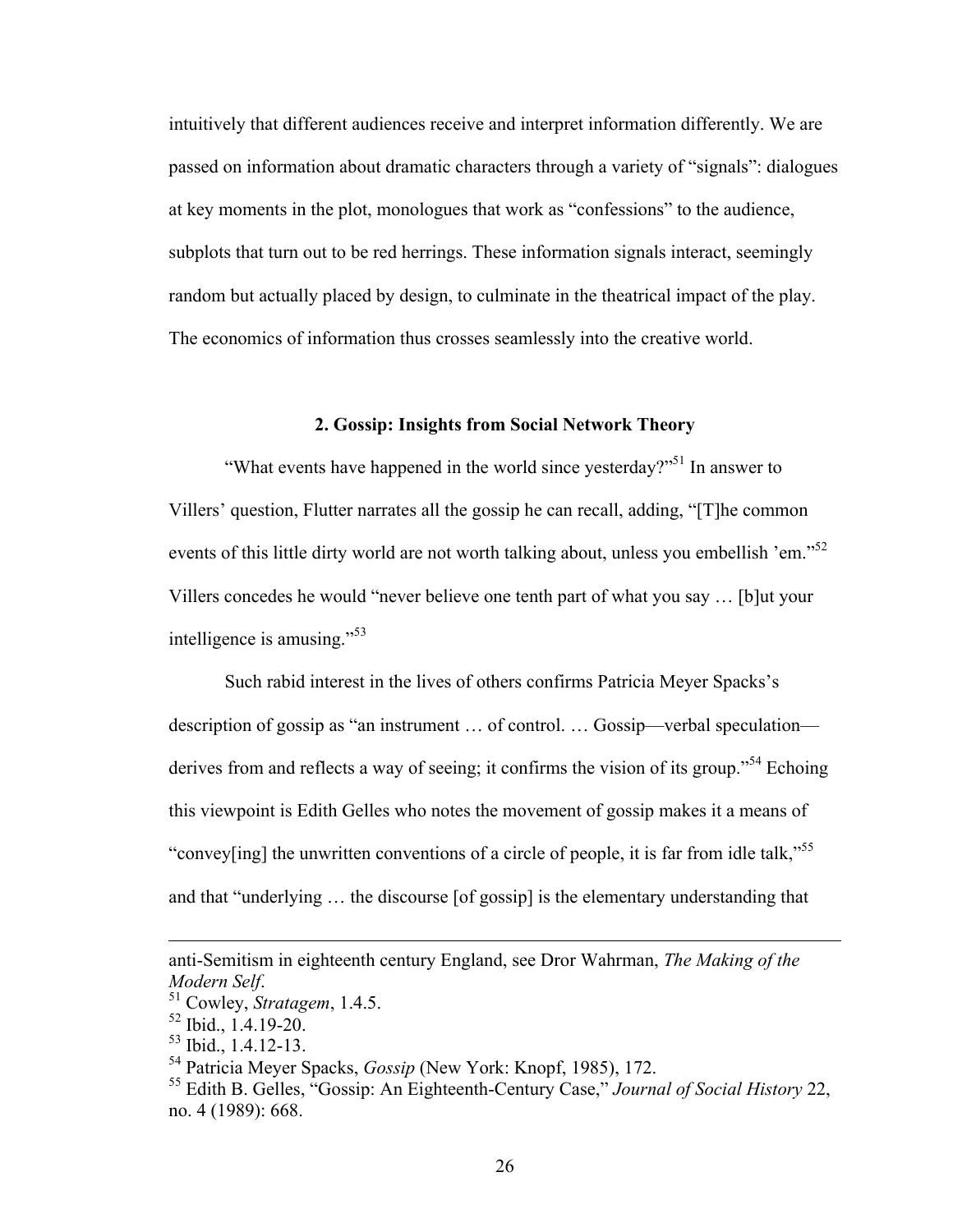intuitively that different audiences receive and interpret information differently. We are passed on information about dramatic characters through a variety of "signals": dialogues at key moments in the plot, monologues that work as "confessions" to the audience, subplots that turn out to be red herrings. These information signals interact, seemingly random but actually placed by design, to culminate in the theatrical impact of the play. The economics of information thus crosses seamlessly into the creative world.

#### **2. Gossip: Insights from Social Network Theory**

"What events have happened in the world since yesterday?"<sup>51</sup> In answer to Villers' question, Flutter narrates all the gossip he can recall, adding, "[T]he common events of this little dirty world are not worth talking about, unless you embellish 'em."<sup>52</sup> Villers concedes he would "never believe one tenth part of what you say … [b]ut your intelligence is amusing."<sup>53</sup>

Such rabid interest in the lives of others confirms Patricia Meyer Spacks's description of gossip as "an instrument … of control. … Gossip—verbal speculation derives from and reflects a way of seeing; it confirms the vision of its group."<sup>54</sup> Echoing this viewpoint is Edith Gelles who notes the movement of gossip makes it a means of "convey[ing] the unwritten conventions of a circle of people, it is far from idle talk,"<sup>55</sup> and that "underlying … the discourse [of gossip] is the elementary understanding that

 $\overline{a}$ 

anti-Semitism in eighteenth century England, see Dror Wahrman, *The Making of the Modern Self*. <sup>51</sup> Cowley, *Stratagem*, 1.4.5.

<sup>52</sup> Ibid., 1.4.19-20.

<sup>53</sup> Ibid., 1.4.12-13.

<sup>54</sup> Patricia Meyer Spacks, *Gossip* (New York: Knopf, 1985), 172.

<sup>55</sup> Edith B. Gelles, "Gossip: An Eighteenth-Century Case," *Journal of Social History* 22, no. 4 (1989): 668.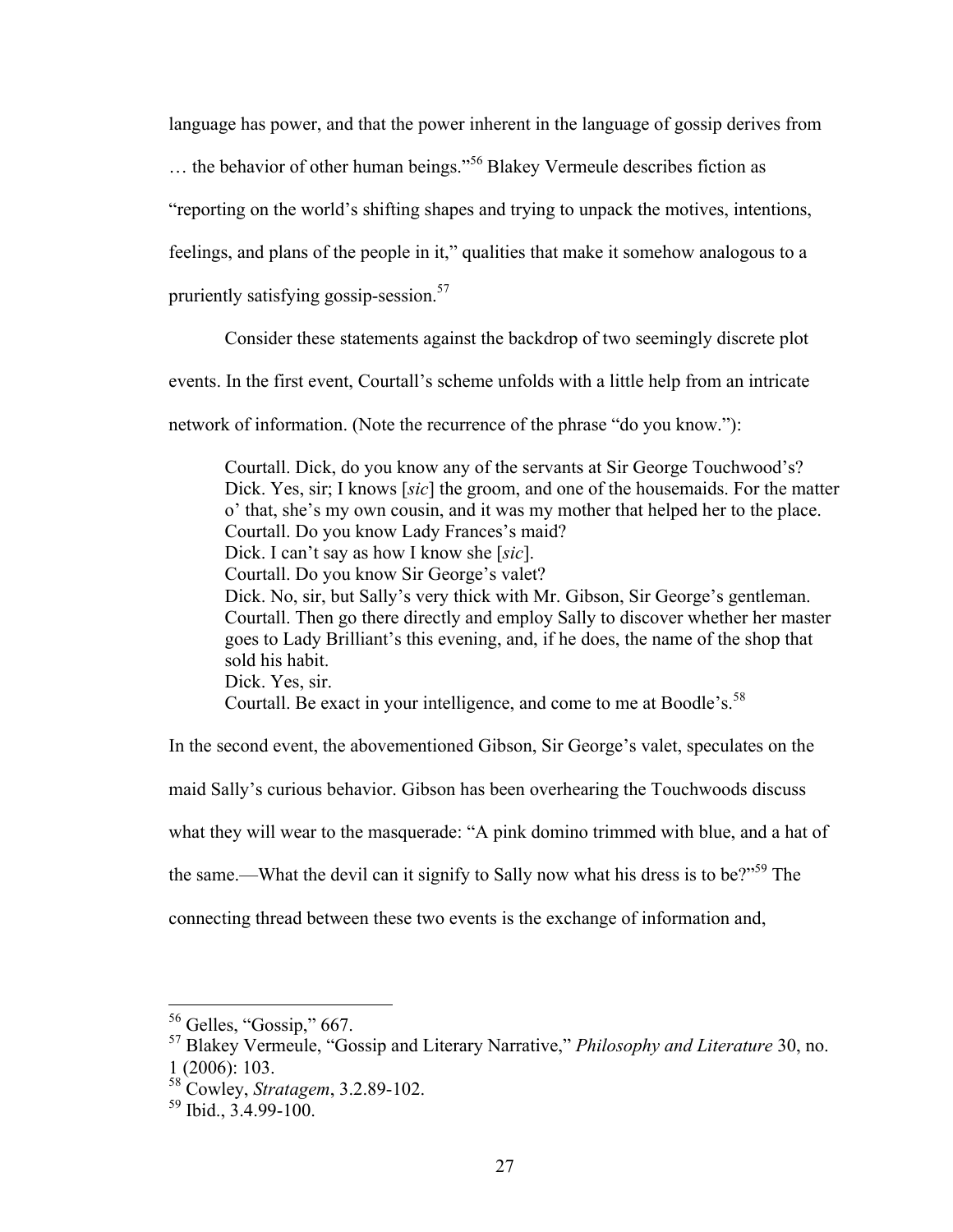language has power, and that the power inherent in the language of gossip derives from

… the behavior of other human beings."<sup>56</sup> Blakey Vermeule describes fiction as

"reporting on the world's shifting shapes and trying to unpack the motives, intentions,

feelings, and plans of the people in it," qualities that make it somehow analogous to a

pruriently satisfying gossip-session.<sup>57</sup>

Consider these statements against the backdrop of two seemingly discrete plot

events. In the first event, Courtall's scheme unfolds with a little help from an intricate

network of information. (Note the recurrence of the phrase "do you know."):

Courtall. Dick, do you know any of the servants at Sir George Touchwood's? Dick. Yes, sir; I knows [*sic*] the groom, and one of the housemaids. For the matter o' that, she's my own cousin, and it was my mother that helped her to the place. Courtall. Do you know Lady Frances's maid? Dick. I can't say as how I know she [*sic*]. Courtall. Do you know Sir George's valet? Dick. No, sir, but Sally's very thick with Mr. Gibson, Sir George's gentleman. Courtall. Then go there directly and employ Sally to discover whether her master goes to Lady Brilliant's this evening, and, if he does, the name of the shop that sold his habit. Dick. Yes, sir. Courtall. Be exact in your intelligence, and come to me at Boodle's.<sup>58</sup>

In the second event, the abovementioned Gibson, Sir George's valet, speculates on the

maid Sally's curious behavior. Gibson has been overhearing the Touchwoods discuss

what they will wear to the masquerade: "A pink domino trimmed with blue, and a hat of

the same.—What the devil can it signify to Sally now what his dress is to be? $15\%$ <sup>59</sup> The

connecting thread between these two events is the exchange of information and,

 $56$  Gelles, "Gossip," 667.

<sup>57</sup> Blakey Vermeule, "Gossip and Literary Narrative," *Philosophy and Literature* 30, no. 1 (2006): 103.

<sup>58</sup> Cowley, *Stratagem*, 3.2.89-102.

 $59$  Ibid.,  $3.4.99 - 100$ .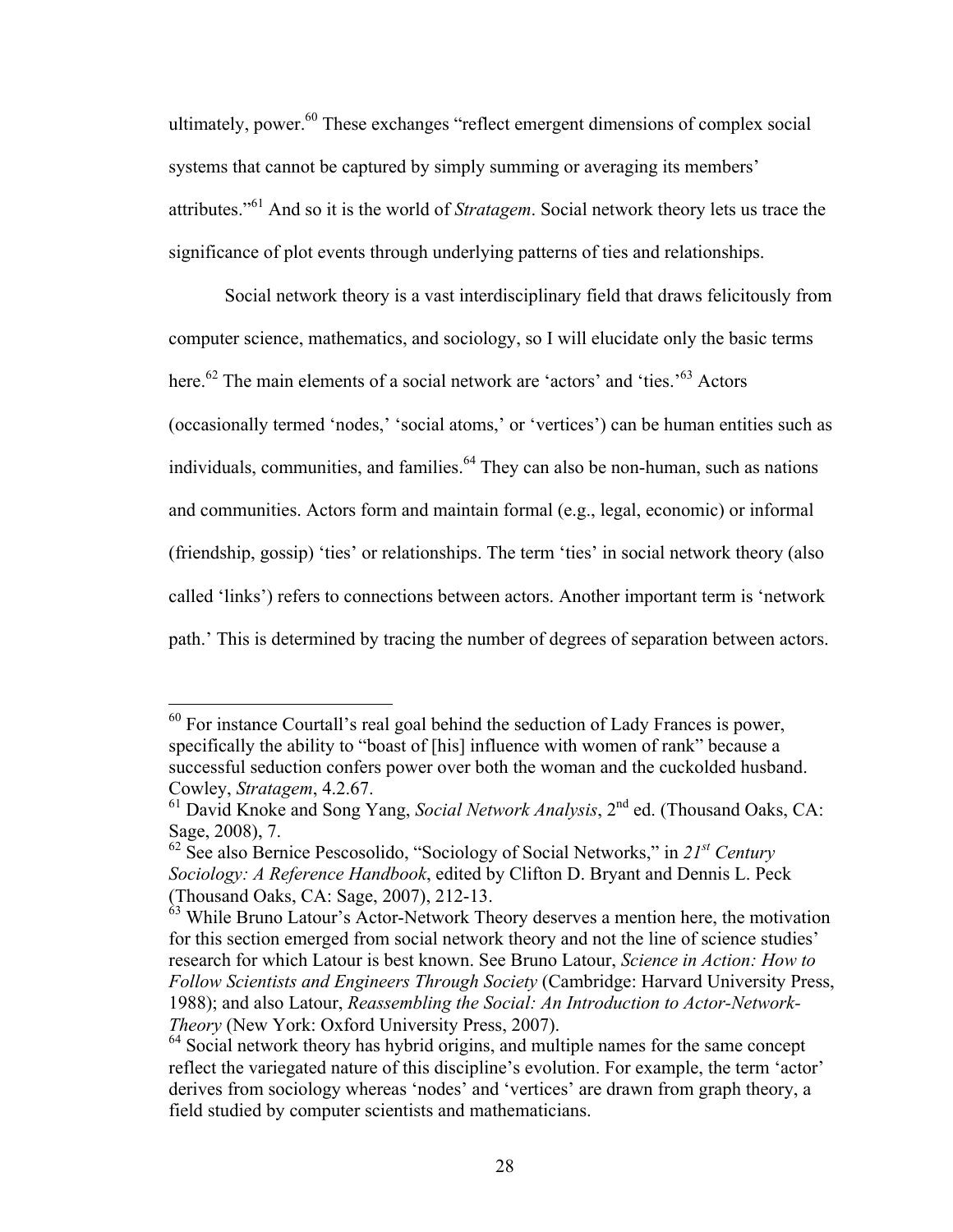ultimately, power.<sup>60</sup> These exchanges "reflect emergent dimensions of complex social systems that cannot be captured by simply summing or averaging its members' attributes."<sup>61</sup> And so it is the world of *Stratagem*. Social network theory lets us trace the significance of plot events through underlying patterns of ties and relationships.

Social network theory is a vast interdisciplinary field that draws felicitously from computer science, mathematics, and sociology, so I will elucidate only the basic terms here.<sup>62</sup> The main elements of a social network are 'actors' and 'ties.<sup>,63</sup> Actors' (occasionally termed 'nodes,' 'social atoms,' or 'vertices') can be human entities such as individuals, communities, and families.<sup> $64$ </sup> They can also be non-human, such as nations and communities. Actors form and maintain formal (e.g., legal, economic) or informal (friendship, gossip) 'ties' or relationships. The term 'ties' in social network theory (also called 'links') refers to connections between actors. Another important term is 'network path.' This is determined by tracing the number of degrees of separation between actors.

 $60$  For instance Courtall's real goal behind the seduction of Lady Frances is power, specifically the ability to "boast of [his] influence with women of rank" because a successful seduction confers power over both the woman and the cuckolded husband. Cowley, *Stratagem*, 4.2.67.

<sup>61</sup> David Knoke and Song Yang, *Social Network Analysis*, 2nd ed. (Thousand Oaks, CA: Sage, 2008), 7.

<sup>62</sup> See also Bernice Pescosolido, "Sociology of Social Networks," in *21st Century Sociology: A Reference Handbook*, edited by Clifton D. Bryant and Dennis L. Peck (Thousand Oaks, CA: Sage, 2007), 212-13.

 $63$  While Bruno Latour's Actor-Network Theory deserves a mention here, the motivation for this section emerged from social network theory and not the line of science studies' research for which Latour is best known. See Bruno Latour, *Science in Action: How to Follow Scientists and Engineers Through Society* (Cambridge: Harvard University Press, 1988); and also Latour, *Reassembling the Social: An Introduction to Actor-Network-Theory* (New York: Oxford University Press, 2007).

<sup>&</sup>lt;sup>64</sup> Social network theory has hybrid origins, and multiple names for the same concept reflect the variegated nature of this discipline's evolution. For example, the term 'actor' derives from sociology whereas 'nodes' and 'vertices' are drawn from graph theory, a field studied by computer scientists and mathematicians.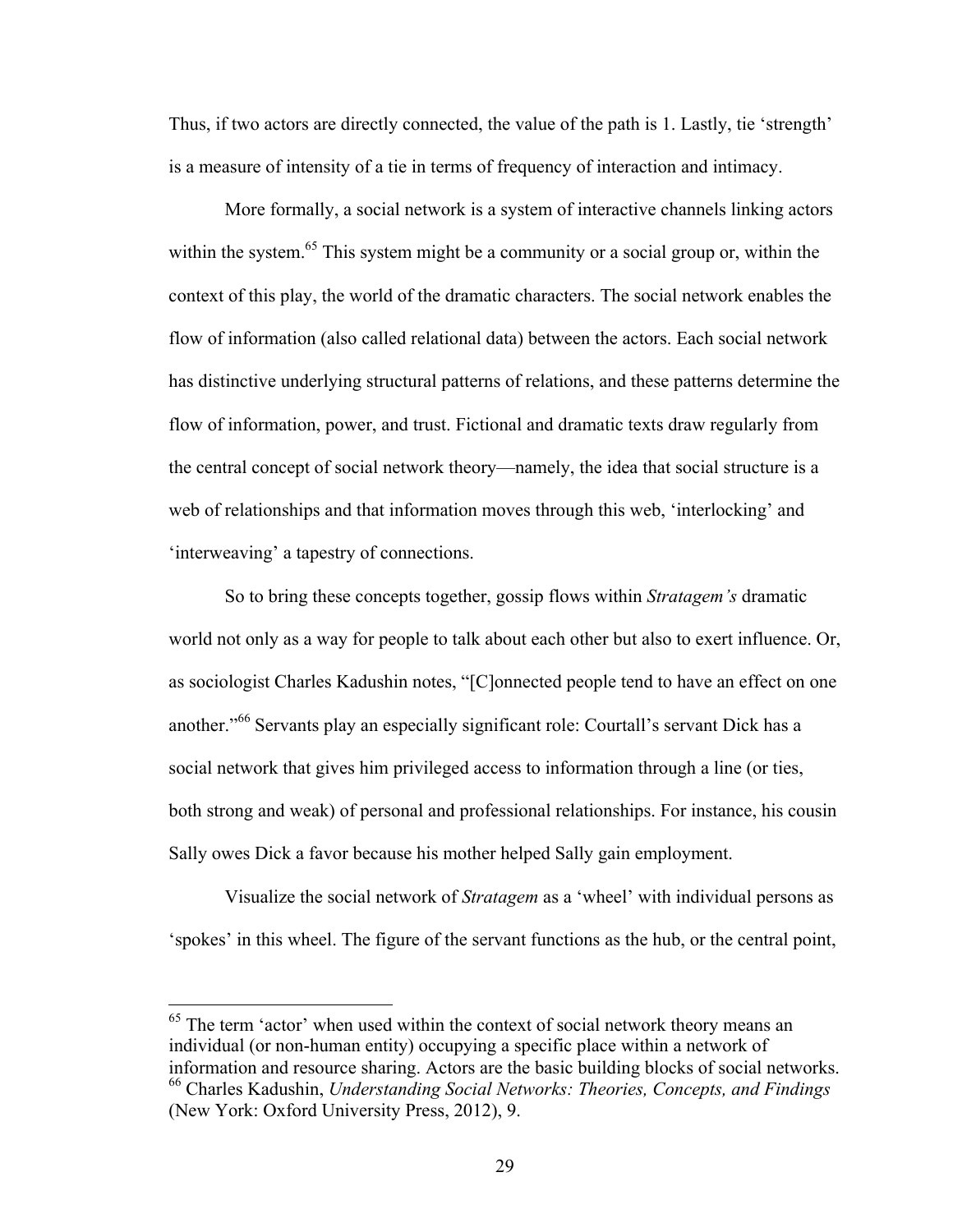Thus, if two actors are directly connected, the value of the path is 1. Lastly, tie 'strength' is a measure of intensity of a tie in terms of frequency of interaction and intimacy.

More formally, a social network is a system of interactive channels linking actors within the system.<sup>65</sup> This system might be a community or a social group or, within the context of this play, the world of the dramatic characters. The social network enables the flow of information (also called relational data) between the actors. Each social network has distinctive underlying structural patterns of relations, and these patterns determine the flow of information, power, and trust. Fictional and dramatic texts draw regularly from the central concept of social network theory—namely, the idea that social structure is a web of relationships and that information moves through this web, 'interlocking' and 'interweaving' a tapestry of connections.

So to bring these concepts together, gossip flows within *Stratagem's* dramatic world not only as a way for people to talk about each other but also to exert influence. Or, as sociologist Charles Kadushin notes, "[C]onnected people tend to have an effect on one another."<sup>66</sup> Servants play an especially significant role: Courtall's servant Dick has a social network that gives him privileged access to information through a line (or ties, both strong and weak) of personal and professional relationships. For instance, his cousin Sally owes Dick a favor because his mother helped Sally gain employment.

Visualize the social network of *Stratagem* as a 'wheel' with individual persons as 'spokes' in this wheel. The figure of the servant functions as the hub, or the central point,

<sup>&</sup>lt;sup>65</sup> The term 'actor' when used within the context of social network theory means an individual (or non-human entity) occupying a specific place within a network of information and resource sharing. Actors are the basic building blocks of social networks. <sup>66</sup> Charles Kadushin, *Understanding Social Networks: Theories, Concepts, and Findings*

<sup>(</sup>New York: Oxford University Press, 2012), 9.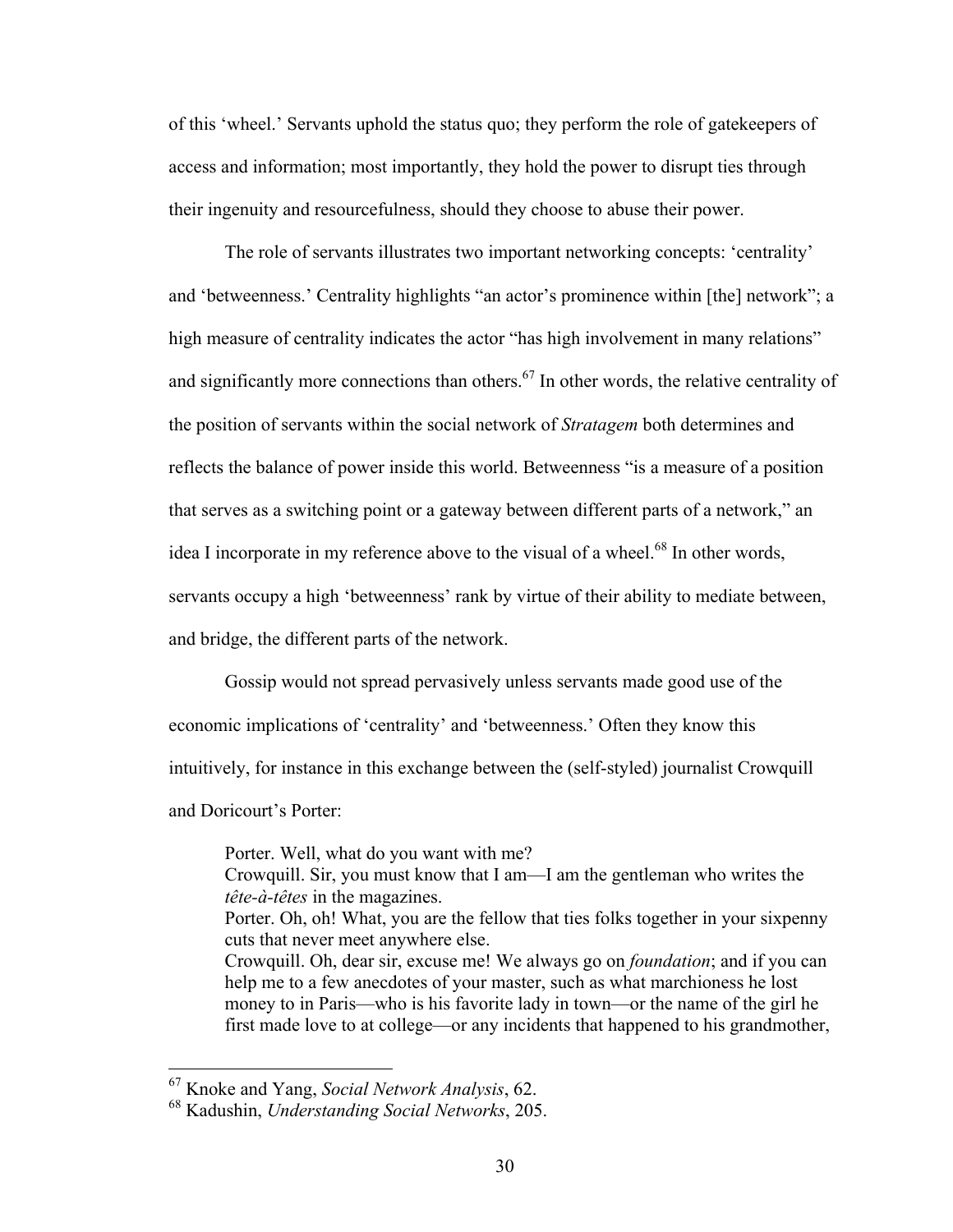of this 'wheel.' Servants uphold the status quo; they perform the role of gatekeepers of access and information; most importantly, they hold the power to disrupt ties through their ingenuity and resourcefulness, should they choose to abuse their power.

The role of servants illustrates two important networking concepts: 'centrality' and 'betweenness.' Centrality highlights "an actor's prominence within [the] network"; a high measure of centrality indicates the actor "has high involvement in many relations" and significantly more connections than others.<sup>67</sup> In other words, the relative centrality of the position of servants within the social network of *Stratagem* both determines and reflects the balance of power inside this world. Betweenness "is a measure of a position that serves as a switching point or a gateway between different parts of a network," an idea I incorporate in my reference above to the visual of a wheel.<sup>68</sup> In other words, servants occupy a high 'betweenness' rank by virtue of their ability to mediate between, and bridge, the different parts of the network.

Gossip would not spread pervasively unless servants made good use of the economic implications of 'centrality' and 'betweenness.' Often they know this intuitively, for instance in this exchange between the (self-styled) journalist Crowquill and Doricourt's Porter:

Porter. Well, what do you want with me? Crowquill. Sir, you must know that I am—I am the gentleman who writes the *tête-à-têtes* in the magazines. Porter. Oh, oh! What, you are the fellow that ties folks together in your sixpenny cuts that never meet anywhere else. Crowquill. Oh, dear sir, excuse me! We always go on *foundation*; and if you can help me to a few anecdotes of your master, such as what marchioness he lost money to in Paris—who is his favorite lady in town—or the name of the girl he first made love to at college—or any incidents that happened to his grandmother,

 <sup>67</sup> Knoke and Yang, *Social Network Analysis*, 62.

<sup>68</sup> Kadushin, *Understanding Social Networks*, 205.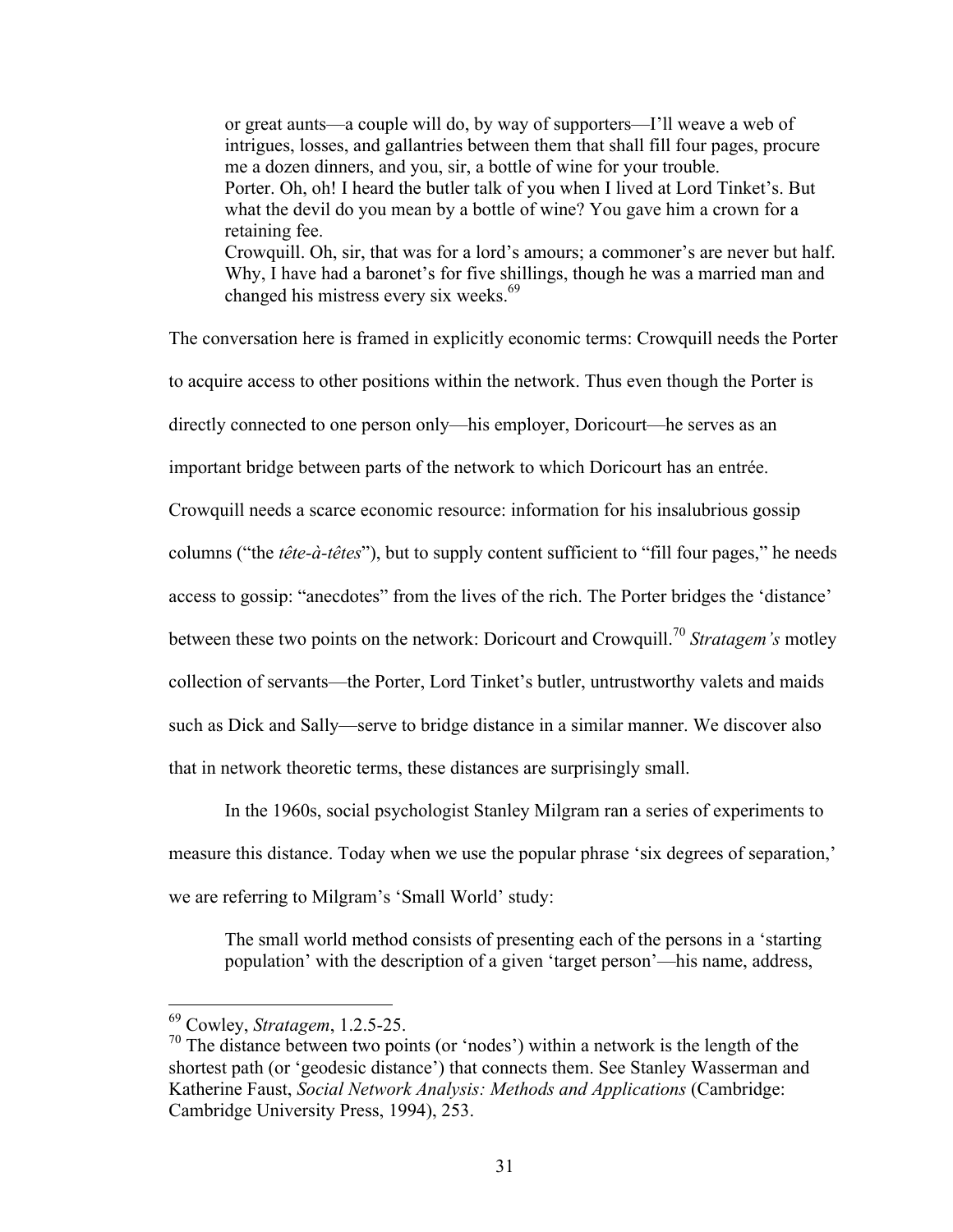or great aunts—a couple will do, by way of supporters—I'll weave a web of intrigues, losses, and gallantries between them that shall fill four pages, procure me a dozen dinners, and you, sir, a bottle of wine for your trouble. Porter. Oh, oh! I heard the butler talk of you when I lived at Lord Tinket's. But what the devil do you mean by a bottle of wine? You gave him a crown for a retaining fee. Crowquill. Oh, sir, that was for a lord's amours; a commoner's are never but half. Why, I have had a baronet's for five shillings, though he was a married man and changed his mistress every six weeks.<sup>69</sup>

The conversation here is framed in explicitly economic terms: Crowquill needs the Porter to acquire access to other positions within the network. Thus even though the Porter is directly connected to one person only—his employer, Doricourt—he serves as an important bridge between parts of the network to which Doricourt has an entrée.

Crowquill needs a scarce economic resource: information for his insalubrious gossip

columns ("the *tête-à-têtes*"), but to supply content sufficient to "fill four pages," he needs

access to gossip: "anecdotes" from the lives of the rich. The Porter bridges the 'distance'

between these two points on the network: Doricourt and Crowquill.<sup>70</sup> *Stratagem's* motley

collection of servants—the Porter, Lord Tinket's butler, untrustworthy valets and maids

such as Dick and Sally—serve to bridge distance in a similar manner. We discover also

that in network theoretic terms, these distances are surprisingly small.

In the 1960s, social psychologist Stanley Milgram ran a series of experiments to measure this distance. Today when we use the popular phrase 'six degrees of separation,' we are referring to Milgram's 'Small World' study:

The small world method consists of presenting each of the persons in a 'starting population' with the description of a given 'target person'—his name, address,

 <sup>69</sup> Cowley, *Stratagem*, 1.2.5-25.

<sup>&</sup>lt;sup>70</sup> The distance between two points (or 'nodes') within a network is the length of the shortest path (or 'geodesic distance') that connects them. See Stanley Wasserman and Katherine Faust, *Social Network Analysis: Methods and Applications* (Cambridge: Cambridge University Press, 1994), 253.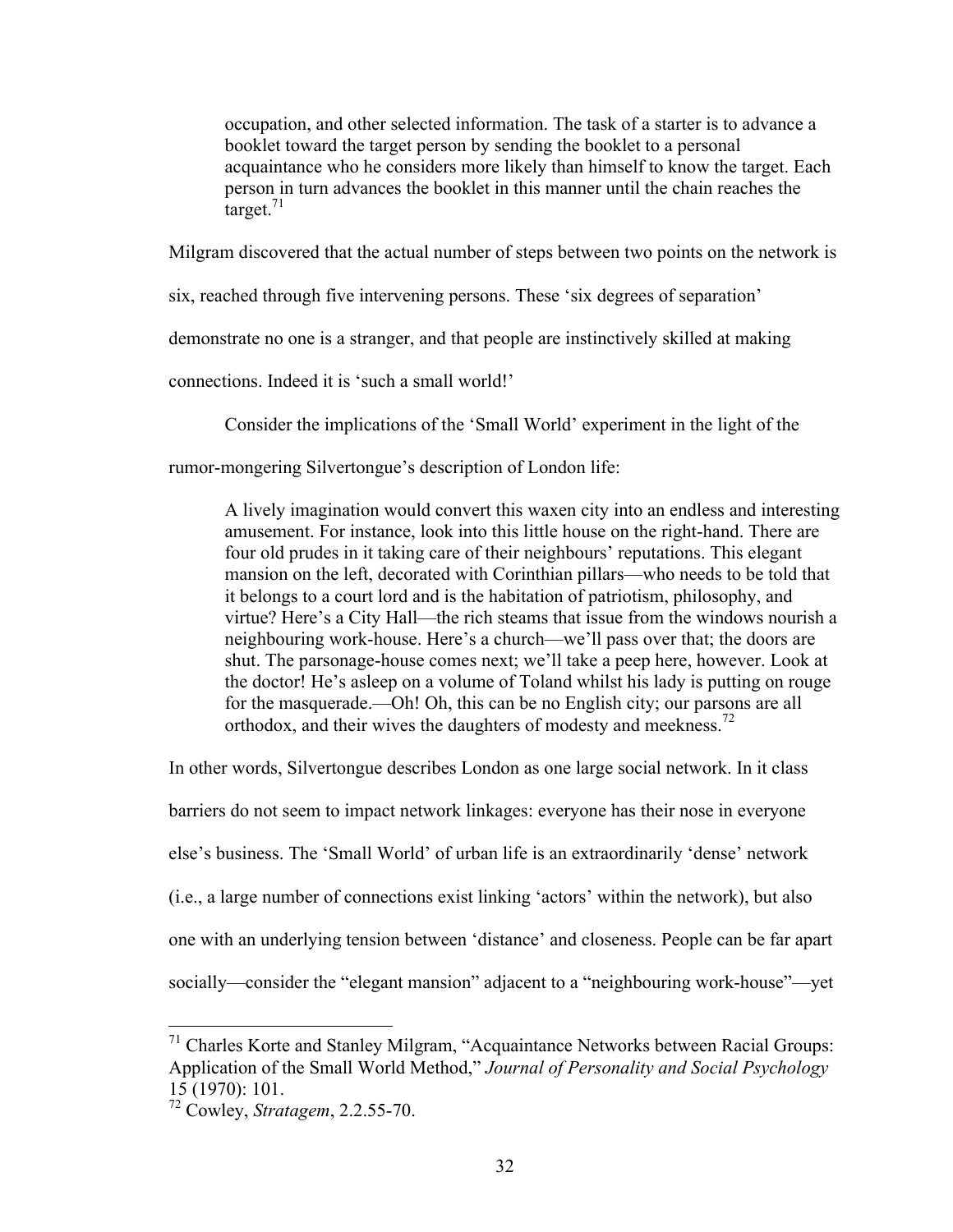occupation, and other selected information. The task of a starter is to advance a booklet toward the target person by sending the booklet to a personal acquaintance who he considers more likely than himself to know the target. Each person in turn advances the booklet in this manner until the chain reaches the target. $71$ 

Milgram discovered that the actual number of steps between two points on the network is

six, reached through five intervening persons. These 'six degrees of separation'

demonstrate no one is a stranger, and that people are instinctively skilled at making

connections. Indeed it is 'such a small world!'

Consider the implications of the 'Small World' experiment in the light of the

rumor-mongering Silvertongue's description of London life:

A lively imagination would convert this waxen city into an endless and interesting amusement. For instance, look into this little house on the right-hand. There are four old prudes in it taking care of their neighbours' reputations. This elegant mansion on the left, decorated with Corinthian pillars—who needs to be told that it belongs to a court lord and is the habitation of patriotism, philosophy, and virtue? Here's a City Hall—the rich steams that issue from the windows nourish a neighbouring work-house. Here's a church—we'll pass over that; the doors are shut. The parsonage-house comes next; we'll take a peep here, however. Look at the doctor! He's asleep on a volume of Toland whilst his lady is putting on rouge for the masquerade.—Oh! Oh, this can be no English city; our parsons are all orthodox, and their wives the daughters of modesty and meekness.<sup>72</sup>

In other words, Silvertongue describes London as one large social network. In it class

barriers do not seem to impact network linkages: everyone has their nose in everyone

else's business. The 'Small World' of urban life is an extraordinarily 'dense' network

(i.e., a large number of connections exist linking 'actors' within the network), but also

one with an underlying tension between 'distance' and closeness. People can be far apart

socially—consider the "elegant mansion" adjacent to a "neighbouring work-house"—yet

 <sup>71</sup> Charles Korte and Stanley Milgram, "Acquaintance Networks between Racial Groups: Application of the Small World Method," *Journal of Personality and Social Psychology* 15 (1970): 101.

<sup>72</sup> Cowley, *Stratagem*, 2.2.55-70.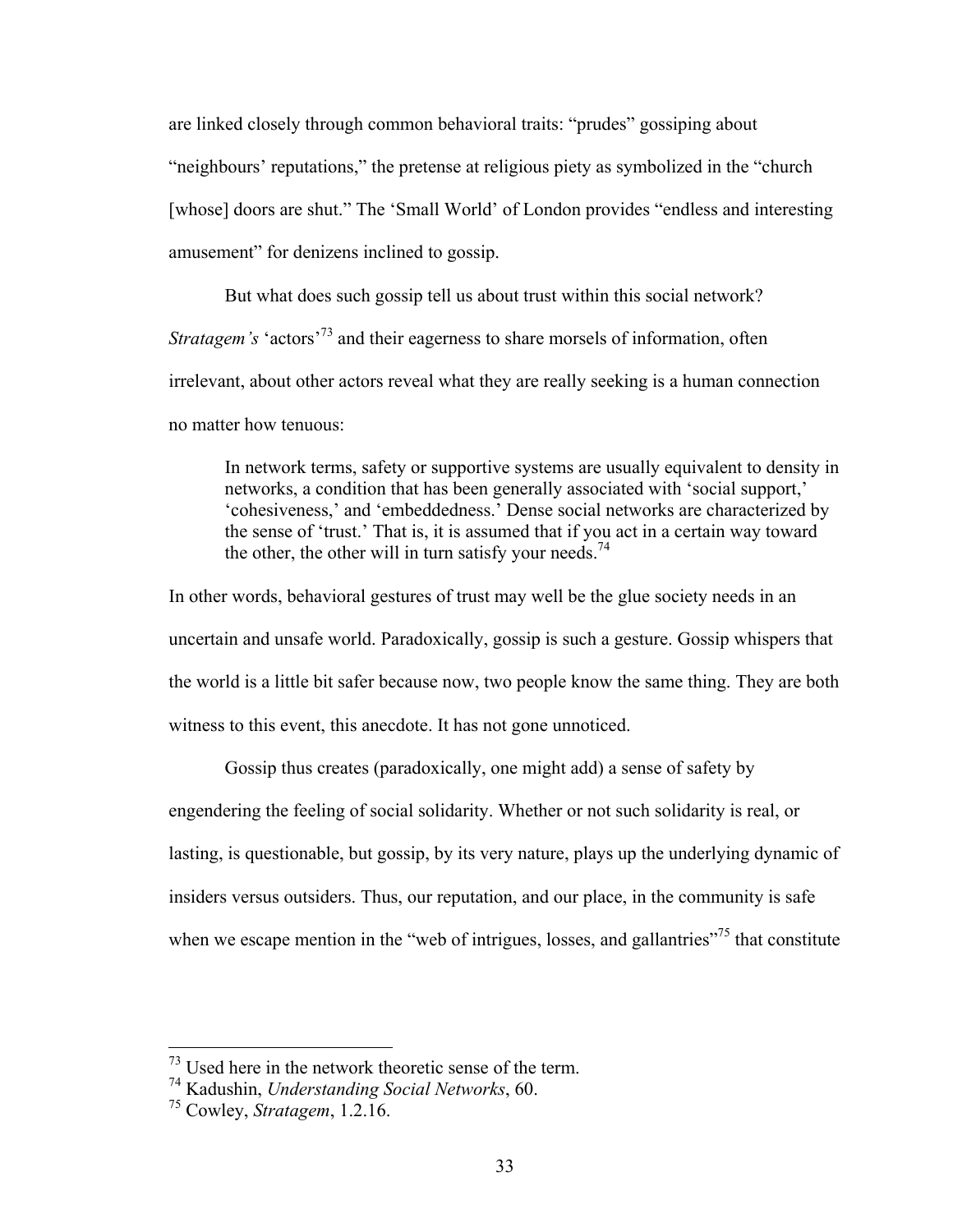are linked closely through common behavioral traits: "prudes" gossiping about "neighbours' reputations," the pretense at religious piety as symbolized in the "church [whose] doors are shut." The 'Small World' of London provides "endless and interesting amusement" for denizens inclined to gossip.

But what does such gossip tell us about trust within this social network? *Stratagem's* 'actors<sup>'73</sup> and their eagerness to share morsels of information, often irrelevant, about other actors reveal what they are really seeking is a human connection no matter how tenuous:

In network terms, safety or supportive systems are usually equivalent to density in networks, a condition that has been generally associated with 'social support,' 'cohesiveness,' and 'embeddedness.' Dense social networks are characterized by the sense of 'trust.' That is, it is assumed that if you act in a certain way toward the other, the other will in turn satisfy your needs.<sup>74</sup>

In other words, behavioral gestures of trust may well be the glue society needs in an uncertain and unsafe world. Paradoxically, gossip is such a gesture. Gossip whispers that the world is a little bit safer because now, two people know the same thing. They are both witness to this event, this anecdote. It has not gone unnoticed.

Gossip thus creates (paradoxically, one might add) a sense of safety by engendering the feeling of social solidarity. Whether or not such solidarity is real, or lasting, is questionable, but gossip, by its very nature, plays up the underlying dynamic of insiders versus outsiders. Thus, our reputation, and our place, in the community is safe when we escape mention in the "web of intrigues, losses, and gallantries"<sup>75</sup> that constitute

 $^{73}$  Used here in the network theoretic sense of the term.

<sup>74</sup> Kadushin, *Understanding Social Networks*, 60.

<sup>75</sup> Cowley, *Stratagem*, 1.2.16.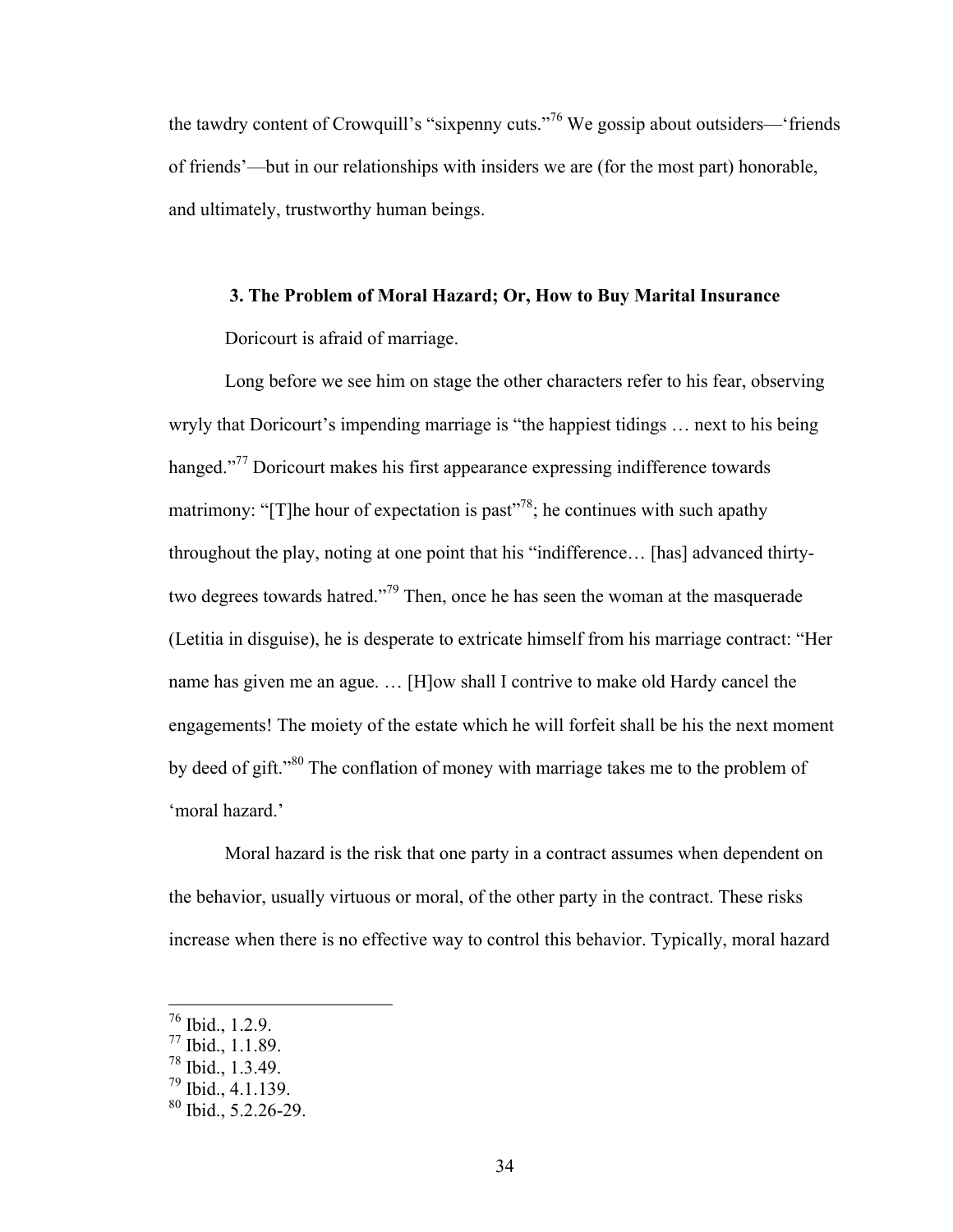the tawdry content of Crowquill's "sixpenny cuts."<sup>76</sup> We gossip about outsiders—'friends of friends'—but in our relationships with insiders we are (for the most part) honorable, and ultimately, trustworthy human beings.

### **3. The Problem of Moral Hazard; Or, How to Buy Marital Insurance**

Doricourt is afraid of marriage.

Long before we see him on stage the other characters refer to his fear, observing wryly that Doricourt's impending marriage is "the happiest tidings … next to his being hanged."<sup>77</sup> Doricourt makes his first appearance expressing indifference towards matrimony: "[T]he hour of expectation is past"<sup>78</sup>; he continues with such apathy throughout the play, noting at one point that his "indifference… [has] advanced thirtytwo degrees towards hatred."<sup>79</sup> Then, once he has seen the woman at the masquerade (Letitia in disguise), he is desperate to extricate himself from his marriage contract: "Her name has given me an ague. … [H]ow shall I contrive to make old Hardy cancel the engagements! The moiety of the estate which he will forfeit shall be his the next moment by deed of gift."<sup>80</sup> The conflation of money with marriage takes me to the problem of 'moral hazard.'

Moral hazard is the risk that one party in a contract assumes when dependent on the behavior, usually virtuous or moral, of the other party in the contract. These risks increase when there is no effective way to control this behavior. Typically, moral hazard

 <sup>76</sup> Ibid., 1.2.9.

<sup>77</sup> Ibid., 1.1.89.

<sup>78</sup> Ibid., 1.3.49.

<sup>79</sup> Ibid., 4.1.139.

 $80$  Ibid., 5.2.26-29.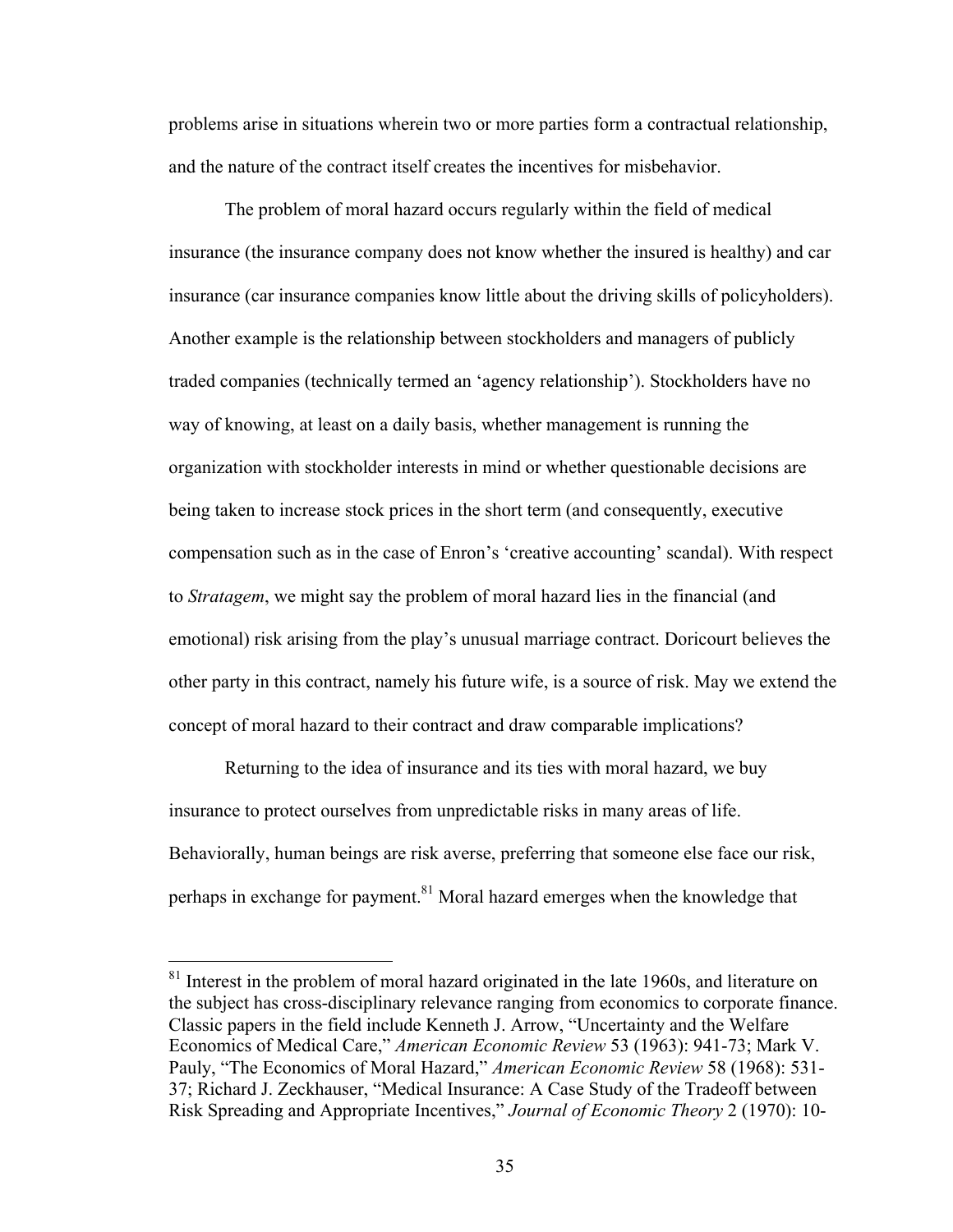problems arise in situations wherein two or more parties form a contractual relationship, and the nature of the contract itself creates the incentives for misbehavior.

The problem of moral hazard occurs regularly within the field of medical insurance (the insurance company does not know whether the insured is healthy) and car insurance (car insurance companies know little about the driving skills of policyholders). Another example is the relationship between stockholders and managers of publicly traded companies (technically termed an 'agency relationship'). Stockholders have no way of knowing, at least on a daily basis, whether management is running the organization with stockholder interests in mind or whether questionable decisions are being taken to increase stock prices in the short term (and consequently, executive compensation such as in the case of Enron's 'creative accounting' scandal). With respect to *Stratagem*, we might say the problem of moral hazard lies in the financial (and emotional) risk arising from the play's unusual marriage contract. Doricourt believes the other party in this contract, namely his future wife, is a source of risk. May we extend the concept of moral hazard to their contract and draw comparable implications?

Returning to the idea of insurance and its ties with moral hazard, we buy insurance to protect ourselves from unpredictable risks in many areas of life. Behaviorally, human beings are risk averse, preferring that someone else face our risk, perhaps in exchange for payment.<sup>81</sup> Moral hazard emerges when the knowledge that

<sup>&</sup>lt;sup>81</sup> Interest in the problem of moral hazard originated in the late 1960s, and literature on the subject has cross-disciplinary relevance ranging from economics to corporate finance. Classic papers in the field include Kenneth J. Arrow, "Uncertainty and the Welfare Economics of Medical Care," *American Economic Review* 53 (1963): 941-73; Mark V. Pauly, "The Economics of Moral Hazard," *American Economic Review* 58 (1968): 531- 37; Richard J. Zeckhauser, "Medical Insurance: A Case Study of the Tradeoff between Risk Spreading and Appropriate Incentives," *Journal of Economic Theory* 2 (1970): 10-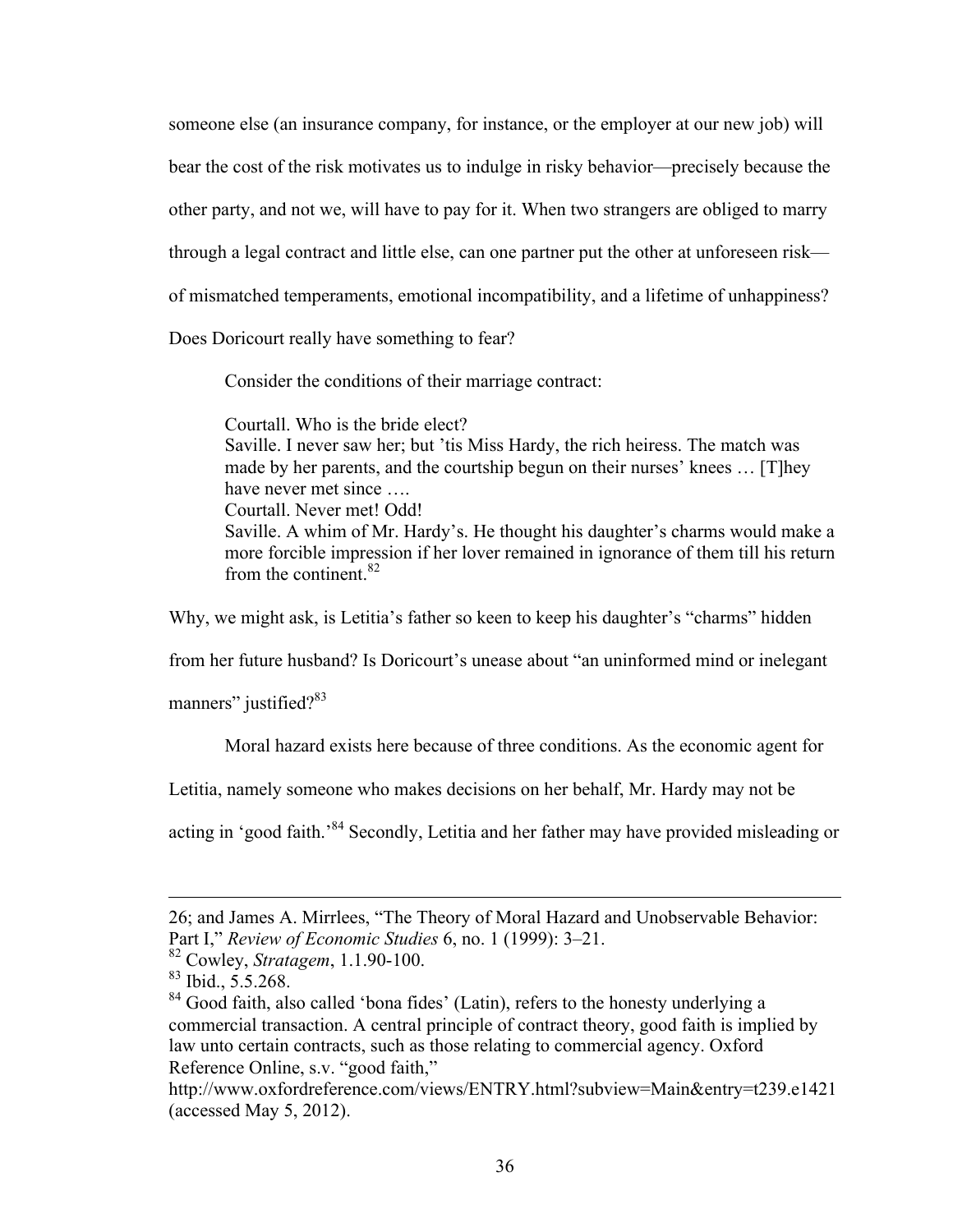someone else (an insurance company, for instance, or the employer at our new job) will bear the cost of the risk motivates us to indulge in risky behavior—precisely because the other party, and not we, will have to pay for it. When two strangers are obliged to marry through a legal contract and little else, can one partner put the other at unforeseen risk of mismatched temperaments, emotional incompatibility, and a lifetime of unhappiness?

Does Doricourt really have something to fear?

Consider the conditions of their marriage contract:

Courtall. Who is the bride elect? Saville. I never saw her; but 'tis Miss Hardy, the rich heiress. The match was made by her parents, and the courtship begun on their nurses' knees … [T]hey have never met since …. Courtall. Never met! Odd! Saville. A whim of Mr. Hardy's. He thought his daughter's charms would make a more forcible impression if her lover remained in ignorance of them till his return from the continent. $82$ 

Why, we might ask, is Letitia's father so keen to keep his daughter's "charms" hidden

from her future husband? Is Doricourt's unease about "an uninformed mind or inelegant

manners" justified? $83$ 

Moral hazard exists here because of three conditions. As the economic agent for

Letitia, namely someone who makes decisions on her behalf, Mr. Hardy may not be

acting in 'good faith.'<sup>84</sup> Secondly, Letitia and her father may have provided misleading or

 $\overline{a}$ 

<sup>26;</sup> and James A. Mirrlees, "The Theory of Moral Hazard and Unobservable Behavior: Part I," *Review of Economic Studies* 6, no. 1 (1999): 3–21.

<sup>82</sup> Cowley, *Stratagem*, 1.1.90-100.

<sup>83</sup> Ibid., 5.5.268.

<sup>&</sup>lt;sup>84</sup> Good faith, also called 'bona fides' (Latin), refers to the honesty underlying a commercial transaction. A central principle of contract theory, good faith is implied by law unto certain contracts, such as those relating to commercial agency. Oxford Reference Online, s.v. "good faith,"

http://www.oxfordreference.com/views/ENTRY.html?subview=Main&entry=t239.e1421 (accessed May 5, 2012).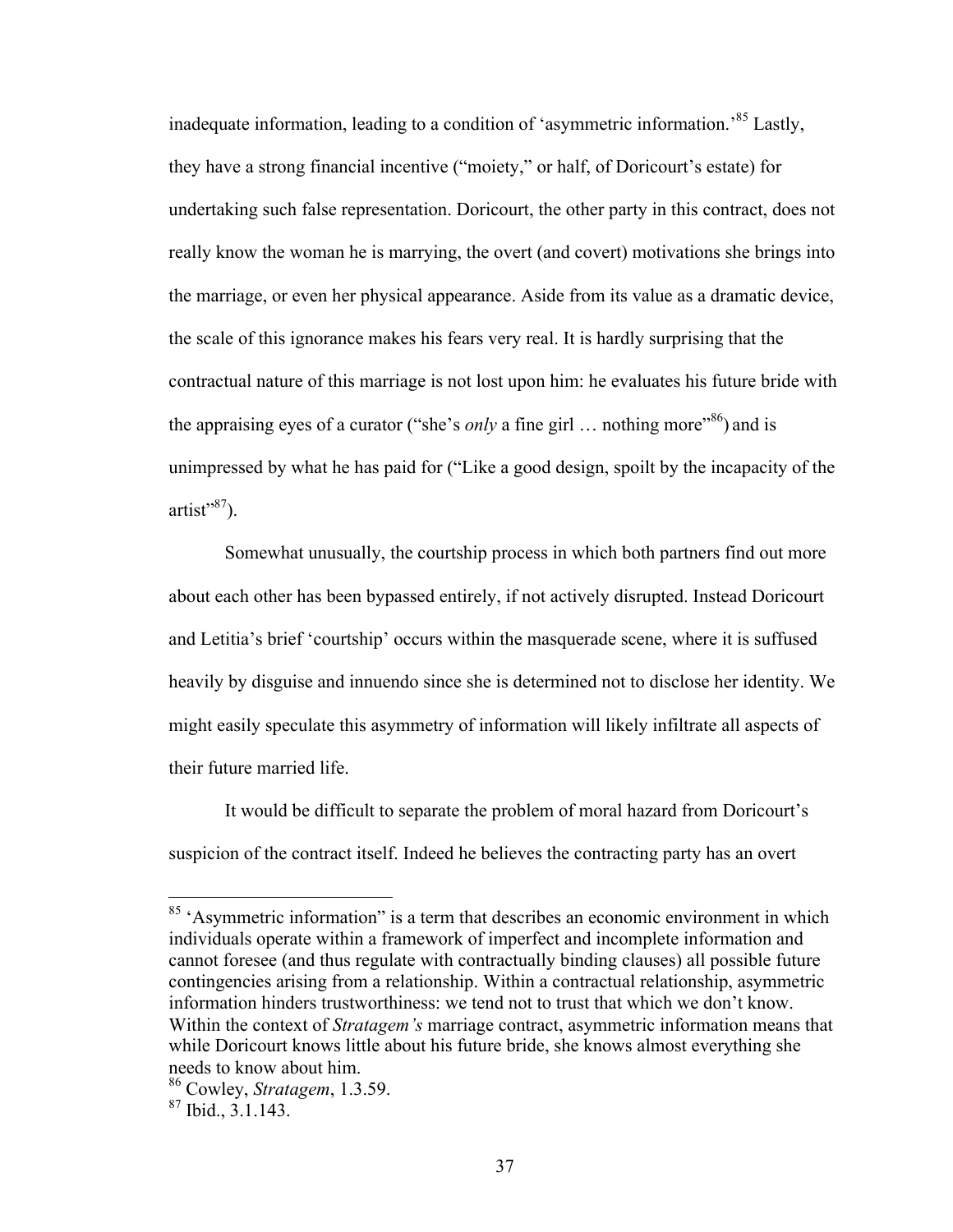inadequate information, leading to a condition of 'asymmetric information.'85 Lastly, they have a strong financial incentive ("moiety," or half, of Doricourt's estate) for undertaking such false representation. Doricourt, the other party in this contract, does not really know the woman he is marrying, the overt (and covert) motivations she brings into the marriage, or even her physical appearance. Aside from its value as a dramatic device, the scale of this ignorance makes his fears very real. It is hardly surprising that the contractual nature of this marriage is not lost upon him: he evaluates his future bride with the appraising eyes of a curator ("she's *only* a fine girl ... nothing more"<sup>86</sup>) and is unimpressed by what he has paid for ("Like a good design, spoilt by the incapacity of the  $artist" <sup>87</sup>$ ).

Somewhat unusually, the courtship process in which both partners find out more about each other has been bypassed entirely, if not actively disrupted. Instead Doricourt and Letitia's brief 'courtship' occurs within the masquerade scene, where it is suffused heavily by disguise and innuendo since she is determined not to disclose her identity. We might easily speculate this asymmetry of information will likely infiltrate all aspects of their future married life.

It would be difficult to separate the problem of moral hazard from Doricourt's suspicion of the contract itself. Indeed he believes the contracting party has an overt

<sup>&</sup>lt;sup>85</sup> 'Asymmetric information'' is a term that describes an economic environment in which individuals operate within a framework of imperfect and incomplete information and cannot foresee (and thus regulate with contractually binding clauses) all possible future contingencies arising from a relationship. Within a contractual relationship, asymmetric information hinders trustworthiness: we tend not to trust that which we don't know. Within the context of *Stratagem's* marriage contract, asymmetric information means that while Doricourt knows little about his future bride, she knows almost everything she needs to know about him.

<sup>86</sup> Cowley, *Stratagem*, 1.3.59.

<sup>87</sup> Ibid., 3.1.143.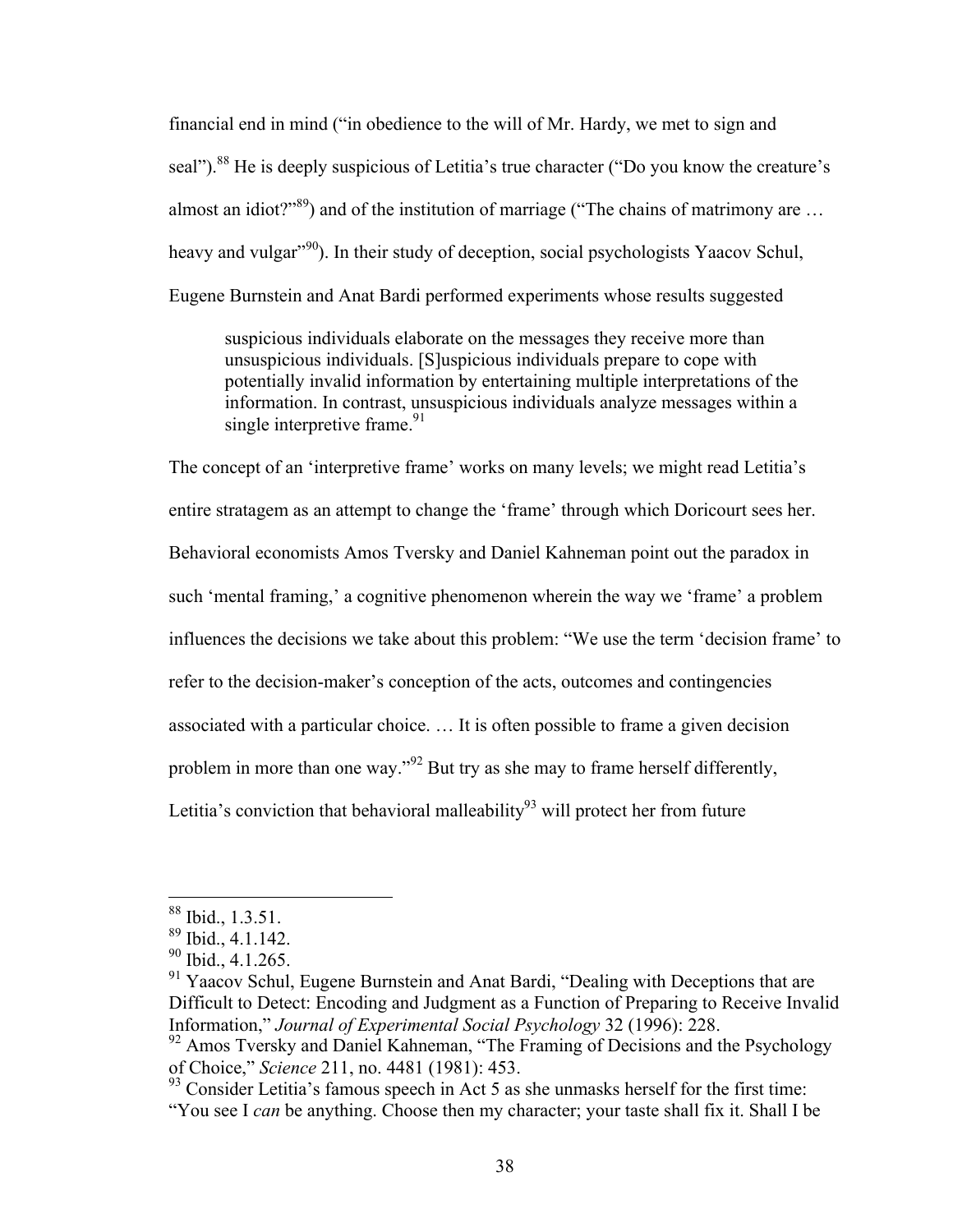financial end in mind ("in obedience to the will of Mr. Hardy, we met to sign and seal").<sup>88</sup> He is deeply suspicious of Letitia's true character ("Do you know the creature's almost an idiot?"<sup>89</sup>) and of the institution of marriage ("The chains of matrimony are ... heavy and vulgar<sup>"90</sup>). In their study of deception, social psychologists Yaacov Schul, Eugene Burnstein and Anat Bardi performed experiments whose results suggested

suspicious individuals elaborate on the messages they receive more than unsuspicious individuals. [S]uspicious individuals prepare to cope with potentially invalid information by entertaining multiple interpretations of the information. In contrast, unsuspicious individuals analyze messages within a single interpretive frame. $91$ 

The concept of an 'interpretive frame' works on many levels; we might read Letitia's entire stratagem as an attempt to change the 'frame' through which Doricourt sees her. Behavioral economists Amos Tversky and Daniel Kahneman point out the paradox in such 'mental framing,' a cognitive phenomenon wherein the way we 'frame' a problem influences the decisions we take about this problem: "We use the term 'decision frame' to refer to the decision-maker's conception of the acts, outcomes and contingencies associated with a particular choice. … It is often possible to frame a given decision problem in more than one way."92 But try as she may to frame herself differently, Letitia's conviction that behavioral malleability<sup>93</sup> will protect her from future

 $88$  Ibid., 1.3.51.

 $89$  Ibid., 4.1.142.

 $90$  Ibid., 4.1.265.

<sup>&</sup>lt;sup>91</sup> Yaacov Schul, Eugene Burnstein and Anat Bardi, "Dealing with Deceptions that are Difficult to Detect: Encoding and Judgment as a Function of Preparing to Receive Invalid Information," *Journal of Experimental Social Psychology* 32 (1996): 228.

<sup>&</sup>lt;sup>92</sup> Amos Tversky and Daniel Kahneman, "The Framing of Decisions and the Psychology of Choice," *Science* 211, no. 4481 (1981): 453.

 $93$  Consider Letitia's famous speech in Act 5 as she unmasks herself for the first time: "You see I *can* be anything. Choose then my character; your taste shall fix it. Shall I be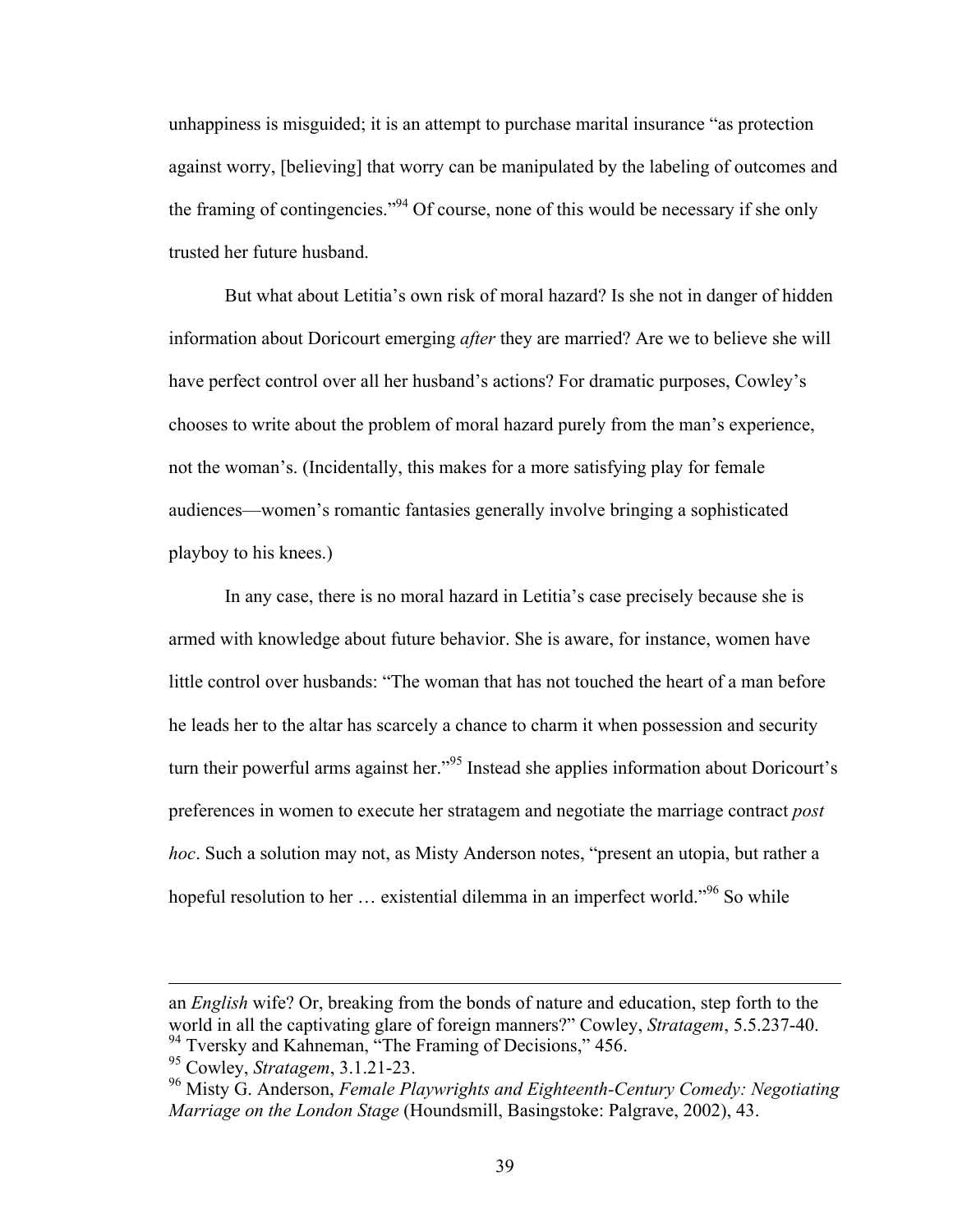unhappiness is misguided; it is an attempt to purchase marital insurance "as protection against worry, [believing] that worry can be manipulated by the labeling of outcomes and the framing of contingencies."94 Of course, none of this would be necessary if she only trusted her future husband.

But what about Letitia's own risk of moral hazard? Is she not in danger of hidden information about Doricourt emerging *after* they are married? Are we to believe she will have perfect control over all her husband's actions? For dramatic purposes, Cowley's chooses to write about the problem of moral hazard purely from the man's experience, not the woman's. (Incidentally, this makes for a more satisfying play for female audiences—women's romantic fantasies generally involve bringing a sophisticated playboy to his knees.)

In any case, there is no moral hazard in Letitia's case precisely because she is armed with knowledge about future behavior. She is aware, for instance, women have little control over husbands: "The woman that has not touched the heart of a man before he leads her to the altar has scarcely a chance to charm it when possession and security turn their powerful arms against her."<sup>95</sup> Instead she applies information about Doricourt's preferences in women to execute her stratagem and negotiate the marriage contract *post hoc*. Such a solution may not, as Misty Anderson notes, "present an utopia, but rather a hopeful resolution to her ... existential dilemma in an imperfect world."<sup>96</sup> So while

 $\overline{a}$ 

an *English* wife? Or, breaking from the bonds of nature and education, step forth to the world in all the captivating glare of foreign manners?" Cowley, *Stratagem*, 5.5.237-40. <sup>94</sup> Tversky and Kahneman, "The Framing of Decisions," 456.

<sup>95</sup> Cowley, *Stratagem*, 3.1.21-23.

<sup>96</sup> Misty G. Anderson, *Female Playwrights and Eighteenth-Century Comedy: Negotiating Marriage on the London Stage* (Houndsmill, Basingstoke: Palgrave, 2002), 43.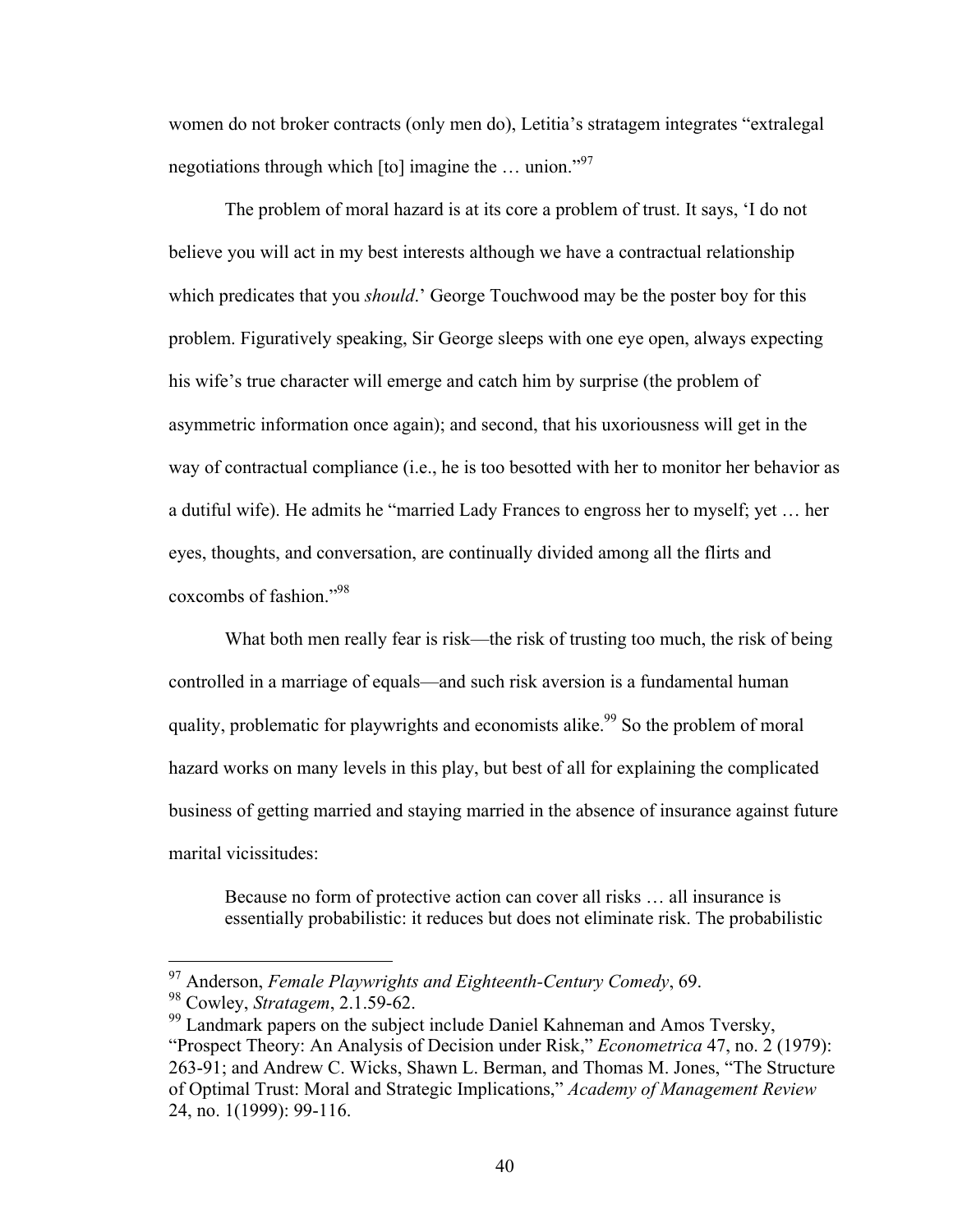women do not broker contracts (only men do), Letitia's stratagem integrates "extralegal negotiations through which  $[$ to $]$  imagine the ... union."<sup>97</sup>

The problem of moral hazard is at its core a problem of trust. It says, 'I do not believe you will act in my best interests although we have a contractual relationship which predicates that you *should*.' George Touchwood may be the poster boy for this problem. Figuratively speaking, Sir George sleeps with one eye open, always expecting his wife's true character will emerge and catch him by surprise (the problem of asymmetric information once again); and second, that his uxoriousness will get in the way of contractual compliance (i.e., he is too besotted with her to monitor her behavior as a dutiful wife). He admits he "married Lady Frances to engross her to myself; yet … her eyes, thoughts, and conversation, are continually divided among all the flirts and coxcombs of fashion." 98

What both men really fear is risk—the risk of trusting too much, the risk of being controlled in a marriage of equals—and such risk aversion is a fundamental human quality, problematic for playwrights and economists alike.<sup>99</sup> So the problem of moral hazard works on many levels in this play, but best of all for explaining the complicated business of getting married and staying married in the absence of insurance against future marital vicissitudes:

Because no form of protective action can cover all risks … all insurance is essentially probabilistic: it reduces but does not eliminate risk. The probabilistic

 <sup>97</sup> Anderson, *Female Playwrights and Eighteenth-Century Comedy*, 69.

<sup>98</sup> Cowley, *Stratagem*, 2.1.59-62.

<sup>&</sup>lt;sup>99</sup> Landmark papers on the subject include Daniel Kahneman and Amos Tversky, "Prospect Theory: An Analysis of Decision under Risk," *Econometrica* 47, no. 2 (1979): 263-91; and Andrew C. Wicks, Shawn L. Berman, and Thomas M. Jones, "The Structure of Optimal Trust: Moral and Strategic Implications," *Academy of Management Review* 24, no. 1(1999): 99-116.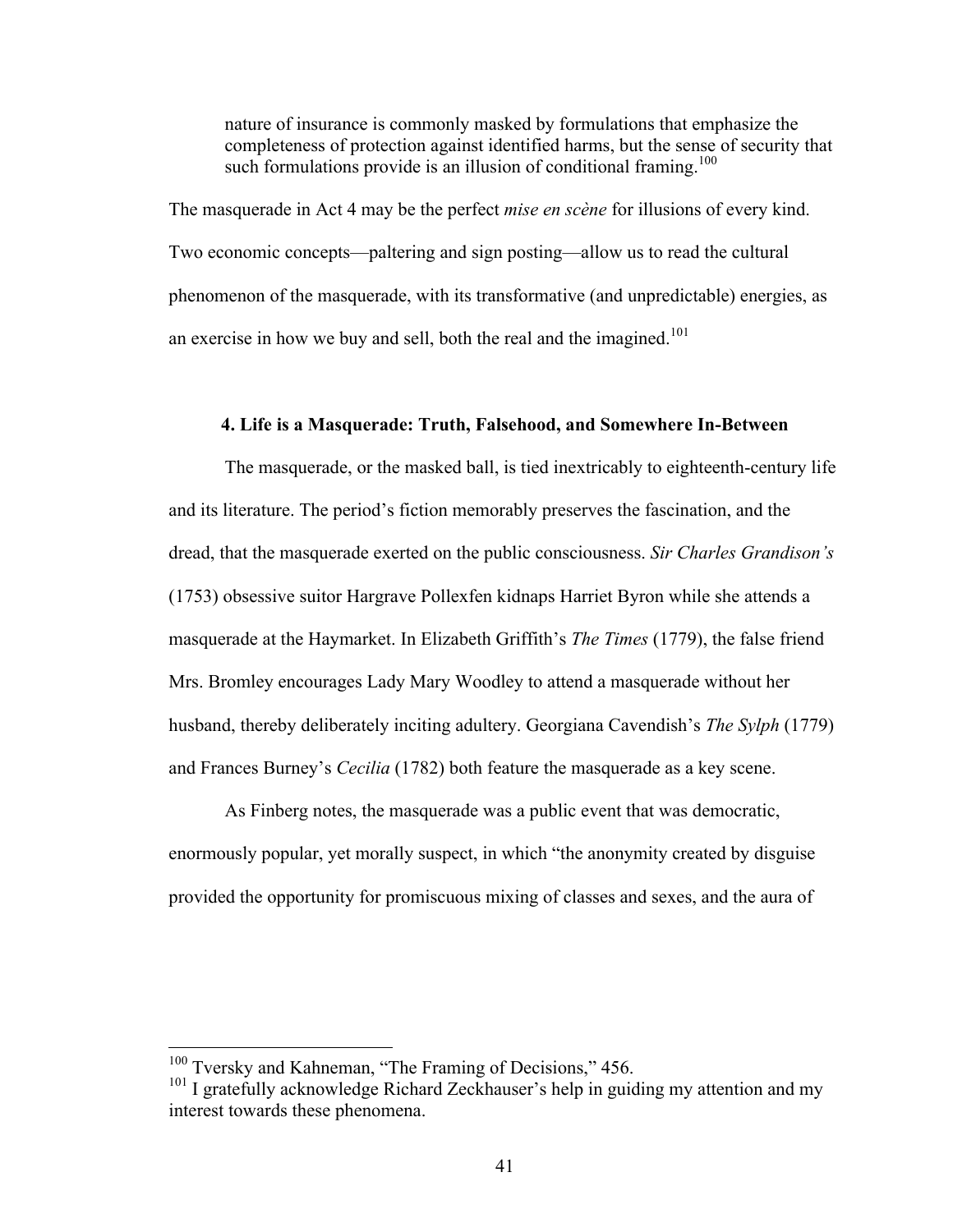nature of insurance is commonly masked by formulations that emphasize the completeness of protection against identified harms, but the sense of security that such formulations provide is an illusion of conditional framing.<sup>100</sup>

The masquerade in Act 4 may be the perfect *mise en scène* for illusions of every kind. Two economic concepts—paltering and sign posting—allow us to read the cultural phenomenon of the masquerade, with its transformative (and unpredictable) energies, as an exercise in how we buy and sell, both the real and the imagined.<sup>101</sup>

### **4. Life is a Masquerade: Truth, Falsehood, and Somewhere In-Between**

The masquerade, or the masked ball, is tied inextricably to eighteenth-century life and its literature. The period's fiction memorably preserves the fascination, and the dread, that the masquerade exerted on the public consciousness. *Sir Charles Grandison's* (1753) obsessive suitor Hargrave Pollexfen kidnaps Harriet Byron while she attends a masquerade at the Haymarket. In Elizabeth Griffith's *The Times* (1779), the false friend Mrs. Bromley encourages Lady Mary Woodley to attend a masquerade without her husband, thereby deliberately inciting adultery. Georgiana Cavendish's *The Sylph* (1779) and Frances Burney's *Cecilia* (1782) both feature the masquerade as a key scene.

As Finberg notes, the masquerade was a public event that was democratic, enormously popular, yet morally suspect, in which "the anonymity created by disguise provided the opportunity for promiscuous mixing of classes and sexes, and the aura of

<sup>&</sup>lt;sup>100</sup> Tversky and Kahneman, "The Framing of Decisions," 456.

<sup>&</sup>lt;sup>101</sup> I gratefully acknowledge Richard Zeckhauser's help in guiding my attention and my interest towards these phenomena.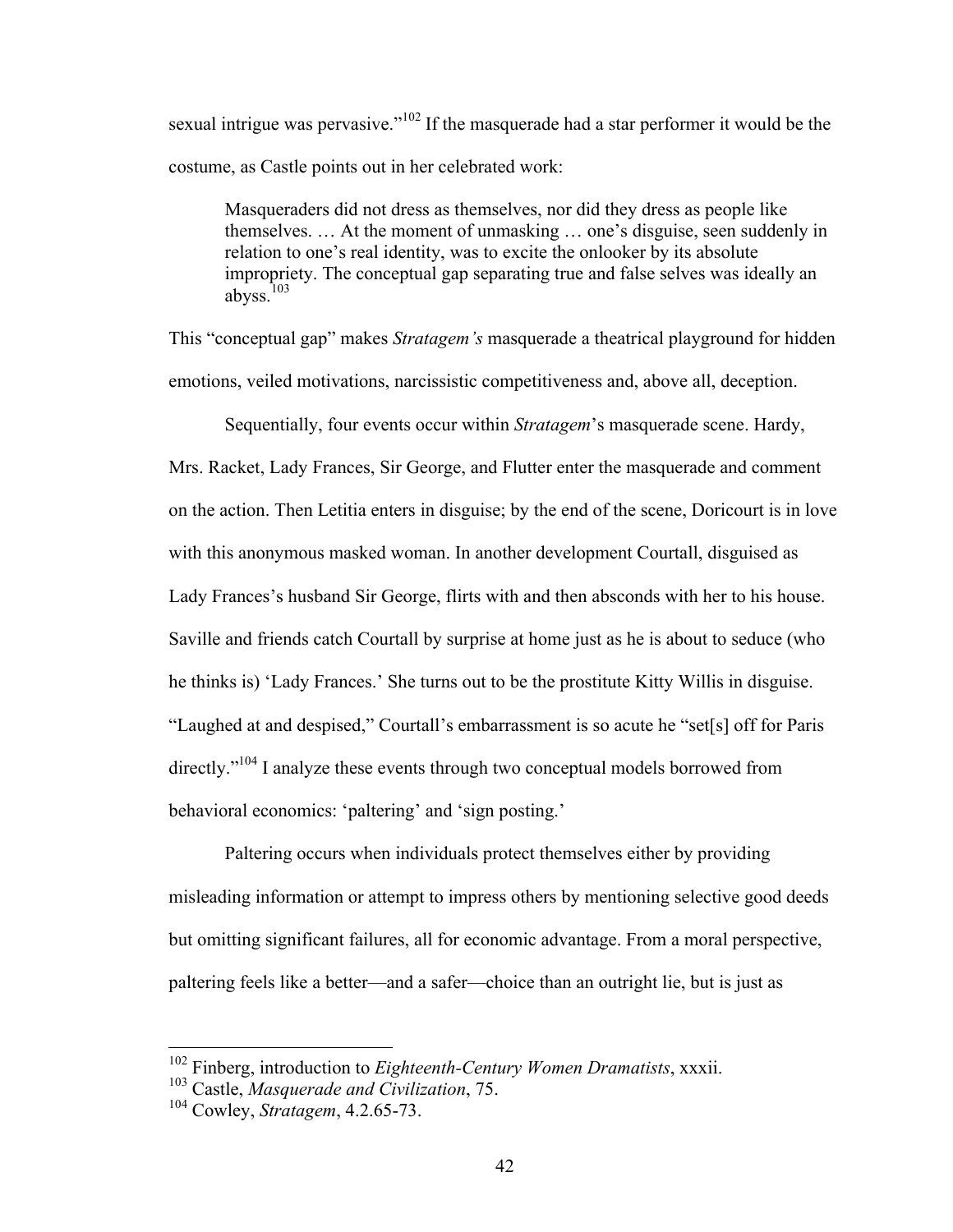sexual intrigue was pervasive."<sup>102</sup> If the masquerade had a star performer it would be the costume, as Castle points out in her celebrated work:

Masqueraders did not dress as themselves, nor did they dress as people like themselves. … At the moment of unmasking … one's disguise, seen suddenly in relation to one's real identity, was to excite the onlooker by its absolute impropriety. The conceptual gap separating true and false selves was ideally an abyss.<sup>103</sup>

This "conceptual gap" makes *Stratagem's* masquerade a theatrical playground for hidden emotions, veiled motivations, narcissistic competitiveness and, above all, deception.

Sequentially, four events occur within *Stratagem*'s masquerade scene. Hardy,

Mrs. Racket, Lady Frances, Sir George, and Flutter enter the masquerade and comment on the action. Then Letitia enters in disguise; by the end of the scene, Doricourt is in love with this anonymous masked woman. In another development Courtall, disguised as Lady Frances's husband Sir George, flirts with and then absconds with her to his house. Saville and friends catch Courtall by surprise at home just as he is about to seduce (who he thinks is) 'Lady Frances.' She turns out to be the prostitute Kitty Willis in disguise. "Laughed at and despised," Courtall's embarrassment is so acute he "set[s] off for Paris directly."<sup>104</sup> I analyze these events through two conceptual models borrowed from behavioral economics: 'paltering' and 'sign posting.'

Paltering occurs when individuals protect themselves either by providing misleading information or attempt to impress others by mentioning selective good deeds but omitting significant failures, all for economic advantage. From a moral perspective, paltering feels like a better—and a safer—choice than an outright lie, but is just as

 <sup>102</sup> Finberg, introduction to *Eighteenth-Century Women Dramatists*, xxxii.

<sup>103</sup> Castle, *Masquerade and Civilization*, 75.

<sup>104</sup> Cowley, *Stratagem*, 4.2.65-73.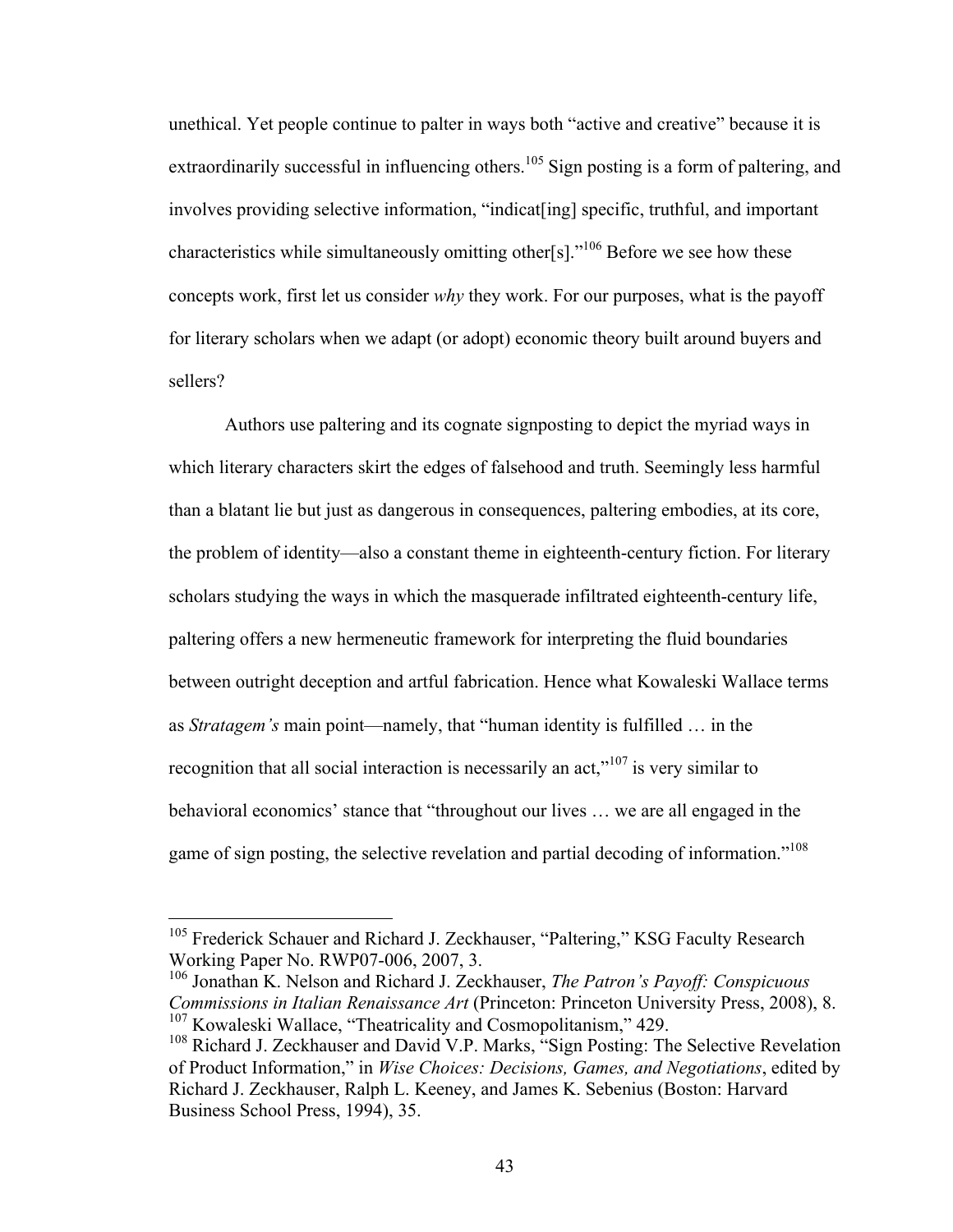unethical. Yet people continue to palter in ways both "active and creative" because it is extraordinarily successful in influencing others.<sup>105</sup> Sign posting is a form of paltering, and involves providing selective information, "indicat[ing] specific, truthful, and important characteristics while simultaneously omitting other[s]."106 Before we see how these concepts work, first let us consider *why* they work. For our purposes, what is the payoff for literary scholars when we adapt (or adopt) economic theory built around buyers and sellers?

Authors use paltering and its cognate signposting to depict the myriad ways in which literary characters skirt the edges of falsehood and truth. Seemingly less harmful than a blatant lie but just as dangerous in consequences, paltering embodies, at its core, the problem of identity—also a constant theme in eighteenth-century fiction. For literary scholars studying the ways in which the masquerade infiltrated eighteenth-century life, paltering offers a new hermeneutic framework for interpreting the fluid boundaries between outright deception and artful fabrication. Hence what Kowaleski Wallace terms as *Stratagem's* main point—namely, that "human identity is fulfilled … in the recognition that all social interaction is necessarily an act,"<sup>107</sup> is very similar to behavioral economics' stance that "throughout our lives … we are all engaged in the game of sign posting, the selective revelation and partial decoding of information.<sup>"108</sup>

<sup>&</sup>lt;sup>105</sup> Frederick Schauer and Richard J. Zeckhauser, "Paltering," KSG Faculty Research Working Paper No. RWP07-006, 2007, 3.

<sup>106</sup> Jonathan K. Nelson and Richard J. Zeckhauser, *The Patron's Payoff: Conspicuous Commissions in Italian Renaissance Art* (Princeton: Princeton University Press, 2008), 8. <sup>107</sup> Kowaleski Wallace, "Theatricality and Cosmopolitanism," 429.

<sup>&</sup>lt;sup>108</sup> Richard J. Zeckhauser and David V.P. Marks, "Sign Posting: The Selective Revelation of Product Information," in *Wise Choices: Decisions, Games, and Negotiations*, edited by Richard J. Zeckhauser, Ralph L. Keeney, and James K. Sebenius (Boston: Harvard Business School Press, 1994), 35.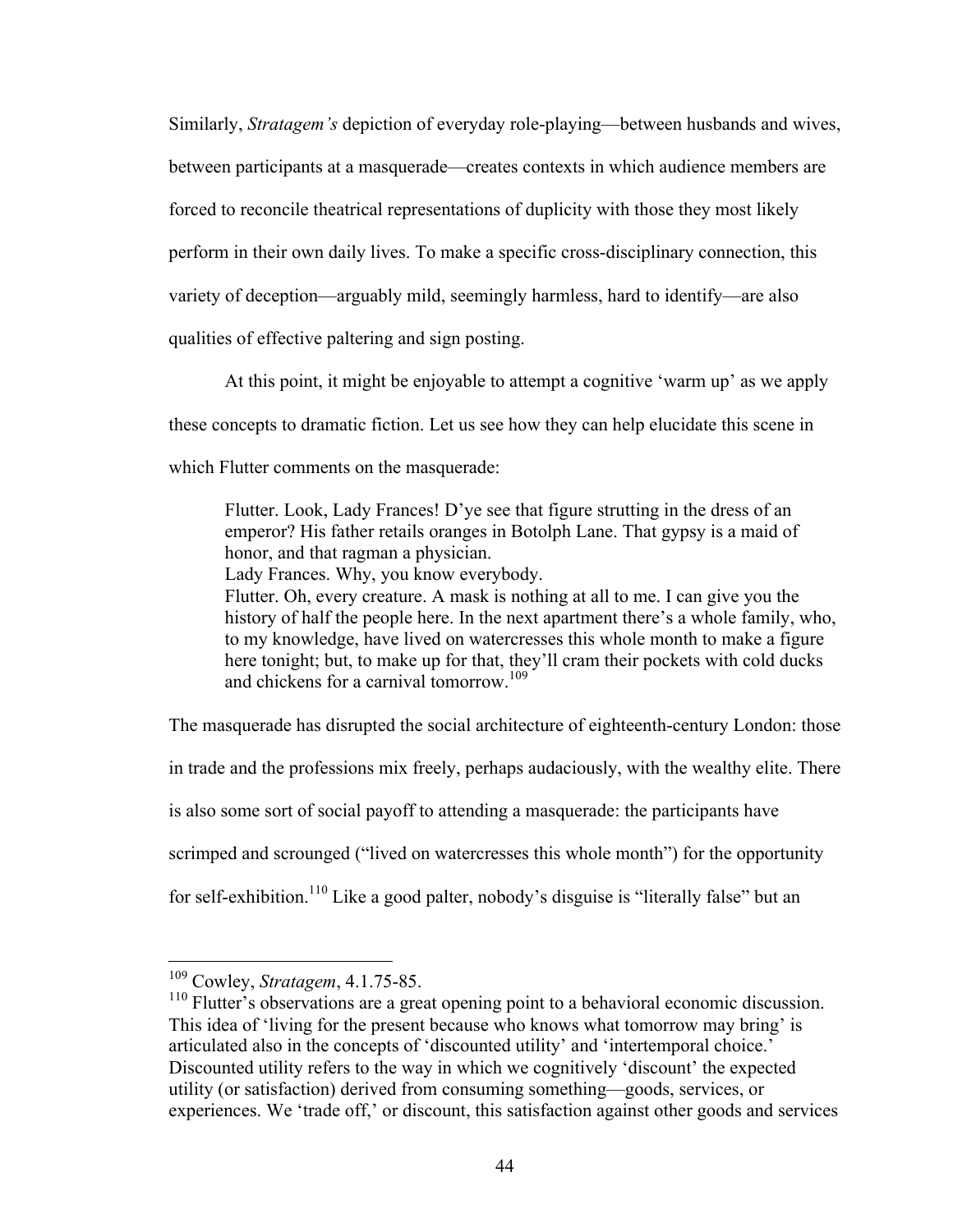Similarly, *Stratagem's* depiction of everyday role-playing—between husbands and wives, between participants at a masquerade—creates contexts in which audience members are forced to reconcile theatrical representations of duplicity with those they most likely perform in their own daily lives. To make a specific cross-disciplinary connection, this variety of deception—arguably mild, seemingly harmless, hard to identify—are also qualities of effective paltering and sign posting.

At this point, it might be enjoyable to attempt a cognitive 'warm up' as we apply these concepts to dramatic fiction. Let us see how they can help elucidate this scene in which Flutter comments on the masquerade:

Flutter. Look, Lady Frances! D'ye see that figure strutting in the dress of an emperor? His father retails oranges in Botolph Lane. That gypsy is a maid of honor, and that ragman a physician.

Lady Frances. Why, you know everybody.

Flutter. Oh, every creature. A mask is nothing at all to me. I can give you the history of half the people here. In the next apartment there's a whole family, who, to my knowledge, have lived on watercresses this whole month to make a figure here tonight; but, to make up for that, they'll cram their pockets with cold ducks and chickens for a carnival tomorrow.<sup>109</sup>

The masquerade has disrupted the social architecture of eighteenth-century London: those in trade and the professions mix freely, perhaps audaciously, with the wealthy elite. There is also some sort of social payoff to attending a masquerade: the participants have scrimped and scrounged ("lived on watercresses this whole month") for the opportunity for self-exhibition.<sup>110</sup> Like a good palter, nobody's disguise is "literally false" but an

 <sup>109</sup> Cowley, *Stratagem*, 4.1.75-85.

<sup>&</sup>lt;sup>110</sup> Flutter's observations are a great opening point to a behavioral economic discussion. This idea of 'living for the present because who knows what tomorrow may bring' is articulated also in the concepts of 'discounted utility' and 'intertemporal choice.' Discounted utility refers to the way in which we cognitively 'discount' the expected utility (or satisfaction) derived from consuming something—goods, services, or experiences. We 'trade off,' or discount, this satisfaction against other goods and services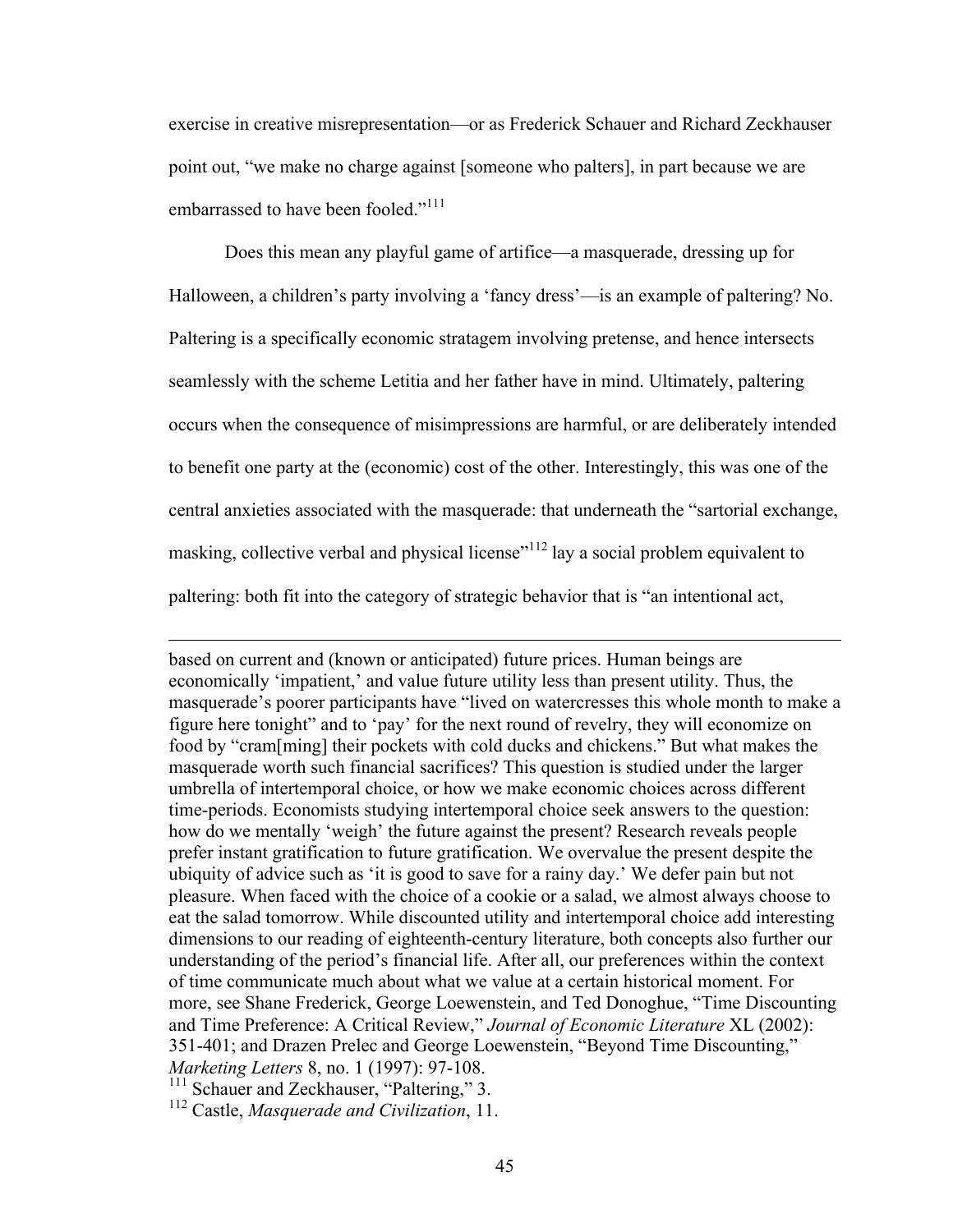exercise in creative misrepresentation—or as Frederick Schauer and Richard Zeckhauser point out, "we make no charge against [someone who palters], in part because we are embarrassed to have been fooled."<sup>111</sup>

Does this mean any playful game of artifice—a masquerade, dressing up for Halloween, a children's party involving a 'fancy dress'—is an example of paltering? No. Paltering is a specifically economic stratagem involving pretense, and hence intersects seamlessly with the scheme Letitia and her father have in mind. Ultimately, paltering occurs when the consequence of misimpressions are harmful, or are deliberately intended to benefit one party at the (economic) cost of the other. Interestingly, this was one of the central anxieties associated with the masquerade: that underneath the "sartorial exchange, masking, collective verbal and physical license<sup>"112</sup> lay a social problem equivalent to paltering: both fit into the category of strategic behavior that is "an intentional act,

based on current and (known or anticipated) future prices. Human beings are economically 'impatient,' and value future utility less than present utility. Thus, the masquerade's poorer participants have "lived on watercresses this whole month to make a figure here tonight" and to 'pay' for the next round of revelry, they will economize on food by "cram[ming] their pockets with cold ducks and chickens." But what makes the masquerade worth such financial sacrifices? This question is studied under the larger umbrella of intertemporal choice, or how we make economic choices across different time-periods. Economists studying intertemporal choice seek answers to the question: how do we mentally 'weigh' the future against the present? Research reveals people prefer instant gratification to future gratification. We overvalue the present despite the ubiquity of advice such as 'it is good to save for a rainy day.' We defer pain but not pleasure. When faced with the choice of a cookie or a salad, we almost always choose to eat the salad tomorrow. While discounted utility and intertemporal choice add interesting dimensions to our reading of eighteenth-century literature, both concepts also further our understanding of the period's financial life. After all, our preferences within the context of time communicate much about what we value at a certain historical moment. For more, see Shane Frederick, George Loewenstein, and Ted Donoghue, "Time Discounting and Time Preference: A Critical Review," *Journal of Economic Literature* XL (2002): 351-401; and Drazen Prelec and George Loewenstein, "Beyond Time Discounting," *Marketing Letters* 8, no. 1 (1997): 97-108.

<sup>111</sup> Schauer and Zeckhauser, "Paltering," 3.

 $\overline{a}$ 

<sup>112</sup> Castle, *Masquerade and Civilization*, 11.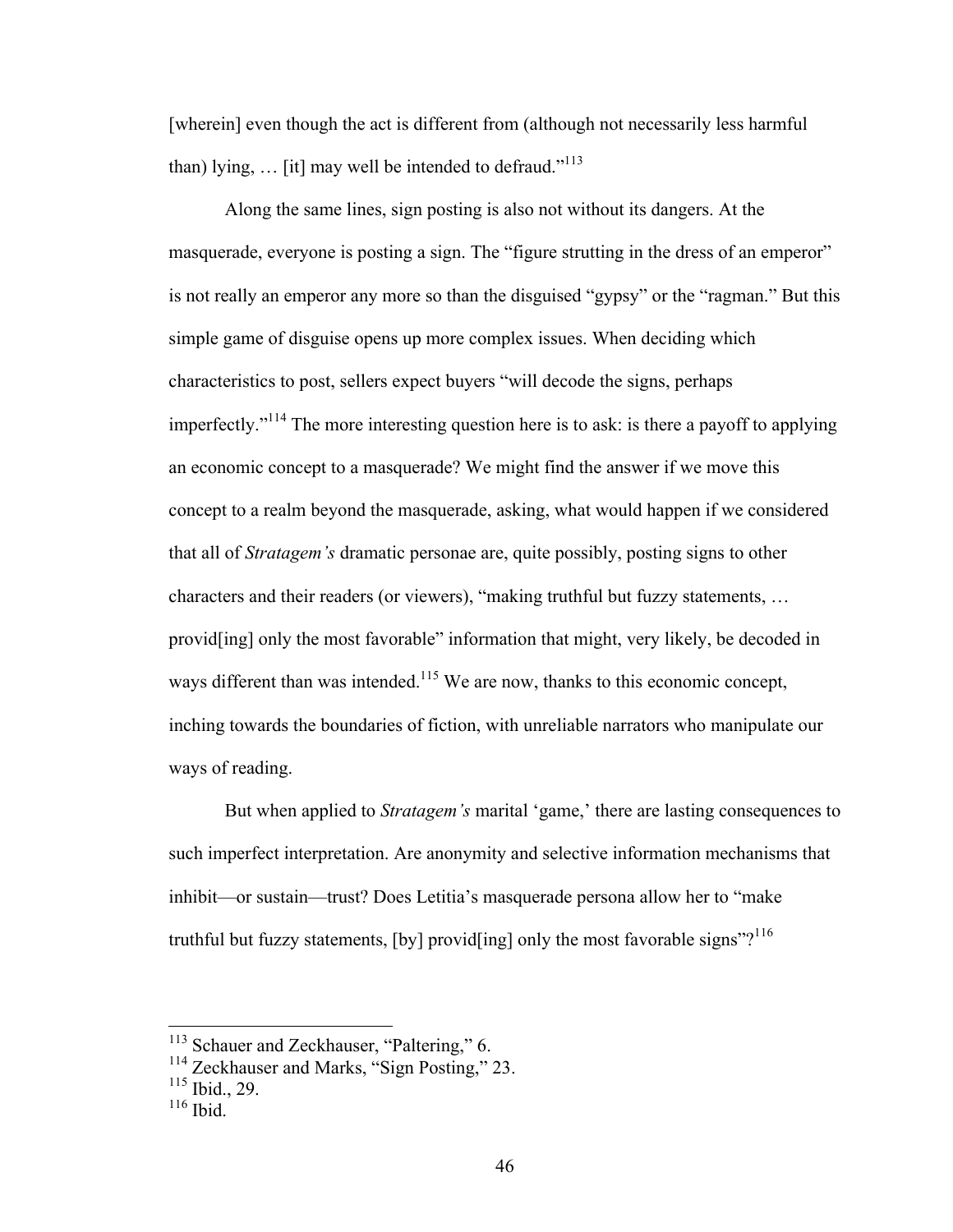[wherein] even though the act is different from (although not necessarily less harmful than) lying,  $\ldots$  [it] may well be intended to defraud."<sup>113</sup>

Along the same lines, sign posting is also not without its dangers. At the masquerade, everyone is posting a sign. The "figure strutting in the dress of an emperor" is not really an emperor any more so than the disguised "gypsy" or the "ragman." But this simple game of disguise opens up more complex issues. When deciding which characteristics to post, sellers expect buyers "will decode the signs, perhaps imperfectly."114 The more interesting question here is to ask: is there a payoff to applying an economic concept to a masquerade? We might find the answer if we move this concept to a realm beyond the masquerade, asking, what would happen if we considered that all of *Stratagem's* dramatic personae are, quite possibly, posting signs to other characters and their readers (or viewers), "making truthful but fuzzy statements, … provid[ing] only the most favorable" information that might, very likely, be decoded in ways different than was intended.<sup>115</sup> We are now, thanks to this economic concept, inching towards the boundaries of fiction, with unreliable narrators who manipulate our ways of reading.

But when applied to *Stratagem's* marital 'game,' there are lasting consequences to such imperfect interpretation. Are anonymity and selective information mechanisms that inhibit—or sustain—trust? Does Letitia's masquerade persona allow her to "make truthful but fuzzy statements,  $[by]$  provid $[ing]$  only the most favorable signs"?<sup>116</sup>

<sup>&</sup>lt;sup>113</sup> Schauer and Zeckhauser, "Paltering," 6.

<sup>&</sup>lt;sup>114</sup> Zeckhauser and Marks, "Sign Posting," 23.

<sup>115</sup> Ibid., 29.

 $116$  Ibid.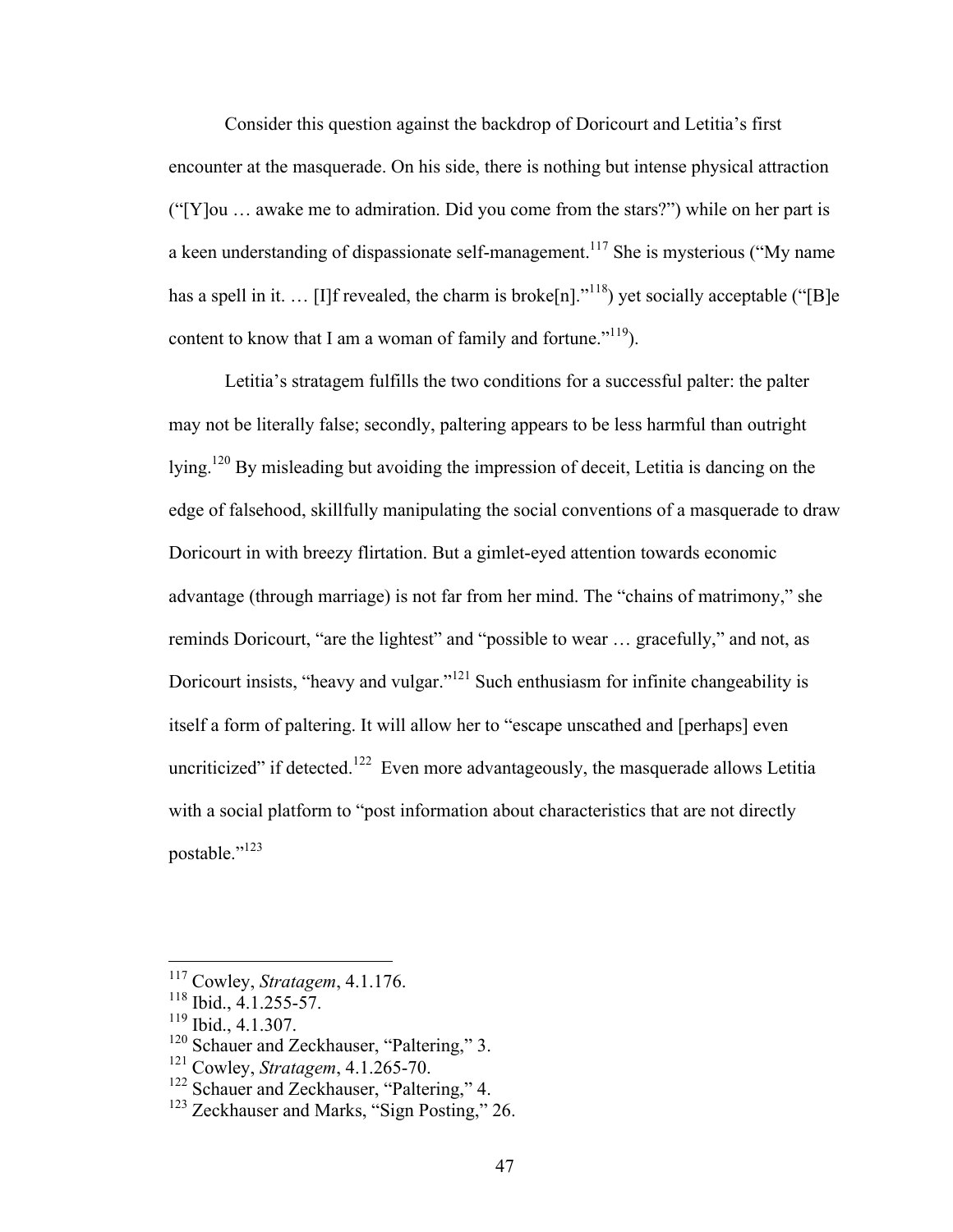Consider this question against the backdrop of Doricourt and Letitia's first encounter at the masquerade. On his side, there is nothing but intense physical attraction ("[Y]ou … awake me to admiration. Did you come from the stars?") while on her part is a keen understanding of dispassionate self-management.<sup>117</sup> She is mysterious ("My name") has a spell in it. ... [I]f revealed, the charm is broke[n]."<sup>118</sup>) yet socially acceptable ("[B]e content to know that I am a woman of family and fortune." $119$ ).

Letitia's stratagem fulfills the two conditions for a successful palter: the palter may not be literally false; secondly, paltering appears to be less harmful than outright lying.120 By misleading but avoiding the impression of deceit, Letitia is dancing on the edge of falsehood, skillfully manipulating the social conventions of a masquerade to draw Doricourt in with breezy flirtation. But a gimlet-eyed attention towards economic advantage (through marriage) is not far from her mind. The "chains of matrimony," she reminds Doricourt, "are the lightest" and "possible to wear … gracefully," and not, as Doricourt insists, "heavy and vulgar."<sup>121</sup> Such enthusiasm for infinite changeability is itself a form of paltering. It will allow her to "escape unscathed and [perhaps] even uncriticized" if detected.<sup>122</sup> Even more advantageously, the masquerade allows Letitia with a social platform to "post information about characteristics that are not directly postable."<sup>123</sup>

 <sup>117</sup> Cowley, *Stratagem*, 4.1.176.

<sup>118</sup> Ibid., 4.1.255-57.

<sup>119</sup> Ibid., 4.1.307.

<sup>&</sup>lt;sup>120</sup> Schauer and Zeckhauser, "Paltering," 3.

<sup>121</sup> Cowley, *Stratagem*, 4.1.265-70.

<sup>&</sup>lt;sup>122</sup> Schauer and Zeckhauser, "Paltering," 4.

<sup>&</sup>lt;sup>123</sup> Zeckhauser and Marks, "Sign Posting," 26.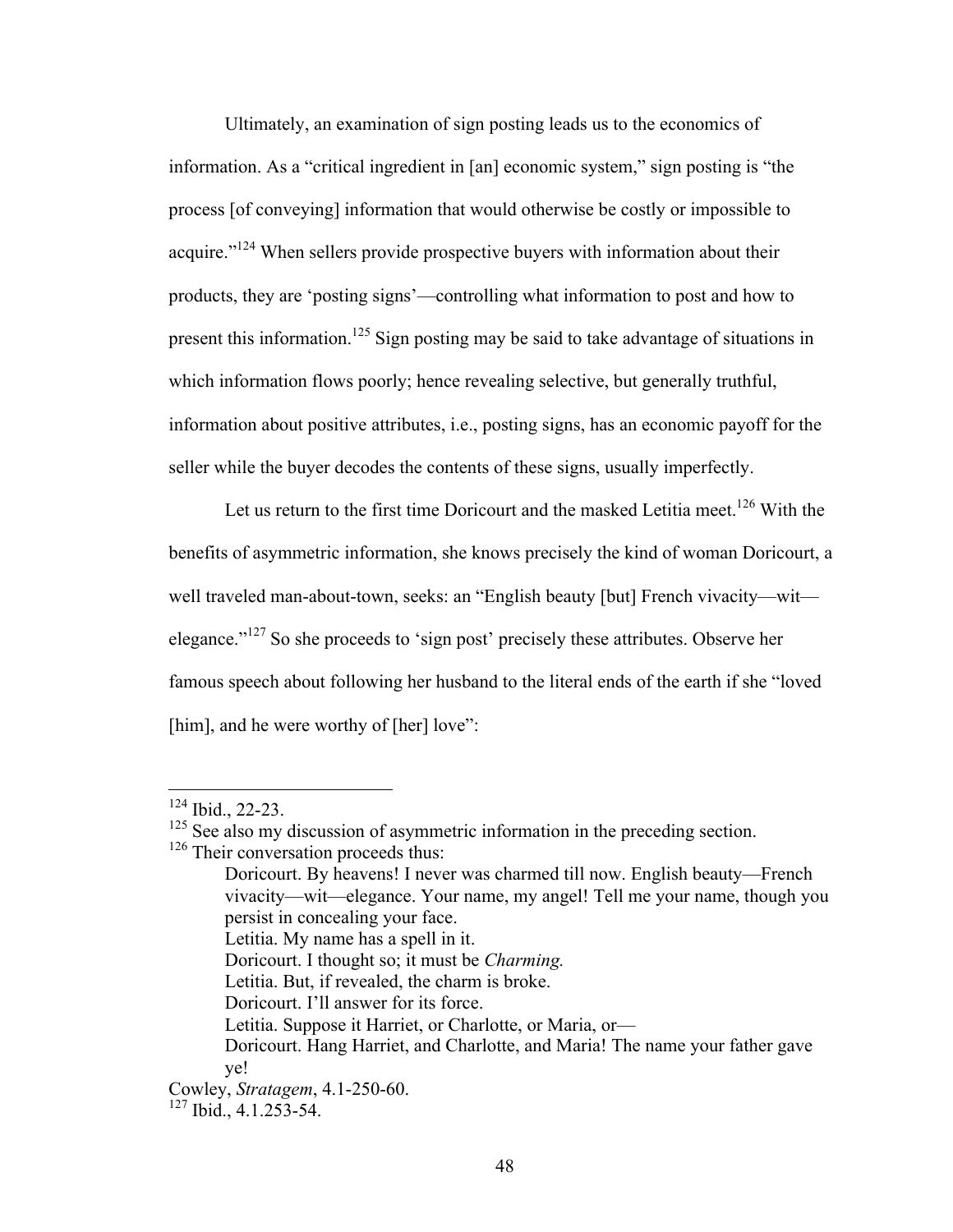Ultimately, an examination of sign posting leads us to the economics of information. As a "critical ingredient in [an] economic system," sign posting is "the process [of conveying] information that would otherwise be costly or impossible to acquire."<sup>124</sup> When sellers provide prospective buyers with information about their products, they are 'posting signs'—controlling what information to post and how to present this information.<sup>125</sup> Sign posting may be said to take advantage of situations in which information flows poorly; hence revealing selective, but generally truthful, information about positive attributes, i.e., posting signs, has an economic payoff for the seller while the buyer decodes the contents of these signs, usually imperfectly.

Let us return to the first time Doricourt and the masked Letitia meet.<sup>126</sup> With the benefits of asymmetric information, she knows precisely the kind of woman Doricourt, a well traveled man-about-town, seeks: an "English beauty [but] French vivacity—wit elegance."<sup>127</sup> So she proceeds to 'sign post' precisely these attributes. Observe her famous speech about following her husband to the literal ends of the earth if she "loved [him], and he were worthy of [her] love":

- Letitia. My name has a spell in it.
- Doricourt. I thought so; it must be *Charming.*
- Letitia. But, if revealed, the charm is broke.
- Doricourt. I'll answer for its force.

 <sup>124</sup> Ibid., 22-23.

<sup>&</sup>lt;sup>125</sup> See also my discussion of asymmetric information in the preceding section.

<sup>&</sup>lt;sup>126</sup> Their conversation proceeds thus:

Doricourt. By heavens! I never was charmed till now. English beauty—French vivacity—wit—elegance. Your name, my angel! Tell me your name, though you persist in concealing your face.

Letitia. Suppose it Harriet, or Charlotte, or Maria, or—

Doricourt. Hang Harriet, and Charlotte, and Maria! The name your father gave ye!

Cowley, *Stratagem*, 4.1-250-60.

<sup>127</sup> Ibid., 4.1.253-54.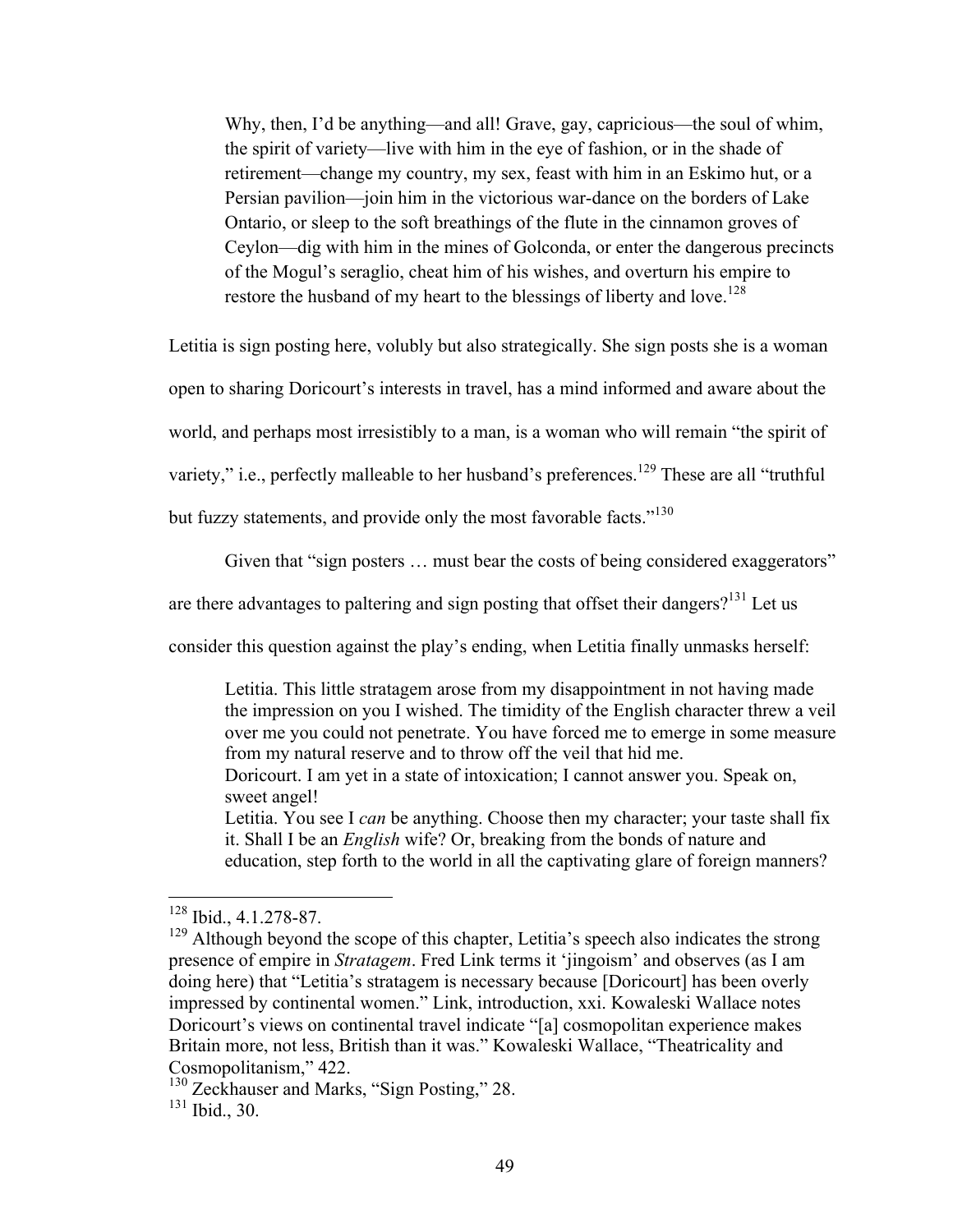Why, then, I'd be anything—and all! Grave, gay, capricious—the soul of whim, the spirit of variety—live with him in the eye of fashion, or in the shade of retirement—change my country, my sex, feast with him in an Eskimo hut, or a Persian pavilion—join him in the victorious war-dance on the borders of Lake Ontario, or sleep to the soft breathings of the flute in the cinnamon groves of Ceylon—dig with him in the mines of Golconda, or enter the dangerous precincts of the Mogul's seraglio, cheat him of his wishes, and overturn his empire to restore the husband of my heart to the blessings of liberty and love.<sup>128</sup>

Letitia is sign posting here, volubly but also strategically. She sign posts she is a woman

open to sharing Doricourt's interests in travel, has a mind informed and aware about the

world, and perhaps most irresistibly to a man, is a woman who will remain "the spirit of

variety," i.e., perfectly malleable to her husband's preferences.<sup>129</sup> These are all "truthful"

but fuzzy statements, and provide only the most favorable facts."<sup>130</sup>

Given that "sign posters ... must bear the costs of being considered exaggerators"

are there advantages to paltering and sign posting that offset their dangers?<sup>131</sup> Let us

consider this question against the play's ending, when Letitia finally unmasks herself:

Letitia. This little stratagem arose from my disappointment in not having made the impression on you I wished. The timidity of the English character threw a veil over me you could not penetrate. You have forced me to emerge in some measure from my natural reserve and to throw off the veil that hid me.

Doricourt. I am yet in a state of intoxication; I cannot answer you. Speak on, sweet angel!

Letitia. You see I *can* be anything. Choose then my character; your taste shall fix it. Shall I be an *English* wife? Or, breaking from the bonds of nature and education, step forth to the world in all the captivating glare of foreign manners?

 $128$  Ibid., 4.1.278-87.

<sup>&</sup>lt;sup>129</sup> Although beyond the scope of this chapter, Letitia's speech also indicates the strong presence of empire in *Stratagem*. Fred Link terms it 'jingoism' and observes (as I am doing here) that "Letitia's stratagem is necessary because [Doricourt] has been overly impressed by continental women." Link, introduction, xxi. Kowaleski Wallace notes Doricourt's views on continental travel indicate "[a] cosmopolitan experience makes Britain more, not less, British than it was." Kowaleski Wallace, "Theatricality and Cosmopolitanism," 422.

<sup>&</sup>lt;sup>130</sup> Zeckhauser and Marks, "Sign Posting," 28.  $131$  Ibid., 30.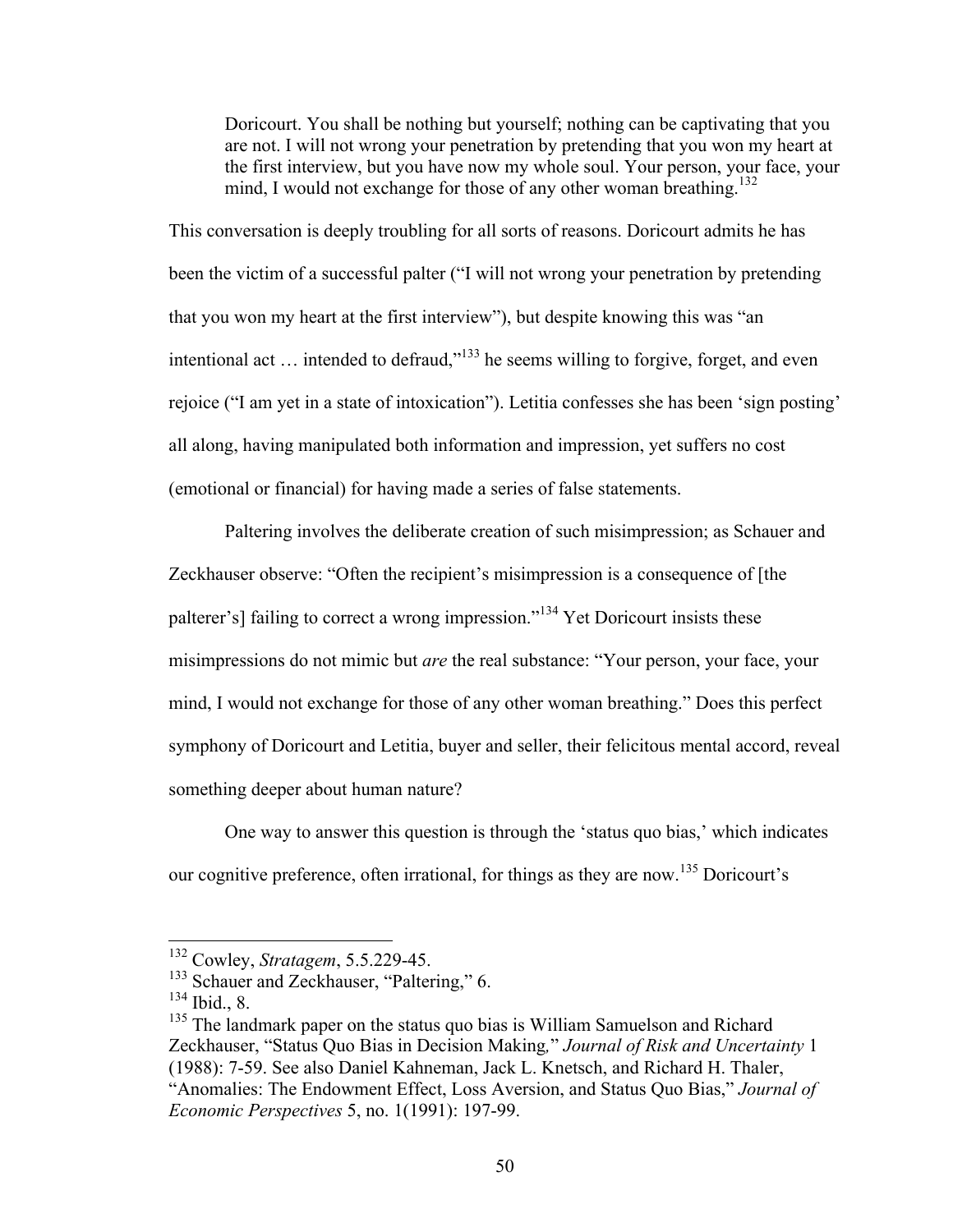Doricourt. You shall be nothing but yourself; nothing can be captivating that you are not. I will not wrong your penetration by pretending that you won my heart at the first interview, but you have now my whole soul. Your person, your face, your mind, I would not exchange for those of any other woman breathing.<sup>132</sup>

This conversation is deeply troubling for all sorts of reasons. Doricourt admits he has been the victim of a successful palter ("I will not wrong your penetration by pretending that you won my heart at the first interview"), but despite knowing this was "an intentional act  $\ldots$  intended to defraud,"<sup>133</sup> he seems willing to forgive, forget, and even rejoice ("I am yet in a state of intoxication"). Letitia confesses she has been 'sign posting' all along, having manipulated both information and impression, yet suffers no cost (emotional or financial) for having made a series of false statements.

Paltering involves the deliberate creation of such misimpression; as Schauer and Zeckhauser observe: "Often the recipient's misimpression is a consequence of [the palterer's] failing to correct a wrong impression."<sup>134</sup> Yet Doricourt insists these misimpressions do not mimic but *are* the real substance: "Your person, your face, your mind, I would not exchange for those of any other woman breathing." Does this perfect symphony of Doricourt and Letitia, buyer and seller, their felicitous mental accord, reveal something deeper about human nature?

One way to answer this question is through the 'status quo bias,' which indicates our cognitive preference, often irrational, for things as they are now.<sup>135</sup> Doricourt's

 <sup>132</sup> Cowley, *Stratagem*, 5.5.229-45.

<sup>&</sup>lt;sup>133</sup> Schauer and Zeckhauser, "Paltering," 6.

<sup>134</sup> Ibid., 8.

<sup>&</sup>lt;sup>135</sup> The landmark paper on the status quo bias is William Samuelson and Richard Zeckhauser, "Status Quo Bias in Decision Making*,*" *Journal of Risk and Uncertainty* 1 (1988): 7-59. See also Daniel Kahneman, Jack L. Knetsch, and Richard H. Thaler, "Anomalies: The Endowment Effect, Loss Aversion, and Status Quo Bias," *Journal of Economic Perspectives* 5, no. 1(1991): 197-99.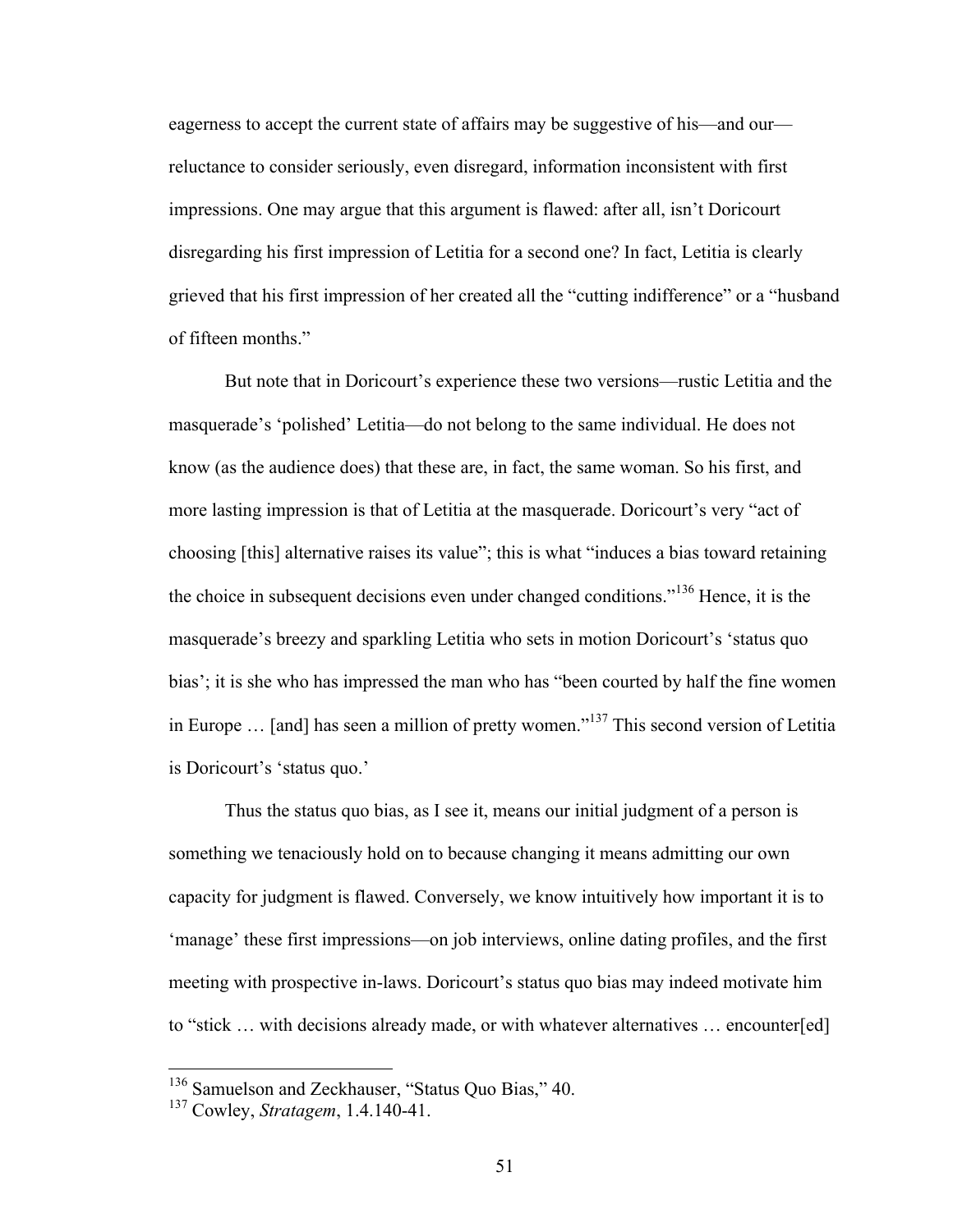eagerness to accept the current state of affairs may be suggestive of his—and our reluctance to consider seriously, even disregard, information inconsistent with first impressions. One may argue that this argument is flawed: after all, isn't Doricourt disregarding his first impression of Letitia for a second one? In fact, Letitia is clearly grieved that his first impression of her created all the "cutting indifference" or a "husband of fifteen months."

But note that in Doricourt's experience these two versions—rustic Letitia and the masquerade's 'polished' Letitia—do not belong to the same individual. He does not know (as the audience does) that these are, in fact, the same woman. So his first, and more lasting impression is that of Letitia at the masquerade. Doricourt's very "act of choosing [this] alternative raises its value"; this is what "induces a bias toward retaining the choice in subsequent decisions even under changed conditions."<sup>136</sup> Hence, it is the masquerade's breezy and sparkling Letitia who sets in motion Doricourt's 'status quo bias'; it is she who has impressed the man who has "been courted by half the fine women in Europe ... [and] has seen a million of pretty women."<sup>137</sup> This second version of Letitia is Doricourt's 'status quo.'

Thus the status quo bias, as I see it, means our initial judgment of a person is something we tenaciously hold on to because changing it means admitting our own capacity for judgment is flawed. Conversely, we know intuitively how important it is to 'manage' these first impressions—on job interviews, online dating profiles, and the first meeting with prospective in-laws. Doricourt's status quo bias may indeed motivate him to "stick … with decisions already made, or with whatever alternatives … encounter[ed]

<sup>&</sup>lt;sup>136</sup> Samuelson and Zeckhauser, "Status Quo Bias," 40.

<sup>137</sup> Cowley, *Stratagem*, 1.4.140-41.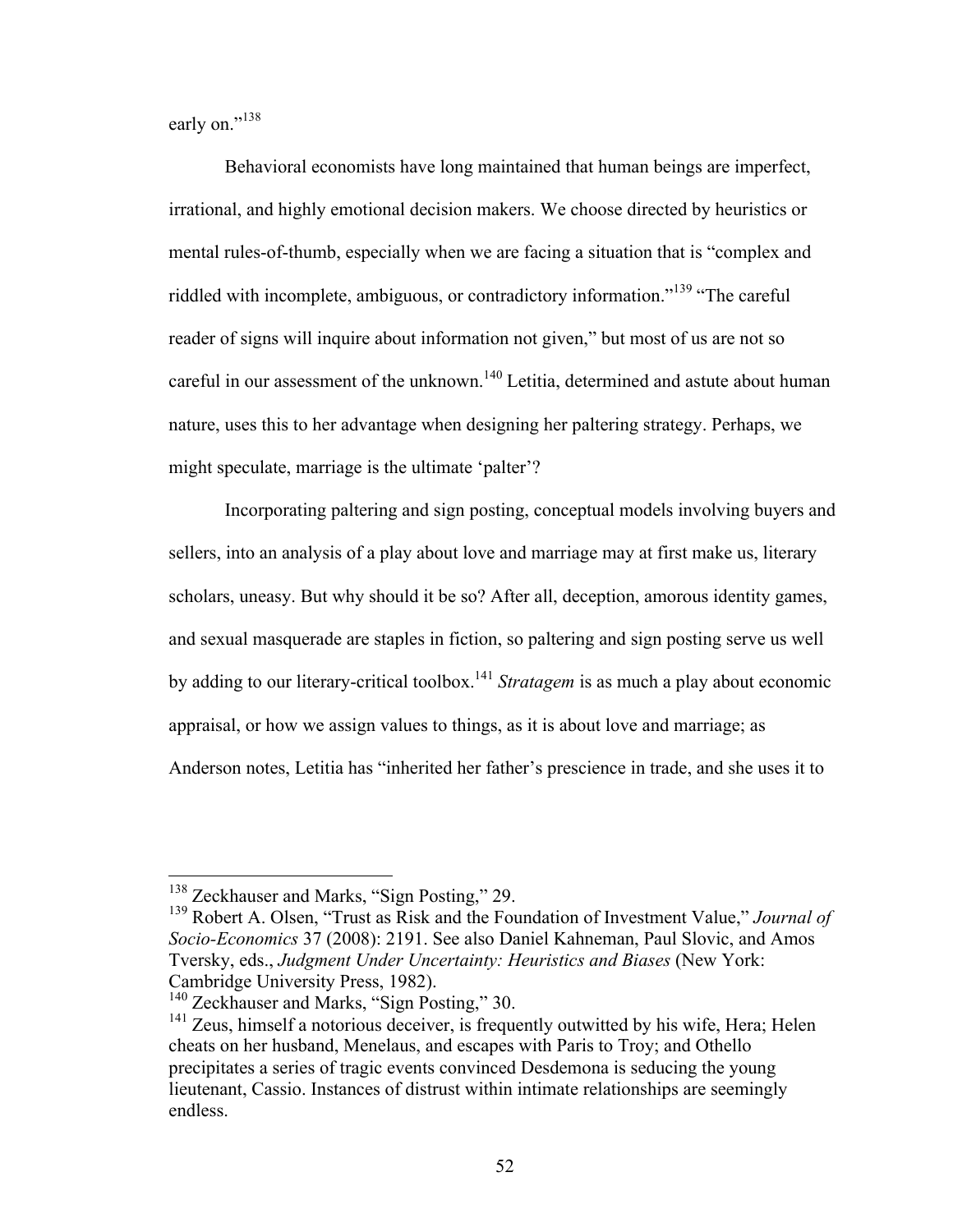early on."<sup>138</sup>

Behavioral economists have long maintained that human beings are imperfect, irrational, and highly emotional decision makers. We choose directed by heuristics or mental rules-of-thumb, especially when we are facing a situation that is "complex and riddled with incomplete, ambiguous, or contradictory information.<sup>"139</sup> "The careful reader of signs will inquire about information not given," but most of us are not so careful in our assessment of the unknown.<sup>140</sup> Letitia, determined and astute about human nature, uses this to her advantage when designing her paltering strategy. Perhaps, we might speculate, marriage is the ultimate 'palter'?

Incorporating paltering and sign posting, conceptual models involving buyers and sellers, into an analysis of a play about love and marriage may at first make us, literary scholars, uneasy. But why should it be so? After all, deception, amorous identity games, and sexual masquerade are staples in fiction, so paltering and sign posting serve us well by adding to our literary-critical toolbox.141 *Stratagem* is as much a play about economic appraisal, or how we assign values to things, as it is about love and marriage; as Anderson notes, Letitia has "inherited her father's prescience in trade, and she uses it to

<sup>&</sup>lt;sup>138</sup> Zeckhauser and Marks, "Sign Posting," 29.

<sup>139</sup> Robert A. Olsen, "Trust as Risk and the Foundation of Investment Value," *Journal of Socio-Economics* 37 (2008): 2191. See also Daniel Kahneman, Paul Slovic, and Amos Tversky, eds., *Judgment Under Uncertainty: Heuristics and Biases* (New York: Cambridge University Press, 1982).

<sup>&</sup>lt;sup>140</sup> Zeckhauser and Marks, "Sign Posting," 30.

<sup>&</sup>lt;sup>141</sup> Zeus, himself a notorious deceiver, is frequently outwitted by his wife, Hera; Helen cheats on her husband, Menelaus, and escapes with Paris to Troy; and Othello precipitates a series of tragic events convinced Desdemona is seducing the young lieutenant, Cassio. Instances of distrust within intimate relationships are seemingly endless.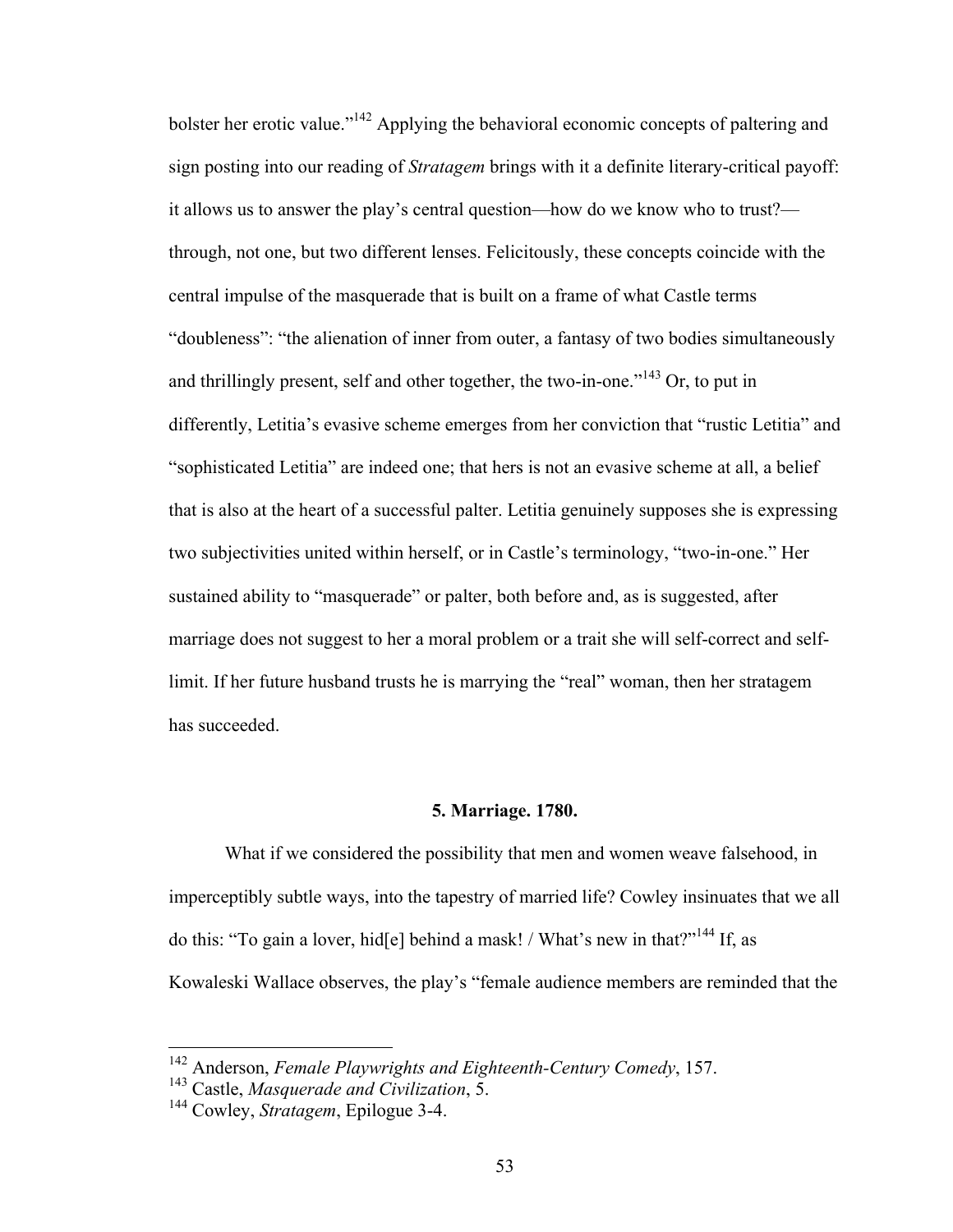bolster her erotic value."<sup>142</sup> Applying the behavioral economic concepts of paltering and sign posting into our reading of *Stratagem* brings with it a definite literary-critical payoff: it allows us to answer the play's central question—how do we know who to trust? through, not one, but two different lenses. Felicitously, these concepts coincide with the central impulse of the masquerade that is built on a frame of what Castle terms "doubleness": "the alienation of inner from outer, a fantasy of two bodies simultaneously and thrillingly present, self and other together, the two-in-one."<sup>143</sup> Or, to put in differently, Letitia's evasive scheme emerges from her conviction that "rustic Letitia" and "sophisticated Letitia" are indeed one; that hers is not an evasive scheme at all, a belief that is also at the heart of a successful palter. Letitia genuinely supposes she is expressing two subjectivities united within herself, or in Castle's terminology, "two-in-one." Her sustained ability to "masquerade" or palter, both before and, as is suggested, after marriage does not suggest to her a moral problem or a trait she will self-correct and selflimit. If her future husband trusts he is marrying the "real" woman, then her stratagem has succeeded.

#### **5. Marriage. 1780.**

What if we considered the possibility that men and women weave falsehood, in imperceptibly subtle ways, into the tapestry of married life? Cowley insinuates that we all do this: "To gain a lover, hid[e] behind a mask! / What's new in that?"<sup>144</sup> If, as Kowaleski Wallace observes, the play's "female audience members are reminded that the

<sup>142</sup> Anderson, *Female Playwrights and Eighteenth-Century Comedy*, 157. <sup>143</sup> Castle, *Masquerade and Civilization*, 5. <sup>144</sup> Cowley, *Stratagem*, Epilogue 3-4.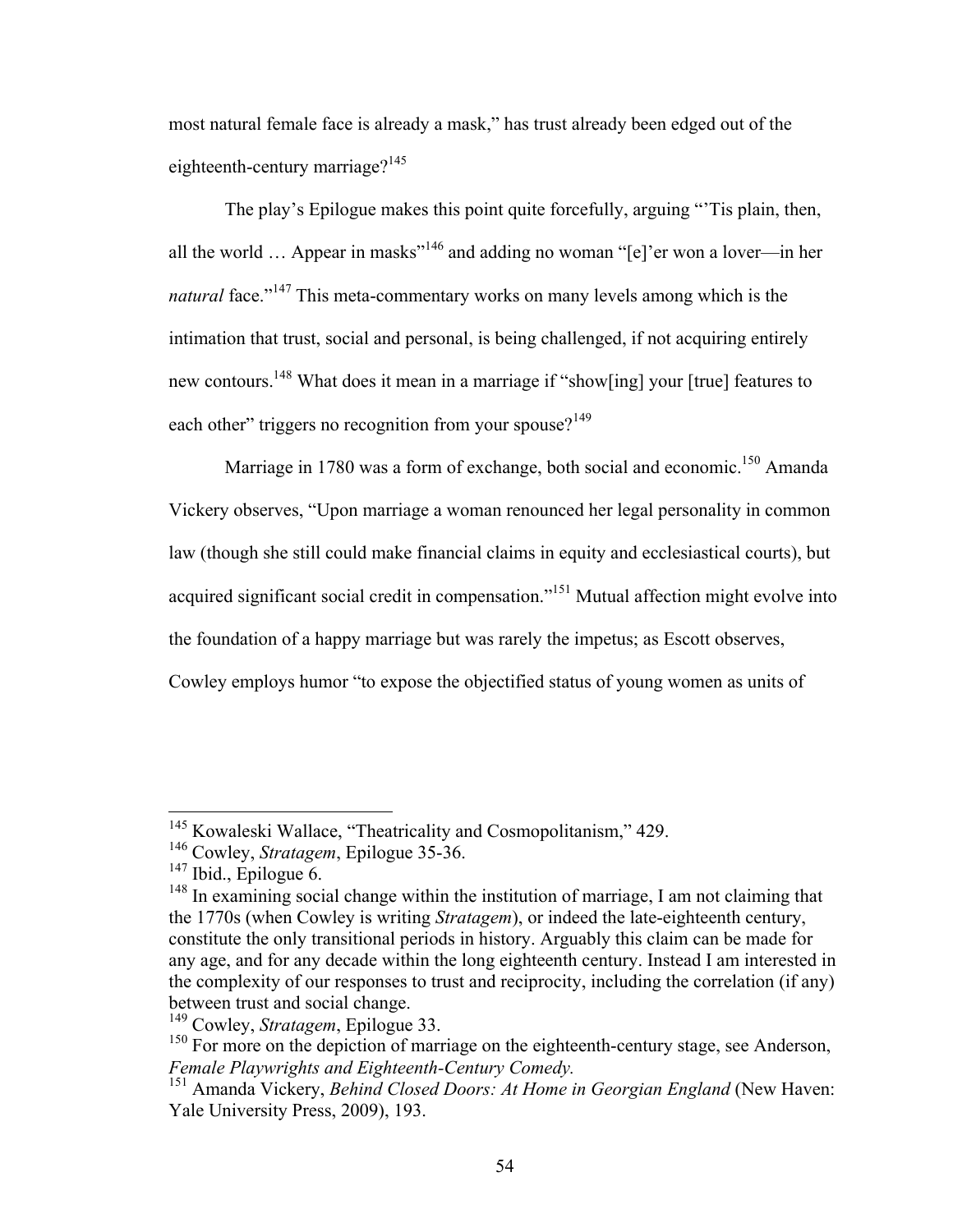most natural female face is already a mask," has trust already been edged out of the eighteenth-century marriage? $145$ 

The play's Epilogue makes this point quite forcefully, arguing "'Tis plain, then, all the world ... Appear in masks"<sup>146</sup> and adding no woman "[e]'er won a lover—in her *natural* face."<sup>147</sup> This meta-commentary works on many levels among which is the intimation that trust, social and personal, is being challenged, if not acquiring entirely new contours.148 What does it mean in a marriage if "show[ing] your [true] features to each other" triggers no recognition from your spouse?  $149$ 

Marriage in 1780 was a form of exchange, both social and economic.<sup>150</sup> Amanda Vickery observes, "Upon marriage a woman renounced her legal personality in common law (though she still could make financial claims in equity and ecclesiastical courts), but acquired significant social credit in compensation."151 Mutual affection might evolve into the foundation of a happy marriage but was rarely the impetus; as Escott observes, Cowley employs humor "to expose the objectified status of young women as units of

<sup>&</sup>lt;sup>145</sup> Kowaleski Wallace, "Theatricality and Cosmopolitanism," 429.

<sup>146</sup> Cowley, *Stratagem*, Epilogue 35-36.

 $147$  Ibid., Epilogue 6.

<sup>&</sup>lt;sup>148</sup> In examining social change within the institution of marriage, I am not claiming that the 1770s (when Cowley is writing *Stratagem*), or indeed the late-eighteenth century, constitute the only transitional periods in history. Arguably this claim can be made for any age, and for any decade within the long eighteenth century. Instead I am interested in the complexity of our responses to trust and reciprocity, including the correlation (if any) between trust and social change.

<sup>149</sup> Cowley, *Stratagem*, Epilogue 33.

<sup>&</sup>lt;sup>150</sup> For more on the depiction of marriage on the eighteenth-century stage, see Anderson, *Female Playwrights and Eighteenth-Century Comedy*.

<sup>&</sup>lt;sup>151</sup> Amanda Vickery, *Behind Closed Doors: At Home in Georgian England* (New Haven: Yale University Press, 2009), 193.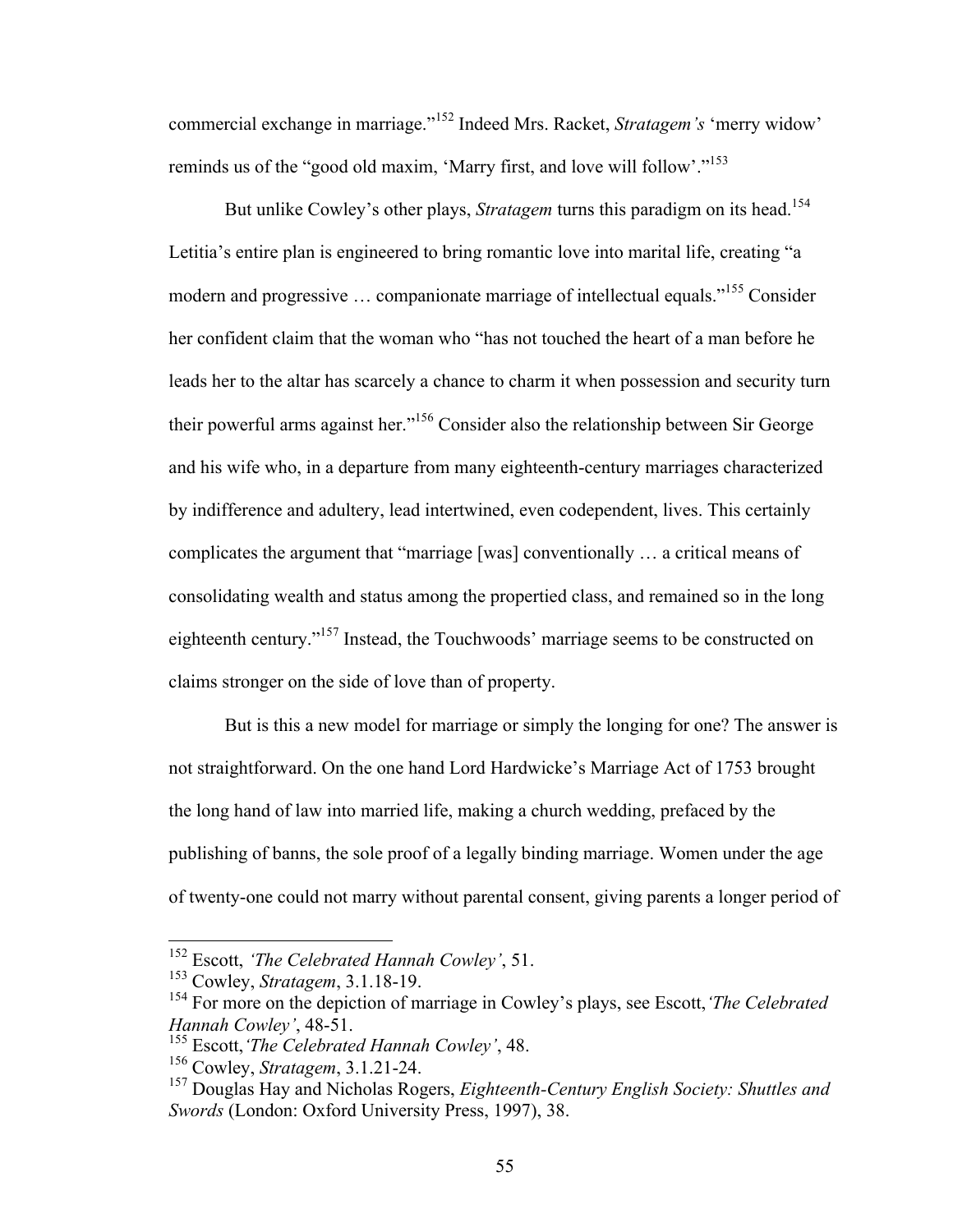commercial exchange in marriage."<sup>152</sup> Indeed Mrs. Racket, *Stratagem's* 'merry widow' reminds us of the "good old maxim, 'Marry first, and love will follow'."<sup>153</sup>

But unlike Cowley's other plays, *Stratagem* turns this paradigm on its head.<sup>154</sup> Letitia's entire plan is engineered to bring romantic love into marital life, creating "a modern and progressive ... companionate marriage of intellectual equals."<sup>155</sup> Consider her confident claim that the woman who "has not touched the heart of a man before he leads her to the altar has scarcely a chance to charm it when possession and security turn their powerful arms against her."156 Consider also the relationship between Sir George and his wife who, in a departure from many eighteenth-century marriages characterized by indifference and adultery, lead intertwined, even codependent, lives. This certainly complicates the argument that "marriage [was] conventionally … a critical means of consolidating wealth and status among the propertied class, and remained so in the long eighteenth century."157 Instead, the Touchwoods' marriage seems to be constructed on claims stronger on the side of love than of property.

But is this a new model for marriage or simply the longing for one? The answer is not straightforward. On the one hand Lord Hardwicke's Marriage Act of 1753 brought the long hand of law into married life, making a church wedding, prefaced by the publishing of banns, the sole proof of a legally binding marriage. Women under the age of twenty-one could not marry without parental consent, giving parents a longer period of

 <sup>152</sup> Escott, *'The Celebrated Hannah Cowley'*, 51.

<sup>153</sup> Cowley, *Stratagem*, 3.1.18-19.

<sup>154</sup> For more on the depiction of marriage in Cowley's plays, see Escott,*'The Celebrated Hannah Cowley'*, 48-51.

<sup>155</sup> Escott,*'The Celebrated Hannah Cowley'*, 48.

<sup>156</sup> Cowley, *Stratagem*, 3.1.21-24.

<sup>157</sup> Douglas Hay and Nicholas Rogers, *Eighteenth-Century English Society: Shuttles and Swords* (London: Oxford University Press, 1997), 38.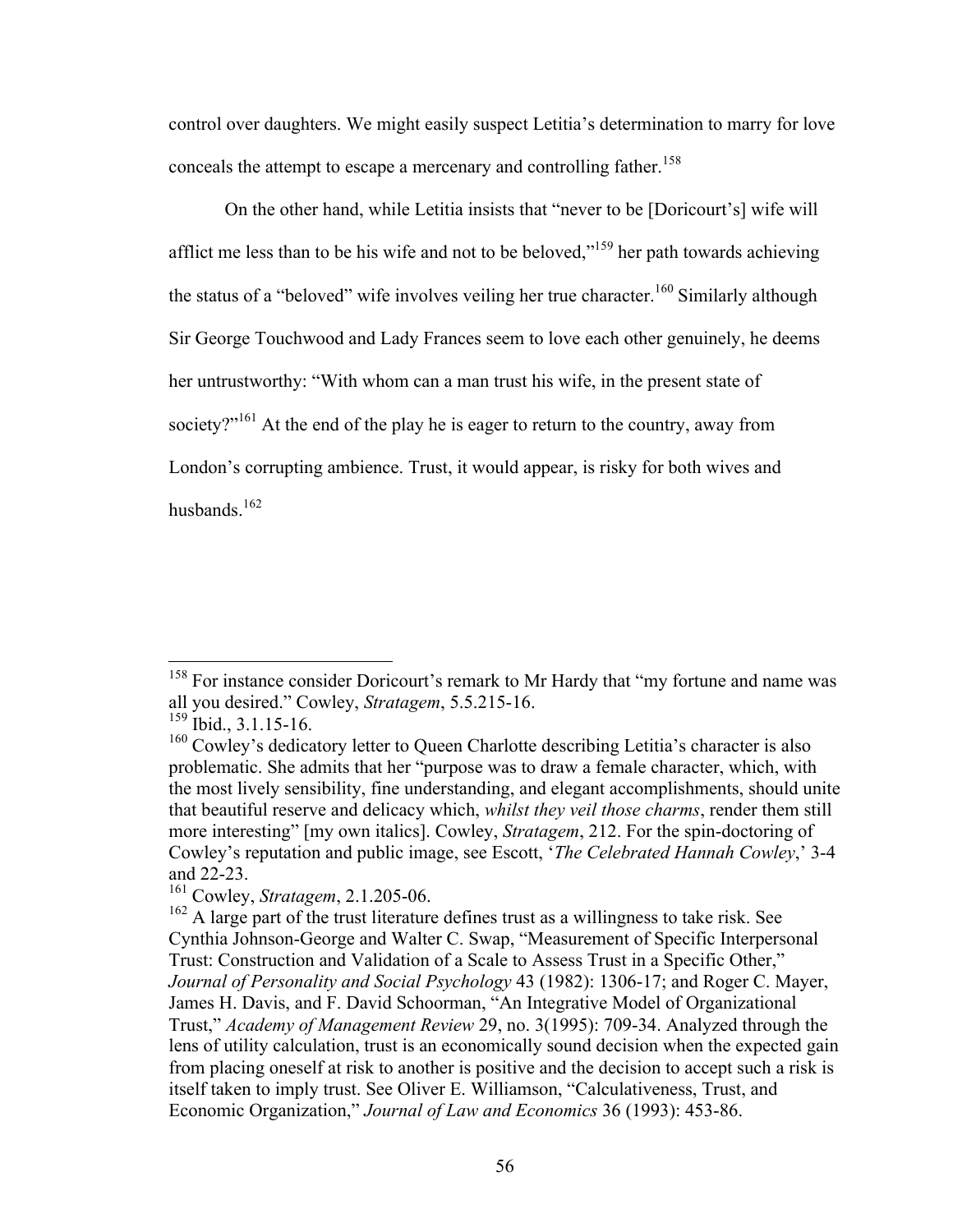control over daughters. We might easily suspect Letitia's determination to marry for love conceals the attempt to escape a mercenary and controlling father.<sup>158</sup>

On the other hand, while Letitia insists that "never to be [Doricourt's] wife will afflict me less than to be his wife and not to be beloved,"<sup>159</sup> her path towards achieving the status of a "beloved" wife involves veiling her true character.<sup>160</sup> Similarly although Sir George Touchwood and Lady Frances seem to love each other genuinely, he deems her untrustworthy: "With whom can a man trust his wife, in the present state of society?"<sup>161</sup> At the end of the play he is eager to return to the country, away from London's corrupting ambience. Trust, it would appear, is risky for both wives and husbands.<sup>162</sup>

<sup>&</sup>lt;sup>158</sup> For instance consider Doricourt's remark to Mr Hardy that "my fortune and name was all you desired." Cowley, *Stratagem*, 5.5.215-16.

 $159$  Ibid., 3.1.15-16.

<sup>&</sup>lt;sup>160</sup> Cowley's dedicatory letter to Queen Charlotte describing Letitia's character is also problematic. She admits that her "purpose was to draw a female character, which, with the most lively sensibility, fine understanding, and elegant accomplishments, should unite that beautiful reserve and delicacy which, *whilst they veil those charms*, render them still more interesting" [my own italics]. Cowley, *Stratagem*, 212. For the spin-doctoring of Cowley's reputation and public image, see Escott, '*The Celebrated Hannah Cowley*,' 3-4 and 22-23.

<sup>161</sup> Cowley, *Stratagem*, 2.1.205-06.

<sup>&</sup>lt;sup>162</sup> A large part of the trust literature defines trust as a willingness to take risk. See Cynthia Johnson-George and Walter C. Swap, "Measurement of Specific Interpersonal Trust: Construction and Validation of a Scale to Assess Trust in a Specific Other," *Journal of Personality and Social Psychology* 43 (1982): 1306-17; and Roger C. Mayer, James H. Davis, and F. David Schoorman, "An Integrative Model of Organizational Trust," *Academy of Management Review* 29, no. 3(1995): 709-34. Analyzed through the lens of utility calculation, trust is an economically sound decision when the expected gain from placing oneself at risk to another is positive and the decision to accept such a risk is itself taken to imply trust. See Oliver E. Williamson, "Calculativeness, Trust, and Economic Organization," *Journal of Law and Economics* 36 (1993): 453-86.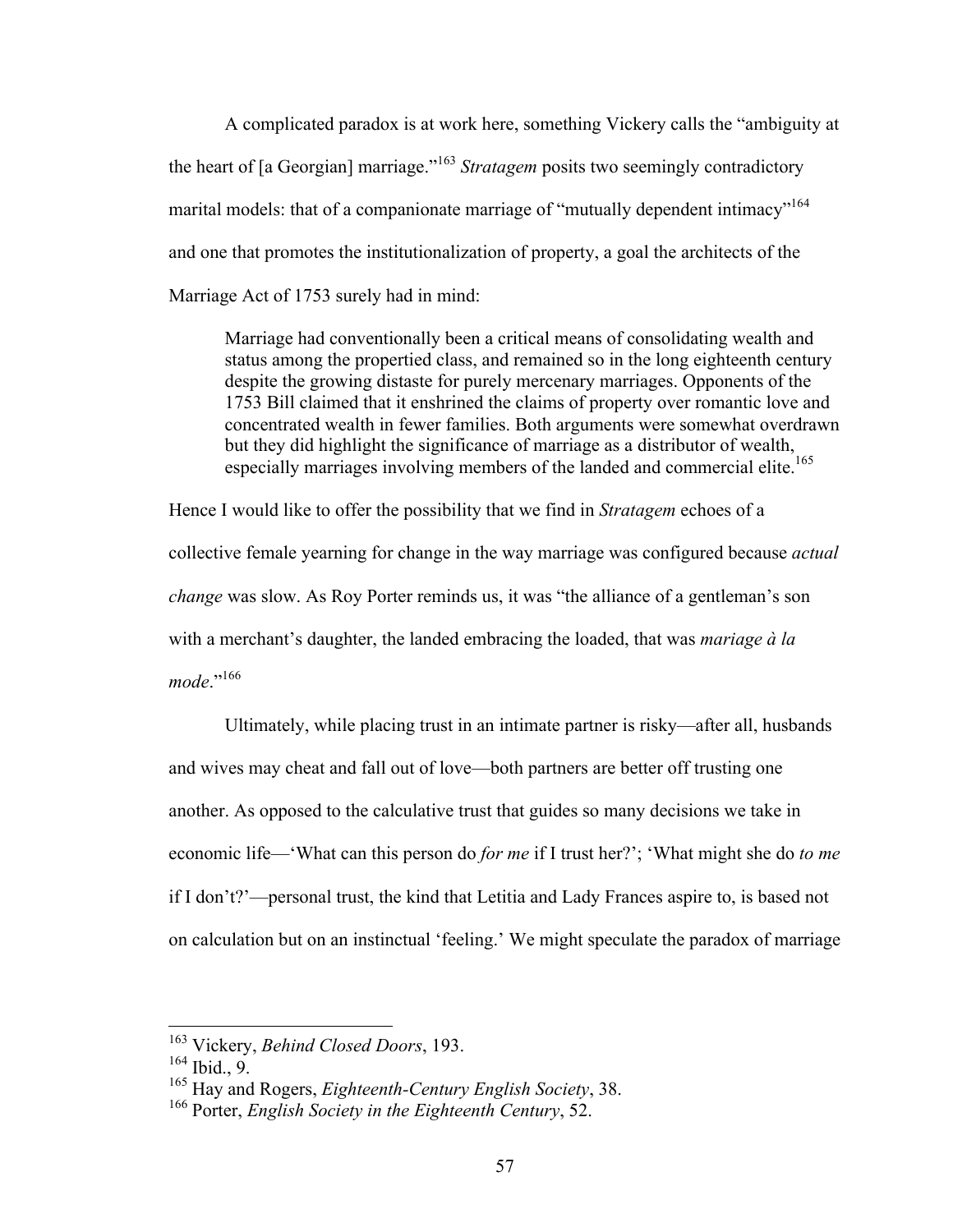A complicated paradox is at work here, something Vickery calls the "ambiguity at the heart of [a Georgian] marriage."163 *Stratagem* posits two seemingly contradictory marital models: that of a companionate marriage of "mutually dependent intimacy"<sup>164</sup> and one that promotes the institutionalization of property, a goal the architects of the Marriage Act of 1753 surely had in mind:

Marriage had conventionally been a critical means of consolidating wealth and status among the propertied class, and remained so in the long eighteenth century despite the growing distaste for purely mercenary marriages. Opponents of the 1753 Bill claimed that it enshrined the claims of property over romantic love and concentrated wealth in fewer families. Both arguments were somewhat overdrawn but they did highlight the significance of marriage as a distributor of wealth, especially marriages involving members of the landed and commercial elite.<sup>165</sup>

Hence I would like to offer the possibility that we find in *Stratagem* echoes of a collective female yearning for change in the way marriage was configured because *actual change* was slow. As Roy Porter reminds us, it was "the alliance of a gentleman's son with a merchant's daughter, the landed embracing the loaded, that was *mariage à la*  mode<sup>",166</sup>

Ultimately, while placing trust in an intimate partner is risky—after all, husbands and wives may cheat and fall out of love—both partners are better off trusting one another. As opposed to the calculative trust that guides so many decisions we take in economic life—'What can this person do *for me* if I trust her?'; 'What might she do *to me* if I don't?'—personal trust, the kind that Letitia and Lady Frances aspire to, is based not on calculation but on an instinctual 'feeling.' We might speculate the paradox of marriage

 <sup>163</sup> Vickery, *Behind Closed Doors*, 193.

 $164$  Ibid., 9.

<sup>165</sup> Hay and Rogers, *Eighteenth-Century English Society*, 38.

<sup>166</sup> Porter, *English Society in the Eighteenth Century*, 52.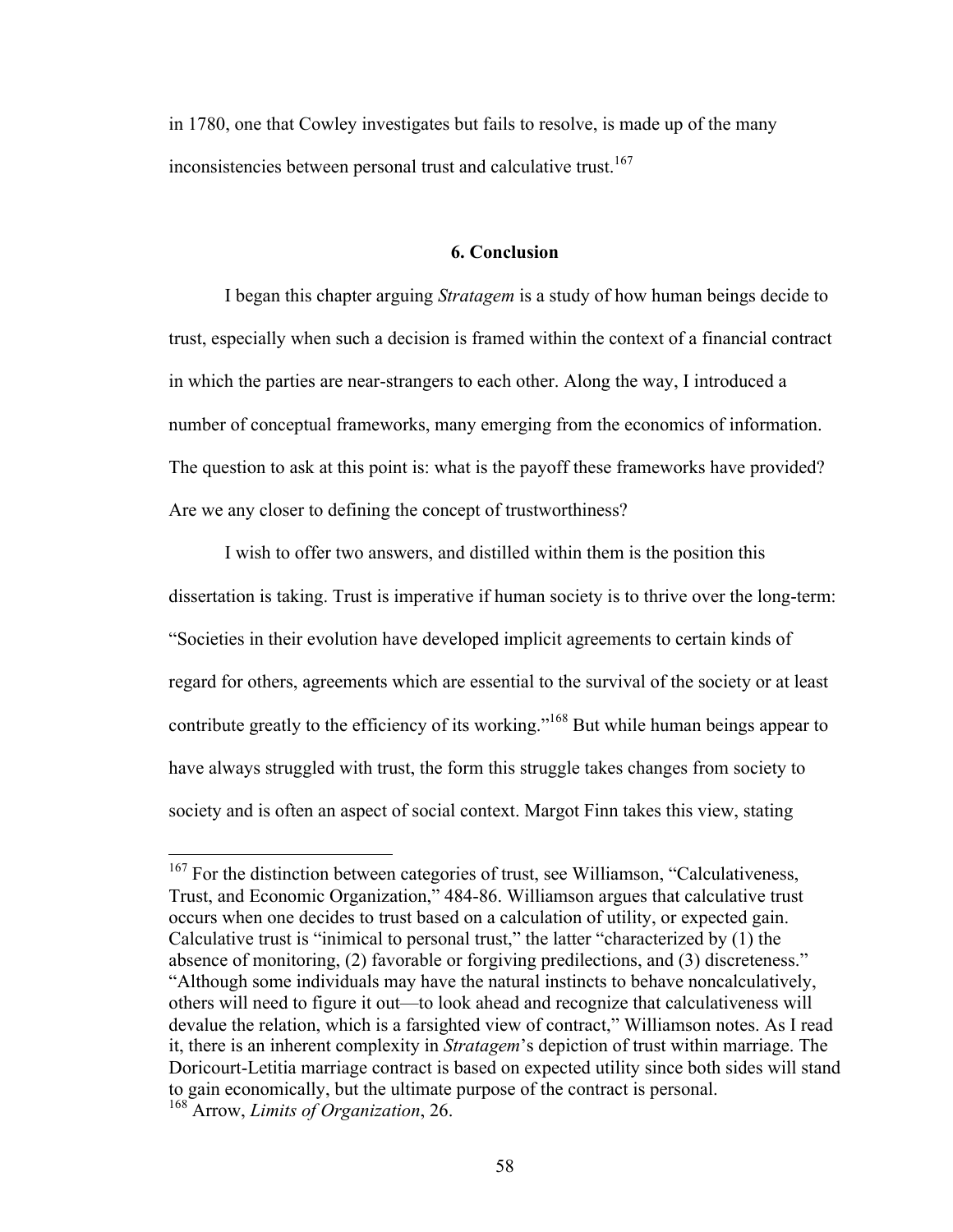in 1780, one that Cowley investigates but fails to resolve, is made up of the many inconsistencies between personal trust and calculative trust.<sup>167</sup>

# **6. Conclusion**

I began this chapter arguing *Stratagem* is a study of how human beings decide to trust, especially when such a decision is framed within the context of a financial contract in which the parties are near-strangers to each other. Along the way, I introduced a number of conceptual frameworks, many emerging from the economics of information. The question to ask at this point is: what is the payoff these frameworks have provided? Are we any closer to defining the concept of trustworthiness?

I wish to offer two answers, and distilled within them is the position this dissertation is taking. Trust is imperative if human society is to thrive over the long-term: "Societies in their evolution have developed implicit agreements to certain kinds of regard for others, agreements which are essential to the survival of the society or at least contribute greatly to the efficiency of its working."<sup>168</sup> But while human beings appear to have always struggled with trust, the form this struggle takes changes from society to society and is often an aspect of social context. Margot Finn takes this view, stating

<sup>&</sup>lt;sup>167</sup> For the distinction between categories of trust, see Williamson, "Calculativeness, Trust, and Economic Organization," 484-86. Williamson argues that calculative trust occurs when one decides to trust based on a calculation of utility, or expected gain. Calculative trust is "inimical to personal trust," the latter "characterized by (1) the absence of monitoring, (2) favorable or forgiving predilections, and (3) discreteness." "Although some individuals may have the natural instincts to behave noncalculatively, others will need to figure it out—to look ahead and recognize that calculativeness will devalue the relation, which is a farsighted view of contract," Williamson notes. As I read it, there is an inherent complexity in *Stratagem*'s depiction of trust within marriage. The Doricourt-Letitia marriage contract is based on expected utility since both sides will stand to gain economically, but the ultimate purpose of the contract is personal. <sup>168</sup> Arrow, *Limits of Organization*, 26.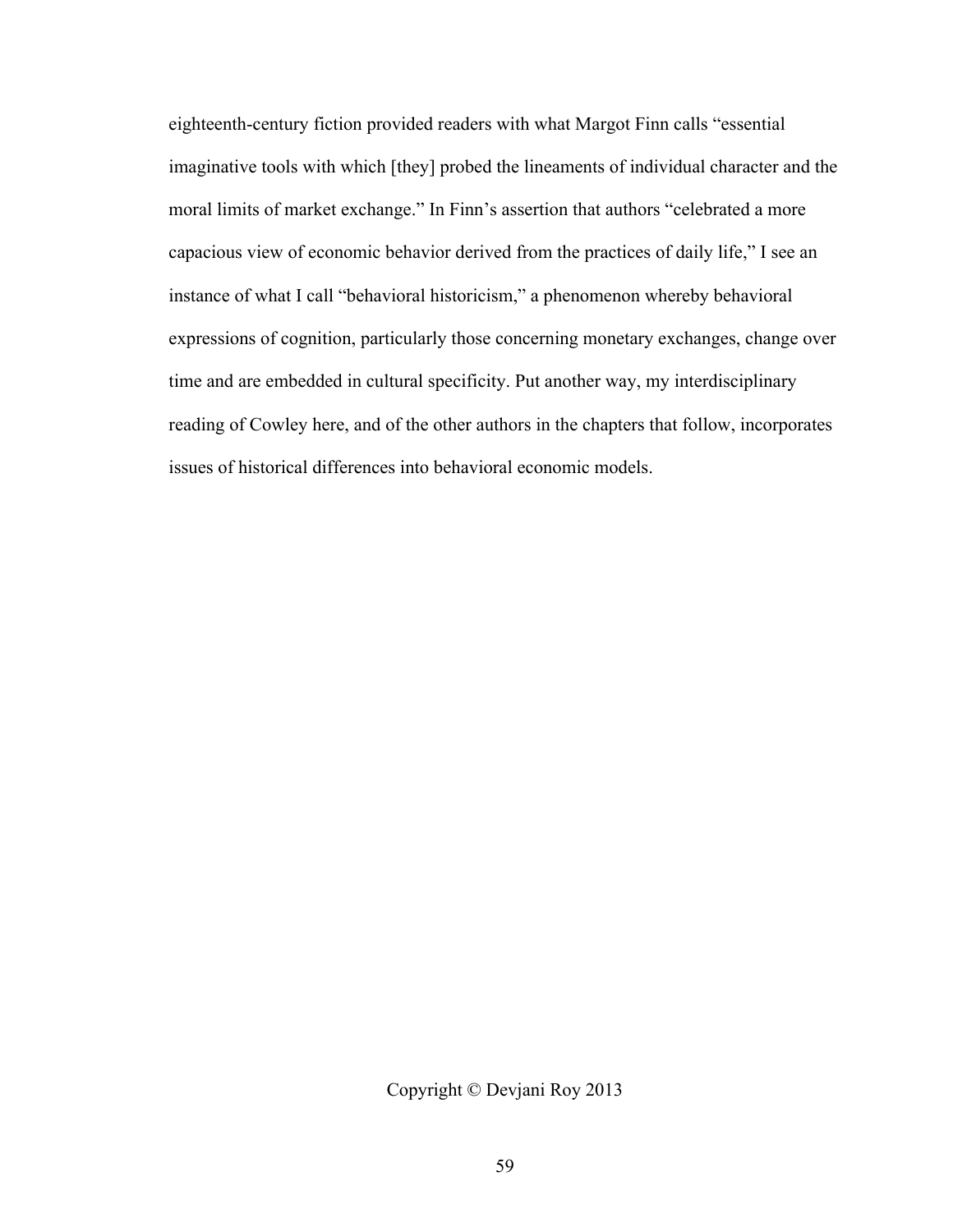eighteenth-century fiction provided readers with what Margot Finn calls "essential imaginative tools with which [they] probed the lineaments of individual character and the moral limits of market exchange." In Finn's assertion that authors "celebrated a more capacious view of economic behavior derived from the practices of daily life," I see an instance of what I call "behavioral historicism," a phenomenon whereby behavioral expressions of cognition, particularly those concerning monetary exchanges, change over time and are embedded in cultural specificity. Put another way, my interdisciplinary reading of Cowley here, and of the other authors in the chapters that follow, incorporates issues of historical differences into behavioral economic models.

Copyright © Devjani Roy 2013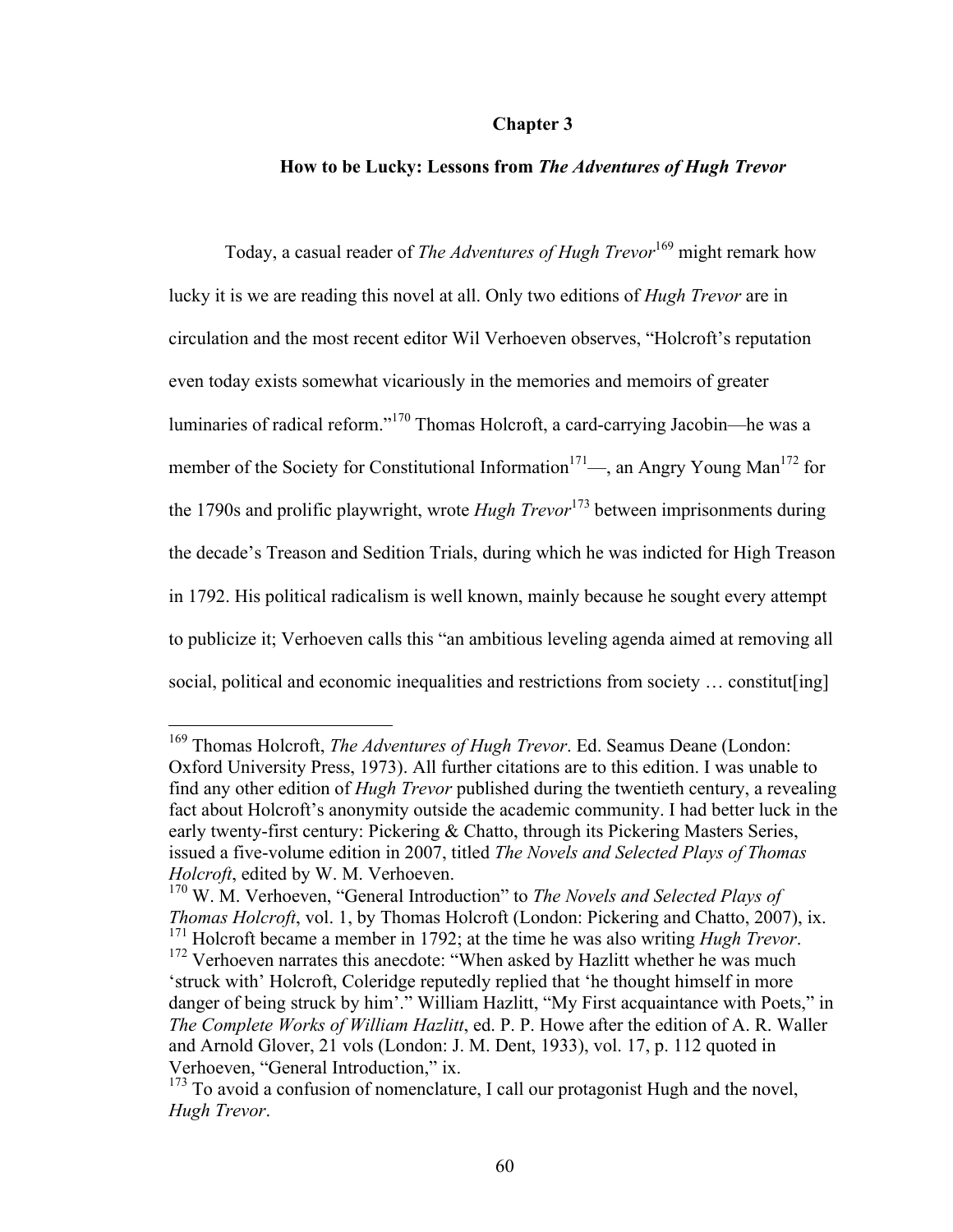#### **Chapter 3**

## **How to be Lucky: Lessons from** *The Adventures of Hugh Trevor*

Today, a casual reader of *The Adventures of Hugh Trevor*<sup>169</sup> might remark how lucky it is we are reading this novel at all. Only two editions of *Hugh Trevor* are in circulation and the most recent editor Wil Verhoeven observes, "Holcroft's reputation even today exists somewhat vicariously in the memories and memoirs of greater luminaries of radical reform."<sup>170</sup> Thomas Holcroft, a card-carrying Jacobin—he was a member of the Society for Constitutional Information<sup>171</sup>—, an Angry Young Man<sup>172</sup> for the 1790s and prolific playwright, wrote *Hugh Trevor*<sup>173</sup> between imprisonments during the decade's Treason and Sedition Trials, during which he was indicted for High Treason in 1792. His political radicalism is well known, mainly because he sought every attempt to publicize it; Verhoeven calls this "an ambitious leveling agenda aimed at removing all social, political and economic inequalities and restrictions from society ... constitut [ing]

 <sup>169</sup> Thomas Holcroft, *The Adventures of Hugh Trevor*. Ed. Seamus Deane (London: Oxford University Press, 1973). All further citations are to this edition. I was unable to find any other edition of *Hugh Trevor* published during the twentieth century, a revealing fact about Holcroft's anonymity outside the academic community. I had better luck in the early twenty-first century: Pickering & Chatto, through its Pickering Masters Series, issued a five-volume edition in 2007, titled *The Novels and Selected Plays of Thomas Holcroft*, edited by W. M. Verhoeven.

<sup>170</sup> W. M. Verhoeven, "General Introduction" to *The Novels and Selected Plays of Thomas Holcroft*, vol. 1, by Thomas Holcroft (London: Pickering and Chatto, 2007), ix. <sup>171</sup> Holcroft became a member in 1792; at the time he was also writing *Hugh Trevor*.<br><sup>172</sup> Verhoeven narrates this anecdote: "When asked by Hazlitt whether he was much 'struck with' Holcroft, Coleridge reputedly replied that 'he thought himself in more danger of being struck by him'." William Hazlitt, "My First acquaintance with Poets," in *The Complete Works of William Hazlitt*, ed. P. P. Howe after the edition of A. R. Waller and Arnold Glover, 21 vols (London: J. M. Dent, 1933), vol. 17, p. 112 quoted in Verhoeven, "General Introduction," ix.

 $173$  To avoid a confusion of nomenclature, I call our protagonist Hugh and the novel, *Hugh Trevor*.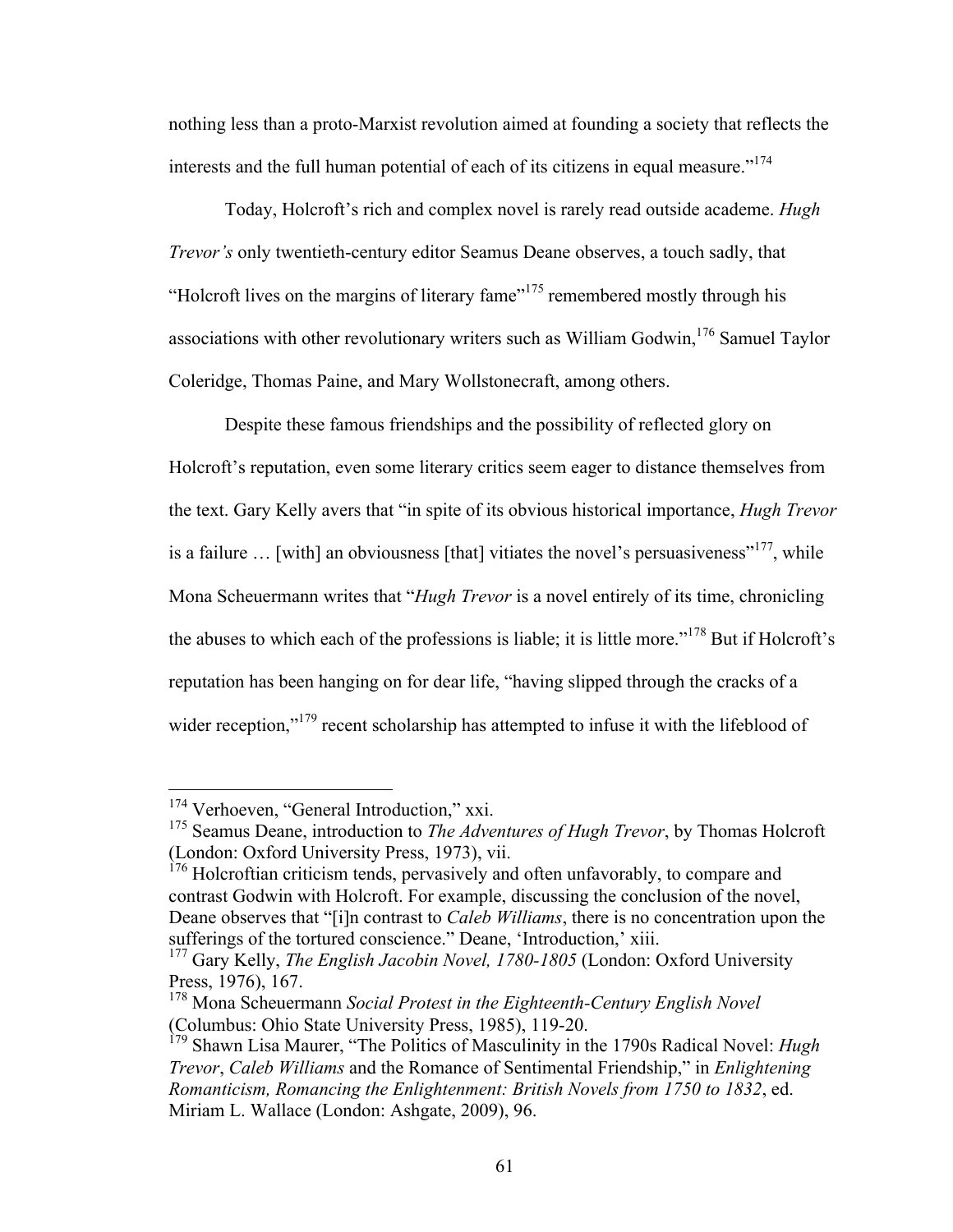nothing less than a proto-Marxist revolution aimed at founding a society that reflects the interests and the full human potential of each of its citizens in equal measure."<sup>174</sup>

Today, Holcroft's rich and complex novel is rarely read outside academe. *Hugh Trevor's* only twentieth-century editor Seamus Deane observes, a touch sadly, that "Holcroft lives on the margins of literary fame"<sup>175</sup> remembered mostly through his associations with other revolutionary writers such as William Godwin,  $176$  Samuel Taylor Coleridge, Thomas Paine, and Mary Wollstonecraft, among others.

Despite these famous friendships and the possibility of reflected glory on Holcroft's reputation, even some literary critics seem eager to distance themselves from the text. Gary Kelly avers that "in spite of its obvious historical importance, *Hugh Trevor* is a failure  $\ldots$  [with] an obviousness [that] vitiates the novel's persuasiveness"<sup>177</sup>, while Mona Scheuermann writes that "*Hugh Trevor* is a novel entirely of its time, chronicling the abuses to which each of the professions is liable; it is little more."<sup>178</sup> But if Holcroft's reputation has been hanging on for dear life, "having slipped through the cracks of a wider reception,"<sup>179</sup> recent scholarship has attempted to infuse it with the lifeblood of

<sup>&</sup>lt;sup>174</sup> Verhoeven, "General Introduction," xxi.

<sup>&</sup>lt;sup>175</sup> Seamus Deane, introduction to *The Adventures of Hugh Trevor*, by Thomas Holcroft (London: Oxford University Press, 1973), vii.

 $176$  Holcroftian criticism tends, pervasively and often unfavorably, to compare and contrast Godwin with Holcroft. For example, discussing the conclusion of the novel, Deane observes that "[i]n contrast to *Caleb Williams*, there is no concentration upon the sufferings of the tortured conscience." Deane, 'Introduction,' xiii.

<sup>&</sup>lt;sup>177</sup> Gary Kelly, *The English Jacobin Novel, 1780-1805* (London: Oxford University Press, 1976), 167.

<sup>178</sup> Mona Scheuermann *Social Protest in the Eighteenth-Century English Novel* (Columbus: Ohio State University Press, 1985), 119-20.

<sup>179</sup> Shawn Lisa Maurer, "The Politics of Masculinity in the 1790s Radical Novel: *Hugh Trevor*, *Caleb Williams* and the Romance of Sentimental Friendship," in *Enlightening Romanticism, Romancing the Enlightenment: British Novels from 1750 to 1832*, ed. Miriam L. Wallace (London: Ashgate, 2009), 96.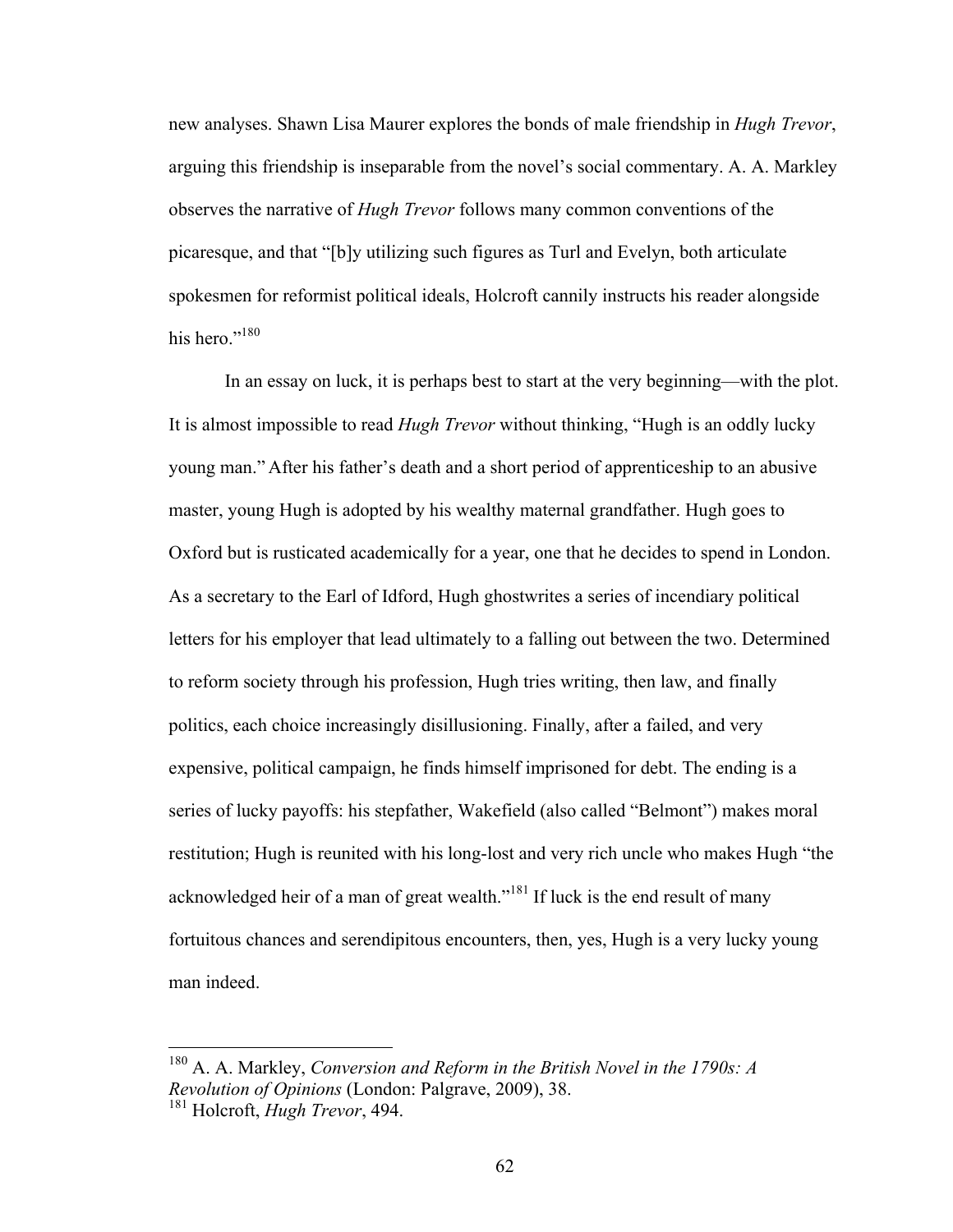new analyses. Shawn Lisa Maurer explores the bonds of male friendship in *Hugh Trevor*, arguing this friendship is inseparable from the novel's social commentary. A. A. Markley observes the narrative of *Hugh Trevor* follows many common conventions of the picaresque, and that "[b]y utilizing such figures as Turl and Evelyn, both articulate spokesmen for reformist political ideals, Holcroft cannily instructs his reader alongside his hero."<sup>180</sup>

In an essay on luck, it is perhaps best to start at the very beginning—with the plot. It is almost impossible to read *Hugh Trevor* without thinking, "Hugh is an oddly lucky young man." After his father's death and a short period of apprenticeship to an abusive master, young Hugh is adopted by his wealthy maternal grandfather. Hugh goes to Oxford but is rusticated academically for a year, one that he decides to spend in London. As a secretary to the Earl of Idford, Hugh ghostwrites a series of incendiary political letters for his employer that lead ultimately to a falling out between the two. Determined to reform society through his profession, Hugh tries writing, then law, and finally politics, each choice increasingly disillusioning. Finally, after a failed, and very expensive, political campaign, he finds himself imprisoned for debt. The ending is a series of lucky payoffs: his stepfather, Wakefield (also called "Belmont") makes moral restitution; Hugh is reunited with his long-lost and very rich uncle who makes Hugh "the acknowledged heir of a man of great wealth."<sup>181</sup> If luck is the end result of many fortuitous chances and serendipitous encounters, then, yes, Hugh is a very lucky young man indeed.

 <sup>180</sup> A. A. Markley, *Conversion and Reform in the British Novel in the 1790s: A Revolution of Opinions* (London: Palgrave, 2009), 38.

<sup>181</sup> Holcroft, *Hugh Trevor*, 494.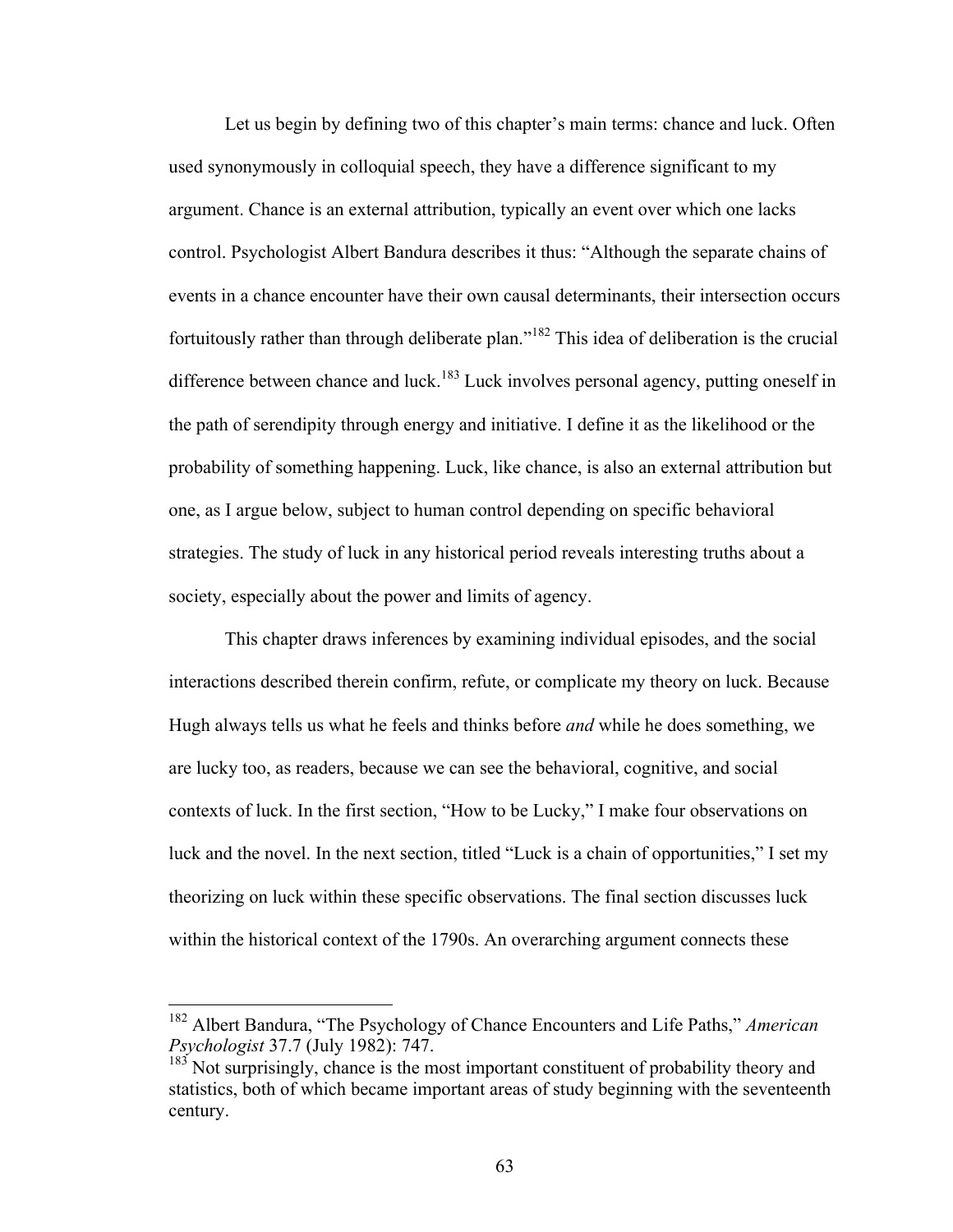Let us begin by defining two of this chapter's main terms: chance and luck. Often used synonymously in colloquial speech, they have a difference significant to my argument. Chance is an external attribution, typically an event over which one lacks control. Psychologist Albert Bandura describes it thus: "Although the separate chains of events in a chance encounter have their own causal determinants, their intersection occurs fortuitously rather than through deliberate plan."<sup>182</sup> This idea of deliberation is the crucial difference between chance and luck.<sup>183</sup> Luck involves personal agency, putting oneself in the path of serendipity through energy and initiative. I define it as the likelihood or the probability of something happening. Luck, like chance, is also an external attribution but one, as I argue below, subject to human control depending on specific behavioral strategies. The study of luck in any historical period reveals interesting truths about a society, especially about the power and limits of agency.

This chapter draws inferences by examining individual episodes, and the social interactions described therein confirm, refute, or complicate my theory on luck. Because Hugh always tells us what he feels and thinks before *and* while he does something, we are lucky too, as readers, because we can see the behavioral, cognitive, and social contexts of luck. In the first section, "How to be Lucky," I make four observations on luck and the novel. In the next section, titled "Luck is a chain of opportunities," I set my theorizing on luck within these specific observations. The final section discusses luck within the historical context of the 1790s. An overarching argument connects these

 <sup>182</sup> Albert Bandura, "The Psychology of Chance Encounters and Life Paths," *American Psychologist* 37.7 (July 1982): 747.

 $183$  Not surprisingly, chance is the most important constituent of probability theory and statistics, both of which became important areas of study beginning with the seventeenth century.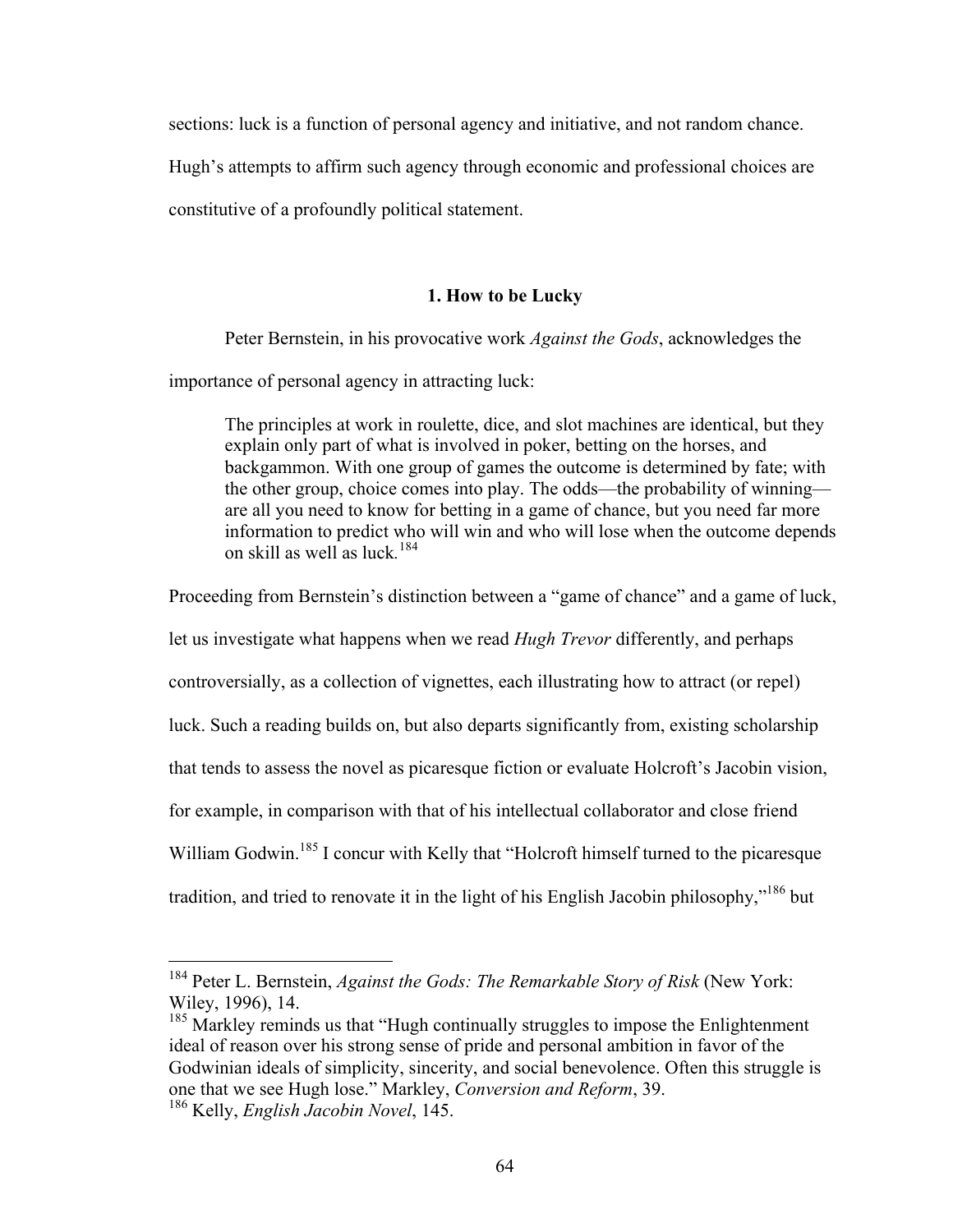sections: luck is a function of personal agency and initiative, and not random chance.

Hugh's attempts to affirm such agency through economic and professional choices are

constitutive of a profoundly political statement.

# **1. How to be Lucky**

Peter Bernstein, in his provocative work *Against the Gods*, acknowledges the

importance of personal agency in attracting luck:

The principles at work in roulette, dice, and slot machines are identical, but they explain only part of what is involved in poker, betting on the horses, and backgammon. With one group of games the outcome is determined by fate; with the other group, choice comes into play. The odds—the probability of winning are all you need to know for betting in a game of chance, but you need far more information to predict who will win and who will lose when the outcome depends on skill as well as luck*.* 184

Proceeding from Bernstein's distinction between a "game of chance" and a game of luck,

let us investigate what happens when we read *Hugh Trevor* differently, and perhaps

controversially, as a collection of vignettes, each illustrating how to attract (or repel)

luck. Such a reading builds on, but also departs significantly from, existing scholarship

that tends to assess the novel as picaresque fiction or evaluate Holcroft's Jacobin vision,

for example, in comparison with that of his intellectual collaborator and close friend

William Godwin.<sup>185</sup> I concur with Kelly that "Holcroft himself turned to the picaresque

tradition, and tried to renovate it in the light of his English Jacobin philosophy,"186 but

 <sup>184</sup> Peter L. Bernstein, *Against the Gods: The Remarkable Story of Risk* (New York: Wiley, 1996), 14.

<sup>&</sup>lt;sup>185</sup> Markley reminds us that "Hugh continually struggles to impose the Enlightenment ideal of reason over his strong sense of pride and personal ambition in favor of the Godwinian ideals of simplicity, sincerity, and social benevolence. Often this struggle is one that we see Hugh lose." Markley, *Conversion and Reform*, 39.

<sup>186</sup> Kelly, *English Jacobin Novel*, 145.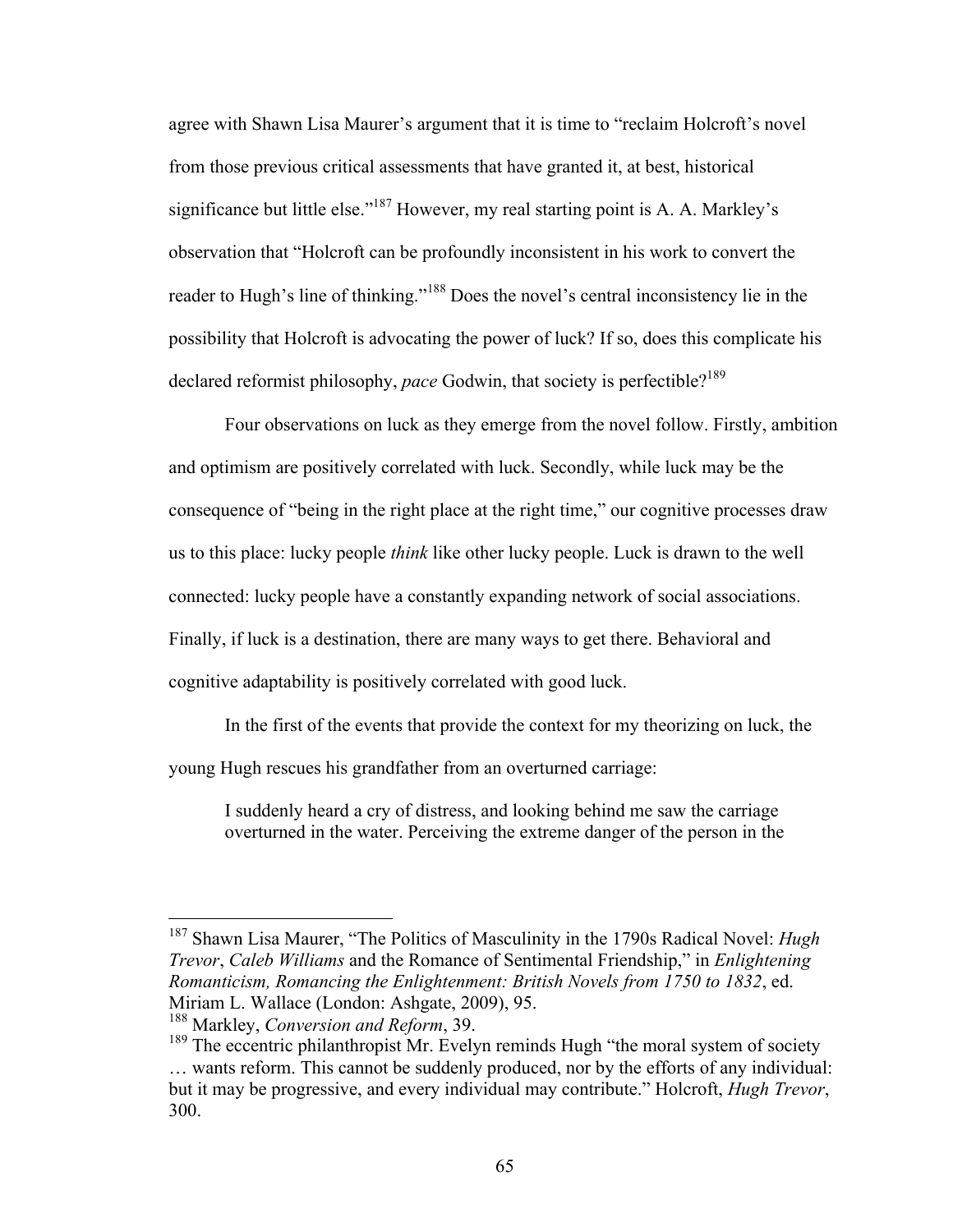agree with Shawn Lisa Maurer's argument that it is time to "reclaim Holcroft's novel from those previous critical assessments that have granted it, at best, historical significance but little else."187 However, my real starting point is A. A. Markley's observation that "Holcroft can be profoundly inconsistent in his work to convert the reader to Hugh's line of thinking."<sup>188</sup> Does the novel's central inconsistency lie in the possibility that Holcroft is advocating the power of luck? If so, does this complicate his declared reformist philosophy, *pace* Godwin, that society is perfectible?<sup>189</sup>

Four observations on luck as they emerge from the novel follow. Firstly, ambition and optimism are positively correlated with luck. Secondly, while luck may be the consequence of "being in the right place at the right time," our cognitive processes draw us to this place: lucky people *think* like other lucky people. Luck is drawn to the well connected: lucky people have a constantly expanding network of social associations. Finally, if luck is a destination, there are many ways to get there. Behavioral and cognitive adaptability is positively correlated with good luck.

In the first of the events that provide the context for my theorizing on luck, the young Hugh rescues his grandfather from an overturned carriage:

I suddenly heard a cry of distress, and looking behind me saw the carriage overturned in the water. Perceiving the extreme danger of the person in the

 <sup>187</sup> Shawn Lisa Maurer, "The Politics of Masculinity in the 1790s Radical Novel: *Hugh Trevor*, *Caleb Williams* and the Romance of Sentimental Friendship," in *Enlightening Romanticism, Romancing the Enlightenment: British Novels from 1750 to 1832*, ed. Miriam L. Wallace (London: Ashgate, 2009), 95.

<sup>188</sup> Markley, *Conversion and Reform*, 39.

<sup>&</sup>lt;sup>189</sup> The eccentric philanthropist Mr. Evelyn reminds Hugh "the moral system of society … wants reform. This cannot be suddenly produced, nor by the efforts of any individual: but it may be progressive, and every individual may contribute." Holcroft, *Hugh Trevor*, 300.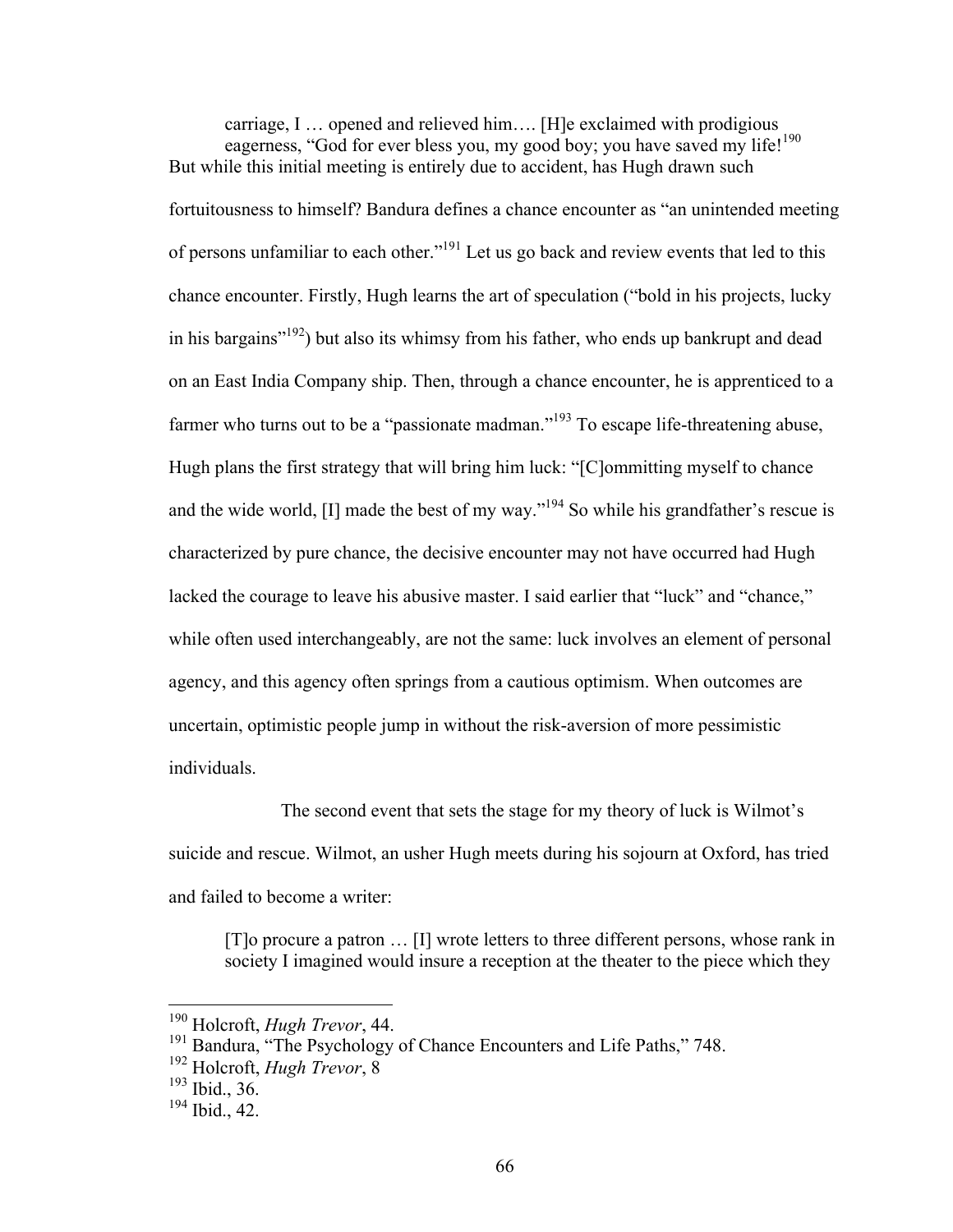carriage, I … opened and relieved him…. [H]e exclaimed with prodigious eagerness, "God for ever bless you, my good boy; you have saved my life!<sup>190</sup> But while this initial meeting is entirely due to accident, has Hugh drawn such fortuitousness to himself? Bandura defines a chance encounter as "an unintended meeting of persons unfamiliar to each other."191 Let us go back and review events that led to this chance encounter. Firstly, Hugh learns the art of speculation ("bold in his projects, lucky in his bargains"192) but also its whimsy from his father, who ends up bankrupt and dead on an East India Company ship. Then, through a chance encounter, he is apprenticed to a farmer who turns out to be a "passionate madman."<sup>193</sup> To escape life-threatening abuse, Hugh plans the first strategy that will bring him luck: "[C]ommitting myself to chance and the wide world,  $[I]$  made the best of my way."<sup>194</sup> So while his grandfather's rescue is characterized by pure chance, the decisive encounter may not have occurred had Hugh lacked the courage to leave his abusive master. I said earlier that "luck" and "chance," while often used interchangeably, are not the same: luck involves an element of personal agency, and this agency often springs from a cautious optimism. When outcomes are uncertain, optimistic people jump in without the risk-aversion of more pessimistic individuals.

The second event that sets the stage for my theory of luck is Wilmot's suicide and rescue. Wilmot, an usher Hugh meets during his sojourn at Oxford, has tried and failed to become a writer:

[T]o procure a patron … [I] wrote letters to three different persons, whose rank in society I imagined would insure a reception at the theater to the piece which they

 <sup>190</sup> Holcroft, *Hugh Trevor*, 44.

<sup>&</sup>lt;sup>191</sup> Bandura, "The Psychology of Chance Encounters and Life Paths," 748.

<sup>192</sup> Holcroft, *Hugh Trevor*, 8

<sup>193</sup> Ibid., 36.

<sup>194</sup> Ibid., 42.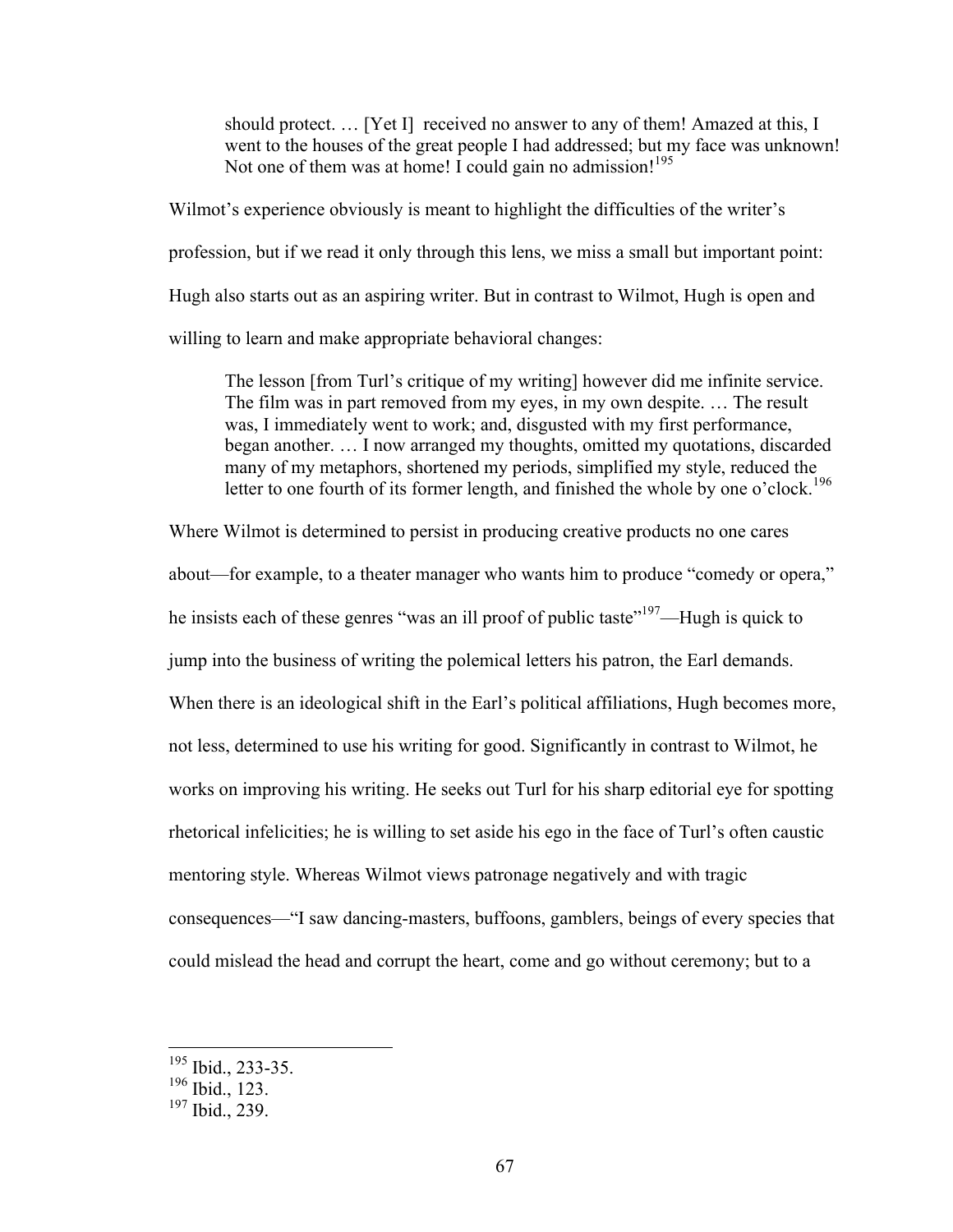should protect. … [Yet I] received no answer to any of them! Amazed at this, I went to the houses of the great people I had addressed; but my face was unknown! Not one of them was at home! I could gain no admission!<sup>195</sup>

Wilmot's experience obviously is meant to highlight the difficulties of the writer's profession, but if we read it only through this lens, we miss a small but important point: Hugh also starts out as an aspiring writer. But in contrast to Wilmot, Hugh is open and willing to learn and make appropriate behavioral changes:

The lesson [from Turl's critique of my writing] however did me infinite service. The film was in part removed from my eyes, in my own despite. … The result was, I immediately went to work; and, disgusted with my first performance, began another. … I now arranged my thoughts, omitted my quotations, discarded many of my metaphors, shortened my periods, simplified my style, reduced the letter to one fourth of its former length, and finished the whole by one o'clock.<sup>196</sup>

Where Wilmot is determined to persist in producing creative products no one cares

about—for example, to a theater manager who wants him to produce "comedy or opera," he insists each of these genres "was an ill proof of public taste"<sup>197</sup>—Hugh is quick to jump into the business of writing the polemical letters his patron, the Earl demands. When there is an ideological shift in the Earl's political affiliations, Hugh becomes more, not less, determined to use his writing for good. Significantly in contrast to Wilmot, he works on improving his writing. He seeks out Turl for his sharp editorial eye for spotting rhetorical infelicities; he is willing to set aside his ego in the face of Turl's often caustic mentoring style. Whereas Wilmot views patronage negatively and with tragic consequences—"I saw dancing-masters, buffoons, gamblers, beings of every species that could mislead the head and corrupt the heart, come and go without ceremony; but to a

 $195$  Ibid., 233-35.

<sup>196</sup> Ibid., 123.

 $197$  Ibid., 239.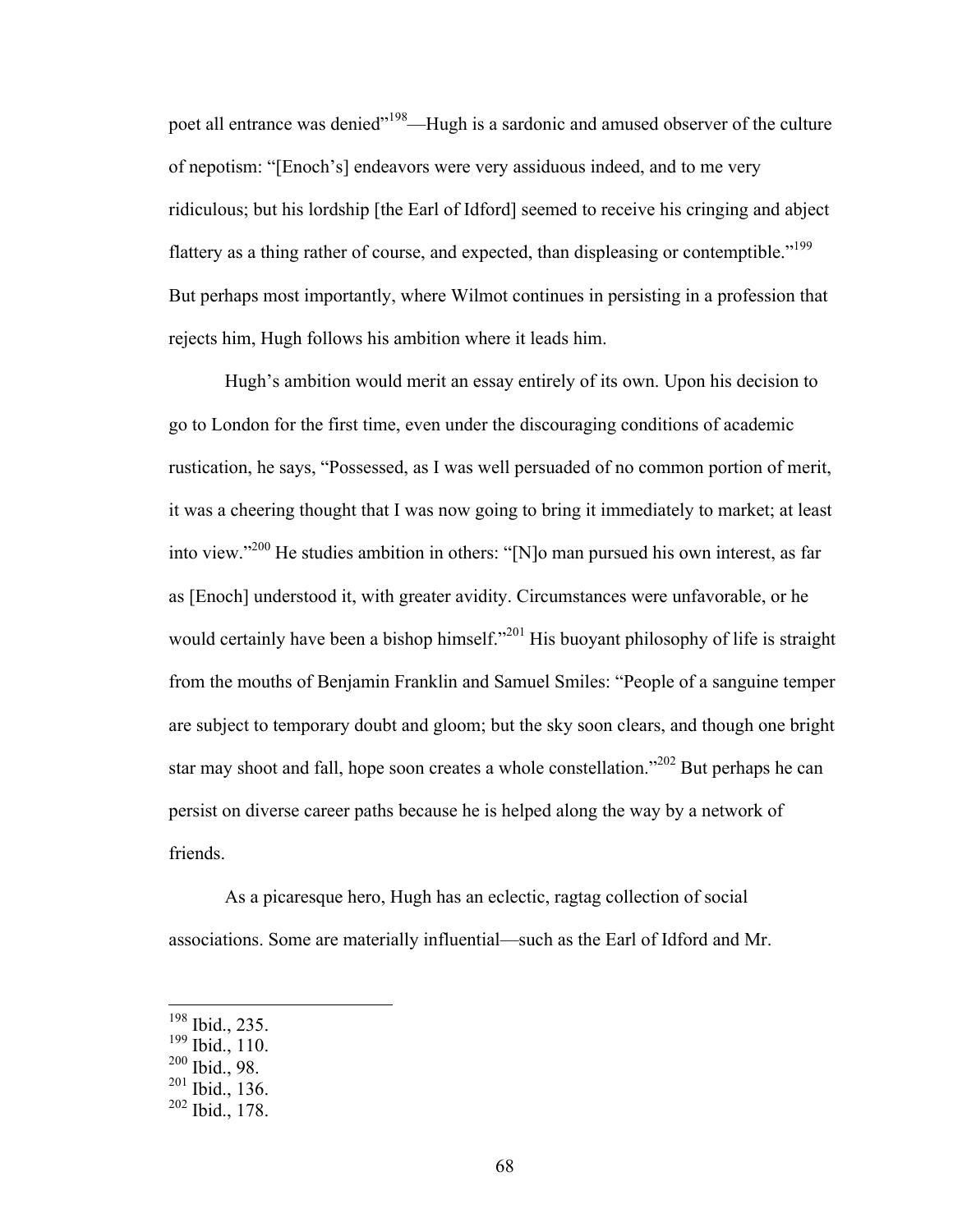poet all entrance was denied"<sup>198</sup>—Hugh is a sardonic and amused observer of the culture of nepotism: "[Enoch's] endeavors were very assiduous indeed, and to me very ridiculous; but his lordship [the Earl of Idford] seemed to receive his cringing and abject flattery as a thing rather of course, and expected, than displeasing or contemptible."<sup>199</sup> But perhaps most importantly, where Wilmot continues in persisting in a profession that rejects him, Hugh follows his ambition where it leads him.

Hugh's ambition would merit an essay entirely of its own. Upon his decision to go to London for the first time, even under the discouraging conditions of academic rustication, he says, "Possessed, as I was well persuaded of no common portion of merit, it was a cheering thought that I was now going to bring it immediately to market; at least into view."200 He studies ambition in others: "[N]o man pursued his own interest, as far as [Enoch] understood it, with greater avidity. Circumstances were unfavorable, or he would certainly have been a bishop himself."<sup>201</sup> His buoyant philosophy of life is straight from the mouths of Benjamin Franklin and Samuel Smiles: "People of a sanguine temper are subject to temporary doubt and gloom; but the sky soon clears, and though one bright star may shoot and fall, hope soon creates a whole constellation."<sup>202</sup> But perhaps he can persist on diverse career paths because he is helped along the way by a network of friends.

As a picaresque hero, Hugh has an eclectic, ragtag collection of social associations. Some are materially influential—such as the Earl of Idford and Mr.

 <sup>198</sup> Ibid., 235.

<sup>199</sup> Ibid., 110.

<sup>200</sup> Ibid., 98.

<sup>201</sup> Ibid., 136.

<sup>202</sup> Ibid., 178.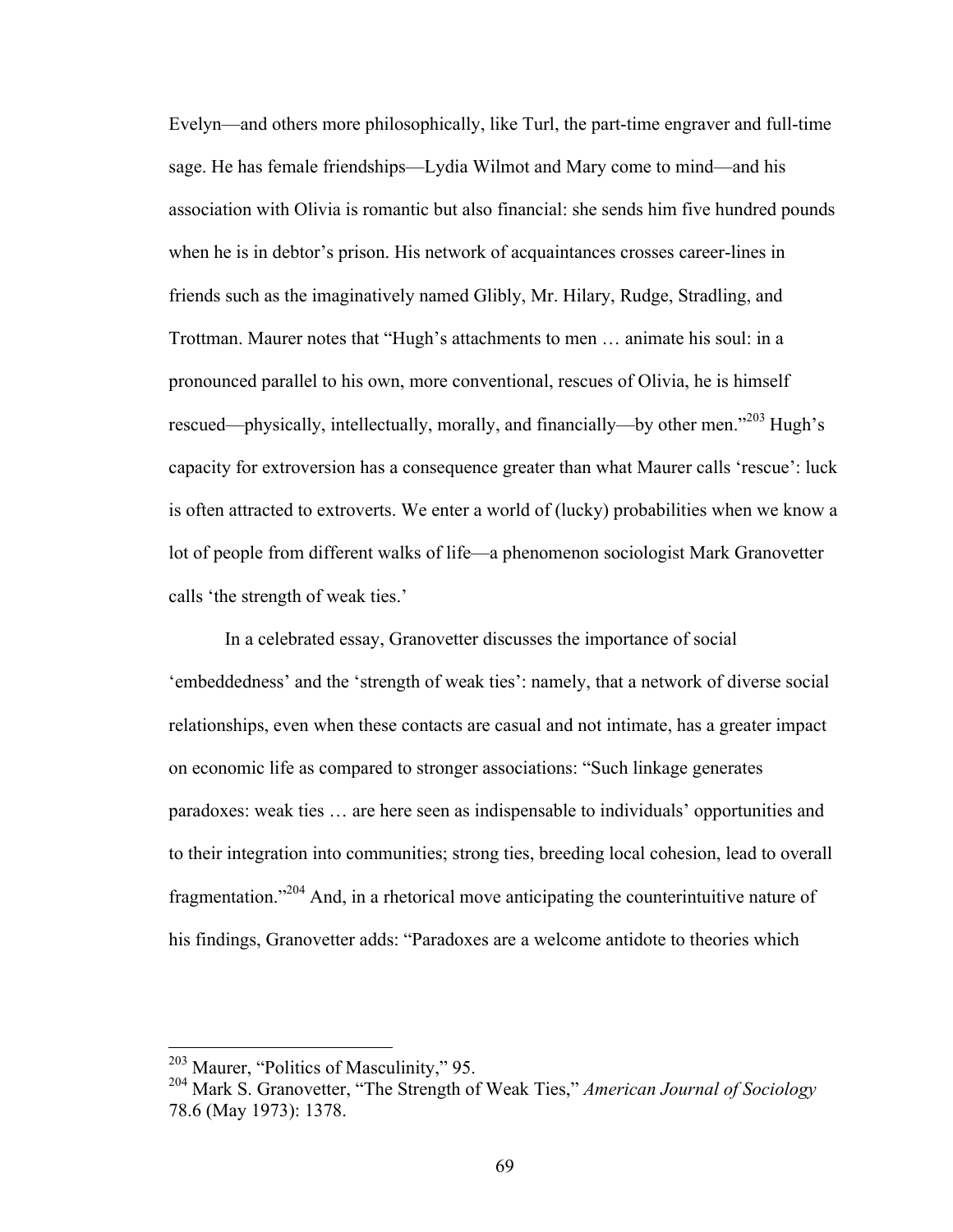Evelyn—and others more philosophically, like Turl, the part-time engraver and full-time sage. He has female friendships—Lydia Wilmot and Mary come to mind—and his association with Olivia is romantic but also financial: she sends him five hundred pounds when he is in debtor's prison. His network of acquaintances crosses career-lines in friends such as the imaginatively named Glibly, Mr. Hilary, Rudge, Stradling, and Trottman. Maurer notes that "Hugh's attachments to men … animate his soul: in a pronounced parallel to his own, more conventional, rescues of Olivia, he is himself rescued—physically, intellectually, morally, and financially—by other men.<sup>203</sup> Hugh's capacity for extroversion has a consequence greater than what Maurer calls 'rescue': luck is often attracted to extroverts. We enter a world of (lucky) probabilities when we know a lot of people from different walks of life—a phenomenon sociologist Mark Granovetter calls 'the strength of weak ties.'

In a celebrated essay, Granovetter discusses the importance of social 'embeddedness' and the 'strength of weak ties': namely, that a network of diverse social relationships, even when these contacts are casual and not intimate, has a greater impact on economic life as compared to stronger associations: "Such linkage generates paradoxes: weak ties … are here seen as indispensable to individuals' opportunities and to their integration into communities; strong ties, breeding local cohesion, lead to overall fragmentation."204 And, in a rhetorical move anticipating the counterintuitive nature of his findings, Granovetter adds: "Paradoxes are a welcome antidote to theories which

 <sup>203</sup> Maurer, "Politics of Masculinity," 95.

<sup>204</sup> Mark S. Granovetter, "The Strength of Weak Ties," *American Journal of Sociology* 78.6 (May 1973): 1378.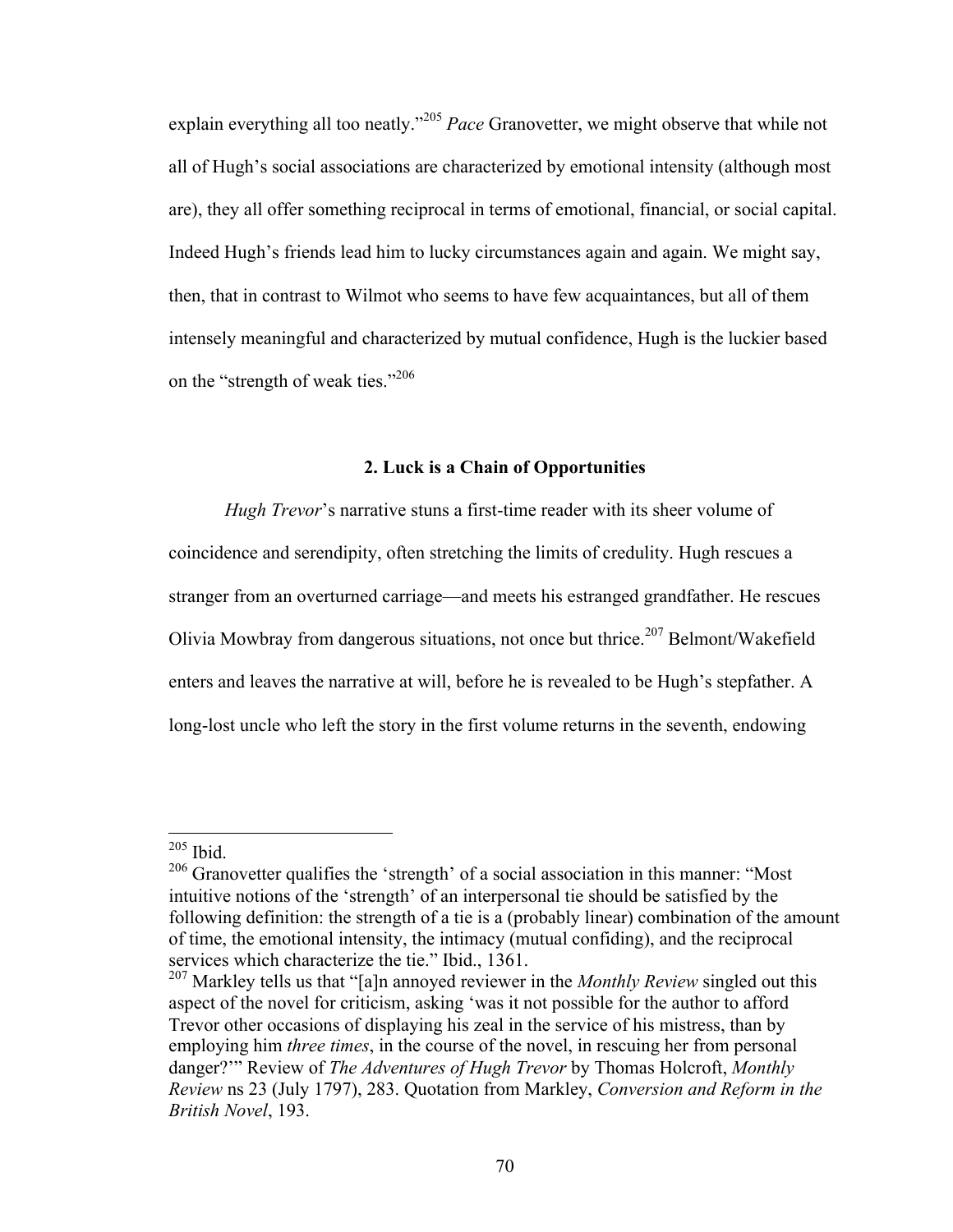explain everything all too neatly."<sup>205</sup> *Pace* Granovetter, we might observe that while not all of Hugh's social associations are characterized by emotional intensity (although most are), they all offer something reciprocal in terms of emotional, financial, or social capital. Indeed Hugh's friends lead him to lucky circumstances again and again. We might say, then, that in contrast to Wilmot who seems to have few acquaintances, but all of them intensely meaningful and characterized by mutual confidence, Hugh is the luckier based on the "strength of weak ties." 206

## **2. Luck is a Chain of Opportunities**

*Hugh Trevor*'s narrative stuns a first-time reader with its sheer volume of coincidence and serendipity, often stretching the limits of credulity. Hugh rescues a stranger from an overturned carriage—and meets his estranged grandfather. He rescues Olivia Mowbray from dangerous situations, not once but thrice.<sup>207</sup> Belmont/Wakefield enters and leaves the narrative at will, before he is revealed to be Hugh's stepfather. A long-lost uncle who left the story in the first volume returns in the seventh, endowing

 $205$  Ibid.

<sup>&</sup>lt;sup>206</sup> Granovetter qualifies the 'strength' of a social association in this manner: "Most intuitive notions of the 'strength' of an interpersonal tie should be satisfied by the following definition: the strength of a tie is a (probably linear) combination of the amount of time, the emotional intensity, the intimacy (mutual confiding), and the reciprocal services which characterize the tie." Ibid., 1361.

<sup>&</sup>lt;sup>207</sup> Markley tells us that "[a]n annoyed reviewer in the *Monthly Review* singled out this aspect of the novel for criticism, asking 'was it not possible for the author to afford Trevor other occasions of displaying his zeal in the service of his mistress, than by employing him *three times*, in the course of the novel, in rescuing her from personal danger?'" Review of *The Adventures of Hugh Trevor* by Thomas Holcroft, *Monthly Review* ns 23 (July 1797), 283. Quotation from Markley, *Conversion and Reform in the British Novel*, 193.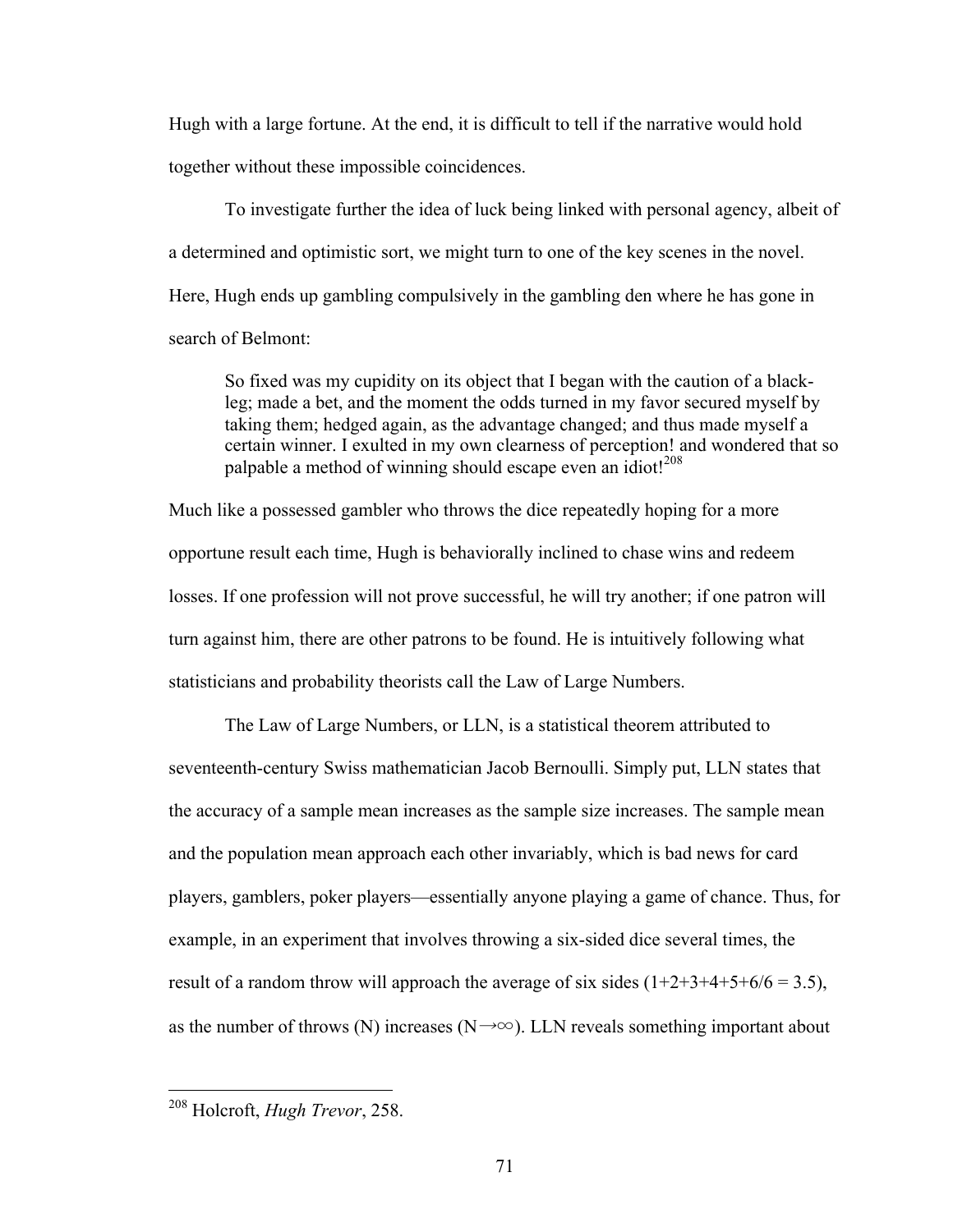Hugh with a large fortune. At the end, it is difficult to tell if the narrative would hold together without these impossible coincidences.

To investigate further the idea of luck being linked with personal agency, albeit of a determined and optimistic sort, we might turn to one of the key scenes in the novel. Here, Hugh ends up gambling compulsively in the gambling den where he has gone in search of Belmont:

So fixed was my cupidity on its object that I began with the caution of a blackleg; made a bet, and the moment the odds turned in my favor secured myself by taking them; hedged again, as the advantage changed; and thus made myself a certain winner. I exulted in my own clearness of perception! and wondered that so palpable a method of winning should escape even an idiot!<sup>208</sup>

Much like a possessed gambler who throws the dice repeatedly hoping for a more opportune result each time, Hugh is behaviorally inclined to chase wins and redeem losses. If one profession will not prove successful, he will try another; if one patron will turn against him, there are other patrons to be found. He is intuitively following what statisticians and probability theorists call the Law of Large Numbers.

The Law of Large Numbers, or LLN, is a statistical theorem attributed to seventeenth-century Swiss mathematician Jacob Bernoulli. Simply put, LLN states that the accuracy of a sample mean increases as the sample size increases. The sample mean and the population mean approach each other invariably, which is bad news for card players, gamblers, poker players—essentially anyone playing a game of chance. Thus, for example, in an experiment that involves throwing a six-sided dice several times, the result of a random throw will approach the average of six sides  $(1+2+3+4+5+6/6=3.5)$ , as the number of throws (N) increases ( $N \rightarrow \infty$ ). LLN reveals something important about

 <sup>208</sup> Holcroft, *Hugh Trevor*, 258.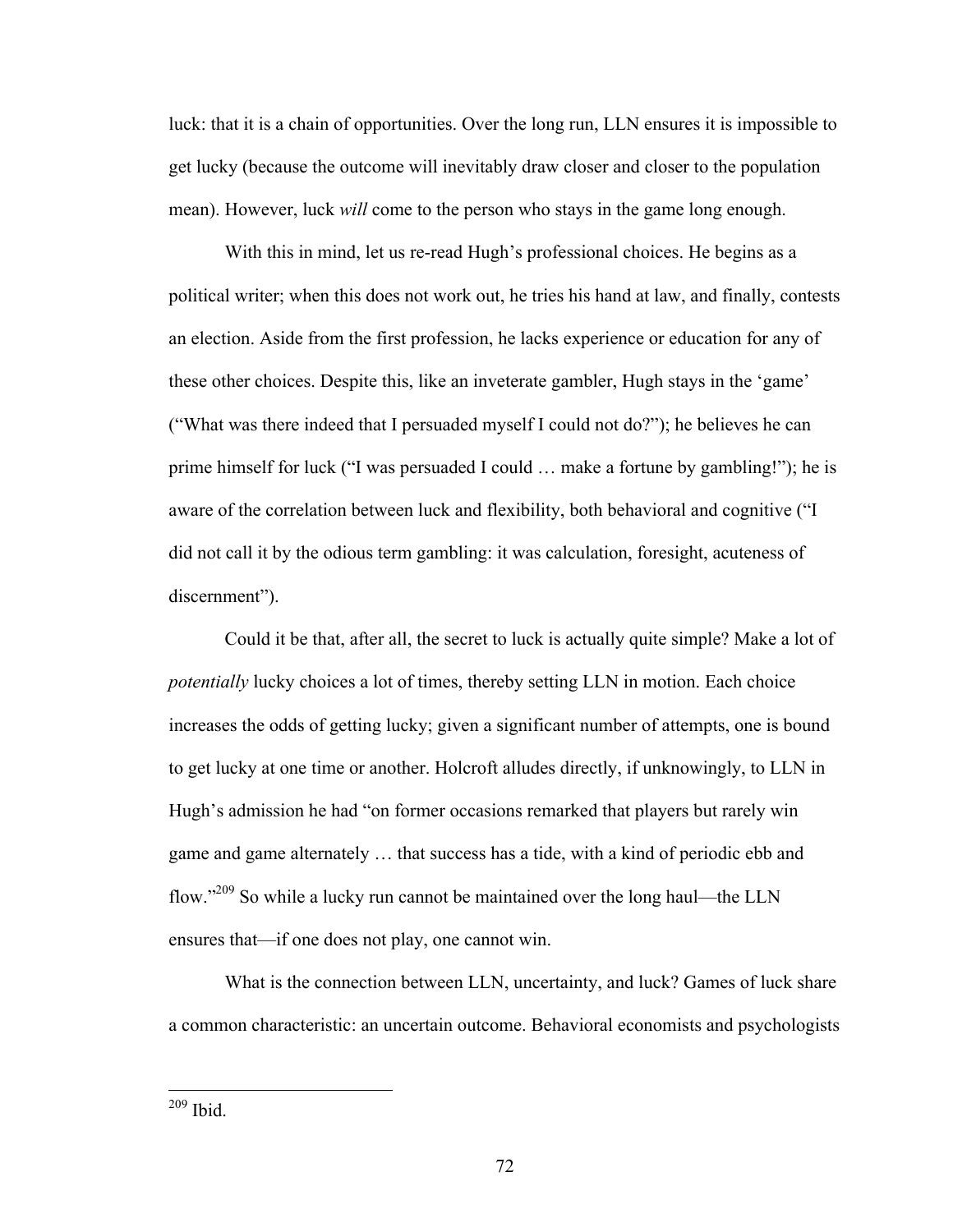luck: that it is a chain of opportunities. Over the long run, LLN ensures it is impossible to get lucky (because the outcome will inevitably draw closer and closer to the population mean). However, luck *will* come to the person who stays in the game long enough.

With this in mind, let us re-read Hugh's professional choices. He begins as a political writer; when this does not work out, he tries his hand at law, and finally, contests an election. Aside from the first profession, he lacks experience or education for any of these other choices. Despite this, like an inveterate gambler, Hugh stays in the 'game' ("What was there indeed that I persuaded myself I could not do?"); he believes he can prime himself for luck ("I was persuaded I could … make a fortune by gambling!"); he is aware of the correlation between luck and flexibility, both behavioral and cognitive ("I did not call it by the odious term gambling: it was calculation, foresight, acuteness of discernment").

Could it be that, after all, the secret to luck is actually quite simple? Make a lot of *potentially* lucky choices a lot of times, thereby setting LLN in motion. Each choice increases the odds of getting lucky; given a significant number of attempts, one is bound to get lucky at one time or another. Holcroft alludes directly, if unknowingly, to LLN in Hugh's admission he had "on former occasions remarked that players but rarely win game and game alternately … that success has a tide, with a kind of periodic ebb and flow."209 So while a lucky run cannot be maintained over the long haul—the LLN ensures that—if one does not play, one cannot win.

What is the connection between LLN, uncertainty, and luck? Games of luck share a common characteristic: an uncertain outcome. Behavioral economists and psychologists

209 Ibid.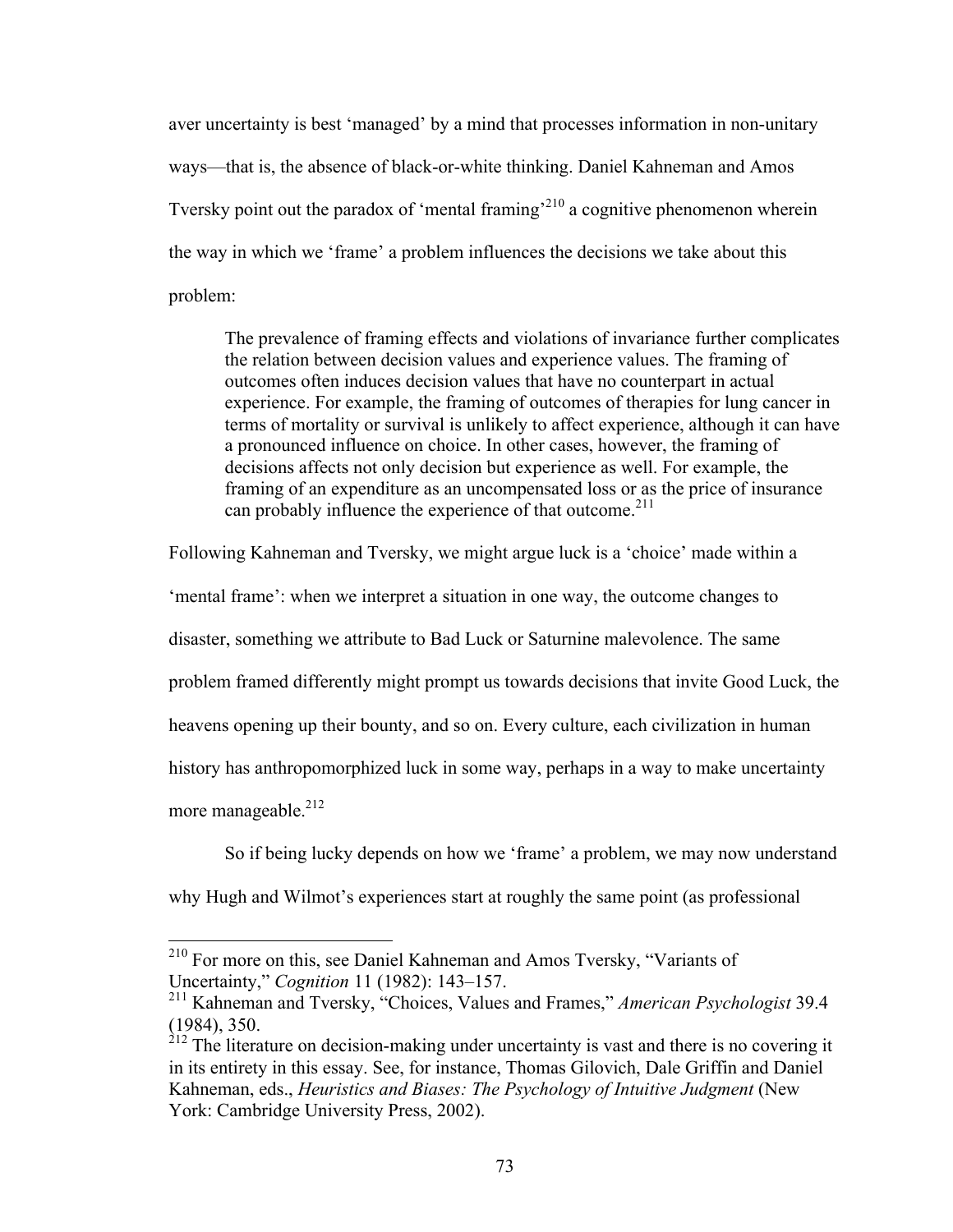aver uncertainty is best 'managed' by a mind that processes information in non-unitary ways—that is, the absence of black-or-white thinking. Daniel Kahneman and Amos Tversky point out the paradox of 'mental framing<sup>210</sup> a cognitive phenomenon wherein the way in which we 'frame' a problem influences the decisions we take about this problem:

The prevalence of framing effects and violations of invariance further complicates the relation between decision values and experience values. The framing of outcomes often induces decision values that have no counterpart in actual experience. For example, the framing of outcomes of therapies for lung cancer in terms of mortality or survival is unlikely to affect experience, although it can have a pronounced influence on choice. In other cases, however, the framing of decisions affects not only decision but experience as well. For example, the framing of an expenditure as an uncompensated loss or as the price of insurance can probably influence the experience of that outcome. $2^{11}$ 

Following Kahneman and Tversky, we might argue luck is a 'choice' made within a

'mental frame': when we interpret a situation in one way, the outcome changes to

disaster, something we attribute to Bad Luck or Saturnine malevolence. The same

problem framed differently might prompt us towards decisions that invite Good Luck, the

heavens opening up their bounty, and so on. Every culture, each civilization in human

history has anthropomorphized luck in some way, perhaps in a way to make uncertainty

more manageable. $212$ 

So if being lucky depends on how we 'frame' a problem, we may now understand

why Hugh and Wilmot's experiences start at roughly the same point (as professional

<sup>&</sup>lt;sup>210</sup> For more on this, see Daniel Kahneman and Amos Tversky, "Variants of Uncertainty," *Cognition* 11 (1982): 143–157.

<sup>211</sup> Kahneman and Tversky, "Choices, Values and Frames," *American Psychologist* 39.4 (1984), 350.

 $2^{212}$  The literature on decision-making under uncertainty is vast and there is no covering it in its entirety in this essay. See, for instance, Thomas Gilovich, Dale Griffin and Daniel Kahneman, eds., *Heuristics and Biases: The Psychology of Intuitive Judgment* (New York: Cambridge University Press, 2002).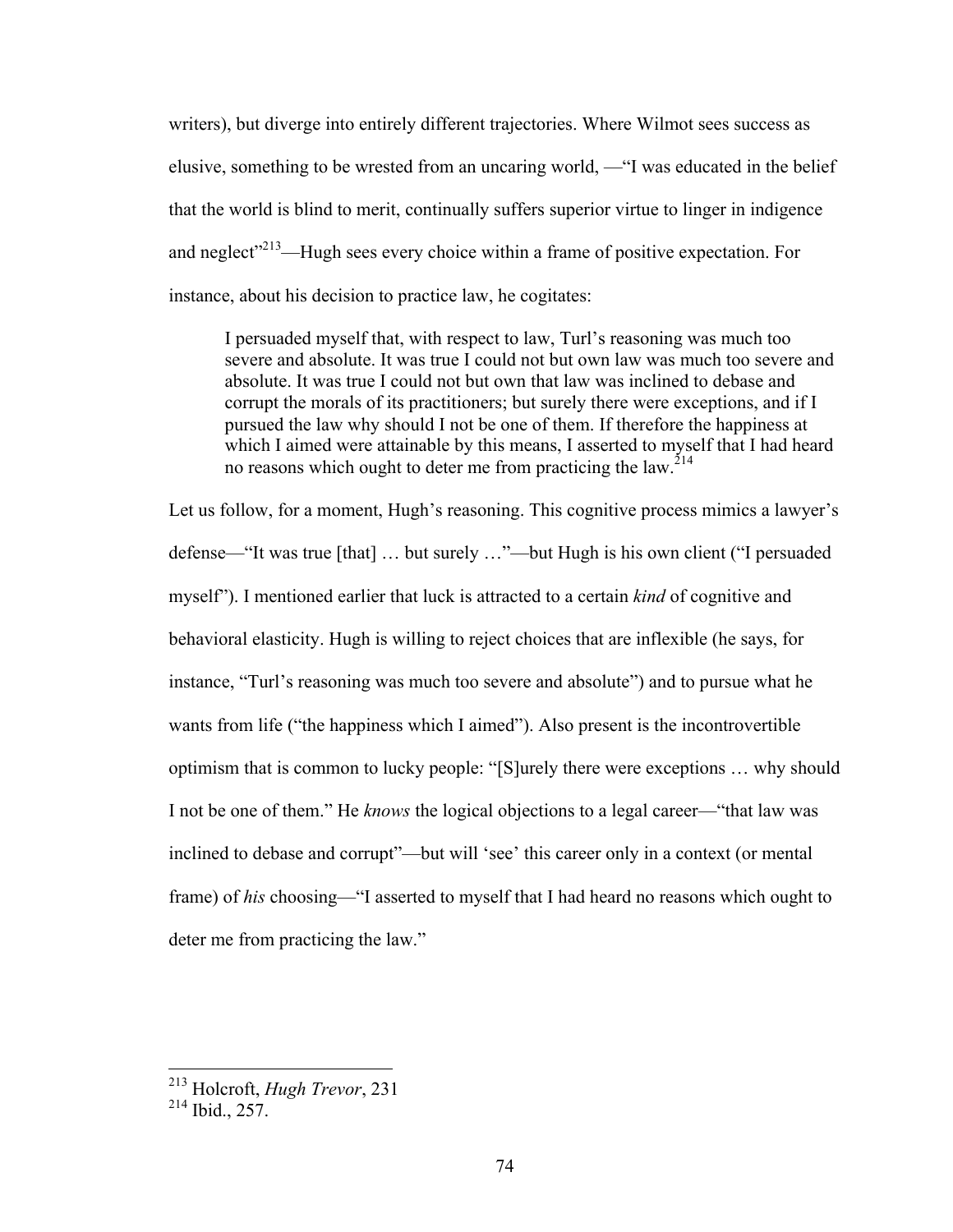writers), but diverge into entirely different trajectories. Where Wilmot sees success as elusive, something to be wrested from an uncaring world, —"I was educated in the belief that the world is blind to merit, continually suffers superior virtue to linger in indigence and neglect<sup> $213$ </sup>—Hugh sees every choice within a frame of positive expectation. For instance, about his decision to practice law, he cogitates:

I persuaded myself that, with respect to law, Turl's reasoning was much too severe and absolute. It was true I could not but own law was much too severe and absolute. It was true I could not but own that law was inclined to debase and corrupt the morals of its practitioners; but surely there were exceptions, and if I pursued the law why should I not be one of them. If therefore the happiness at which I aimed were attainable by this means, I asserted to myself that I had heard no reasons which ought to deter me from practicing the law.<sup>214</sup>

Let us follow, for a moment, Hugh's reasoning. This cognitive process mimics a lawyer's defense—"It was true [that] … but surely …"—but Hugh is his own client ("I persuaded myself"). I mentioned earlier that luck is attracted to a certain *kind* of cognitive and behavioral elasticity. Hugh is willing to reject choices that are inflexible (he says, for instance, "Turl's reasoning was much too severe and absolute") and to pursue what he wants from life ("the happiness which I aimed"). Also present is the incontrovertible optimism that is common to lucky people: "[S]urely there were exceptions … why should I not be one of them." He *knows* the logical objections to a legal career—"that law was inclined to debase and corrupt"—but will 'see' this career only in a context (or mental frame) of *his* choosing—"I asserted to myself that I had heard no reasons which ought to deter me from practicing the law."

 <sup>213</sup> Holcroft, *Hugh Trevor*, 231

<sup>214</sup> Ibid., 257.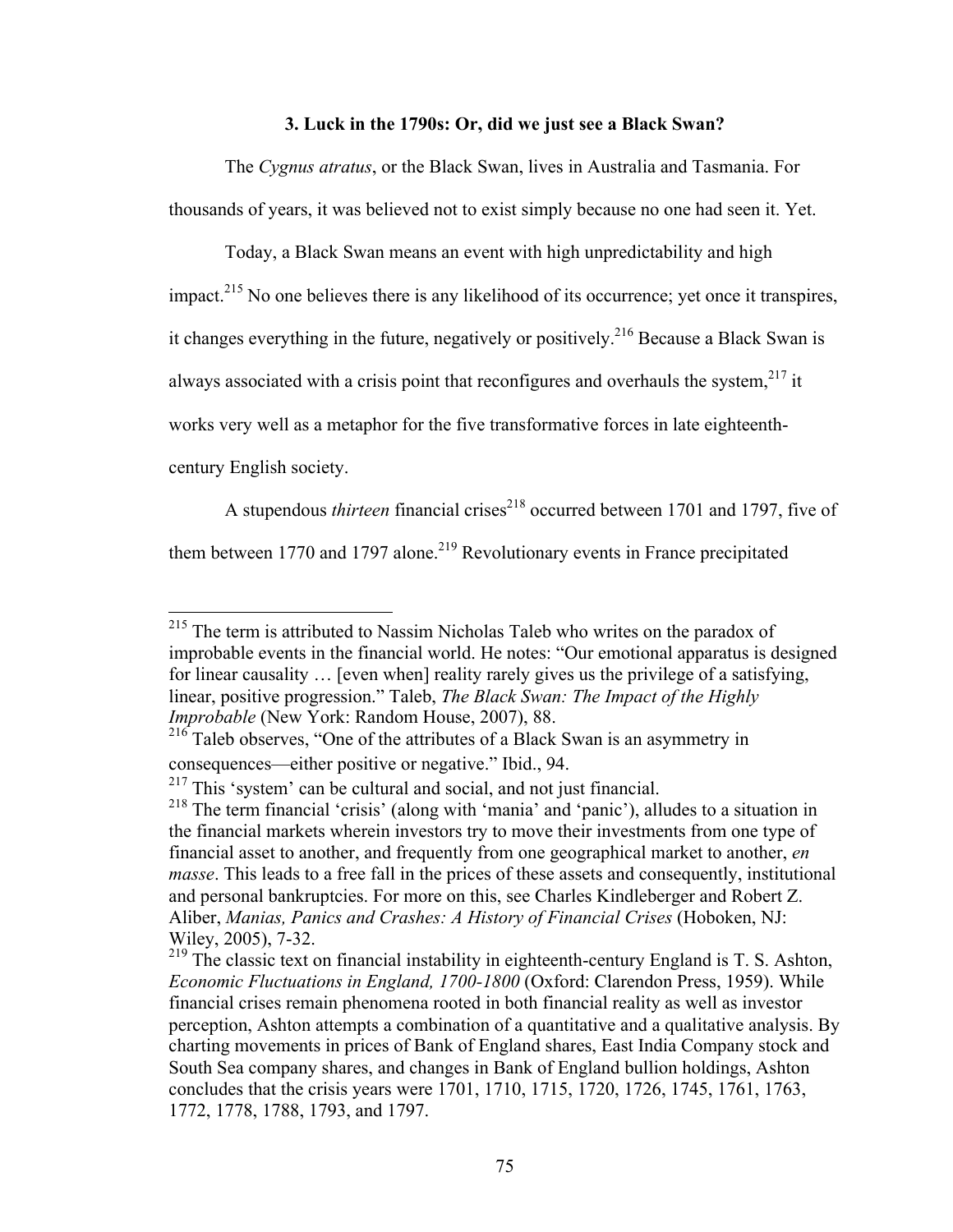# **3. Luck in the 1790s: Or, did we just see a Black Swan?**

The *Cygnus atratus*, or the Black Swan, lives in Australia and Tasmania. For thousands of years, it was believed not to exist simply because no one had seen it. Yet.

Today, a Black Swan means an event with high unpredictability and high impact.<sup>215</sup> No one believes there is any likelihood of its occurrence; yet once it transpires, it changes everything in the future, negatively or positively.216 Because a Black Swan is always associated with a crisis point that reconfigures and overhauls the system.<sup>217</sup> it works very well as a metaphor for the five transformative forces in late eighteenthcentury English society.

A stupendous *thirteen* financial crises<sup>218</sup> occurred between 1701 and 1797, five of them between 1770 and 1797 alone.<sup>219</sup> Revolutionary events in France precipitated

<sup>&</sup>lt;sup>215</sup> The term is attributed to Nassim Nicholas Taleb who writes on the paradox of improbable events in the financial world. He notes: "Our emotional apparatus is designed for linear causality … [even when] reality rarely gives us the privilege of a satisfying, linear, positive progression." Taleb, *The Black Swan: The Impact of the Highly Improbable* (New York: Random House, 2007), 88.

 $216$  Taleb observes, "One of the attributes of a Black Swan is an asymmetry in consequences—either positive or negative." Ibid., 94.

 $217$  This 'system' can be cultural and social, and not just financial.

<sup>218</sup> The term financial 'crisis' (along with 'mania' and 'panic'), alludes to a situation in the financial markets wherein investors try to move their investments from one type of financial asset to another, and frequently from one geographical market to another, *en masse*. This leads to a free fall in the prices of these assets and consequently, institutional and personal bankruptcies. For more on this, see Charles Kindleberger and Robert Z. Aliber, *Manias, Panics and Crashes: A History of Financial Crises* (Hoboken, NJ: Wiley, 2005), 7-32.

<sup>&</sup>lt;sup>219</sup> The classic text on financial instability in eighteenth-century England is T. S. Ashton, *Economic Fluctuations in England, 1700-1800* (Oxford: Clarendon Press, 1959). While financial crises remain phenomena rooted in both financial reality as well as investor perception, Ashton attempts a combination of a quantitative and a qualitative analysis. By charting movements in prices of Bank of England shares, East India Company stock and South Sea company shares, and changes in Bank of England bullion holdings, Ashton concludes that the crisis years were 1701, 1710, 1715, 1720, 1726, 1745, 1761, 1763, 1772, 1778, 1788, 1793, and 1797.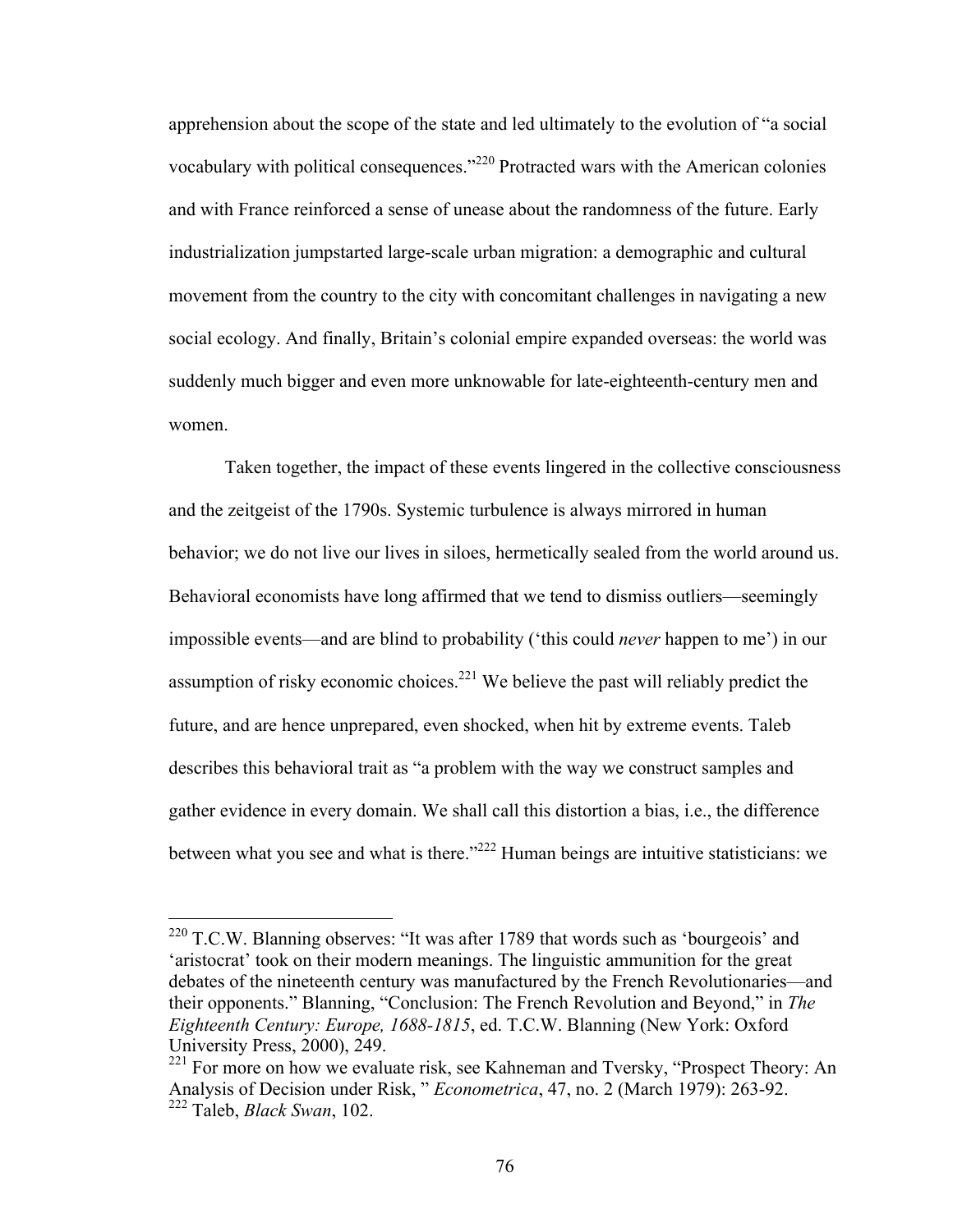apprehension about the scope of the state and led ultimately to the evolution of "a social vocabulary with political consequences."<sup>220</sup> Protracted wars with the American colonies and with France reinforced a sense of unease about the randomness of the future. Early industrialization jumpstarted large-scale urban migration: a demographic and cultural movement from the country to the city with concomitant challenges in navigating a new social ecology. And finally, Britain's colonial empire expanded overseas: the world was suddenly much bigger and even more unknowable for late-eighteenth-century men and women.

Taken together, the impact of these events lingered in the collective consciousness and the zeitgeist of the 1790s. Systemic turbulence is always mirrored in human behavior; we do not live our lives in siloes, hermetically sealed from the world around us. Behavioral economists have long affirmed that we tend to dismiss outliers—seemingly impossible events—and are blind to probability ('this could *never* happen to me') in our assumption of risky economic choices.<sup>221</sup> We believe the past will reliably predict the future, and are hence unprepared, even shocked, when hit by extreme events. Taleb describes this behavioral trait as "a problem with the way we construct samples and gather evidence in every domain. We shall call this distortion a bias, i.e., the difference between what you see and what is there."<sup>222</sup> Human beings are intuitive statisticians: we

 $220$  T.C.W. Blanning observes: "It was after 1789 that words such as 'bourgeois' and 'aristocrat' took on their modern meanings. The linguistic ammunition for the great debates of the nineteenth century was manufactured by the French Revolutionaries—and their opponents." Blanning, "Conclusion: The French Revolution and Beyond," in *The Eighteenth Century: Europe, 1688-1815*, ed. T.C.W. Blanning (New York: Oxford University Press, 2000), 249.

<sup>&</sup>lt;sup>221</sup> For more on how we evaluate risk, see Kahneman and Tversky, "Prospect Theory: An Analysis of Decision under Risk, " *Econometrica*, 47, no. 2 (March 1979): 263-92. <sup>222</sup> Taleb, *Black Swan*, 102.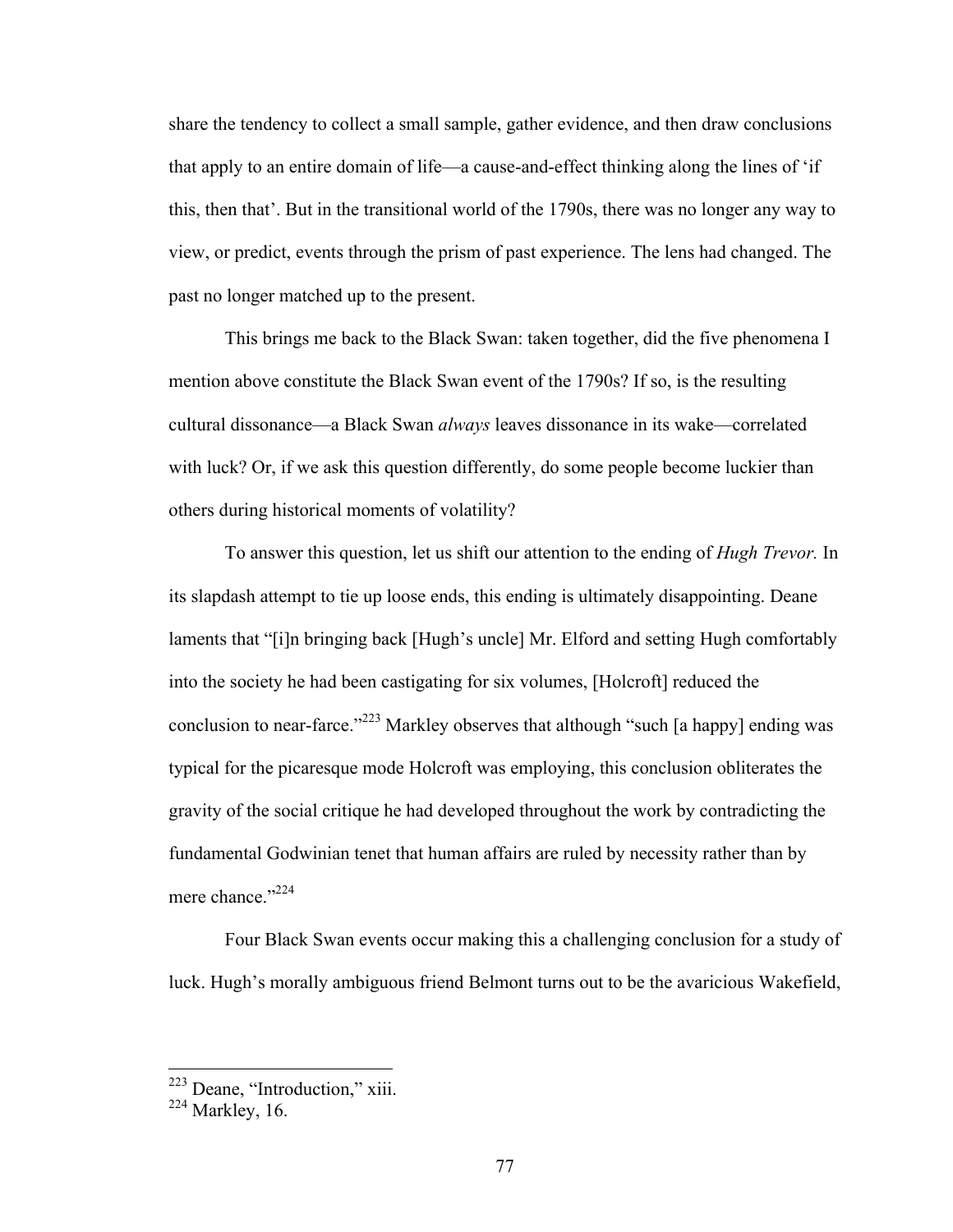share the tendency to collect a small sample, gather evidence, and then draw conclusions that apply to an entire domain of life—a cause-and-effect thinking along the lines of 'if this, then that'. But in the transitional world of the 1790s, there was no longer any way to view, or predict, events through the prism of past experience. The lens had changed. The past no longer matched up to the present.

This brings me back to the Black Swan: taken together, did the five phenomena I mention above constitute the Black Swan event of the 1790s? If so, is the resulting cultural dissonance—a Black Swan *always* leaves dissonance in its wake—correlated with luck? Or, if we ask this question differently, do some people become luckier than others during historical moments of volatility?

To answer this question, let us shift our attention to the ending of *Hugh Trevor.* In its slapdash attempt to tie up loose ends, this ending is ultimately disappointing. Deane laments that "[i]n bringing back [Hugh's uncle] Mr. Elford and setting Hugh comfortably into the society he had been castigating for six volumes, [Holcroft] reduced the conclusion to near-farce."<sup>223</sup> Markley observes that although "such [a happy] ending was typical for the picaresque mode Holcroft was employing, this conclusion obliterates the gravity of the social critique he had developed throughout the work by contradicting the fundamental Godwinian tenet that human affairs are ruled by necessity rather than by mere chance."224

Four Black Swan events occur making this a challenging conclusion for a study of luck. Hugh's morally ambiguous friend Belmont turns out to be the avaricious Wakefield,

<sup>&</sup>lt;sup>223</sup> Deane, "Introduction," xiii.

 $224$  Markley, 16.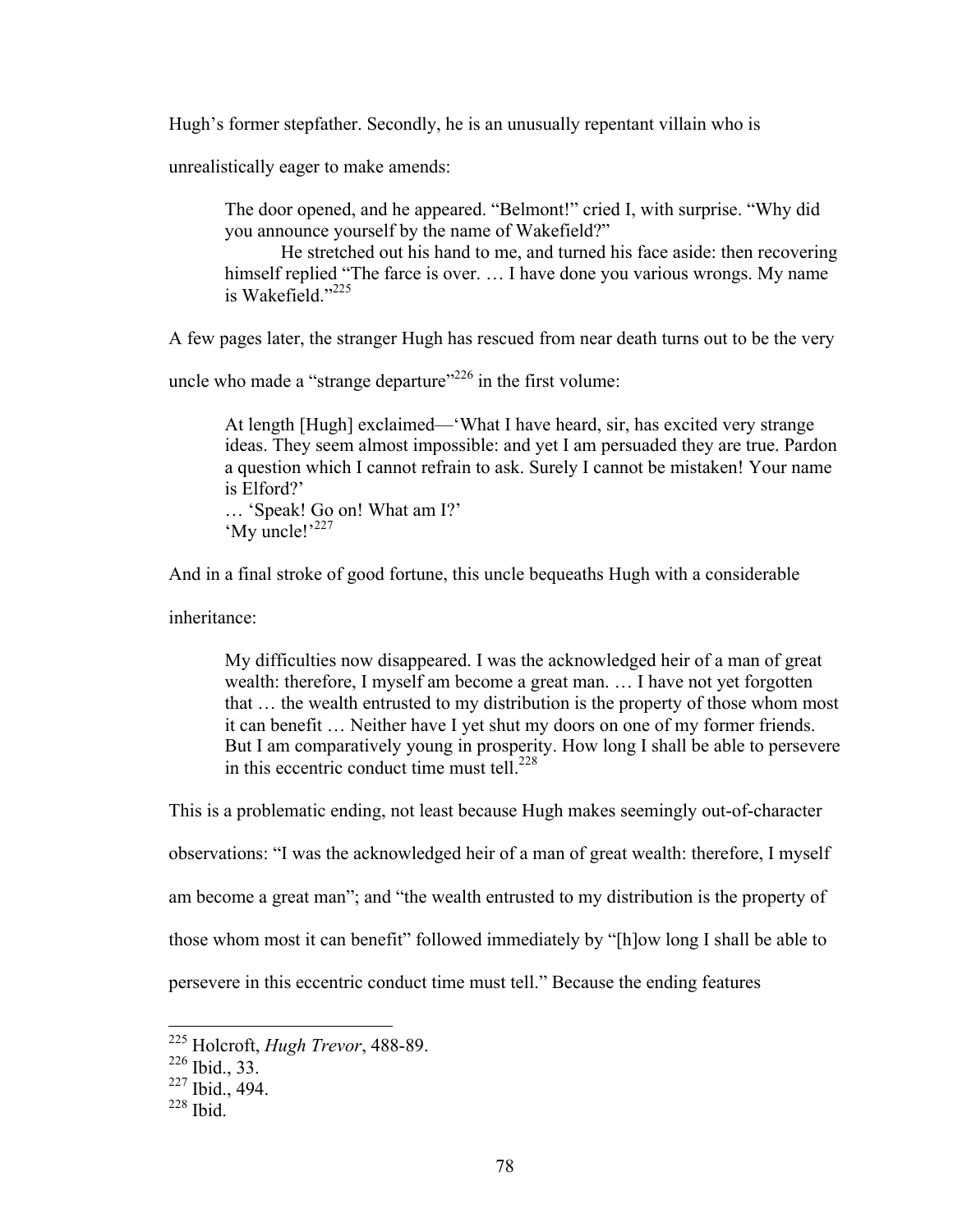Hugh's former stepfather. Secondly, he is an unusually repentant villain who is

unrealistically eager to make amends:

The door opened, and he appeared. "Belmont!" cried I, with surprise. "Why did you announce yourself by the name of Wakefield?"

He stretched out his hand to me, and turned his face aside: then recovering himself replied "The farce is over. ... I have done you various wrongs. My name is Wakefield."<sup>225</sup>

A few pages later, the stranger Hugh has rescued from near death turns out to be the very

uncle who made a "strange departure"<sup>226</sup> in the first volume:

At length [Hugh] exclaimed—'What I have heard, sir, has excited very strange ideas. They seem almost impossible: and yet I am persuaded they are true. Pardon a question which I cannot refrain to ask. Surely I cannot be mistaken! Your name is Elford?'

… 'Speak! Go on! What am I?' 'My uncle!'<sup>227</sup>

And in a final stroke of good fortune, this uncle bequeaths Hugh with a considerable

inheritance:

My difficulties now disappeared. I was the acknowledged heir of a man of great wealth: therefore, I myself am become a great man. … I have not yet forgotten that … the wealth entrusted to my distribution is the property of those whom most it can benefit … Neither have I yet shut my doors on one of my former friends. But I am comparatively young in prosperity. How long I shall be able to persevere in this eccentric conduct time must tell.<sup>228</sup>

This is a problematic ending, not least because Hugh makes seemingly out-of-character

observations: "I was the acknowledged heir of a man of great wealth: therefore, I myself

am become a great man"; and "the wealth entrusted to my distribution is the property of

those whom most it can benefit" followed immediately by "[h]ow long I shall be able to

persevere in this eccentric conduct time must tell." Because the ending features

 <sup>225</sup> Holcroft, *Hugh Trevor*, 488-89.

 $^{226}$  Ibid., 33.

<sup>227</sup> Ibid., 494.

 $228$  Ibid.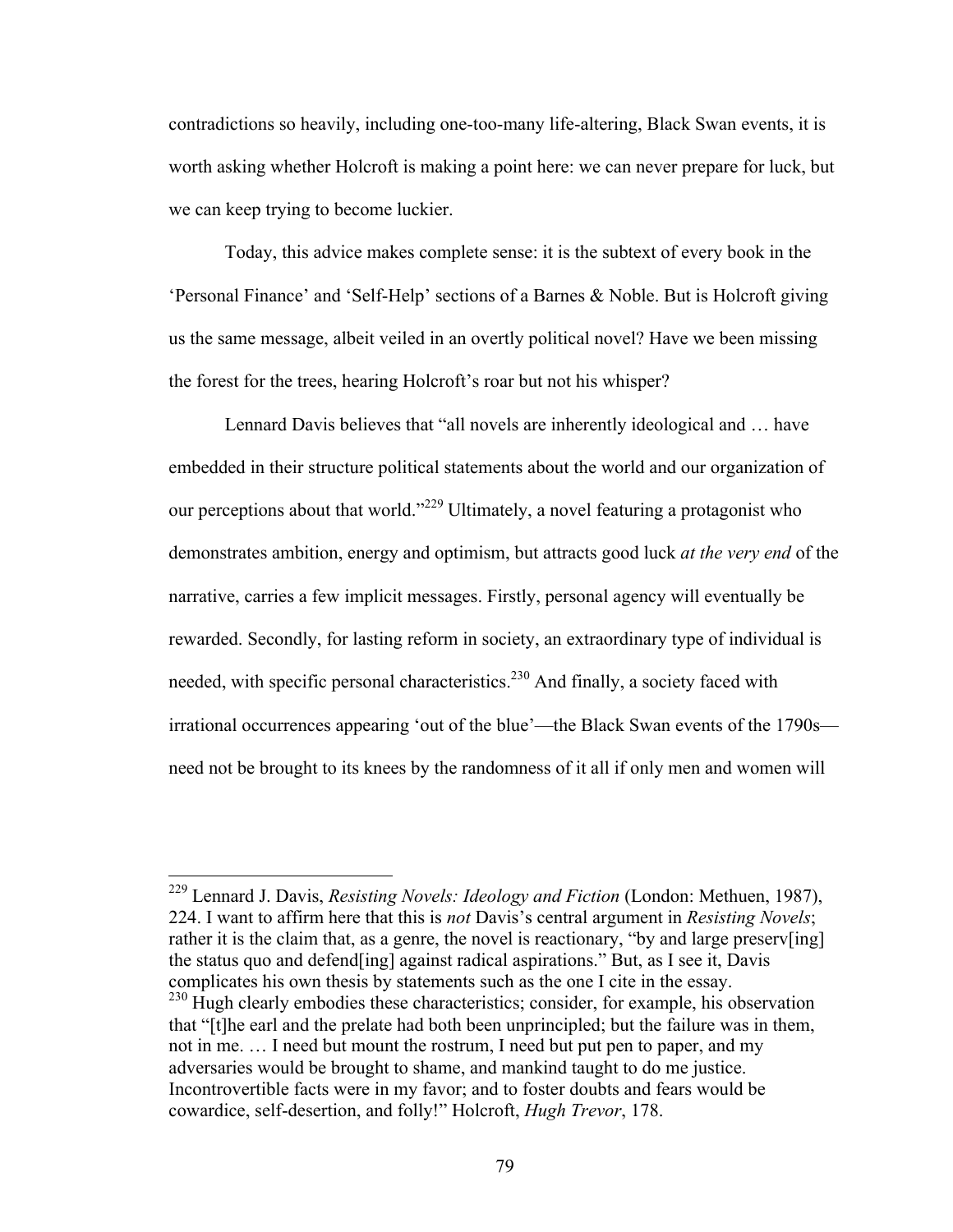contradictions so heavily, including one-too-many life-altering, Black Swan events, it is worth asking whether Holcroft is making a point here: we can never prepare for luck, but we can keep trying to become luckier.

Today, this advice makes complete sense: it is the subtext of every book in the 'Personal Finance' and 'Self-Help' sections of a Barnes & Noble. But is Holcroft giving us the same message, albeit veiled in an overtly political novel? Have we been missing the forest for the trees, hearing Holcroft's roar but not his whisper?

Lennard Davis believes that "all novels are inherently ideological and … have embedded in their structure political statements about the world and our organization of our perceptions about that world."<sup>229</sup> Ultimately, a novel featuring a protagonist who demonstrates ambition, energy and optimism, but attracts good luck *at the very end* of the narrative, carries a few implicit messages. Firstly, personal agency will eventually be rewarded. Secondly, for lasting reform in society, an extraordinary type of individual is needed, with specific personal characteristics.<sup>230</sup> And finally, a society faced with irrational occurrences appearing 'out of the blue'—the Black Swan events of the 1790s need not be brought to its knees by the randomness of it all if only men and women will

 229 Lennard J. Davis, *Resisting Novels: Ideology and Fiction* (London: Methuen, 1987), 224. I want to affirm here that this is *not* Davis's central argument in *Resisting Novels*; rather it is the claim that, as a genre, the novel is reactionary, "by and large preserv[ing] the status quo and defend[ing] against radical aspirations." But, as I see it, Davis complicates his own thesis by statements such as the one I cite in the essay. <sup>230</sup> Hugh clearly embodies these characteristics; consider, for example, his observation

that "[t]he earl and the prelate had both been unprincipled; but the failure was in them, not in me. … I need but mount the rostrum, I need but put pen to paper, and my adversaries would be brought to shame, and mankind taught to do me justice. Incontrovertible facts were in my favor; and to foster doubts and fears would be cowardice, self-desertion, and folly!" Holcroft, *Hugh Trevor*, 178.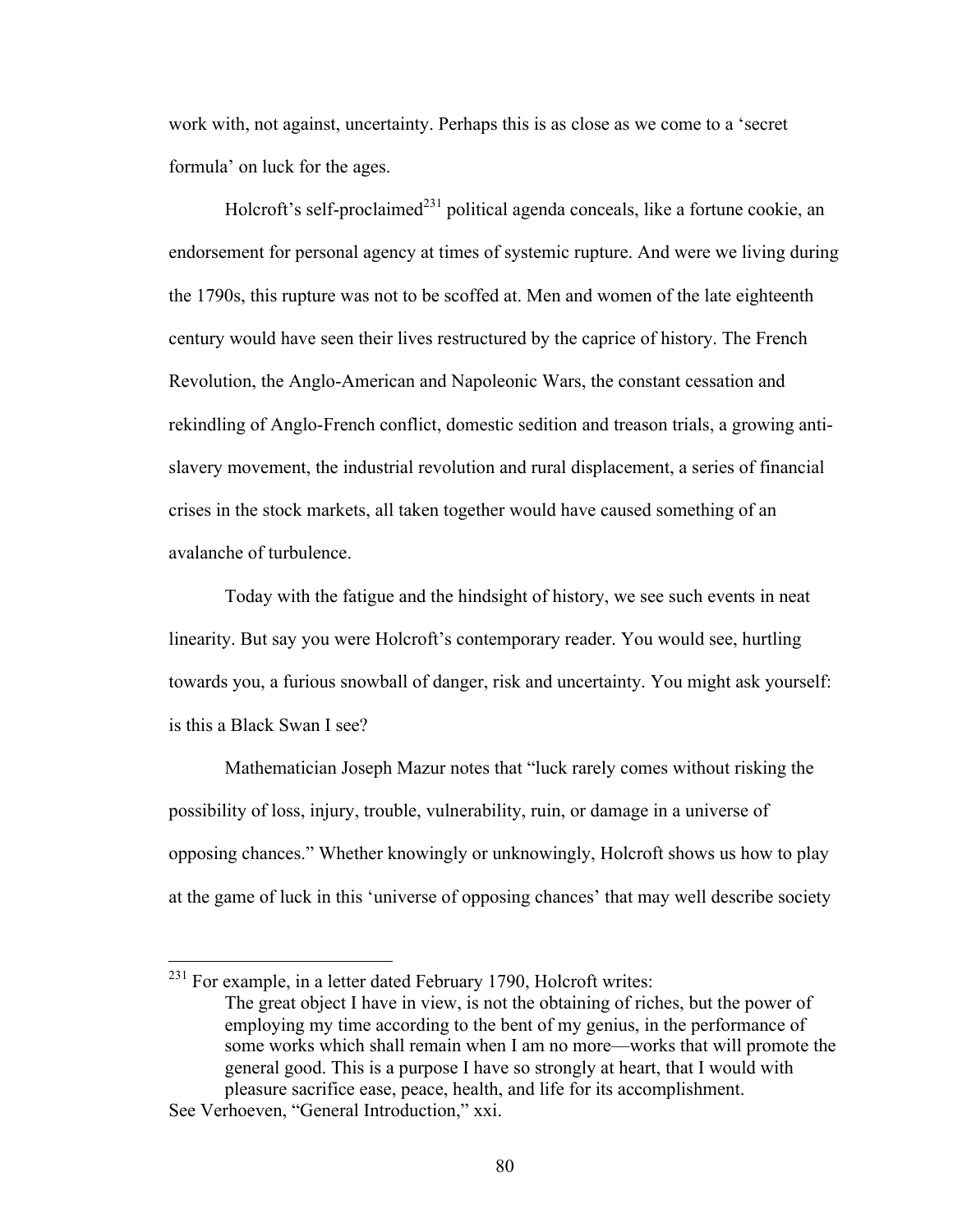work with, not against, uncertainty. Perhaps this is as close as we come to a 'secret formula' on luck for the ages.

Holcroft's self-proclaimed<sup>231</sup> political agenda conceals, like a fortune cookie, an endorsement for personal agency at times of systemic rupture. And were we living during the 1790s, this rupture was not to be scoffed at. Men and women of the late eighteenth century would have seen their lives restructured by the caprice of history. The French Revolution, the Anglo-American and Napoleonic Wars, the constant cessation and rekindling of Anglo-French conflict, domestic sedition and treason trials, a growing antislavery movement, the industrial revolution and rural displacement, a series of financial crises in the stock markets, all taken together would have caused something of an avalanche of turbulence.

Today with the fatigue and the hindsight of history, we see such events in neat linearity. But say you were Holcroft's contemporary reader. You would see, hurtling towards you, a furious snowball of danger, risk and uncertainty. You might ask yourself: is this a Black Swan I see?

Mathematician Joseph Mazur notes that "luck rarely comes without risking the possibility of loss, injury, trouble, vulnerability, ruin, or damage in a universe of opposing chances." Whether knowingly or unknowingly, Holcroft shows us how to play at the game of luck in this 'universe of opposing chances' that may well describe society

<sup>&</sup>lt;sup>231</sup> For example, in a letter dated February 1790, Holcroft writes: The great object I have in view, is not the obtaining of riches, but the power of employing my time according to the bent of my genius, in the performance of some works which shall remain when I am no more—works that will promote the general good. This is a purpose I have so strongly at heart, that I would with pleasure sacrifice ease, peace, health, and life for its accomplishment.

See Verhoeven, "General Introduction," xxi.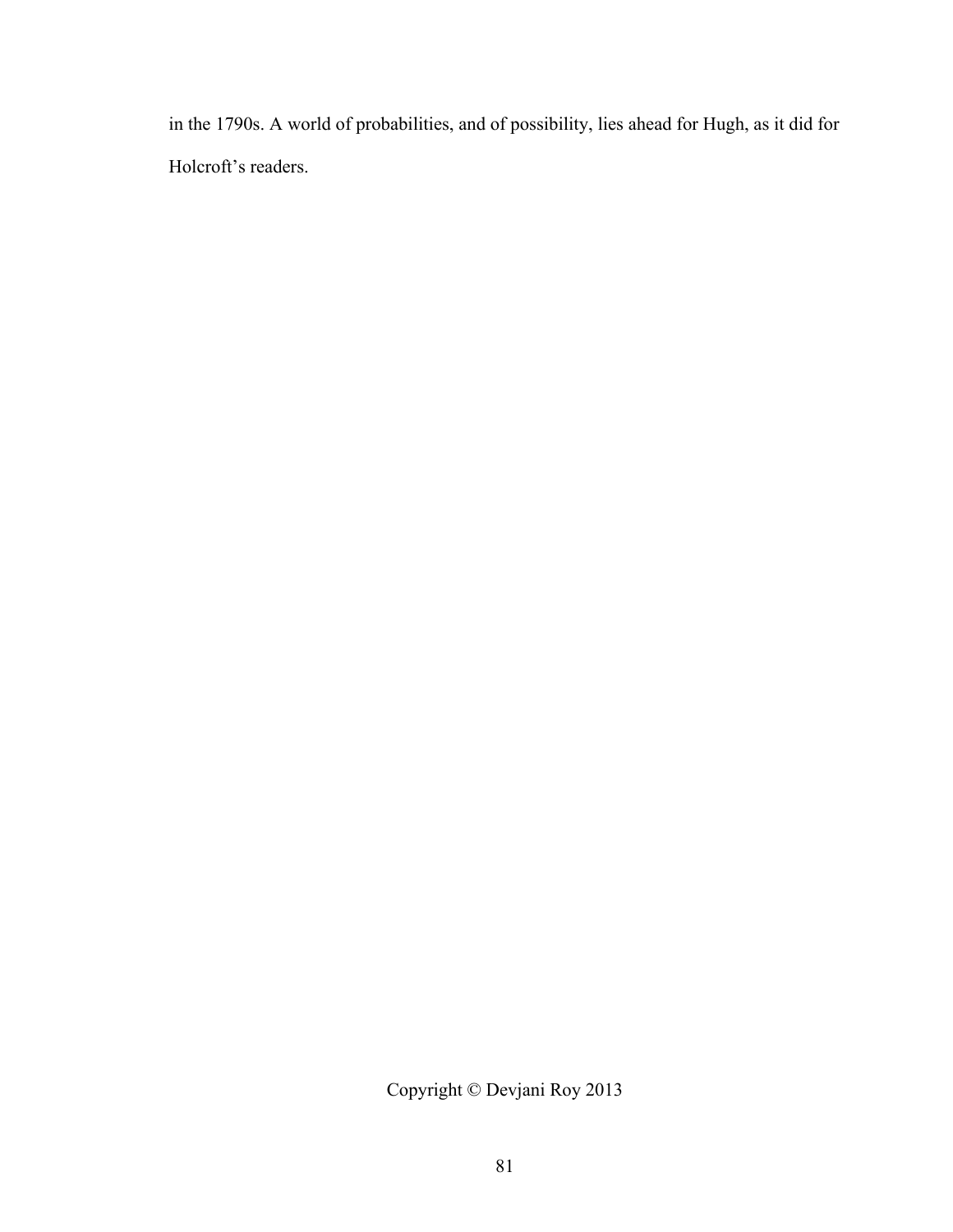in the 1790s. A world of probabilities, and of possibility, lies ahead for Hugh, as it did for Holcroft's readers.

Copyright © Devjani Roy 2013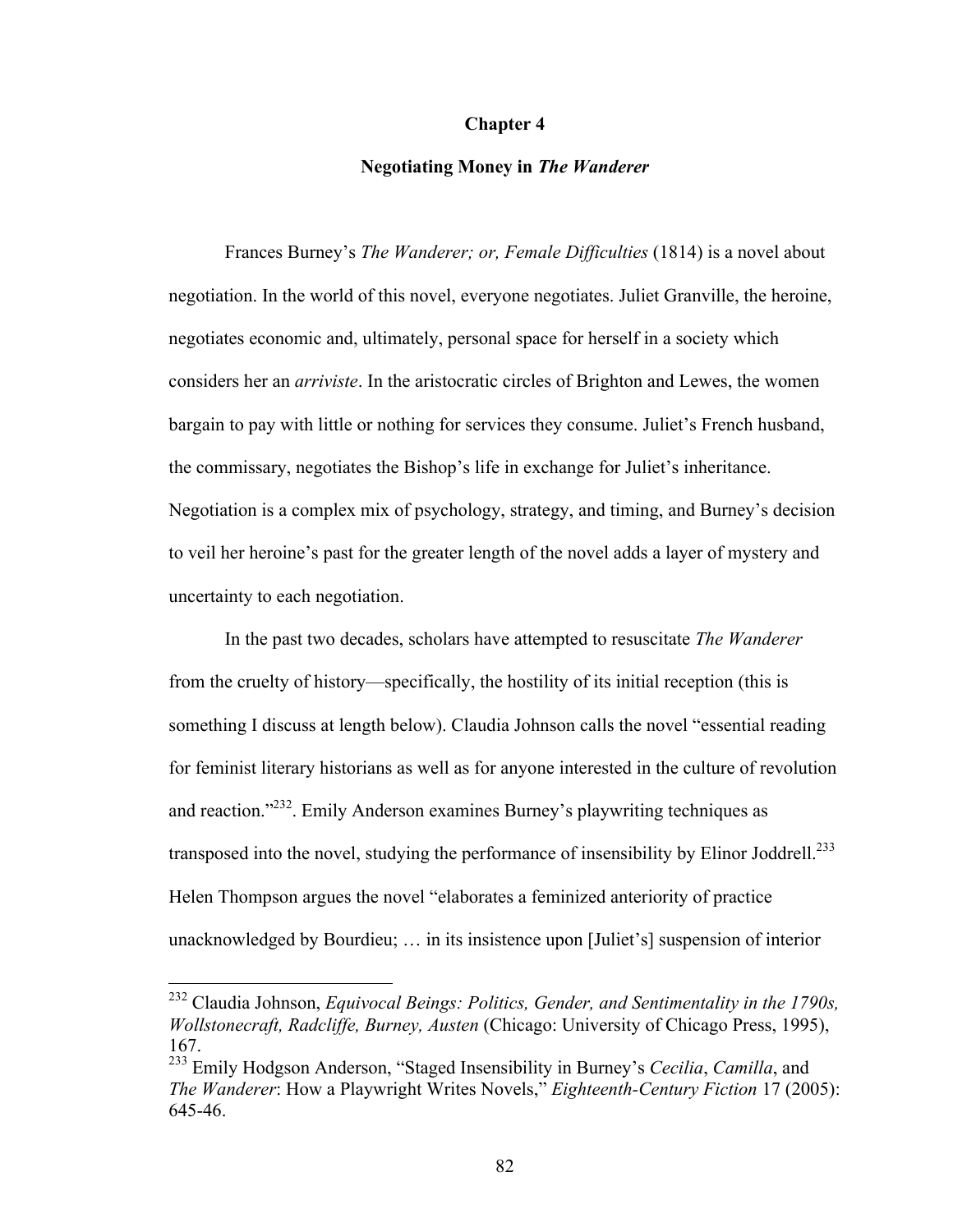### **Chapter 4**

### **Negotiating Money in** *The Wanderer*

Frances Burney's *The Wanderer; or, Female Difficulties* (1814) is a novel about negotiation. In the world of this novel, everyone negotiates. Juliet Granville, the heroine, negotiates economic and, ultimately, personal space for herself in a society which considers her an *arriviste*. In the aristocratic circles of Brighton and Lewes, the women bargain to pay with little or nothing for services they consume. Juliet's French husband, the commissary, negotiates the Bishop's life in exchange for Juliet's inheritance. Negotiation is a complex mix of psychology, strategy, and timing, and Burney's decision to veil her heroine's past for the greater length of the novel adds a layer of mystery and uncertainty to each negotiation.

In the past two decades, scholars have attempted to resuscitate *The Wanderer* from the cruelty of history—specifically, the hostility of its initial reception (this is something I discuss at length below). Claudia Johnson calls the novel "essential reading for feminist literary historians as well as for anyone interested in the culture of revolution and reaction."<sup>232</sup>. Emily Anderson examines Burney's playwriting techniques as transposed into the novel, studying the performance of insensibility by Elinor Joddrell.<sup>233</sup> Helen Thompson argues the novel "elaborates a feminized anteriority of practice unacknowledged by Bourdieu; … in its insistence upon [Juliet's] suspension of interior

 <sup>232</sup> Claudia Johnson, *Equivocal Beings: Politics, Gender, and Sentimentality in the 1790s, Wollstonecraft, Radcliffe, Burney, Austen* (Chicago: University of Chicago Press, 1995), 167.

<sup>233</sup> Emily Hodgson Anderson, "Staged Insensibility in Burney's *Cecilia*, *Camilla*, and *The Wanderer*: How a Playwright Writes Novels," *Eighteenth-Century Fiction* 17 (2005): 645-46.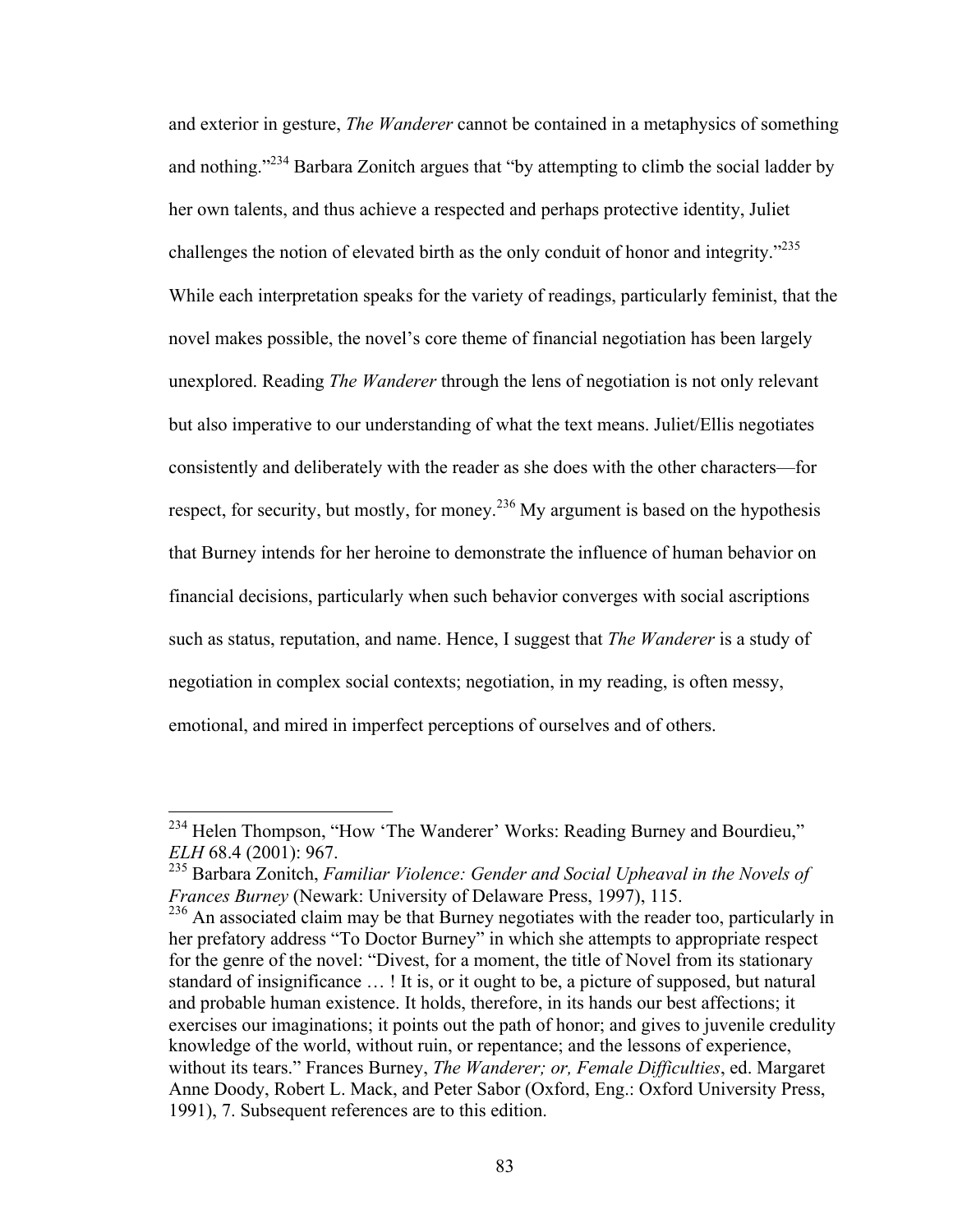and exterior in gesture, *The Wanderer* cannot be contained in a metaphysics of something and nothing."<sup>234</sup> Barbara Zonitch argues that "by attempting to climb the social ladder by her own talents, and thus achieve a respected and perhaps protective identity, Juliet challenges the notion of elevated birth as the only conduit of honor and integrity."<sup>235</sup> While each interpretation speaks for the variety of readings, particularly feminist, that the novel makes possible, the novel's core theme of financial negotiation has been largely unexplored. Reading *The Wanderer* through the lens of negotiation is not only relevant but also imperative to our understanding of what the text means. Juliet/Ellis negotiates consistently and deliberately with the reader as she does with the other characters—for respect, for security, but mostly, for money.<sup>236</sup> My argument is based on the hypothesis that Burney intends for her heroine to demonstrate the influence of human behavior on financial decisions, particularly when such behavior converges with social ascriptions such as status, reputation, and name. Hence, I suggest that *The Wanderer* is a study of negotiation in complex social contexts; negotiation, in my reading, is often messy, emotional, and mired in imperfect perceptions of ourselves and of others.

<sup>&</sup>lt;sup>234</sup> Helen Thompson, "How 'The Wanderer' Works: Reading Burney and Bourdieu," *ELH* 68.4 (2001): 967.

<sup>235</sup> Barbara Zonitch, *Familiar Violence: Gender and Social Upheaval in the Novels of Frances Burney* (Newark: University of Delaware Press, 1997), 115.

<sup>&</sup>lt;sup>236</sup> An associated claim may be that Burney negotiates with the reader too, particularly in her prefatory address "To Doctor Burney" in which she attempts to appropriate respect for the genre of the novel: "Divest, for a moment, the title of Novel from its stationary standard of insignificance … ! It is, or it ought to be, a picture of supposed, but natural and probable human existence. It holds, therefore, in its hands our best affections; it exercises our imaginations; it points out the path of honor; and gives to juvenile credulity knowledge of the world, without ruin, or repentance; and the lessons of experience, without its tears." Frances Burney, *The Wanderer; or, Female Difficulties*, ed. Margaret Anne Doody, Robert L. Mack, and Peter Sabor (Oxford, Eng.: Oxford University Press, 1991), 7. Subsequent references are to this edition.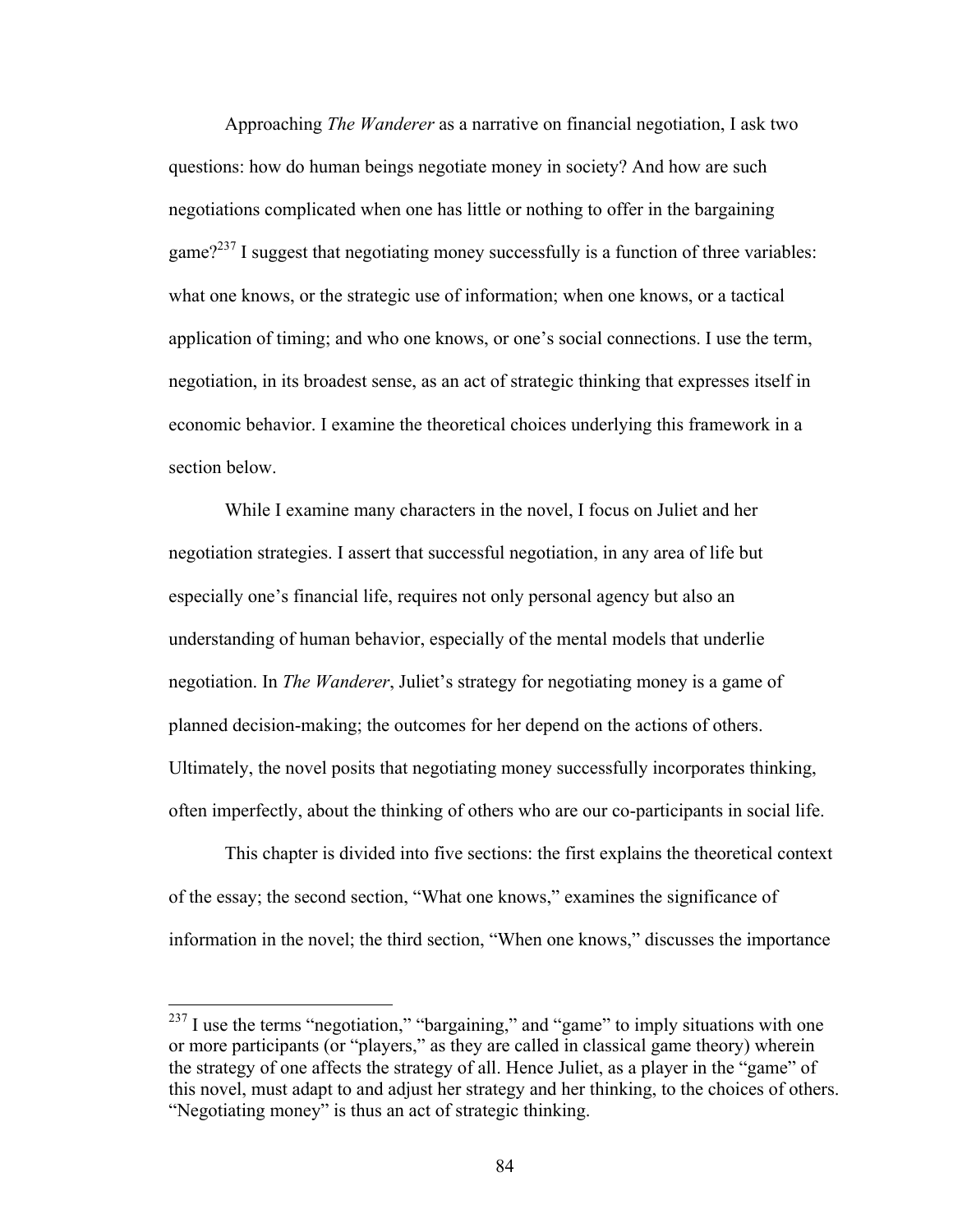Approaching *The Wanderer* as a narrative on financial negotiation, I ask two questions: how do human beings negotiate money in society? And how are such negotiations complicated when one has little or nothing to offer in the bargaining game?<sup>237</sup> I suggest that negotiating money successfully is a function of three variables: what one knows, or the strategic use of information; when one knows, or a tactical application of timing; and who one knows, or one's social connections. I use the term, negotiation, in its broadest sense, as an act of strategic thinking that expresses itself in economic behavior. I examine the theoretical choices underlying this framework in a section below.

While I examine many characters in the novel, I focus on Juliet and her negotiation strategies. I assert that successful negotiation, in any area of life but especially one's financial life, requires not only personal agency but also an understanding of human behavior, especially of the mental models that underlie negotiation. In *The Wanderer*, Juliet's strategy for negotiating money is a game of planned decision-making; the outcomes for her depend on the actions of others. Ultimately, the novel posits that negotiating money successfully incorporates thinking, often imperfectly, about the thinking of others who are our co-participants in social life.

This chapter is divided into five sections: the first explains the theoretical context of the essay; the second section, "What one knows," examines the significance of information in the novel; the third section, "When one knows," discusses the importance

<sup>&</sup>lt;sup>237</sup> I use the terms "negotiation," "bargaining," and "game" to imply situations with one or more participants (or "players," as they are called in classical game theory) wherein the strategy of one affects the strategy of all. Hence Juliet, as a player in the "game" of this novel, must adapt to and adjust her strategy and her thinking, to the choices of others. "Negotiating money" is thus an act of strategic thinking.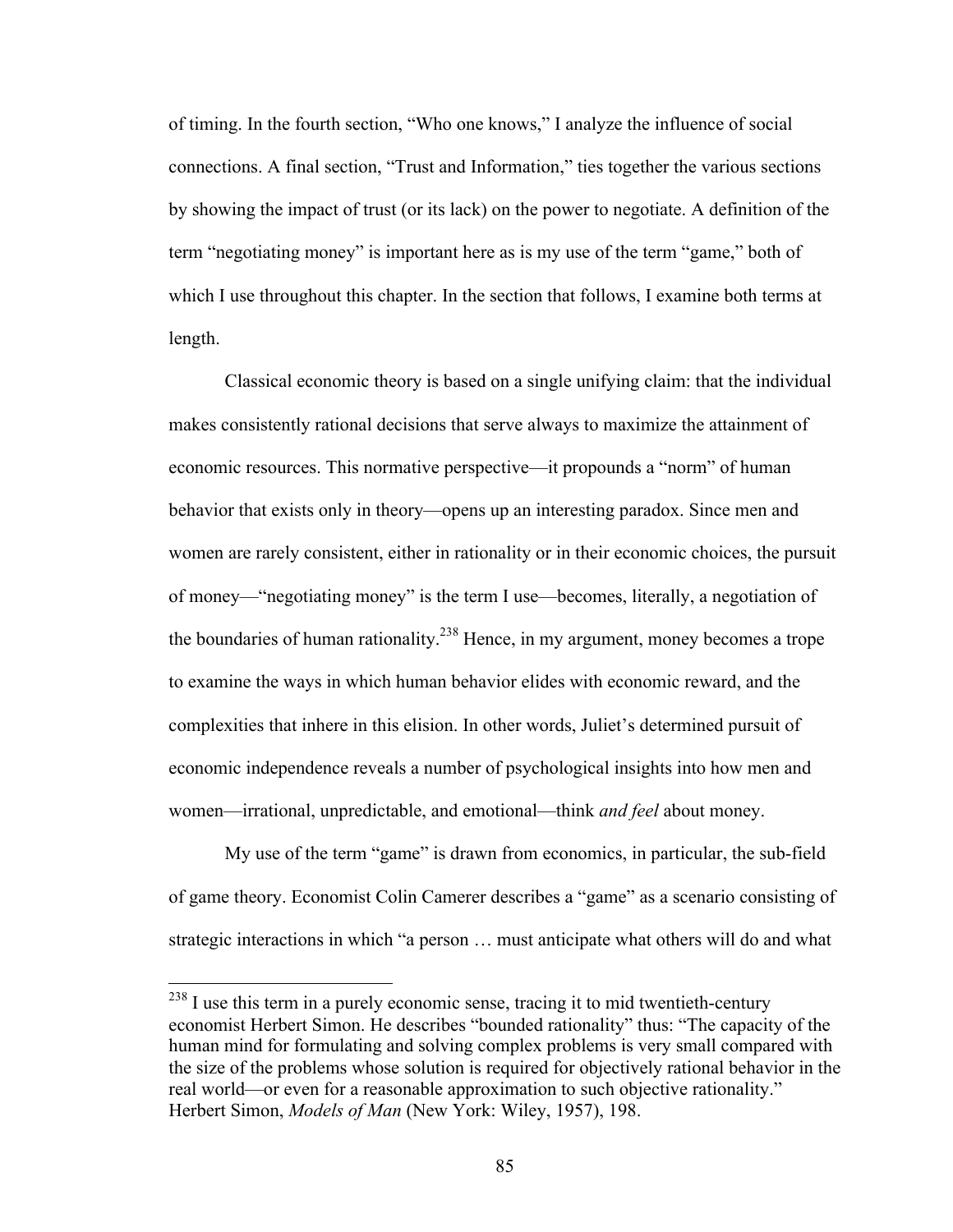of timing. In the fourth section, "Who one knows," I analyze the influence of social connections. A final section, "Trust and Information," ties together the various sections by showing the impact of trust (or its lack) on the power to negotiate. A definition of the term "negotiating money" is important here as is my use of the term "game," both of which I use throughout this chapter. In the section that follows, I examine both terms at length.

Classical economic theory is based on a single unifying claim: that the individual makes consistently rational decisions that serve always to maximize the attainment of economic resources. This normative perspective—it propounds a "norm" of human behavior that exists only in theory—opens up an interesting paradox. Since men and women are rarely consistent, either in rationality or in their economic choices, the pursuit of money—"negotiating money" is the term I use—becomes, literally, a negotiation of the boundaries of human rationality.<sup>238</sup> Hence, in my argument, money becomes a trope to examine the ways in which human behavior elides with economic reward, and the complexities that inhere in this elision. In other words, Juliet's determined pursuit of economic independence reveals a number of psychological insights into how men and women—irrational, unpredictable, and emotional—think *and feel* about money.

My use of the term "game" is drawn from economics, in particular, the sub-field of game theory. Economist Colin Camerer describes a "game" as a scenario consisting of strategic interactions in which "a person … must anticipate what others will do and what

 $^{238}$  I use this term in a purely economic sense, tracing it to mid twentieth-century economist Herbert Simon. He describes "bounded rationality" thus: "The capacity of the human mind for formulating and solving complex problems is very small compared with the size of the problems whose solution is required for objectively rational behavior in the real world—or even for a reasonable approximation to such objective rationality." Herbert Simon, *Models of Man* (New York: Wiley, 1957), 198.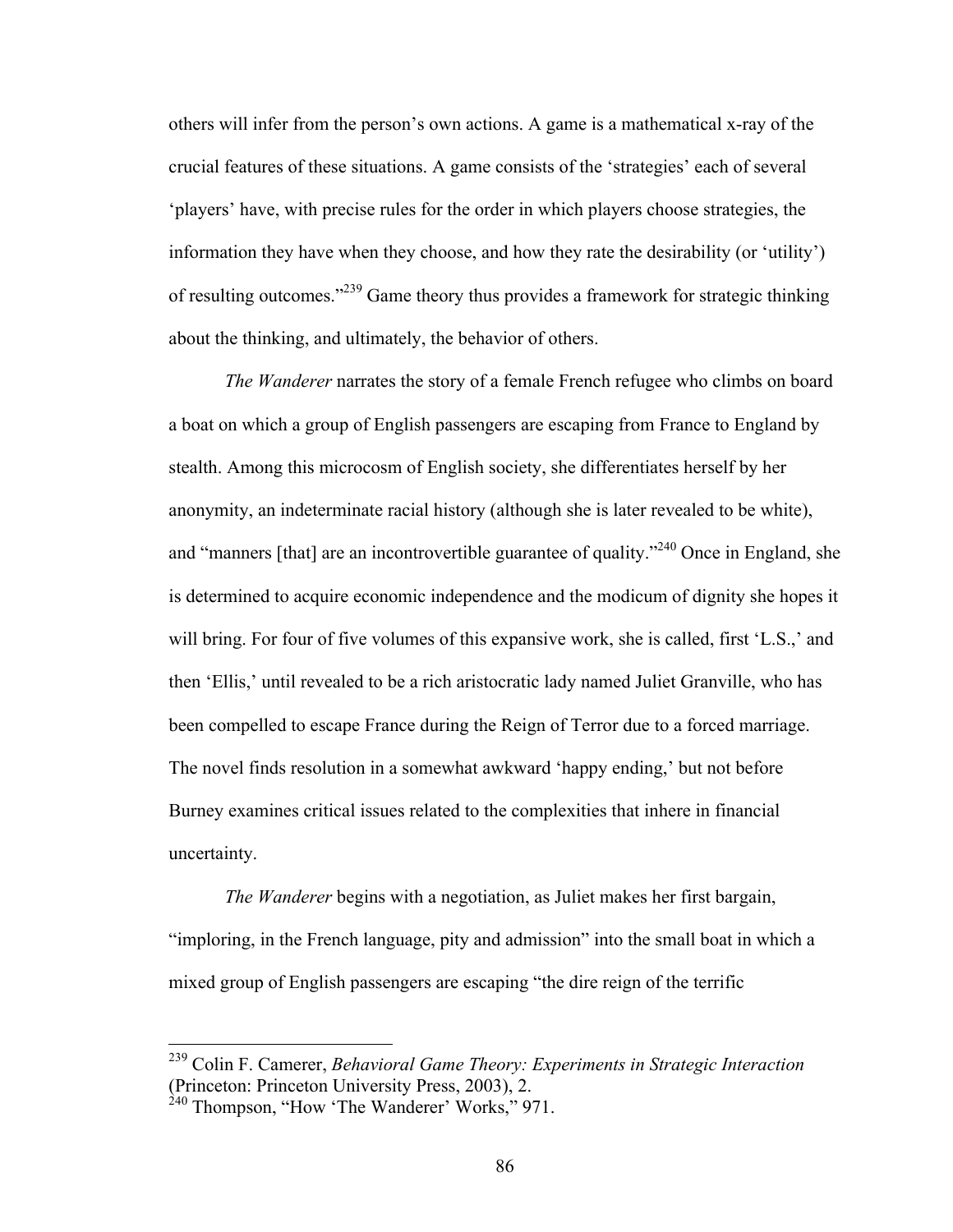others will infer from the person's own actions. A game is a mathematical x-ray of the crucial features of these situations. A game consists of the 'strategies' each of several 'players' have, with precise rules for the order in which players choose strategies, the information they have when they choose, and how they rate the desirability (or 'utility') of resulting outcomes."<sup>239</sup> Game theory thus provides a framework for strategic thinking about the thinking, and ultimately, the behavior of others.

*The Wanderer* narrates the story of a female French refugee who climbs on board a boat on which a group of English passengers are escaping from France to England by stealth. Among this microcosm of English society, she differentiates herself by her anonymity, an indeterminate racial history (although she is later revealed to be white), and "manners [that] are an incontrovertible guarantee of quality."<sup>240</sup> Once in England, she is determined to acquire economic independence and the modicum of dignity she hopes it will bring. For four of five volumes of this expansive work, she is called, first 'L.S.,' and then 'Ellis,' until revealed to be a rich aristocratic lady named Juliet Granville, who has been compelled to escape France during the Reign of Terror due to a forced marriage. The novel finds resolution in a somewhat awkward 'happy ending,' but not before Burney examines critical issues related to the complexities that inhere in financial uncertainty.

*The Wanderer* begins with a negotiation, as Juliet makes her first bargain, "imploring, in the French language, pity and admission" into the small boat in which a mixed group of English passengers are escaping "the dire reign of the terrific

 <sup>239</sup> Colin F. Camerer, *Behavioral Game Theory: Experiments in Strategic Interaction* (Princeton: Princeton University Press, 2003), 2.

<sup>&</sup>lt;sup>240</sup> Thompson, "How 'The Wanderer' Works," 971.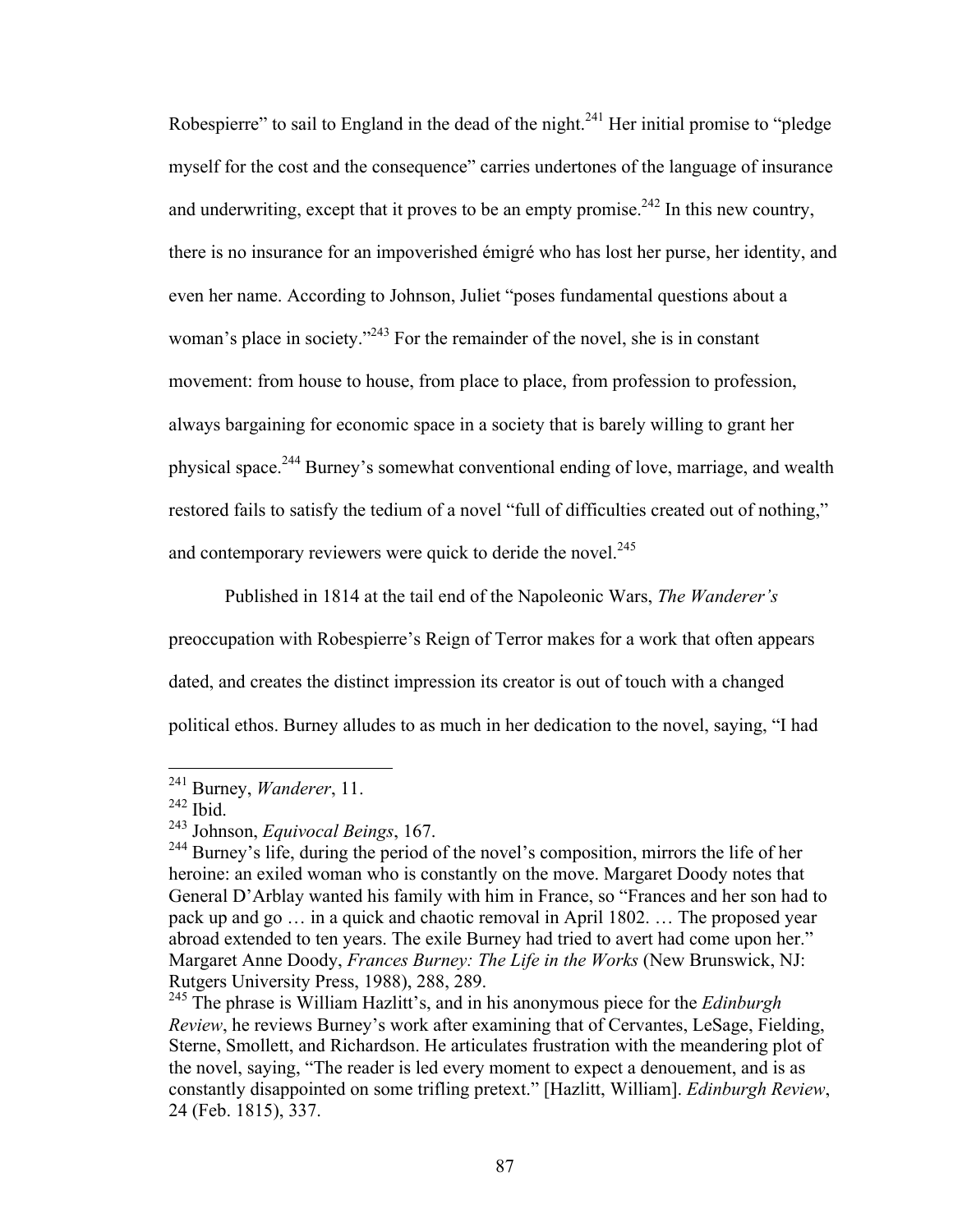Robespierre" to sail to England in the dead of the night.<sup>241</sup> Her initial promise to "pledge" myself for the cost and the consequence" carries undertones of the language of insurance and underwriting, except that it proves to be an empty promise.<sup>242</sup> In this new country, there is no insurance for an impoverished émigré who has lost her purse, her identity, and even her name. According to Johnson, Juliet "poses fundamental questions about a woman's place in society."<sup>243</sup> For the remainder of the novel, she is in constant movement: from house to house, from place to place, from profession to profession, always bargaining for economic space in a society that is barely willing to grant her physical space.<sup>244</sup> Burney's somewhat conventional ending of love, marriage, and wealth restored fails to satisfy the tedium of a novel "full of difficulties created out of nothing," and contemporary reviewers were quick to deride the novel. $245$ 

Published in 1814 at the tail end of the Napoleonic Wars, *The Wanderer's*

preoccupation with Robespierre's Reign of Terror makes for a work that often appears

dated, and creates the distinct impression its creator is out of touch with a changed

political ethos. Burney alludes to as much in her dedication to the novel, saying, "I had

 <sup>241</sup> Burney, *Wanderer*, 11.

 $242$  Ibid.

<sup>243</sup> Johnson, *Equivocal Beings*, 167.

<sup>&</sup>lt;sup>244</sup> Burney's life, during the period of the novel's composition, mirrors the life of her heroine: an exiled woman who is constantly on the move. Margaret Doody notes that General D'Arblay wanted his family with him in France, so "Frances and her son had to pack up and go … in a quick and chaotic removal in April 1802. … The proposed year abroad extended to ten years. The exile Burney had tried to avert had come upon her." Margaret Anne Doody, *Frances Burney: The Life in the Works* (New Brunswick, NJ: Rutgers University Press, 1988), 288, 289.

<sup>245</sup> The phrase is William Hazlitt's, and in his anonymous piece for the *Edinburgh Review*, he reviews Burney's work after examining that of Cervantes, LeSage, Fielding, Sterne, Smollett, and Richardson. He articulates frustration with the meandering plot of the novel, saying, "The reader is led every moment to expect a denouement, and is as constantly disappointed on some trifling pretext." [Hazlitt, William]. *Edinburgh Review*, 24 (Feb. 1815), 337.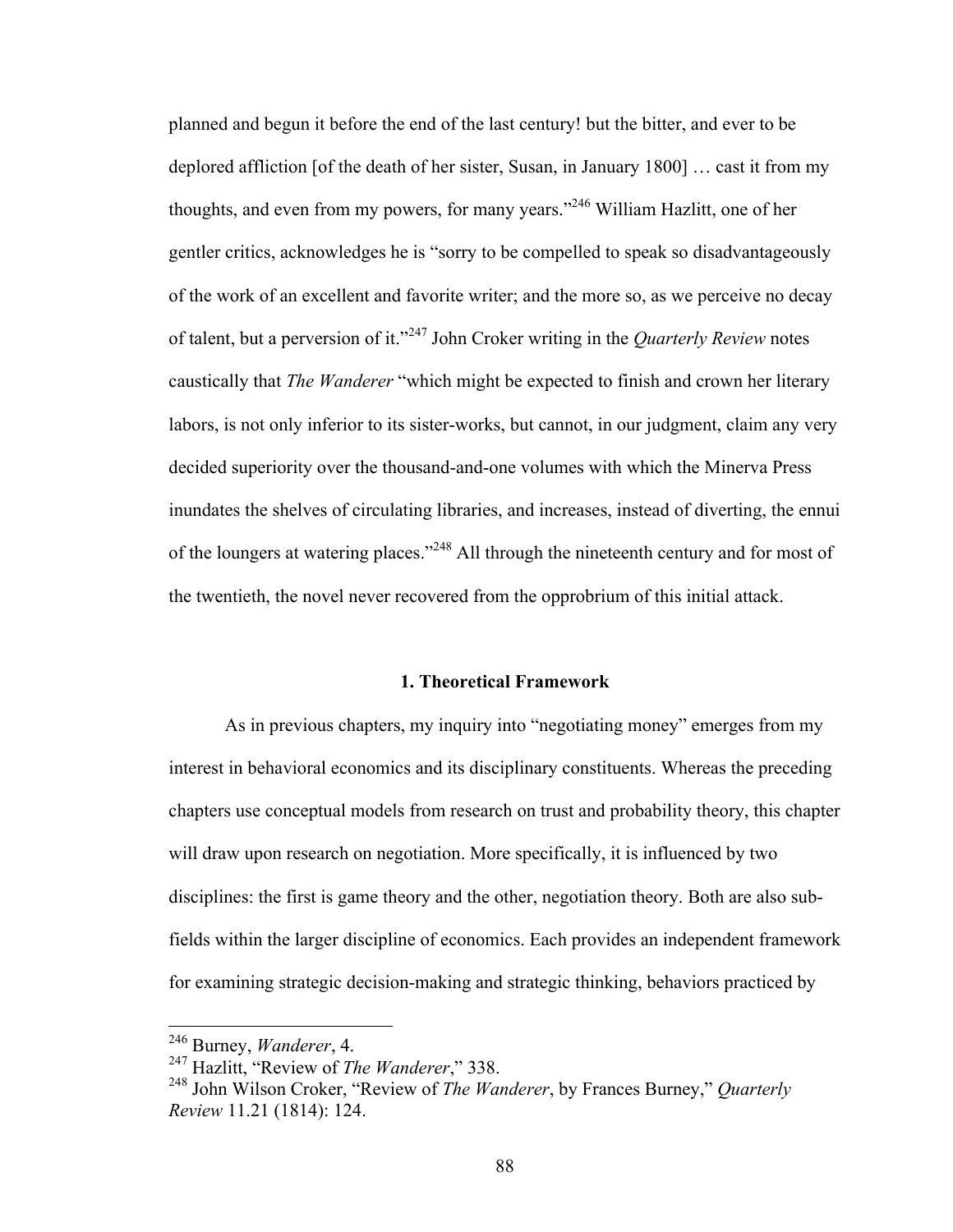planned and begun it before the end of the last century! but the bitter, and ever to be deplored affliction [of the death of her sister, Susan, in January 1800] … cast it from my thoughts, and even from my powers, for many years."<sup>246</sup> William Hazlitt, one of her gentler critics, acknowledges he is "sorry to be compelled to speak so disadvantageously of the work of an excellent and favorite writer; and the more so, as we perceive no decay of talent, but a perversion of it."<sup>247</sup> John Croker writing in the *Quarterly Review* notes caustically that *The Wanderer* "which might be expected to finish and crown her literary labors, is not only inferior to its sister-works, but cannot, in our judgment, claim any very decided superiority over the thousand-and-one volumes with which the Minerva Press inundates the shelves of circulating libraries, and increases, instead of diverting, the ennui of the loungers at watering places."<sup>248</sup> All through the nineteenth century and for most of the twentieth, the novel never recovered from the opprobrium of this initial attack.

#### **1. Theoretical Framework**

As in previous chapters, my inquiry into "negotiating money" emerges from my interest in behavioral economics and its disciplinary constituents. Whereas the preceding chapters use conceptual models from research on trust and probability theory, this chapter will draw upon research on negotiation. More specifically, it is influenced by two disciplines: the first is game theory and the other, negotiation theory. Both are also subfields within the larger discipline of economics. Each provides an independent framework for examining strategic decision-making and strategic thinking, behaviors practiced by

 <sup>246</sup> Burney, *Wanderer*, 4.

<sup>247</sup> Hazlitt, "Review of *The Wanderer*," 338.

<sup>248</sup> John Wilson Croker, "Review of *The Wanderer*, by Frances Burney," *Quarterly Review* 11.21 (1814): 124.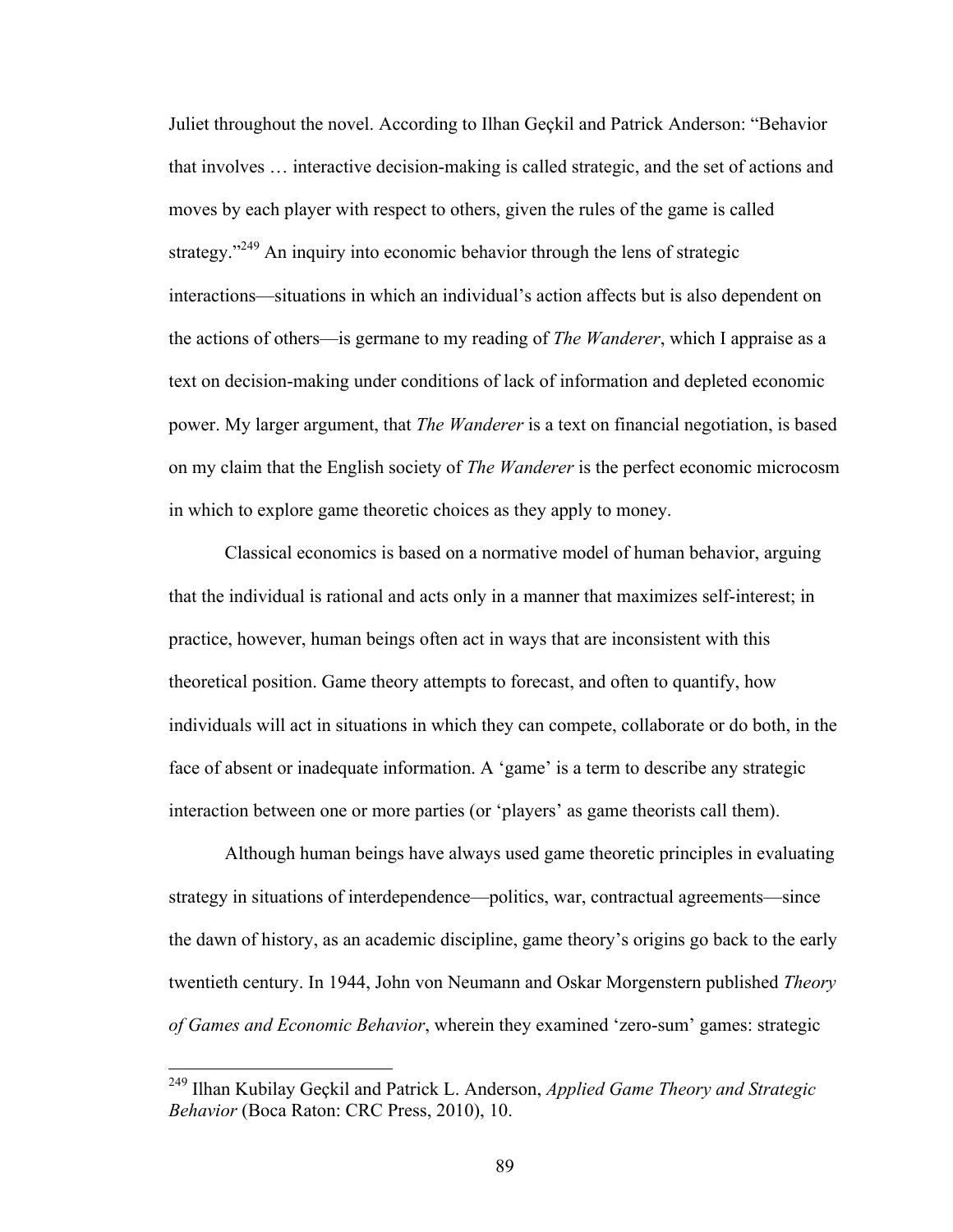Juliet throughout the novel. According to Ilhan Geçkil and Patrick Anderson: "Behavior that involves … interactive decision-making is called strategic, and the set of actions and moves by each player with respect to others, given the rules of the game is called strategy."<sup>249</sup> An inquiry into economic behavior through the lens of strategic interactions—situations in which an individual's action affects but is also dependent on the actions of others—is germane to my reading of *The Wanderer*, which I appraise as a text on decision-making under conditions of lack of information and depleted economic power. My larger argument, that *The Wanderer* is a text on financial negotiation, is based on my claim that the English society of *The Wanderer* is the perfect economic microcosm in which to explore game theoretic choices as they apply to money.

Classical economics is based on a normative model of human behavior, arguing that the individual is rational and acts only in a manner that maximizes self-interest; in practice, however, human beings often act in ways that are inconsistent with this theoretical position. Game theory attempts to forecast, and often to quantify, how individuals will act in situations in which they can compete, collaborate or do both, in the face of absent or inadequate information. A 'game' is a term to describe any strategic interaction between one or more parties (or 'players' as game theorists call them).

Although human beings have always used game theoretic principles in evaluating strategy in situations of interdependence—politics, war, contractual agreements—since the dawn of history, as an academic discipline, game theory's origins go back to the early twentieth century. In 1944, John von Neumann and Oskar Morgenstern published *Theory of Games and Economic Behavior*, wherein they examined 'zero-sum' games: strategic

 <sup>249</sup> Ilhan Kubilay Geçkil and Patrick L. Anderson, *Applied Game Theory and Strategic Behavior* (Boca Raton: CRC Press, 2010), 10.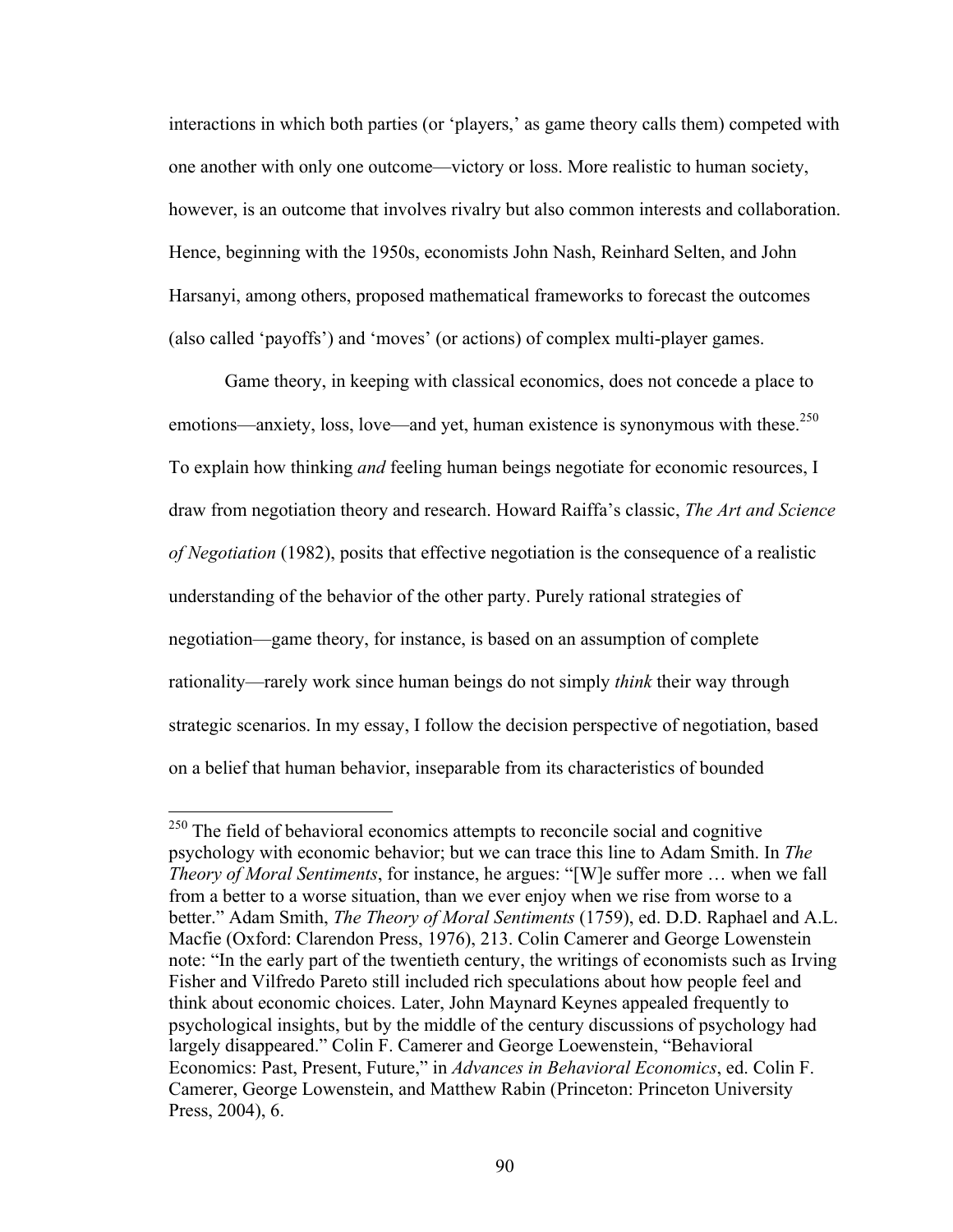interactions in which both parties (or 'players,' as game theory calls them) competed with one another with only one outcome—victory or loss. More realistic to human society, however, is an outcome that involves rivalry but also common interests and collaboration. Hence, beginning with the 1950s, economists John Nash, Reinhard Selten, and John Harsanyi, among others, proposed mathematical frameworks to forecast the outcomes (also called 'payoffs') and 'moves' (or actions) of complex multi-player games.

Game theory, in keeping with classical economics, does not concede a place to emotions—anxiety, loss, love—and yet, human existence is synonymous with these.<sup>250</sup> To explain how thinking *and* feeling human beings negotiate for economic resources, I draw from negotiation theory and research. Howard Raiffa's classic, *The Art and Science of Negotiation* (1982), posits that effective negotiation is the consequence of a realistic understanding of the behavior of the other party. Purely rational strategies of negotiation—game theory, for instance, is based on an assumption of complete rationality—rarely work since human beings do not simply *think* their way through strategic scenarios. In my essay, I follow the decision perspective of negotiation, based on a belief that human behavior, inseparable from its characteristics of bounded

<sup>&</sup>lt;sup>250</sup> The field of behavioral economics attempts to reconcile social and cognitive psychology with economic behavior; but we can trace this line to Adam Smith. In *The Theory of Moral Sentiments*, for instance, he argues: "[W]e suffer more … when we fall from a better to a worse situation, than we ever enjoy when we rise from worse to a better." Adam Smith, *The Theory of Moral Sentiments* (1759), ed. D.D. Raphael and A.L. Macfie (Oxford: Clarendon Press, 1976), 213. Colin Camerer and George Lowenstein note: "In the early part of the twentieth century, the writings of economists such as Irving Fisher and Vilfredo Pareto still included rich speculations about how people feel and think about economic choices. Later, John Maynard Keynes appealed frequently to psychological insights, but by the middle of the century discussions of psychology had largely disappeared." Colin F. Camerer and George Loewenstein, "Behavioral Economics: Past, Present, Future," in *Advances in Behavioral Economics*, ed. Colin F. Camerer, George Lowenstein, and Matthew Rabin (Princeton: Princeton University Press, 2004), 6.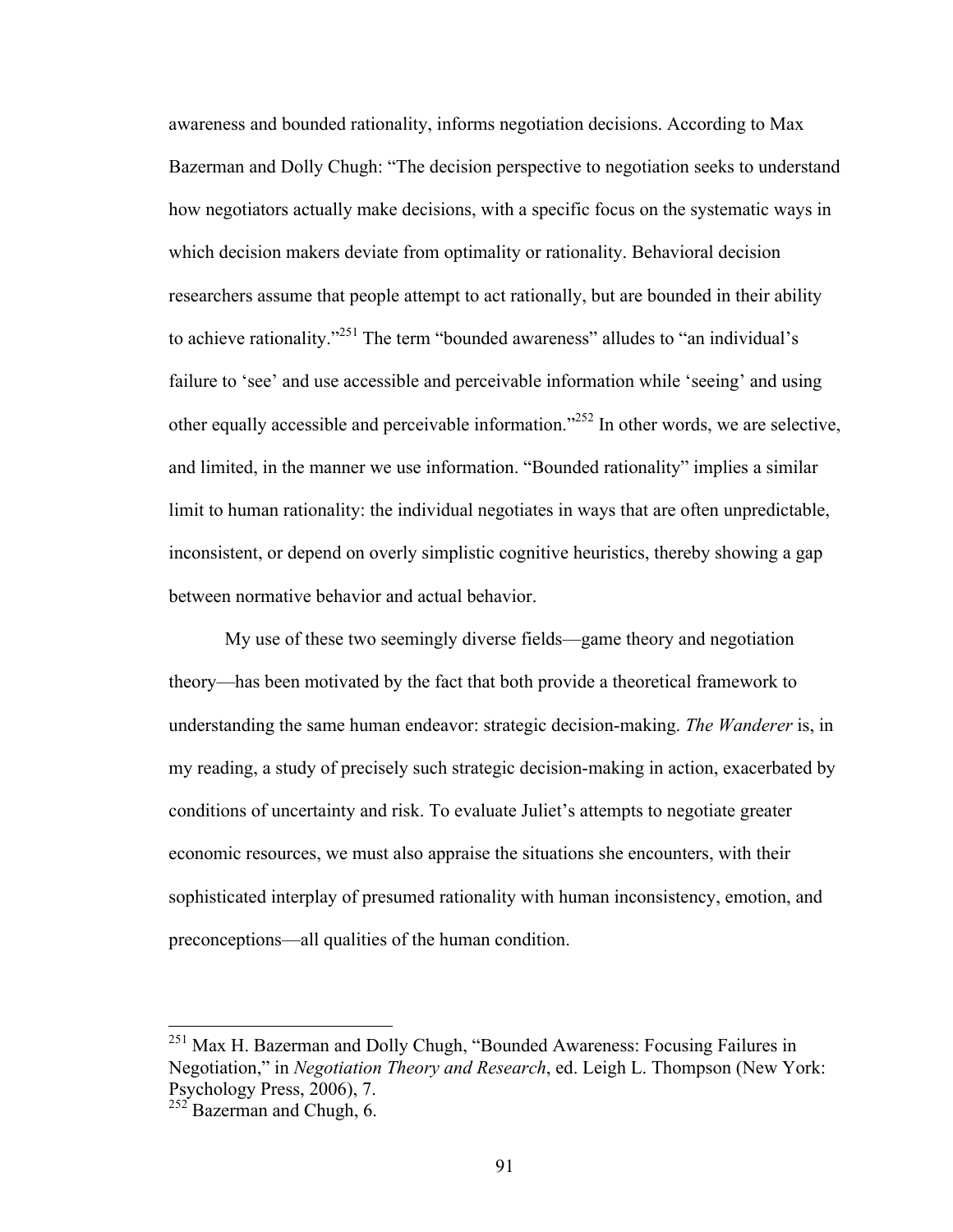awareness and bounded rationality, informs negotiation decisions. According to Max Bazerman and Dolly Chugh: "The decision perspective to negotiation seeks to understand how negotiators actually make decisions, with a specific focus on the systematic ways in which decision makers deviate from optimality or rationality. Behavioral decision researchers assume that people attempt to act rationally, but are bounded in their ability to achieve rationality."<sup>251</sup> The term "bounded awareness" alludes to "an individual's failure to 'see' and use accessible and perceivable information while 'seeing' and using other equally accessible and perceivable information."252 In other words, we are selective, and limited, in the manner we use information. "Bounded rationality" implies a similar limit to human rationality: the individual negotiates in ways that are often unpredictable, inconsistent, or depend on overly simplistic cognitive heuristics, thereby showing a gap between normative behavior and actual behavior.

My use of these two seemingly diverse fields—game theory and negotiation theory—has been motivated by the fact that both provide a theoretical framework to understanding the same human endeavor: strategic decision-making. *The Wanderer* is, in my reading, a study of precisely such strategic decision-making in action, exacerbated by conditions of uncertainty and risk. To evaluate Juliet's attempts to negotiate greater economic resources, we must also appraise the situations she encounters, with their sophisticated interplay of presumed rationality with human inconsistency, emotion, and preconceptions—all qualities of the human condition.

<sup>&</sup>lt;sup>251</sup> Max H. Bazerman and Dolly Chugh, "Bounded Awareness: Focusing Failures in Negotiation," in *Negotiation Theory and Research*, ed. Leigh L. Thompson (New York: Psychology Press, 2006), 7.

 $252$  Bazerman and Chugh, 6.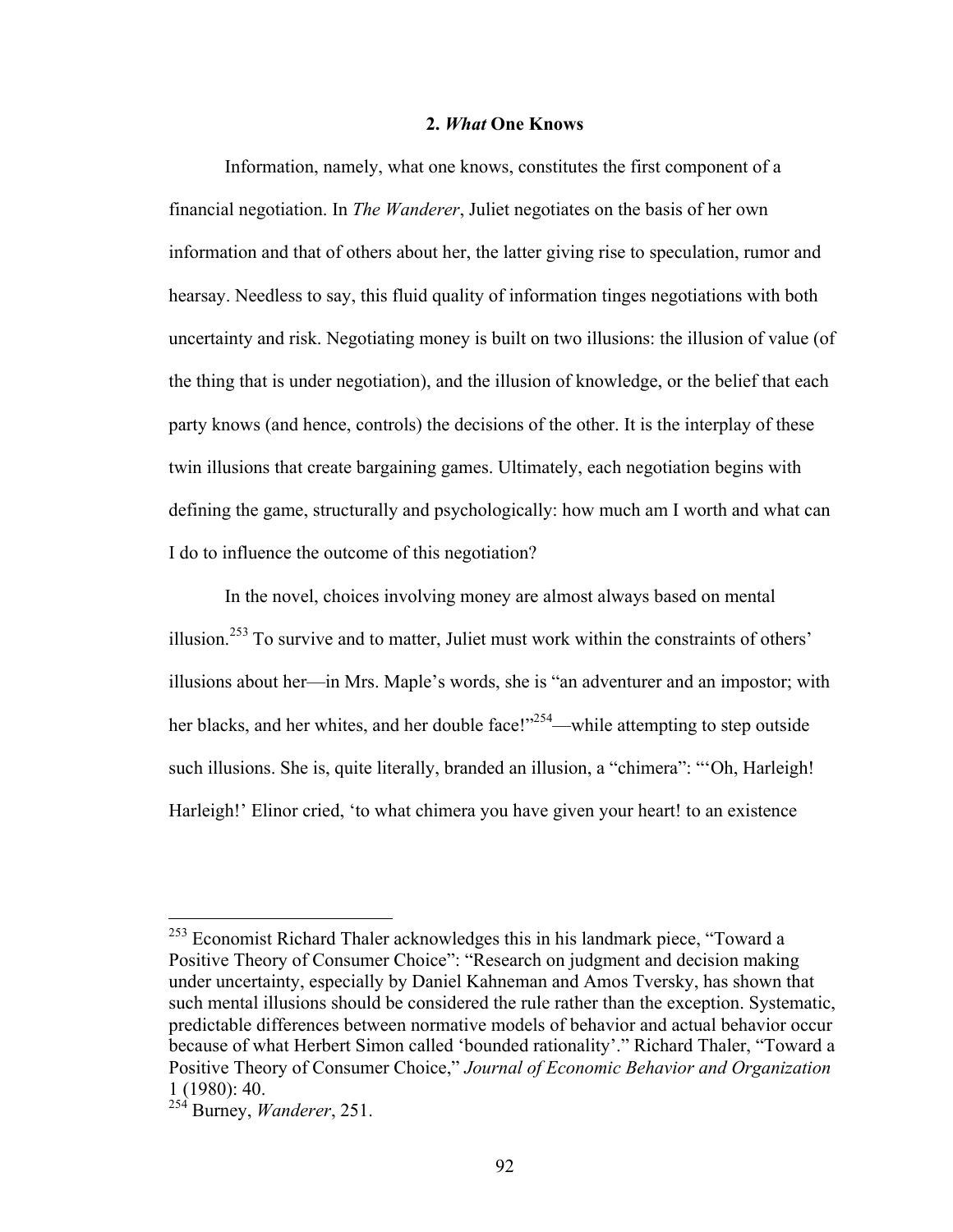## **2.** *What* **One Knows**

Information, namely, what one knows, constitutes the first component of a financial negotiation. In *The Wanderer*, Juliet negotiates on the basis of her own information and that of others about her, the latter giving rise to speculation, rumor and hearsay. Needless to say, this fluid quality of information tinges negotiations with both uncertainty and risk. Negotiating money is built on two illusions: the illusion of value (of the thing that is under negotiation), and the illusion of knowledge, or the belief that each party knows (and hence, controls) the decisions of the other. It is the interplay of these twin illusions that create bargaining games. Ultimately, each negotiation begins with defining the game, structurally and psychologically: how much am I worth and what can I do to influence the outcome of this negotiation?

In the novel, choices involving money are almost always based on mental illusion.<sup>253</sup> To survive and to matter, Juliet must work within the constraints of others' illusions about her—in Mrs. Maple's words, she is "an adventurer and an impostor; with her blacks, and her whites, and her double face!"<sup>254</sup>—while attempting to step outside such illusions. She is, quite literally, branded an illusion, a "chimera": "Oh, Harleigh! Harleigh!' Elinor cried, 'to what chimera you have given your heart! to an existence

 $^{253}$  Economist Richard Thaler acknowledges this in his landmark piece, "Toward a Positive Theory of Consumer Choice": "Research on judgment and decision making under uncertainty, especially by Daniel Kahneman and Amos Tversky, has shown that such mental illusions should be considered the rule rather than the exception. Systematic, predictable differences between normative models of behavior and actual behavior occur because of what Herbert Simon called 'bounded rationality'." Richard Thaler, "Toward a Positive Theory of Consumer Choice," *Journal of Economic Behavior and Organization* 1 (1980): 40.

<sup>254</sup> Burney, *Wanderer*, 251.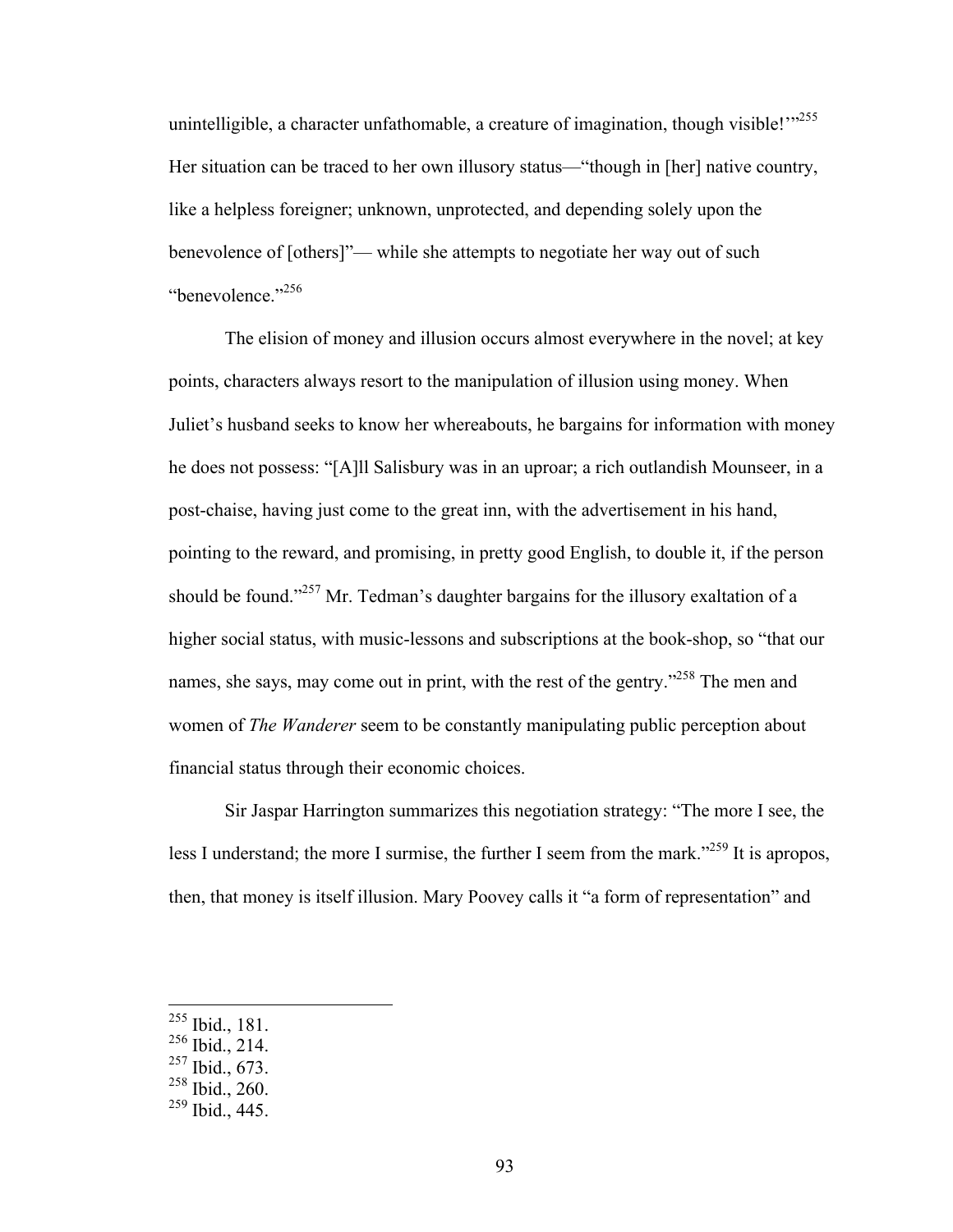unintelligible, a character unfathomable, a creature of imagination, though visible! $\mathbb{R}^{355}$ Her situation can be traced to her own illusory status—"though in [her] native country, like a helpless foreigner; unknown, unprotected, and depending solely upon the benevolence of [others]"— while she attempts to negotiate her way out of such "benevolence."<sup>256</sup>

The elision of money and illusion occurs almost everywhere in the novel; at key points, characters always resort to the manipulation of illusion using money. When Juliet's husband seeks to know her whereabouts, he bargains for information with money he does not possess: "[A]ll Salisbury was in an uproar; a rich outlandish Mounseer, in a post-chaise, having just come to the great inn, with the advertisement in his hand, pointing to the reward, and promising, in pretty good English, to double it, if the person should be found."<sup>257</sup> Mr. Tedman's daughter bargains for the illusory exaltation of a higher social status, with music-lessons and subscriptions at the book-shop, so "that our names, she says, may come out in print, with the rest of the gentry."<sup>258</sup> The men and women of *The Wanderer* seem to be constantly manipulating public perception about financial status through their economic choices.

Sir Jaspar Harrington summarizes this negotiation strategy: "The more I see, the less I understand; the more I surmise, the further I seem from the mark."<sup>259</sup> It is apropos, then, that money is itself illusion. Mary Poovey calls it "a form of representation" and

 <sup>255</sup> Ibid., 181.

 $256$  Ibid., 214.

<sup>257</sup> Ibid., 673.

<sup>258</sup> Ibid., 260.

 $259$  Ibid., 445.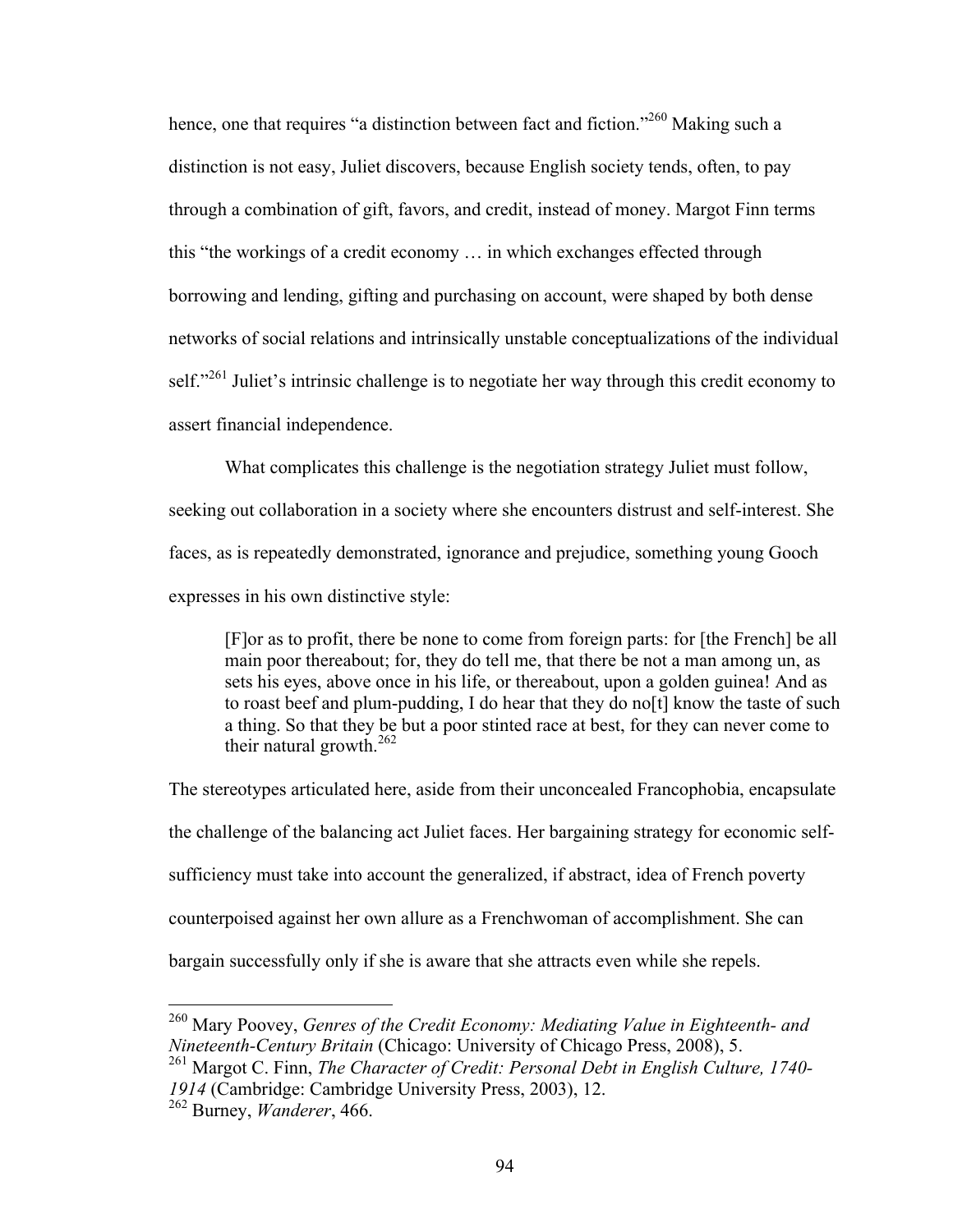hence, one that requires "a distinction between fact and fiction."<sup>260</sup> Making such a distinction is not easy, Juliet discovers, because English society tends, often, to pay through a combination of gift, favors, and credit, instead of money. Margot Finn terms this "the workings of a credit economy … in which exchanges effected through borrowing and lending, gifting and purchasing on account, were shaped by both dense networks of social relations and intrinsically unstable conceptualizations of the individual self."<sup>261</sup> Juliet's intrinsic challenge is to negotiate her way through this credit economy to assert financial independence.

What complicates this challenge is the negotiation strategy Juliet must follow,

seeking out collaboration in a society where she encounters distrust and self-interest. She faces, as is repeatedly demonstrated, ignorance and prejudice, something young Gooch expresses in his own distinctive style:

[F]or as to profit, there be none to come from foreign parts: for [the French] be all main poor thereabout; for, they do tell me, that there be not a man among un, as sets his eyes, above once in his life, or thereabout, upon a golden guinea! And as to roast beef and plum-pudding, I do hear that they do no[t] know the taste of such a thing. So that they be but a poor stinted race at best, for they can never come to their natural growth. $262$ 

The stereotypes articulated here, aside from their unconcealed Francophobia, encapsulate the challenge of the balancing act Juliet faces. Her bargaining strategy for economic selfsufficiency must take into account the generalized, if abstract, idea of French poverty counterpoised against her own allure as a Frenchwoman of accomplishment. She can bargain successfully only if she is aware that she attracts even while she repels.

 <sup>260</sup> Mary Poovey, *Genres of the Credit Economy: Mediating Value in Eighteenth- and Nineteenth-Century Britain* (Chicago: University of Chicago Press, 2008), 5.

<sup>261</sup> Margot C. Finn, *The Character of Credit: Personal Debt in English Culture, 1740- <sup>1914</sup>* (Cambridge: Cambridge University Press, 2003), 12. <sup>262</sup> Burney, *Wanderer*, 466.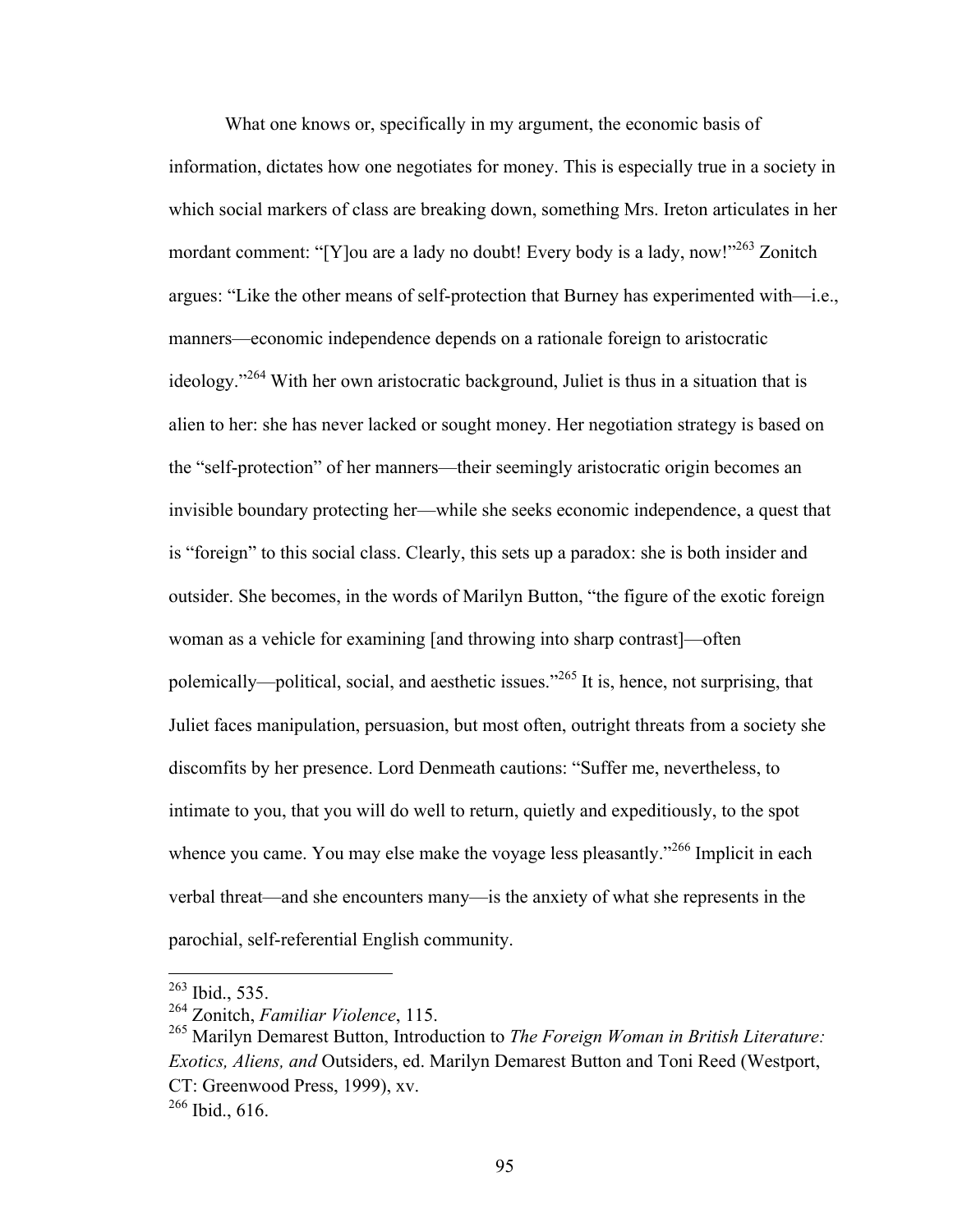What one knows or, specifically in my argument, the economic basis of information, dictates how one negotiates for money. This is especially true in a society in which social markers of class are breaking down, something Mrs. Ireton articulates in her mordant comment: "[Y]ou are a lady no doubt! Every body is a lady, now!"<sup>263</sup> Zonitch argues: "Like the other means of self-protection that Burney has experimented with—i.e., manners—economic independence depends on a rationale foreign to aristocratic ideology."<sup>264</sup> With her own aristocratic background, Juliet is thus in a situation that is alien to her: she has never lacked or sought money. Her negotiation strategy is based on the "self-protection" of her manners—their seemingly aristocratic origin becomes an invisible boundary protecting her—while she seeks economic independence, a quest that is "foreign" to this social class. Clearly, this sets up a paradox: she is both insider and outsider. She becomes, in the words of Marilyn Button, "the figure of the exotic foreign woman as a vehicle for examining [and throwing into sharp contrast]—often polemically—political, social, and aesthetic issues."<sup>265</sup> It is, hence, not surprising, that Juliet faces manipulation, persuasion, but most often, outright threats from a society she discomfits by her presence. Lord Denmeath cautions: "Suffer me, nevertheless, to intimate to you, that you will do well to return, quietly and expeditiously, to the spot whence you came. You may else make the voyage less pleasantly."<sup>266</sup> Implicit in each verbal threat—and she encounters many—is the anxiety of what she represents in the parochial, self-referential English community.

 <sup>263</sup> Ibid., 535.

<sup>264</sup> Zonitch, *Familiar Violence*, 115.

<sup>265</sup> Marilyn Demarest Button, Introduction to *The Foreign Woman in British Literature: Exotics, Aliens, and* Outsiders, ed. Marilyn Demarest Button and Toni Reed (Westport, CT: Greenwood Press, 1999), xv.  $266$  Ibid., 616.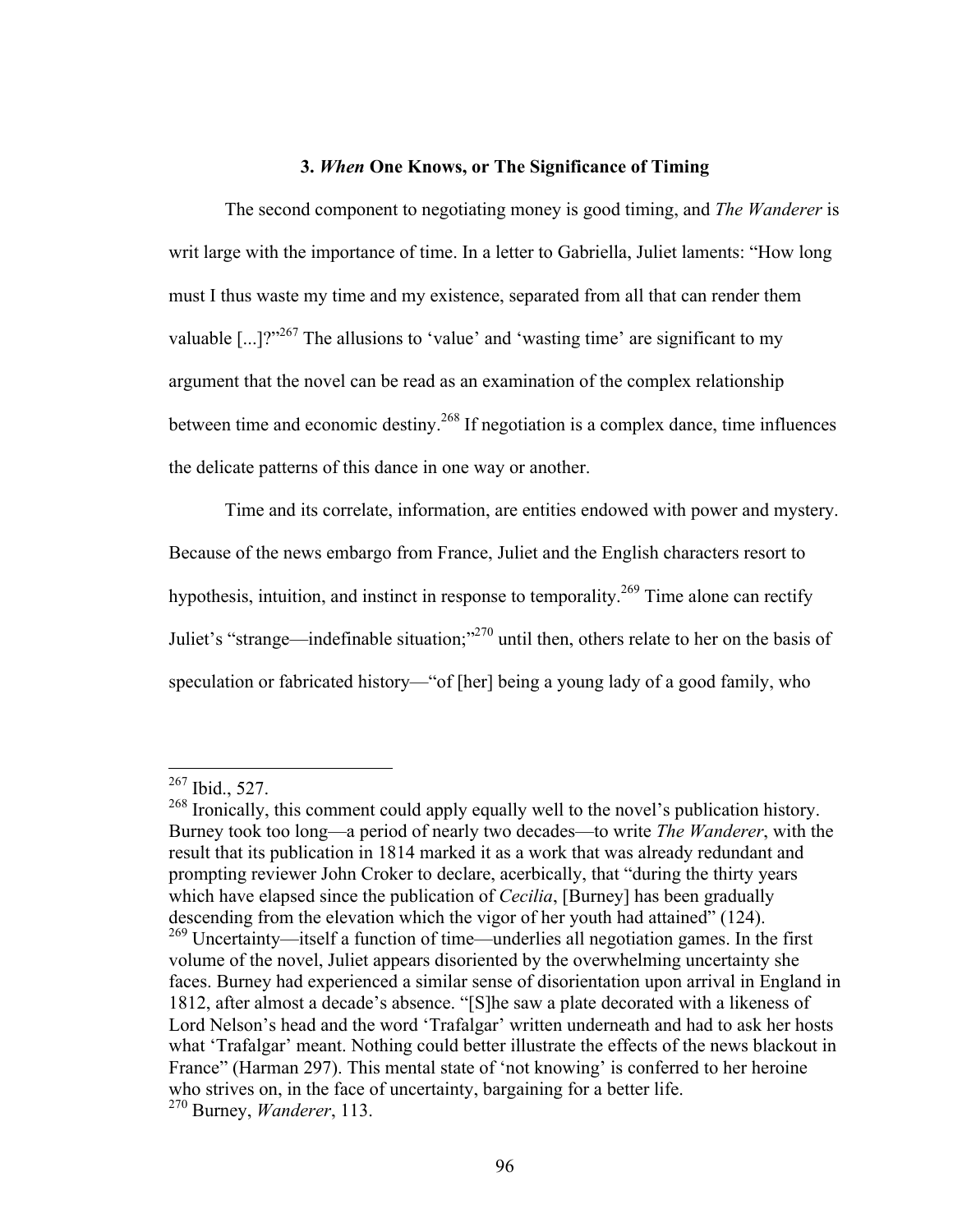# **3.** *When* **One Knows, or The Significance of Timing**

The second component to negotiating money is good timing, and *The Wanderer* is writ large with the importance of time. In a letter to Gabriella, Juliet laments: "How long must I thus waste my time and my existence, separated from all that can render them valuable  $\lceil ... \rceil$ <sup>267</sup> The allusions to 'value' and 'wasting time' are significant to my argument that the novel can be read as an examination of the complex relationship between time and economic destiny.<sup>268</sup> If negotiation is a complex dance, time influences the delicate patterns of this dance in one way or another.

Time and its correlate, information, are entities endowed with power and mystery. Because of the news embargo from France, Juliet and the English characters resort to hypothesis, intuition, and instinct in response to temporality.<sup>269</sup> Time alone can rectify Juliet's "strange—indefinable situation;"270 until then, others relate to her on the basis of speculation or fabricated history—"of [her] being a young lady of a good family, who

 $^{267}$  Ibid., 527.

<sup>&</sup>lt;sup>268</sup> Ironically, this comment could apply equally well to the novel's publication history. Burney took too long—a period of nearly two decades—to write *The Wanderer*, with the result that its publication in 1814 marked it as a work that was already redundant and prompting reviewer John Croker to declare, acerbically, that "during the thirty years which have elapsed since the publication of *Cecilia*, [Burney] has been gradually descending from the elevation which the vigor of her youth had attained" (124).<br><sup>269</sup> Uncertainty—itself a function of time—underlies all negotiation games. In the first volume of the novel, Juliet appears disoriented by the overwhelming uncertainty she faces. Burney had experienced a similar sense of disorientation upon arrival in England in 1812, after almost a decade's absence. "[S]he saw a plate decorated with a likeness of Lord Nelson's head and the word 'Trafalgar' written underneath and had to ask her hosts what 'Trafalgar' meant. Nothing could better illustrate the effects of the news blackout in France" (Harman 297). This mental state of 'not knowing' is conferred to her heroine who strives on, in the face of uncertainty, bargaining for a better life. <sup>270</sup> Burney, *Wanderer*, 113.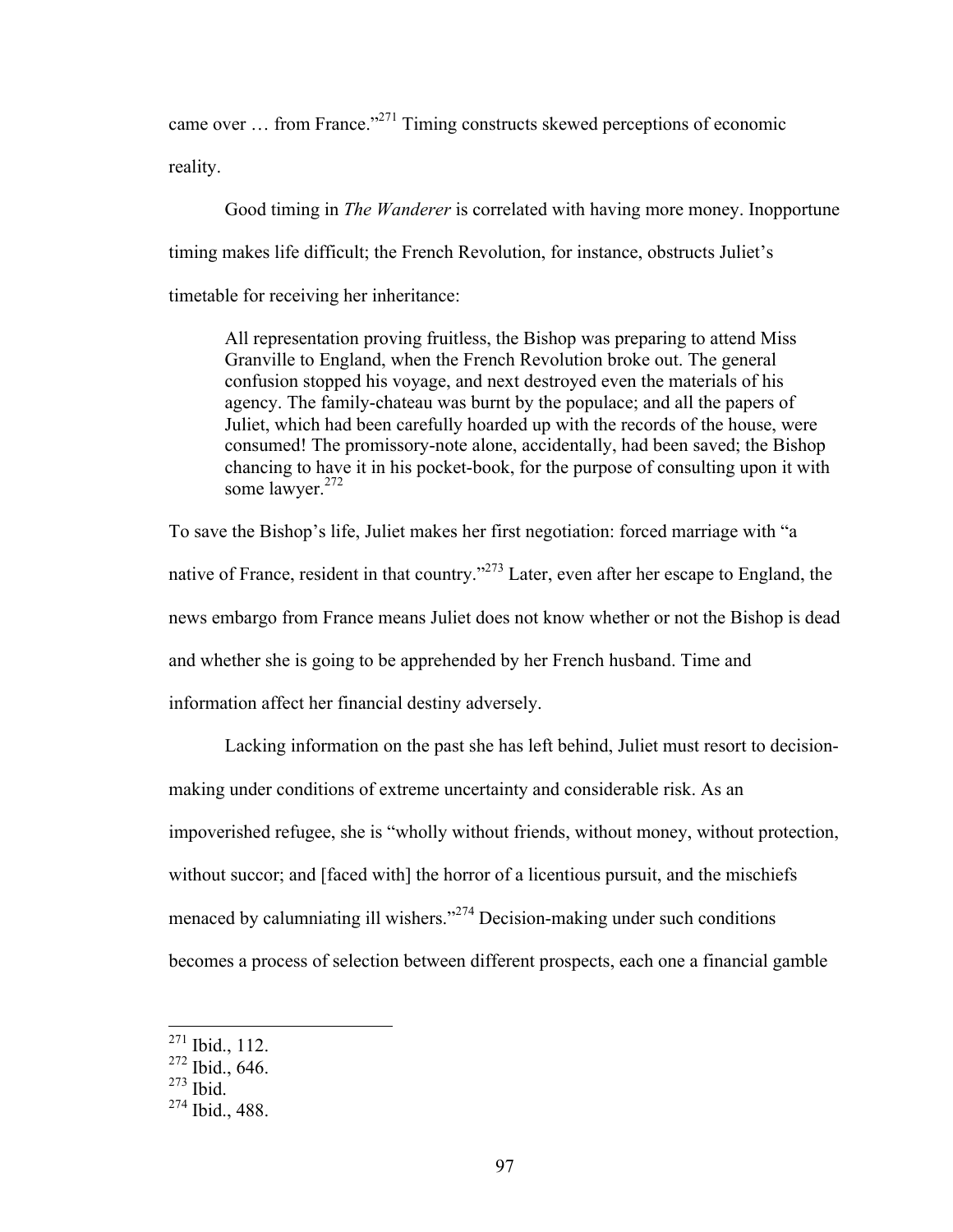came over … from France."271 Timing constructs skewed perceptions of economic reality.

Good timing in *The Wanderer* is correlated with having more money. Inopportune timing makes life difficult; the French Revolution, for instance, obstructs Juliet's timetable for receiving her inheritance:

All representation proving fruitless, the Bishop was preparing to attend Miss Granville to England, when the French Revolution broke out. The general confusion stopped his voyage, and next destroyed even the materials of his agency. The family-chateau was burnt by the populace; and all the papers of Juliet, which had been carefully hoarded up with the records of the house, were consumed! The promissory-note alone, accidentally, had been saved; the Bishop chancing to have it in his pocket-book, for the purpose of consulting upon it with some lawyer. $272$ 

To save the Bishop's life, Juliet makes her first negotiation: forced marriage with "a native of France, resident in that country."<sup>273</sup> Later, even after her escape to England, the news embargo from France means Juliet does not know whether or not the Bishop is dead and whether she is going to be apprehended by her French husband. Time and information affect her financial destiny adversely.

Lacking information on the past she has left behind, Juliet must resort to decisionmaking under conditions of extreme uncertainty and considerable risk. As an impoverished refugee, she is "wholly without friends, without money, without protection, without succor; and [faced with] the horror of a licentious pursuit, and the mischiefs menaced by calumniating ill wishers."<sup>274</sup> Decision-making under such conditions becomes a process of selection between different prospects, each one a financial gamble

 <sup>271</sup> Ibid., 112.

<sup>272</sup> Ibid., 646.

 $273$  Ibid.

 $274$  Ibid., 488.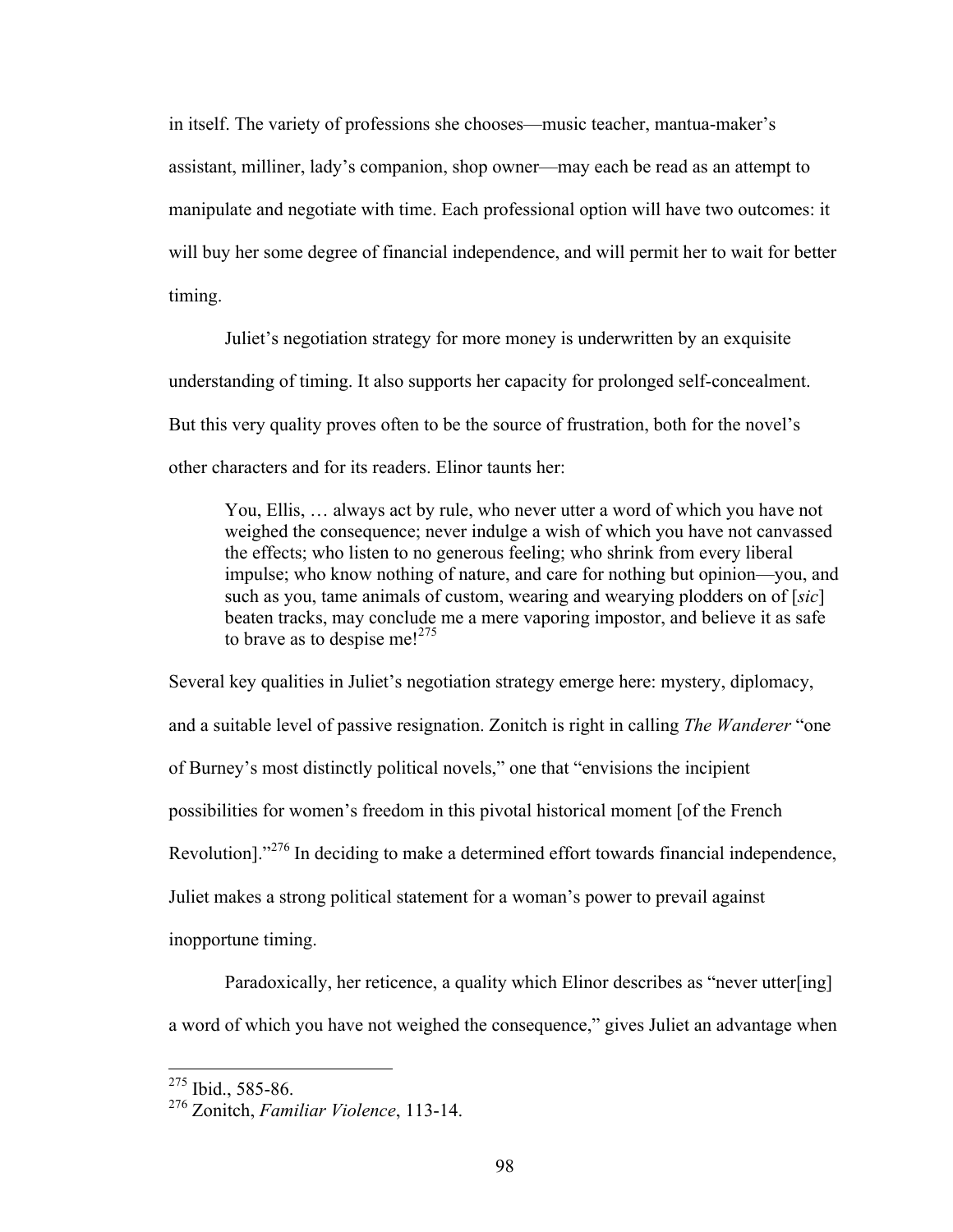in itself. The variety of professions she chooses—music teacher, mantua-maker's assistant, milliner, lady's companion, shop owner—may each be read as an attempt to manipulate and negotiate with time. Each professional option will have two outcomes: it will buy her some degree of financial independence, and will permit her to wait for better timing.

Juliet's negotiation strategy for more money is underwritten by an exquisite understanding of timing. It also supports her capacity for prolonged self-concealment. But this very quality proves often to be the source of frustration, both for the novel's other characters and for its readers. Elinor taunts her:

You, Ellis, … always act by rule, who never utter a word of which you have not weighed the consequence; never indulge a wish of which you have not canvassed the effects; who listen to no generous feeling; who shrink from every liberal impulse; who know nothing of nature, and care for nothing but opinion—you, and such as you, tame animals of custom, wearing and wearying plodders on of [*sic*] beaten tracks, may conclude me a mere vaporing impostor, and believe it as safe to brave as to despise me! $275$ 

Several key qualities in Juliet's negotiation strategy emerge here: mystery, diplomacy, and a suitable level of passive resignation. Zonitch is right in calling *The Wanderer* "one of Burney's most distinctly political novels," one that "envisions the incipient possibilities for women's freedom in this pivotal historical moment [of the French Revolution]."<sup>276</sup> In deciding to make a determined effort towards financial independence, Juliet makes a strong political statement for a woman's power to prevail against inopportune timing.

Paradoxically, her reticence, a quality which Elinor describes as "never utter[ing] a word of which you have not weighed the consequence," gives Juliet an advantage when

<sup>&</sup>lt;sup>275</sup> Ibid., 585-86.

<sup>276</sup> Zonitch, *Familiar Violence*, 113-14.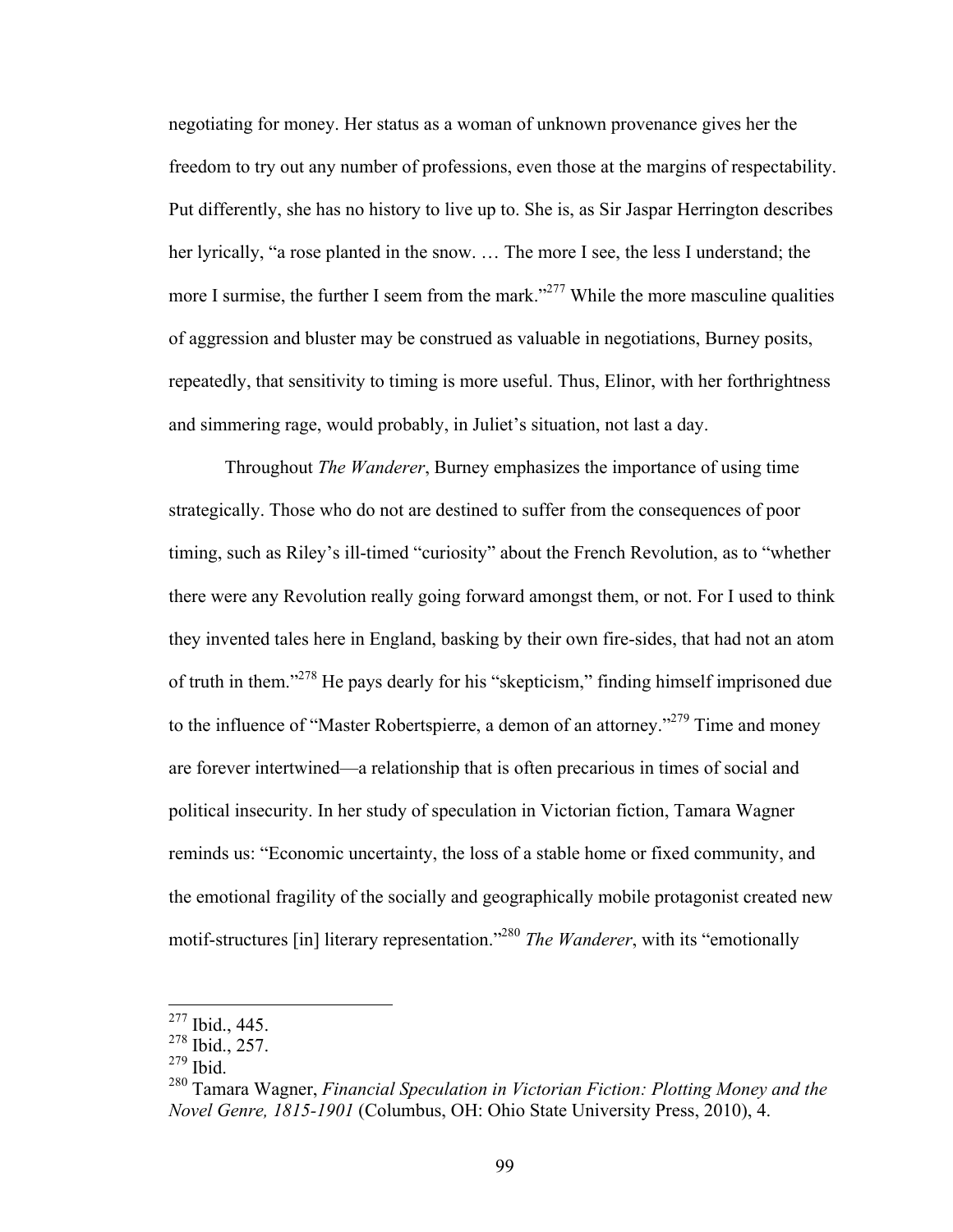negotiating for money. Her status as a woman of unknown provenance gives her the freedom to try out any number of professions, even those at the margins of respectability. Put differently, she has no history to live up to. She is, as Sir Jaspar Herrington describes her lyrically, "a rose planted in the snow. ... The more I see, the less I understand; the more I surmise, the further I seem from the mark.<sup>3277</sup> While the more masculine qualities of aggression and bluster may be construed as valuable in negotiations, Burney posits, repeatedly, that sensitivity to timing is more useful. Thus, Elinor, with her forthrightness and simmering rage, would probably, in Juliet's situation, not last a day.

Throughout *The Wanderer*, Burney emphasizes the importance of using time strategically. Those who do not are destined to suffer from the consequences of poor timing, such as Riley's ill-timed "curiosity" about the French Revolution, as to "whether there were any Revolution really going forward amongst them, or not. For I used to think they invented tales here in England, basking by their own fire-sides, that had not an atom of truth in them."278 He pays dearly for his "skepticism," finding himself imprisoned due to the influence of "Master Robertspierre, a demon of an attorney."<sup>279</sup> Time and money are forever intertwined—a relationship that is often precarious in times of social and political insecurity. In her study of speculation in Victorian fiction, Tamara Wagner reminds us: "Economic uncertainty, the loss of a stable home or fixed community, and the emotional fragility of the socially and geographically mobile protagonist created new motif-structures [in] literary representation."280 *The Wanderer*, with its "emotionally

 <sup>277</sup> Ibid., 445.

<sup>278</sup> Ibid., 257.

 $279$  Ibid.

<sup>280</sup> Tamara Wagner, *Financial Speculation in Victorian Fiction: Plotting Money and the Novel Genre, 1815-1901* (Columbus, OH: Ohio State University Press, 2010), 4.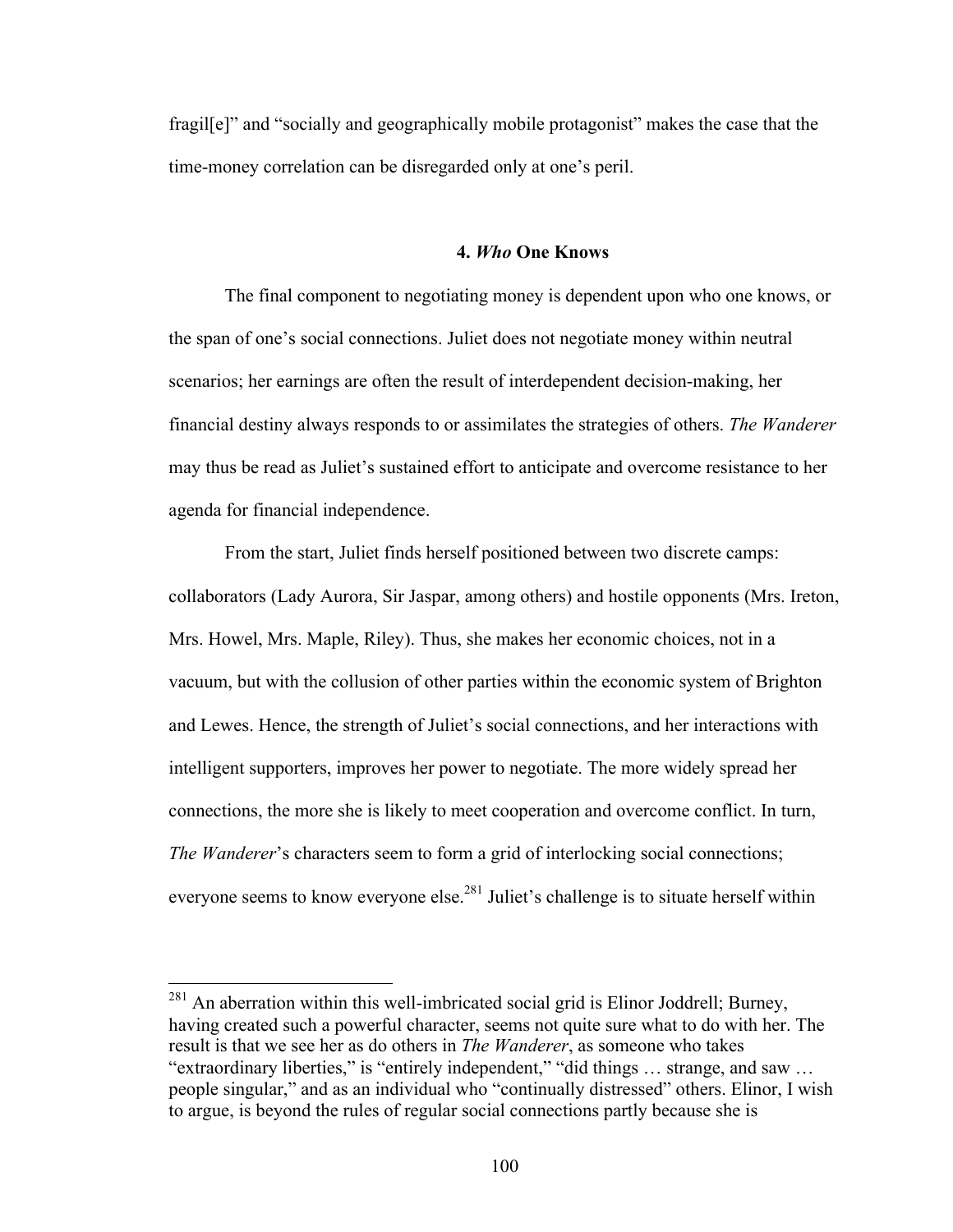fragile<sup>[1]</sup> and "socially and geographically mobile protagonist" makes the case that the time-money correlation can be disregarded only at one's peril.

## **4.** *Who* **One Knows**

The final component to negotiating money is dependent upon who one knows, or the span of one's social connections. Juliet does not negotiate money within neutral scenarios; her earnings are often the result of interdependent decision-making, her financial destiny always responds to or assimilates the strategies of others. *The Wanderer* may thus be read as Juliet's sustained effort to anticipate and overcome resistance to her agenda for financial independence.

From the start, Juliet finds herself positioned between two discrete camps: collaborators (Lady Aurora, Sir Jaspar, among others) and hostile opponents (Mrs. Ireton, Mrs. Howel, Mrs. Maple, Riley). Thus, she makes her economic choices, not in a vacuum, but with the collusion of other parties within the economic system of Brighton and Lewes. Hence, the strength of Juliet's social connections, and her interactions with intelligent supporters, improves her power to negotiate. The more widely spread her connections, the more she is likely to meet cooperation and overcome conflict. In turn, *The Wanderer's* characters seem to form a grid of interlocking social connections; everyone seems to know everyone else.<sup>281</sup> Juliet's challenge is to situate herself within

 $^{281}$  An aberration within this well-imbricated social grid is Elinor Joddrell; Burney, having created such a powerful character, seems not quite sure what to do with her. The result is that we see her as do others in *The Wanderer*, as someone who takes "extraordinary liberties," is "entirely independent," "did things … strange, and saw … people singular," and as an individual who "continually distressed" others. Elinor, I wish to argue, is beyond the rules of regular social connections partly because she is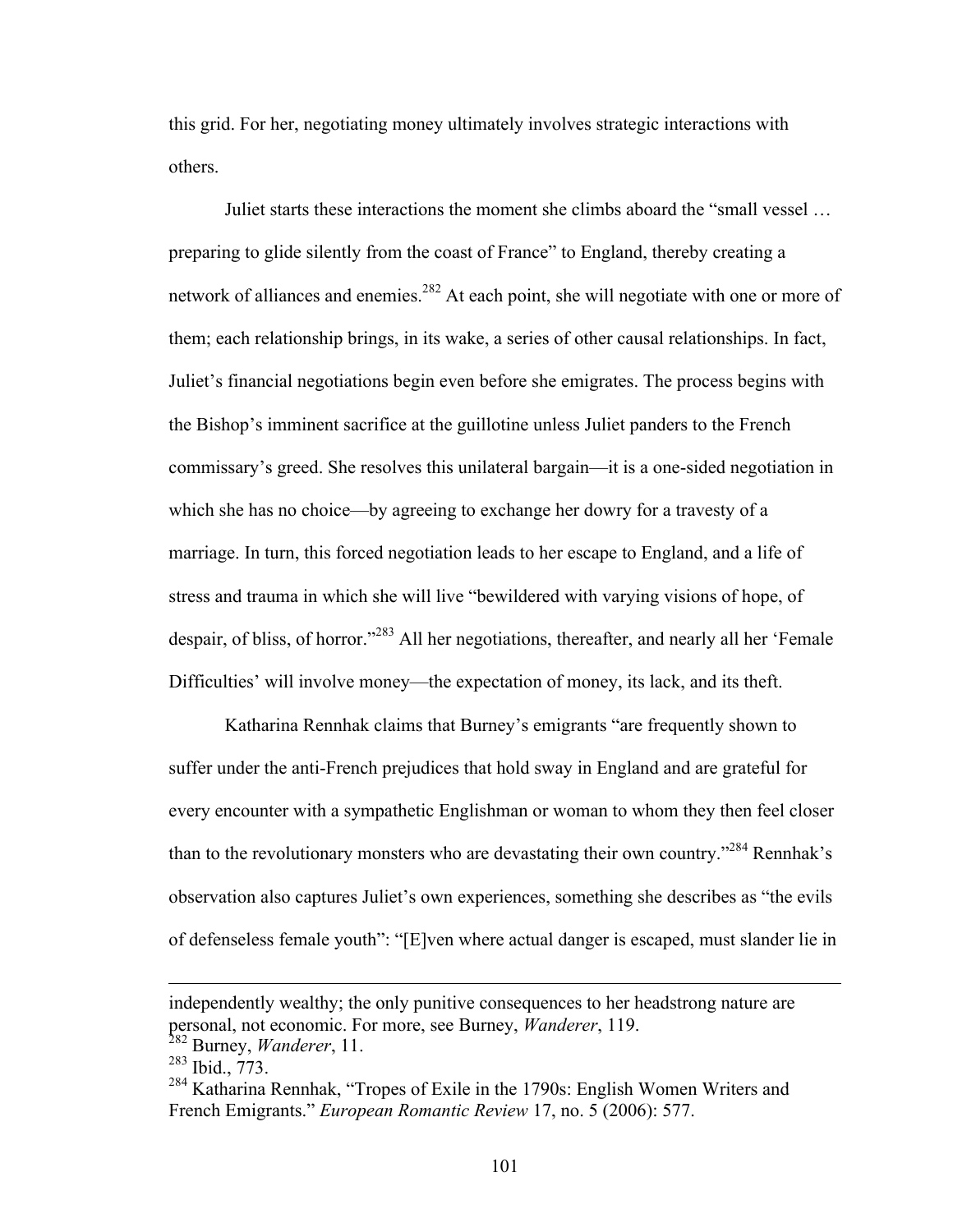this grid. For her, negotiating money ultimately involves strategic interactions with others.

Juliet starts these interactions the moment she climbs aboard the "small vessel … preparing to glide silently from the coast of France" to England, thereby creating a network of alliances and enemies.<sup>282</sup> At each point, she will negotiate with one or more of them; each relationship brings, in its wake, a series of other causal relationships. In fact, Juliet's financial negotiations begin even before she emigrates. The process begins with the Bishop's imminent sacrifice at the guillotine unless Juliet panders to the French commissary's greed. She resolves this unilateral bargain—it is a one-sided negotiation in which she has no choice—by agreeing to exchange her dowry for a travesty of a marriage. In turn, this forced negotiation leads to her escape to England, and a life of stress and trauma in which she will live "bewildered with varying visions of hope, of despair, of bliss, of horror."283 All her negotiations, thereafter, and nearly all her 'Female Difficulties' will involve money—the expectation of money, its lack, and its theft.

Katharina Rennhak claims that Burney's emigrants "are frequently shown to suffer under the anti-French prejudices that hold sway in England and are grateful for every encounter with a sympathetic Englishman or woman to whom they then feel closer than to the revolutionary monsters who are devastating their own country."<sup>284</sup> Rennhak's observation also captures Juliet's own experiences, something she describes as "the evils of defenseless female youth": "[E]ven where actual danger is escaped, must slander lie in

 $\overline{a}$ 

independently wealthy; the only punitive consequences to her headstrong nature are personal, not economic. For more, see Burney, *Wanderer*, 119.

<sup>282</sup> Burney, *Wanderer*, 11.

<sup>&</sup>lt;sup>283</sup> Ibid., 773.

<sup>&</sup>lt;sup>284</sup> Katharina Rennhak, "Tropes of Exile in the 1790s: English Women Writers and French Emigrants." *European Romantic Review* 17, no. 5 (2006): 577.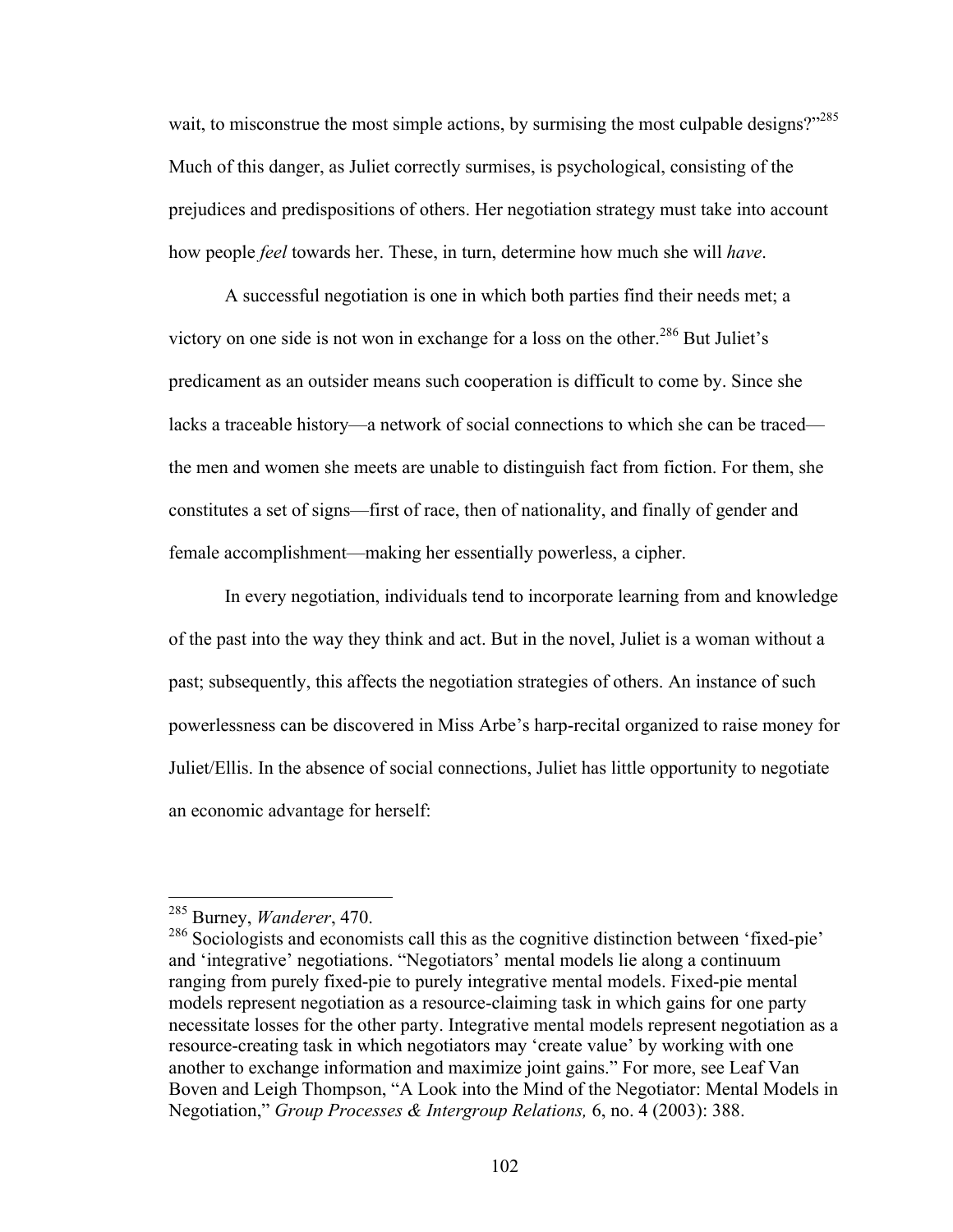wait, to misconstrue the most simple actions, by surmising the most culpable designs?"<sup>285</sup> Much of this danger, as Juliet correctly surmises, is psychological, consisting of the prejudices and predispositions of others. Her negotiation strategy must take into account how people *feel* towards her. These, in turn, determine how much she will *have*.

A successful negotiation is one in which both parties find their needs met; a victory on one side is not won in exchange for a loss on the other.<sup>286</sup> But Juliet's predicament as an outsider means such cooperation is difficult to come by. Since she lacks a traceable history—a network of social connections to which she can be traced the men and women she meets are unable to distinguish fact from fiction. For them, she constitutes a set of signs—first of race, then of nationality, and finally of gender and female accomplishment—making her essentially powerless, a cipher.

In every negotiation, individuals tend to incorporate learning from and knowledge of the past into the way they think and act. But in the novel, Juliet is a woman without a past; subsequently, this affects the negotiation strategies of others. An instance of such powerlessness can be discovered in Miss Arbe's harp-recital organized to raise money for Juliet/Ellis. In the absence of social connections, Juliet has little opportunity to negotiate an economic advantage for herself:

 <sup>285</sup> Burney, *Wanderer*, 470.

<sup>&</sup>lt;sup>286</sup> Sociologists and economists call this as the cognitive distinction between 'fixed-pie' and 'integrative' negotiations. "Negotiators' mental models lie along a continuum ranging from purely fixed-pie to purely integrative mental models. Fixed-pie mental models represent negotiation as a resource-claiming task in which gains for one party necessitate losses for the other party. Integrative mental models represent negotiation as a resource-creating task in which negotiators may 'create value' by working with one another to exchange information and maximize joint gains." For more, see Leaf Van Boven and Leigh Thompson, "A Look into the Mind of the Negotiator: Mental Models in Negotiation," *Group Processes & Intergroup Relations,* 6, no. 4 (2003): 388.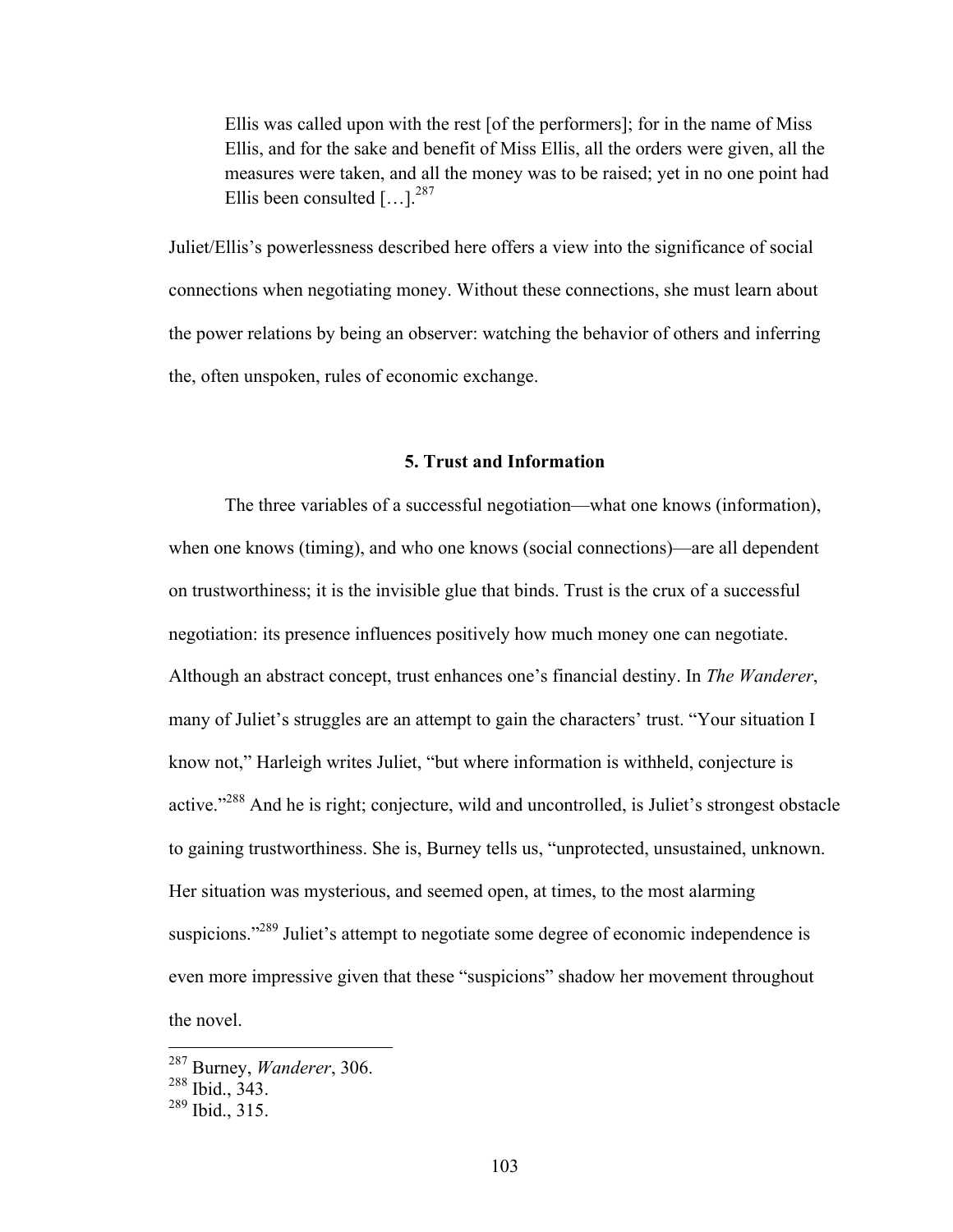Ellis was called upon with the rest [of the performers]; for in the name of Miss Ellis, and for the sake and benefit of Miss Ellis, all the orders were given, all the measures were taken, and all the money was to be raised; yet in no one point had Ellis been consulted  $[...]^{287}$ 

Juliet/Ellis's powerlessness described here offers a view into the significance of social connections when negotiating money. Without these connections, she must learn about the power relations by being an observer: watching the behavior of others and inferring the, often unspoken, rules of economic exchange.

## **5. Trust and Information**

The three variables of a successful negotiation—what one knows (information), when one knows (timing), and who one knows (social connections)—are all dependent on trustworthiness; it is the invisible glue that binds. Trust is the crux of a successful negotiation: its presence influences positively how much money one can negotiate. Although an abstract concept, trust enhances one's financial destiny. In *The Wanderer*, many of Juliet's struggles are an attempt to gain the characters' trust. "Your situation I know not," Harleigh writes Juliet, "but where information is withheld, conjecture is active."<sup>288</sup> And he is right; conjecture, wild and uncontrolled, is Juliet's strongest obstacle to gaining trustworthiness. She is, Burney tells us, "unprotected, unsustained, unknown. Her situation was mysterious, and seemed open, at times, to the most alarming suspicions."<sup>289</sup> Juliet's attempt to negotiate some degree of economic independence is even more impressive given that these "suspicions" shadow her movement throughout the novel.

 <sup>287</sup> Burney, *Wanderer*, 306.

<sup>288</sup> Ibid., 343.

 $289$  Ibid., 315.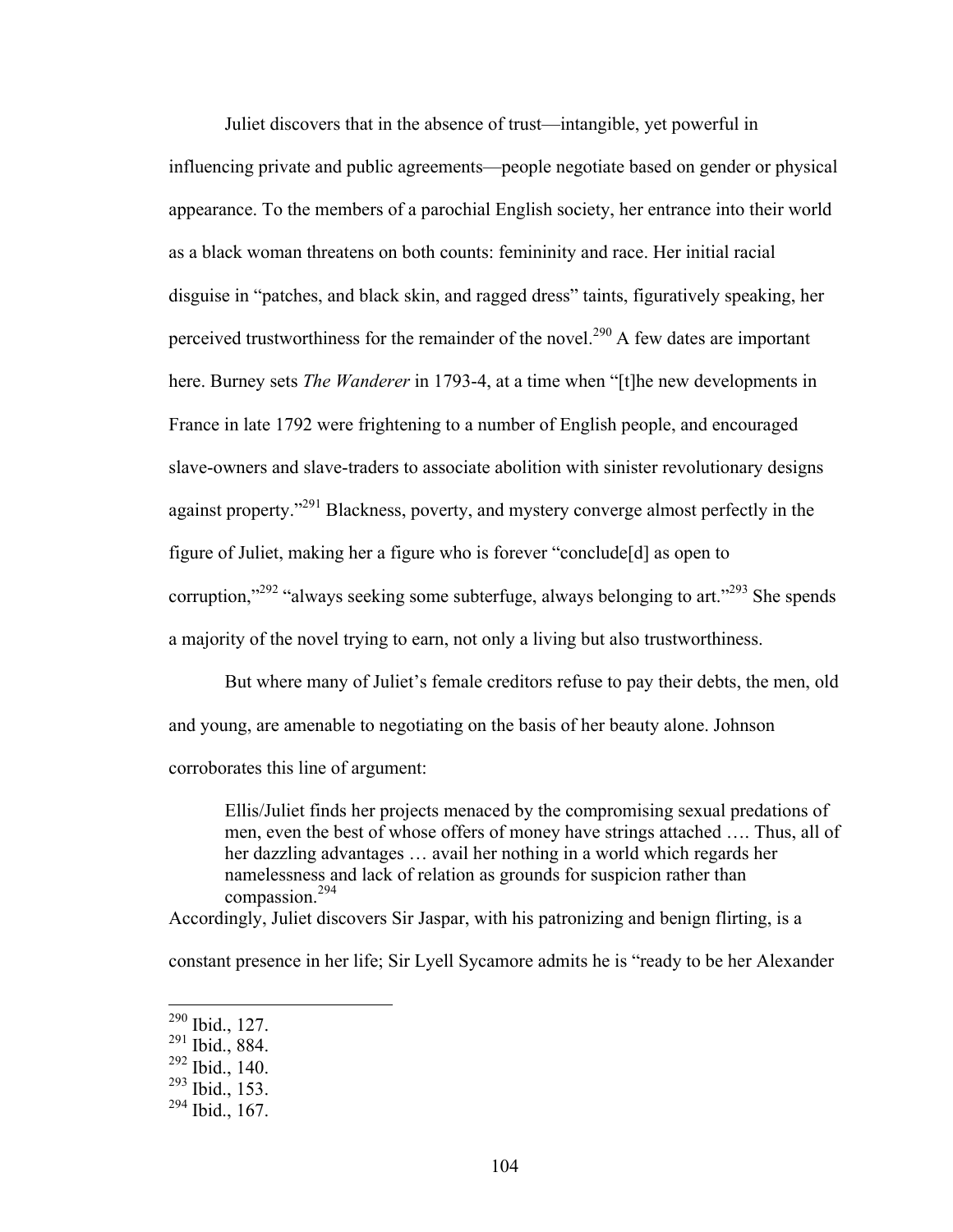Juliet discovers that in the absence of trust—intangible, yet powerful in influencing private and public agreements—people negotiate based on gender or physical appearance. To the members of a parochial English society, her entrance into their world as a black woman threatens on both counts: femininity and race. Her initial racial disguise in "patches, and black skin, and ragged dress" taints, figuratively speaking, her perceived trustworthiness for the remainder of the novel.<sup>290</sup> A few dates are important here. Burney sets *The Wanderer* in 1793-4, at a time when "[t]he new developments in France in late 1792 were frightening to a number of English people, and encouraged slave-owners and slave-traders to associate abolition with sinister revolutionary designs against property."<sup>291</sup> Blackness, poverty, and mystery converge almost perfectly in the figure of Juliet, making her a figure who is forever "conclude[d] as open to corruption,"<sup>292</sup> "always seeking some subterfuge, always belonging to art."<sup>293</sup> She spends a majority of the novel trying to earn, not only a living but also trustworthiness.

But where many of Juliet's female creditors refuse to pay their debts, the men, old and young, are amenable to negotiating on the basis of her beauty alone. Johnson corroborates this line of argument:

Ellis/Juliet finds her projects menaced by the compromising sexual predations of men, even the best of whose offers of money have strings attached …. Thus, all of her dazzling advantages … avail her nothing in a world which regards her namelessness and lack of relation as grounds for suspicion rather than compassion.<sup>294</sup>

Accordingly, Juliet discovers Sir Jaspar, with his patronizing and benign flirting, is a

constant presence in her life; Sir Lyell Sycamore admits he is "ready to be her Alexander

 <sup>290</sup> Ibid., 127.

<sup>291</sup> Ibid., 884.

<sup>292</sup> Ibid., 140.

<sup>293</sup> Ibid., 153.

 $294$  Ibid., 167.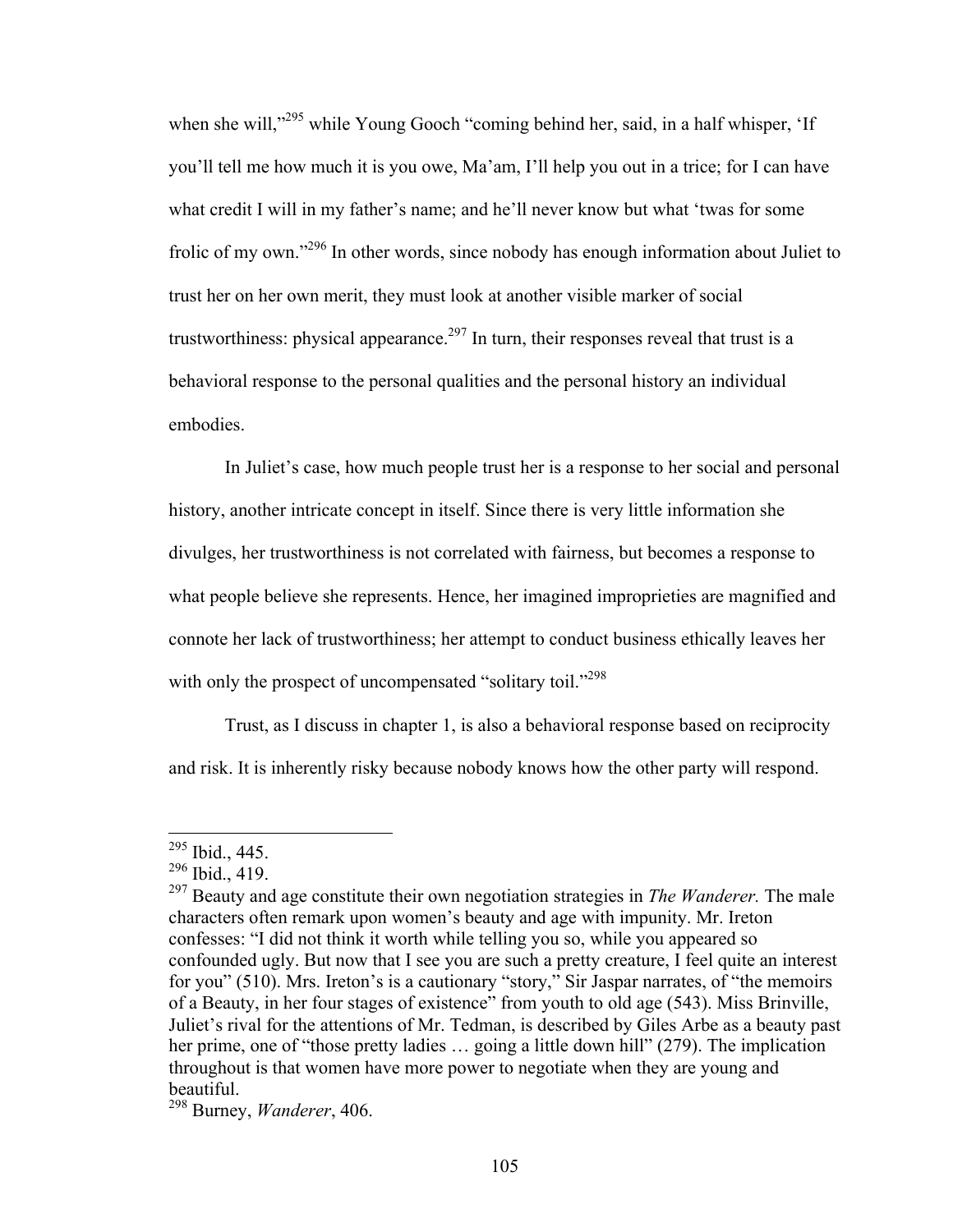when she will,"<sup>295</sup> while Young Gooch "coming behind her, said, in a half whisper, 'If you'll tell me how much it is you owe, Ma'am, I'll help you out in a trice; for I can have what credit I will in my father's name; and he'll never know but what 'twas for some frolic of my own."296 In other words, since nobody has enough information about Juliet to trust her on her own merit, they must look at another visible marker of social trustworthiness: physical appearance.<sup>297</sup> In turn, their responses reveal that trust is a behavioral response to the personal qualities and the personal history an individual embodies.

In Juliet's case, how much people trust her is a response to her social and personal history, another intricate concept in itself. Since there is very little information she divulges, her trustworthiness is not correlated with fairness, but becomes a response to what people believe she represents. Hence, her imagined improprieties are magnified and connote her lack of trustworthiness; her attempt to conduct business ethically leaves her with only the prospect of uncompensated "solitary toil."<sup>298</sup>

Trust, as I discuss in chapter 1, is also a behavioral response based on reciprocity and risk. It is inherently risky because nobody knows how the other party will respond.

 <sup>295</sup> Ibid., 445.

 $^{296}$  Ibid., 419.

<sup>297</sup> Beauty and age constitute their own negotiation strategies in *The Wanderer.* The male characters often remark upon women's beauty and age with impunity. Mr. Ireton confesses: "I did not think it worth while telling you so, while you appeared so confounded ugly. But now that I see you are such a pretty creature, I feel quite an interest for you" (510). Mrs. Ireton's is a cautionary "story," Sir Jaspar narrates, of "the memoirs of a Beauty, in her four stages of existence" from youth to old age (543). Miss Brinville, Juliet's rival for the attentions of Mr. Tedman, is described by Giles Arbe as a beauty past her prime, one of "those pretty ladies ... going a little down hill" (279). The implication throughout is that women have more power to negotiate when they are young and beautiful.

<sup>298</sup> Burney, *Wanderer*, 406.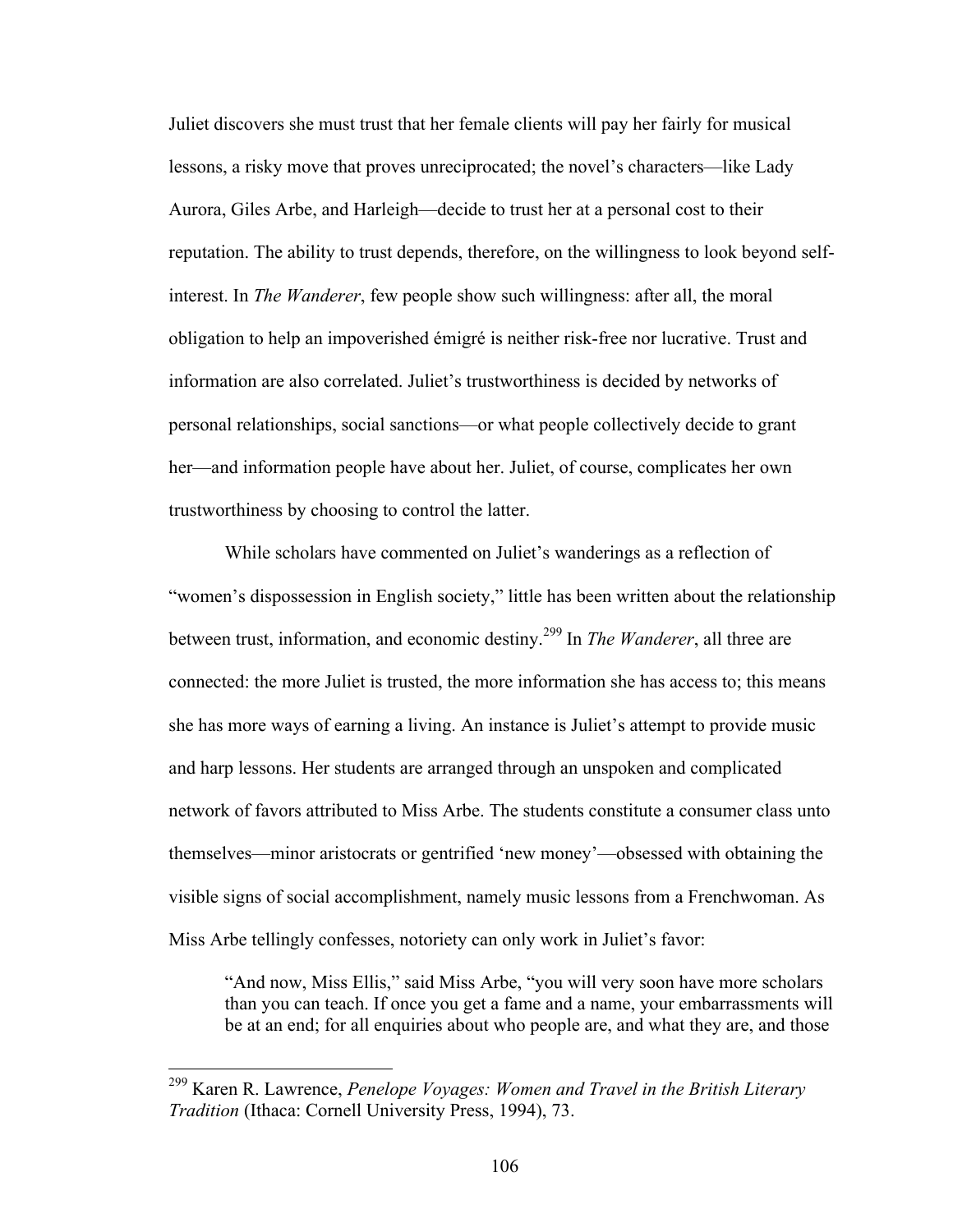Juliet discovers she must trust that her female clients will pay her fairly for musical lessons, a risky move that proves unreciprocated; the novel's characters—like Lady Aurora, Giles Arbe, and Harleigh—decide to trust her at a personal cost to their reputation. The ability to trust depends, therefore, on the willingness to look beyond selfinterest. In *The Wanderer*, few people show such willingness: after all, the moral obligation to help an impoverished émigré is neither risk-free nor lucrative. Trust and information are also correlated. Juliet's trustworthiness is decided by networks of personal relationships, social sanctions—or what people collectively decide to grant her—and information people have about her. Juliet, of course, complicates her own trustworthiness by choosing to control the latter.

While scholars have commented on Juliet's wanderings as a reflection of "women's dispossession in English society," little has been written about the relationship between trust, information, and economic destiny.<sup>299</sup> In *The Wanderer*, all three are connected: the more Juliet is trusted, the more information she has access to; this means she has more ways of earning a living. An instance is Juliet's attempt to provide music and harp lessons. Her students are arranged through an unspoken and complicated network of favors attributed to Miss Arbe. The students constitute a consumer class unto themselves—minor aristocrats or gentrified 'new money'—obsessed with obtaining the visible signs of social accomplishment, namely music lessons from a Frenchwoman. As Miss Arbe tellingly confesses, notoriety can only work in Juliet's favor:

"And now, Miss Ellis," said Miss Arbe, "you will very soon have more scholars than you can teach. If once you get a fame and a name, your embarrassments will be at an end; for all enquiries about who people are, and what they are, and those

 <sup>299</sup> Karen R. Lawrence, *Penelope Voyages: Women and Travel in the British Literary Tradition* (Ithaca: Cornell University Press, 1994), 73.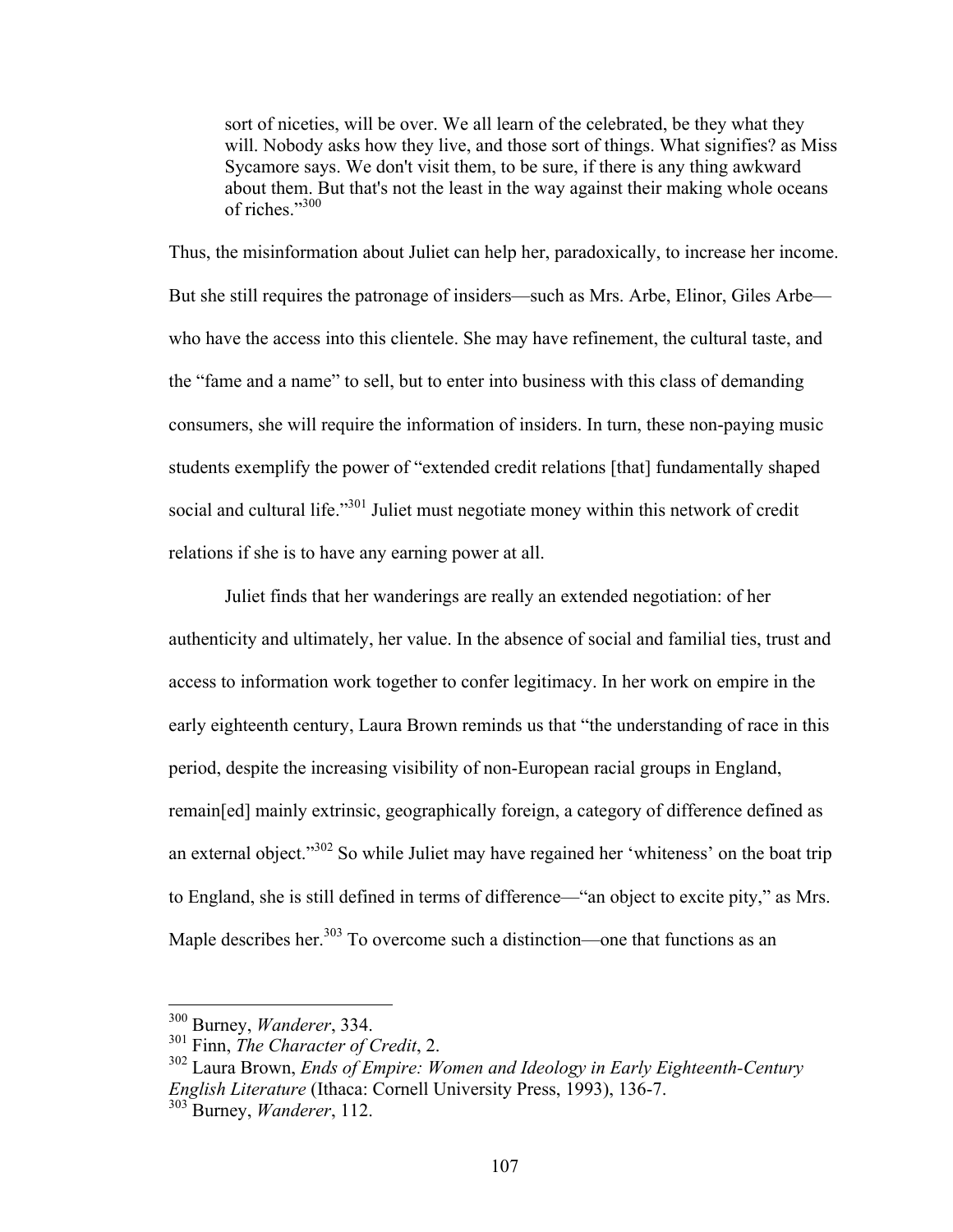sort of niceties, will be over. We all learn of the celebrated, be they what they will. Nobody asks how they live, and those sort of things. What signifies? as Miss Sycamore says. We don't visit them, to be sure, if there is any thing awkward about them. But that's not the least in the way against their making whole oceans of riches<sup>"300</sup>

Thus, the misinformation about Juliet can help her, paradoxically, to increase her income. But she still requires the patronage of insiders—such as Mrs. Arbe, Elinor, Giles Arbe who have the access into this clientele. She may have refinement, the cultural taste, and the "fame and a name" to sell, but to enter into business with this class of demanding consumers, she will require the information of insiders. In turn, these non-paying music students exemplify the power of "extended credit relations [that] fundamentally shaped social and cultural life."<sup>301</sup> Juliet must negotiate money within this network of credit relations if she is to have any earning power at all.

Juliet finds that her wanderings are really an extended negotiation: of her authenticity and ultimately, her value. In the absence of social and familial ties, trust and access to information work together to confer legitimacy. In her work on empire in the early eighteenth century, Laura Brown reminds us that "the understanding of race in this period, despite the increasing visibility of non-European racial groups in England, remain[ed] mainly extrinsic, geographically foreign, a category of difference defined as an external object." $302$  So while Juliet may have regained her 'whiteness' on the boat trip to England, she is still defined in terms of difference—"an object to excite pity," as Mrs. Maple describes her.<sup>303</sup> To overcome such a distinction—one that functions as an

 <sup>300</sup> Burney, *Wanderer*, 334.

<sup>301</sup> Finn, *The Character of Credit*, 2.

<sup>302</sup> Laura Brown, *Ends of Empire: Women and Ideology in Early Eighteenth-Century English Literature* (Ithaca: Cornell University Press, 1993), 136-7. <sup>303</sup> Burney, *Wanderer*, 112.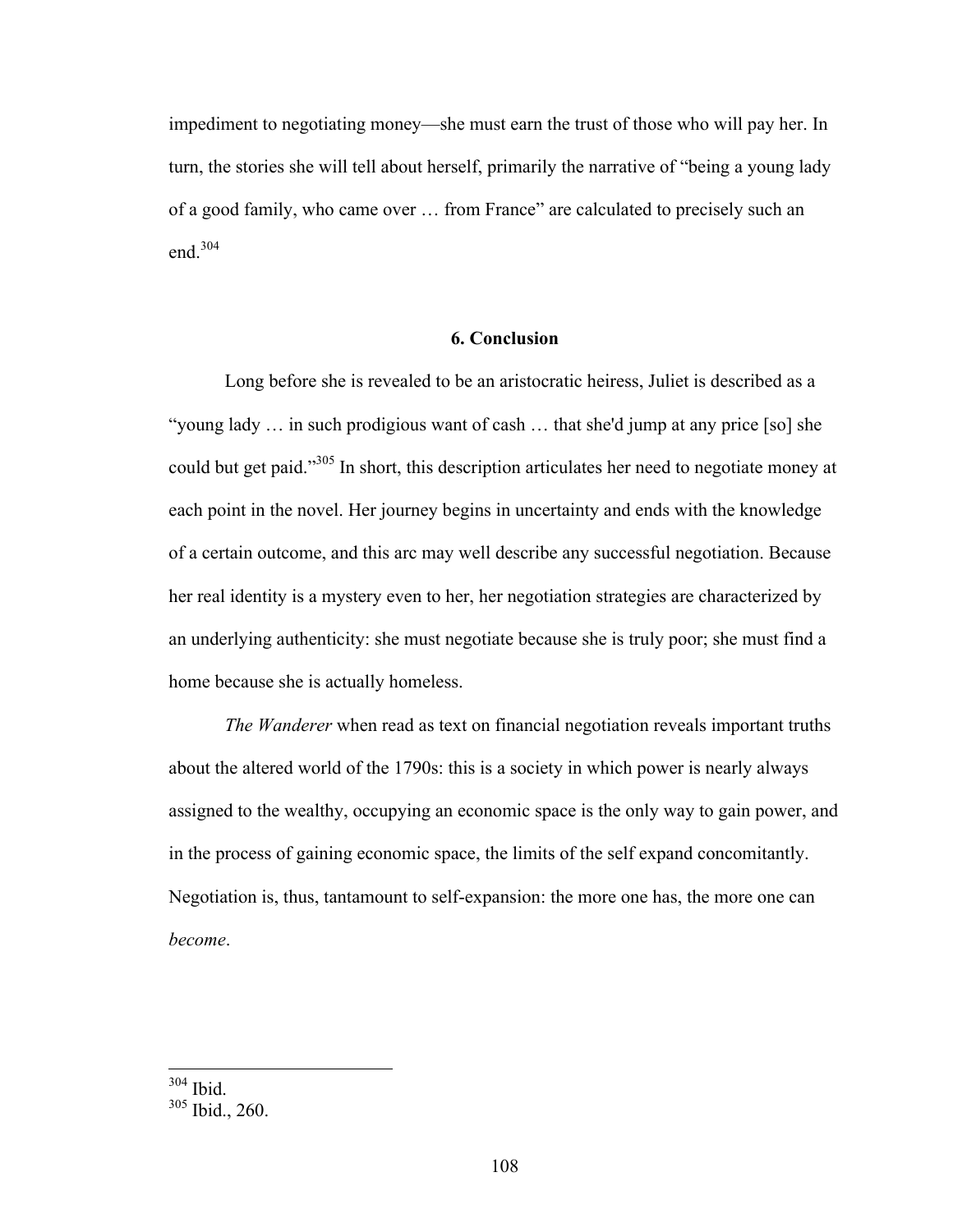impediment to negotiating money—she must earn the trust of those who will pay her. In turn, the stories she will tell about herself, primarily the narrative of "being a young lady of a good family, who came over … from France" are calculated to precisely such an end.<sup>304</sup>

## **6. Conclusion**

Long before she is revealed to be an aristocratic heiress, Juliet is described as a "young lady … in such prodigious want of cash … that she'd jump at any price [so] she could but get paid."305 In short, this description articulates her need to negotiate money at each point in the novel. Her journey begins in uncertainty and ends with the knowledge of a certain outcome, and this arc may well describe any successful negotiation. Because her real identity is a mystery even to her, her negotiation strategies are characterized by an underlying authenticity: she must negotiate because she is truly poor; she must find a home because she is actually homeless.

*The Wanderer* when read as text on financial negotiation reveals important truths about the altered world of the 1790s: this is a society in which power is nearly always assigned to the wealthy, occupying an economic space is the only way to gain power, and in the process of gaining economic space, the limits of the self expand concomitantly. Negotiation is, thus, tantamount to self-expansion: the more one has, the more one can *become*.

 <sup>304</sup> Ibid.

<sup>305</sup> Ibid., 260.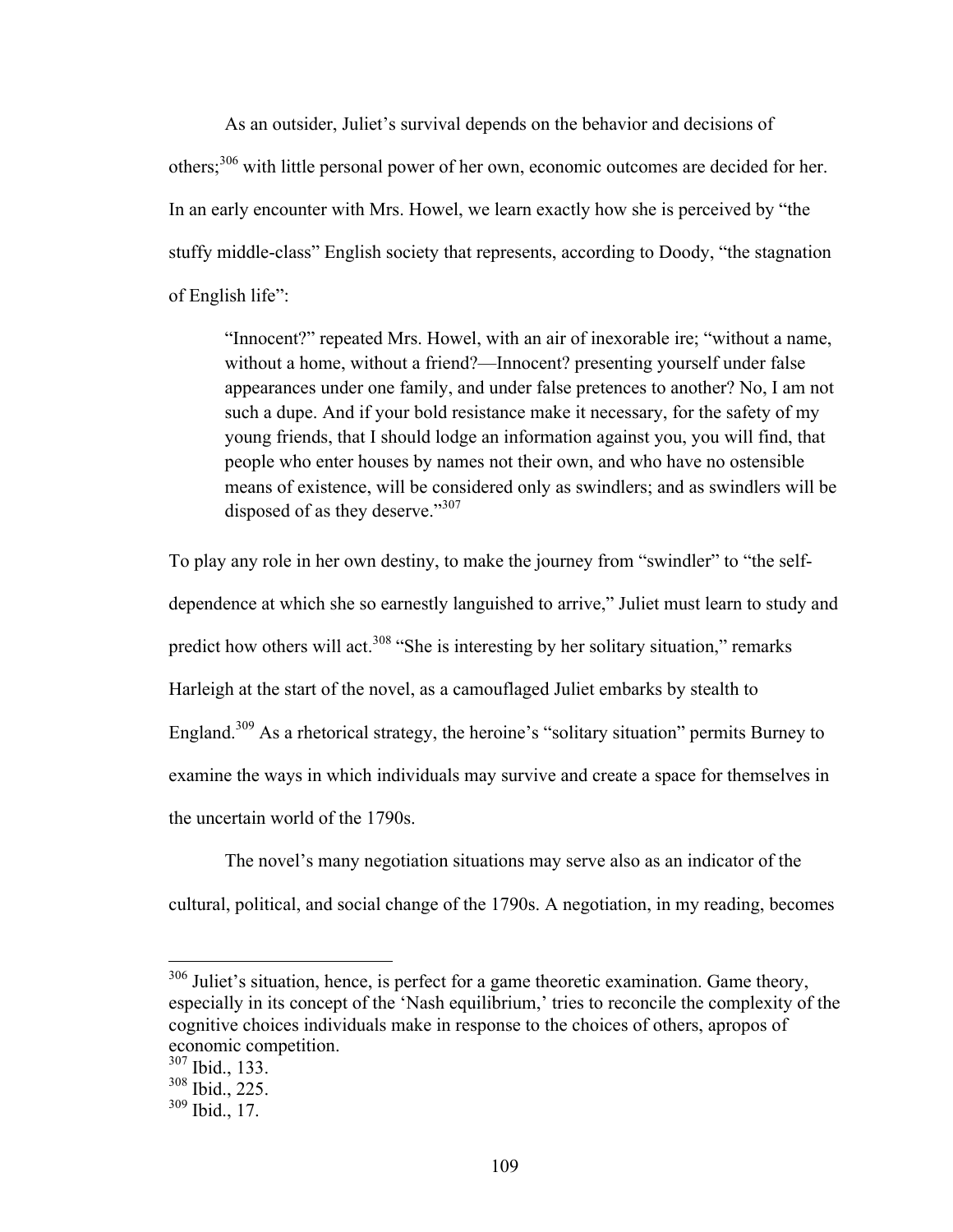As an outsider, Juliet's survival depends on the behavior and decisions of others<sup>306</sup> with little personal power of her own, economic outcomes are decided for her. In an early encounter with Mrs. Howel, we learn exactly how she is perceived by "the stuffy middle-class" English society that represents, according to Doody, "the stagnation of English life":

"Innocent?" repeated Mrs. Howel, with an air of inexorable ire; "without a name, without a home, without a friend?—Innocent? presenting yourself under false appearances under one family, and under false pretences to another? No, I am not such a dupe. And if your bold resistance make it necessary, for the safety of my young friends, that I should lodge an information against you, you will find, that people who enter houses by names not their own, and who have no ostensible means of existence, will be considered only as swindlers; and as swindlers will be disposed of as they deserve."307

To play any role in her own destiny, to make the journey from "swindler" to "the selfdependence at which she so earnestly languished to arrive," Juliet must learn to study and predict how others will act.<sup>308</sup> "She is interesting by her solitary situation," remarks Harleigh at the start of the novel, as a camouflaged Juliet embarks by stealth to England.<sup>309</sup> As a rhetorical strategy, the heroine's "solitary situation" permits Burney to examine the ways in which individuals may survive and create a space for themselves in the uncertain world of the 1790s.

The novel's many negotiation situations may serve also as an indicator of the cultural, political, and social change of the 1790s. A negotiation, in my reading, becomes

<sup>&</sup>lt;sup>306</sup> Juliet's situation, hence, is perfect for a game theoretic examination. Game theory, especially in its concept of the 'Nash equilibrium,' tries to reconcile the complexity of the cognitive choices individuals make in response to the choices of others, apropos of economic competition.

 $307$  Ibid., 133.

<sup>308</sup> Ibid., 225.

 $309$  Ibid., 17.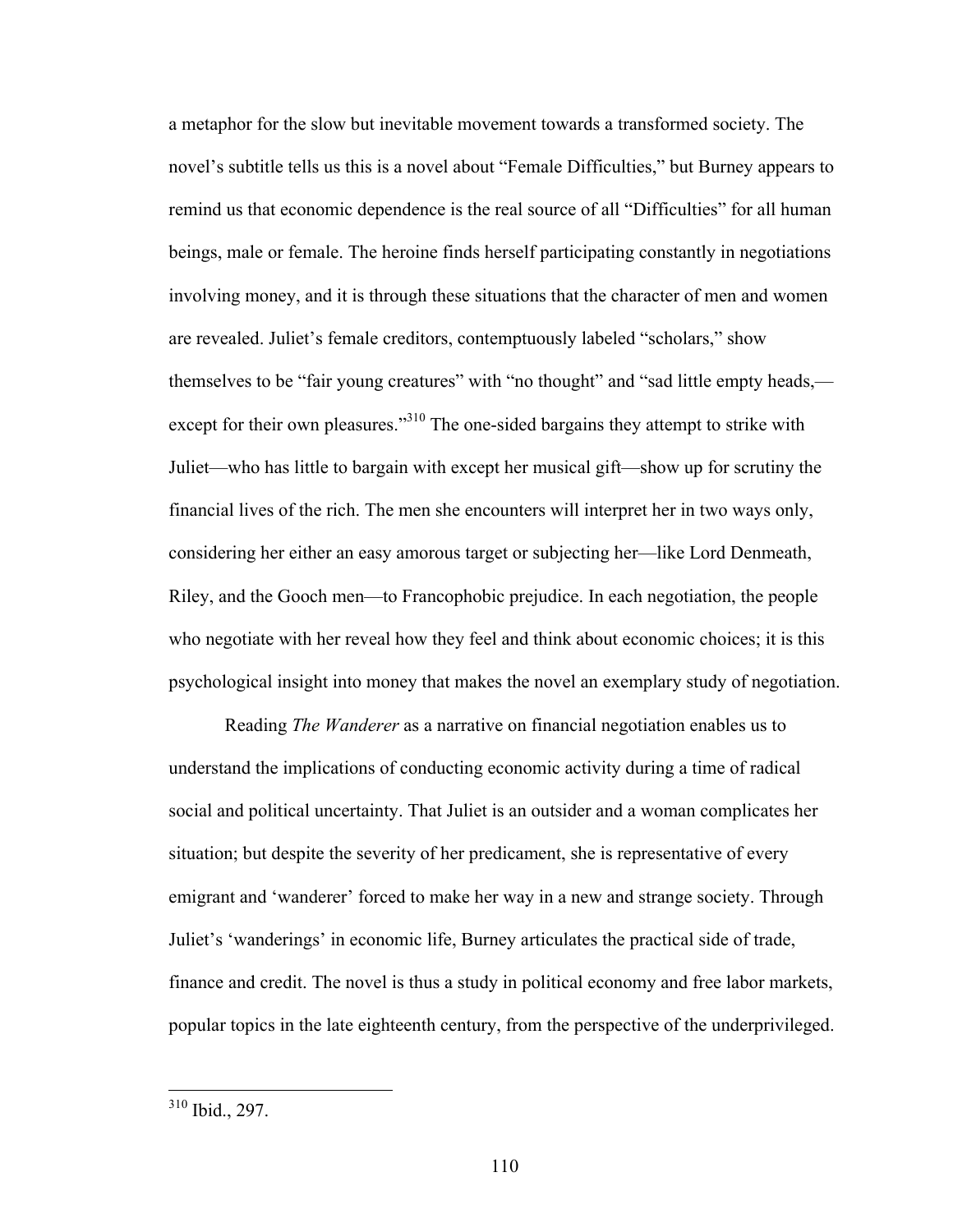a metaphor for the slow but inevitable movement towards a transformed society. The novel's subtitle tells us this is a novel about "Female Difficulties," but Burney appears to remind us that economic dependence is the real source of all "Difficulties" for all human beings, male or female. The heroine finds herself participating constantly in negotiations involving money, and it is through these situations that the character of men and women are revealed. Juliet's female creditors, contemptuously labeled "scholars," show themselves to be "fair young creatures" with "no thought" and "sad little empty heads, except for their own pleasures."<sup>310</sup> The one-sided bargains they attempt to strike with Juliet—who has little to bargain with except her musical gift—show up for scrutiny the financial lives of the rich. The men she encounters will interpret her in two ways only, considering her either an easy amorous target or subjecting her—like Lord Denmeath, Riley, and the Gooch men—to Francophobic prejudice. In each negotiation, the people who negotiate with her reveal how they feel and think about economic choices; it is this psychological insight into money that makes the novel an exemplary study of negotiation.

Reading *The Wanderer* as a narrative on financial negotiation enables us to understand the implications of conducting economic activity during a time of radical social and political uncertainty. That Juliet is an outsider and a woman complicates her situation; but despite the severity of her predicament, she is representative of every emigrant and 'wanderer' forced to make her way in a new and strange society. Through Juliet's 'wanderings' in economic life, Burney articulates the practical side of trade, finance and credit. The novel is thus a study in political economy and free labor markets, popular topics in the late eighteenth century, from the perspective of the underprivileged.

 <sup>310</sup> Ibid., 297.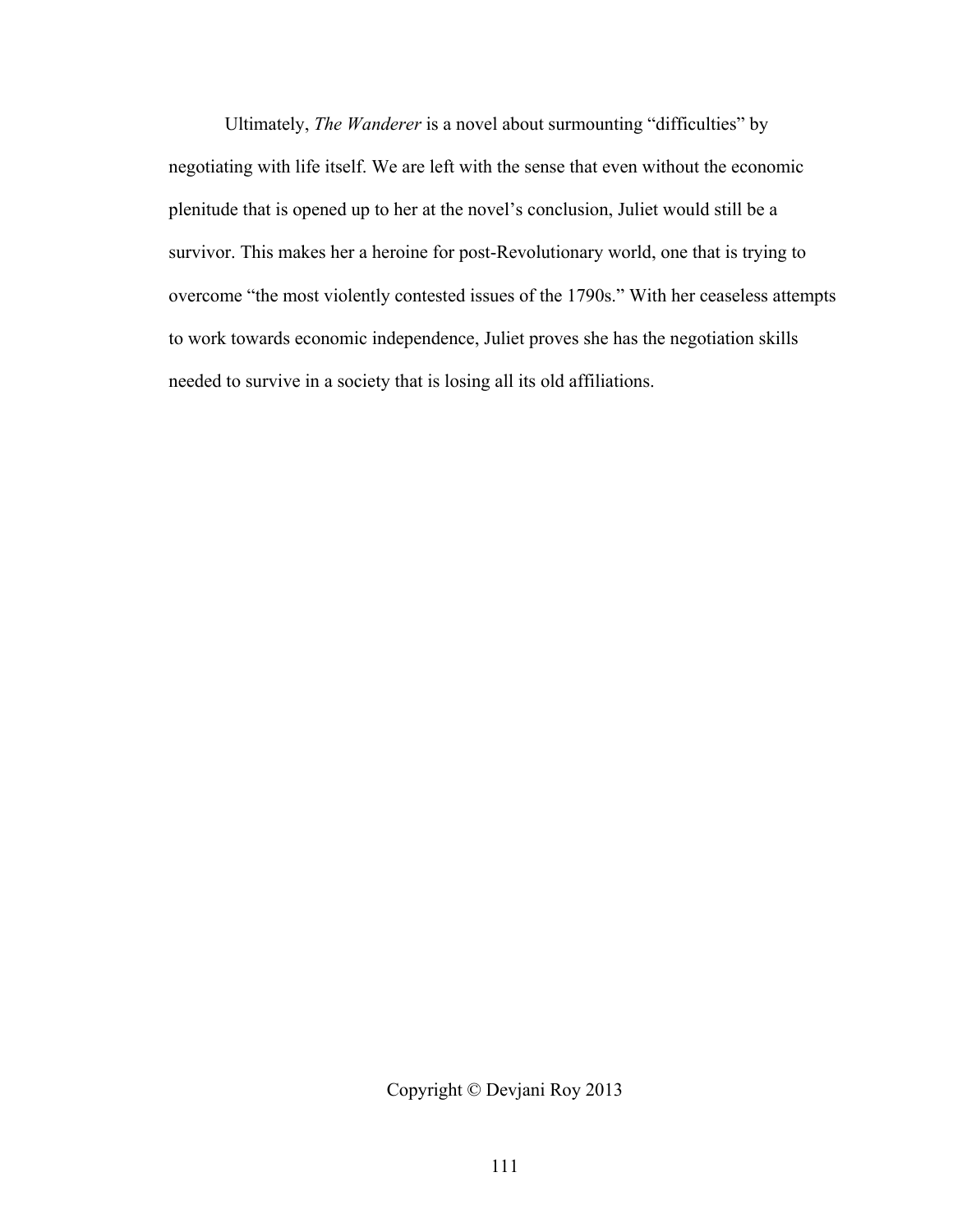Ultimately, *The Wanderer* is a novel about surmounting "difficulties" by negotiating with life itself. We are left with the sense that even without the economic plenitude that is opened up to her at the novel's conclusion, Juliet would still be a survivor. This makes her a heroine for post-Revolutionary world, one that is trying to overcome "the most violently contested issues of the 1790s." With her ceaseless attempts to work towards economic independence, Juliet proves she has the negotiation skills needed to survive in a society that is losing all its old affiliations.

Copyright © Devjani Roy 2013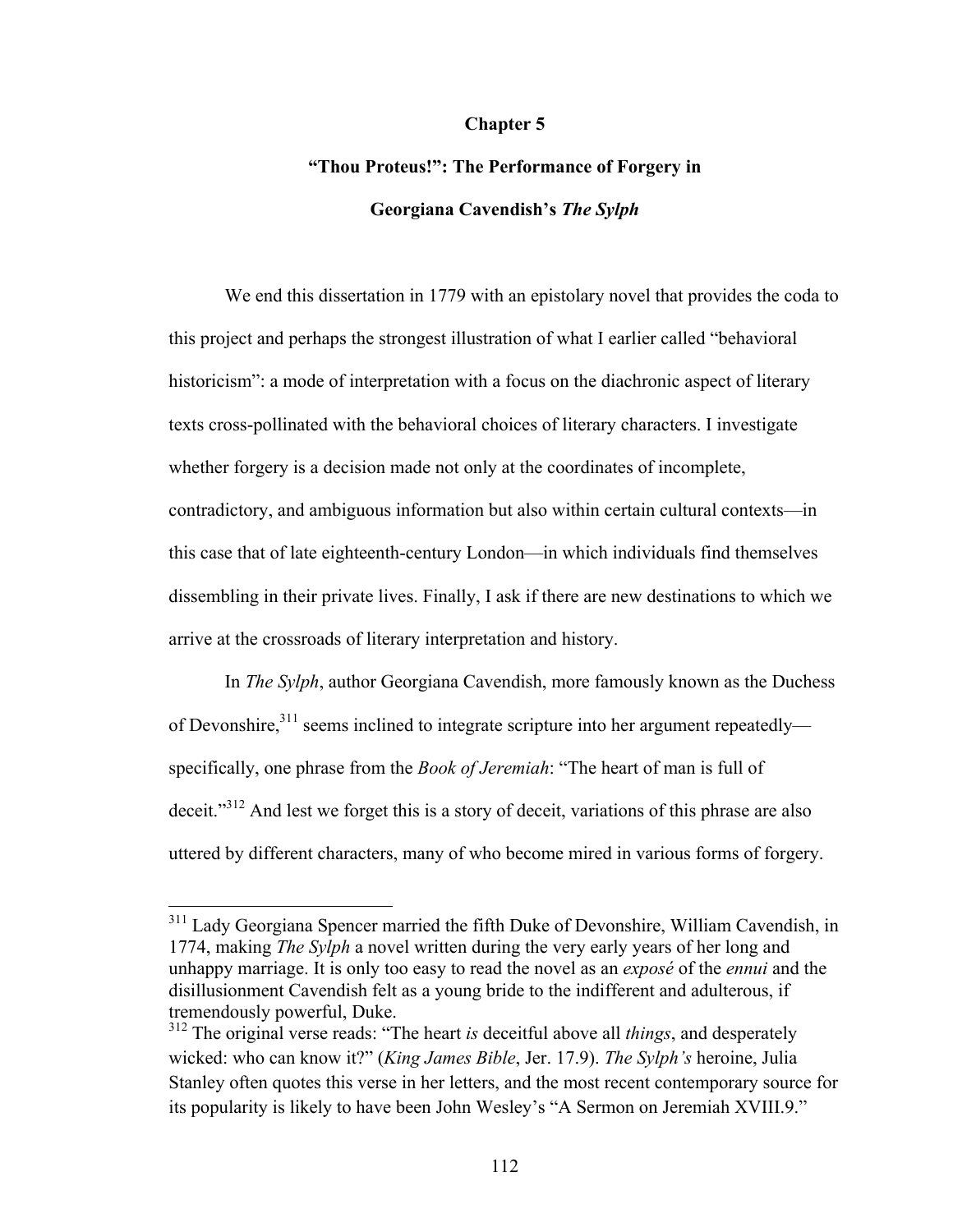#### **Chapter 5**

# **"Thou Proteus!": The Performance of Forgery in Georgiana Cavendish's** *The Sylph*

We end this dissertation in 1779 with an epistolary novel that provides the coda to this project and perhaps the strongest illustration of what I earlier called "behavioral historicism": a mode of interpretation with a focus on the diachronic aspect of literary texts cross-pollinated with the behavioral choices of literary characters. I investigate whether forgery is a decision made not only at the coordinates of incomplete, contradictory, and ambiguous information but also within certain cultural contexts—in this case that of late eighteenth-century London—in which individuals find themselves dissembling in their private lives. Finally, I ask if there are new destinations to which we arrive at the crossroads of literary interpretation and history.

In *The Sylph*, author Georgiana Cavendish, more famously known as the Duchess of Devonshire, $311$  seems inclined to integrate scripture into her argument repeatedly specifically, one phrase from the *Book of Jeremiah*: "The heart of man is full of deceit."<sup>312</sup> And lest we forget this is a story of deceit, variations of this phrase are also uttered by different characters, many of who become mired in various forms of forgery.

<sup>&</sup>lt;sup>311</sup> Lady Georgiana Spencer married the fifth Duke of Devonshire, William Cavendish, in 1774, making *The Sylph* a novel written during the very early years of her long and unhappy marriage. It is only too easy to read the novel as an *exposé* of the *ennui* and the disillusionment Cavendish felt as a young bride to the indifferent and adulterous, if tremendously powerful, Duke.

<sup>312</sup> The original verse reads: "The heart *is* deceitful above all *things*, and desperately wicked: who can know it?" (*King James Bible*, Jer. 17.9). *The Sylph's* heroine, Julia Stanley often quotes this verse in her letters, and the most recent contemporary source for its popularity is likely to have been John Wesley's "A Sermon on Jeremiah XVIII.9."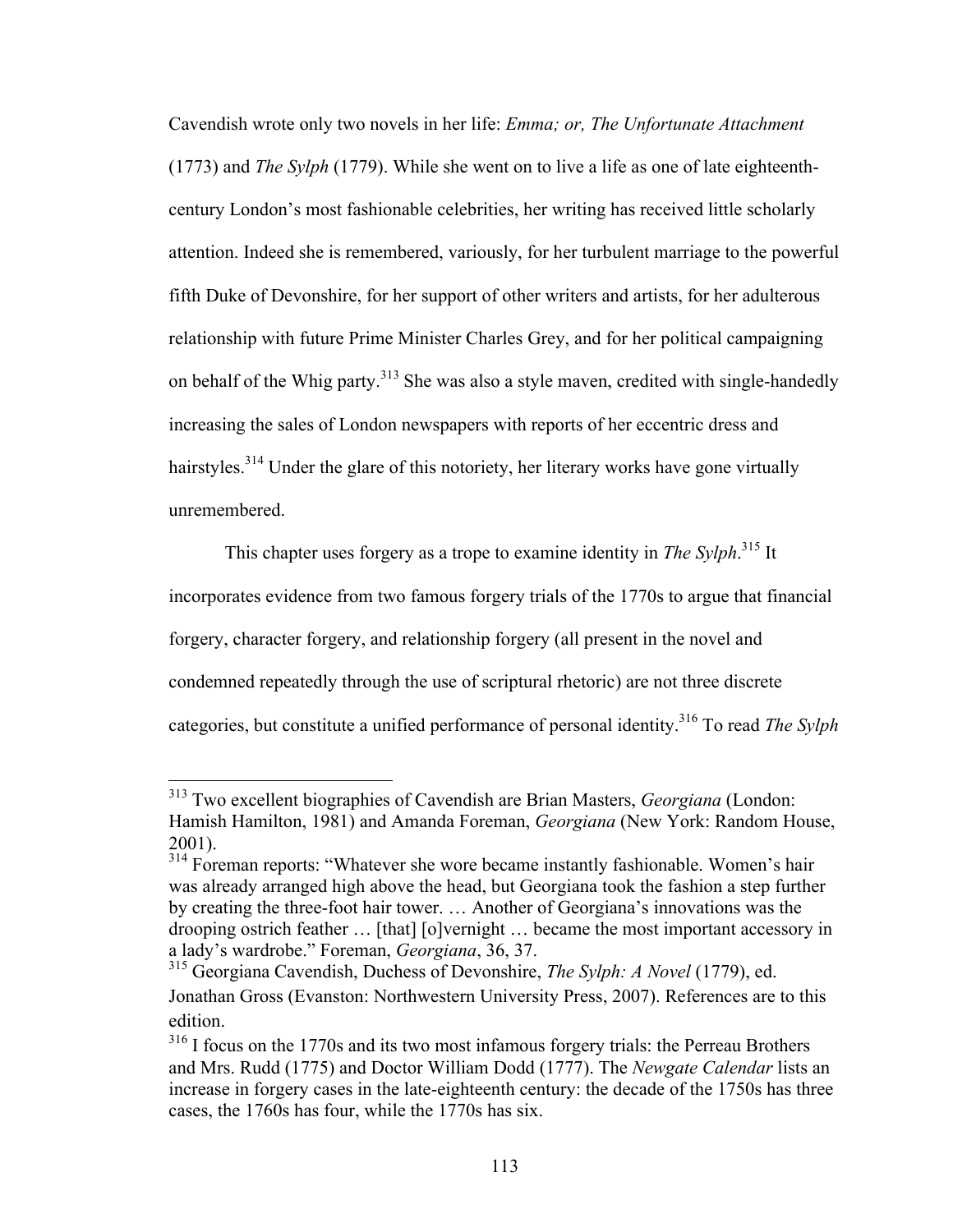Cavendish wrote only two novels in her life: *Emma; or, The Unfortunate Attachment* (1773) and *The Sylph* (1779). While she went on to live a life as one of late eighteenthcentury London's most fashionable celebrities, her writing has received little scholarly attention. Indeed she is remembered, variously, for her turbulent marriage to the powerful fifth Duke of Devonshire, for her support of other writers and artists, for her adulterous relationship with future Prime Minister Charles Grey, and for her political campaigning on behalf of the Whig party.<sup>313</sup> She was also a style maven, credited with single-handedly increasing the sales of London newspapers with reports of her eccentric dress and hairstyles.<sup>314</sup> Under the glare of this notoriety, her literary works have gone virtually unremembered.

This chapter uses forgery as a trope to examine identity in *The Sylph*. <sup>315</sup> It incorporates evidence from two famous forgery trials of the 1770s to argue that financial forgery, character forgery, and relationship forgery (all present in the novel and condemned repeatedly through the use of scriptural rhetoric) are not three discrete categories, but constitute a unified performance of personal identity.316 To read *The Sylph*

 <sup>313</sup> Two excellent biographies of Cavendish are Brian Masters, *Georgiana* (London: Hamish Hamilton, 1981) and Amanda Foreman, *Georgiana* (New York: Random House, 2001).

<sup>&</sup>lt;sup>314</sup> Foreman reports: "Whatever she wore became instantly fashionable. Women's hair was already arranged high above the head, but Georgiana took the fashion a step further by creating the three-foot hair tower. … Another of Georgiana's innovations was the drooping ostrich feather … [that] [o]vernight … became the most important accessory in a lady's wardrobe." Foreman, *Georgiana*, 36, 37.

<sup>315</sup> Georgiana Cavendish, Duchess of Devonshire, *The Sylph: A Novel* (1779), ed. Jonathan Gross (Evanston: Northwestern University Press, 2007). References are to this edition.

<sup>&</sup>lt;sup>316</sup> I focus on the 1770s and its two most infamous forgery trials: the Perreau Brothers and Mrs. Rudd (1775) and Doctor William Dodd (1777). The *Newgate Calendar* lists an increase in forgery cases in the late-eighteenth century: the decade of the 1750s has three cases, the 1760s has four, while the 1770s has six.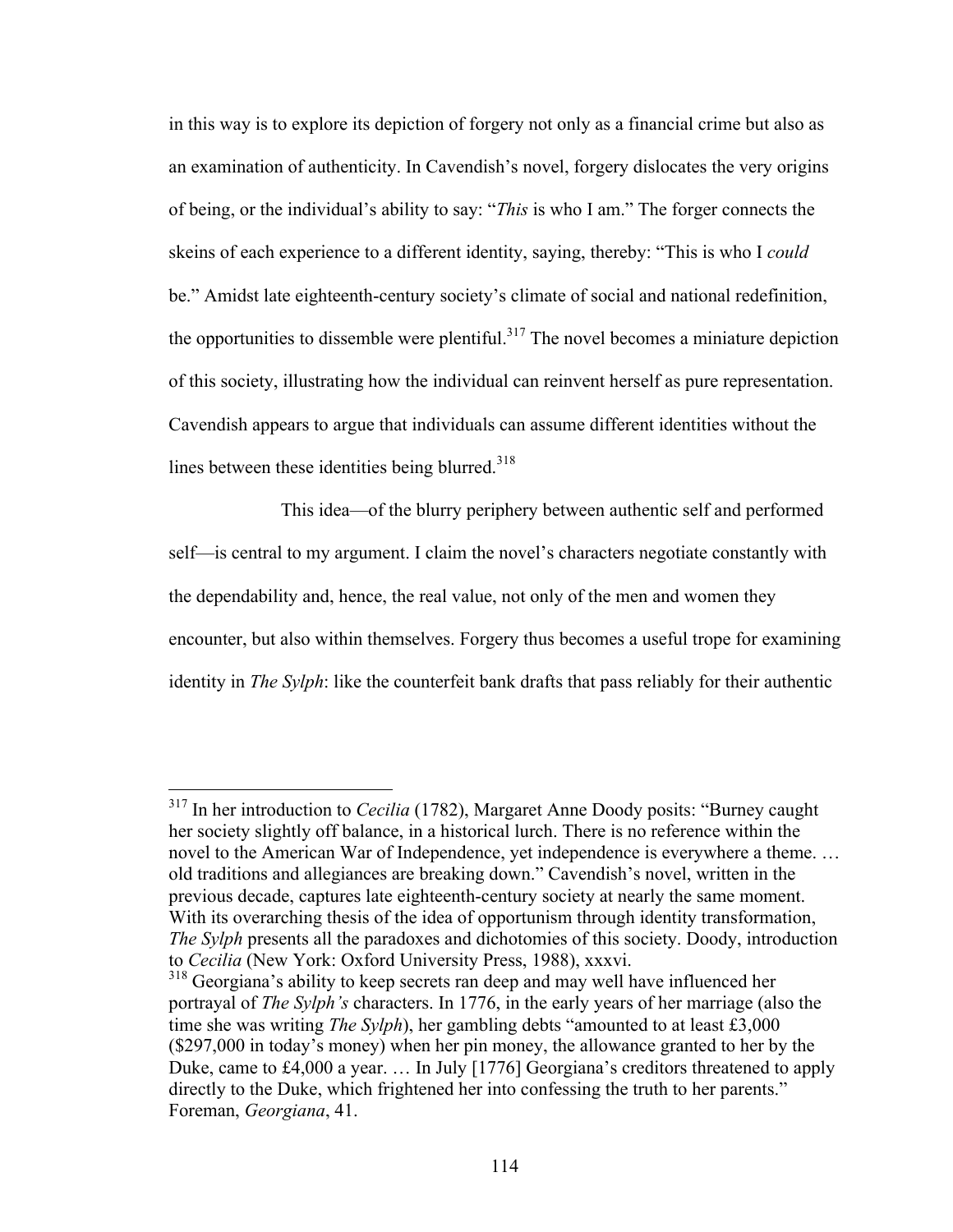in this way is to explore its depiction of forgery not only as a financial crime but also as an examination of authenticity. In Cavendish's novel, forgery dislocates the very origins of being, or the individual's ability to say: "*This* is who I am." The forger connects the skeins of each experience to a different identity, saying, thereby: "This is who I *could* be." Amidst late eighteenth-century society's climate of social and national redefinition, the opportunities to dissemble were plentiful.<sup>317</sup> The novel becomes a miniature depiction of this society, illustrating how the individual can reinvent herself as pure representation. Cavendish appears to argue that individuals can assume different identities without the lines between these identities being blurred. $318$ 

This idea—of the blurry periphery between authentic self and performed self—is central to my argument. I claim the novel's characters negotiate constantly with the dependability and, hence, the real value, not only of the men and women they encounter, but also within themselves. Forgery thus becomes a useful trope for examining identity in *The Sylph*: like the counterfeit bank drafts that pass reliably for their authentic

 <sup>317</sup> In her introduction to *Cecilia* (1782), Margaret Anne Doody posits: "Burney caught her society slightly off balance, in a historical lurch. There is no reference within the novel to the American War of Independence, yet independence is everywhere a theme. … old traditions and allegiances are breaking down." Cavendish's novel, written in the previous decade, captures late eighteenth-century society at nearly the same moment. With its overarching thesis of the idea of opportunism through identity transformation, *The Sylph* presents all the paradoxes and dichotomies of this society. Doody, introduction to *Cecilia* (New York: Oxford University Press, 1988), xxxvi.

<sup>&</sup>lt;sup>318</sup> Georgiana's ability to keep secrets ran deep and may well have influenced her portrayal of *The Sylph's* characters. In 1776, in the early years of her marriage (also the time she was writing *The Sylph*), her gambling debts "amounted to at least £3,000 (\$297,000 in today's money) when her pin money, the allowance granted to her by the Duke, came to £4,000 a year. … In July [1776] Georgiana's creditors threatened to apply directly to the Duke, which frightened her into confessing the truth to her parents." Foreman, *Georgiana*, 41.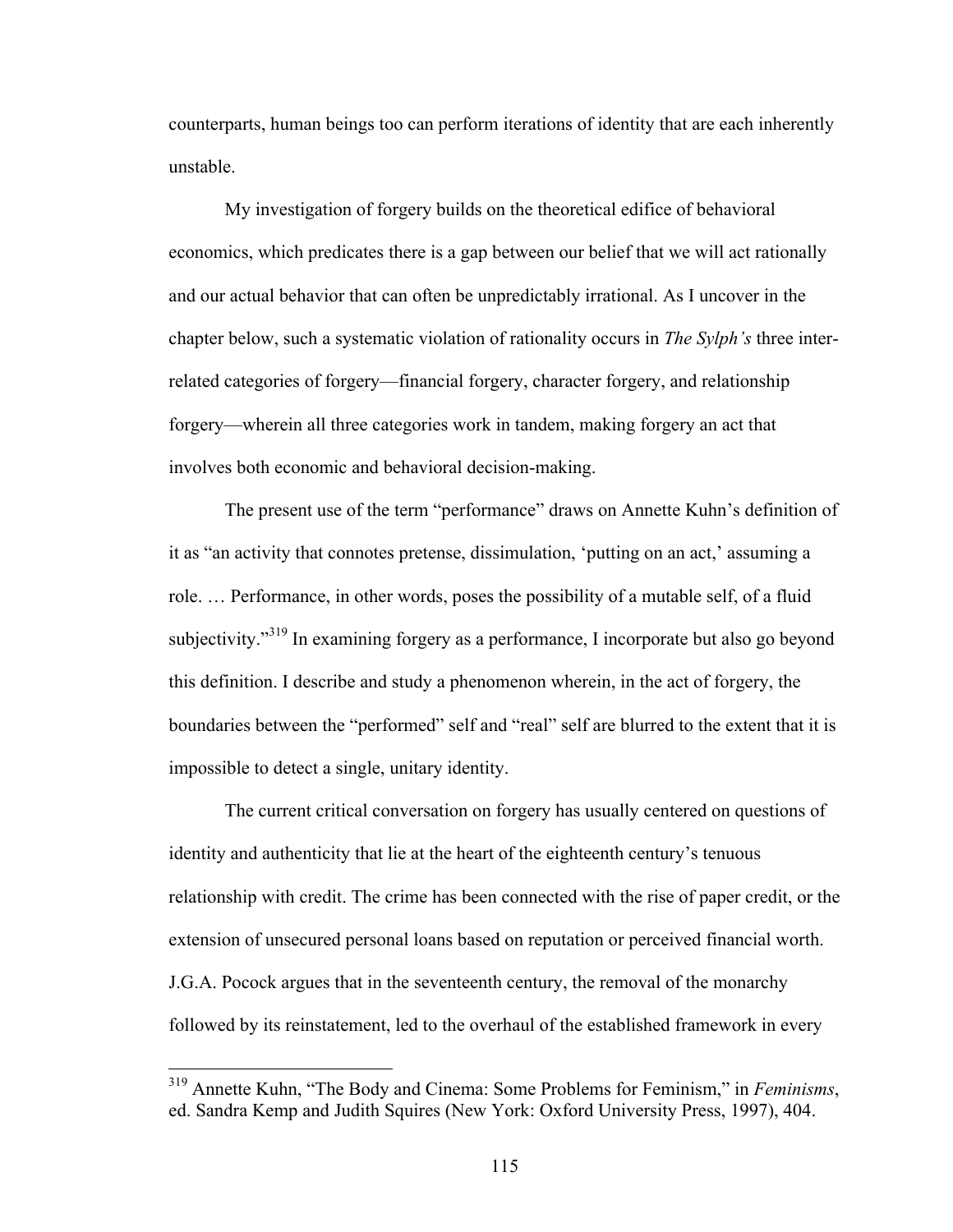counterparts, human beings too can perform iterations of identity that are each inherently unstable.

My investigation of forgery builds on the theoretical edifice of behavioral economics, which predicates there is a gap between our belief that we will act rationally and our actual behavior that can often be unpredictably irrational. As I uncover in the chapter below, such a systematic violation of rationality occurs in *The Sylph's* three interrelated categories of forgery—financial forgery, character forgery, and relationship forgery—wherein all three categories work in tandem, making forgery an act that involves both economic and behavioral decision-making.

The present use of the term "performance" draws on Annette Kuhn's definition of it as "an activity that connotes pretense, dissimulation, 'putting on an act,' assuming a role. … Performance, in other words, poses the possibility of a mutable self, of a fluid subjectivity."319 In examining forgery as a performance, I incorporate but also go beyond this definition. I describe and study a phenomenon wherein, in the act of forgery, the boundaries between the "performed" self and "real" self are blurred to the extent that it is impossible to detect a single, unitary identity.

The current critical conversation on forgery has usually centered on questions of identity and authenticity that lie at the heart of the eighteenth century's tenuous relationship with credit. The crime has been connected with the rise of paper credit, or the extension of unsecured personal loans based on reputation or perceived financial worth. J.G.A. Pocock argues that in the seventeenth century, the removal of the monarchy followed by its reinstatement, led to the overhaul of the established framework in every

 <sup>319</sup> Annette Kuhn, "The Body and Cinema: Some Problems for Feminism," in *Feminisms*, ed. Sandra Kemp and Judith Squires (New York: Oxford University Press, 1997), 404.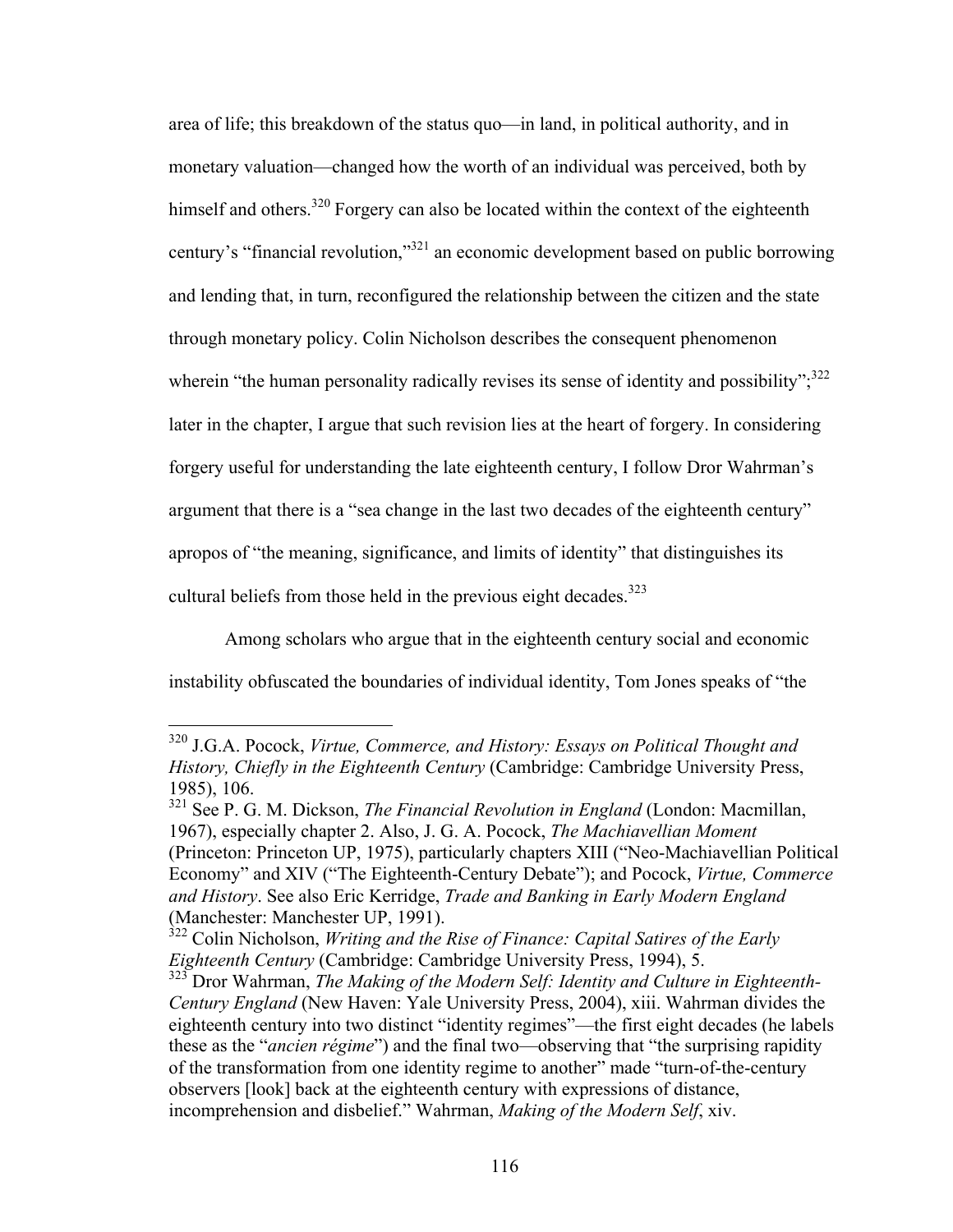area of life; this breakdown of the status quo—in land, in political authority, and in monetary valuation—changed how the worth of an individual was perceived, both by himself and others.<sup>320</sup> Forgery can also be located within the context of the eighteenth century's "financial revolution,"321 an economic development based on public borrowing and lending that, in turn, reconfigured the relationship between the citizen and the state through monetary policy. Colin Nicholson describes the consequent phenomenon wherein "the human personality radically revises its sense of identity and possibility"; $3^{22}$ later in the chapter, I argue that such revision lies at the heart of forgery. In considering forgery useful for understanding the late eighteenth century, I follow Dror Wahrman's argument that there is a "sea change in the last two decades of the eighteenth century" apropos of "the meaning, significance, and limits of identity" that distinguishes its cultural beliefs from those held in the previous eight decades.<sup>323</sup>

Among scholars who argue that in the eighteenth century social and economic instability obfuscated the boundaries of individual identity, Tom Jones speaks of "the

 <sup>320</sup> J.G.A. Pocock, *Virtue, Commerce, and History: Essays on Political Thought and History, Chiefly in the Eighteenth Century* (Cambridge: Cambridge University Press, 1985), 106.

<sup>321</sup> See P. G. M. Dickson, *The Financial Revolution in England* (London: Macmillan, 1967), especially chapter 2. Also, J. G. A. Pocock, *The Machiavellian Moment* (Princeton: Princeton UP, 1975), particularly chapters XIII ("Neo-Machiavellian Political Economy" and XIV ("The Eighteenth-Century Debate"); and Pocock, *Virtue, Commerce and History*. See also Eric Kerridge, *Trade and Banking in Early Modern England*  (Manchester: Manchester UP, 1991).

<sup>&</sup>lt;sup>322</sup> Colin Nicholson, *Writing and the Rise of Finance: Capital Satires of the Early Eighteenth Century* (Cambridge: Cambridge University Press, 1994), 5.

<sup>323</sup> Dror Wahrman, *The Making of the Modern Self: Identity and Culture in Eighteenth-Century England* (New Haven: Yale University Press, 2004), xiii. Wahrman divides the eighteenth century into two distinct "identity regimes"—the first eight decades (he labels these as the "*ancien régime*") and the final two—observing that "the surprising rapidity of the transformation from one identity regime to another" made "turn-of-the-century observers [look] back at the eighteenth century with expressions of distance, incomprehension and disbelief." Wahrman, *Making of the Modern Self*, xiv.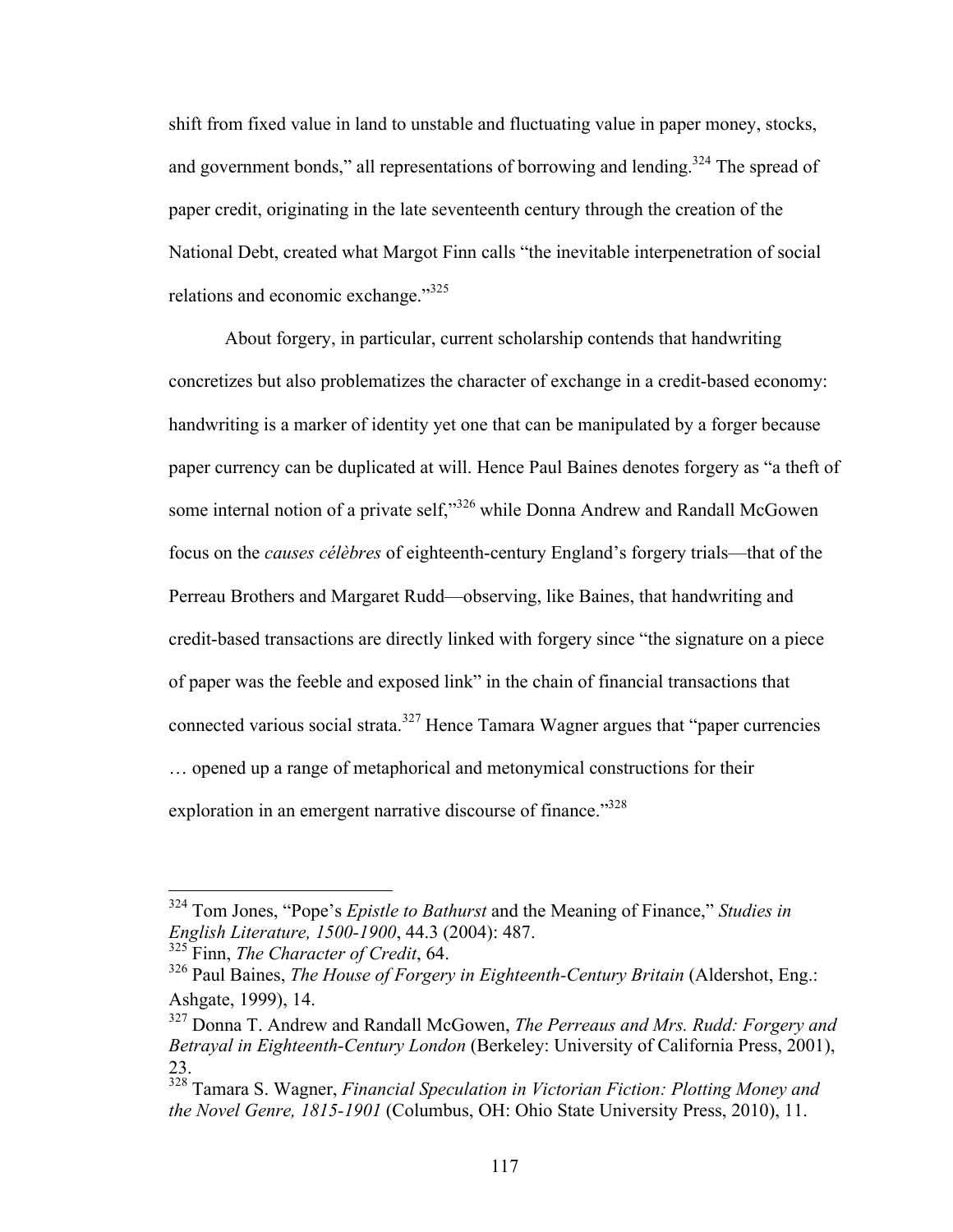shift from fixed value in land to unstable and fluctuating value in paper money, stocks, and government bonds," all representations of borrowing and lending.<sup>324</sup> The spread of paper credit, originating in the late seventeenth century through the creation of the National Debt, created what Margot Finn calls "the inevitable interpenetration of social relations and economic exchange."<sup>325</sup>

About forgery, in particular, current scholarship contends that handwriting concretizes but also problematizes the character of exchange in a credit-based economy: handwriting is a marker of identity yet one that can be manipulated by a forger because paper currency can be duplicated at will. Hence Paul Baines denotes forgery as "a theft of some internal notion of a private self,"<sup>326</sup> while Donna Andrew and Randall McGowen focus on the *causes célèbres* of eighteenth-century England's forgery trials—that of the Perreau Brothers and Margaret Rudd—observing, like Baines, that handwriting and credit-based transactions are directly linked with forgery since "the signature on a piece of paper was the feeble and exposed link" in the chain of financial transactions that connected various social strata.<sup>327</sup> Hence Tamara Wagner argues that "paper currencies" … opened up a range of metaphorical and metonymical constructions for their exploration in an emergent narrative discourse of finance."<sup>328</sup>

 <sup>324</sup> Tom Jones, "Pope's *Epistle to Bathurst* and the Meaning of Finance," *Studies in English Literature, 1500-1900*, 44.3 (2004): 487.

<sup>325</sup> Finn, *The Character of Credit*, 64.

<sup>326</sup> Paul Baines, *The House of Forgery in Eighteenth-Century Britain* (Aldershot, Eng.: Ashgate, 1999), 14.

<sup>327</sup> Donna T. Andrew and Randall McGowen, *The Perreaus and Mrs. Rudd: Forgery and Betrayal in Eighteenth-Century London* (Berkeley: University of California Press, 2001), 23.

<sup>328</sup> Tamara S. Wagner, *Financial Speculation in Victorian Fiction: Plotting Money and the Novel Genre, 1815-1901* (Columbus, OH: Ohio State University Press, 2010), 11.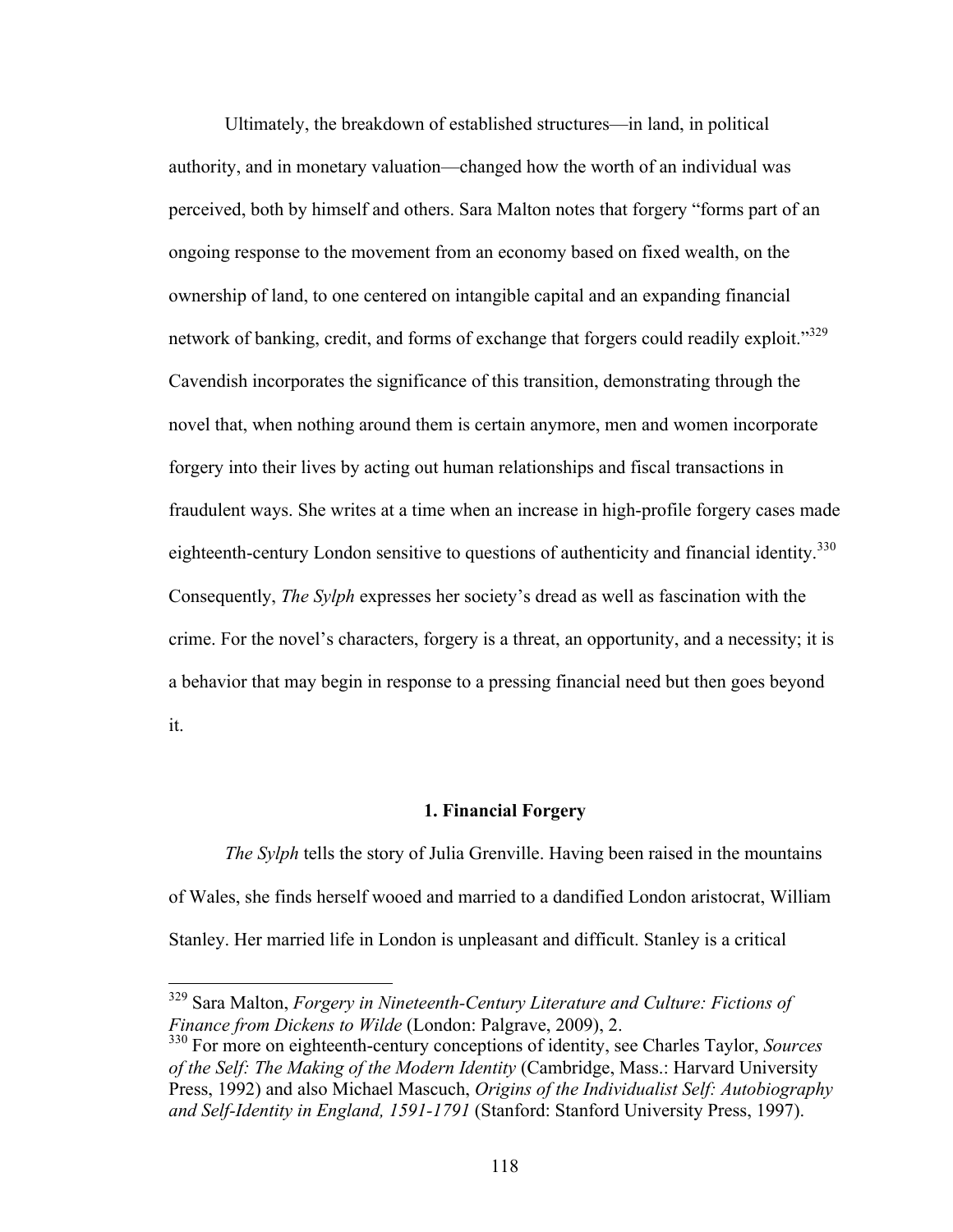Ultimately, the breakdown of established structures—in land, in political authority, and in monetary valuation—changed how the worth of an individual was perceived, both by himself and others. Sara Malton notes that forgery "forms part of an ongoing response to the movement from an economy based on fixed wealth, on the ownership of land, to one centered on intangible capital and an expanding financial network of banking, credit, and forms of exchange that forgers could readily exploit."<sup>329</sup> Cavendish incorporates the significance of this transition, demonstrating through the novel that, when nothing around them is certain anymore, men and women incorporate forgery into their lives by acting out human relationships and fiscal transactions in fraudulent ways. She writes at a time when an increase in high-profile forgery cases made eighteenth-century London sensitive to questions of authenticity and financial identity.<sup>330</sup> Consequently, *The Sylph* expresses her society's dread as well as fascination with the crime. For the novel's characters, forgery is a threat, an opportunity, and a necessity; it is a behavior that may begin in response to a pressing financial need but then goes beyond it.

### **1. Financial Forgery**

*The Sylph* tells the story of Julia Grenville. Having been raised in the mountains of Wales, she finds herself wooed and married to a dandified London aristocrat, William Stanley. Her married life in London is unpleasant and difficult. Stanley is a critical

 <sup>329</sup> Sara Malton, *Forgery in Nineteenth-Century Literature and Culture: Fictions of Finance from Dickens to Wilde* (London: Palgrave, 2009), 2.

<sup>330</sup> For more on eighteenth-century conceptions of identity, see Charles Taylor, *Sources of the Self: The Making of the Modern Identity* (Cambridge, Mass.: Harvard University Press, 1992) and also Michael Mascuch, *Origins of the Individualist Self: Autobiography and Self-Identity in England, 1591-1791* (Stanford: Stanford University Press, 1997).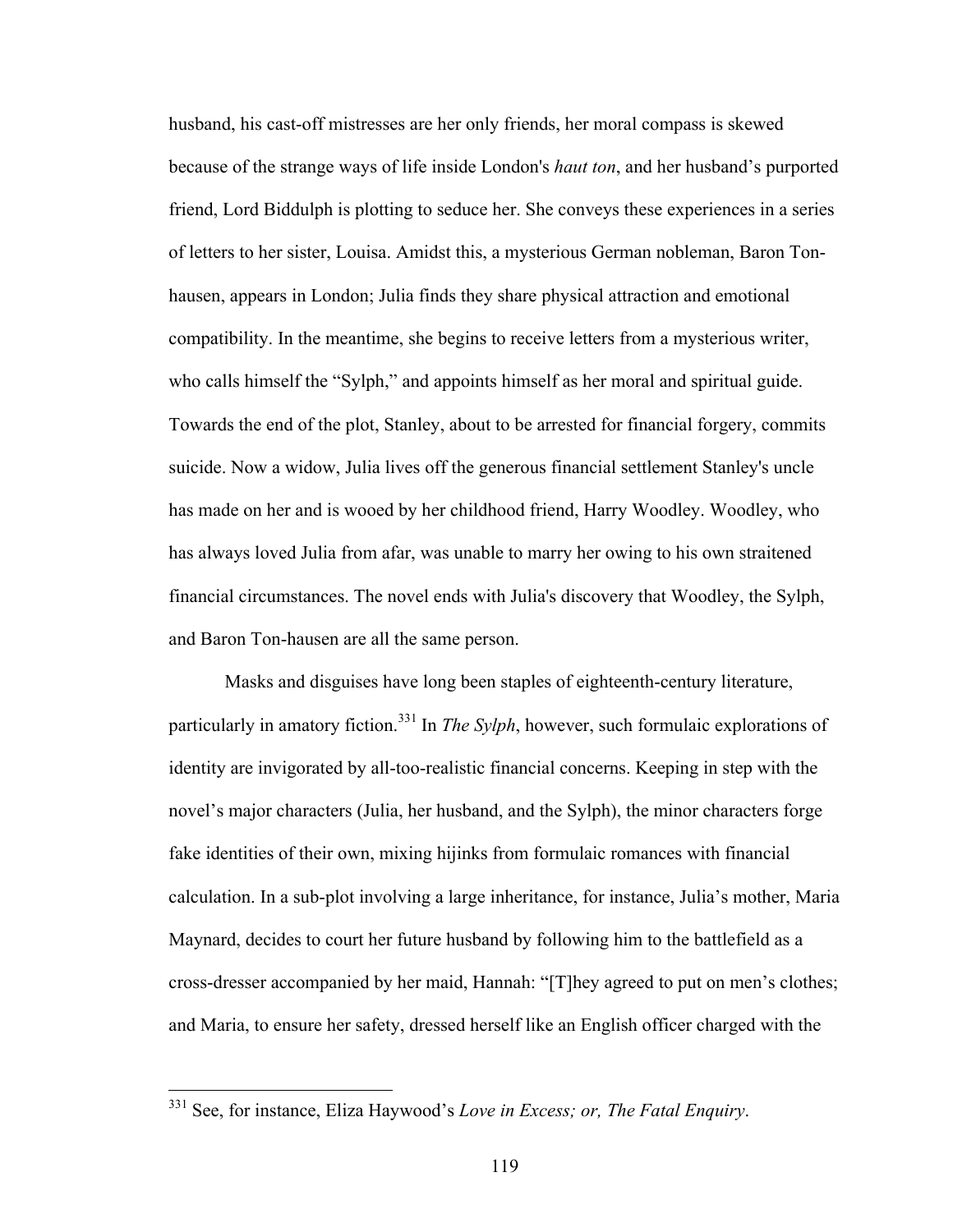husband, his cast-off mistresses are her only friends, her moral compass is skewed because of the strange ways of life inside London's *haut ton*, and her husband's purported friend, Lord Biddulph is plotting to seduce her. She conveys these experiences in a series of letters to her sister, Louisa. Amidst this, a mysterious German nobleman, Baron Tonhausen, appears in London; Julia finds they share physical attraction and emotional compatibility. In the meantime, she begins to receive letters from a mysterious writer, who calls himself the "Sylph," and appoints himself as her moral and spiritual guide. Towards the end of the plot, Stanley, about to be arrested for financial forgery, commits suicide. Now a widow, Julia lives off the generous financial settlement Stanley's uncle has made on her and is wooed by her childhood friend, Harry Woodley. Woodley, who has always loved Julia from afar, was unable to marry her owing to his own straitened financial circumstances. The novel ends with Julia's discovery that Woodley, the Sylph, and Baron Ton-hausen are all the same person.

Masks and disguises have long been staples of eighteenth-century literature, particularly in amatory fiction.<sup>331</sup> In *The Sylph*, however, such formulaic explorations of identity are invigorated by all-too-realistic financial concerns. Keeping in step with the novel's major characters (Julia, her husband, and the Sylph), the minor characters forge fake identities of their own, mixing hijinks from formulaic romances with financial calculation. In a sub-plot involving a large inheritance, for instance, Julia's mother, Maria Maynard, decides to court her future husband by following him to the battlefield as a cross-dresser accompanied by her maid, Hannah: "[T]hey agreed to put on men's clothes; and Maria, to ensure her safety, dressed herself like an English officer charged with the

 <sup>331</sup> See, for instance, Eliza Haywood's *Love in Excess; or, The Fatal Enquiry*.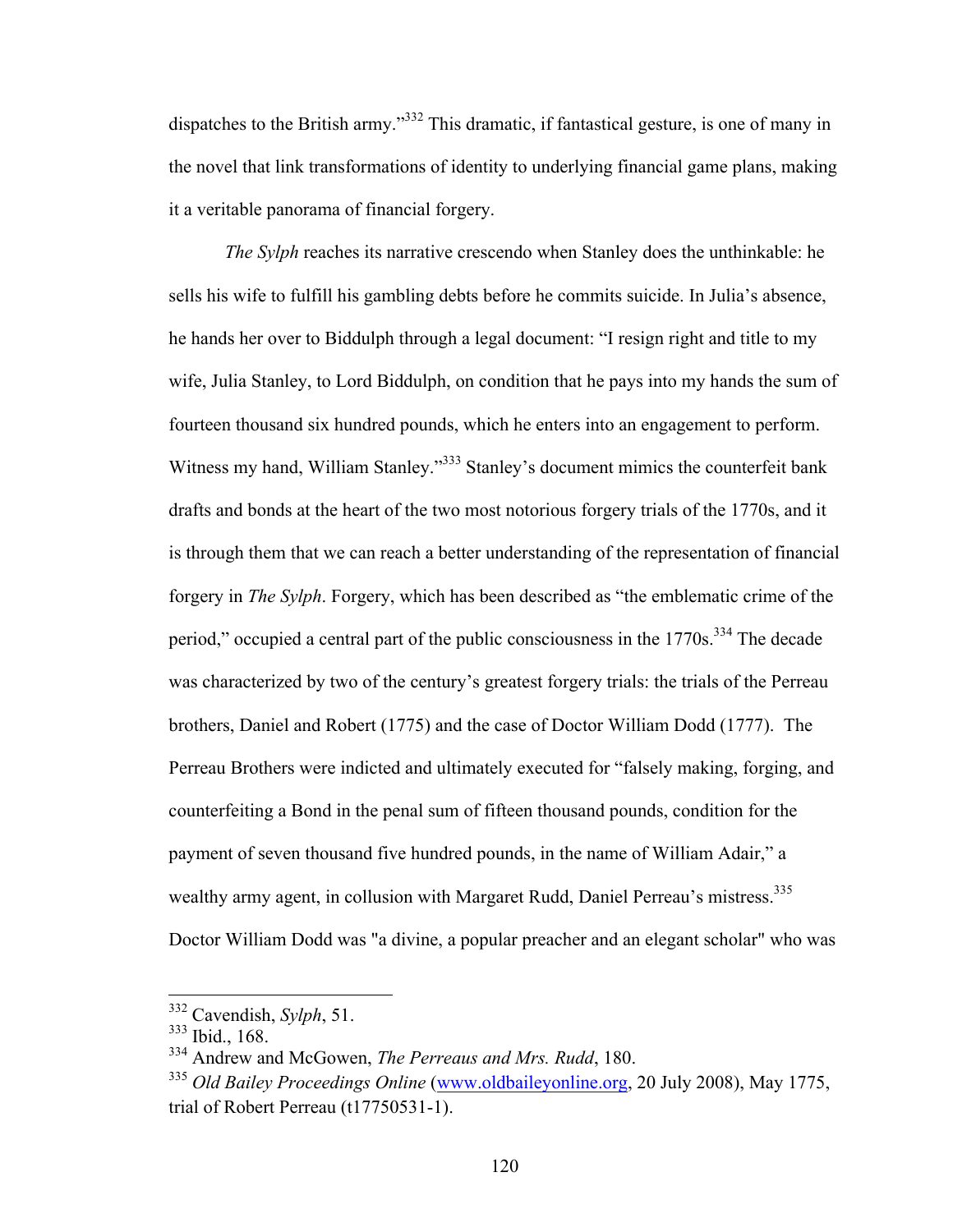dispatches to the British army."<sup>332</sup> This dramatic, if fantastical gesture, is one of many in the novel that link transformations of identity to underlying financial game plans, making it a veritable panorama of financial forgery.

*The Sylph* reaches its narrative crescendo when Stanley does the unthinkable: he sells his wife to fulfill his gambling debts before he commits suicide. In Julia's absence, he hands her over to Biddulph through a legal document: "I resign right and title to my wife, Julia Stanley, to Lord Biddulph, on condition that he pays into my hands the sum of fourteen thousand six hundred pounds, which he enters into an engagement to perform. Witness my hand, William Stanley."<sup>333</sup> Stanley's document mimics the counterfeit bank drafts and bonds at the heart of the two most notorious forgery trials of the 1770s, and it is through them that we can reach a better understanding of the representation of financial forgery in *The Sylph*. Forgery, which has been described as "the emblematic crime of the period," occupied a central part of the public consciousness in the 1770s.<sup>334</sup> The decade was characterized by two of the century's greatest forgery trials: the trials of the Perreau brothers, Daniel and Robert (1775) and the case of Doctor William Dodd (1777). The Perreau Brothers were indicted and ultimately executed for "falsely making, forging, and counterfeiting a Bond in the penal sum of fifteen thousand pounds, condition for the payment of seven thousand five hundred pounds, in the name of William Adair," a wealthy army agent, in collusion with Margaret Rudd, Daniel Perreau's mistress.<sup>335</sup> Doctor William Dodd was "a divine, a popular preacher and an elegant scholar" who was

 <sup>332</sup> Cavendish, *Sylph*, 51.

<sup>333</sup> Ibid., 168.

<sup>334</sup> Andrew and McGowen, *The Perreaus and Mrs. Rudd*, 180.

<sup>335</sup> *Old Bailey Proceedings Online* (www.oldbaileyonline.org, 20 July 2008), May 1775, trial of Robert Perreau (t17750531-1).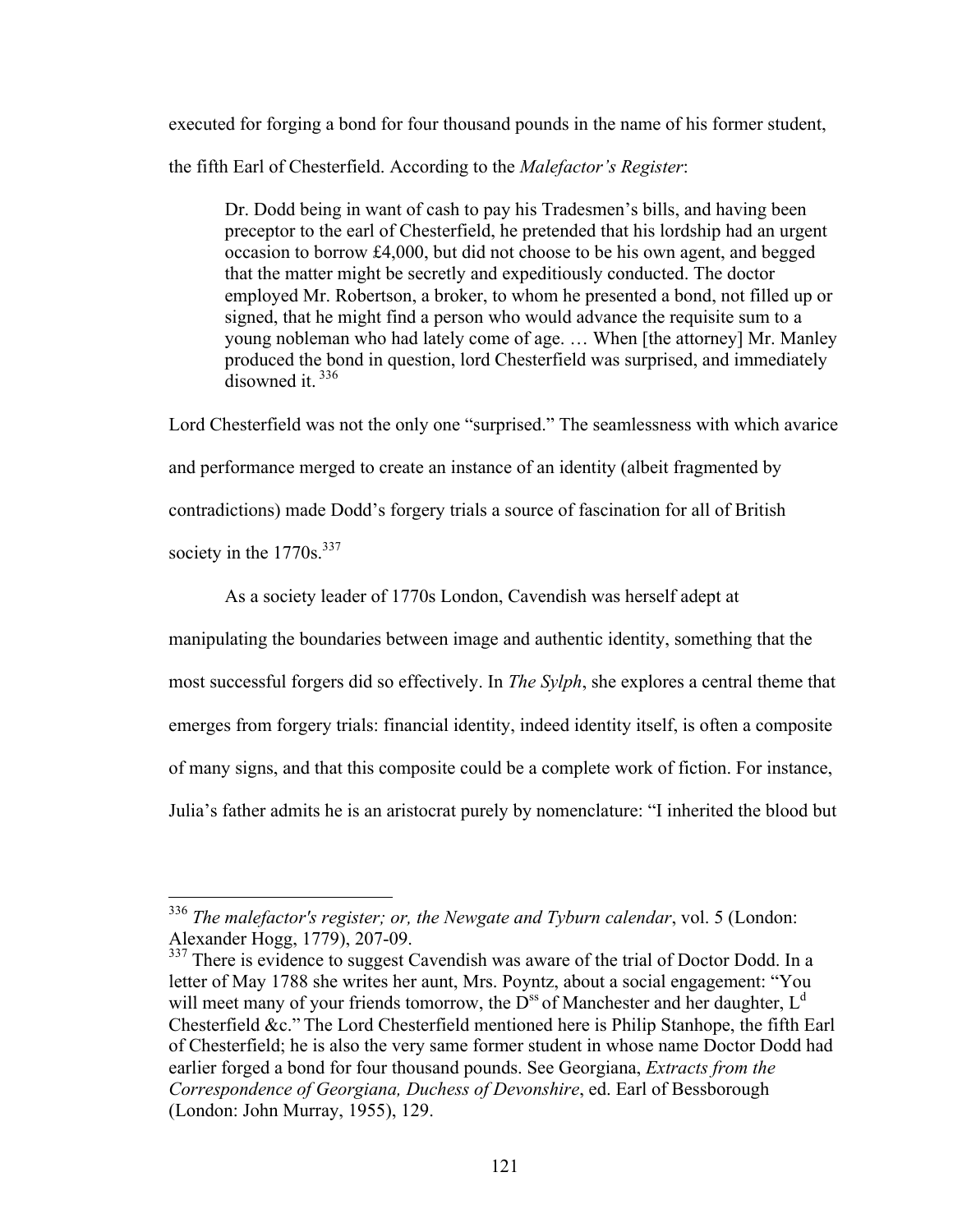executed for forging a bond for four thousand pounds in the name of his former student,

the fifth Earl of Chesterfield. According to the *Malefactor's Register*:

Dr. Dodd being in want of cash to pay his Tradesmen's bills, and having been preceptor to the earl of Chesterfield, he pretended that his lordship had an urgent occasion to borrow £4,000, but did not choose to be his own agent, and begged that the matter might be secretly and expeditiously conducted. The doctor employed Mr. Robertson, a broker, to whom he presented a bond, not filled up or signed, that he might find a person who would advance the requisite sum to a young nobleman who had lately come of age. … When [the attorney] Mr. Manley produced the bond in question, lord Chesterfield was surprised, and immediately  $\frac{1}{10}$  disowned it.  $\frac{336}{10}$ 

Lord Chesterfield was not the only one "surprised." The seamlessness with which avarice and performance merged to create an instance of an identity (albeit fragmented by contradictions) made Dodd's forgery trials a source of fascination for all of British society in the  $1770s^{337}$ 

As a society leader of 1770s London, Cavendish was herself adept at

manipulating the boundaries between image and authentic identity, something that the

most successful forgers did so effectively. In *The Sylph*, she explores a central theme that

emerges from forgery trials: financial identity, indeed identity itself, is often a composite

of many signs, and that this composite could be a complete work of fiction. For instance,

Julia's father admits he is an aristocrat purely by nomenclature: "I inherited the blood but

 <sup>336</sup> *The malefactor's register; or, the Newgate and Tyburn calendar*, vol. 5 (London: Alexander Hogg, 1779), 207-09.

<sup>&</sup>lt;sup>337</sup> There is evidence to suggest Cavendish was aware of the trial of Doctor Dodd. In a letter of May 1788 she writes her aunt, Mrs. Poyntz, about a social engagement: "You will meet many of your friends tomorrow, the  $D^{ss}$  of Manchester and her daughter,  $L^d$ Chesterfield &c." The Lord Chesterfield mentioned here is Philip Stanhope, the fifth Earl of Chesterfield; he is also the very same former student in whose name Doctor Dodd had earlier forged a bond for four thousand pounds. See Georgiana, *Extracts from the Correspondence of Georgiana, Duchess of Devonshire*, ed. Earl of Bessborough (London: John Murray, 1955), 129.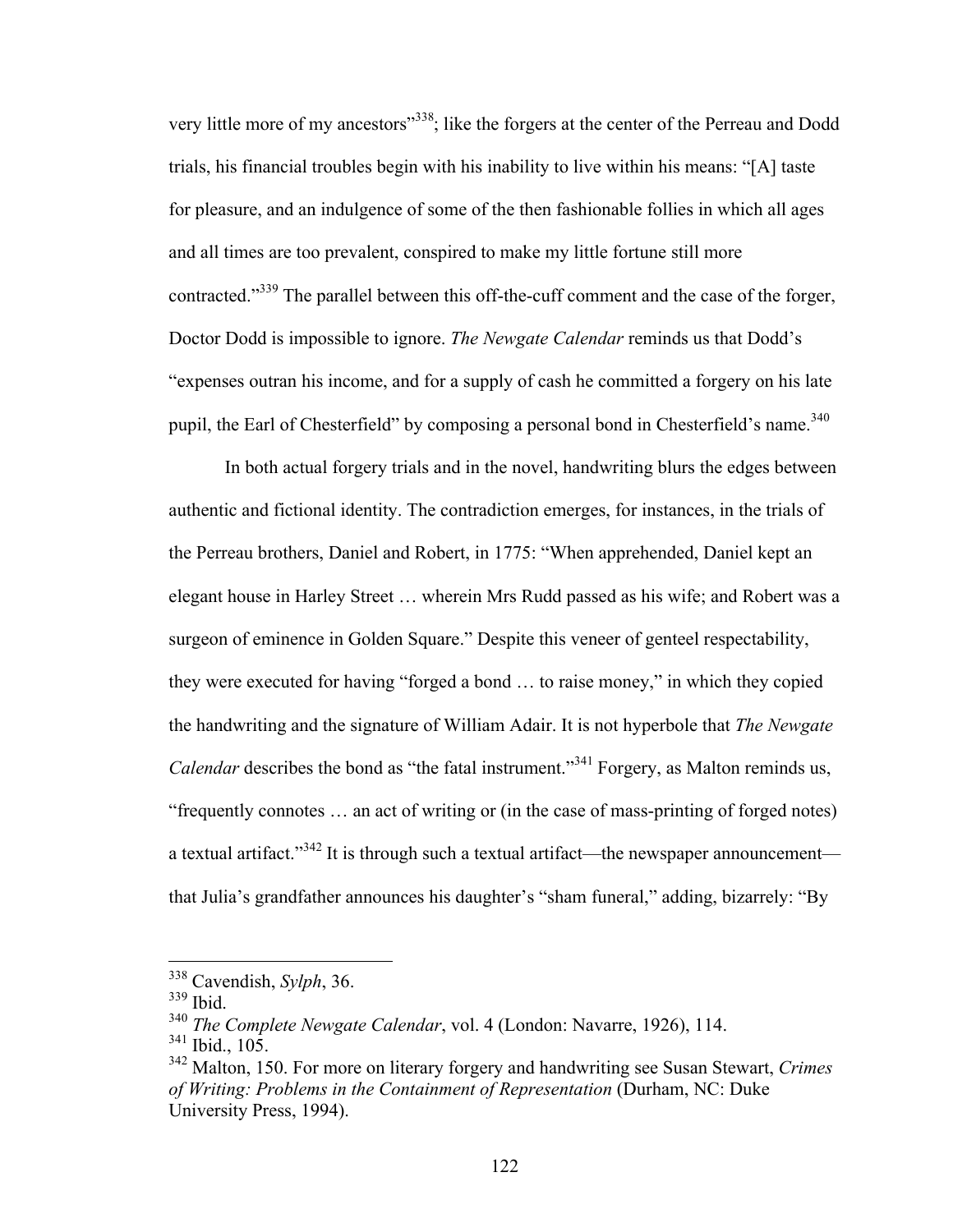very little more of my ancestors"338; like the forgers at the center of the Perreau and Dodd trials, his financial troubles begin with his inability to live within his means: "[A] taste for pleasure, and an indulgence of some of the then fashionable follies in which all ages and all times are too prevalent, conspired to make my little fortune still more contracted."<sup>339</sup> The parallel between this off-the-cuff comment and the case of the forger, Doctor Dodd is impossible to ignore. *The Newgate Calendar* reminds us that Dodd's "expenses outran his income, and for a supply of cash he committed a forgery on his late pupil, the Earl of Chesterfield" by composing a personal bond in Chesterfield's name.<sup>340</sup>

In both actual forgery trials and in the novel, handwriting blurs the edges between authentic and fictional identity. The contradiction emerges, for instances, in the trials of the Perreau brothers, Daniel and Robert, in 1775: "When apprehended, Daniel kept an elegant house in Harley Street … wherein Mrs Rudd passed as his wife; and Robert was a surgeon of eminence in Golden Square." Despite this veneer of genteel respectability, they were executed for having "forged a bond … to raise money," in which they copied the handwriting and the signature of William Adair. It is not hyperbole that *The Newgate Calendar* describes the bond as "the fatal instrument."<sup>341</sup> Forgery, as Malton reminds us, "frequently connotes … an act of writing or (in the case of mass-printing of forged notes) a textual artifact."<sup>342</sup> It is through such a textual artifact—the newspaper announcement that Julia's grandfather announces his daughter's "sham funeral," adding, bizarrely: "By

 <sup>338</sup> Cavendish, *Sylph*, 36.

<sup>339</sup> Ibid.

<sup>340</sup> *The Complete Newgate Calendar*, vol. 4 (London: Navarre, 1926), 114.

<sup>341</sup> Ibid., 105.

<sup>342</sup> Malton, 150. For more on literary forgery and handwriting see Susan Stewart, *Crimes of Writing: Problems in the Containment of Representation* (Durham, NC: Duke University Press, 1994).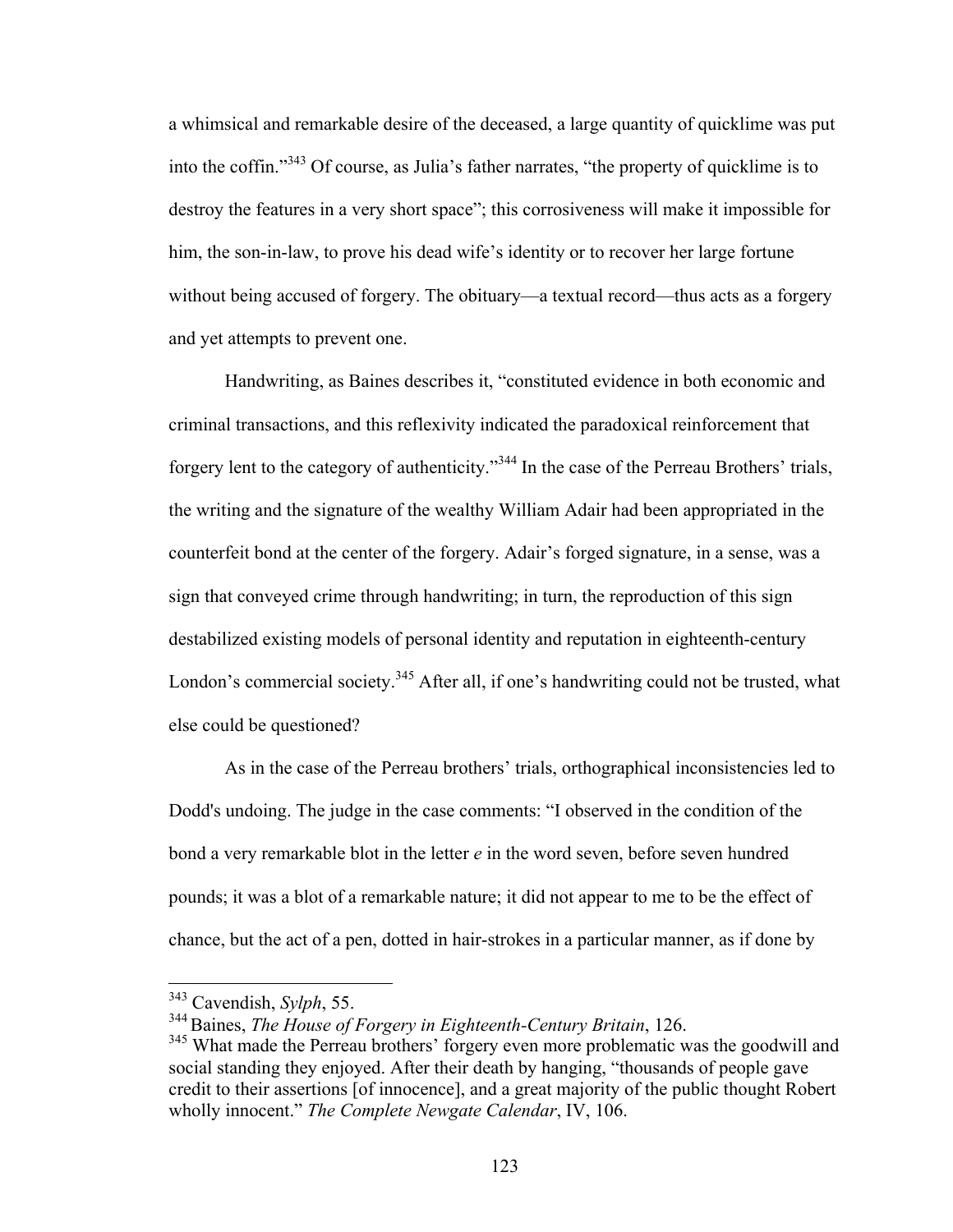a whimsical and remarkable desire of the deceased, a large quantity of quicklime was put into the coffin." <sup>343</sup> Of course, as Julia's father narrates, "the property of quicklime is to destroy the features in a very short space"; this corrosiveness will make it impossible for him, the son-in-law, to prove his dead wife's identity or to recover her large fortune without being accused of forgery. The obituary—a textual record—thus acts as a forgery and yet attempts to prevent one.

Handwriting, as Baines describes it, "constituted evidence in both economic and criminal transactions, and this reflexivity indicated the paradoxical reinforcement that forgery lent to the category of authenticity."<sup>344</sup> In the case of the Perreau Brothers' trials, the writing and the signature of the wealthy William Adair had been appropriated in the counterfeit bond at the center of the forgery. Adair's forged signature, in a sense, was a sign that conveyed crime through handwriting; in turn, the reproduction of this sign destabilized existing models of personal identity and reputation in eighteenth-century London's commercial society.<sup>345</sup> After all, if one's handwriting could not be trusted, what else could be questioned?

As in the case of the Perreau brothers' trials, orthographical inconsistencies led to Dodd's undoing. The judge in the case comments: "I observed in the condition of the bond a very remarkable blot in the letter *e* in the word seven, before seven hundred pounds; it was a blot of a remarkable nature; it did not appear to me to be the effect of chance, but the act of a pen, dotted in hair-strokes in a particular manner, as if done by

 <sup>343</sup> Cavendish, *Sylph*, 55.

<sup>344</sup>Baines, *The House of Forgery in Eighteenth-Century Britain*, 126.

<sup>&</sup>lt;sup>345</sup> What made the Perreau brothers' forgery even more problematic was the goodwill and social standing they enjoyed. After their death by hanging, "thousands of people gave credit to their assertions [of innocence], and a great majority of the public thought Robert wholly innocent." *The Complete Newgate Calendar*, IV, 106.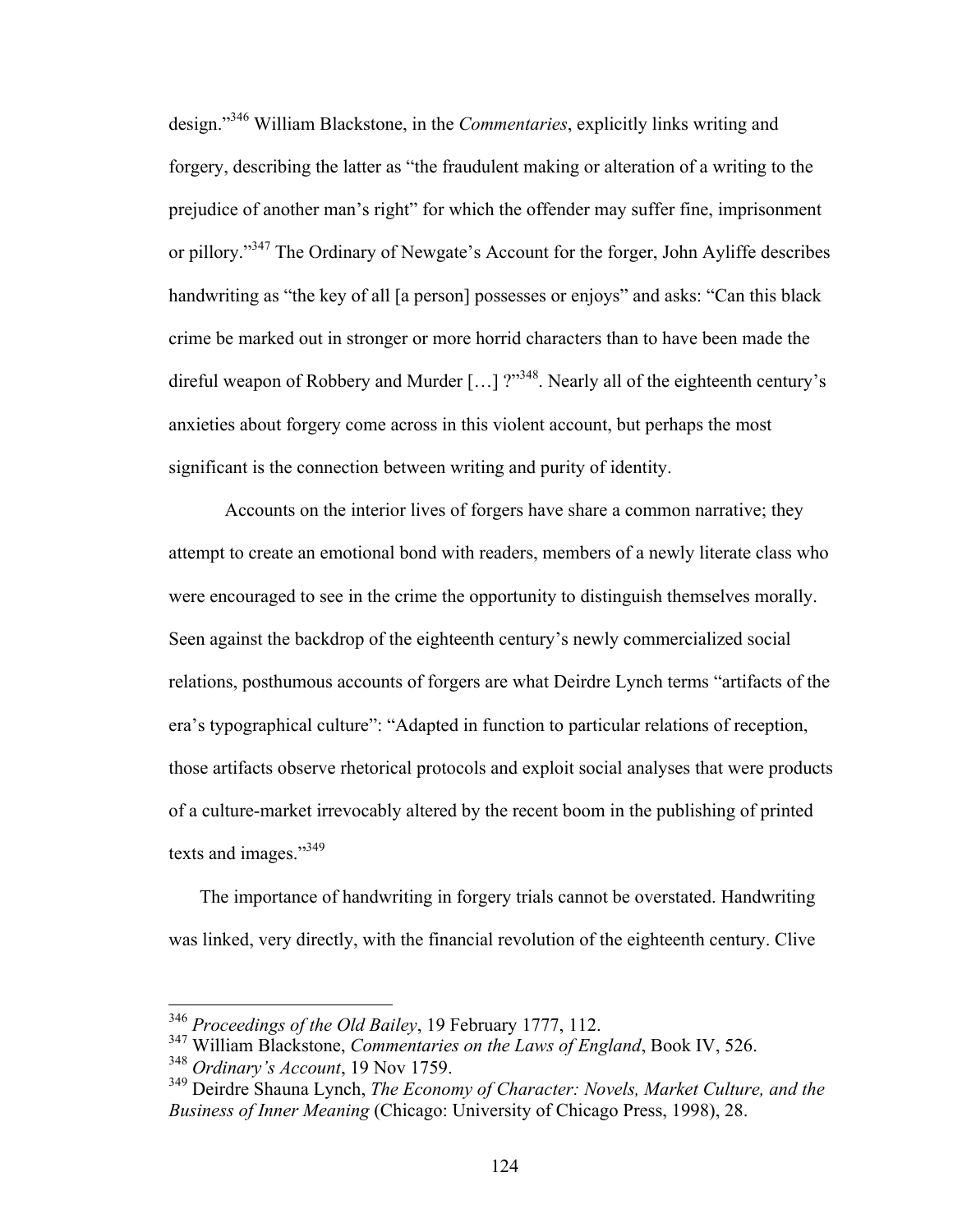design." <sup>346</sup> William Blackstone, in the *Commentaries*, explicitly links writing and forgery, describing the latter as "the fraudulent making or alteration of a writing to the prejudice of another man's right" for which the offender may suffer fine, imprisonment or pillory."347 The Ordinary of Newgate's Account for the forger, John Ayliffe describes handwriting as "the key of all [a person] possesses or enjoys" and asks: "Can this black crime be marked out in stronger or more horrid characters than to have been made the direful weapon of Robbery and Murder  $[...]$  ?"<sup>348</sup>. Nearly all of the eighteenth century's anxieties about forgery come across in this violent account, but perhaps the most significant is the connection between writing and purity of identity.

Accounts on the interior lives of forgers have share a common narrative; they attempt to create an emotional bond with readers, members of a newly literate class who were encouraged to see in the crime the opportunity to distinguish themselves morally. Seen against the backdrop of the eighteenth century's newly commercialized social relations, posthumous accounts of forgers are what Deirdre Lynch terms "artifacts of the era's typographical culture": "Adapted in function to particular relations of reception, those artifacts observe rhetorical protocols and exploit social analyses that were products of a culture-market irrevocably altered by the recent boom in the publishing of printed texts and images."<sup>349</sup>

The importance of handwriting in forgery trials cannot be overstated. Handwriting was linked, very directly, with the financial revolution of the eighteenth century. Clive

 <sup>346</sup> *Proceedings of the Old Bailey*, 19 February 1777, 112.

<sup>347</sup> William Blackstone, *Commentaries on the Laws of England*, Book IV, 526.

<sup>348</sup> *Ordinary's Account*, 19 Nov 1759.

<sup>349</sup> Deirdre Shauna Lynch, *The Economy of Character: Novels, Market Culture, and the Business of Inner Meaning* (Chicago: University of Chicago Press, 1998), 28.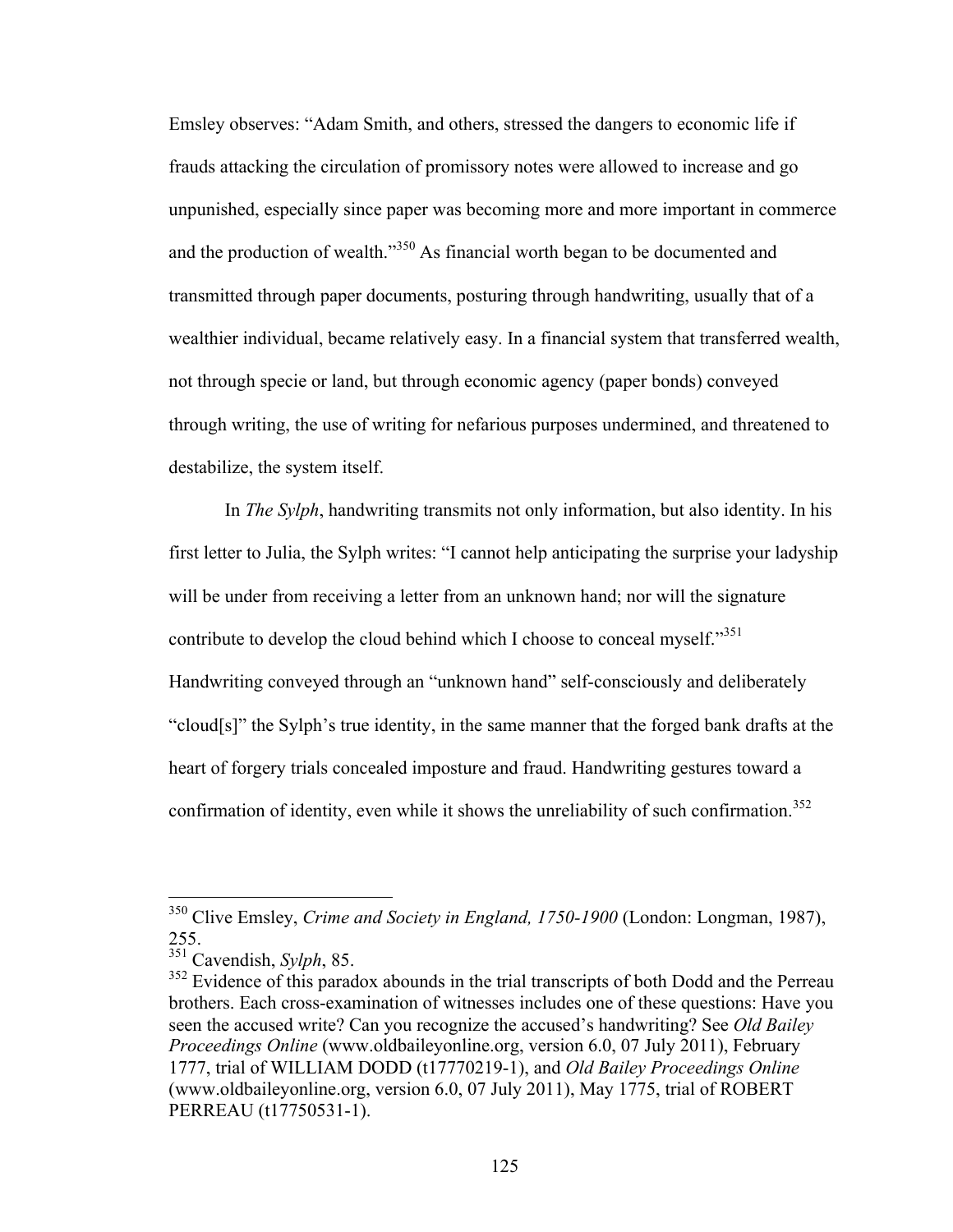Emsley observes: "Adam Smith, and others, stressed the dangers to economic life if frauds attacking the circulation of promissory notes were allowed to increase and go unpunished, especially since paper was becoming more and more important in commerce and the production of wealth."<sup>350</sup> As financial worth began to be documented and transmitted through paper documents, posturing through handwriting, usually that of a wealthier individual, became relatively easy. In a financial system that transferred wealth, not through specie or land, but through economic agency (paper bonds) conveyed through writing, the use of writing for nefarious purposes undermined, and threatened to destabilize, the system itself.

In *The Sylph*, handwriting transmits not only information, but also identity. In his first letter to Julia, the Sylph writes: "I cannot help anticipating the surprise your ladyship will be under from receiving a letter from an unknown hand; nor will the signature contribute to develop the cloud behind which I choose to conceal myself."<sup>351</sup> Handwriting conveyed through an "unknown hand" self-consciously and deliberately "cloud[s]" the Sylph's true identity, in the same manner that the forged bank drafts at the heart of forgery trials concealed imposture and fraud. Handwriting gestures toward a confirmation of identity, even while it shows the unreliability of such confirmation.<sup>352</sup>

 <sup>350</sup> Clive Emsley, *Crime and Society in England, 1750-1900* (London: Longman, 1987), 255.

<sup>351</sup> Cavendish, *Sylph*, 85.

<sup>&</sup>lt;sup>352</sup> Evidence of this paradox abounds in the trial transcripts of both Dodd and the Perreau brothers. Each cross-examination of witnesses includes one of these questions: Have you seen the accused write? Can you recognize the accused's handwriting? See *Old Bailey Proceedings Online* (www.oldbaileyonline.org, version 6.0, 07 July 2011), February 1777, trial of WILLIAM DODD (t17770219-1), and *Old Bailey Proceedings Online* (www.oldbaileyonline.org, version 6.0, 07 July 2011), May 1775, trial of ROBERT PERREAU (t17750531-1).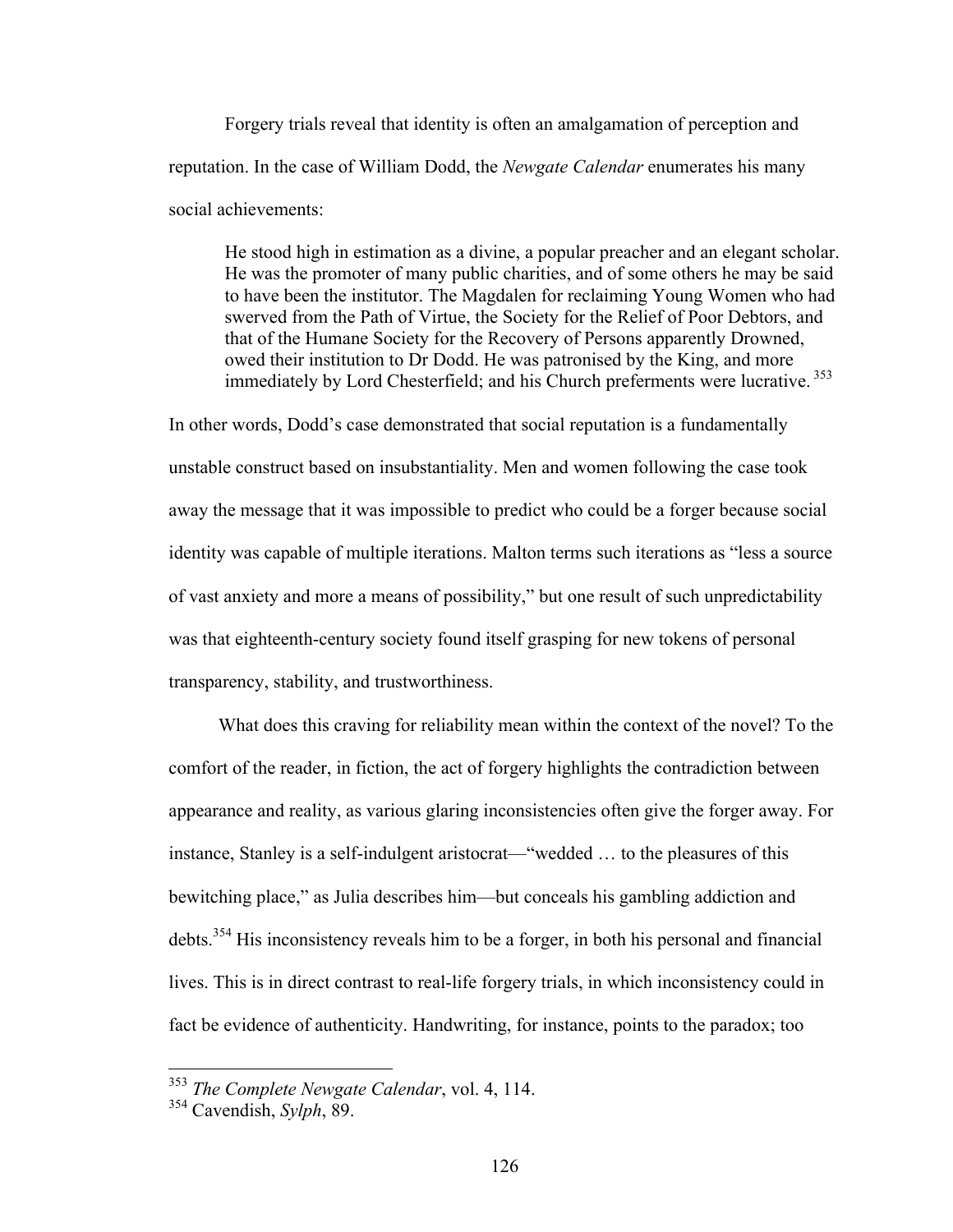Forgery trials reveal that identity is often an amalgamation of perception and reputation. In the case of William Dodd, the *Newgate Calendar* enumerates his many social achievements:

He stood high in estimation as a divine, a popular preacher and an elegant scholar. He was the promoter of many public charities, and of some others he may be said to have been the institutor. The Magdalen for reclaiming Young Women who had swerved from the Path of Virtue, the Society for the Relief of Poor Debtors, and that of the Humane Society for the Recovery of Persons apparently Drowned, owed their institution to Dr Dodd. He was patronised by the King, and more immediately by Lord Chesterfield; and his Church preferments were lucrative. <sup>353</sup>

In other words, Dodd's case demonstrated that social reputation is a fundamentally unstable construct based on insubstantiality. Men and women following the case took away the message that it was impossible to predict who could be a forger because social identity was capable of multiple iterations. Malton terms such iterations as "less a source of vast anxiety and more a means of possibility," but one result of such unpredictability was that eighteenth-century society found itself grasping for new tokens of personal transparency, stability, and trustworthiness.

What does this craving for reliability mean within the context of the novel? To the comfort of the reader, in fiction, the act of forgery highlights the contradiction between appearance and reality, as various glaring inconsistencies often give the forger away. For instance, Stanley is a self-indulgent aristocrat—"wedded … to the pleasures of this bewitching place," as Julia describes him—but conceals his gambling addiction and debts.354 His inconsistency reveals him to be a forger, in both his personal and financial lives. This is in direct contrast to real-life forgery trials, in which inconsistency could in fact be evidence of authenticity. Handwriting, for instance, points to the paradox; too

 <sup>353</sup> *The Complete Newgate Calendar*, vol. 4, 114.

<sup>354</sup> Cavendish, *Sylph*, 89.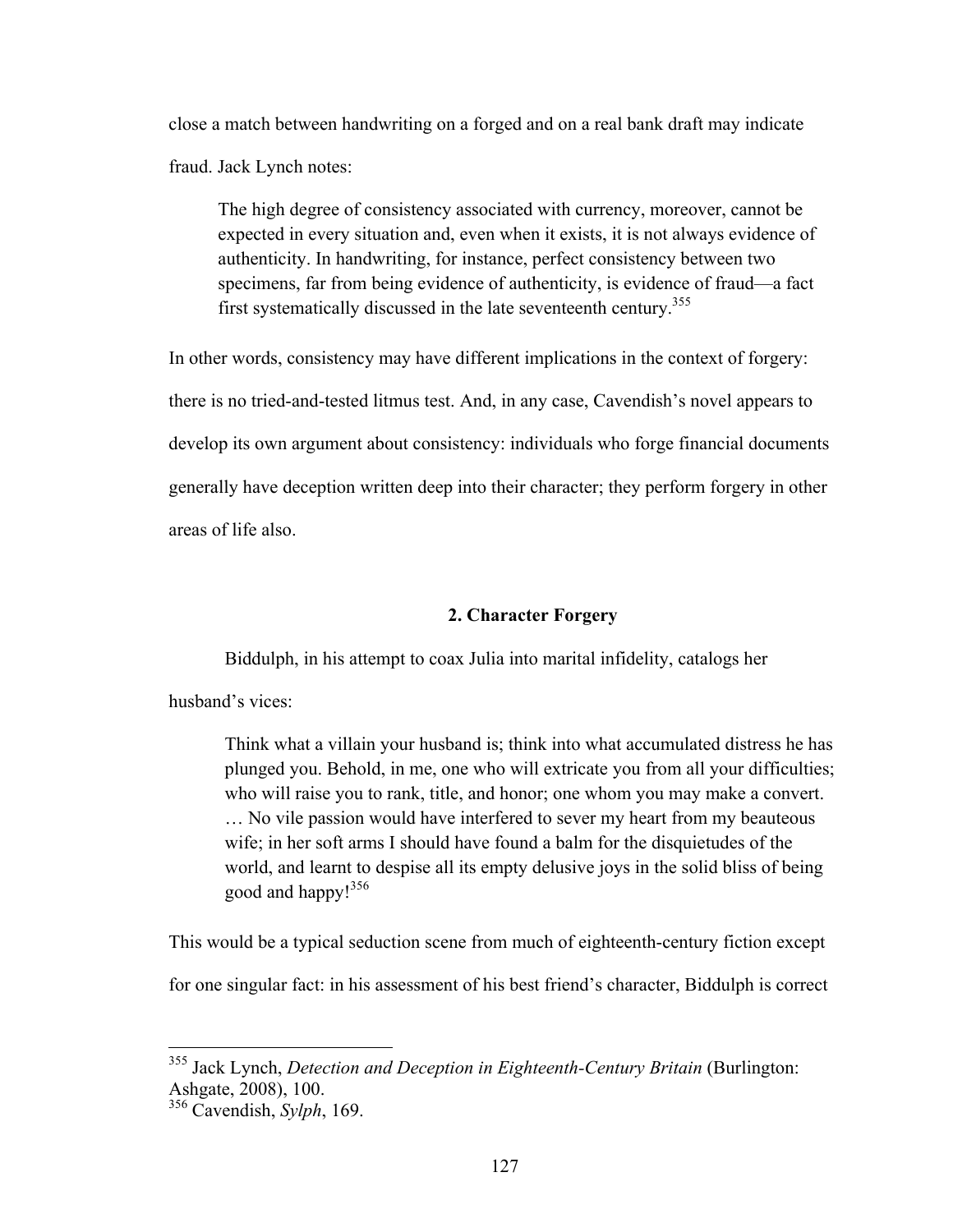close a match between handwriting on a forged and on a real bank draft may indicate fraud. Jack Lynch notes:

The high degree of consistency associated with currency, moreover, cannot be expected in every situation and, even when it exists, it is not always evidence of authenticity. In handwriting, for instance, perfect consistency between two specimens, far from being evidence of authenticity, is evidence of fraud—a fact first systematically discussed in the late seventeenth century.<sup>355</sup>

In other words, consistency may have different implications in the context of forgery:

there is no tried-and-tested litmus test. And, in any case, Cavendish's novel appears to develop its own argument about consistency: individuals who forge financial documents generally have deception written deep into their character; they perform forgery in other areas of life also.

## **2. Character Forgery**

Biddulph, in his attempt to coax Julia into marital infidelity, catalogs her

husband's vices:

Think what a villain your husband is; think into what accumulated distress he has plunged you. Behold, in me, one who will extricate you from all your difficulties; who will raise you to rank, title, and honor; one whom you may make a convert. … No vile passion would have interfered to sever my heart from my beauteous wife; in her soft arms I should have found a balm for the disquietudes of the world, and learnt to despise all its empty delusive joys in the solid bliss of being good and happy!356

This would be a typical seduction scene from much of eighteenth-century fiction except

for one singular fact: in his assessment of his best friend's character, Biddulph is correct

 <sup>355</sup> Jack Lynch, *Detection and Deception in Eighteenth-Century Britain* (Burlington: Ashgate, 2008), 100.

<sup>356</sup> Cavendish, *Sylph*, 169.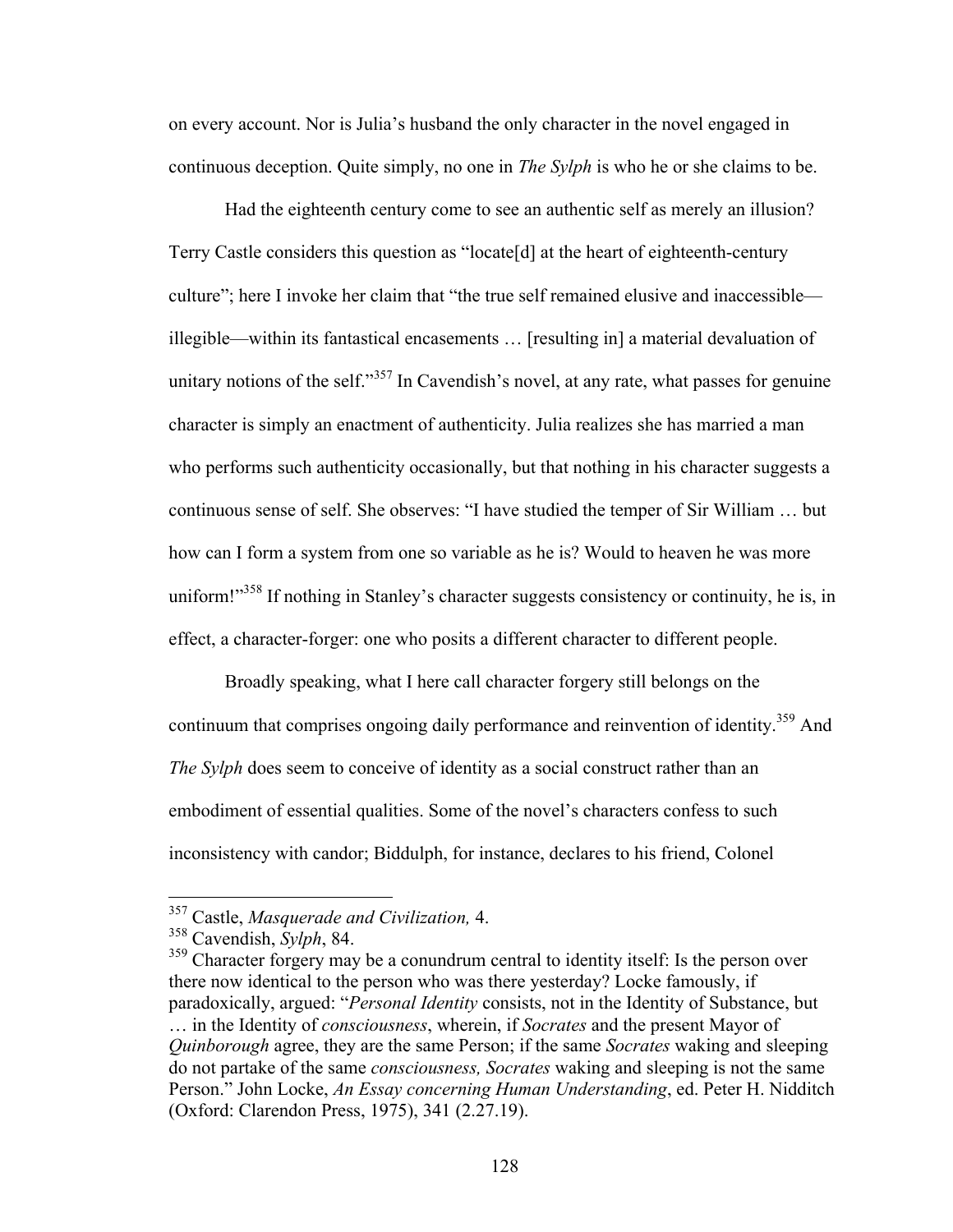on every account. Nor is Julia's husband the only character in the novel engaged in continuous deception. Quite simply, no one in *The Sylph* is who he or she claims to be.

Had the eighteenth century come to see an authentic self as merely an illusion? Terry Castle considers this question as "locate[d] at the heart of eighteenth-century culture"; here I invoke her claim that "the true self remained elusive and inaccessible illegible—within its fantastical encasements … [resulting in] a material devaluation of unitary notions of the self."<sup>357</sup> In Cavendish's novel, at any rate, what passes for genuine character is simply an enactment of authenticity. Julia realizes she has married a man who performs such authenticity occasionally, but that nothing in his character suggests a continuous sense of self. She observes: "I have studied the temper of Sir William … but how can I form a system from one so variable as he is? Would to heaven he was more uniform!"<sup>358</sup> If nothing in Stanley's character suggests consistency or continuity, he is, in effect, a character-forger: one who posits a different character to different people.

Broadly speaking, what I here call character forgery still belongs on the continuum that comprises ongoing daily performance and reinvention of identity.<sup>359</sup> And *The Sylph* does seem to conceive of identity as a social construct rather than an embodiment of essential qualities. Some of the novel's characters confess to such inconsistency with candor; Biddulph, for instance, declares to his friend, Colonel

 <sup>357</sup> Castle, *Masquerade and Civilization,* 4.

<sup>358</sup> Cavendish, *Sylph*, 84.

<sup>&</sup>lt;sup>359</sup> Character forgery may be a conundrum central to identity itself: Is the person over there now identical to the person who was there yesterday? Locke famously, if paradoxically, argued: "*Personal Identity* consists, not in the Identity of Substance, but … in the Identity of *consciousness*, wherein, if *Socrates* and the present Mayor of *Quinborough* agree, they are the same Person; if the same *Socrates* waking and sleeping do not partake of the same *consciousness, Socrates* waking and sleeping is not the same Person." John Locke, *An Essay concerning Human Understanding*, ed. Peter H. Nidditch (Oxford: Clarendon Press, 1975), 341 (2.27.19).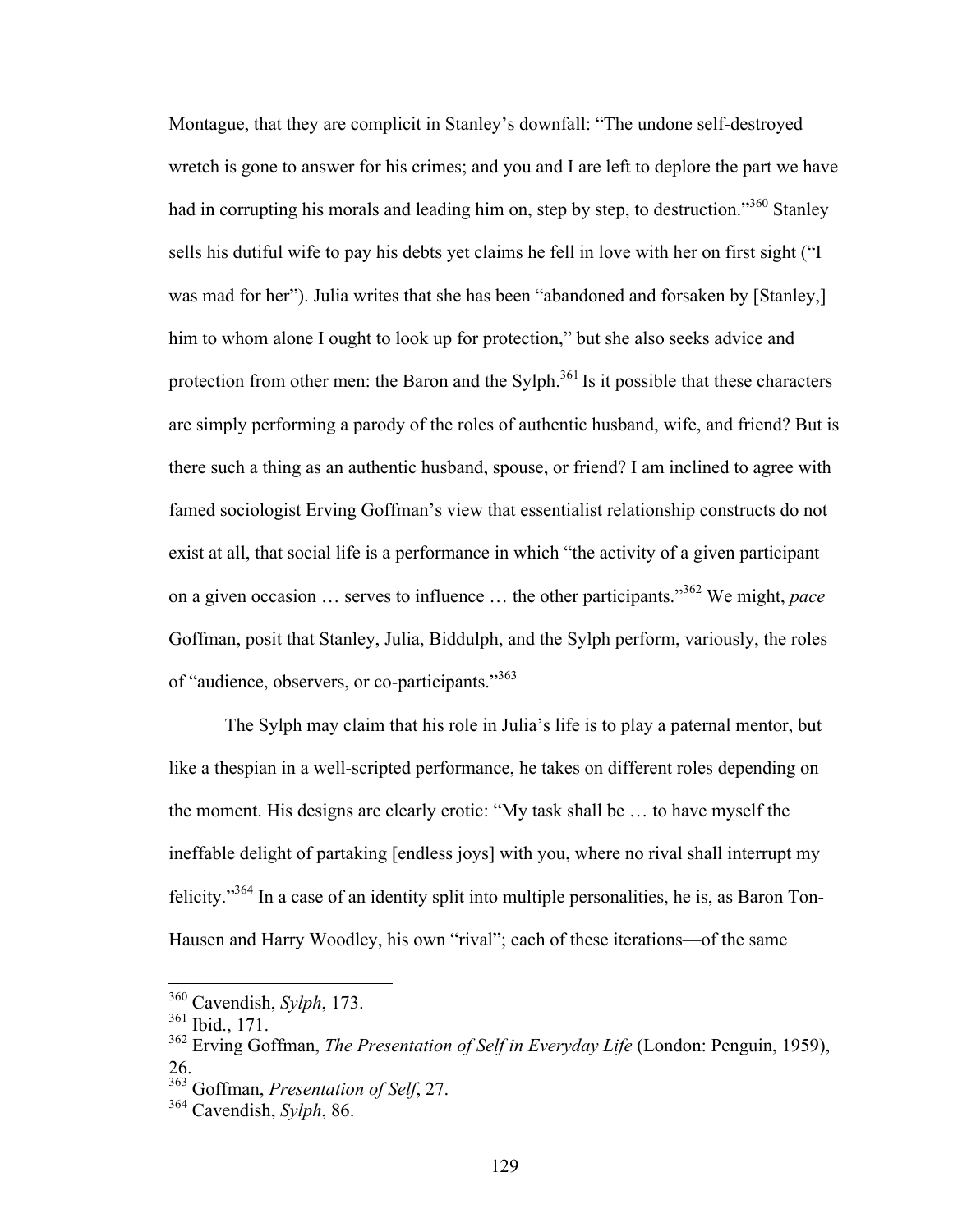Montague, that they are complicit in Stanley's downfall: "The undone self-destroyed wretch is gone to answer for his crimes; and you and I are left to deplore the part we have had in corrupting his morals and leading him on, step by step, to destruction."<sup>360</sup> Stanley sells his dutiful wife to pay his debts yet claims he fell in love with her on first sight ("I was mad for her"). Julia writes that she has been "abandoned and forsaken by [Stanley,] him to whom alone I ought to look up for protection," but she also seeks advice and protection from other men: the Baron and the Sylph.<sup>361</sup> Is it possible that these characters are simply performing a parody of the roles of authentic husband, wife, and friend? But is there such a thing as an authentic husband, spouse, or friend? I am inclined to agree with famed sociologist Erving Goffman's view that essentialist relationship constructs do not exist at all, that social life is a performance in which "the activity of a given participant on a given occasion … serves to influence … the other participants."362 We might, *pace* Goffman, posit that Stanley, Julia, Biddulph, and the Sylph perform, variously, the roles of "audience, observers, or co-participants."<sup>363</sup>

The Sylph may claim that his role in Julia's life is to play a paternal mentor, but like a thespian in a well-scripted performance, he takes on different roles depending on the moment. His designs are clearly erotic: "My task shall be … to have myself the ineffable delight of partaking [endless joys] with you, where no rival shall interrupt my felicity."<sup>364</sup> In a case of an identity split into multiple personalities, he is, as Baron Ton-Hausen and Harry Woodley, his own "rival"; each of these iterations—of the same

 <sup>360</sup> Cavendish, *Sylph*, 173.

<sup>361</sup> Ibid., 171.

<sup>362</sup> Erving Goffman, *The Presentation of Self in Everyday Life* (London: Penguin, 1959), 26.

<sup>363</sup> Goffman, *Presentation of Self*, 27.

<sup>364</sup> Cavendish, *Sylph*, 86.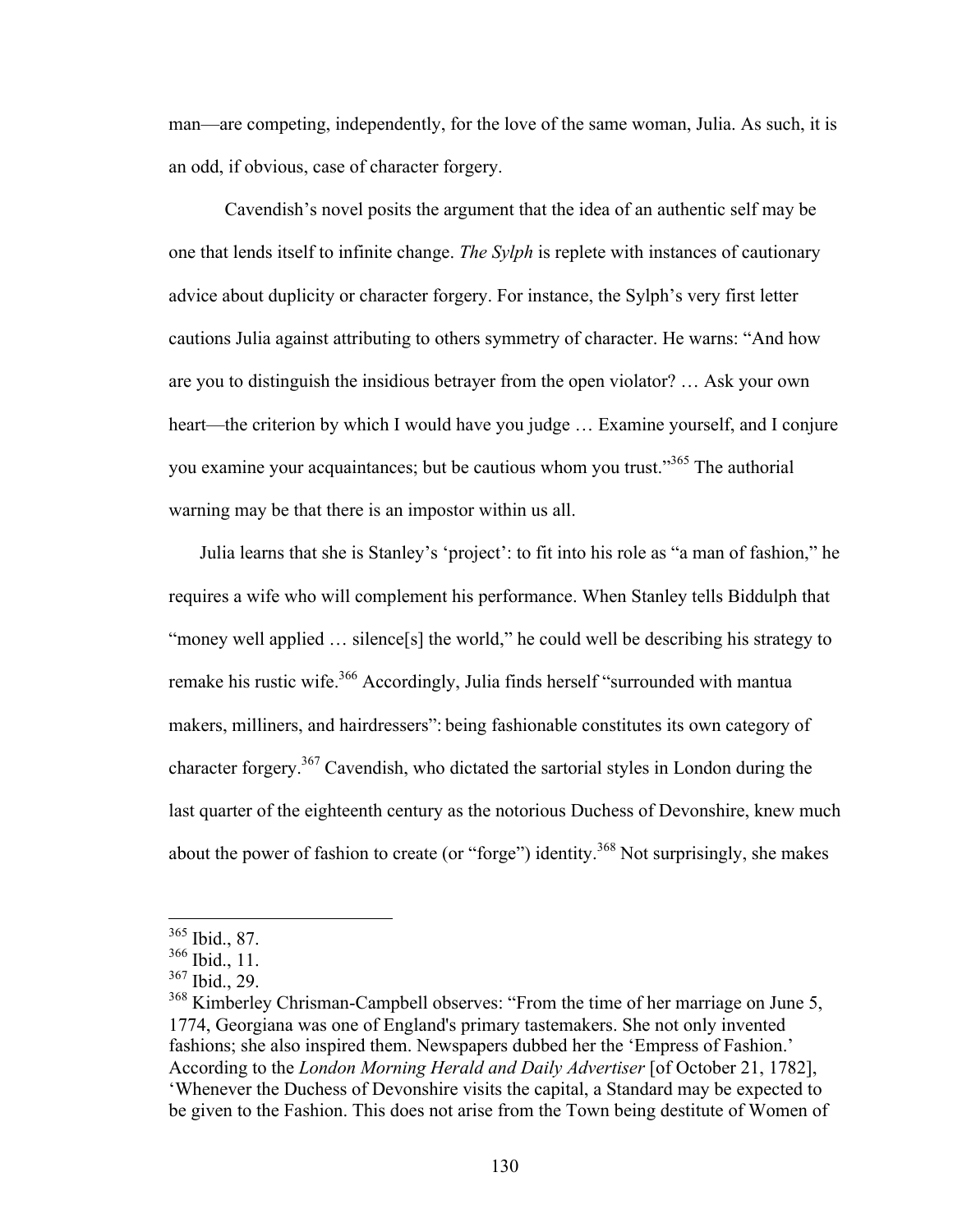man—are competing, independently, for the love of the same woman, Julia. As such, it is an odd, if obvious, case of character forgery.

Cavendish's novel posits the argument that the idea of an authentic self may be one that lends itself to infinite change. *The Sylph* is replete with instances of cautionary advice about duplicity or character forgery. For instance, the Sylph's very first letter cautions Julia against attributing to others symmetry of character. He warns: "And how are you to distinguish the insidious betrayer from the open violator? … Ask your own heart—the criterion by which I would have you judge … Examine yourself, and I conjure you examine your acquaintances; but be cautious whom you trust."<sup>365</sup> The authorial warning may be that there is an impostor within us all.

Julia learns that she is Stanley's 'project': to fit into his role as "a man of fashion," he requires a wife who will complement his performance. When Stanley tells Biddulph that "money well applied … silence[s] the world," he could well be describing his strategy to remake his rustic wife.<sup>366</sup> Accordingly, Julia finds herself "surrounded with mantua makers, milliners, and hairdressers": being fashionable constitutes its own category of character forgery.<sup>367</sup> Cavendish, who dictated the sartorial styles in London during the last quarter of the eighteenth century as the notorious Duchess of Devonshire, knew much about the power of fashion to create (or "forge") identity.<sup>368</sup> Not surprisingly, she makes

 <sup>365</sup> Ibid., 87.

 $366$  Ibid., 11.

<sup>367</sup> Ibid., 29.

<sup>&</sup>lt;sup>368</sup> Kimberley Chrisman-Campbell observes: "From the time of her marriage on June 5, 1774, Georgiana was one of England's primary tastemakers. She not only invented fashions; she also inspired them. Newspapers dubbed her the 'Empress of Fashion.' According to the *London Morning Herald and Daily Advertiser* [of October 21, 1782], 'Whenever the Duchess of Devonshire visits the capital, a Standard may be expected to be given to the Fashion. This does not arise from the Town being destitute of Women of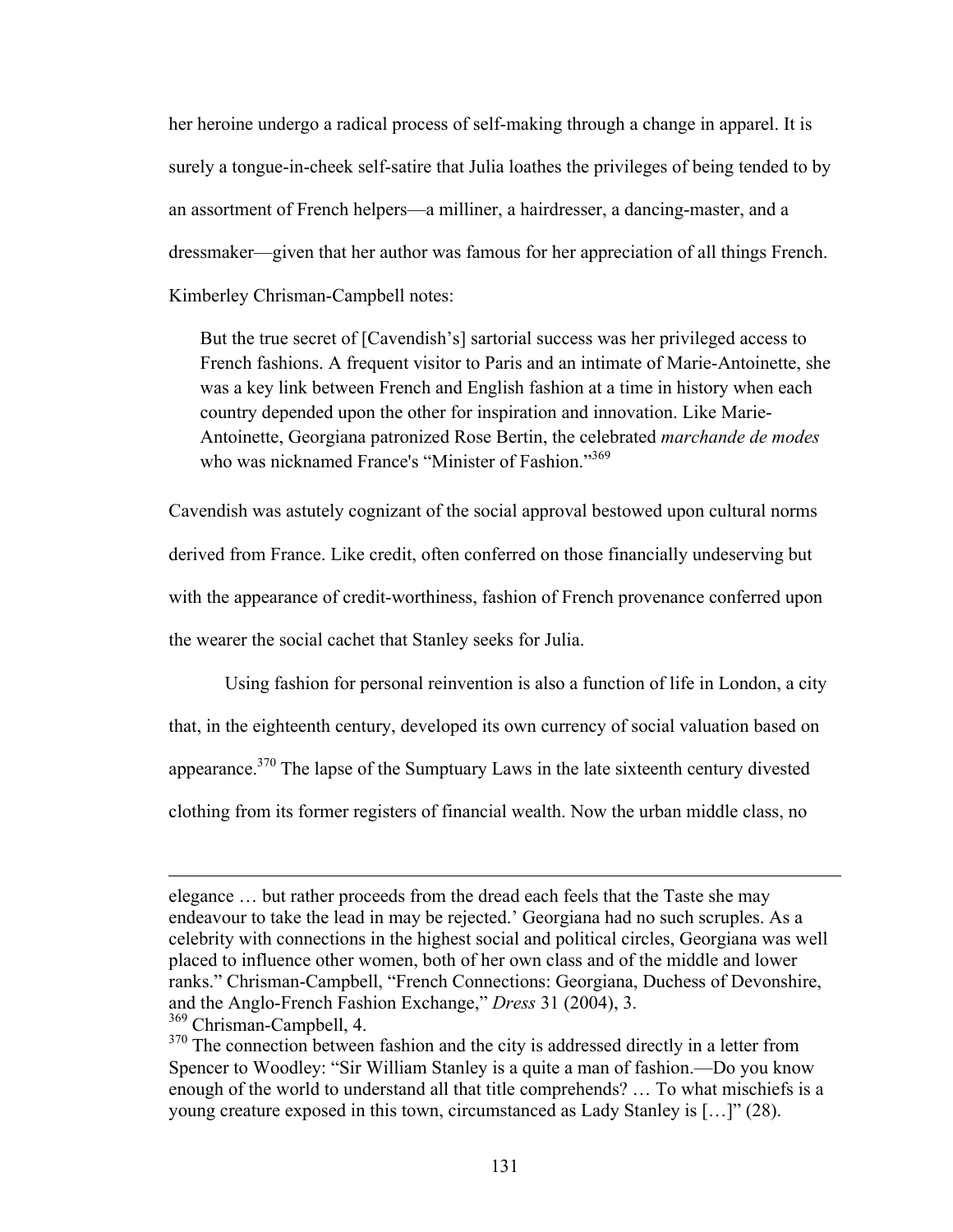her heroine undergo a radical process of self-making through a change in apparel. It is surely a tongue-in-cheek self-satire that Julia loathes the privileges of being tended to by an assortment of French helpers—a milliner, a hairdresser, a dancing-master, and a dressmaker—given that her author was famous for her appreciation of all things French. Kimberley Chrisman-Campbell notes:

But the true secret of [Cavendish's] sartorial success was her privileged access to French fashions. A frequent visitor to Paris and an intimate of Marie-Antoinette, she was a key link between French and English fashion at a time in history when each country depended upon the other for inspiration and innovation. Like Marie-Antoinette, Georgiana patronized Rose Bertin, the celebrated *marchande de modes* who was nicknamed France's "Minister of Fashion."<sup>369</sup>

Cavendish was astutely cognizant of the social approval bestowed upon cultural norms derived from France. Like credit, often conferred on those financially undeserving but with the appearance of credit-worthiness, fashion of French provenance conferred upon the wearer the social cachet that Stanley seeks for Julia.

Using fashion for personal reinvention is also a function of life in London, a city that, in the eighteenth century, developed its own currency of social valuation based on appearance.370 The lapse of the Sumptuary Laws in the late sixteenth century divested clothing from its former registers of financial wealth. Now the urban middle class, no

 $\overline{a}$ 

elegance … but rather proceeds from the dread each feels that the Taste she may endeavour to take the lead in may be rejected.' Georgiana had no such scruples. As a celebrity with connections in the highest social and political circles, Georgiana was well placed to influence other women, both of her own class and of the middle and lower ranks." Chrisman-Campbell, "French Connections: Georgiana, Duchess of Devonshire, and the Anglo-French Fashion Exchange," *Dress* 31 (2004), 3.

<sup>369</sup> Chrisman-Campbell, 4.

<sup>&</sup>lt;sup>370</sup> The connection between fashion and the city is addressed directly in a letter from Spencer to Woodley: "Sir William Stanley is a quite a man of fashion.—Do you know enough of the world to understand all that title comprehends? … To what mischiefs is a young creature exposed in this town, circumstanced as Lady Stanley is […]" (28).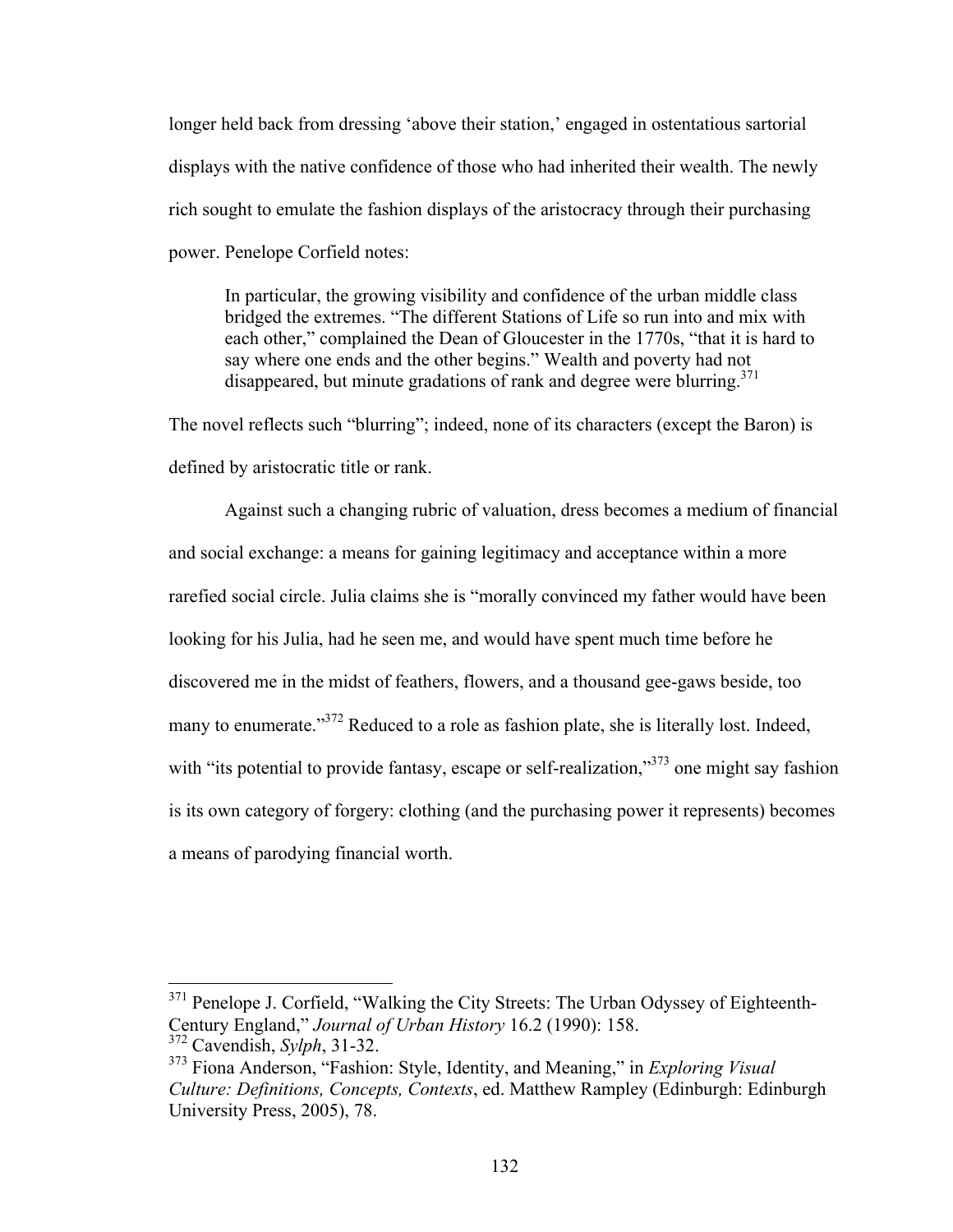longer held back from dressing 'above their station,' engaged in ostentatious sartorial displays with the native confidence of those who had inherited their wealth. The newly rich sought to emulate the fashion displays of the aristocracy through their purchasing power. Penelope Corfield notes:

In particular, the growing visibility and confidence of the urban middle class bridged the extremes. "The different Stations of Life so run into and mix with each other," complained the Dean of Gloucester in the 1770s, "that it is hard to say where one ends and the other begins." Wealth and poverty had not disappeared, but minute gradations of rank and degree were blurring.<sup>371</sup>

The novel reflects such "blurring"; indeed, none of its characters (except the Baron) is defined by aristocratic title or rank.

Against such a changing rubric of valuation, dress becomes a medium of financial and social exchange: a means for gaining legitimacy and acceptance within a more rarefied social circle. Julia claims she is "morally convinced my father would have been looking for his Julia, had he seen me, and would have spent much time before he discovered me in the midst of feathers, flowers, and a thousand gee-gaws beside, too many to enumerate."<sup>372</sup> Reduced to a role as fashion plate, she is literally lost. Indeed, with "its potential to provide fantasy, escape or self-realization," $373$  one might say fashion is its own category of forgery: clothing (and the purchasing power it represents) becomes a means of parodying financial worth.

<sup>&</sup>lt;sup>371</sup> Penelope J. Corfield, "Walking the City Streets: The Urban Odyssey of Eighteenth-Century England," *Journal of Urban History* 16.2 (1990): 158. <sup>372</sup> Cavendish, *Sylph*, 31-32.

<sup>373</sup> Fiona Anderson, "Fashion: Style, Identity, and Meaning," in *Exploring Visual Culture: Definitions, Concepts, Contexts*, ed. Matthew Rampley (Edinburgh: Edinburgh University Press, 2005), 78.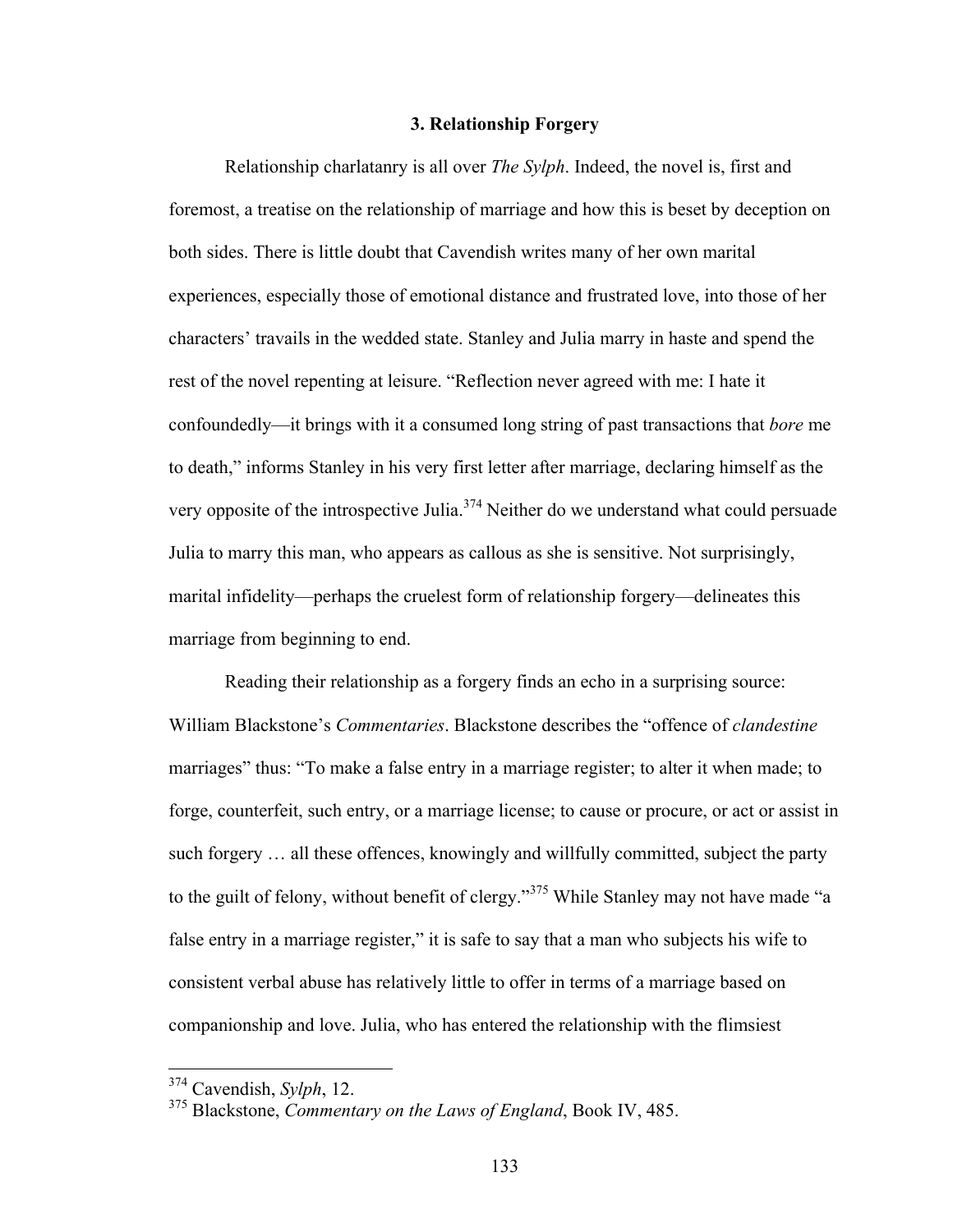#### **3. Relationship Forgery**

Relationship charlatanry is all over *The Sylph*. Indeed, the novel is, first and foremost, a treatise on the relationship of marriage and how this is beset by deception on both sides. There is little doubt that Cavendish writes many of her own marital experiences, especially those of emotional distance and frustrated love, into those of her characters' travails in the wedded state. Stanley and Julia marry in haste and spend the rest of the novel repenting at leisure. "Reflection never agreed with me: I hate it confoundedly—it brings with it a consumed long string of past transactions that *bore* me to death," informs Stanley in his very first letter after marriage, declaring himself as the very opposite of the introspective Julia.<sup>374</sup> Neither do we understand what could persuade Julia to marry this man, who appears as callous as she is sensitive. Not surprisingly, marital infidelity—perhaps the cruelest form of relationship forgery—delineates this marriage from beginning to end.

Reading their relationship as a forgery finds an echo in a surprising source: William Blackstone's *Commentaries*. Blackstone describes the "offence of *clandestine* marriages" thus: "To make a false entry in a marriage register; to alter it when made; to forge, counterfeit, such entry, or a marriage license; to cause or procure, or act or assist in such forgery … all these offences, knowingly and willfully committed, subject the party to the guilt of felony, without benefit of clergy."<sup>375</sup> While Stanley may not have made "a false entry in a marriage register," it is safe to say that a man who subjects his wife to consistent verbal abuse has relatively little to offer in terms of a marriage based on companionship and love. Julia, who has entered the relationship with the flimsiest

 <sup>374</sup> Cavendish, *Sylph*, 12.

<sup>375</sup> Blackstone, *Commentary on the Laws of England*, Book IV, 485.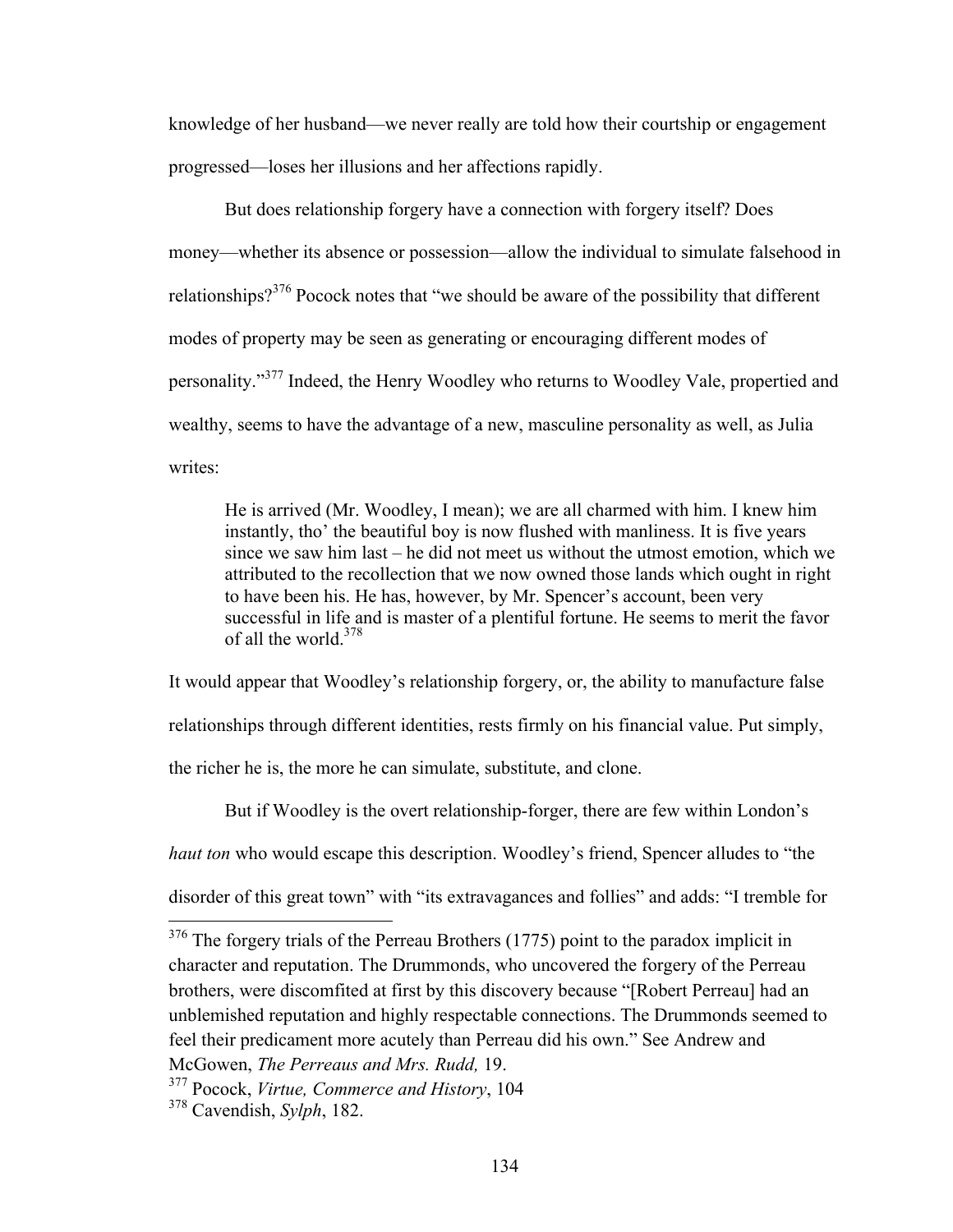knowledge of her husband—we never really are told how their courtship or engagement progressed—loses her illusions and her affections rapidly.

But does relationship forgery have a connection with forgery itself? Does money—whether its absence or possession—allow the individual to simulate falsehood in relationships?<sup>376</sup> Pocock notes that "we should be aware of the possibility that different modes of property may be seen as generating or encouraging different modes of personality."<sup>377</sup> Indeed, the Henry Woodley who returns to Woodley Vale, propertied and wealthy, seems to have the advantage of a new, masculine personality as well, as Julia writes:

He is arrived (Mr. Woodley, I mean); we are all charmed with him. I knew him instantly, tho' the beautiful boy is now flushed with manliness. It is five years since we saw him last – he did not meet us without the utmost emotion, which we attributed to the recollection that we now owned those lands which ought in right to have been his. He has, however, by Mr. Spencer's account, been very successful in life and is master of a plentiful fortune. He seems to merit the favor of all the world  $378$ 

It would appear that Woodley's relationship forgery, or, the ability to manufacture false relationships through different identities, rests firmly on his financial value. Put simply, the richer he is, the more he can simulate, substitute, and clone.

But if Woodley is the overt relationship-forger, there are few within London's

*haut ton* who would escape this description. Woodley's friend, Spencer alludes to "the

disorder of this great town" with "its extravagances and follies" and adds: "I tremble for

<sup>&</sup>lt;sup>376</sup> The forgery trials of the Perreau Brothers (1775) point to the paradox implicit in character and reputation. The Drummonds, who uncovered the forgery of the Perreau brothers, were discomfited at first by this discovery because "[Robert Perreau] had an unblemished reputation and highly respectable connections. The Drummonds seemed to feel their predicament more acutely than Perreau did his own." See Andrew and McGowen, *The Perreaus and Mrs. Rudd,* 19.

<sup>377</sup> Pocock, *Virtue, Commerce and History*, 104

<sup>378</sup> Cavendish, *Sylph*, 182.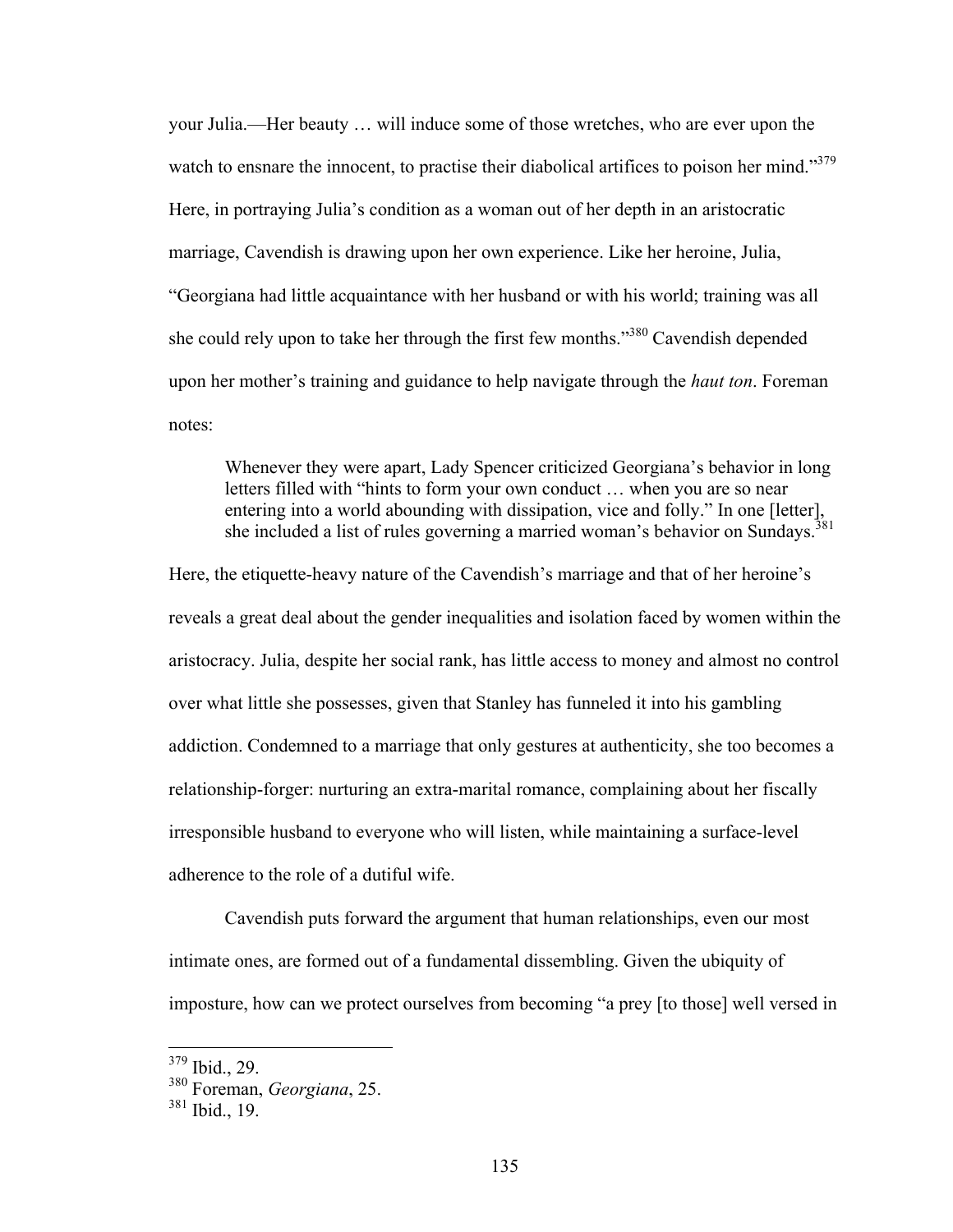your Julia.—Her beauty … will induce some of those wretches, who are ever upon the watch to ensnare the innocent, to practise their diabolical artifices to poison her mind."<sup>379</sup> Here, in portraying Julia's condition as a woman out of her depth in an aristocratic marriage, Cavendish is drawing upon her own experience. Like her heroine, Julia, "Georgiana had little acquaintance with her husband or with his world; training was all she could rely upon to take her through the first few months."380 Cavendish depended upon her mother's training and guidance to help navigate through the *haut ton*. Foreman notes:

Whenever they were apart, Lady Spencer criticized Georgiana's behavior in long letters filled with "hints to form your own conduct … when you are so near entering into a world abounding with dissipation, vice and folly." In one [letter], she included a list of rules governing a married woman's behavior on Sundays.<sup>3</sup>

Here, the etiquette-heavy nature of the Cavendish's marriage and that of her heroine's reveals a great deal about the gender inequalities and isolation faced by women within the aristocracy. Julia, despite her social rank, has little access to money and almost no control over what little she possesses, given that Stanley has funneled it into his gambling addiction. Condemned to a marriage that only gestures at authenticity, she too becomes a relationship-forger: nurturing an extra-marital romance, complaining about her fiscally irresponsible husband to everyone who will listen, while maintaining a surface-level adherence to the role of a dutiful wife.

Cavendish puts forward the argument that human relationships, even our most intimate ones, are formed out of a fundamental dissembling. Given the ubiquity of imposture, how can we protect ourselves from becoming "a prey [to those] well versed in

 $379$  Ibid., 29.

<sup>380</sup> Foreman, *Georgiana*, 25.

<sup>381</sup> Ibid., 19.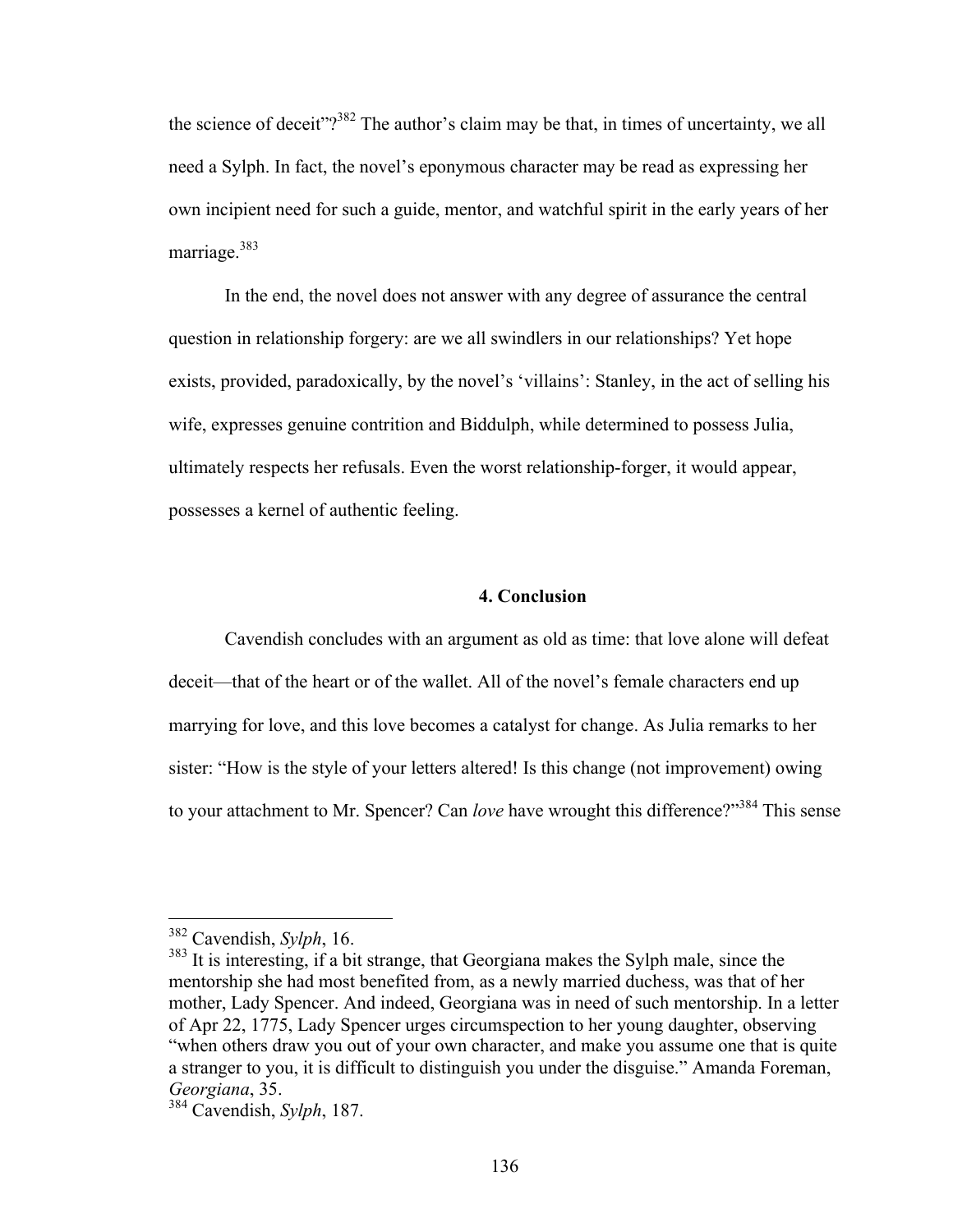the science of deceit" $2^{382}$  The author's claim may be that, in times of uncertainty, we all need a Sylph. In fact, the novel's eponymous character may be read as expressing her own incipient need for such a guide, mentor, and watchful spirit in the early years of her marriage.<sup>383</sup>

In the end, the novel does not answer with any degree of assurance the central question in relationship forgery: are we all swindlers in our relationships? Yet hope exists, provided, paradoxically, by the novel's 'villains': Stanley, in the act of selling his wife, expresses genuine contrition and Biddulph, while determined to possess Julia, ultimately respects her refusals. Even the worst relationship-forger, it would appear, possesses a kernel of authentic feeling.

#### **4. Conclusion**

Cavendish concludes with an argument as old as time: that love alone will defeat deceit—that of the heart or of the wallet. All of the novel's female characters end up marrying for love, and this love becomes a catalyst for change. As Julia remarks to her sister: "How is the style of your letters altered! Is this change (not improvement) owing to your attachment to Mr. Spencer? Can *love* have wrought this difference?"<sup>384</sup> This sense

 <sup>382</sup> Cavendish, *Sylph*, 16.

 $383$  It is interesting, if a bit strange, that Georgiana makes the Sylph male, since the mentorship she had most benefited from, as a newly married duchess, was that of her mother, Lady Spencer. And indeed, Georgiana was in need of such mentorship. In a letter of Apr 22, 1775, Lady Spencer urges circumspection to her young daughter, observing "when others draw you out of your own character, and make you assume one that is quite a stranger to you, it is difficult to distinguish you under the disguise." Amanda Foreman, *Georgiana*, 35.

<sup>384</sup> Cavendish, *Sylph*, 187.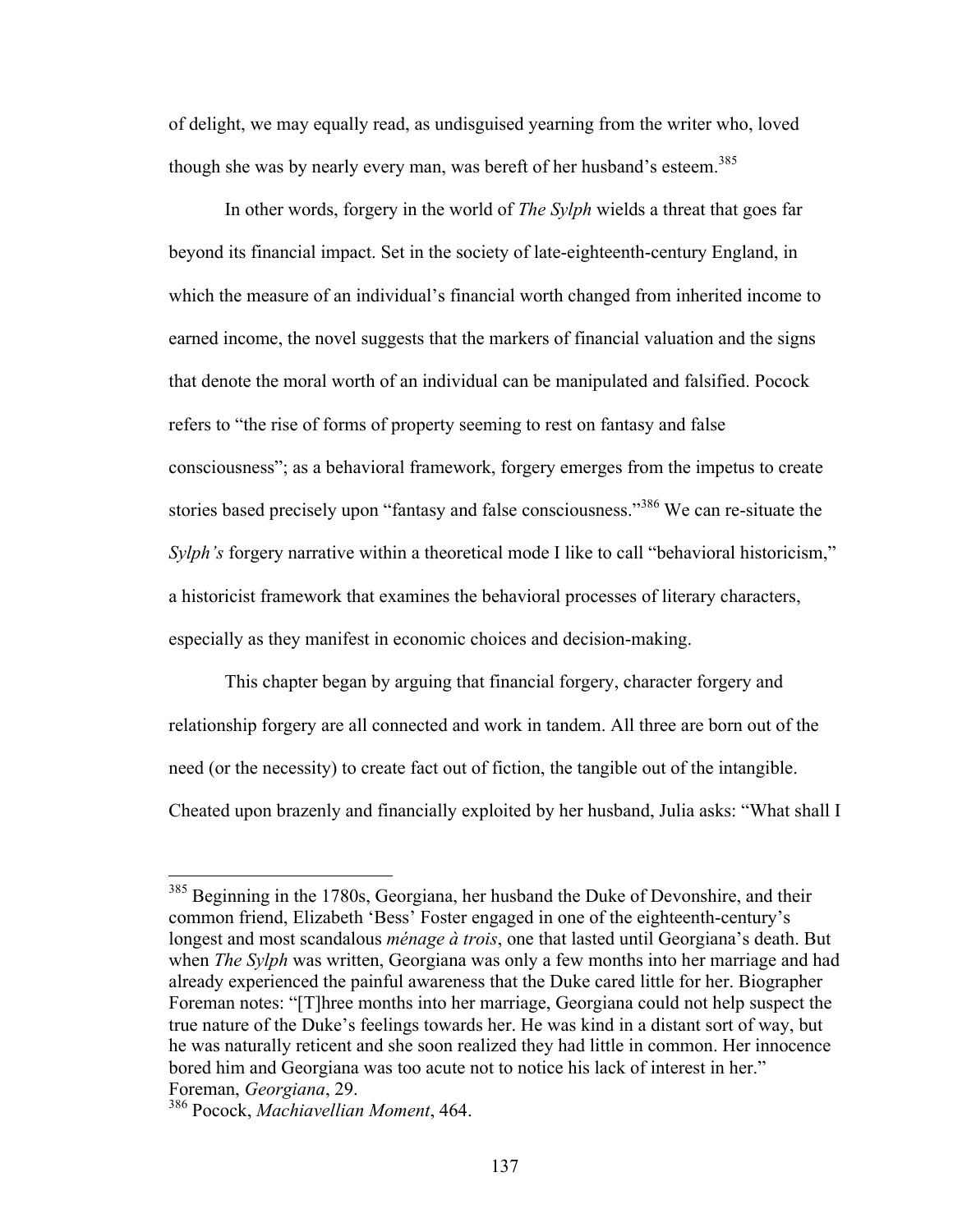of delight, we may equally read, as undisguised yearning from the writer who, loved though she was by nearly every man, was bereft of her husband's esteem.<sup>385</sup>

In other words, forgery in the world of *The Sylph* wields a threat that goes far beyond its financial impact. Set in the society of late-eighteenth-century England, in which the measure of an individual's financial worth changed from inherited income to earned income, the novel suggests that the markers of financial valuation and the signs that denote the moral worth of an individual can be manipulated and falsified. Pocock refers to "the rise of forms of property seeming to rest on fantasy and false consciousness"; as a behavioral framework, forgery emerges from the impetus to create stories based precisely upon "fantasy and false consciousness."<sup>386</sup> We can re-situate the *Sylph's* forgery narrative within a theoretical mode I like to call "behavioral historicism," a historicist framework that examines the behavioral processes of literary characters, especially as they manifest in economic choices and decision-making.

This chapter began by arguing that financial forgery, character forgery and relationship forgery are all connected and work in tandem. All three are born out of the need (or the necessity) to create fact out of fiction, the tangible out of the intangible. Cheated upon brazenly and financially exploited by her husband, Julia asks: "What shall I

<sup>&</sup>lt;sup>385</sup> Beginning in the 1780s, Georgiana, her husband the Duke of Devonshire, and their common friend, Elizabeth 'Bess' Foster engaged in one of the eighteenth-century's longest and most scandalous *ménage à trois*, one that lasted until Georgiana's death. But when *The Sylph* was written, Georgiana was only a few months into her marriage and had already experienced the painful awareness that the Duke cared little for her. Biographer Foreman notes: "[T]hree months into her marriage, Georgiana could not help suspect the true nature of the Duke's feelings towards her. He was kind in a distant sort of way, but he was naturally reticent and she soon realized they had little in common. Her innocence bored him and Georgiana was too acute not to notice his lack of interest in her." Foreman, *Georgiana*, 29.

<sup>386</sup> Pocock, *Machiavellian Moment*, 464.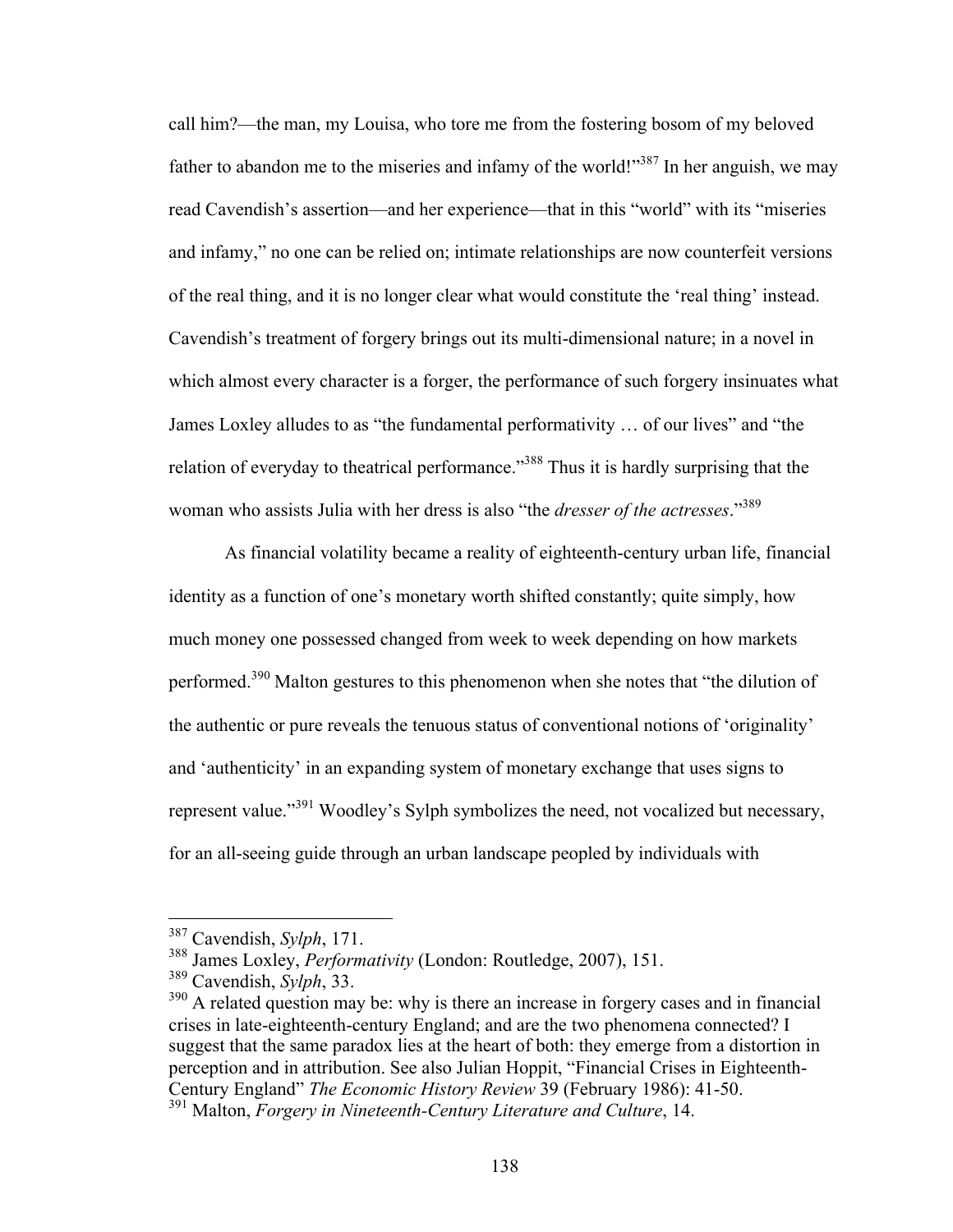call him?—the man, my Louisa, who tore me from the fostering bosom of my beloved father to abandon me to the miseries and infamy of the world!"<sup>387</sup> In her anguish, we may read Cavendish's assertion—and her experience—that in this "world" with its "miseries and infamy," no one can be relied on; intimate relationships are now counterfeit versions of the real thing, and it is no longer clear what would constitute the 'real thing' instead. Cavendish's treatment of forgery brings out its multi-dimensional nature; in a novel in which almost every character is a forger, the performance of such forgery insinuates what James Loxley alludes to as "the fundamental performativity … of our lives" and "the relation of everyday to theatrical performance."388 Thus it is hardly surprising that the woman who assists Julia with her dress is also "the *dresser of the actresses*." 389

As financial volatility became a reality of eighteenth-century urban life, financial identity as a function of one's monetary worth shifted constantly; quite simply, how much money one possessed changed from week to week depending on how markets performed.<sup>390</sup> Malton gestures to this phenomenon when she notes that "the dilution of the authentic or pure reveals the tenuous status of conventional notions of 'originality' and 'authenticity' in an expanding system of monetary exchange that uses signs to represent value."<sup>391</sup> Woodley's Sylph symbolizes the need, not vocalized but necessary, for an all-seeing guide through an urban landscape peopled by individuals with

 <sup>387</sup> Cavendish, *Sylph*, 171.

<sup>388</sup> James Loxley, *Performativity* (London: Routledge, 2007), 151.

<sup>389</sup> Cavendish, *Sylph*, 33.

<sup>&</sup>lt;sup>390</sup> A related question may be: why is there an increase in forgery cases and in financial crises in late-eighteenth-century England; and are the two phenomena connected? I suggest that the same paradox lies at the heart of both: they emerge from a distortion in perception and in attribution. See also Julian Hoppit, "Financial Crises in Eighteenth-Century England" *The Economic History Review* 39 (February 1986): 41-50.

<sup>391</sup> Malton, *Forgery in Nineteenth-Century Literature and Culture*, 14.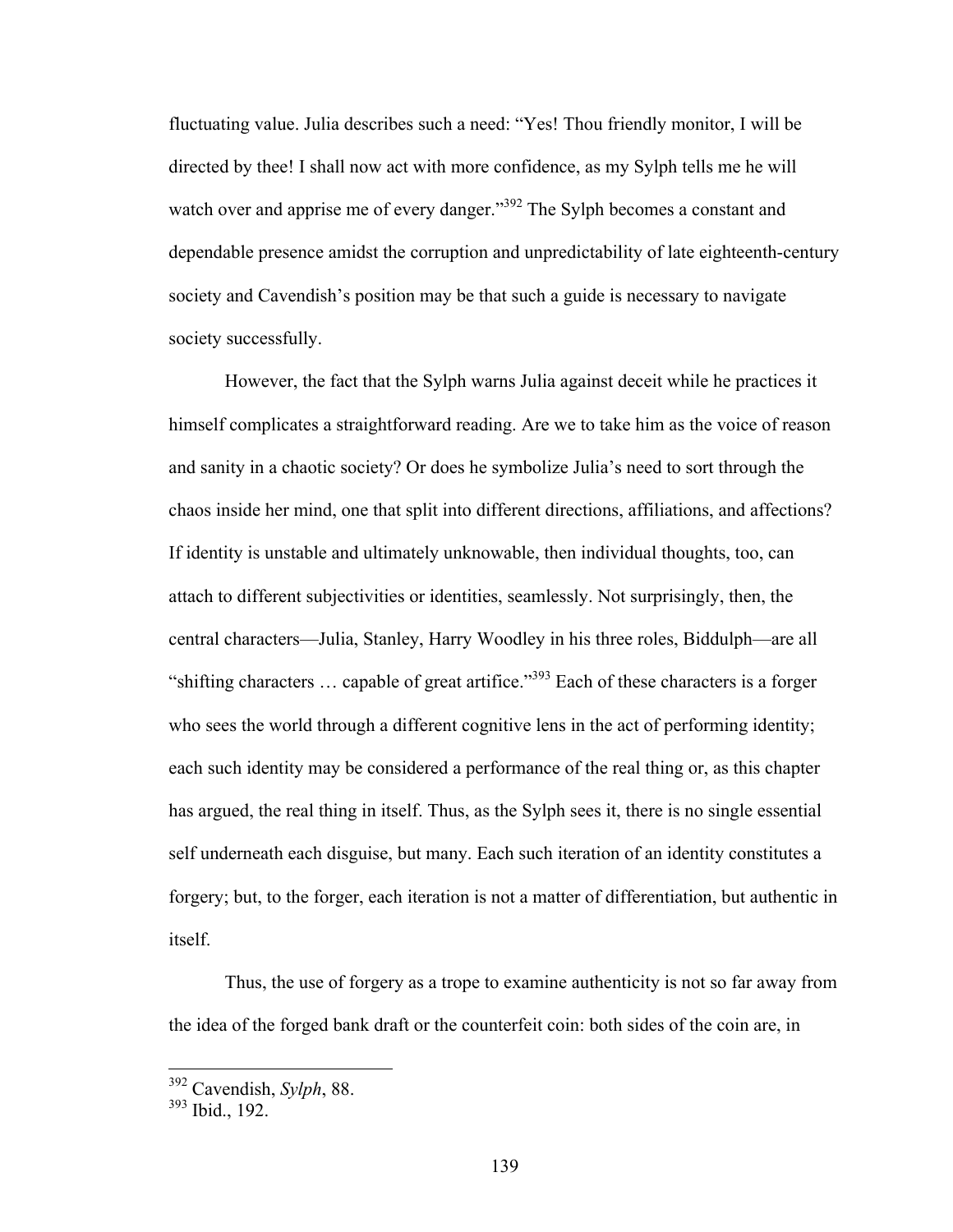fluctuating value. Julia describes such a need: "Yes! Thou friendly monitor, I will be directed by thee! I shall now act with more confidence, as my Sylph tells me he will watch over and apprise me of every danger."<sup>392</sup> The Sylph becomes a constant and dependable presence amidst the corruption and unpredictability of late eighteenth-century society and Cavendish's position may be that such a guide is necessary to navigate society successfully.

However, the fact that the Sylph warns Julia against deceit while he practices it himself complicates a straightforward reading. Are we to take him as the voice of reason and sanity in a chaotic society? Or does he symbolize Julia's need to sort through the chaos inside her mind, one that split into different directions, affiliations, and affections? If identity is unstable and ultimately unknowable, then individual thoughts, too, can attach to different subjectivities or identities, seamlessly. Not surprisingly, then, the central characters—Julia, Stanley, Harry Woodley in his three roles, Biddulph—are all "shifting characters  $\ldots$  capable of great artifice."<sup>393</sup> Each of these characters is a forger who sees the world through a different cognitive lens in the act of performing identity; each such identity may be considered a performance of the real thing or, as this chapter has argued, the real thing in itself. Thus, as the Sylph sees it, there is no single essential self underneath each disguise, but many. Each such iteration of an identity constitutes a forgery; but, to the forger, each iteration is not a matter of differentiation, but authentic in itself.

Thus, the use of forgery as a trope to examine authenticity is not so far away from the idea of the forged bank draft or the counterfeit coin: both sides of the coin are, in

 <sup>392</sup> Cavendish, *Sylph*, 88.

<sup>393</sup> Ibid., 192.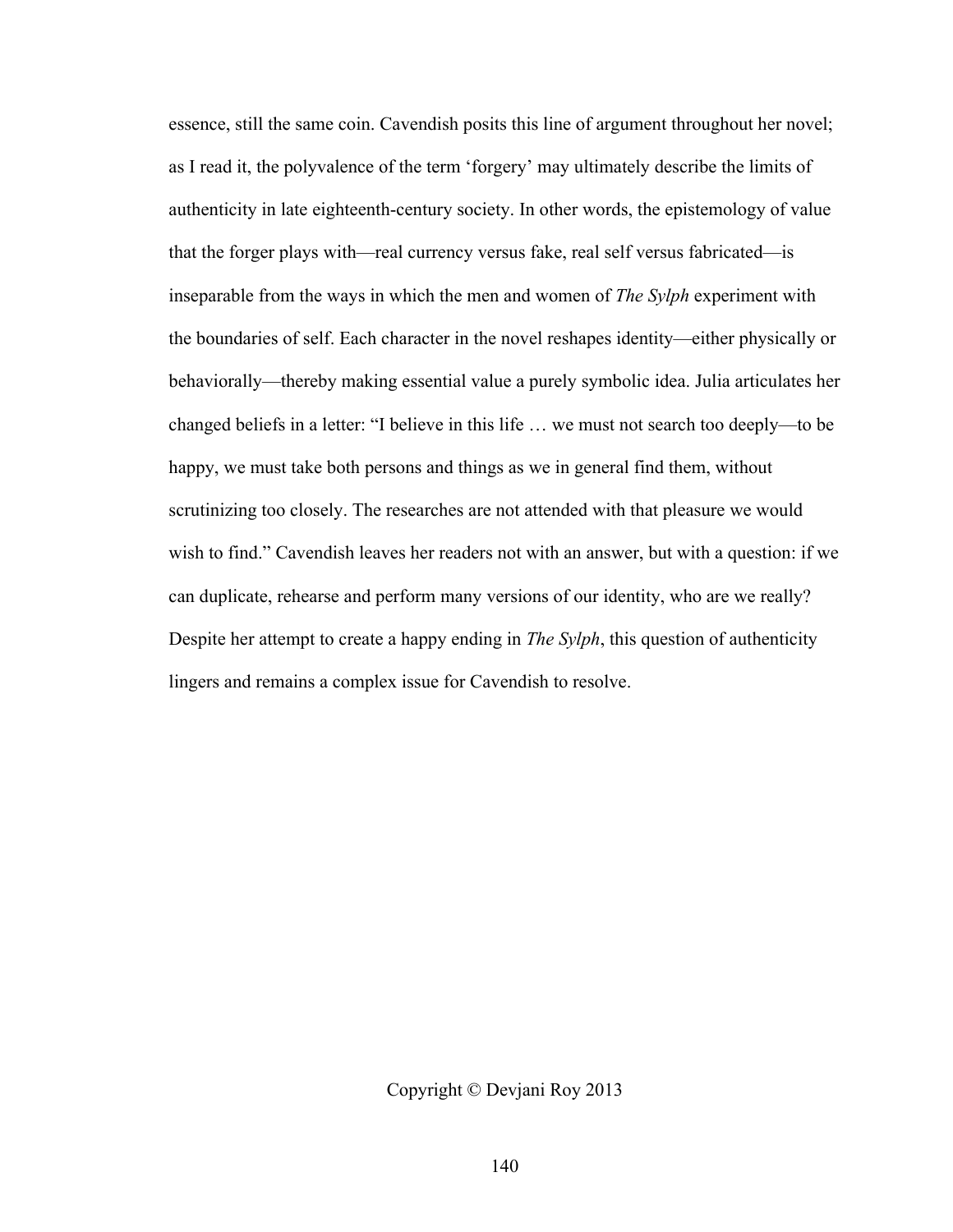essence, still the same coin. Cavendish posits this line of argument throughout her novel; as I read it, the polyvalence of the term 'forgery' may ultimately describe the limits of authenticity in late eighteenth-century society. In other words, the epistemology of value that the forger plays with—real currency versus fake, real self versus fabricated—is inseparable from the ways in which the men and women of *The Sylph* experiment with the boundaries of self. Each character in the novel reshapes identity—either physically or behaviorally—thereby making essential value a purely symbolic idea. Julia articulates her changed beliefs in a letter: "I believe in this life … we must not search too deeply—to be happy, we must take both persons and things as we in general find them, without scrutinizing too closely. The researches are not attended with that pleasure we would wish to find." Cavendish leaves her readers not with an answer, but with a question: if we can duplicate, rehearse and perform many versions of our identity, who are we really? Despite her attempt to create a happy ending in *The Sylph*, this question of authenticity lingers and remains a complex issue for Cavendish to resolve.

Copyright © Devjani Roy 2013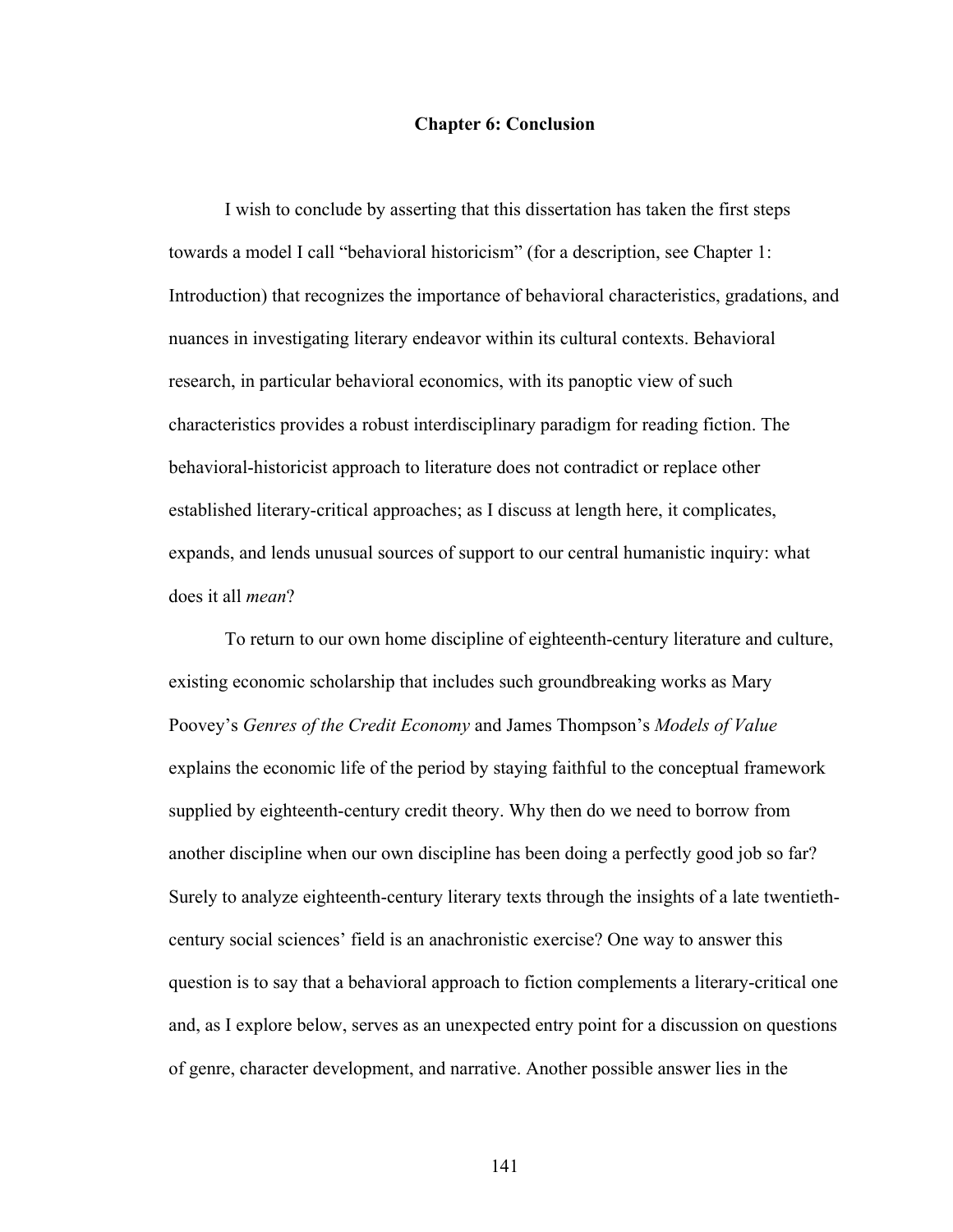#### **Chapter 6: Conclusion**

I wish to conclude by asserting that this dissertation has taken the first steps towards a model I call "behavioral historicism" (for a description, see Chapter 1: Introduction) that recognizes the importance of behavioral characteristics, gradations, and nuances in investigating literary endeavor within its cultural contexts. Behavioral research, in particular behavioral economics, with its panoptic view of such characteristics provides a robust interdisciplinary paradigm for reading fiction. The behavioral-historicist approach to literature does not contradict or replace other established literary-critical approaches; as I discuss at length here, it complicates, expands, and lends unusual sources of support to our central humanistic inquiry: what does it all *mean*?

To return to our own home discipline of eighteenth-century literature and culture, existing economic scholarship that includes such groundbreaking works as Mary Poovey's *Genres of the Credit Economy* and James Thompson's *Models of Value* explains the economic life of the period by staying faithful to the conceptual framework supplied by eighteenth-century credit theory. Why then do we need to borrow from another discipline when our own discipline has been doing a perfectly good job so far? Surely to analyze eighteenth-century literary texts through the insights of a late twentiethcentury social sciences' field is an anachronistic exercise? One way to answer this question is to say that a behavioral approach to fiction complements a literary-critical one and, as I explore below, serves as an unexpected entry point for a discussion on questions of genre, character development, and narrative. Another possible answer lies in the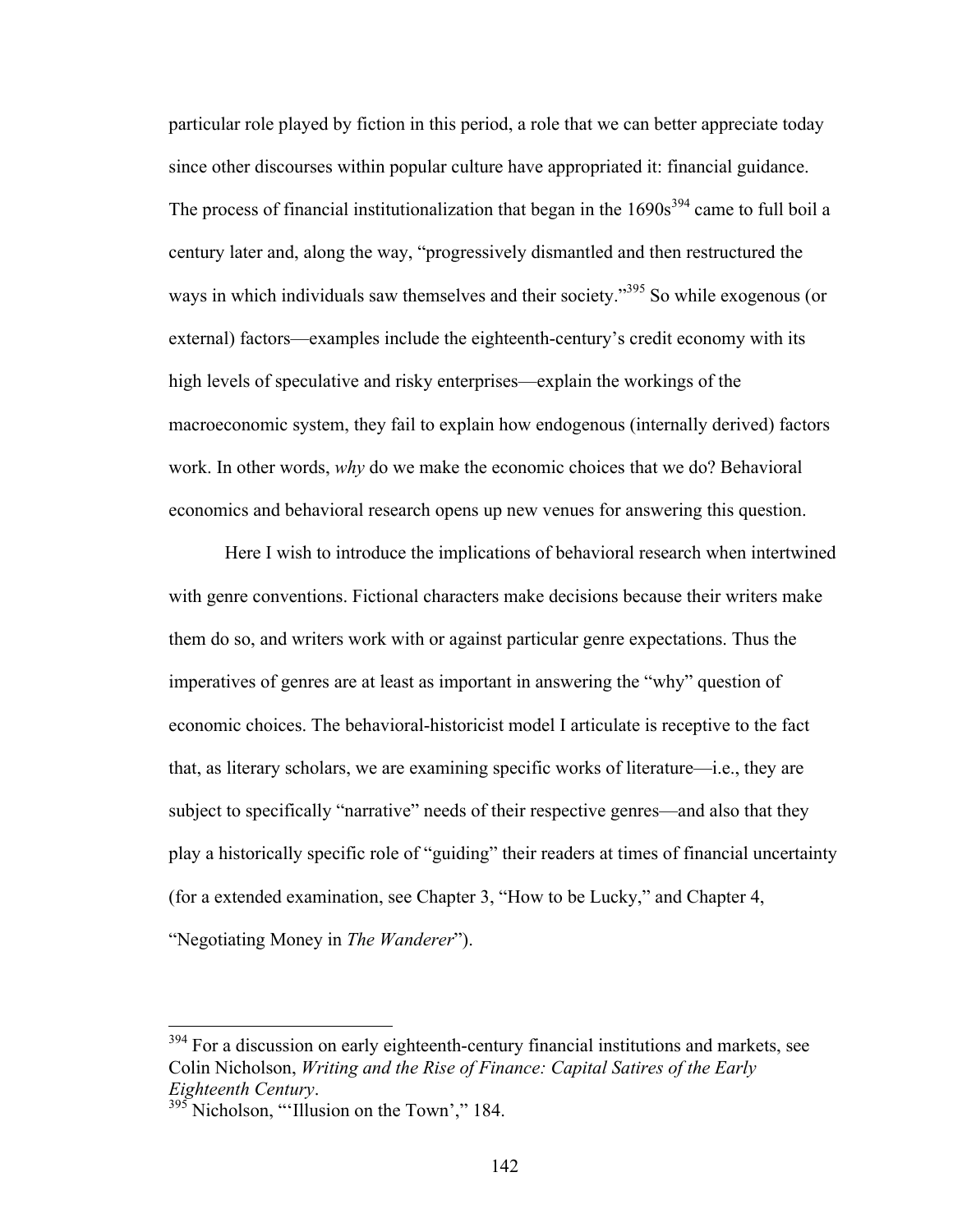particular role played by fiction in this period, a role that we can better appreciate today since other discourses within popular culture have appropriated it: financial guidance. The process of financial institutionalization that began in the  $1690s<sup>394</sup>$  came to full boil a century later and, along the way, "progressively dismantled and then restructured the ways in which individuals saw themselves and their society."<sup>395</sup> So while exogenous (or external) factors—examples include the eighteenth-century's credit economy with its high levels of speculative and risky enterprises—explain the workings of the macroeconomic system, they fail to explain how endogenous (internally derived) factors work. In other words, *why* do we make the economic choices that we do? Behavioral economics and behavioral research opens up new venues for answering this question.

Here I wish to introduce the implications of behavioral research when intertwined with genre conventions. Fictional characters make decisions because their writers make them do so, and writers work with or against particular genre expectations. Thus the imperatives of genres are at least as important in answering the "why" question of economic choices. The behavioral-historicist model I articulate is receptive to the fact that, as literary scholars, we are examining specific works of literature—i.e., they are subject to specifically "narrative" needs of their respective genres—and also that they play a historically specific role of "guiding" their readers at times of financial uncertainty (for a extended examination, see Chapter 3, "How to be Lucky," and Chapter 4, "Negotiating Money in *The Wanderer*").

<sup>&</sup>lt;sup>394</sup> For a discussion on early eighteenth-century financial institutions and markets, see Colin Nicholson, *Writing and the Rise of Finance: Capital Satires of the Early Eighteenth Century*. <sup>395</sup> Nicholson, "'Illusion on the Town'," 184.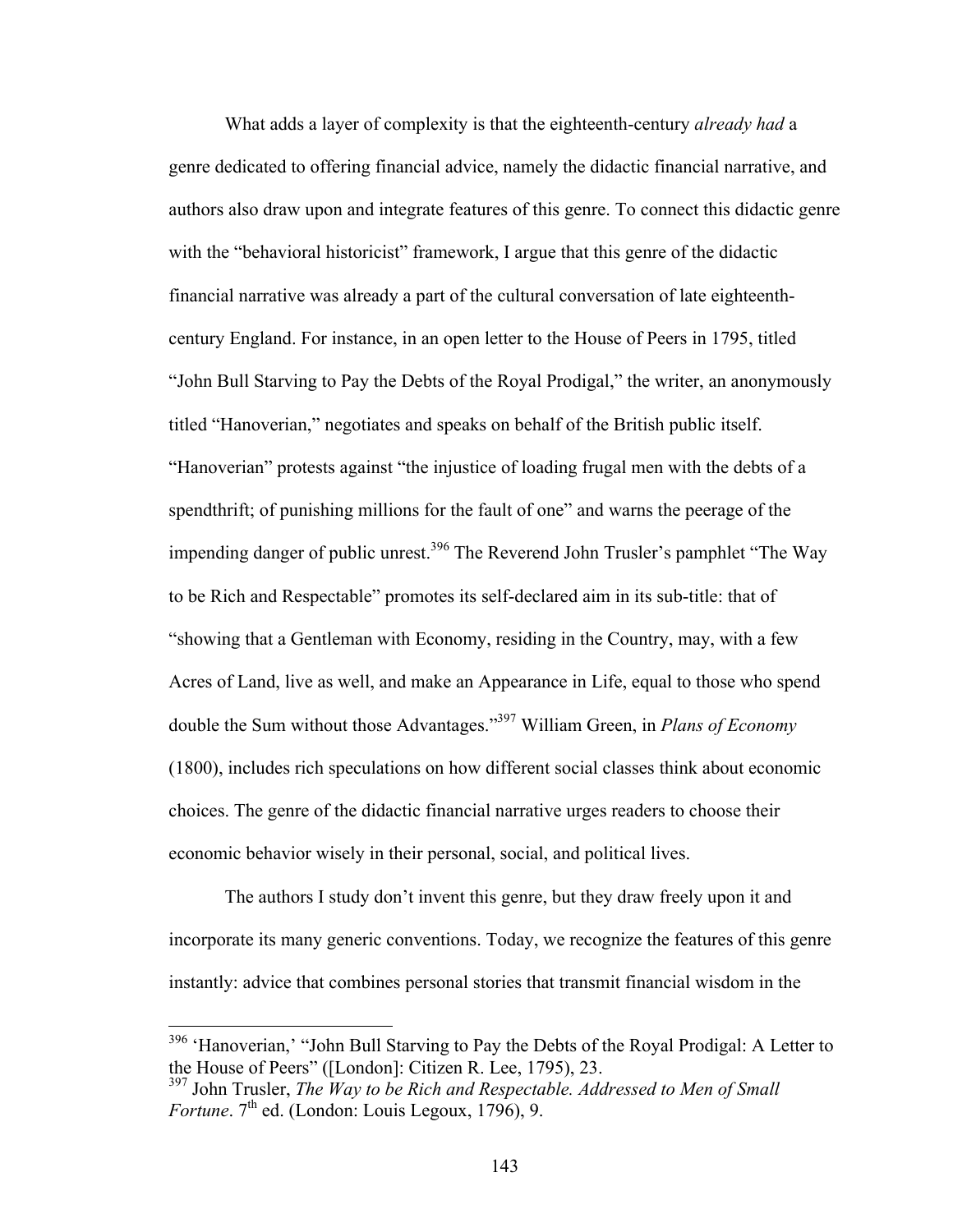What adds a layer of complexity is that the eighteenth-century *already had* a genre dedicated to offering financial advice, namely the didactic financial narrative, and authors also draw upon and integrate features of this genre. To connect this didactic genre with the "behavioral historicist" framework, I argue that this genre of the didactic financial narrative was already a part of the cultural conversation of late eighteenthcentury England. For instance, in an open letter to the House of Peers in 1795, titled "John Bull Starving to Pay the Debts of the Royal Prodigal," the writer, an anonymously titled "Hanoverian," negotiates and speaks on behalf of the British public itself. "Hanoverian" protests against "the injustice of loading frugal men with the debts of a spendthrift; of punishing millions for the fault of one" and warns the peerage of the impending danger of public unrest.<sup>396</sup> The Reverend John Trusler's pamphlet "The Way to be Rich and Respectable" promotes its self-declared aim in its sub-title: that of "showing that a Gentleman with Economy, residing in the Country, may, with a few Acres of Land, live as well, and make an Appearance in Life, equal to those who spend double the Sum without those Advantages."397 William Green, in *Plans of Economy* (1800), includes rich speculations on how different social classes think about economic choices. The genre of the didactic financial narrative urges readers to choose their economic behavior wisely in their personal, social, and political lives.

The authors I study don't invent this genre, but they draw freely upon it and incorporate its many generic conventions. Today, we recognize the features of this genre instantly: advice that combines personal stories that transmit financial wisdom in the

<sup>&</sup>lt;sup>396</sup> 'Hanoverian,' "John Bull Starving to Pay the Debts of the Royal Prodigal: A Letter to the House of Peers" ([London]: Citizen R. Lee, 1795), 23.<br><sup>397</sup> John Trusler, *The Way to be Rich and Respectable. Addressed to Men of Small* 

*Fortune*.  $7<sup>th</sup>$  ed. (London: Louis Legoux, 1796), 9.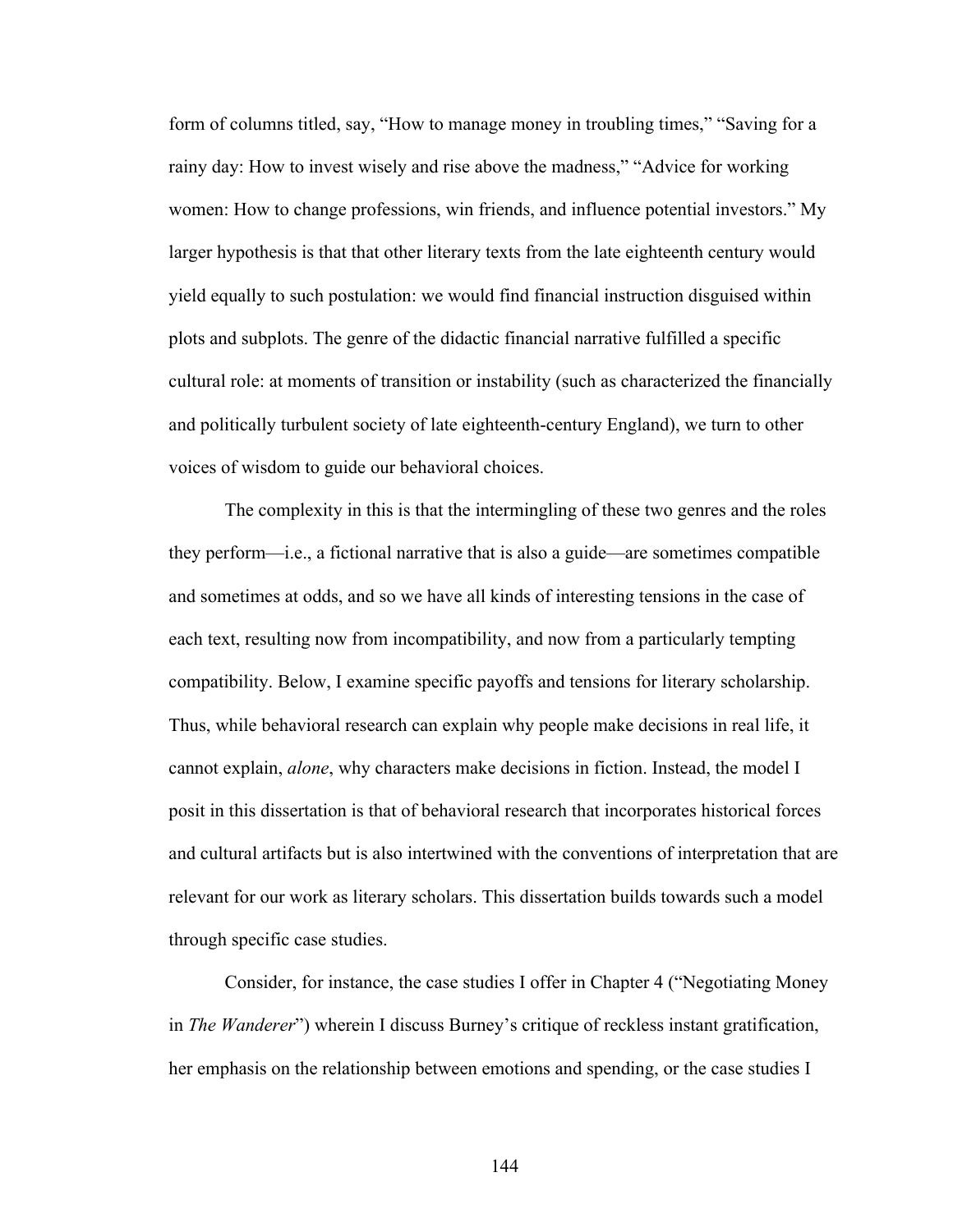form of columns titled, say, "How to manage money in troubling times," "Saving for a rainy day: How to invest wisely and rise above the madness," "Advice for working women: How to change professions, win friends, and influence potential investors." My larger hypothesis is that that other literary texts from the late eighteenth century would yield equally to such postulation: we would find financial instruction disguised within plots and subplots. The genre of the didactic financial narrative fulfilled a specific cultural role: at moments of transition or instability (such as characterized the financially and politically turbulent society of late eighteenth-century England), we turn to other voices of wisdom to guide our behavioral choices.

The complexity in this is that the intermingling of these two genres and the roles they perform—i.e., a fictional narrative that is also a guide—are sometimes compatible and sometimes at odds, and so we have all kinds of interesting tensions in the case of each text, resulting now from incompatibility, and now from a particularly tempting compatibility. Below, I examine specific payoffs and tensions for literary scholarship. Thus, while behavioral research can explain why people make decisions in real life, it cannot explain, *alone*, why characters make decisions in fiction. Instead, the model I posit in this dissertation is that of behavioral research that incorporates historical forces and cultural artifacts but is also intertwined with the conventions of interpretation that are relevant for our work as literary scholars. This dissertation builds towards such a model through specific case studies.

Consider, for instance, the case studies I offer in Chapter 4 ("Negotiating Money in *The Wanderer*") wherein I discuss Burney's critique of reckless instant gratification, her emphasis on the relationship between emotions and spending, or the case studies I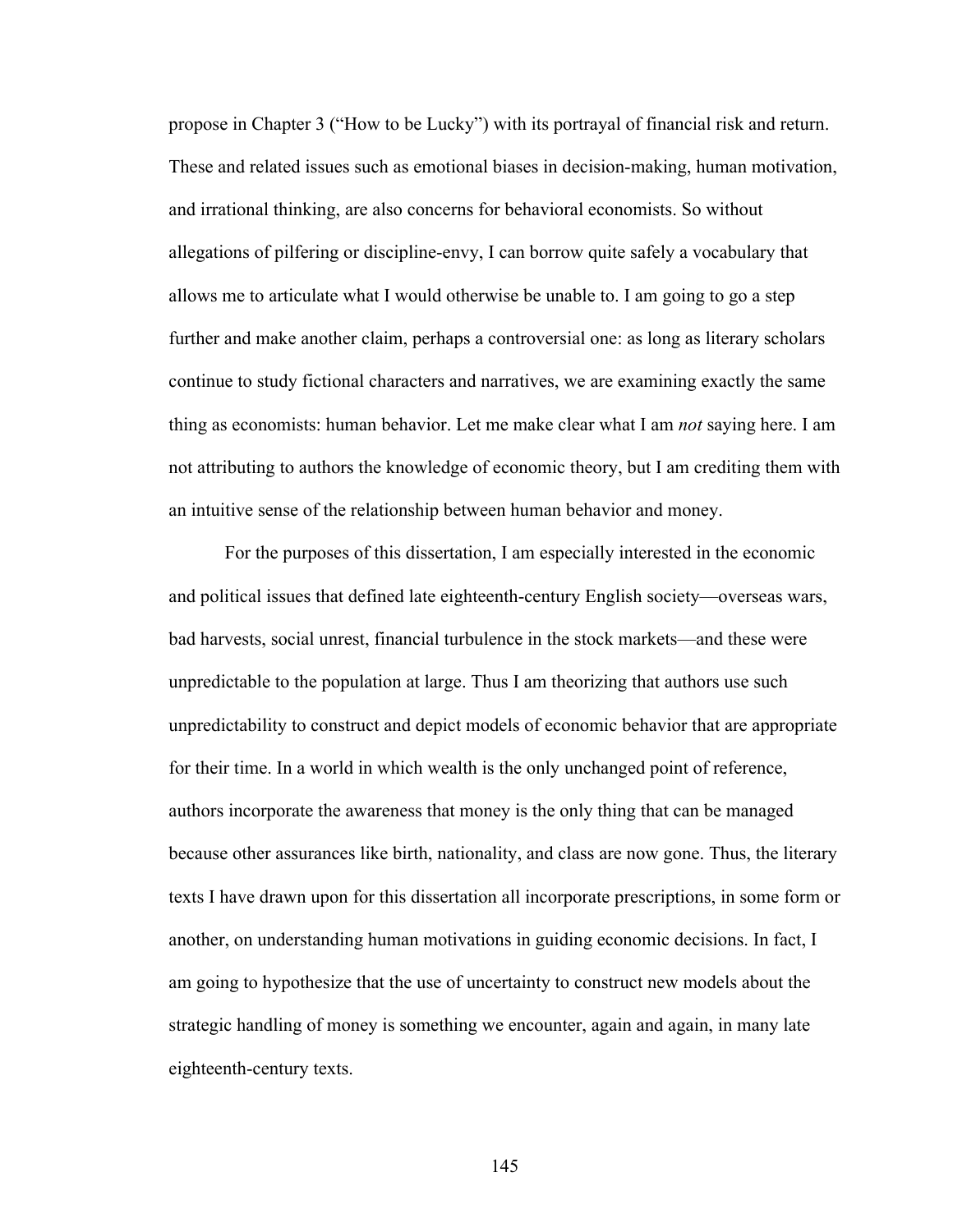propose in Chapter 3 ("How to be Lucky") with its portrayal of financial risk and return. These and related issues such as emotional biases in decision-making, human motivation, and irrational thinking, are also concerns for behavioral economists. So without allegations of pilfering or discipline-envy, I can borrow quite safely a vocabulary that allows me to articulate what I would otherwise be unable to. I am going to go a step further and make another claim, perhaps a controversial one: as long as literary scholars continue to study fictional characters and narratives, we are examining exactly the same thing as economists: human behavior. Let me make clear what I am *not* saying here. I am not attributing to authors the knowledge of economic theory, but I am crediting them with an intuitive sense of the relationship between human behavior and money.

For the purposes of this dissertation, I am especially interested in the economic and political issues that defined late eighteenth-century English society—overseas wars, bad harvests, social unrest, financial turbulence in the stock markets—and these were unpredictable to the population at large. Thus I am theorizing that authors use such unpredictability to construct and depict models of economic behavior that are appropriate for their time. In a world in which wealth is the only unchanged point of reference, authors incorporate the awareness that money is the only thing that can be managed because other assurances like birth, nationality, and class are now gone. Thus, the literary texts I have drawn upon for this dissertation all incorporate prescriptions, in some form or another, on understanding human motivations in guiding economic decisions. In fact, I am going to hypothesize that the use of uncertainty to construct new models about the strategic handling of money is something we encounter, again and again, in many late eighteenth-century texts.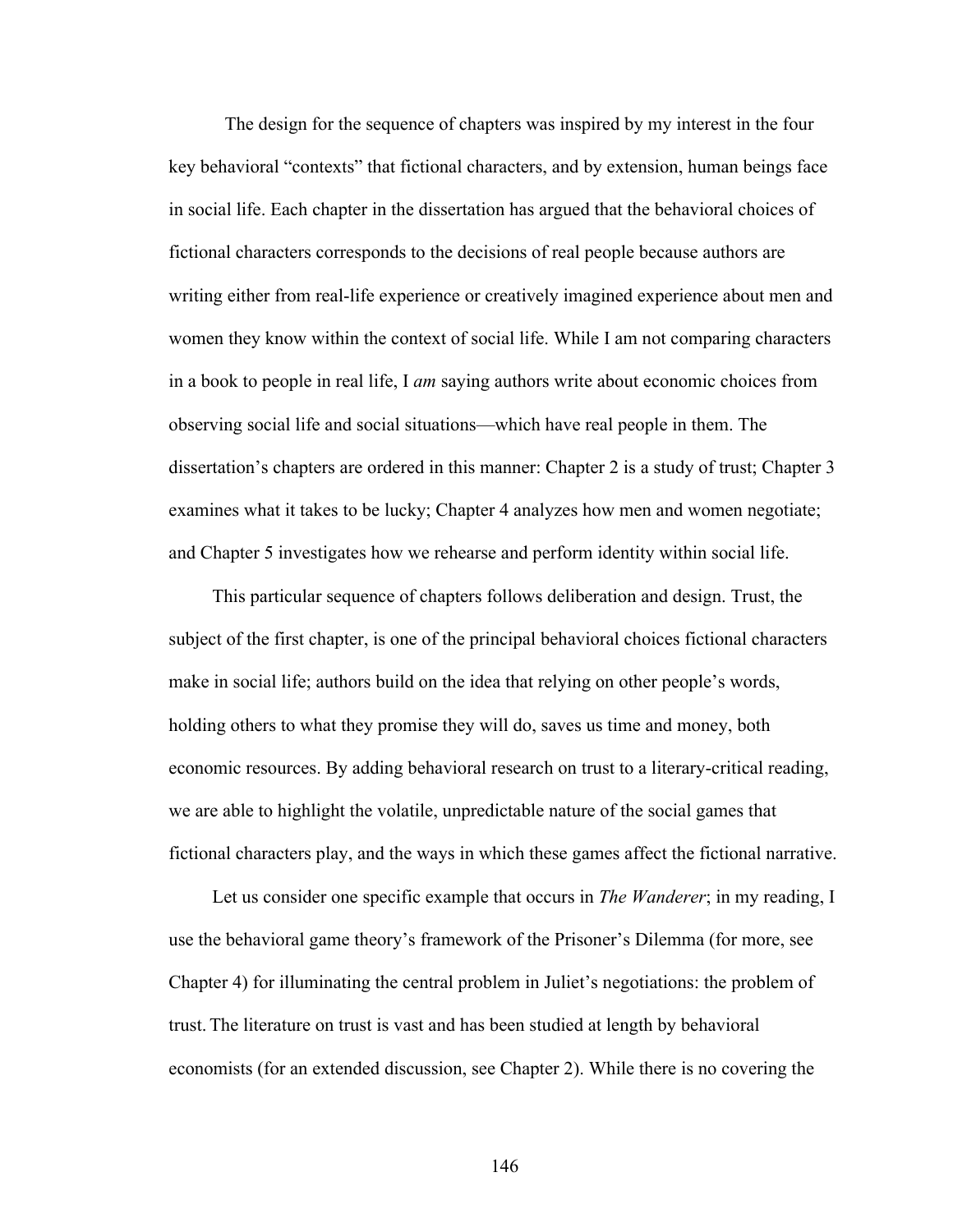The design for the sequence of chapters was inspired by my interest in the four key behavioral "contexts" that fictional characters, and by extension, human beings face in social life. Each chapter in the dissertation has argued that the behavioral choices of fictional characters corresponds to the decisions of real people because authors are writing either from real-life experience or creatively imagined experience about men and women they know within the context of social life. While I am not comparing characters in a book to people in real life, I *am* saying authors write about economic choices from observing social life and social situations—which have real people in them. The dissertation's chapters are ordered in this manner: Chapter 2 is a study of trust; Chapter 3 examines what it takes to be lucky; Chapter 4 analyzes how men and women negotiate; and Chapter 5 investigates how we rehearse and perform identity within social life.

This particular sequence of chapters follows deliberation and design. Trust, the subject of the first chapter, is one of the principal behavioral choices fictional characters make in social life; authors build on the idea that relying on other people's words, holding others to what they promise they will do, saves us time and money, both economic resources. By adding behavioral research on trust to a literary-critical reading, we are able to highlight the volatile, unpredictable nature of the social games that fictional characters play, and the ways in which these games affect the fictional narrative.

Let us consider one specific example that occurs in *The Wanderer*; in my reading, I use the behavioral game theory's framework of the Prisoner's Dilemma (for more, see Chapter 4) for illuminating the central problem in Juliet's negotiations: the problem of trust. The literature on trust is vast and has been studied at length by behavioral economists (for an extended discussion, see Chapter 2). While there is no covering the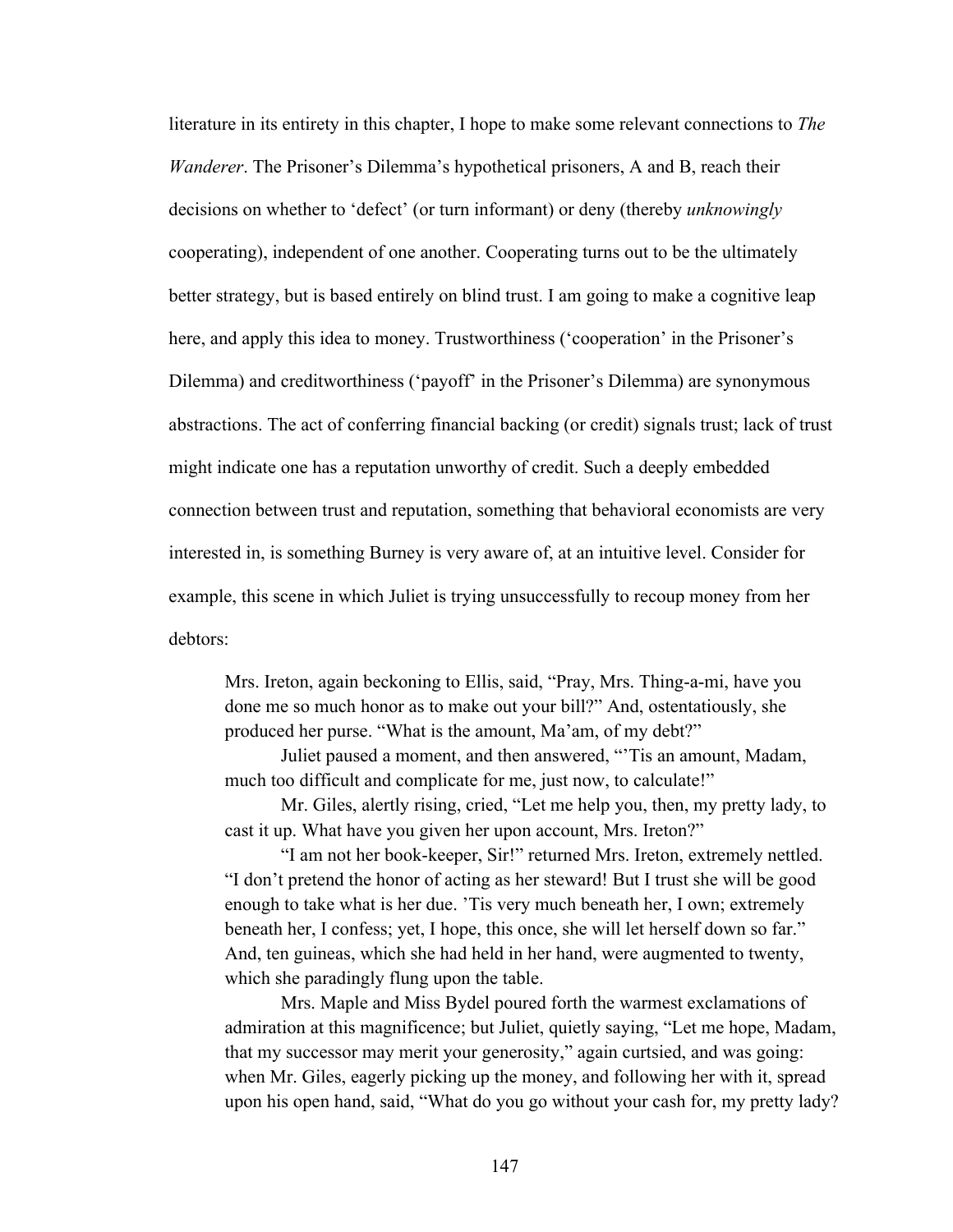literature in its entirety in this chapter, I hope to make some relevant connections to *The Wanderer*. The Prisoner's Dilemma's hypothetical prisoners, A and B, reach their decisions on whether to 'defect' (or turn informant) or deny (thereby *unknowingly*  cooperating), independent of one another. Cooperating turns out to be the ultimately better strategy, but is based entirely on blind trust. I am going to make a cognitive leap here, and apply this idea to money. Trustworthiness ('cooperation' in the Prisoner's Dilemma) and creditworthiness ('payoff' in the Prisoner's Dilemma) are synonymous abstractions. The act of conferring financial backing (or credit) signals trust; lack of trust might indicate one has a reputation unworthy of credit. Such a deeply embedded connection between trust and reputation, something that behavioral economists are very interested in, is something Burney is very aware of, at an intuitive level. Consider for example, this scene in which Juliet is trying unsuccessfully to recoup money from her debtors:

Mrs. Ireton, again beckoning to Ellis, said, "Pray, Mrs. Thing-a-mi, have you done me so much honor as to make out your bill?" And, ostentatiously, she produced her purse. "What is the amount, Ma'am, of my debt?"

Juliet paused a moment, and then answered, "'Tis an amount, Madam, much too difficult and complicate for me, just now, to calculate!"

Mr. Giles, alertly rising, cried, "Let me help you, then, my pretty lady, to cast it up. What have you given her upon account, Mrs. Ireton?"

"I am not her book-keeper, Sir!" returned Mrs. Ireton, extremely nettled. "I don't pretend the honor of acting as her steward! But I trust she will be good enough to take what is her due. 'Tis very much beneath her, I own; extremely beneath her, I confess; yet, I hope, this once, she will let herself down so far." And, ten guineas, which she had held in her hand, were augmented to twenty, which she paradingly flung upon the table.

Mrs. Maple and Miss Bydel poured forth the warmest exclamations of admiration at this magnificence; but Juliet, quietly saying, "Let me hope, Madam, that my successor may merit your generosity," again curtsied, and was going: when Mr. Giles, eagerly picking up the money, and following her with it, spread upon his open hand, said, "What do you go without your cash for, my pretty lady?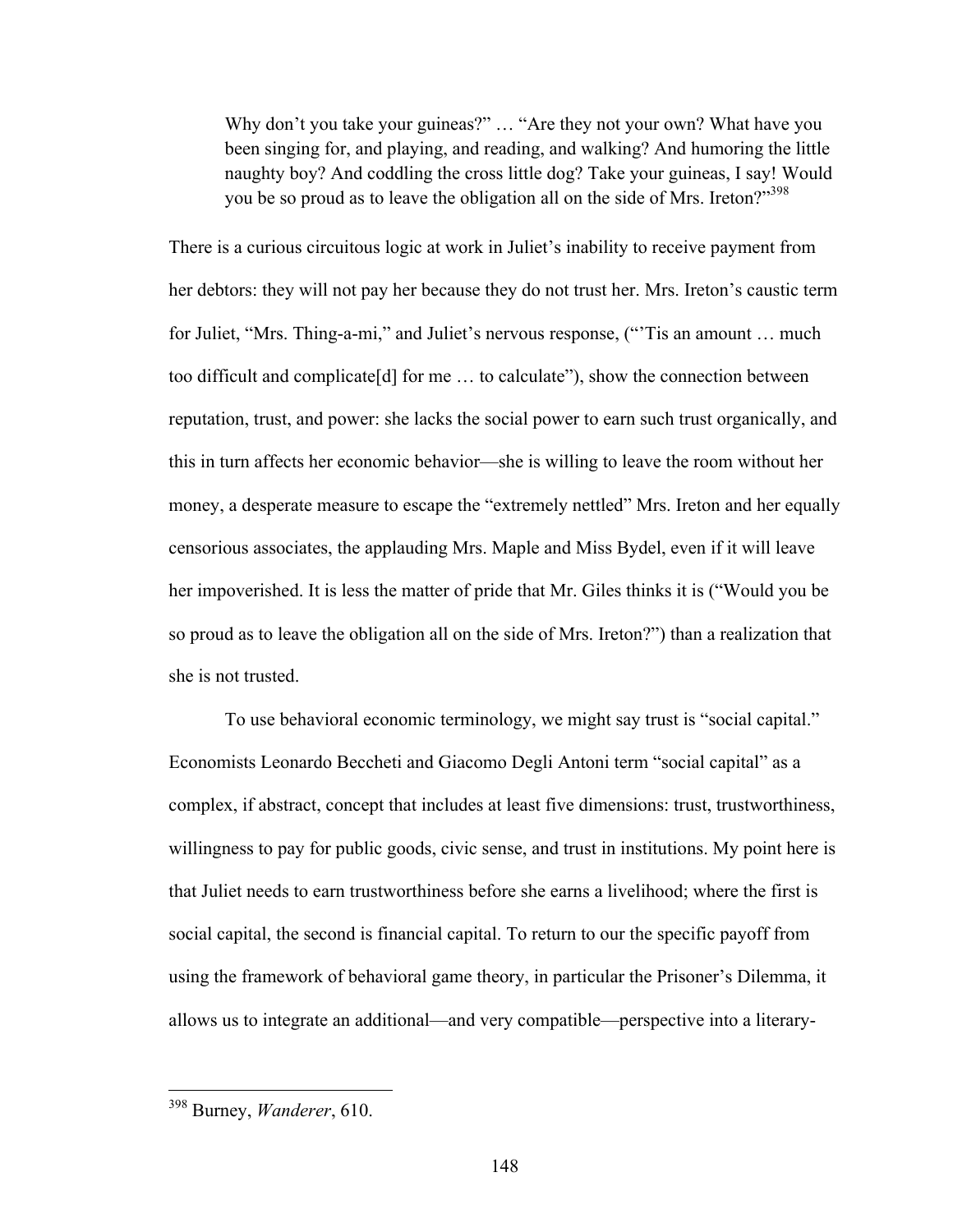Why don't you take your guineas?" ... "Are they not your own? What have you been singing for, and playing, and reading, and walking? And humoring the little naughty boy? And coddling the cross little dog? Take your guineas, I say! Would you be so proud as to leave the obligation all on the side of Mrs. Ireton?"<sup>398</sup>

There is a curious circuitous logic at work in Juliet's inability to receive payment from her debtors: they will not pay her because they do not trust her. Mrs. Ireton's caustic term for Juliet, "Mrs. Thing-a-mi," and Juliet's nervous response, ("'Tis an amount … much too difficult and complicate[d] for me … to calculate"), show the connection between reputation, trust, and power: she lacks the social power to earn such trust organically, and this in turn affects her economic behavior—she is willing to leave the room without her money, a desperate measure to escape the "extremely nettled" Mrs. Ireton and her equally censorious associates, the applauding Mrs. Maple and Miss Bydel, even if it will leave her impoverished. It is less the matter of pride that Mr. Giles thinks it is ("Would you be so proud as to leave the obligation all on the side of Mrs. Ireton?") than a realization that she is not trusted.

To use behavioral economic terminology, we might say trust is "social capital." Economists Leonardo Beccheti and Giacomo Degli Antoni term "social capital" as a complex, if abstract, concept that includes at least five dimensions: trust, trustworthiness, willingness to pay for public goods, civic sense, and trust in institutions. My point here is that Juliet needs to earn trustworthiness before she earns a livelihood; where the first is social capital, the second is financial capital. To return to our the specific payoff from using the framework of behavioral game theory, in particular the Prisoner's Dilemma, it allows us to integrate an additional—and very compatible—perspective into a literary-

 <sup>398</sup> Burney, *Wanderer*, 610.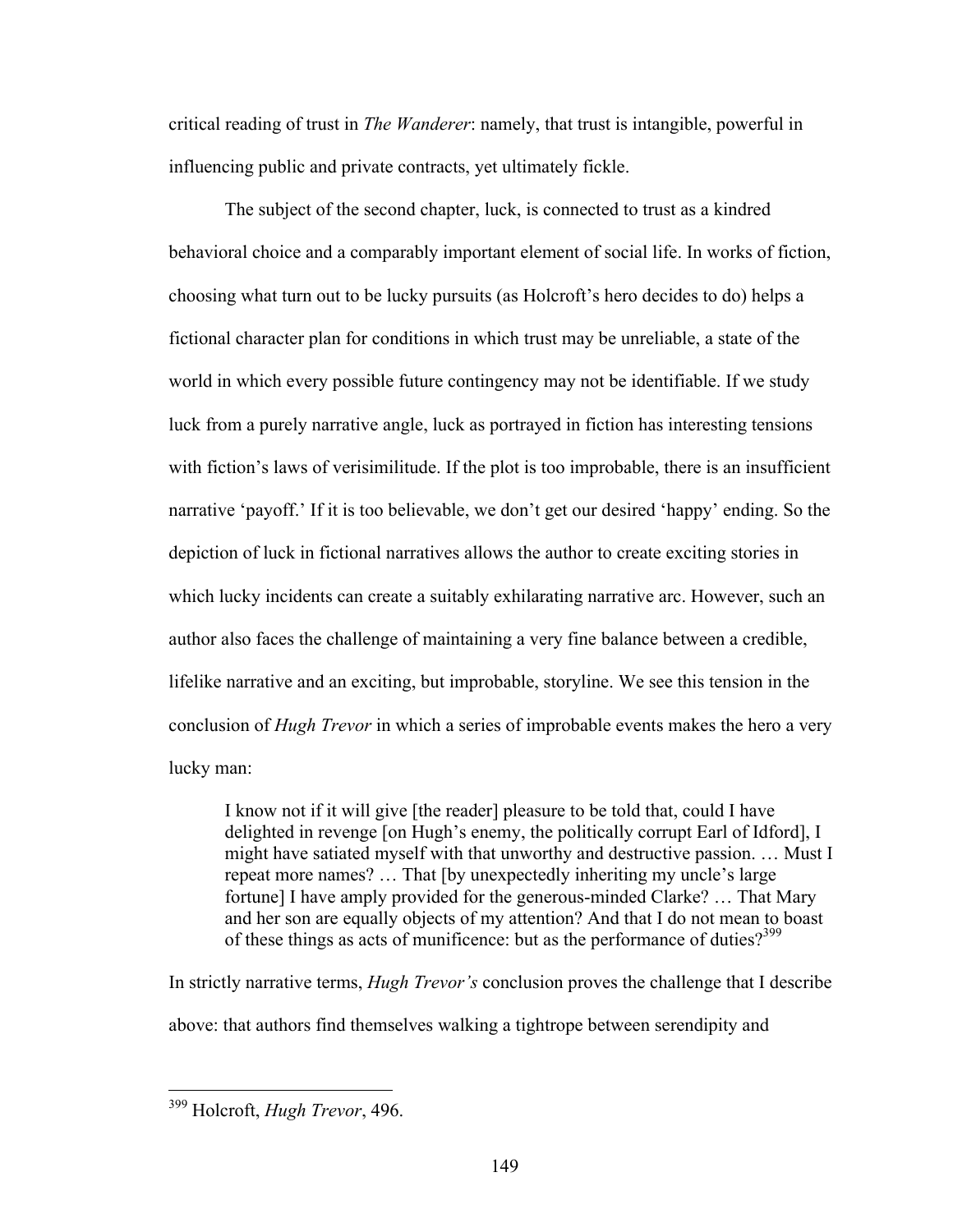critical reading of trust in *The Wanderer*: namely, that trust is intangible, powerful in influencing public and private contracts, yet ultimately fickle.

The subject of the second chapter, luck, is connected to trust as a kindred behavioral choice and a comparably important element of social life. In works of fiction, choosing what turn out to be lucky pursuits (as Holcroft's hero decides to do) helps a fictional character plan for conditions in which trust may be unreliable, a state of the world in which every possible future contingency may not be identifiable. If we study luck from a purely narrative angle, luck as portrayed in fiction has interesting tensions with fiction's laws of verisimilitude. If the plot is too improbable, there is an insufficient narrative 'payoff.' If it is too believable, we don't get our desired 'happy' ending. So the depiction of luck in fictional narratives allows the author to create exciting stories in which lucky incidents can create a suitably exhilarating narrative arc. However, such an author also faces the challenge of maintaining a very fine balance between a credible, lifelike narrative and an exciting, but improbable, storyline. We see this tension in the conclusion of *Hugh Trevor* in which a series of improbable events makes the hero a very lucky man:

I know not if it will give [the reader] pleasure to be told that, could I have delighted in revenge [on Hugh's enemy, the politically corrupt Earl of Idford], I might have satiated myself with that unworthy and destructive passion. … Must I repeat more names? … That [by unexpectedly inheriting my uncle's large fortune] I have amply provided for the generous-minded Clarke? … That Mary and her son are equally objects of my attention? And that I do not mean to boast of these things as acts of munificence: but as the performance of duties?<sup>399</sup>

In strictly narrative terms, *Hugh Trevor's* conclusion proves the challenge that I describe above: that authors find themselves walking a tightrope between serendipity and

 <sup>399</sup> Holcroft, *Hugh Trevor*, 496.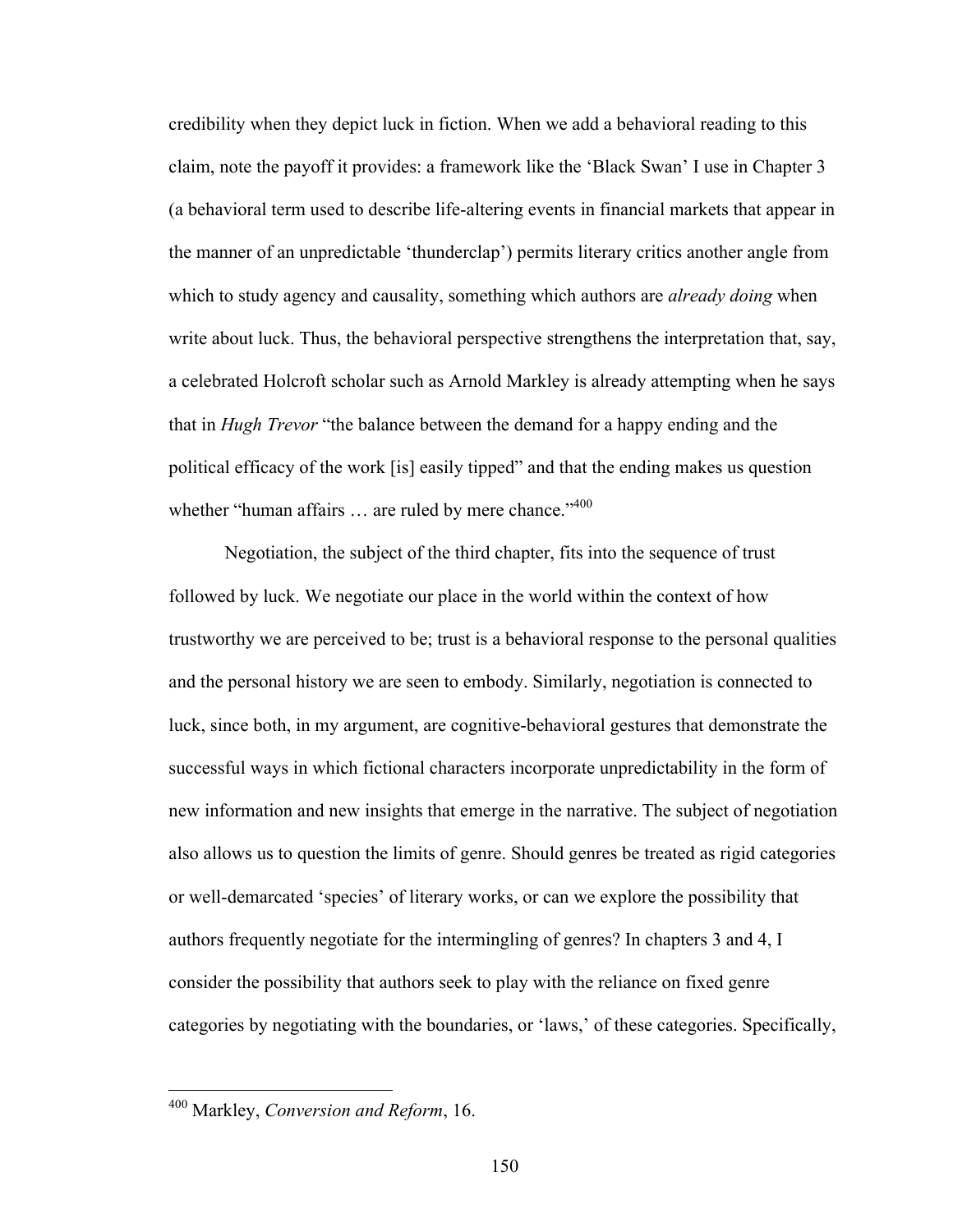credibility when they depict luck in fiction. When we add a behavioral reading to this claim, note the payoff it provides: a framework like the 'Black Swan' I use in Chapter 3 (a behavioral term used to describe life-altering events in financial markets that appear in the manner of an unpredictable 'thunderclap') permits literary critics another angle from which to study agency and causality, something which authors are *already doing* when write about luck. Thus, the behavioral perspective strengthens the interpretation that, say, a celebrated Holcroft scholar such as Arnold Markley is already attempting when he says that in *Hugh Trevor* "the balance between the demand for a happy ending and the political efficacy of the work [is] easily tipped" and that the ending makes us question whether "human affairs ... are ruled by mere chance."<sup>400</sup>

Negotiation, the subject of the third chapter, fits into the sequence of trust followed by luck. We negotiate our place in the world within the context of how trustworthy we are perceived to be; trust is a behavioral response to the personal qualities and the personal history we are seen to embody. Similarly, negotiation is connected to luck, since both, in my argument, are cognitive-behavioral gestures that demonstrate the successful ways in which fictional characters incorporate unpredictability in the form of new information and new insights that emerge in the narrative. The subject of negotiation also allows us to question the limits of genre. Should genres be treated as rigid categories or well-demarcated 'species' of literary works, or can we explore the possibility that authors frequently negotiate for the intermingling of genres? In chapters 3 and 4, I consider the possibility that authors seek to play with the reliance on fixed genre categories by negotiating with the boundaries, or 'laws,' of these categories. Specifically,

 <sup>400</sup> Markley, *Conversion and Reform*, 16.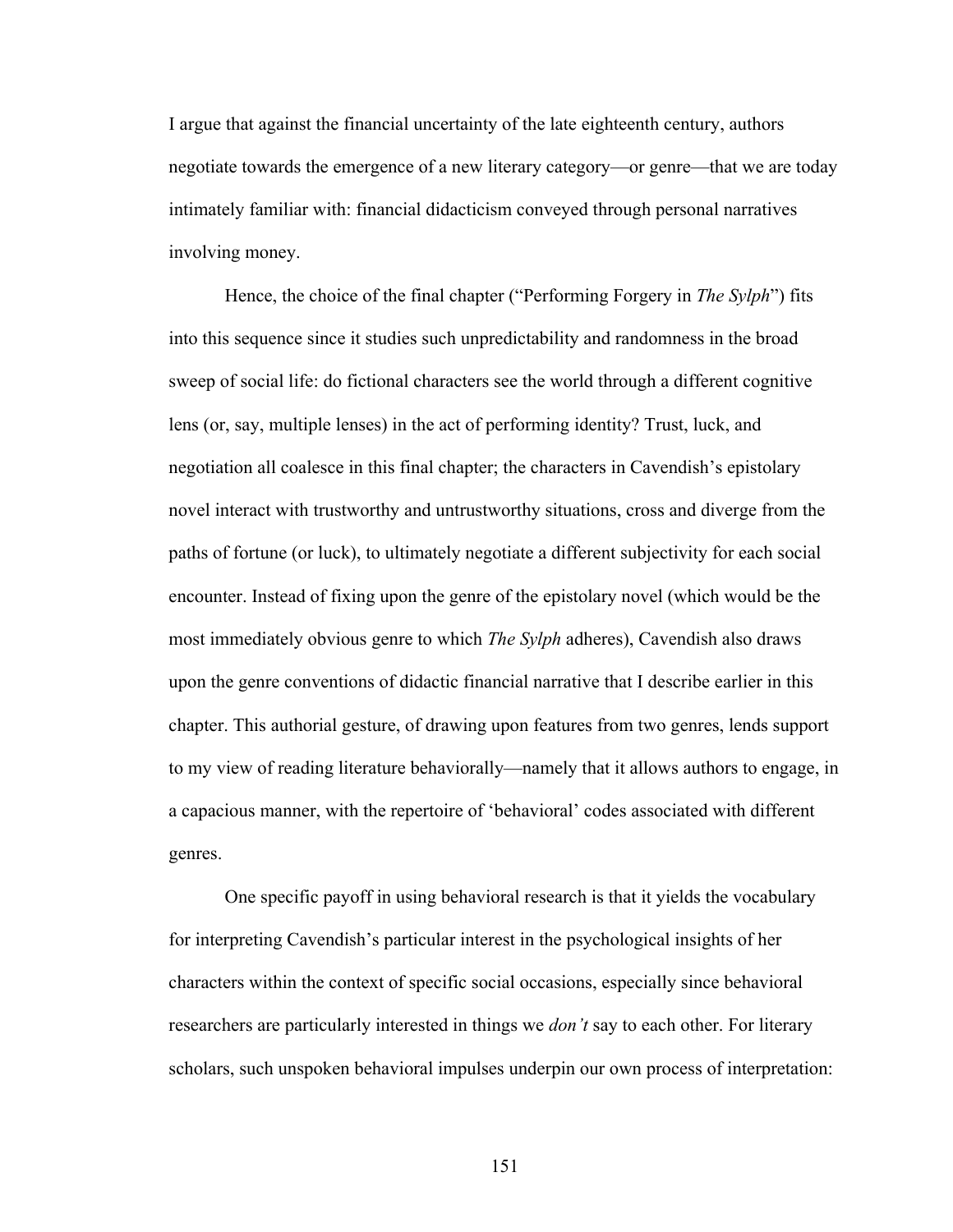I argue that against the financial uncertainty of the late eighteenth century, authors negotiate towards the emergence of a new literary category—or genre—that we are today intimately familiar with: financial didacticism conveyed through personal narratives involving money.

Hence, the choice of the final chapter ("Performing Forgery in *The Sylph*") fits into this sequence since it studies such unpredictability and randomness in the broad sweep of social life: do fictional characters see the world through a different cognitive lens (or, say, multiple lenses) in the act of performing identity? Trust, luck, and negotiation all coalesce in this final chapter; the characters in Cavendish's epistolary novel interact with trustworthy and untrustworthy situations, cross and diverge from the paths of fortune (or luck), to ultimately negotiate a different subjectivity for each social encounter. Instead of fixing upon the genre of the epistolary novel (which would be the most immediately obvious genre to which *The Sylph* adheres), Cavendish also draws upon the genre conventions of didactic financial narrative that I describe earlier in this chapter. This authorial gesture, of drawing upon features from two genres, lends support to my view of reading literature behaviorally—namely that it allows authors to engage, in a capacious manner, with the repertoire of 'behavioral' codes associated with different genres.

One specific payoff in using behavioral research is that it yields the vocabulary for interpreting Cavendish's particular interest in the psychological insights of her characters within the context of specific social occasions, especially since behavioral researchers are particularly interested in things we *don't* say to each other. For literary scholars, such unspoken behavioral impulses underpin our own process of interpretation: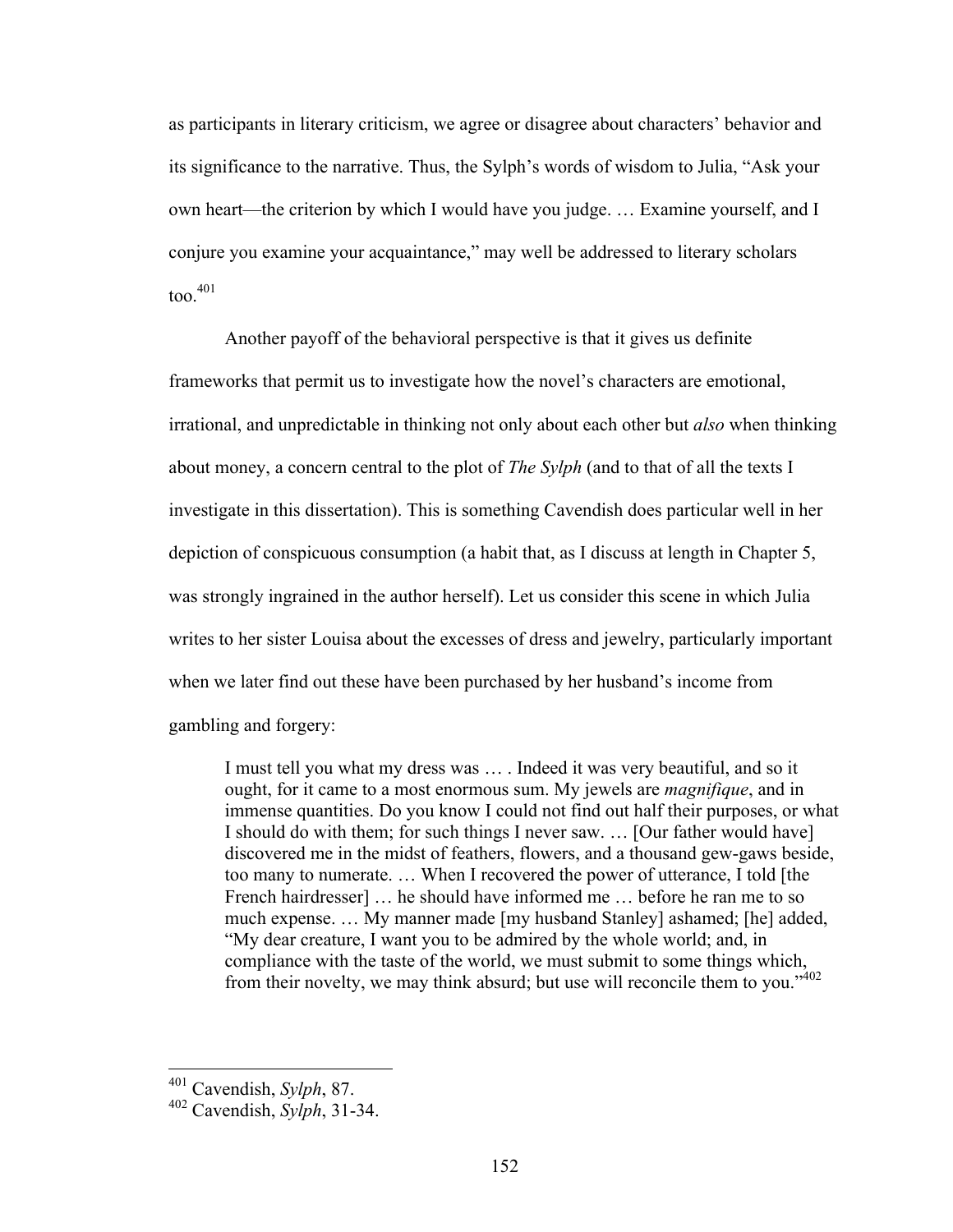as participants in literary criticism, we agree or disagree about characters' behavior and its significance to the narrative. Thus, the Sylph's words of wisdom to Julia, "Ask your own heart—the criterion by which I would have you judge. … Examine yourself, and I conjure you examine your acquaintance," may well be addressed to literary scholars  $\text{too.}^{401}$ 

Another payoff of the behavioral perspective is that it gives us definite frameworks that permit us to investigate how the novel's characters are emotional, irrational, and unpredictable in thinking not only about each other but *also* when thinking about money, a concern central to the plot of *The Sylph* (and to that of all the texts I investigate in this dissertation). This is something Cavendish does particular well in her depiction of conspicuous consumption (a habit that, as I discuss at length in Chapter 5, was strongly ingrained in the author herself). Let us consider this scene in which Julia writes to her sister Louisa about the excesses of dress and jewelry, particularly important when we later find out these have been purchased by her husband's income from gambling and forgery:

I must tell you what my dress was … . Indeed it was very beautiful, and so it ought, for it came to a most enormous sum. My jewels are *magnifique*, and in immense quantities. Do you know I could not find out half their purposes, or what I should do with them; for such things I never saw. … [Our father would have] discovered me in the midst of feathers, flowers, and a thousand gew-gaws beside, too many to numerate. … When I recovered the power of utterance, I told [the French hairdresser] … he should have informed me … before he ran me to so much expense. … My manner made [my husband Stanley] ashamed; [he] added, "My dear creature, I want you to be admired by the whole world; and, in compliance with the taste of the world, we must submit to some things which, from their novelty, we may think absurd; but use will reconcile them to you."<sup>402</sup>

 <sup>401</sup> Cavendish, *Sylph*, 87.

<sup>402</sup> Cavendish, *Sylph*, 31-34.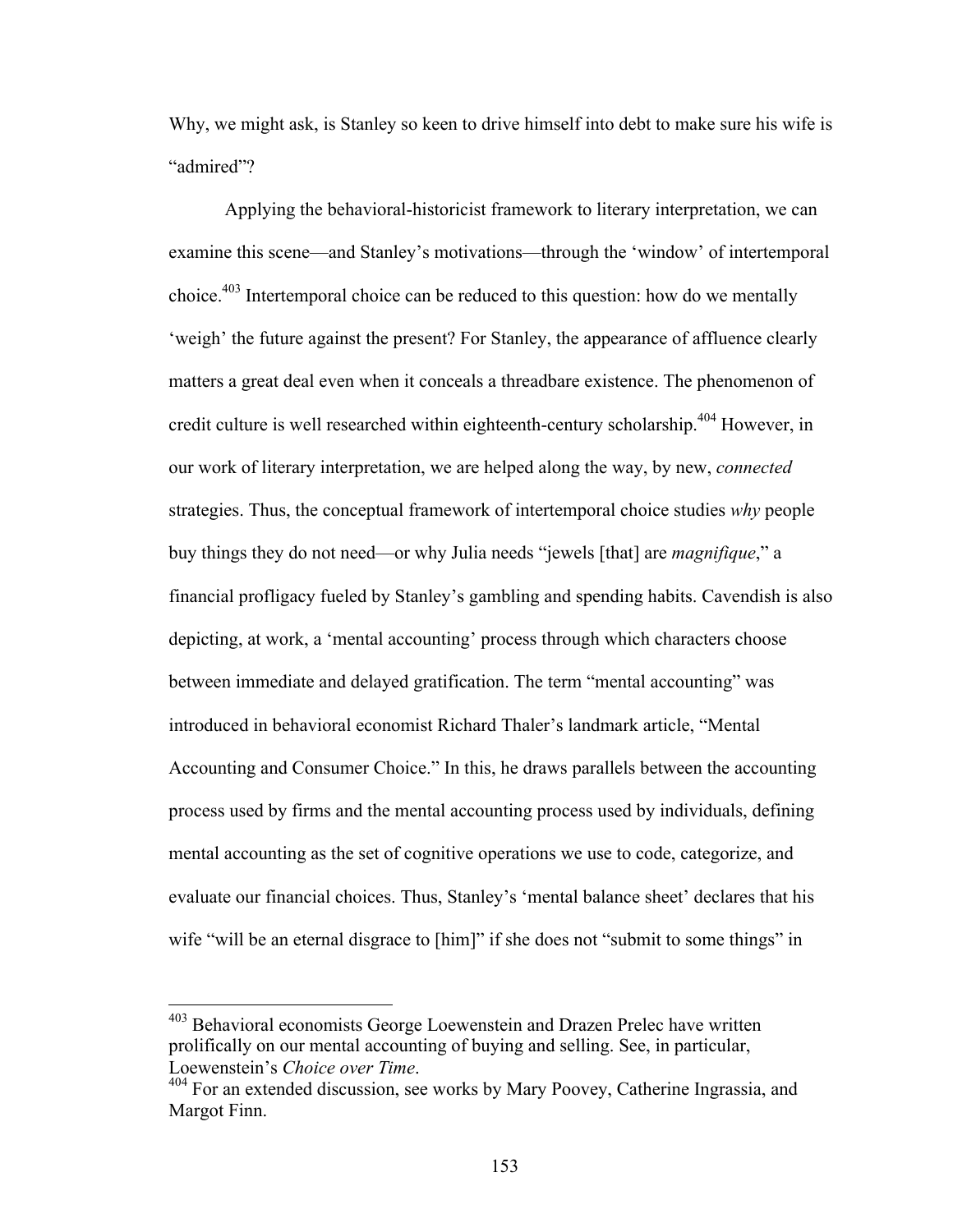Why, we might ask, is Stanley so keen to drive himself into debt to make sure his wife is "admired"?

Applying the behavioral-historicist framework to literary interpretation, we can examine this scene—and Stanley's motivations—through the 'window' of intertemporal choice.<sup>403</sup> Intertemporal choice can be reduced to this question: how do we mentally 'weigh' the future against the present? For Stanley, the appearance of affluence clearly matters a great deal even when it conceals a threadbare existence. The phenomenon of credit culture is well researched within eighteenth-century scholarship.<sup>404</sup> However, in our work of literary interpretation, we are helped along the way, by new, *connected* strategies. Thus, the conceptual framework of intertemporal choice studies *why* people buy things they do not need—or why Julia needs "jewels [that] are *magnifique*," a financial profligacy fueled by Stanley's gambling and spending habits. Cavendish is also depicting, at work, a 'mental accounting' process through which characters choose between immediate and delayed gratification. The term "mental accounting" was introduced in behavioral economist Richard Thaler's landmark article, "Mental Accounting and Consumer Choice." In this, he draws parallels between the accounting process used by firms and the mental accounting process used by individuals, defining mental accounting as the set of cognitive operations we use to code, categorize, and evaluate our financial choices. Thus, Stanley's 'mental balance sheet' declares that his wife "will be an eternal disgrace to [him]" if she does not "submit to some things" in

 <sup>403</sup> Behavioral economists George Loewenstein and Drazen Prelec have written prolifically on our mental accounting of buying and selling. See, in particular, Loewenstein's *Choice over Time*.<br><sup>404</sup> For an extended discussion, see works by Mary Poovey, Catherine Ingrassia, and

Margot Finn.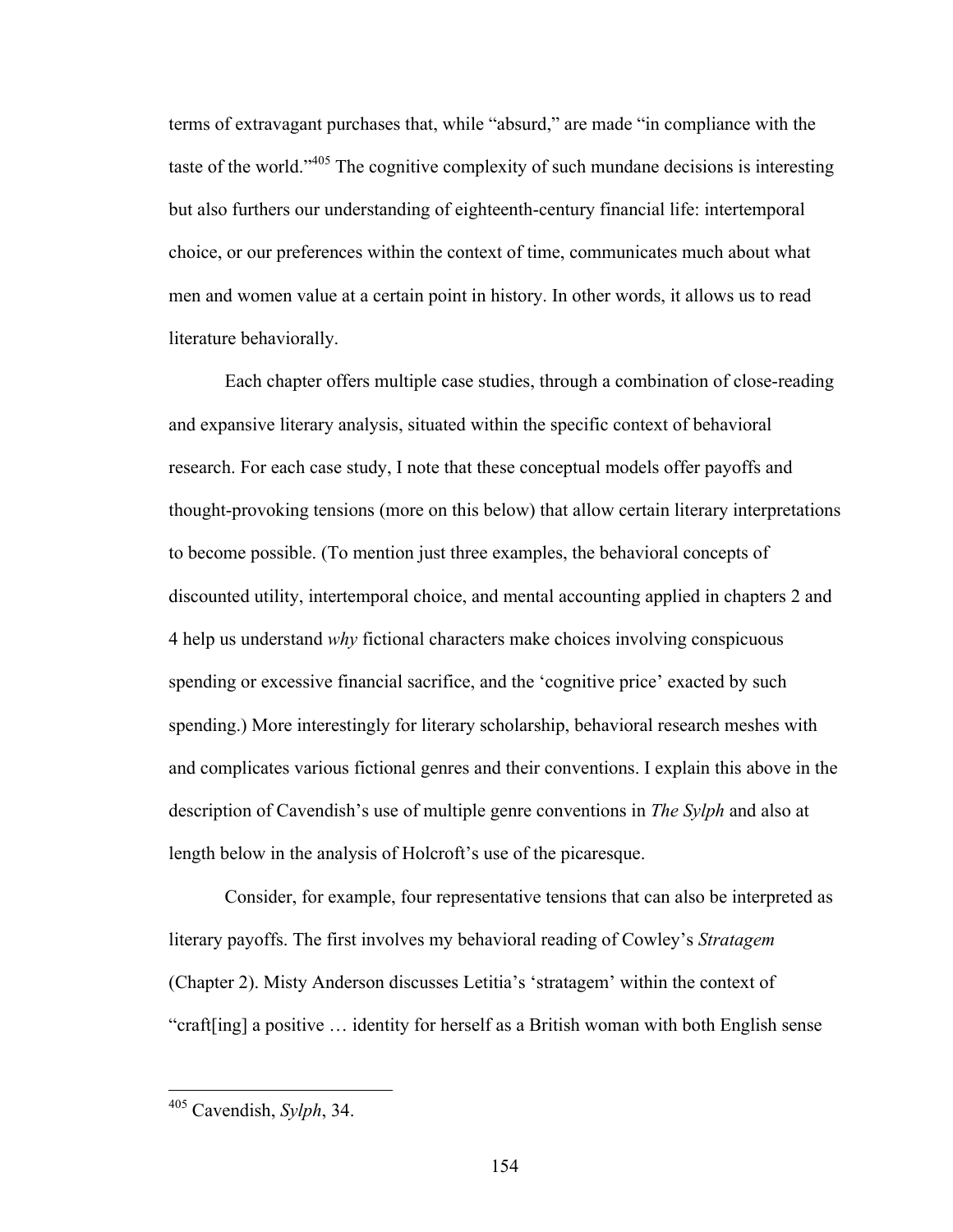terms of extravagant purchases that, while "absurd," are made "in compliance with the taste of the world."405 The cognitive complexity of such mundane decisions is interesting but also furthers our understanding of eighteenth-century financial life: intertemporal choice, or our preferences within the context of time, communicates much about what men and women value at a certain point in history. In other words, it allows us to read literature behaviorally.

Each chapter offers multiple case studies, through a combination of close-reading and expansive literary analysis, situated within the specific context of behavioral research. For each case study, I note that these conceptual models offer payoffs and thought-provoking tensions (more on this below) that allow certain literary interpretations to become possible. (To mention just three examples, the behavioral concepts of discounted utility, intertemporal choice, and mental accounting applied in chapters 2 and 4 help us understand *why* fictional characters make choices involving conspicuous spending or excessive financial sacrifice, and the 'cognitive price' exacted by such spending.) More interestingly for literary scholarship, behavioral research meshes with and complicates various fictional genres and their conventions. I explain this above in the description of Cavendish's use of multiple genre conventions in *The Sylph* and also at length below in the analysis of Holcroft's use of the picaresque.

Consider, for example, four representative tensions that can also be interpreted as literary payoffs. The first involves my behavioral reading of Cowley's *Stratagem* (Chapter 2). Misty Anderson discusses Letitia's 'stratagem' within the context of "craft[ing] a positive … identity for herself as a British woman with both English sense

 <sup>405</sup> Cavendish, *Sylph*, 34.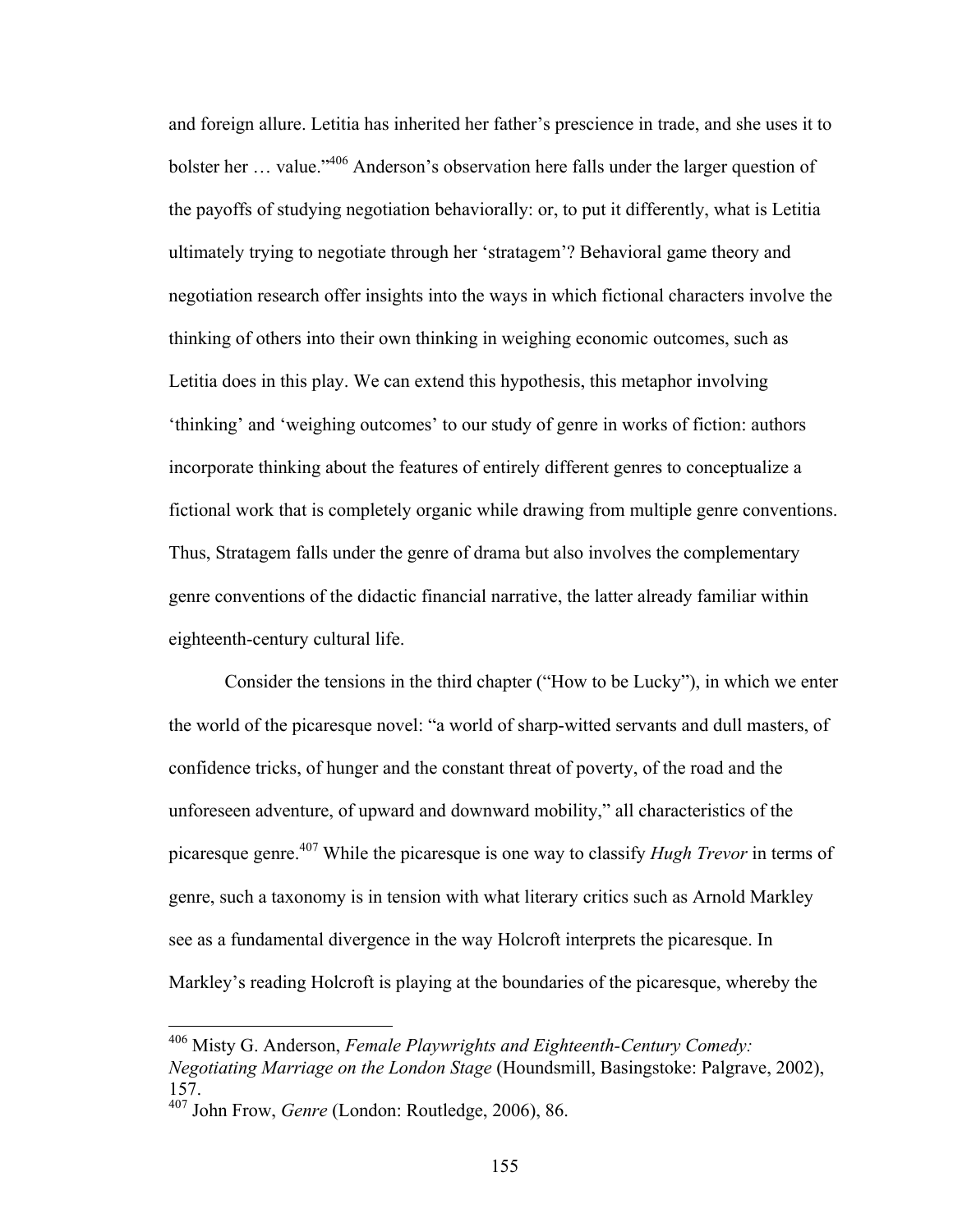and foreign allure. Letitia has inherited her father's prescience in trade, and she uses it to bolster her ... value."<sup>406</sup> Anderson's observation here falls under the larger question of the payoffs of studying negotiation behaviorally: or, to put it differently, what is Letitia ultimately trying to negotiate through her 'stratagem'? Behavioral game theory and negotiation research offer insights into the ways in which fictional characters involve the thinking of others into their own thinking in weighing economic outcomes, such as Letitia does in this play. We can extend this hypothesis, this metaphor involving 'thinking' and 'weighing outcomes' to our study of genre in works of fiction: authors incorporate thinking about the features of entirely different genres to conceptualize a fictional work that is completely organic while drawing from multiple genre conventions. Thus, Stratagem falls under the genre of drama but also involves the complementary genre conventions of the didactic financial narrative, the latter already familiar within eighteenth-century cultural life.

Consider the tensions in the third chapter ("How to be Lucky"), in which we enter the world of the picaresque novel: "a world of sharp-witted servants and dull masters, of confidence tricks, of hunger and the constant threat of poverty, of the road and the unforeseen adventure, of upward and downward mobility," all characteristics of the picaresque genre.<sup>407</sup> While the picaresque is one way to classify *Hugh Trevor* in terms of genre, such a taxonomy is in tension with what literary critics such as Arnold Markley see as a fundamental divergence in the way Holcroft interprets the picaresque. In Markley's reading Holcroft is playing at the boundaries of the picaresque, whereby the

 <sup>406</sup> Misty G. Anderson, *Female Playwrights and Eighteenth-Century Comedy: Negotiating Marriage on the London Stage* (Houndsmill, Basingstoke: Palgrave, 2002), 157.

<sup>407</sup> John Frow, *Genre* (London: Routledge, 2006), 86.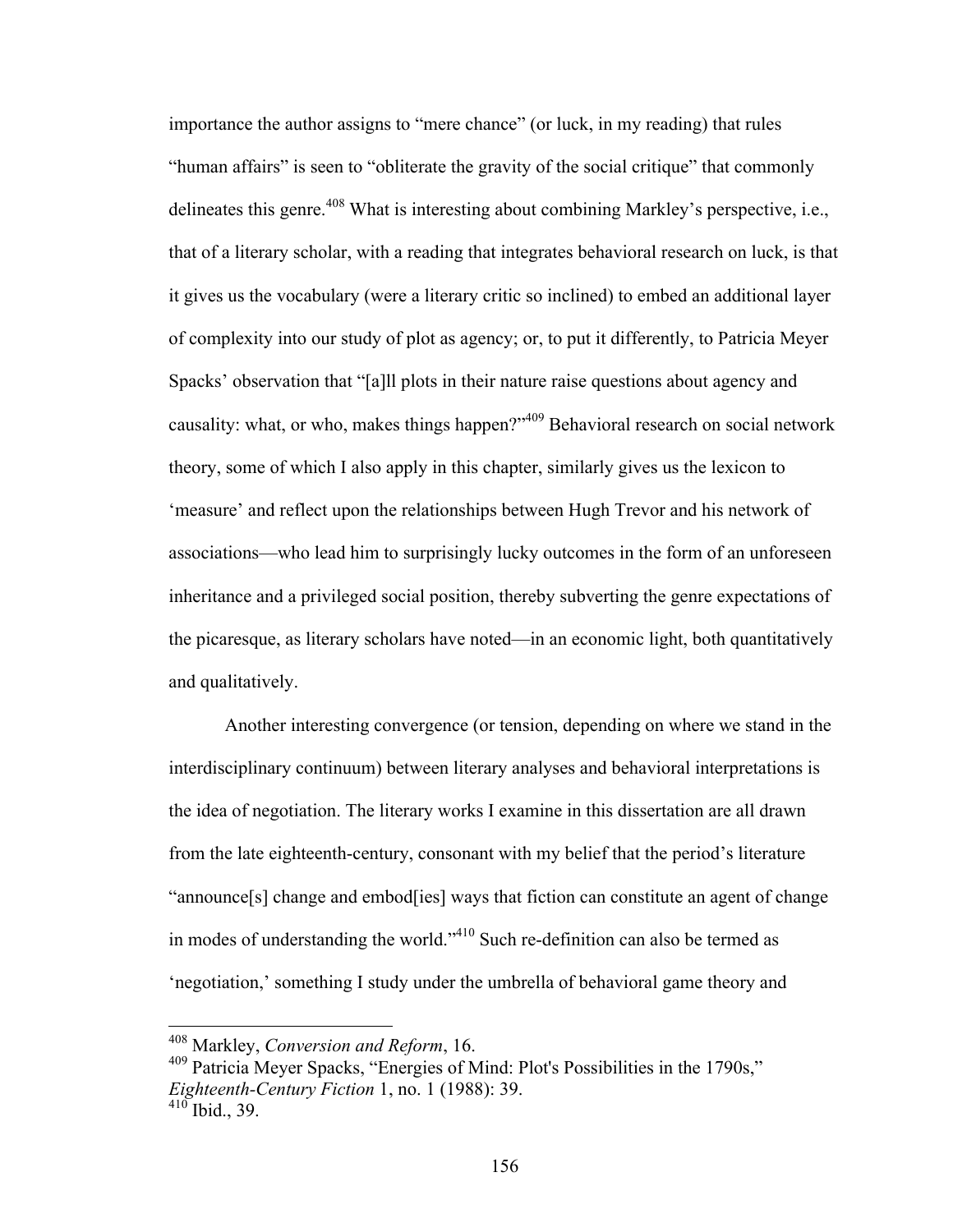importance the author assigns to "mere chance" (or luck, in my reading) that rules "human affairs" is seen to "obliterate the gravity of the social critique" that commonly delineates this genre.<sup>408</sup> What is interesting about combining Markley's perspective, i.e., that of a literary scholar, with a reading that integrates behavioral research on luck, is that it gives us the vocabulary (were a literary critic so inclined) to embed an additional layer of complexity into our study of plot as agency; or, to put it differently, to Patricia Meyer Spacks' observation that "[a]ll plots in their nature raise questions about agency and causality: what, or who, makes things happen?"<sup>409</sup> Behavioral research on social network theory, some of which I also apply in this chapter, similarly gives us the lexicon to 'measure' and reflect upon the relationships between Hugh Trevor and his network of associations—who lead him to surprisingly lucky outcomes in the form of an unforeseen inheritance and a privileged social position, thereby subverting the genre expectations of the picaresque, as literary scholars have noted—in an economic light, both quantitatively and qualitatively.

Another interesting convergence (or tension, depending on where we stand in the interdisciplinary continuum) between literary analyses and behavioral interpretations is the idea of negotiation. The literary works I examine in this dissertation are all drawn from the late eighteenth-century, consonant with my belief that the period's literature "announce[s] change and embod[ies] ways that fiction can constitute an agent of change in modes of understanding the world."410 Such re-definition can also be termed as 'negotiation,' something I study under the umbrella of behavioral game theory and

 <sup>408</sup> Markley, *Conversion and Reform*, 16.

<sup>409</sup> Patricia Meyer Spacks, "Energies of Mind: Plot's Possibilities in the 1790s," *Eighteenth-Century Fiction* 1, no. 1 (1988): 39.  $^{410}$  Ibid., 39.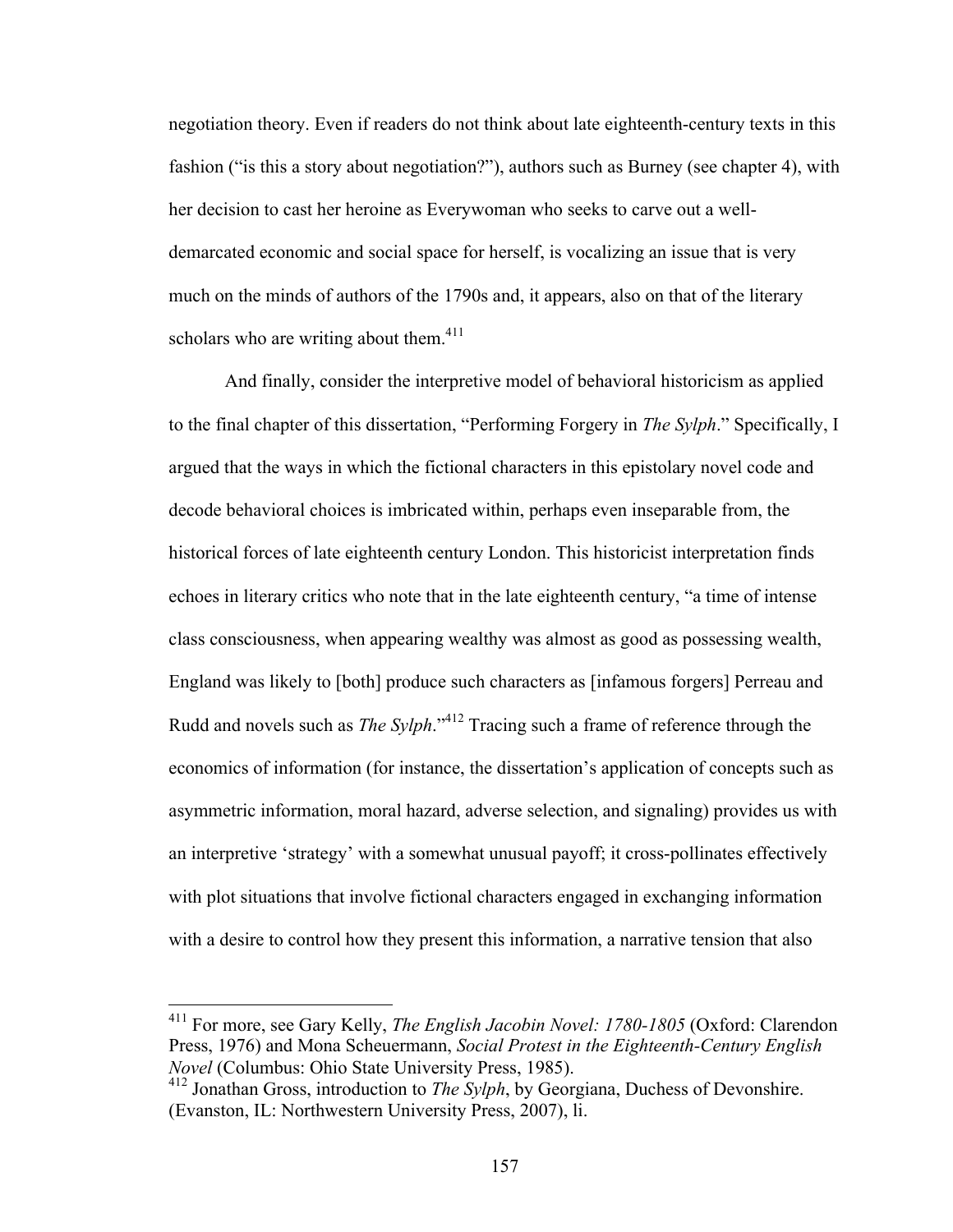negotiation theory. Even if readers do not think about late eighteenth-century texts in this fashion ("is this a story about negotiation?"), authors such as Burney (see chapter 4), with her decision to cast her heroine as Everywoman who seeks to carve out a welldemarcated economic and social space for herself, is vocalizing an issue that is very much on the minds of authors of the 1790s and, it appears, also on that of the literary scholars who are writing about them. $411$ 

And finally, consider the interpretive model of behavioral historicism as applied to the final chapter of this dissertation, "Performing Forgery in *The Sylph*." Specifically, I argued that the ways in which the fictional characters in this epistolary novel code and decode behavioral choices is imbricated within, perhaps even inseparable from, the historical forces of late eighteenth century London. This historicist interpretation finds echoes in literary critics who note that in the late eighteenth century, "a time of intense class consciousness, when appearing wealthy was almost as good as possessing wealth, England was likely to [both] produce such characters as [infamous forgers] Perreau and Rudd and novels such as *The Sylph*."412 Tracing such a frame of reference through the economics of information (for instance, the dissertation's application of concepts such as asymmetric information, moral hazard, adverse selection, and signaling) provides us with an interpretive 'strategy' with a somewhat unusual payoff; it cross-pollinates effectively with plot situations that involve fictional characters engaged in exchanging information with a desire to control how they present this information, a narrative tension that also

 <sup>411</sup> For more, see Gary Kelly, *The English Jacobin Novel: 1780-1805* (Oxford: Clarendon Press, 1976) and Mona Scheuermann, *Social Protest in the Eighteenth-Century English Novel* (Columbus: Ohio State University Press, 1985).

<sup>&</sup>lt;sup>412</sup> Jonathan Gross, introduction to *The Sylph*, by Georgiana, Duchess of Devonshire. (Evanston, IL: Northwestern University Press, 2007), li.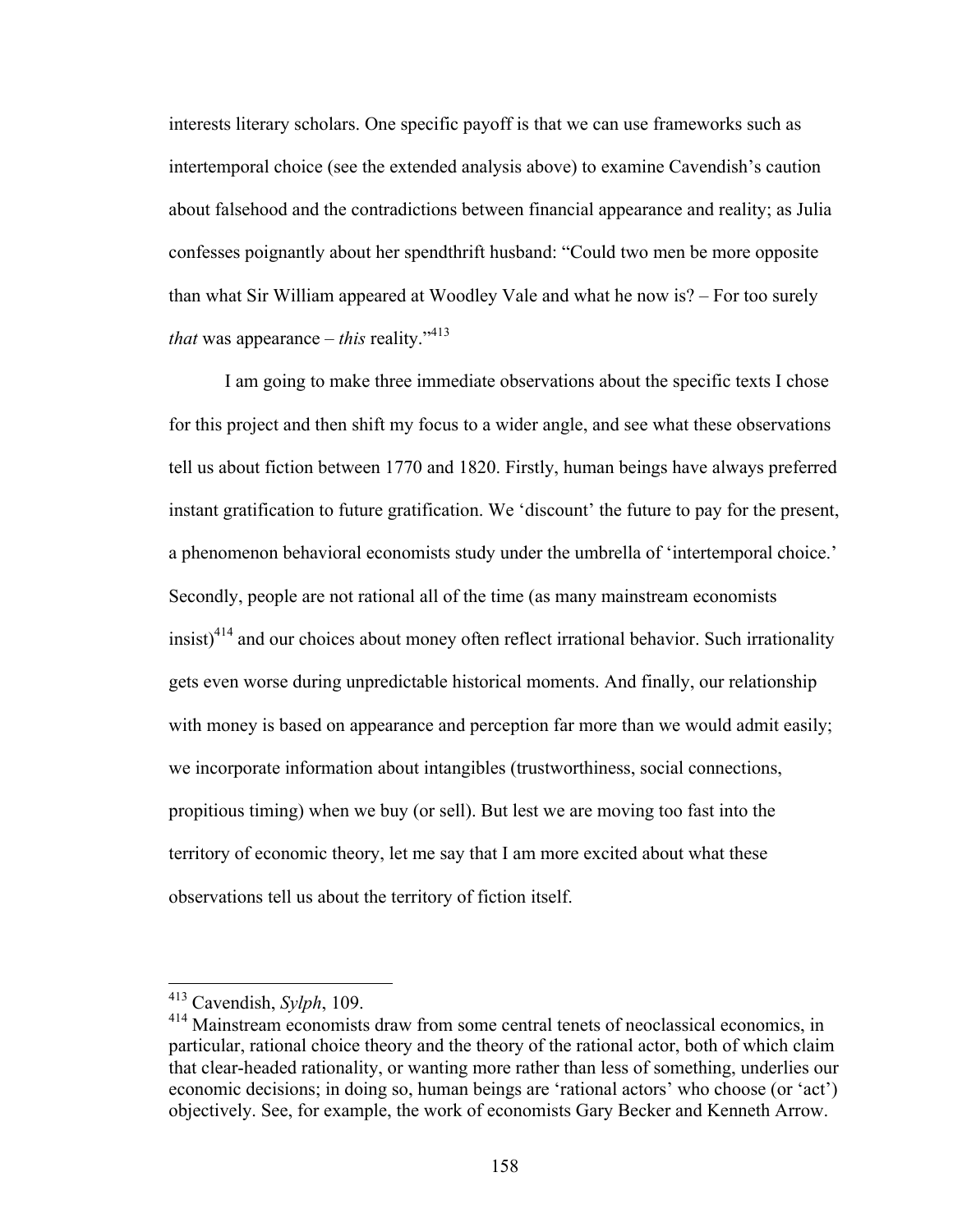interests literary scholars. One specific payoff is that we can use frameworks such as intertemporal choice (see the extended analysis above) to examine Cavendish's caution about falsehood and the contradictions between financial appearance and reality; as Julia confesses poignantly about her spendthrift husband: "Could two men be more opposite than what Sir William appeared at Woodley Vale and what he now is? – For too surely *that* was appearance – *this* reality.<sup> $2413$ </sup>

I am going to make three immediate observations about the specific texts I chose for this project and then shift my focus to a wider angle, and see what these observations tell us about fiction between 1770 and 1820. Firstly, human beings have always preferred instant gratification to future gratification. We 'discount' the future to pay for the present, a phenomenon behavioral economists study under the umbrella of 'intertemporal choice.' Secondly, people are not rational all of the time (as many mainstream economists  $\text{in}$ sist)<sup>414</sup> and our choices about money often reflect irrational behavior. Such irrationality gets even worse during unpredictable historical moments. And finally, our relationship with money is based on appearance and perception far more than we would admit easily; we incorporate information about intangibles (trustworthiness, social connections, propitious timing) when we buy (or sell). But lest we are moving too fast into the territory of economic theory, let me say that I am more excited about what these observations tell us about the territory of fiction itself.

 <sup>413</sup> Cavendish, *Sylph*, 109.

<sup>&</sup>lt;sup>414</sup> Mainstream economists draw from some central tenets of neoclassical economics, in particular, rational choice theory and the theory of the rational actor, both of which claim that clear-headed rationality, or wanting more rather than less of something, underlies our economic decisions; in doing so, human beings are 'rational actors' who choose (or 'act') objectively. See, for example, the work of economists Gary Becker and Kenneth Arrow.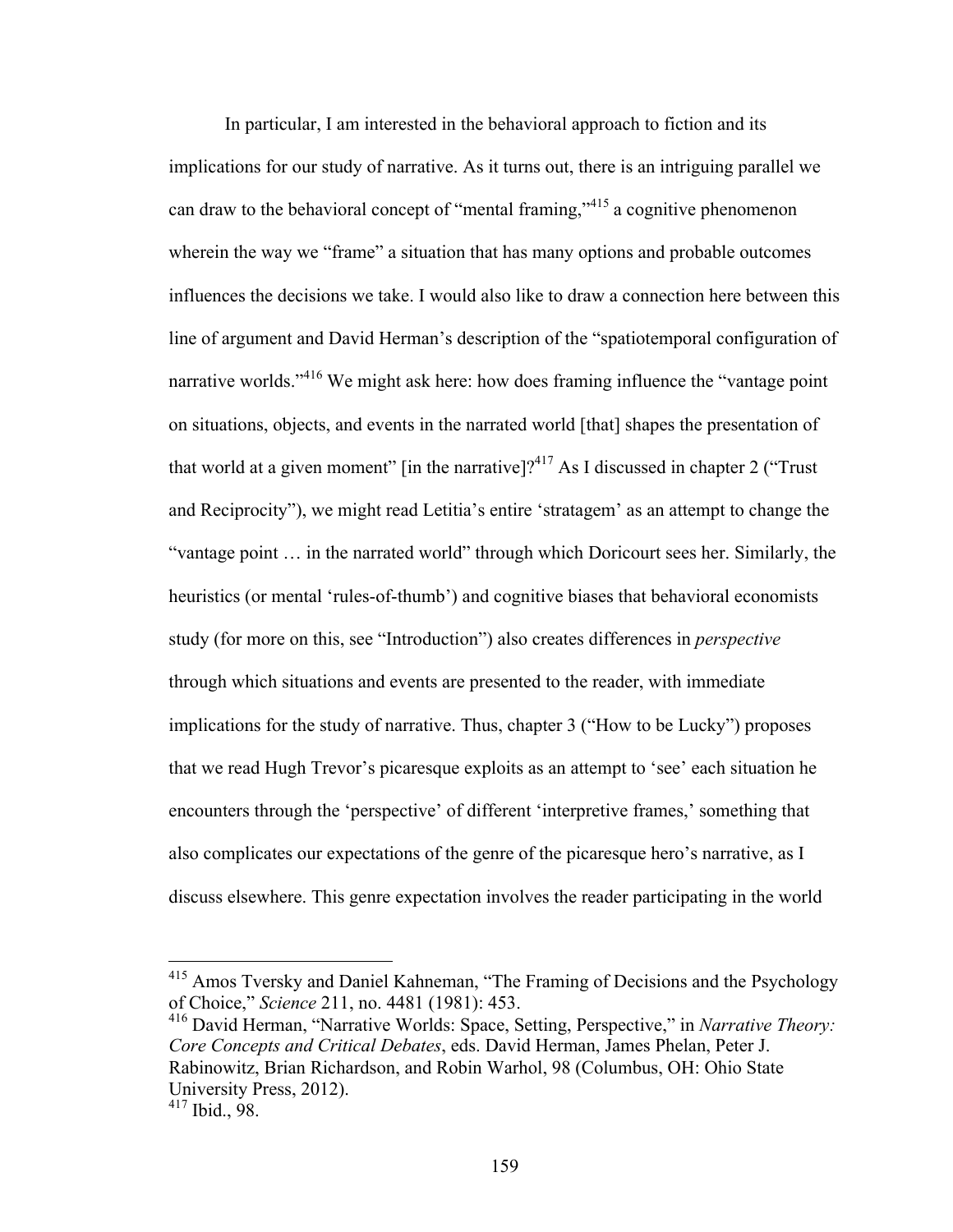In particular, I am interested in the behavioral approach to fiction and its implications for our study of narrative. As it turns out, there is an intriguing parallel we can draw to the behavioral concept of "mental framing,"<sup>415</sup> a cognitive phenomenon wherein the way we "frame" a situation that has many options and probable outcomes influences the decisions we take. I would also like to draw a connection here between this line of argument and David Herman's description of the "spatiotemporal configuration of narrative worlds."<sup>416</sup> We might ask here: how does framing influence the "vantage point" on situations, objects, and events in the narrated world [that] shapes the presentation of that world at a given moment" [in the narrative]?<sup>417</sup> As I discussed in chapter 2 ("Trust") and Reciprocity"), we might read Letitia's entire 'stratagem' as an attempt to change the "vantage point … in the narrated world" through which Doricourt sees her. Similarly, the heuristics (or mental 'rules-of-thumb') and cognitive biases that behavioral economists study (for more on this, see "Introduction") also creates differences in *perspective* through which situations and events are presented to the reader, with immediate implications for the study of narrative. Thus, chapter 3 ("How to be Lucky") proposes that we read Hugh Trevor's picaresque exploits as an attempt to 'see' each situation he encounters through the 'perspective' of different 'interpretive frames,' something that also complicates our expectations of the genre of the picaresque hero's narrative, as I discuss elsewhere. This genre expectation involves the reader participating in the world

 <sup>415</sup> Amos Tversky and Daniel Kahneman, "The Framing of Decisions and the Psychology of Choice," *Science* 211, no. 4481 (1981): 453.

<sup>416</sup> David Herman, "Narrative Worlds: Space, Setting, Perspective," in *Narrative Theory: Core Concepts and Critical Debates*, eds. David Herman, James Phelan, Peter J. Rabinowitz, Brian Richardson, and Robin Warhol, 98 (Columbus, OH: Ohio State University Press, 2012).

 $417$  Ibid., 98.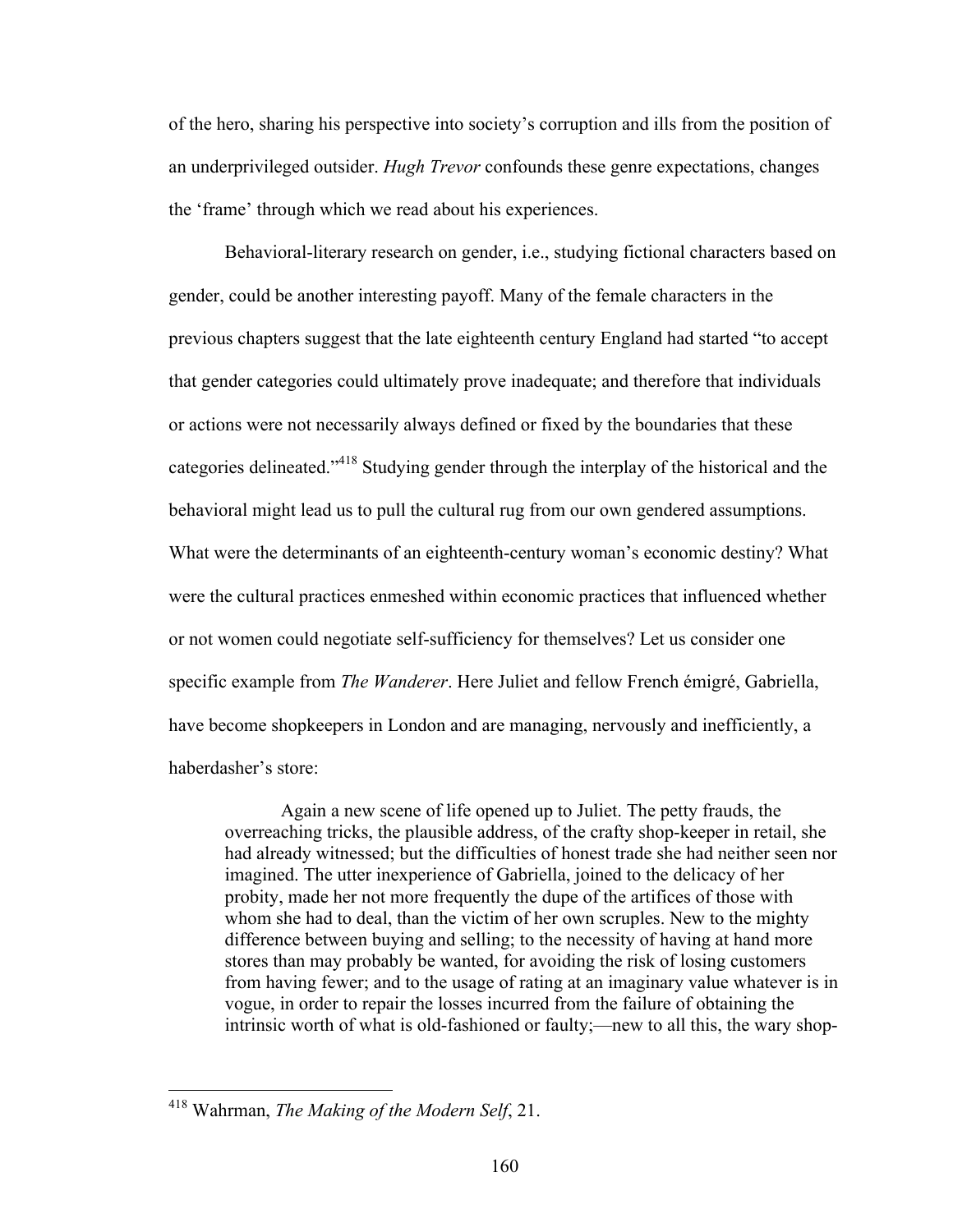of the hero, sharing his perspective into society's corruption and ills from the position of an underprivileged outsider. *Hugh Trevor* confounds these genre expectations, changes the 'frame' through which we read about his experiences.

Behavioral-literary research on gender, i.e., studying fictional characters based on gender, could be another interesting payoff. Many of the female characters in the previous chapters suggest that the late eighteenth century England had started "to accept that gender categories could ultimately prove inadequate; and therefore that individuals or actions were not necessarily always defined or fixed by the boundaries that these categories delineated."418 Studying gender through the interplay of the historical and the behavioral might lead us to pull the cultural rug from our own gendered assumptions. What were the determinants of an eighteenth-century woman's economic destiny? What were the cultural practices enmeshed within economic practices that influenced whether or not women could negotiate self-sufficiency for themselves? Let us consider one specific example from *The Wanderer*. Here Juliet and fellow French émigré, Gabriella, have become shopkeepers in London and are managing, nervously and inefficiently, a haberdasher's store:

Again a new scene of life opened up to Juliet. The petty frauds, the overreaching tricks, the plausible address, of the crafty shop-keeper in retail, she had already witnessed; but the difficulties of honest trade she had neither seen nor imagined. The utter inexperience of Gabriella, joined to the delicacy of her probity, made her not more frequently the dupe of the artifices of those with whom she had to deal, than the victim of her own scruples. New to the mighty difference between buying and selling; to the necessity of having at hand more stores than may probably be wanted, for avoiding the risk of losing customers from having fewer; and to the usage of rating at an imaginary value whatever is in vogue, in order to repair the losses incurred from the failure of obtaining the intrinsic worth of what is old-fashioned or faulty;—new to all this, the wary shop-

 <sup>418</sup> Wahrman, *The Making of the Modern Self*, 21.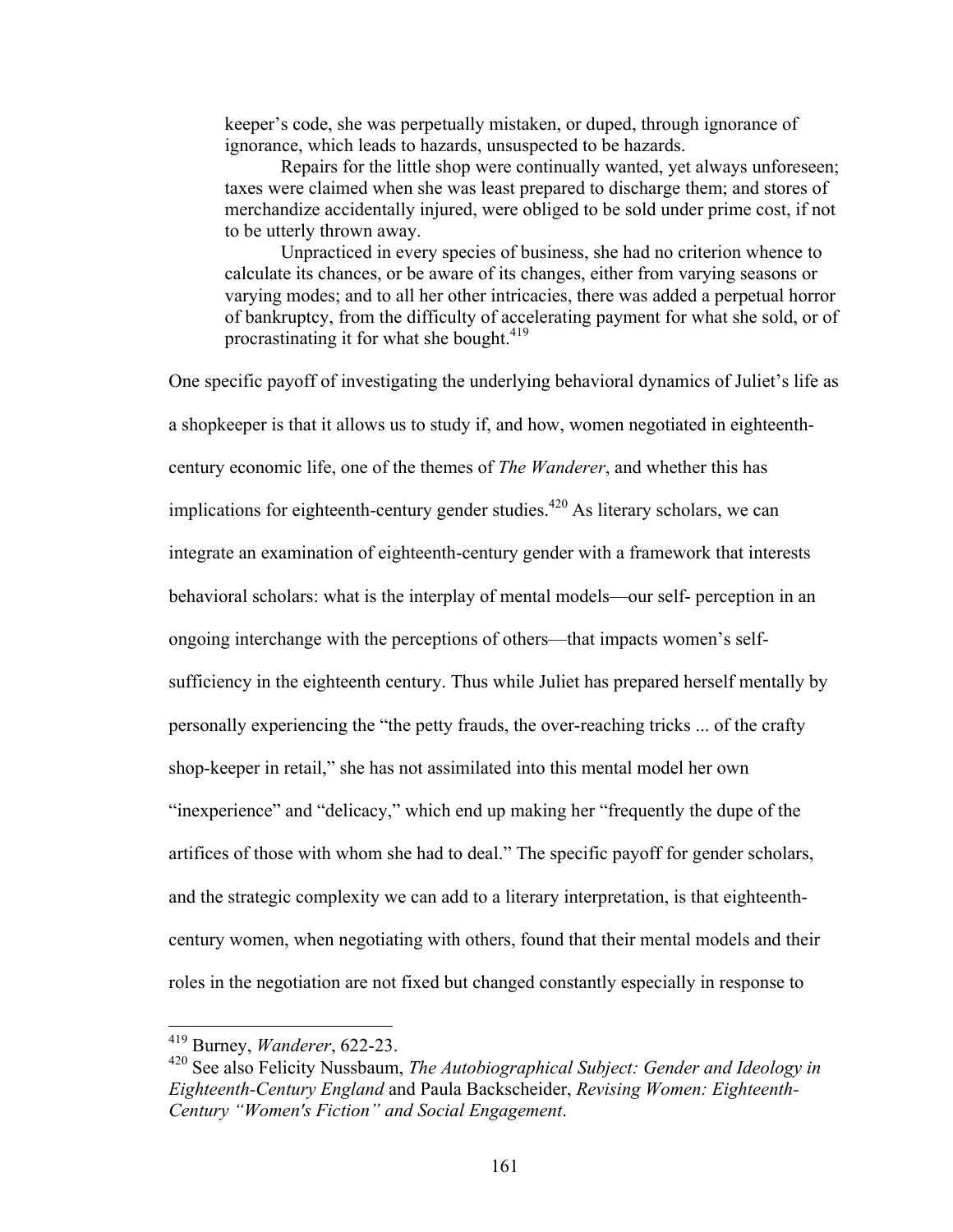keeper's code, she was perpetually mistaken, or duped, through ignorance of ignorance, which leads to hazards, unsuspected to be hazards.

Repairs for the little shop were continually wanted, yet always unforeseen; taxes were claimed when she was least prepared to discharge them; and stores of merchandize accidentally injured, were obliged to be sold under prime cost, if not to be utterly thrown away.

Unpracticed in every species of business, she had no criterion whence to calculate its chances, or be aware of its changes, either from varying seasons or varying modes; and to all her other intricacies, there was added a perpetual horror of bankruptcy, from the difficulty of accelerating payment for what she sold, or of procrastinating it for what she bought. $419$ 

One specific payoff of investigating the underlying behavioral dynamics of Juliet's life as a shopkeeper is that it allows us to study if, and how, women negotiated in eighteenthcentury economic life, one of the themes of *The Wanderer*, and whether this has implications for eighteenth-century gender studies.<sup> $420$ </sup> As literary scholars, we can integrate an examination of eighteenth-century gender with a framework that interests behavioral scholars: what is the interplay of mental models—our self- perception in an ongoing interchange with the perceptions of others—that impacts women's selfsufficiency in the eighteenth century. Thus while Juliet has prepared herself mentally by personally experiencing the "the petty frauds, the over-reaching tricks ... of the crafty shop-keeper in retail," she has not assimilated into this mental model her own "inexperience" and "delicacy," which end up making her "frequently the dupe of the artifices of those with whom she had to deal." The specific payoff for gender scholars, and the strategic complexity we can add to a literary interpretation, is that eighteenthcentury women, when negotiating with others, found that their mental models and their roles in the negotiation are not fixed but changed constantly especially in response to

 <sup>419</sup> Burney, *Wanderer*, 622-23.

<sup>420</sup> See also Felicity Nussbaum, *The Autobiographical Subject: Gender and Ideology in Eighteenth-Century England* and Paula Backscheider, *Revising Women: Eighteenth-Century "Women's Fiction" and Social Engagement*.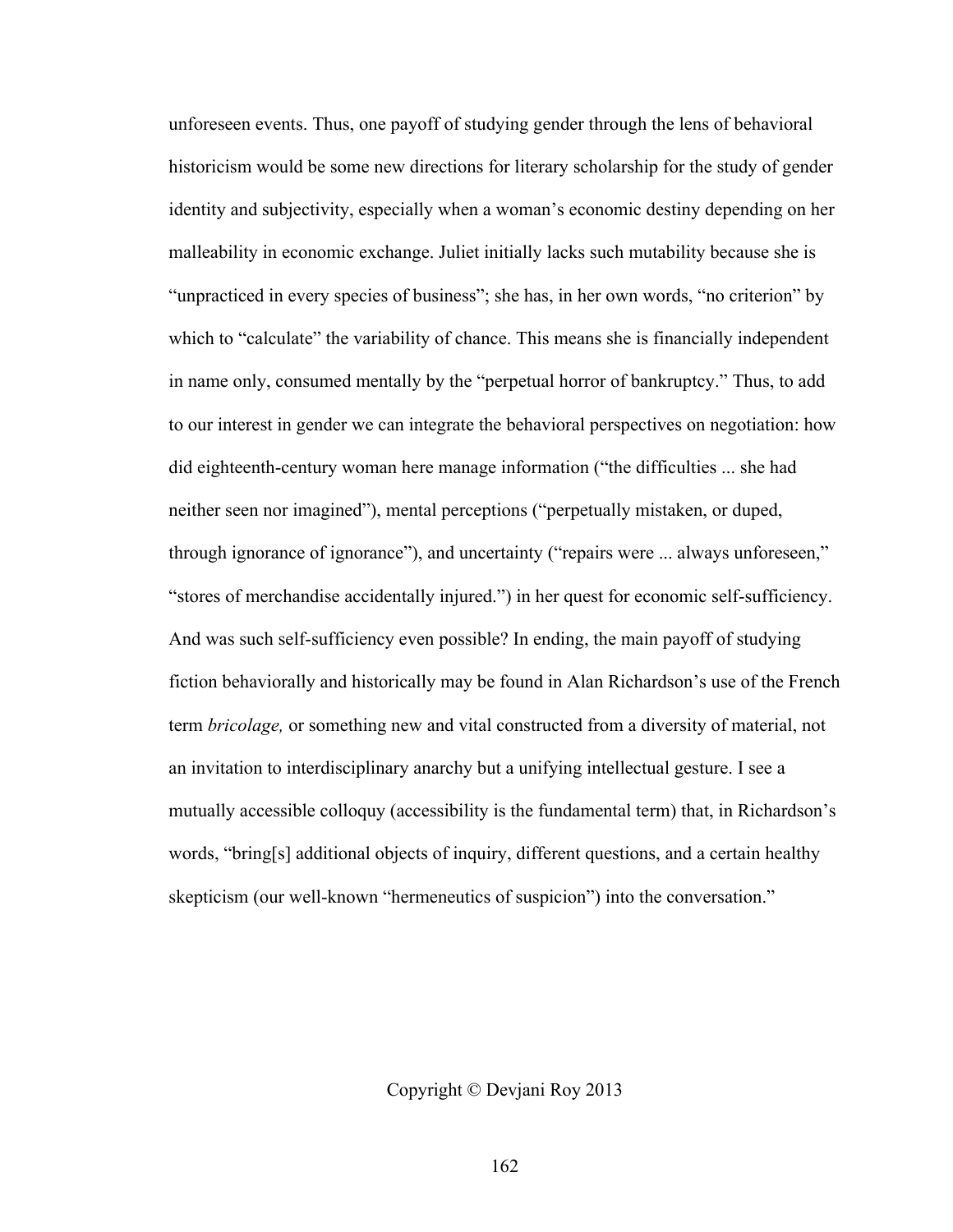unforeseen events. Thus, one payoff of studying gender through the lens of behavioral historicism would be some new directions for literary scholarship for the study of gender identity and subjectivity, especially when a woman's economic destiny depending on her malleability in economic exchange. Juliet initially lacks such mutability because she is "unpracticed in every species of business"; she has, in her own words, "no criterion" by which to "calculate" the variability of chance. This means she is financially independent in name only, consumed mentally by the "perpetual horror of bankruptcy." Thus, to add to our interest in gender we can integrate the behavioral perspectives on negotiation: how did eighteenth-century woman here manage information ("the difficulties ... she had neither seen nor imagined"), mental perceptions ("perpetually mistaken, or duped, through ignorance of ignorance"), and uncertainty ("repairs were ... always unforeseen," "stores of merchandise accidentally injured.") in her quest for economic self-sufficiency. And was such self-sufficiency even possible? In ending, the main payoff of studying fiction behaviorally and historically may be found in Alan Richardson's use of the French term *bricolage,* or something new and vital constructed from a diversity of material, not an invitation to interdisciplinary anarchy but a unifying intellectual gesture. I see a mutually accessible colloquy (accessibility is the fundamental term) that, in Richardson's words, "bring[s] additional objects of inquiry, different questions, and a certain healthy skepticism (our well-known "hermeneutics of suspicion") into the conversation."

Copyright © Devjani Roy 2013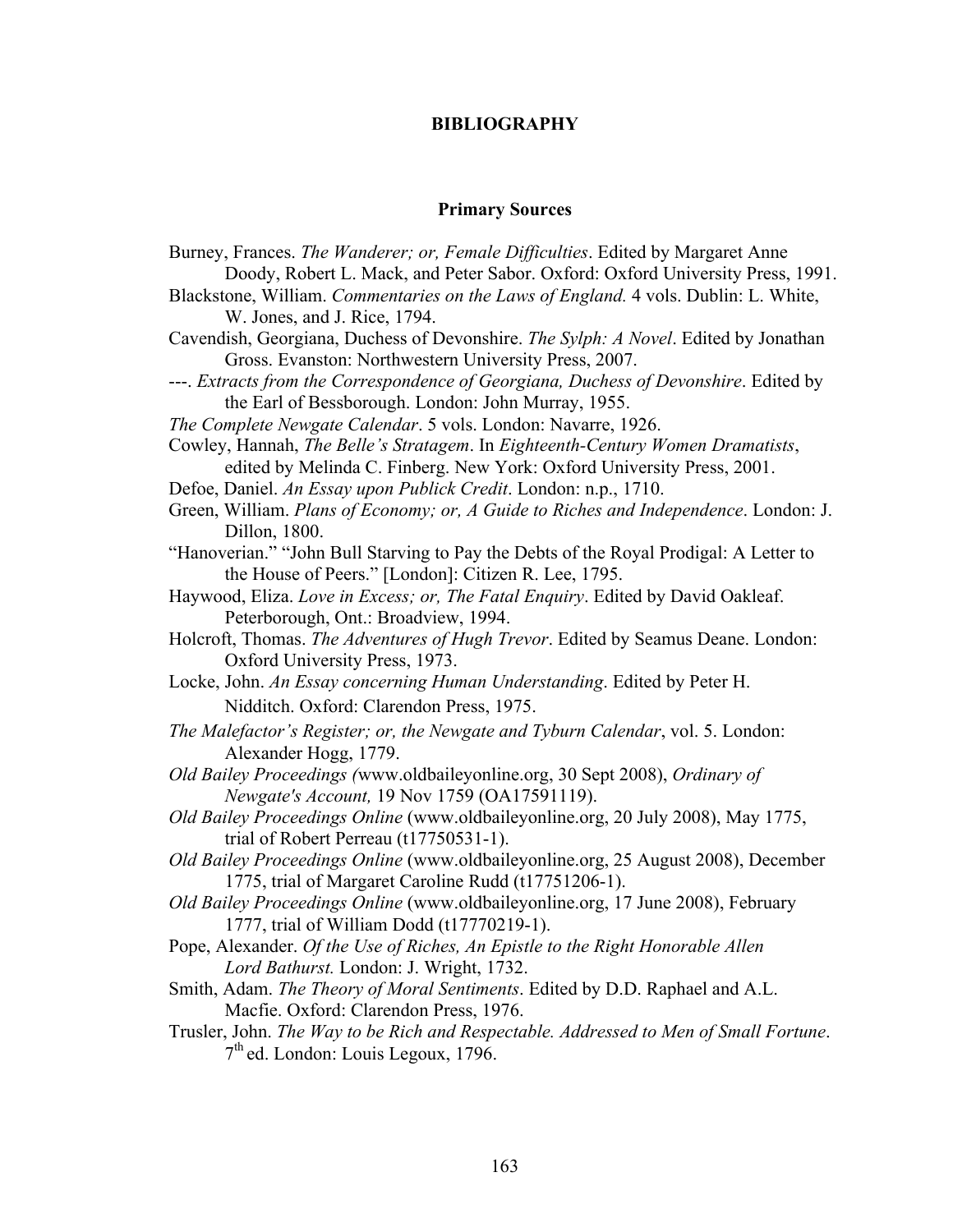## **BIBLIOGRAPHY**

## **Primary Sources**

Burney, Frances. *The Wanderer; or, Female Difficulties*. Edited by Margaret Anne Doody, Robert L. Mack, and Peter Sabor. Oxford: Oxford University Press, 1991. Blackstone, William. *Commentaries on the Laws of England.* 4 vols. Dublin: L. White, W. Jones, and J. Rice, 1794. Cavendish, Georgiana, Duchess of Devonshire. *The Sylph: A Novel*. Edited by Jonathan Gross. Evanston: Northwestern University Press, 2007. ---. *Extracts from the Correspondence of Georgiana, Duchess of Devonshire*. Edited by the Earl of Bessborough. London: John Murray, 1955. *The Complete Newgate Calendar*. 5 vols. London: Navarre, 1926. Cowley, Hannah, *The Belle's Stratagem*. In *Eighteenth-Century Women Dramatists*, edited by Melinda C. Finberg. New York: Oxford University Press, 2001. Defoe, Daniel. *An Essay upon Publick Credit*. London: n.p., 1710. Green, William. *Plans of Economy; or, A Guide to Riches and Independence*. London: J. Dillon, 1800. "Hanoverian." "John Bull Starving to Pay the Debts of the Royal Prodigal: A Letter to the House of Peers." [London]: Citizen R. Lee, 1795. Haywood, Eliza. *Love in Excess; or, The Fatal Enquiry*. Edited by David Oakleaf. Peterborough, Ont.: Broadview, 1994. Holcroft, Thomas. *The Adventures of Hugh Trevor*. Edited by Seamus Deane. London: Oxford University Press, 1973. Locke, John. *An Essay concerning Human Understanding*. Edited by Peter H. Nidditch. Oxford: Clarendon Press, 1975. *The Malefactor's Register; or, the Newgate and Tyburn Calendar*, vol. 5. London: Alexander Hogg, 1779. *Old Bailey Proceedings (*www.oldbaileyonline.org, 30 Sept 2008), *Ordinary of Newgate's Account,* 19 Nov 1759 (OA17591119). *Old Bailey Proceedings Online* (www.oldbaileyonline.org, 20 July 2008), May 1775, trial of Robert Perreau (t17750531-1). *Old Bailey Proceedings Online* (www.oldbaileyonline.org, 25 August 2008), December 1775, trial of Margaret Caroline Rudd (t17751206-1). *Old Bailey Proceedings Online* (www.oldbaileyonline.org, 17 June 2008), February 1777, trial of William Dodd (t17770219-1). Pope, Alexander. *Of the Use of Riches, An Epistle to the Right Honorable Allen Lord Bathurst.* London: J. Wright, 1732. Smith, Adam. *The Theory of Moral Sentiments*. Edited by D.D. Raphael and A.L. Macfie. Oxford: Clarendon Press, 1976. Trusler, John. *The Way to be Rich and Respectable. Addressed to Men of Small Fortune*. 7th ed. London: Louis Legoux, 1796.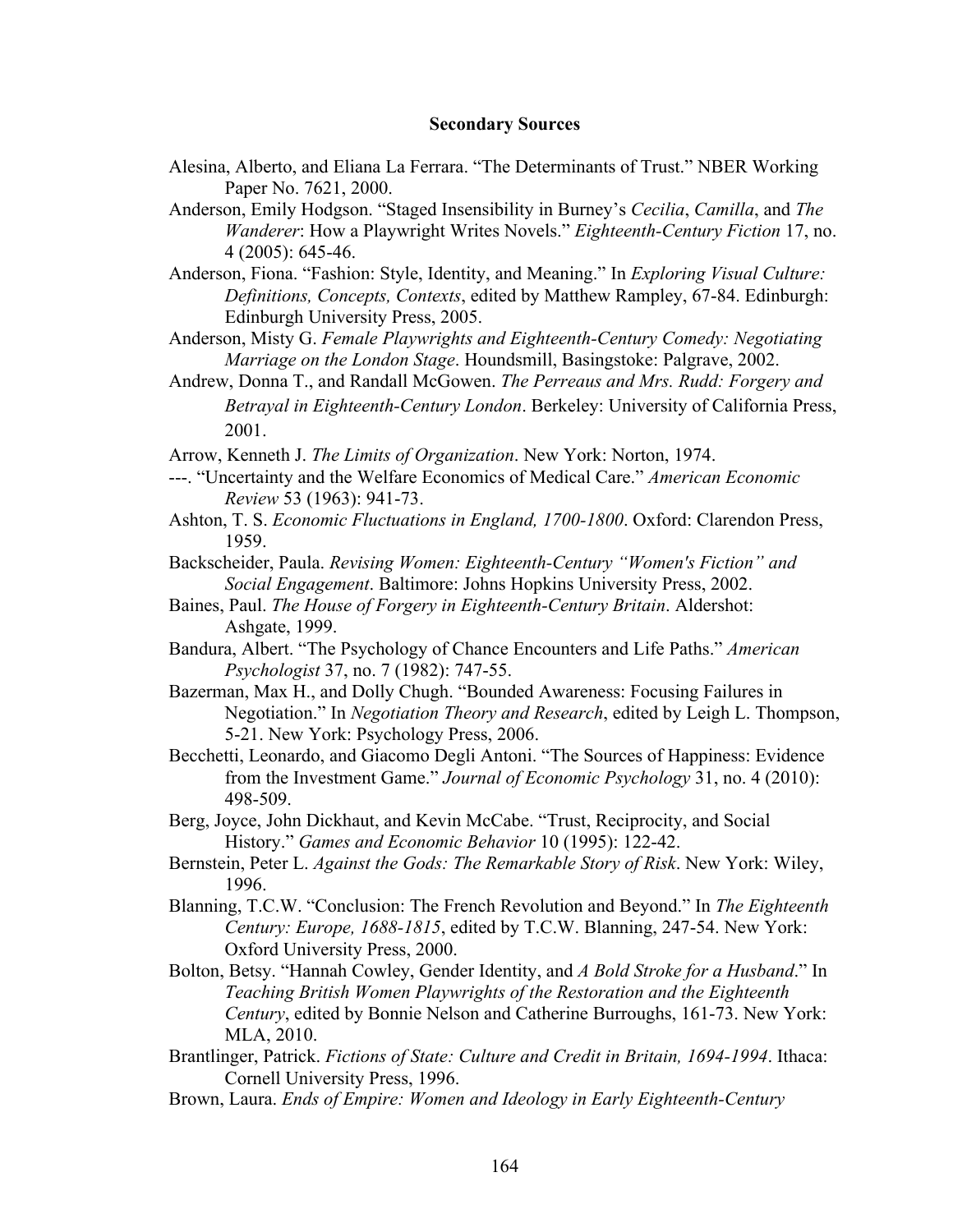### **Secondary Sources**

- Alesina, Alberto, and Eliana La Ferrara. "The Determinants of Trust." NBER Working Paper No. 7621, 2000.
- Anderson, Emily Hodgson. "Staged Insensibility in Burney's *Cecilia*, *Camilla*, and *The Wanderer*: How a Playwright Writes Novels." *Eighteenth-Century Fiction* 17, no. 4 (2005): 645-46.
- Anderson, Fiona. "Fashion: Style, Identity, and Meaning." In *Exploring Visual Culture: Definitions, Concepts, Contexts*, edited by Matthew Rampley, 67-84. Edinburgh: Edinburgh University Press, 2005.
- Anderson, Misty G. *Female Playwrights and Eighteenth-Century Comedy: Negotiating Marriage on the London Stage*. Houndsmill, Basingstoke: Palgrave, 2002.
- Andrew, Donna T., and Randall McGowen. *The Perreaus and Mrs. Rudd: Forgery and Betrayal in Eighteenth-Century London*. Berkeley: University of California Press, 2001.
- Arrow, Kenneth J. *The Limits of Organization*. New York: Norton, 1974.
- ---. "Uncertainty and the Welfare Economics of Medical Care." *American Economic Review* 53 (1963): 941-73.
- Ashton, T. S. *Economic Fluctuations in England, 1700-1800*. Oxford: Clarendon Press, 1959.
- Backscheider, Paula. *Revising Women: Eighteenth-Century "Women's Fiction" and Social Engagement*. Baltimore: Johns Hopkins University Press, 2002.
- Baines, Paul. *The House of Forgery in Eighteenth-Century Britain*. Aldershot: Ashgate, 1999.
- Bandura, Albert. "The Psychology of Chance Encounters and Life Paths." *American Psychologist* 37, no. 7 (1982): 747-55.
- Bazerman, Max H., and Dolly Chugh. "Bounded Awareness: Focusing Failures in Negotiation." In *Negotiation Theory and Research*, edited by Leigh L. Thompson, 5-21. New York: Psychology Press, 2006.
- Becchetti, Leonardo, and Giacomo Degli Antoni. "The Sources of Happiness: Evidence from the Investment Game." *Journal of Economic Psychology* 31, no. 4 (2010): 498-509.
- Berg, Joyce, John Dickhaut, and Kevin McCabe. "Trust, Reciprocity, and Social History." *Games and Economic Behavior* 10 (1995): 122-42.
- Bernstein, Peter L. *Against the Gods: The Remarkable Story of Risk*. New York: Wiley, 1996.
- Blanning, T.C.W. "Conclusion: The French Revolution and Beyond." In *The Eighteenth Century: Europe, 1688-1815*, edited by T.C.W. Blanning, 247-54. New York: Oxford University Press, 2000.
- Bolton, Betsy. "Hannah Cowley, Gender Identity, and *A Bold Stroke for a Husband*." In *Teaching British Women Playwrights of the Restoration and the Eighteenth Century*, edited by Bonnie Nelson and Catherine Burroughs, 161-73. New York: MLA, 2010.
- Brantlinger, Patrick. *Fictions of State: Culture and Credit in Britain, 1694-1994*. Ithaca: Cornell University Press, 1996.
- Brown, Laura. *Ends of Empire: Women and Ideology in Early Eighteenth-Century*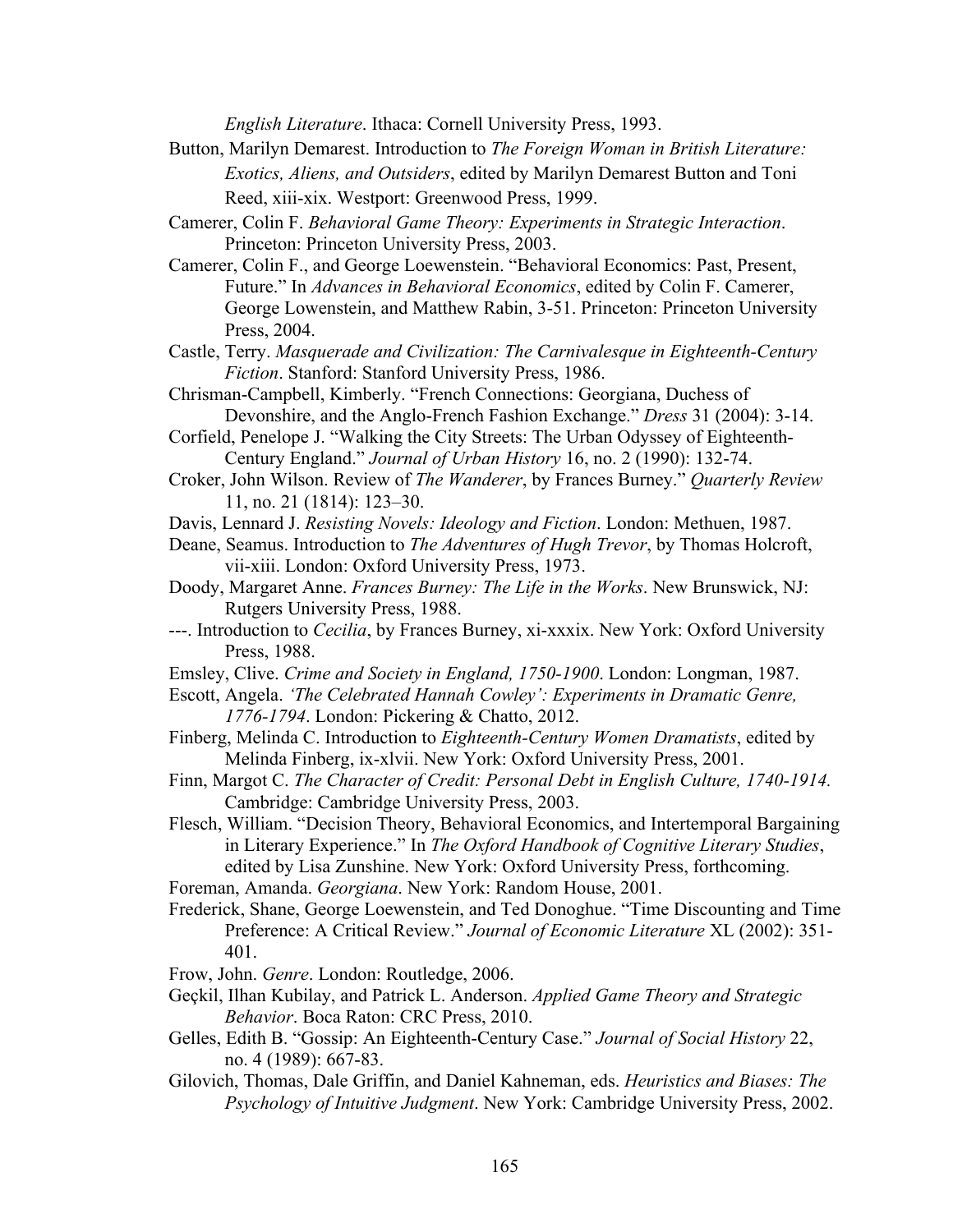*English Literature*. Ithaca: Cornell University Press, 1993.

- Button, Marilyn Demarest. Introduction to *The Foreign Woman in British Literature: Exotics, Aliens, and Outsiders*, edited by Marilyn Demarest Button and Toni Reed, xiii-xix. Westport: Greenwood Press, 1999.
- Camerer, Colin F. *Behavioral Game Theory: Experiments in Strategic Interaction*. Princeton: Princeton University Press, 2003.
- Camerer, Colin F., and George Loewenstein. "Behavioral Economics: Past, Present, Future." In *Advances in Behavioral Economics*, edited by Colin F. Camerer, George Lowenstein, and Matthew Rabin, 3-51. Princeton: Princeton University Press, 2004.
- Castle, Terry. *Masquerade and Civilization: The Carnivalesque in Eighteenth-Century Fiction*. Stanford: Stanford University Press, 1986.
- Chrisman-Campbell, Kimberly. "French Connections: Georgiana, Duchess of Devonshire, and the Anglo-French Fashion Exchange." *Dress* 31 (2004): 3-14.
- Corfield, Penelope J. "Walking the City Streets: The Urban Odyssey of Eighteenth-Century England." *Journal of Urban History* 16, no. 2 (1990): 132-74.
- Croker, John Wilson. Review of *The Wanderer*, by Frances Burney." *Quarterly Review*  11, no. 21 (1814): 123–30.
- Davis, Lennard J. *Resisting Novels: Ideology and Fiction*. London: Methuen, 1987.
- Deane, Seamus. Introduction to *The Adventures of Hugh Trevor*, by Thomas Holcroft, vii-xiii. London: Oxford University Press, 1973.
- Doody, Margaret Anne. *Frances Burney: The Life in the Works*. New Brunswick, NJ: Rutgers University Press, 1988.
- ---. Introduction to *Cecilia*, by Frances Burney, xi-xxxix. New York: Oxford University Press, 1988.
- Emsley, Clive. *Crime and Society in England, 1750-1900*. London: Longman, 1987.
- Escott, Angela. *'The Celebrated Hannah Cowley': Experiments in Dramatic Genre, 1776-1794*. London: Pickering & Chatto, 2012.
- Finberg, Melinda C. Introduction to *Eighteenth-Century Women Dramatists*, edited by Melinda Finberg, ix-xlvii. New York: Oxford University Press, 2001.
- Finn, Margot C. *The Character of Credit: Personal Debt in English Culture, 1740-1914.* Cambridge: Cambridge University Press, 2003.
- Flesch, William. "Decision Theory, Behavioral Economics, and Intertemporal Bargaining in Literary Experience." In *The Oxford Handbook of Cognitive Literary Studies*, edited by Lisa Zunshine. New York: Oxford University Press, forthcoming.
- Foreman, Amanda. *Georgiana*. New York: Random House, 2001.
- Frederick, Shane, George Loewenstein, and Ted Donoghue. "Time Discounting and Time Preference: A Critical Review." *Journal of Economic Literature* XL (2002): 351- 401.
- Frow, John. *Genre*. London: Routledge, 2006.
- Geçkil, Ilhan Kubilay, and Patrick L. Anderson. *Applied Game Theory and Strategic Behavior*. Boca Raton: CRC Press, 2010.
- Gelles, Edith B. "Gossip: An Eighteenth-Century Case." *Journal of Social History* 22, no. 4 (1989): 667-83.
- Gilovich, Thomas, Dale Griffin, and Daniel Kahneman, eds. *Heuristics and Biases: The Psychology of Intuitive Judgment*. New York: Cambridge University Press, 2002.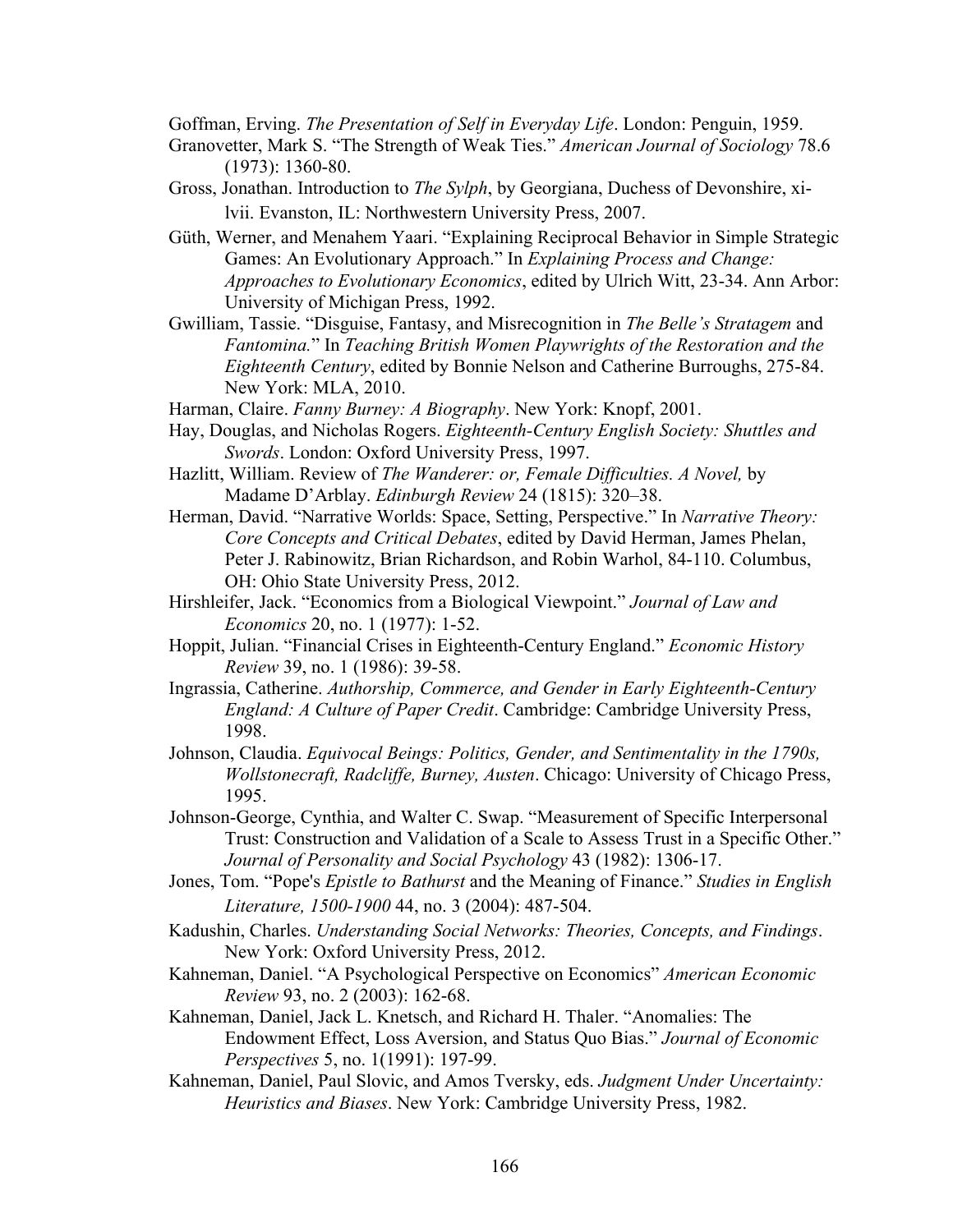Goffman, Erving. *The Presentation of Self in Everyday Life*. London: Penguin, 1959.

- Granovetter, Mark S. "The Strength of Weak Ties." *American Journal of Sociology* 78.6 (1973): 1360-80.
- Gross, Jonathan. Introduction to *The Sylph*, by Georgiana, Duchess of Devonshire, xilvii. Evanston, IL: Northwestern University Press, 2007.
- Güth, Werner, and Menahem Yaari. "Explaining Reciprocal Behavior in Simple Strategic Games: An Evolutionary Approach." In *Explaining Process and Change: Approaches to Evolutionary Economics*, edited by Ulrich Witt, 23-34. Ann Arbor: University of Michigan Press, 1992.
- Gwilliam, Tassie. "Disguise, Fantasy, and Misrecognition in *The Belle's Stratagem* and *Fantomina.*" In *Teaching British Women Playwrights of the Restoration and the Eighteenth Century*, edited by Bonnie Nelson and Catherine Burroughs, 275-84. New York: MLA, 2010.
- Harman, Claire. *Fanny Burney: A Biography*. New York: Knopf, 2001.
- Hay, Douglas, and Nicholas Rogers. *Eighteenth-Century English Society: Shuttles and Swords*. London: Oxford University Press, 1997.
- Hazlitt, William. Review of *The Wanderer: or, Female Difficulties. A Novel,* by Madame D'Arblay. *Edinburgh Review* 24 (1815): 320–38.
- Herman, David. "Narrative Worlds: Space, Setting, Perspective." In *Narrative Theory: Core Concepts and Critical Debates*, edited by David Herman, James Phelan, Peter J. Rabinowitz, Brian Richardson, and Robin Warhol, 84-110. Columbus, OH: Ohio State University Press, 2012.
- Hirshleifer, Jack. "Economics from a Biological Viewpoint." *Journal of Law and Economics* 20, no. 1 (1977): 1-52.
- Hoppit, Julian. "Financial Crises in Eighteenth-Century England." *Economic History Review* 39, no. 1 (1986): 39-58.
- Ingrassia, Catherine. *Authorship, Commerce, and Gender in Early Eighteenth-Century England: A Culture of Paper Credit*. Cambridge: Cambridge University Press, 1998.
- Johnson, Claudia. *Equivocal Beings: Politics, Gender, and Sentimentality in the 1790s, Wollstonecraft, Radcliffe, Burney, Austen*. Chicago: University of Chicago Press, 1995.
- Johnson-George, Cynthia, and Walter C. Swap. "Measurement of Specific Interpersonal Trust: Construction and Validation of a Scale to Assess Trust in a Specific Other." *Journal of Personality and Social Psychology* 43 (1982): 1306-17.
- Jones, Tom. "Pope's *Epistle to Bathurst* and the Meaning of Finance." *Studies in English Literature, 1500-1900* 44, no. 3 (2004): 487-504.
- Kadushin, Charles. *Understanding Social Networks: Theories, Concepts, and Findings*. New York: Oxford University Press, 2012.
- Kahneman, Daniel. "A Psychological Perspective on Economics" *American Economic Review* 93, no. 2 (2003): 162-68.
- Kahneman, Daniel, Jack L. Knetsch, and Richard H. Thaler. "Anomalies: The Endowment Effect, Loss Aversion, and Status Quo Bias." *Journal of Economic Perspectives* 5, no. 1(1991): 197-99.
- Kahneman, Daniel, Paul Slovic, and Amos Tversky, eds. *Judgment Under Uncertainty: Heuristics and Biases*. New York: Cambridge University Press, 1982.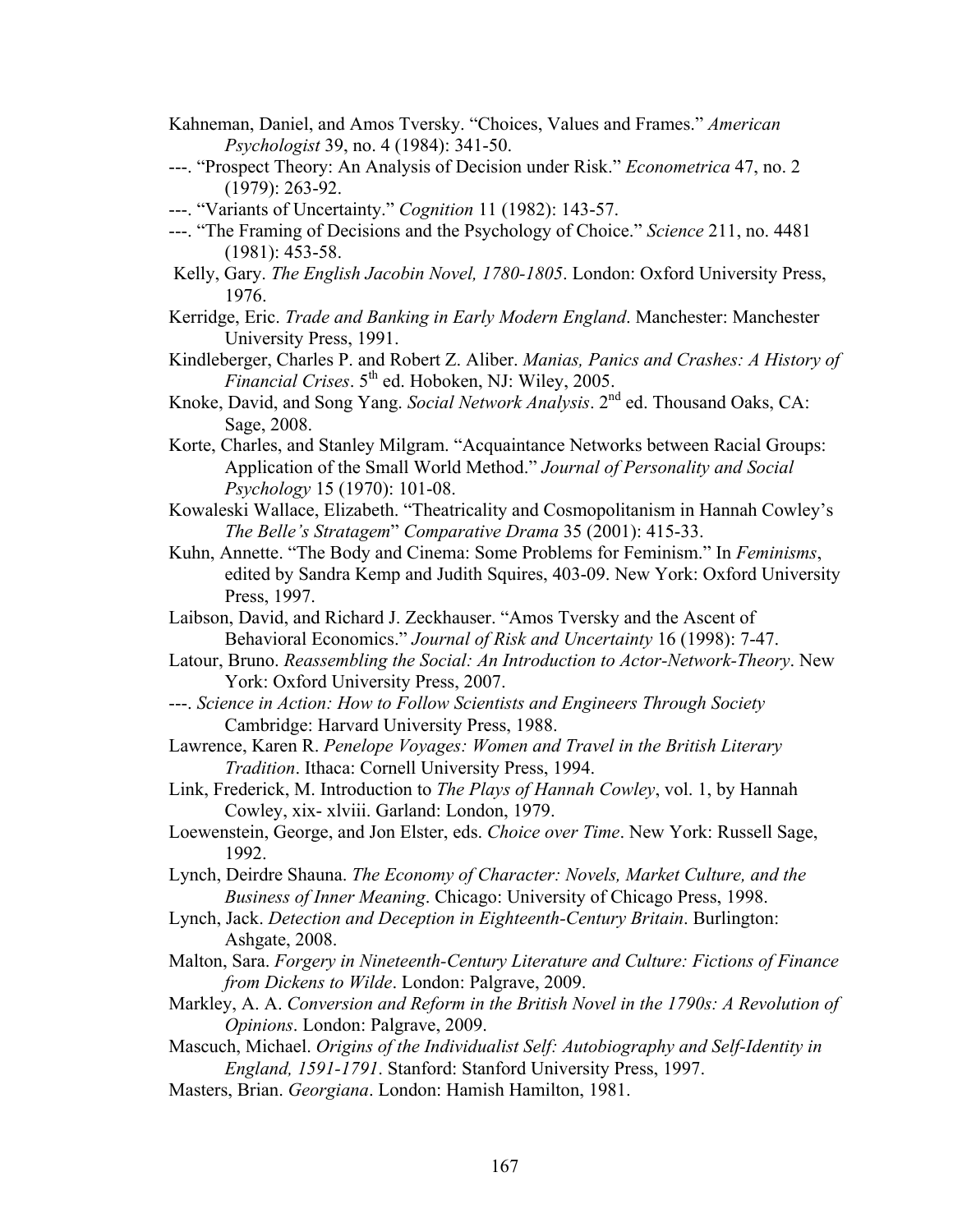- Kahneman, Daniel, and Amos Tversky. "Choices, Values and Frames." *American Psychologist* 39, no. 4 (1984): 341-50.
- ---. "Prospect Theory: An Analysis of Decision under Risk." *Econometrica* 47, no. 2 (1979): 263-92.
- ---. "Variants of Uncertainty." *Cognition* 11 (1982): 143-57.
- ---. "The Framing of Decisions and the Psychology of Choice." *Science* 211, no. 4481 (1981): 453-58.
- Kelly, Gary. *The English Jacobin Novel, 1780-1805*. London: Oxford University Press, 1976.
- Kerridge, Eric. *Trade and Banking in Early Modern England*. Manchester: Manchester University Press, 1991.
- Kindleberger, Charles P. and Robert Z. Aliber. *Manias, Panics and Crashes: A History of Financial Crises.* 5<sup>th</sup> ed. Hoboken, NJ: Wiley, 2005.
- Knoke, David, and Song Yang. *Social Network Analysis*. 2nd ed. Thousand Oaks, CA: Sage, 2008.
- Korte, Charles, and Stanley Milgram. "Acquaintance Networks between Racial Groups: Application of the Small World Method." *Journal of Personality and Social Psychology* 15 (1970): 101-08.
- Kowaleski Wallace, Elizabeth. "Theatricality and Cosmopolitanism in Hannah Cowley's *The Belle's Stratagem*" *Comparative Drama* 35 (2001): 415-33.
- Kuhn, Annette. "The Body and Cinema: Some Problems for Feminism." In *Feminisms*, edited by Sandra Kemp and Judith Squires, 403-09. New York: Oxford University Press, 1997.
- Laibson, David, and Richard J. Zeckhauser. "Amos Tversky and the Ascent of Behavioral Economics." *Journal of Risk and Uncertainty* 16 (1998): 7-47.
- Latour, Bruno. *Reassembling the Social: An Introduction to Actor-Network-Theory*. New York: Oxford University Press, 2007.
- ---. *Science in Action: How to Follow Scientists and Engineers Through Society* Cambridge: Harvard University Press, 1988.
- Lawrence, Karen R. *Penelope Voyages: Women and Travel in the British Literary Tradition*. Ithaca: Cornell University Press, 1994.
- Link, Frederick, M. Introduction to *The Plays of Hannah Cowley*, vol. 1, by Hannah Cowley, xix- xlviii. Garland: London, 1979.
- Loewenstein, George, and Jon Elster, eds. *Choice over Time*. New York: Russell Sage, 1992.
- Lynch, Deirdre Shauna. *The Economy of Character: Novels, Market Culture, and the Business of Inner Meaning*. Chicago: University of Chicago Press, 1998.
- Lynch, Jack. *Detection and Deception in Eighteenth-Century Britain*. Burlington: Ashgate, 2008.
- Malton, Sara. *Forgery in Nineteenth-Century Literature and Culture: Fictions of Finance from Dickens to Wilde*. London: Palgrave, 2009.
- Markley, A. A. *Conversion and Reform in the British Novel in the 1790s: A Revolution of Opinions*. London: Palgrave, 2009.
- Mascuch, Michael. *Origins of the Individualist Self: Autobiography and Self-Identity in England, 1591-1791*. Stanford: Stanford University Press, 1997.
- Masters, Brian. *Georgiana*. London: Hamish Hamilton, 1981.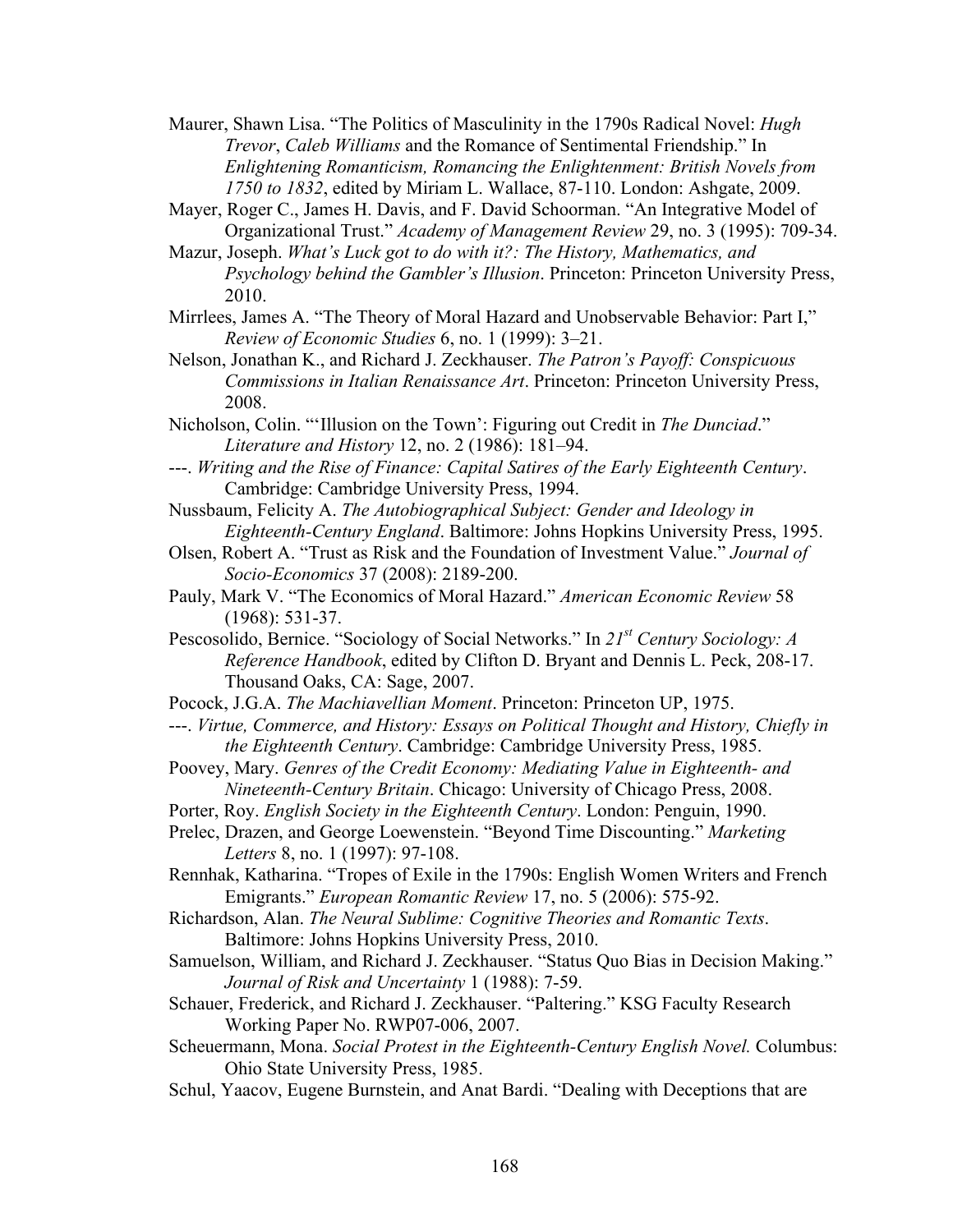- Maurer, Shawn Lisa. "The Politics of Masculinity in the 1790s Radical Novel: *Hugh Trevor*, *Caleb Williams* and the Romance of Sentimental Friendship." In *Enlightening Romanticism, Romancing the Enlightenment: British Novels from 1750 to 1832*, edited by Miriam L. Wallace, 87-110. London: Ashgate, 2009.
- Mayer, Roger C., James H. Davis, and F. David Schoorman. "An Integrative Model of Organizational Trust." *Academy of Management Review* 29, no. 3 (1995): 709-34.
- Mazur, Joseph. *What's Luck got to do with it?: The History, Mathematics, and Psychology behind the Gambler's Illusion*. Princeton: Princeton University Press, 2010.
- Mirrlees, James A. "The Theory of Moral Hazard and Unobservable Behavior: Part I," *Review of Economic Studies* 6, no. 1 (1999): 3–21.
- Nelson, Jonathan K., and Richard J. Zeckhauser. *The Patron's Payoff: Conspicuous Commissions in Italian Renaissance Art*. Princeton: Princeton University Press, 2008.
- Nicholson, Colin. "'Illusion on the Town': Figuring out Credit in *The Dunciad*." *Literature and History* 12, no. 2 (1986): 181–94.
- ---. *Writing and the Rise of Finance: Capital Satires of the Early Eighteenth Century*. Cambridge: Cambridge University Press, 1994.
- Nussbaum, Felicity A. *The Autobiographical Subject: Gender and Ideology in Eighteenth-Century England*. Baltimore: Johns Hopkins University Press, 1995.
- Olsen, Robert A. "Trust as Risk and the Foundation of Investment Value." *Journal of Socio-Economics* 37 (2008): 2189-200.
- Pauly, Mark V. "The Economics of Moral Hazard." *American Economic Review* 58 (1968): 531-37.
- Pescosolido, Bernice. "Sociology of Social Networks." In *21st Century Sociology: A Reference Handbook*, edited by Clifton D. Bryant and Dennis L. Peck, 208-17. Thousand Oaks, CA: Sage, 2007.
- Pocock, J.G.A. *The Machiavellian Moment*. Princeton: Princeton UP, 1975.
- ---. *Virtue, Commerce, and History: Essays on Political Thought and History, Chiefly in the Eighteenth Century*. Cambridge: Cambridge University Press, 1985.
- Poovey, Mary. *Genres of the Credit Economy: Mediating Value in Eighteenth- and Nineteenth-Century Britain*. Chicago: University of Chicago Press, 2008.
- Porter, Roy. *English Society in the Eighteenth Century*. London: Penguin, 1990.
- Prelec, Drazen, and George Loewenstein. "Beyond Time Discounting." *Marketing Letters* 8, no. 1 (1997): 97-108.
- Rennhak, Katharina. "Tropes of Exile in the 1790s: English Women Writers and French Emigrants." *European Romantic Review* 17, no. 5 (2006): 575-92.
- Richardson, Alan. *The Neural Sublime: Cognitive Theories and Romantic Texts*. Baltimore: Johns Hopkins University Press, 2010.
- Samuelson, William, and Richard J. Zeckhauser. "Status Quo Bias in Decision Making." *Journal of Risk and Uncertainty* 1 (1988): 7-59.
- Schauer, Frederick, and Richard J. Zeckhauser. "Paltering." KSG Faculty Research Working Paper No. RWP07-006, 2007.
- Scheuermann, Mona. *Social Protest in the Eighteenth-Century English Novel.* Columbus: Ohio State University Press, 1985.
- Schul, Yaacov, Eugene Burnstein, and Anat Bardi. "Dealing with Deceptions that are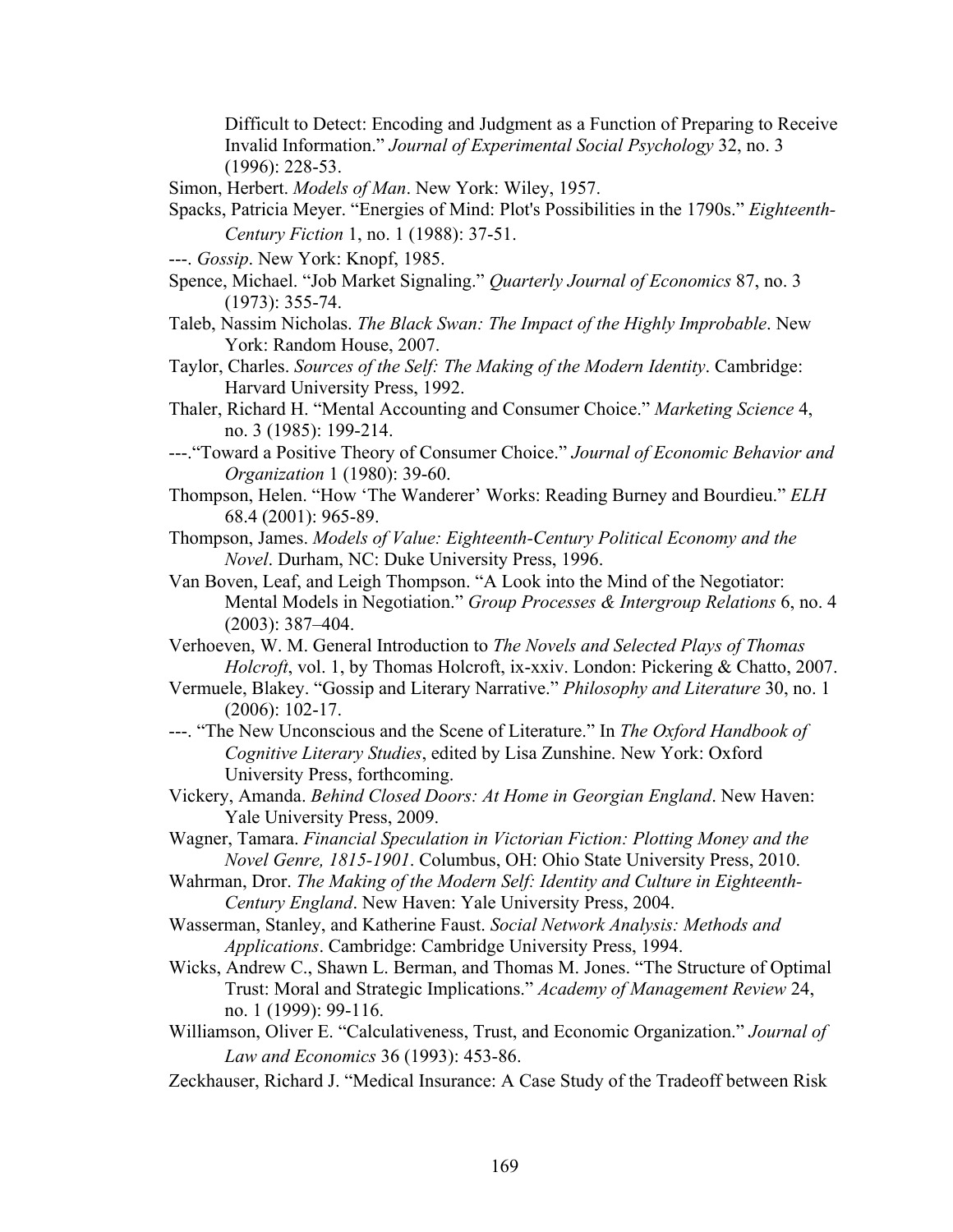Difficult to Detect: Encoding and Judgment as a Function of Preparing to Receive Invalid Information." *Journal of Experimental Social Psychology* 32, no. 3 (1996): 228-53.

- Simon, Herbert. *Models of Man*. New York: Wiley, 1957.
- Spacks, Patricia Meyer. "Energies of Mind: Plot's Possibilities in the 1790s." *Eighteenth-Century Fiction* 1, no. 1 (1988): 37-51.
- ---. *Gossip*. New York: Knopf, 1985.
- Spence, Michael. "Job Market Signaling." *Quarterly Journal of Economics* 87, no. 3 (1973): 355-74.
- Taleb, Nassim Nicholas. *The Black Swan: The Impact of the Highly Improbable*. New York: Random House, 2007.
- Taylor, Charles. *Sources of the Self: The Making of the Modern Identity*. Cambridge: Harvard University Press, 1992.
- Thaler, Richard H. "Mental Accounting and Consumer Choice." *Marketing Science* 4, no. 3 (1985): 199-214.
- ---."Toward a Positive Theory of Consumer Choice." *Journal of Economic Behavior and Organization* 1 (1980): 39-60.
- Thompson, Helen. "How 'The Wanderer' Works: Reading Burney and Bourdieu." *ELH*  68.4 (2001): 965-89.
- Thompson, James. *Models of Value: Eighteenth-Century Political Economy and the Novel*. Durham, NC: Duke University Press, 1996.
- Van Boven, Leaf, and Leigh Thompson. "A Look into the Mind of the Negotiator: Mental Models in Negotiation." *Group Processes & Intergroup Relations* 6, no. 4 (2003): 387–404.

Verhoeven, W. M. General Introduction to *The Novels and Selected Plays of Thomas Holcroft*, vol. 1, by Thomas Holcroft, ix-xxiv. London: Pickering & Chatto, 2007.

- Vermuele, Blakey. "Gossip and Literary Narrative." *Philosophy and Literature* 30, no. 1 (2006): 102-17.
- ---. "The New Unconscious and the Scene of Literature." In *The Oxford Handbook of Cognitive Literary Studies*, edited by Lisa Zunshine. New York: Oxford University Press, forthcoming.
- Vickery, Amanda. *Behind Closed Doors: At Home in Georgian England*. New Haven: Yale University Press, 2009.
- Wagner, Tamara. *Financial Speculation in Victorian Fiction: Plotting Money and the Novel Genre, 1815-1901*. Columbus, OH: Ohio State University Press, 2010.
- Wahrman, Dror. *The Making of the Modern Self: Identity and Culture in Eighteenth-Century England*. New Haven: Yale University Press, 2004.
- Wasserman, Stanley, and Katherine Faust. *Social Network Analysis: Methods and Applications*. Cambridge: Cambridge University Press, 1994.
- Wicks, Andrew C., Shawn L. Berman, and Thomas M. Jones. "The Structure of Optimal Trust: Moral and Strategic Implications." *Academy of Management Review* 24, no. 1 (1999): 99-116.
- Williamson, Oliver E. "Calculativeness, Trust, and Economic Organization." *Journal of Law and Economics* 36 (1993): 453-86.
- Zeckhauser, Richard J. "Medical Insurance: A Case Study of the Tradeoff between Risk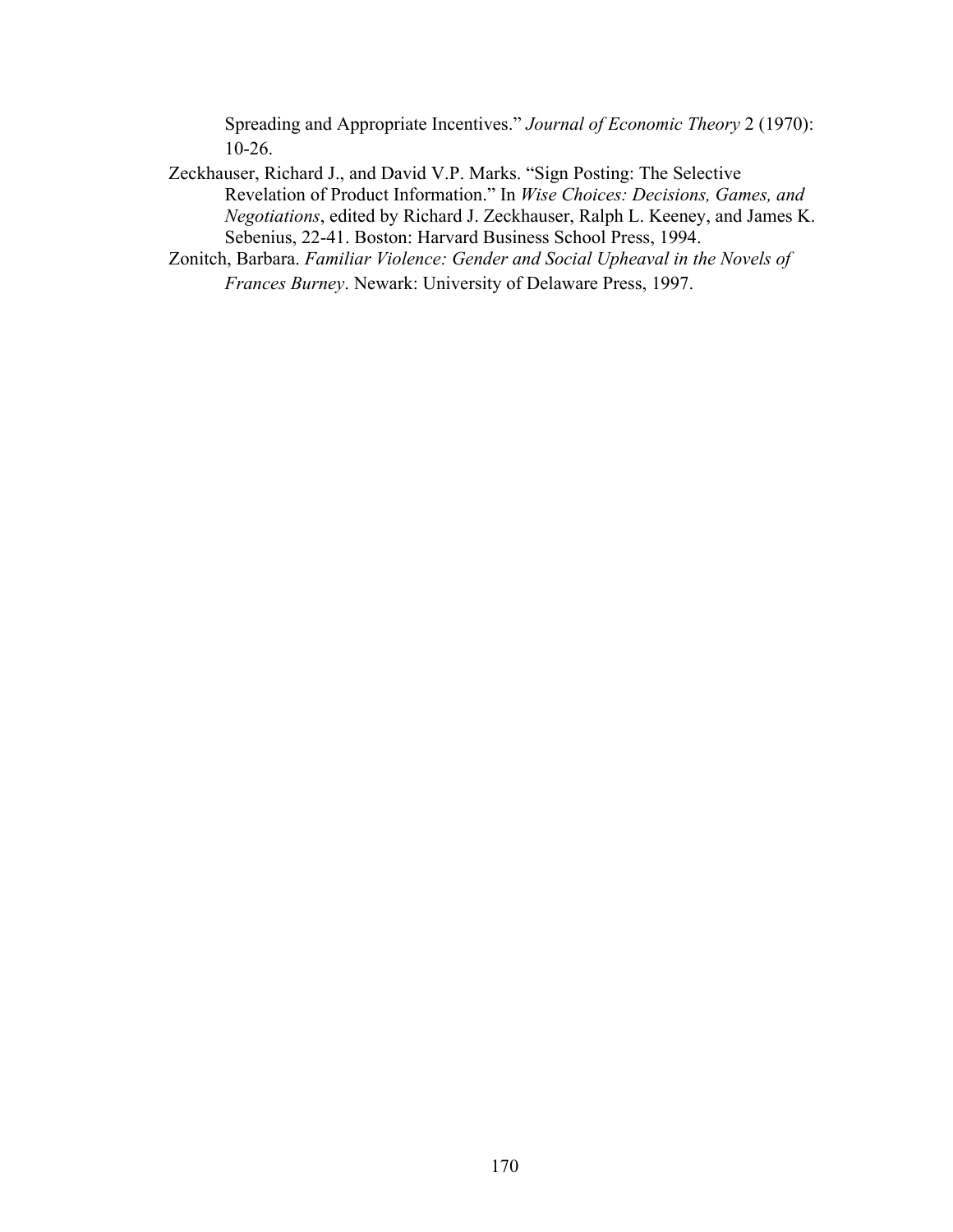Spreading and Appropriate Incentives." *Journal of Economic Theory* 2 (1970): 10-26.

- Zeckhauser, Richard J., and David V.P. Marks. "Sign Posting: The Selective Revelation of Product Information." In *Wise Choices: Decisions, Games, and Negotiations*, edited by Richard J. Zeckhauser, Ralph L. Keeney, and James K. Sebenius, 22-41. Boston: Harvard Business School Press, 1994.
- Zonitch, Barbara. *Familiar Violence: Gender and Social Upheaval in the Novels of Frances Burney*. Newark: University of Delaware Press, 1997.